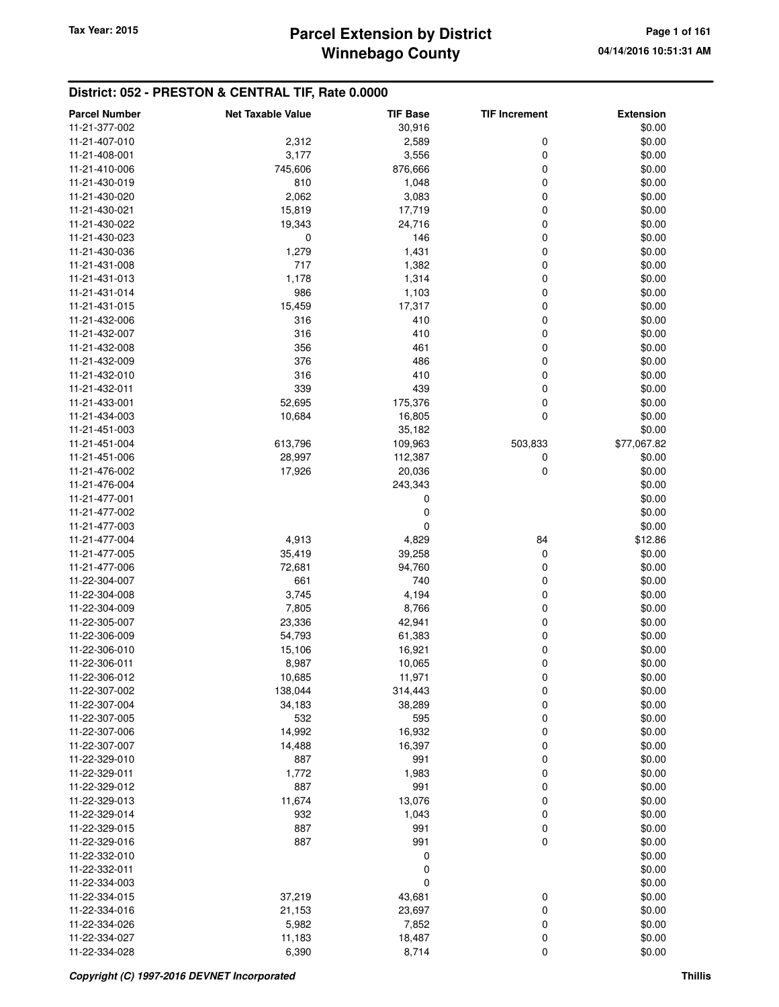## **District: 052 - PRESTON & CENTRAL TIF, Rate 0.0000**

| <b>Parcel Number</b> | <b>Net Taxable Value</b> | <b>TIF Base</b> | <b>TIF Increment</b> | <b>Extension</b> |
|----------------------|--------------------------|-----------------|----------------------|------------------|
| 11-21-377-002        |                          | 30,916          |                      | \$0.00           |
| 11-21-407-010        | 2,312                    | 2,589           | 0                    | \$0.00           |
| 11-21-408-001        | 3,177                    | 3,556           | $\mathbf 0$          | \$0.00           |
| 11-21-410-006        | 745,606                  | 876,666         | 0                    | \$0.00           |
| 11-21-430-019        | 810                      | 1,048           | 0                    | \$0.00           |
| 11-21-430-020        | 2,062                    | 3,083           | 0                    | \$0.00           |
| 11-21-430-021        | 15,819                   | 17,719          | 0                    | \$0.00           |
| 11-21-430-022        | 19,343                   | 24,716          | 0                    | \$0.00           |
| 11-21-430-023        | 0                        | 146             | 0                    | \$0.00           |
| 11-21-430-036        | 1,279                    | 1,431           | 0                    | \$0.00           |
| 11-21-431-008        | 717                      | 1,382           | 0                    | \$0.00           |
| 11-21-431-013        | 1,178                    | 1,314           | 0                    | \$0.00           |
| 11-21-431-014        | 986                      | 1,103           | 0                    | \$0.00           |
| 11-21-431-015        | 15,459                   | 17,317          | 0                    | \$0.00           |
| 11-21-432-006        | 316                      | 410             | 0                    | \$0.00           |
| 11-21-432-007        | 316                      | 410             | 0                    | \$0.00           |
| 11-21-432-008        | 356                      | 461             | 0                    | \$0.00           |
| 11-21-432-009        | 376                      | 486             | 0                    | \$0.00           |
| 11-21-432-010        | 316                      | 410             | 0                    | \$0.00           |
| 11-21-432-011        | 339                      | 439             | 0                    | \$0.00           |
| 11-21-433-001        | 52,695                   | 175,376         | 0                    | \$0.00           |
| 11-21-434-003        | 10,684                   | 16,805          | $\mathbf 0$          | \$0.00           |
| 11-21-451-003        |                          | 35,182          |                      | \$0.00           |
| 11-21-451-004        | 613,796                  | 109,963         | 503,833              | \$77,067.82      |
| 11-21-451-006        | 28,997                   | 112,387         | 0                    | \$0.00           |
| 11-21-476-002        | 17,926                   | 20,036          | 0                    | \$0.00           |
| 11-21-476-004        |                          | 243,343         |                      | \$0.00           |
| 11-21-477-001        |                          | 0               |                      | \$0.00           |
| 11-21-477-002        |                          | 0               |                      | \$0.00           |
| 11-21-477-003        |                          | 0               |                      | \$0.00           |
| 11-21-477-004        | 4,913                    | 4,829           | 84                   | \$12.86          |
| 11-21-477-005        | 35,419                   | 39,258          | 0                    | \$0.00           |
| 11-21-477-006        | 72,681                   | 94,760          | 0                    | \$0.00           |
| 11-22-304-007        | 661                      | 740             | 0                    | \$0.00           |
| 11-22-304-008        | 3,745                    | 4,194           | 0                    | \$0.00           |
| 11-22-304-009        | 7,805                    | 8,766           | 0                    | \$0.00           |
| 11-22-305-007        | 23,336                   | 42,941          | 0                    | \$0.00           |
| 11-22-306-009        | 54,793                   | 61,383          | 0                    | \$0.00           |
| 11-22-306-010        | 15,106                   | 16,921          | 0                    | \$0.00           |
| 11-22-306-011        | 8,987                    | 10,065          | 0                    | \$0.00           |
| 11-22-306-012        | 10,685                   | 11,971          | 0                    | \$0.00           |
| 11-22-307-002        | 138,044                  | 314,443         | 0                    | \$0.00           |
| 11-22-307-004        | 34,183                   | 38,289          | 0                    | \$0.00           |
| 11-22-307-005        | 532                      | 595             | 0                    | \$0.00           |
| 11-22-307-006        | 14,992                   | 16,932          | 0                    | \$0.00           |
| 11-22-307-007        | 14,488                   | 16,397          | 0                    | \$0.00           |
| 11-22-329-010        | 887                      | 991             | 0                    | \$0.00           |
| 11-22-329-011        | 1,772                    | 1,983           | 0                    | \$0.00           |
| 11-22-329-012        | 887                      | 991             | 0                    | \$0.00           |
| 11-22-329-013        | 11,674                   | 13,076          | 0                    | \$0.00           |
| 11-22-329-014        | 932                      | 1,043           | 0                    | \$0.00           |
| 11-22-329-015        | 887                      | 991             | 0                    | \$0.00           |
| 11-22-329-016        | 887                      | 991             | $\mathbf 0$          | \$0.00           |
| 11-22-332-010        |                          | 0               |                      | \$0.00           |
| 11-22-332-011        |                          | 0               |                      | \$0.00           |
| 11-22-334-003        |                          | $\mathbf 0$     |                      | \$0.00           |
| 11-22-334-015        | 37,219                   | 43,681          | 0                    | \$0.00           |
| 11-22-334-016        | 21,153                   | 23,697          | 0                    | \$0.00           |
| 11-22-334-026        | 5,982                    | 7,852           | 0                    | \$0.00           |
| 11-22-334-027        | 11,183                   | 18,487          | 0                    | \$0.00           |
| 11-22-334-028        | 6,390                    | 8,714           | 0                    | \$0.00           |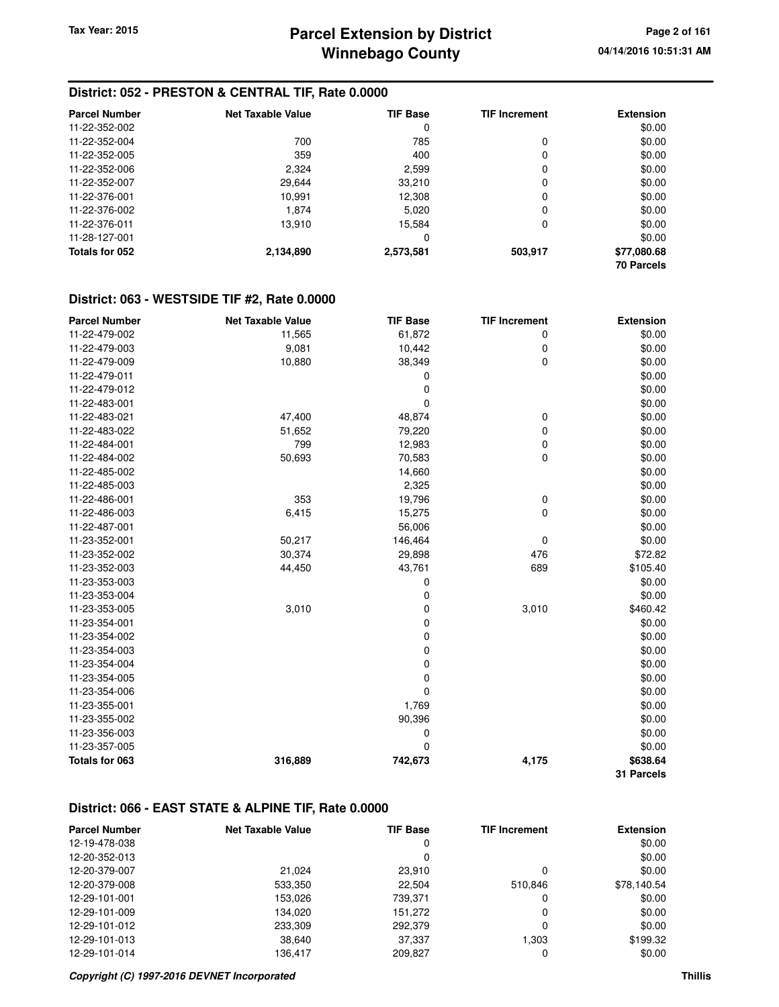#### **District: 052 - PRESTON & CENTRAL TIF, Rate 0.0000**

| <b>Parcel Number</b> | Net Taxable Value | <b>TIF Base</b> | <b>TIF Increment</b> | <b>Extension</b>  |
|----------------------|-------------------|-----------------|----------------------|-------------------|
| 11-22-352-002        |                   | 0               |                      | \$0.00            |
| 11-22-352-004        | 700               | 785             | 0                    | \$0.00            |
| 11-22-352-005        | 359               | 400             | 0                    | \$0.00            |
| 11-22-352-006        | 2,324             | 2,599           | 0                    | \$0.00            |
| 11-22-352-007        | 29.644            | 33,210          | 0                    | \$0.00            |
| 11-22-376-001        | 10.991            | 12,308          | 0                    | \$0.00            |
| 11-22-376-002        | 1.874             | 5,020           | 0                    | \$0.00            |
| 11-22-376-011        | 13,910            | 15.584          | 0                    | \$0.00            |
| 11-28-127-001        |                   | 0               |                      | \$0.00            |
| Totals for 052       | 2,134,890         | 2,573,581       | 503,917              | \$77,080.68       |
|                      |                   |                 |                      | <b>70 Parcels</b> |

#### **District: 063 - WESTSIDE TIF #2, Rate 0.0000**

| <b>Parcel Number</b> | <b>Net Taxable Value</b> | <b>TIF Base</b> | <b>TIF Increment</b> | <b>Extension</b> |
|----------------------|--------------------------|-----------------|----------------------|------------------|
| 11-22-479-002        | 11,565                   | 61,872          | 0                    | \$0.00           |
| 11-22-479-003        | 9,081                    | 10,442          | 0                    | \$0.00           |
| 11-22-479-009        | 10,880                   | 38,349          | 0                    | \$0.00           |
| 11-22-479-011        |                          | 0               |                      | \$0.00           |
| 11-22-479-012        |                          | $\mathbf 0$     |                      | \$0.00           |
| 11-22-483-001        |                          | 0               |                      | \$0.00           |
| 11-22-483-021        | 47,400                   | 48,874          | 0                    | \$0.00           |
| 11-22-483-022        | 51,652                   | 79,220          | 0                    | \$0.00           |
| 11-22-484-001        | 799                      | 12,983          | 0                    | \$0.00           |
| 11-22-484-002        | 50,693                   | 70,583          | 0                    | \$0.00           |
| 11-22-485-002        |                          | 14,660          |                      | \$0.00           |
| 11-22-485-003        |                          | 2,325           |                      | \$0.00           |
| 11-22-486-001        | 353                      | 19,796          | 0                    | \$0.00           |
| 11-22-486-003        | 6,415                    | 15,275          | 0                    | \$0.00           |
| 11-22-487-001        |                          | 56,006          |                      | \$0.00           |
| 11-23-352-001        | 50,217                   | 146,464         | $\mathbf 0$          | \$0.00           |
| 11-23-352-002        | 30,374                   | 29,898          | 476                  | \$72.82          |
| 11-23-352-003        | 44,450                   | 43,761          | 689                  | \$105.40         |
| 11-23-353-003        |                          | 0               |                      | \$0.00           |
| 11-23-353-004        |                          | 0               |                      | \$0.00           |
| 11-23-353-005        | 3,010                    | 0               | 3,010                | \$460.42         |
| 11-23-354-001        |                          | 0               |                      | \$0.00           |
| 11-23-354-002        |                          | 0               |                      | \$0.00           |
| 11-23-354-003        |                          | 0               |                      | \$0.00           |
| 11-23-354-004        |                          | 0               |                      | \$0.00           |
| 11-23-354-005        |                          | 0               |                      | \$0.00           |
| 11-23-354-006        |                          | 0               |                      | \$0.00           |
| 11-23-355-001        |                          | 1,769           |                      | \$0.00           |
| 11-23-355-002        |                          | 90,396          |                      | \$0.00           |
| 11-23-356-003        |                          | 0               |                      | \$0.00           |
| 11-23-357-005        |                          | $\mathbf 0$     |                      | \$0.00           |
| Totals for 063       | 316,889                  | 742,673         | 4,175                | \$638.64         |
|                      |                          |                 |                      | 31 Parcels       |

#### **District: 066 - EAST STATE & ALPINE TIF, Rate 0.0000**

| <b>Parcel Number</b> | <b>Net Taxable Value</b> | <b>TIF Base</b> | <b>TIF Increment</b> | <b>Extension</b> |
|----------------------|--------------------------|-----------------|----------------------|------------------|
| 12-19-478-038        |                          | 0               |                      | \$0.00           |
| 12-20-352-013        |                          | 0               |                      | \$0.00           |
| 12-20-379-007        | 21.024                   | 23,910          |                      | \$0.00           |
| 12-20-379-008        | 533,350                  | 22.504          | 510.846              | \$78,140.54      |
| 12-29-101-001        | 153,026                  | 739,371         |                      | \$0.00           |
| 12-29-101-009        | 134.020                  | 151.272         | 0                    | \$0.00           |
| 12-29-101-012        | 233,309                  | 292,379         | 0                    | \$0.00           |
| 12-29-101-013        | 38,640                   | 37,337          | 1.303                | \$199.32         |
| 12-29-101-014        | 136.417                  | 209,827         |                      | \$0.00           |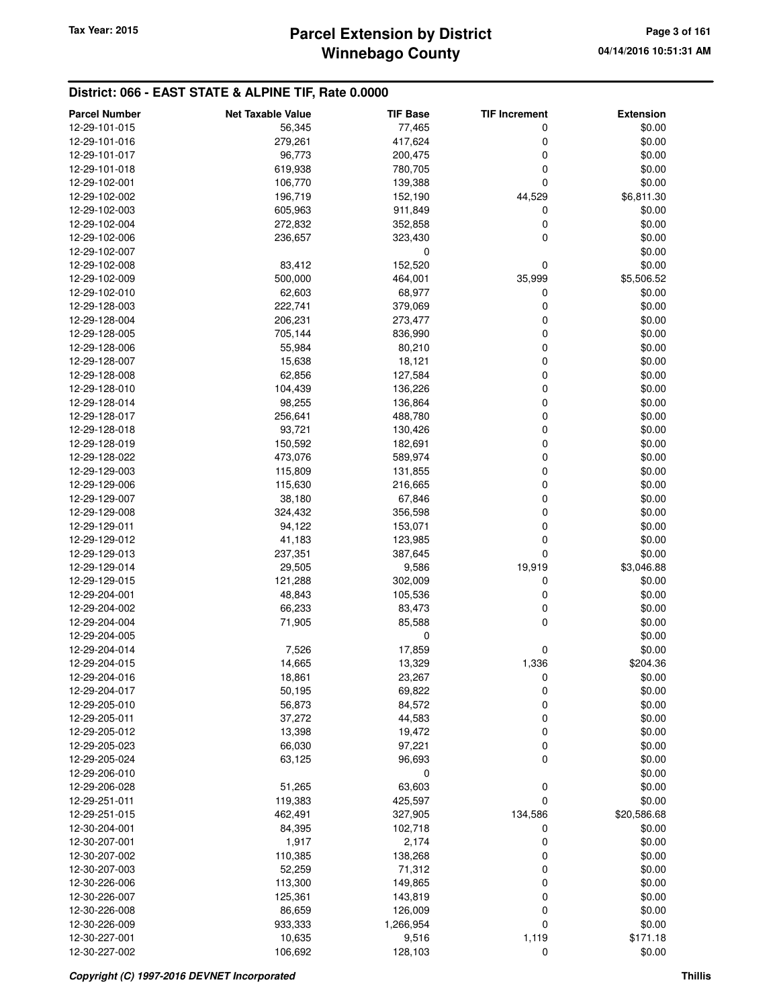#### **District: 066 - EAST STATE & ALPINE TIF, Rate 0.0000**

| <b>Parcel Number</b>           | <b>Net Taxable Value</b> | <b>TIF Base</b>  | <b>TIF Increment</b> | <b>Extension</b> |
|--------------------------------|--------------------------|------------------|----------------------|------------------|
| 12-29-101-015                  | 56,345                   | 77,465           | 0                    | \$0.00           |
| 12-29-101-016                  | 279,261                  | 417,624          | 0                    | \$0.00           |
| 12-29-101-017                  | 96,773                   | 200,475          | 0                    | \$0.00           |
| 12-29-101-018                  | 619,938                  | 780,705          | 0                    | \$0.00           |
| 12-29-102-001                  | 106,770                  | 139,388          | 0                    | \$0.00           |
| 12-29-102-002                  | 196,719                  | 152,190          | 44,529               | \$6,811.30       |
| 12-29-102-003                  | 605,963                  | 911,849          | 0                    | \$0.00           |
| 12-29-102-004                  | 272,832                  | 352,858          | 0                    | \$0.00           |
| 12-29-102-006                  | 236,657                  | 323,430          | 0                    | \$0.00           |
| 12-29-102-007                  |                          | 0                |                      | \$0.00           |
| 12-29-102-008                  | 83,412                   | 152,520          | 0                    | \$0.00           |
| 12-29-102-009                  | 500,000                  | 464,001          | 35,999               | \$5,506.52       |
| 12-29-102-010                  | 62,603                   | 68,977           | 0                    | \$0.00           |
| 12-29-128-003                  | 222,741                  | 379,069          | 0                    | \$0.00           |
| 12-29-128-004                  | 206,231                  | 273,477          | 0                    | \$0.00           |
| 12-29-128-005                  | 705,144                  | 836,990          | 0                    | \$0.00           |
| 12-29-128-006                  | 55,984                   | 80,210           | 0                    | \$0.00           |
| 12-29-128-007                  | 15,638                   | 18,121           | 0                    | \$0.00           |
| 12-29-128-008                  | 62,856                   | 127,584          | 0                    | \$0.00           |
| 12-29-128-010                  | 104,439                  | 136,226          | 0                    | \$0.00           |
| 12-29-128-014                  | 98,255                   | 136,864          | 0                    | \$0.00           |
| 12-29-128-017                  | 256,641                  | 488,780          | 0                    | \$0.00           |
| 12-29-128-018                  | 93,721                   | 130,426          | 0                    | \$0.00           |
| 12-29-128-019                  | 150,592                  | 182,691          | 0                    | \$0.00           |
| 12-29-128-022                  | 473,076                  | 589,974          | 0                    | \$0.00           |
| 12-29-129-003                  | 115,809                  | 131,855          | 0                    | \$0.00           |
| 12-29-129-006                  | 115,630                  | 216,665          | 0                    | \$0.00           |
| 12-29-129-007                  | 38,180                   | 67,846           | 0                    | \$0.00           |
| 12-29-129-008                  | 324,432                  | 356,598          | 0                    | \$0.00           |
| 12-29-129-011                  | 94,122                   | 153,071          | 0                    | \$0.00           |
| 12-29-129-012                  | 41,183                   | 123,985          | 0                    | \$0.00           |
| 12-29-129-013                  | 237,351                  | 387,645          | 0                    | \$0.00           |
| 12-29-129-014                  | 29,505                   | 9,586            | 19,919               | \$3,046.88       |
| 12-29-129-015                  | 121,288                  | 302,009          | 0                    | \$0.00           |
| 12-29-204-001                  | 48,843                   | 105,536          | 0                    | \$0.00           |
| 12-29-204-002                  | 66,233                   | 83,473           | 0                    | \$0.00           |
| 12-29-204-004                  | 71,905                   | 85,588           | 0                    | \$0.00           |
| 12-29-204-005                  |                          | 0                |                      | \$0.00<br>\$0.00 |
| 12-29-204-014                  | 7,526                    | 17,859           | 0                    | \$204.36         |
| 12-29-204-015                  | 14,665<br>18,861         | 13,329           | 1,336                |                  |
| 12-29-204-016<br>12-29-204-017 |                          | 23,267           | 0                    | \$0.00           |
| 12-29-205-010                  | 50,195<br>56,873         | 69,822<br>84,572 | 0<br>0               | \$0.00<br>\$0.00 |
| 12-29-205-011                  | 37,272                   | 44,583           | 0                    | \$0.00           |
| 12-29-205-012                  | 13,398                   | 19,472           | 0                    | \$0.00           |
| 12-29-205-023                  | 66,030                   | 97,221           | 0                    | \$0.00           |
| 12-29-205-024                  | 63,125                   | 96,693           | 0                    | \$0.00           |
| 12-29-206-010                  |                          | 0                |                      | \$0.00           |
| 12-29-206-028                  | 51,265                   | 63,603           | 0                    | \$0.00           |
| 12-29-251-011                  | 119,383                  | 425,597          | 0                    | \$0.00           |
| 12-29-251-015                  | 462,491                  | 327,905          | 134,586              | \$20,586.68      |
| 12-30-204-001                  | 84,395                   | 102,718          | 0                    | \$0.00           |
| 12-30-207-001                  | 1,917                    | 2,174            | 0                    | \$0.00           |
| 12-30-207-002                  | 110,385                  | 138,268          | 0                    | \$0.00           |
| 12-30-207-003                  | 52,259                   | 71,312           | 0                    | \$0.00           |
| 12-30-226-006                  | 113,300                  | 149,865          | 0                    | \$0.00           |
| 12-30-226-007                  | 125,361                  | 143,819          | 0                    | \$0.00           |
| 12-30-226-008                  | 86,659                   | 126,009          | 0                    | \$0.00           |
| 12-30-226-009                  | 933,333                  | 1,266,954        | 0                    | \$0.00           |
| 12-30-227-001                  | 10,635                   | 9,516            | 1,119                | \$171.18         |
| 12-30-227-002                  | 106,692                  | 128,103          | 0                    | \$0.00           |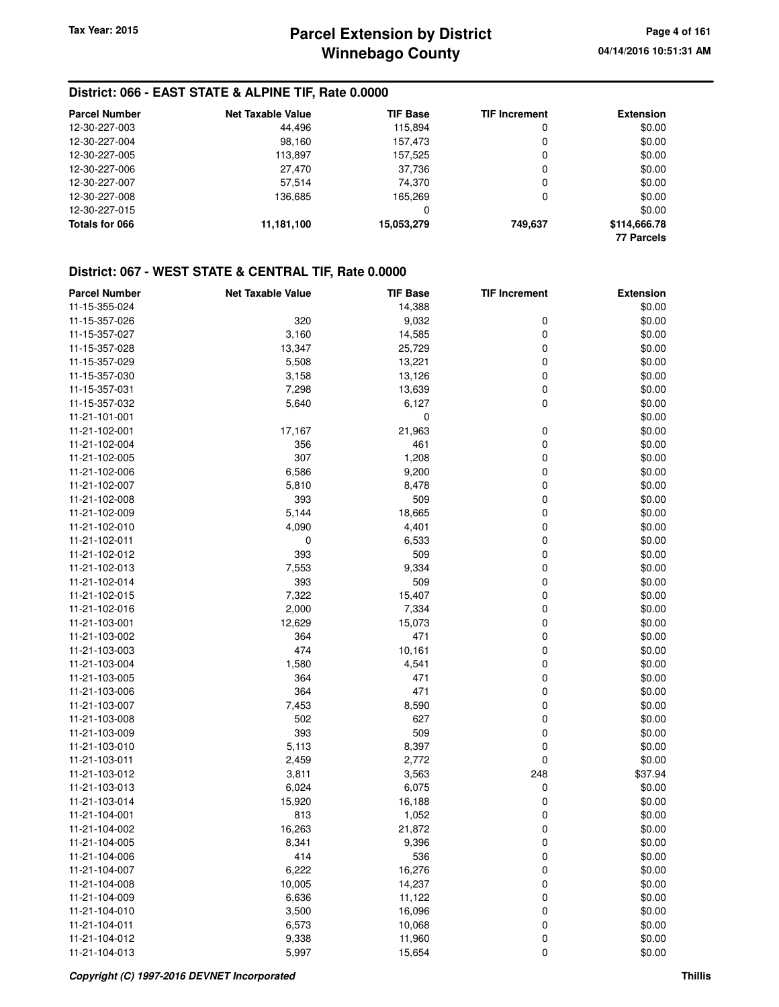#### **District: 066 - EAST STATE & ALPINE TIF, Rate 0.0000**

| <b>Parcel Number</b> | <b>Net Taxable Value</b> | <b>TIF Base</b> | <b>TIF Increment</b> | <b>Extension</b>  |
|----------------------|--------------------------|-----------------|----------------------|-------------------|
| 12-30-227-003        | 44.496                   | 115.894         | 0                    | \$0.00            |
| 12-30-227-004        | 98.160                   | 157.473         | 0                    | \$0.00            |
| 12-30-227-005        | 113,897                  | 157.525         | 0                    | \$0.00            |
| 12-30-227-006        | 27,470                   | 37.736          | 0                    | \$0.00            |
| 12-30-227-007        | 57,514                   | 74.370          | 0                    | \$0.00            |
| 12-30-227-008        | 136.685                  | 165.269         | 0                    | \$0.00            |
| 12-30-227-015        |                          | 0               |                      | \$0.00            |
| Totals for 066       | 11,181,100               | 15,053,279      | 749.637              | \$114,666.78      |
|                      |                          |                 |                      | <b>77 Parcels</b> |

| <b>Parcel Number</b> | <b>Net Taxable Value</b> | <b>TIF Base</b> | <b>TIF Increment</b> | <b>Extension</b> |
|----------------------|--------------------------|-----------------|----------------------|------------------|
| 11-15-355-024        |                          | 14,388          |                      | \$0.00           |
| 11-15-357-026        | 320                      | 9,032           | 0                    | \$0.00           |
| 11-15-357-027        | 3,160                    | 14,585          | 0                    | \$0.00           |
| 11-15-357-028        | 13,347                   | 25,729          | 0                    | \$0.00           |
| 11-15-357-029        | 5,508                    | 13,221          | 0                    | \$0.00           |
| 11-15-357-030        | 3,158                    | 13,126          | 0                    | \$0.00           |
| 11-15-357-031        | 7,298                    | 13,639          | 0                    | \$0.00           |
| 11-15-357-032        | 5,640                    | 6,127           | 0                    | \$0.00           |
| 11-21-101-001        |                          | $\mathbf 0$     |                      | \$0.00           |
| 11-21-102-001        | 17,167                   | 21,963          | 0                    | \$0.00           |
| 11-21-102-004        | 356                      | 461             | 0                    | \$0.00           |
| 11-21-102-005        | 307                      | 1,208           | 0                    | \$0.00           |
| 11-21-102-006        | 6,586                    | 9,200           | 0                    | \$0.00           |
| 11-21-102-007        | 5,810                    | 8,478           | 0                    | \$0.00           |
| 11-21-102-008        | 393                      | 509             | 0                    | \$0.00           |
| 11-21-102-009        | 5,144                    | 18,665          | 0                    | \$0.00           |
| 11-21-102-010        | 4,090                    | 4,401           | 0                    | \$0.00           |
| 11-21-102-011        | 0                        | 6,533           | 0                    | \$0.00           |
| 11-21-102-012        | 393                      | 509             | 0                    | \$0.00           |
| 11-21-102-013        | 7,553                    | 9,334           | 0                    | \$0.00           |
| 11-21-102-014        | 393                      | 509             | 0                    | \$0.00           |
| 11-21-102-015        | 7,322                    | 15,407          | 0                    | \$0.00           |
| 11-21-102-016        | 2,000                    | 7,334           | 0                    | \$0.00           |
| 11-21-103-001        | 12,629                   | 15,073          | 0                    | \$0.00           |
| 11-21-103-002        | 364                      | 471             | 0                    | \$0.00           |
| 11-21-103-003        | 474                      | 10,161          | 0                    | \$0.00           |
| 11-21-103-004        | 1,580                    | 4,541           | 0                    | \$0.00           |
| 11-21-103-005        | 364                      | 471             | 0                    | \$0.00           |
| 11-21-103-006        | 364                      | 471             | 0                    | \$0.00           |
| 11-21-103-007        | 7,453                    | 8,590           | 0                    | \$0.00           |
| 11-21-103-008        | 502                      | 627             | 0                    | \$0.00           |
| 11-21-103-009        | 393                      | 509             | 0                    | \$0.00           |
| 11-21-103-010        | 5,113                    | 8,397           | 0                    | \$0.00           |
| 11-21-103-011        | 2,459                    | 2,772           | 0                    | \$0.00           |
| 11-21-103-012        | 3,811                    | 3,563           | 248                  | \$37.94          |
| 11-21-103-013        | 6,024                    | 6,075           | 0                    | \$0.00           |
| 11-21-103-014        | 15,920                   | 16,188          | 0                    | \$0.00           |
| 11-21-104-001        | 813                      | 1,052           | 0                    | \$0.00           |
| 11-21-104-002        | 16,263                   | 21,872          | 0                    | \$0.00           |
| 11-21-104-005        | 8,341                    | 9,396           | 0                    | \$0.00           |
| 11-21-104-006        | 414                      | 536             | 0                    | \$0.00           |
| 11-21-104-007        | 6,222                    | 16,276          | 0                    | \$0.00           |
| 11-21-104-008        | 10,005                   | 14,237          | 0                    | \$0.00           |
| 11-21-104-009        | 6,636                    | 11,122          | 0                    | \$0.00           |
| 11-21-104-010        | 3,500                    | 16,096          | 0                    | \$0.00           |
| 11-21-104-011        | 6,573                    | 10,068          | 0                    | \$0.00           |
| 11-21-104-012        | 9,338                    | 11,960          | 0                    | \$0.00           |
| 11-21-104-013        | 5,997                    | 15,654          | 0                    | \$0.00           |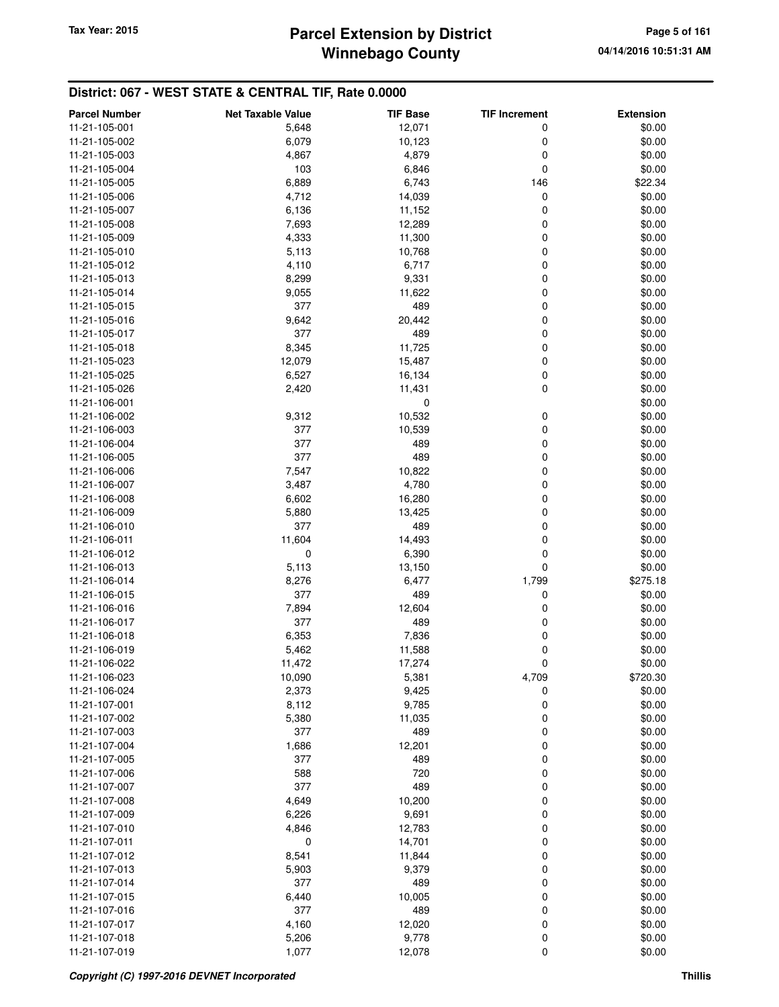## **Winnebago County** Tax Year: 2015 **Parcel Extension by District Page 5 of 161**

| <b>Parcel Number</b>           | <b>Net Taxable Value</b> | <b>TIF Base</b>       | <b>TIF Increment</b> | <b>Extension</b> |
|--------------------------------|--------------------------|-----------------------|----------------------|------------------|
| 11-21-105-001                  | 5,648                    | 12,071                | 0                    | \$0.00           |
| 11-21-105-002                  | 6,079                    | 10,123                | 0                    | \$0.00           |
| 11-21-105-003                  | 4,867                    | 4,879                 | 0                    | \$0.00           |
| 11-21-105-004                  | 103                      | 6,846                 | 0                    | \$0.00           |
| 11-21-105-005                  | 6,889                    | 6,743                 | 146                  | \$22.34          |
| 11-21-105-006                  | 4,712                    | 14,039                | 0                    | \$0.00           |
| 11-21-105-007                  | 6,136                    | 11,152                | 0                    | \$0.00           |
| 11-21-105-008                  | 7,693                    | 12,289                | 0                    | \$0.00           |
| 11-21-105-009                  | 4,333                    | 11,300                | 0                    | \$0.00           |
| 11-21-105-010                  | 5,113                    | 10,768                | 0                    | \$0.00           |
| 11-21-105-012                  | 4,110                    | 6,717                 | 0                    | \$0.00           |
| 11-21-105-013                  | 8,299                    | 9,331                 | 0                    | \$0.00           |
| 11-21-105-014                  | 9,055                    | 11,622                | 0                    | \$0.00           |
| 11-21-105-015                  | 377                      | 489                   | 0                    | \$0.00           |
| 11-21-105-016                  | 9,642                    | 20,442                | 0                    | \$0.00           |
| 11-21-105-017                  | 377                      | 489                   | 0                    | \$0.00           |
| 11-21-105-018                  | 8,345                    | 11,725                | 0                    | \$0.00           |
| 11-21-105-023                  | 12,079                   | 15,487                | 0                    | \$0.00           |
| 11-21-105-025                  | 6,527                    | 16,134                | 0                    | \$0.00           |
|                                |                          |                       | 0                    |                  |
| 11-21-105-026<br>11-21-106-001 | 2,420                    | 11,431<br>$\mathbf 0$ |                      | \$0.00           |
|                                |                          |                       |                      | \$0.00           |
| 11-21-106-002                  | 9,312                    | 10,532                | 0                    | \$0.00           |
| 11-21-106-003                  | 377                      | 10,539                | 0                    | \$0.00           |
| 11-21-106-004                  | 377                      | 489                   | 0                    | \$0.00           |
| 11-21-106-005                  | 377                      | 489                   | 0                    | \$0.00           |
| 11-21-106-006                  | 7,547                    | 10,822                | 0                    | \$0.00           |
| 11-21-106-007                  | 3,487                    | 4,780                 | 0                    | \$0.00           |
| 11-21-106-008                  | 6,602                    | 16,280                | 0                    | \$0.00           |
| 11-21-106-009                  | 5,880                    | 13,425                | 0                    | \$0.00           |
| 11-21-106-010                  | 377                      | 489                   | 0                    | \$0.00           |
| 11-21-106-011                  | 11,604                   | 14,493                | 0                    | \$0.00           |
| 11-21-106-012                  | 0                        | 6,390                 | 0                    | \$0.00           |
| 11-21-106-013                  | 5,113                    | 13,150                | 0                    | \$0.00           |
| 11-21-106-014                  | 8,276                    | 6,477                 | 1,799                | \$275.18         |
| 11-21-106-015                  | 377                      | 489                   | 0                    | \$0.00           |
| 11-21-106-016                  | 7,894                    | 12,604                | 0                    | \$0.00           |
| 11-21-106-017                  | 377                      | 489                   | 0                    | \$0.00           |
| 11-21-106-018                  | 6,353                    | 7,836                 | 0                    | \$0.00           |
| 11-21-106-019                  | 5,462                    | 11,588                | 0                    | \$0.00           |
| 11-21-106-022                  | 11,472                   | 17,274                | 0                    | \$0.00           |
| 11-21-106-023                  | 10,090                   | 5,381                 | 4,709                | \$720.30         |
| 11-21-106-024                  | 2,373                    | 9,425                 | 0                    | \$0.00           |
| 11-21-107-001                  | 8,112                    | 9,785                 | 0                    | \$0.00           |
| 11-21-107-002                  | 5,380                    | 11,035                | 0                    | \$0.00           |
| 11-21-107-003                  | 377                      | 489                   | 0                    | \$0.00           |
| 11-21-107-004                  | 1,686                    | 12,201                | 0                    | \$0.00           |
| 11-21-107-005                  | 377                      | 489                   | 0                    | \$0.00           |
| 11-21-107-006                  | 588                      | 720                   | 0                    | \$0.00           |
| 11-21-107-007                  | 377                      | 489                   | 0                    | \$0.00           |
| 11-21-107-008                  | 4,649                    | 10,200                | 0                    | \$0.00           |
| 11-21-107-009                  | 6,226                    | 9,691                 | 0                    | \$0.00           |
| 11-21-107-010                  | 4,846                    | 12,783                | 0                    | \$0.00           |
| 11-21-107-011                  | 0                        | 14,701                | 0                    | \$0.00           |
| 11-21-107-012                  | 8,541                    | 11,844                | 0                    | \$0.00           |
| 11-21-107-013                  | 5,903                    | 9,379                 | 0                    | \$0.00           |
| 11-21-107-014                  | 377                      | 489                   | 0                    | \$0.00           |
| 11-21-107-015                  | 6,440                    | 10,005                | 0                    | \$0.00           |
| 11-21-107-016                  | 377                      | 489                   | 0                    | \$0.00           |
| 11-21-107-017                  | 4,160                    | 12,020                | 0                    | \$0.00           |
| 11-21-107-018                  | 5,206                    | 9,778                 | 0                    | \$0.00           |
| 11-21-107-019                  | 1,077                    | 12,078                | 0                    | \$0.00           |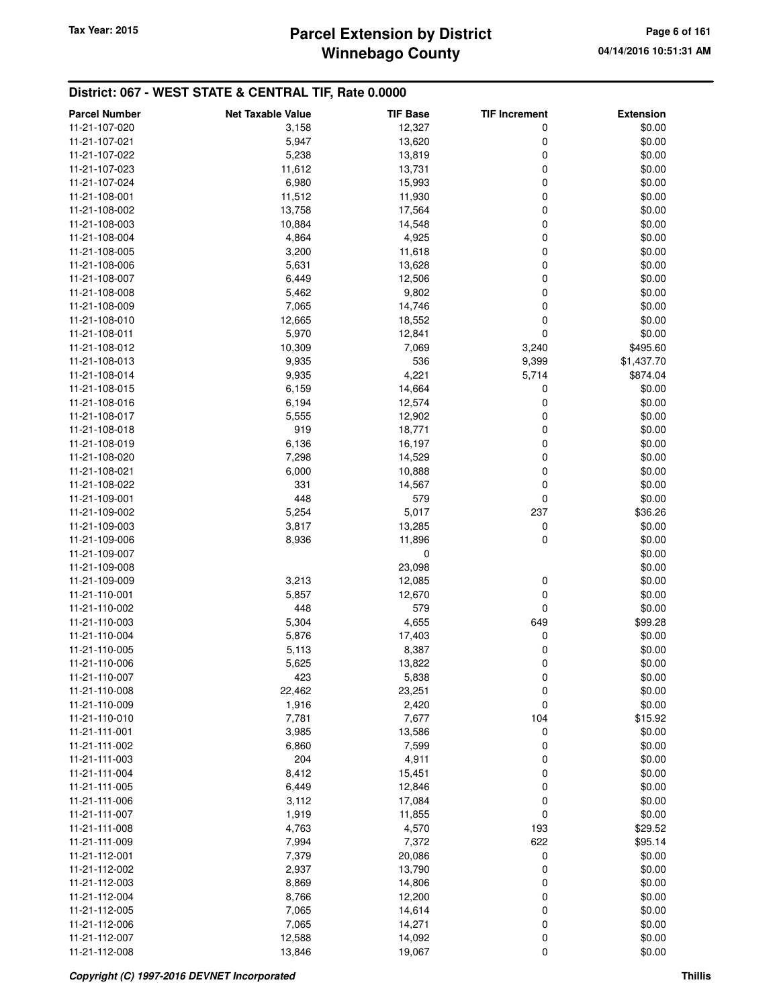# **Winnebago County** Tax Year: 2015 **Parcel Extension by District Page 6 of 161** Page 6 of 161

| <b>Parcel Number</b>           | <b>Net Taxable Value</b> | <b>TIF Base</b> | <b>TIF Increment</b> | <b>Extension</b>  |
|--------------------------------|--------------------------|-----------------|----------------------|-------------------|
| 11-21-107-020                  | 3,158                    | 12,327          | 0                    | \$0.00            |
| 11-21-107-021                  | 5,947                    | 13,620          | 0                    | \$0.00            |
| 11-21-107-022                  | 5,238                    | 13,819          | 0                    | \$0.00            |
| 11-21-107-023                  | 11,612                   | 13,731          | 0                    | \$0.00            |
| 11-21-107-024                  | 6,980                    | 15,993          | 0                    | \$0.00            |
| 11-21-108-001                  | 11,512                   | 11,930          | 0                    | \$0.00            |
| 11-21-108-002                  | 13,758                   | 17,564          | 0                    | \$0.00            |
| 11-21-108-003                  | 10,884                   | 14,548          | 0                    | \$0.00            |
| 11-21-108-004                  | 4,864                    | 4,925           | 0                    | \$0.00            |
| 11-21-108-005                  | 3,200                    | 11,618          | 0                    | \$0.00            |
| 11-21-108-006                  | 5,631                    | 13,628          | 0                    | \$0.00            |
| 11-21-108-007                  | 6,449                    | 12,506          | 0                    | \$0.00            |
| 11-21-108-008                  | 5,462                    | 9,802           | 0                    | \$0.00            |
| 11-21-108-009                  | 7,065                    | 14,746          | 0                    | \$0.00            |
| 11-21-108-010                  | 12,665                   | 18,552          | 0                    | \$0.00            |
| 11-21-108-011                  | 5,970                    | 12,841          | 0                    | \$0.00            |
| 11-21-108-012                  | 10,309                   | 7,069           | 3,240                | \$495.60          |
| 11-21-108-013                  | 9,935                    | 536             | 9,399                | \$1,437.70        |
| 11-21-108-014                  | 9,935                    | 4,221           | 5,714                | \$874.04          |
| 11-21-108-015                  | 6,159                    | 14,664          | 0                    | \$0.00            |
| 11-21-108-016                  | 6,194                    | 12,574          | 0                    | \$0.00            |
| 11-21-108-017                  | 5,555                    | 12,902          | 0                    | \$0.00            |
| 11-21-108-018                  | 919                      | 18,771          | 0                    | \$0.00            |
| 11-21-108-019                  | 6,136                    | 16,197          | 0                    | \$0.00            |
| 11-21-108-020                  | 7,298                    | 14,529          | 0                    | \$0.00            |
| 11-21-108-021                  | 6,000                    | 10,888          | 0                    | \$0.00            |
| 11-21-108-022                  | 331                      | 14,567          | 0                    | \$0.00            |
| 11-21-109-001                  | 448                      | 579             | 0                    | \$0.00            |
| 11-21-109-002                  | 5,254                    | 5,017           | 237                  | \$36.26           |
| 11-21-109-003                  | 3,817                    | 13,285          | 0                    | \$0.00            |
| 11-21-109-006                  | 8,936                    | 11,896          | 0                    | \$0.00            |
|                                |                          | $\mathbf 0$     |                      | \$0.00            |
| 11-21-109-007<br>11-21-109-008 |                          | 23,098          |                      | \$0.00            |
| 11-21-109-009                  | 3,213                    | 12,085          | 0                    | \$0.00            |
|                                |                          |                 | 0                    |                   |
| 11-21-110-001<br>11-21-110-002 | 5,857<br>448             | 12,670<br>579   | 0                    | \$0.00            |
| 11-21-110-003                  |                          |                 |                      | \$0.00<br>\$99.28 |
|                                | 5,304<br>5,876           | 4,655           | 649                  |                   |
| 11-21-110-004                  | 5,113                    | 17,403          | 0                    | \$0.00            |
| 11-21-110-005<br>11-21-110-006 |                          | 8,387           | 0                    | \$0.00<br>\$0.00  |
|                                | 5,625                    | 13,822          | 0                    | \$0.00            |
| 11-21-110-007                  | 423                      | 5,838           | 0                    |                   |
| 11-21-110-008<br>11-21-110-009 | 22,462<br>1,916          | 23,251<br>2,420 | 0<br>0               | \$0.00<br>\$0.00  |
|                                |                          |                 |                      |                   |
| 11-21-110-010                  | 7,781                    | 7,677           | 104                  | \$15.92           |
| 11-21-111-001                  | 3,985                    | 13,586          | 0                    | \$0.00            |
| 11-21-111-002                  | 6,860                    | 7,599           | 0                    | \$0.00            |
| 11-21-111-003                  | 204<br>8,412             | 4,911           | 0                    | \$0.00<br>\$0.00  |
| 11-21-111-004                  |                          | 15,451          | 0                    |                   |
| 11-21-111-005                  | 6,449                    | 12,846          | 0                    | \$0.00            |
| 11-21-111-006                  | 3,112                    | 17,084          | 0                    | \$0.00            |
| 11-21-111-007                  | 1,919                    | 11,855          | 0                    | \$0.00            |
| 11-21-111-008                  | 4,763                    | 4,570           | 193<br>622           | \$29.52           |
| 11-21-111-009                  | 7,994                    | 7,372           |                      | \$95.14           |
| 11-21-112-001                  | 7,379                    | 20,086          | 0                    | \$0.00            |
| 11-21-112-002                  | 2,937                    | 13,790          | 0                    | \$0.00            |
| 11-21-112-003                  | 8,869                    | 14,806          | 0                    | \$0.00            |
| 11-21-112-004                  | 8,766                    | 12,200          | 0                    | \$0.00            |
| 11-21-112-005                  | 7,065                    | 14,614          | 0                    | \$0.00            |
| 11-21-112-006                  | 7,065                    | 14,271          | 0                    | \$0.00            |
| 11-21-112-007                  | 12,588                   | 14,092          | 0                    | \$0.00            |
| 11-21-112-008                  | 13,846                   | 19,067          | 0                    | \$0.00            |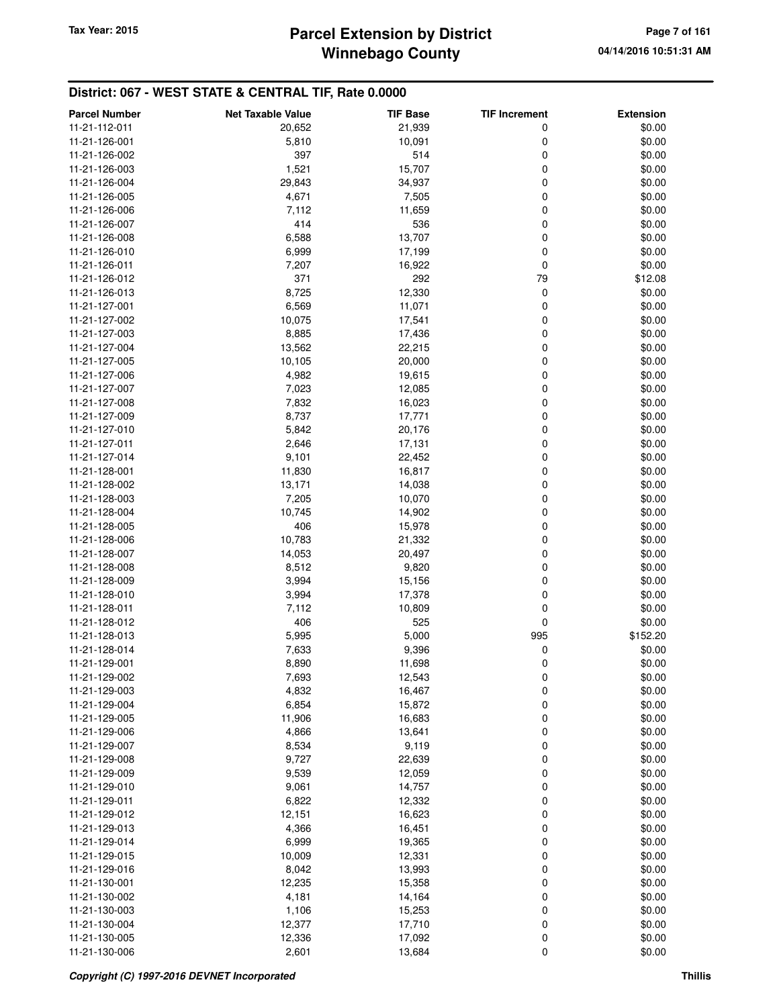## **Winnebago County** Tax Year: 2015 **Parcel Extension by District Page 7 of 161**

| <b>Parcel Number</b> | <b>Net Taxable Value</b> | <b>TIF Base</b> | <b>TIF Increment</b> | <b>Extension</b> |
|----------------------|--------------------------|-----------------|----------------------|------------------|
| 11-21-112-011        | 20,652                   | 21,939          | 0                    | \$0.00           |
| 11-21-126-001        | 5,810                    | 10,091          | 0                    | \$0.00           |
| 11-21-126-002        | 397                      | 514             | 0                    | \$0.00           |
| 11-21-126-003        | 1,521                    | 15,707          | 0                    | \$0.00           |
| 11-21-126-004        | 29,843                   | 34,937          | 0                    | \$0.00           |
| 11-21-126-005        | 4,671                    | 7,505           | 0                    | \$0.00           |
|                      |                          |                 |                      |                  |
| 11-21-126-006        | 7,112<br>414             | 11,659          | 0                    | \$0.00           |
| 11-21-126-007        |                          | 536             | 0                    | \$0.00           |
| 11-21-126-008        | 6,588                    | 13,707          | 0                    | \$0.00           |
| 11-21-126-010        | 6,999                    | 17,199          | 0                    | \$0.00           |
| 11-21-126-011        | 7,207                    | 16,922          | 0                    | \$0.00           |
| 11-21-126-012        | 371                      | 292             | 79                   | \$12.08          |
| 11-21-126-013        | 8,725                    | 12,330          | 0                    | \$0.00           |
| 11-21-127-001        | 6,569                    | 11,071          | 0                    | \$0.00           |
| 11-21-127-002        | 10,075                   | 17,541          | 0                    | \$0.00           |
| 11-21-127-003        | 8,885                    | 17,436          | 0                    | \$0.00           |
| 11-21-127-004        | 13,562                   | 22,215          | 0                    | \$0.00           |
| 11-21-127-005        | 10,105                   | 20,000          | 0                    | \$0.00           |
| 11-21-127-006        | 4,982                    | 19,615          | 0                    | \$0.00           |
| 11-21-127-007        | 7,023                    | 12,085          | 0                    | \$0.00           |
| 11-21-127-008        | 7,832                    | 16,023          | 0                    | \$0.00           |
| 11-21-127-009        | 8,737                    | 17,771          | 0                    | \$0.00           |
| 11-21-127-010        | 5,842                    | 20,176          | 0                    | \$0.00           |
| 11-21-127-011        | 2,646                    | 17,131          | 0                    | \$0.00           |
| 11-21-127-014        | 9,101                    | 22,452          | 0                    | \$0.00           |
| 11-21-128-001        | 11,830                   | 16,817          | 0                    | \$0.00           |
| 11-21-128-002        | 13,171                   | 14,038          | 0                    | \$0.00           |
| 11-21-128-003        | 7,205                    | 10,070          | 0                    | \$0.00           |
| 11-21-128-004        | 10,745                   | 14,902          | 0                    | \$0.00           |
| 11-21-128-005        | 406                      | 15,978          | 0                    | \$0.00           |
| 11-21-128-006        | 10,783                   | 21,332          | 0                    | \$0.00           |
| 11-21-128-007        | 14,053                   | 20,497          | 0                    | \$0.00           |
| 11-21-128-008        | 8,512                    | 9,820           | 0                    | \$0.00           |
| 11-21-128-009        | 3,994                    | 15,156          | 0                    | \$0.00           |
| 11-21-128-010        | 3,994                    | 17,378          | 0                    | \$0.00           |
| 11-21-128-011        | 7,112                    | 10,809          | 0                    | \$0.00           |
| 11-21-128-012        | 406                      | 525             | 0                    | \$0.00           |
| 11-21-128-013        | 5,995                    | 5,000           | 995                  | \$152.20         |
| 11-21-128-014        | 7,633                    | 9,396           | 0                    | \$0.00           |
| 11-21-129-001        | 8,890                    | 11,698          | 0                    | \$0.00           |
| 11-21-129-002        | 7,693                    | 12,543          |                      | \$0.00           |
| 11-21-129-003        | 4,832                    | 16,467          | O                    | \$0.00           |
| 11-21-129-004        | 6,854                    | 15,872          | 0<br>0               | \$0.00           |
|                      |                          | 16,683          |                      | \$0.00           |
| 11-21-129-005        | 11,906                   |                 | 0                    |                  |
| 11-21-129-006        | 4,866                    | 13,641          | 0                    | \$0.00           |
| 11-21-129-007        | 8,534                    | 9,119           | 0                    | \$0.00           |
| 11-21-129-008        | 9,727                    | 22,639          | 0                    | \$0.00           |
| 11-21-129-009        | 9,539                    | 12,059          | 0                    | \$0.00           |
| 11-21-129-010        | 9,061                    | 14,757          | 0                    | \$0.00           |
| 11-21-129-011        | 6,822                    | 12,332          | 0                    | \$0.00           |
| 11-21-129-012        | 12,151                   | 16,623          | 0                    | \$0.00           |
| 11-21-129-013        | 4,366                    | 16,451          | 0                    | \$0.00           |
| 11-21-129-014        | 6,999                    | 19,365          | 0                    | \$0.00           |
| 11-21-129-015        | 10,009                   | 12,331          | 0                    | \$0.00           |
| 11-21-129-016        | 8,042                    | 13,993          | 0                    | \$0.00           |
| 11-21-130-001        | 12,235                   | 15,358          | 0                    | \$0.00           |
| 11-21-130-002        | 4,181                    | 14,164          | 0                    | \$0.00           |
| 11-21-130-003        | 1,106                    | 15,253          | 0                    | \$0.00           |
| 11-21-130-004        | 12,377                   | 17,710          | 0                    | \$0.00           |
| 11-21-130-005        | 12,336                   | 17,092          | 0                    | \$0.00           |
| 11-21-130-006        | 2,601                    | 13,684          | 0                    | \$0.00           |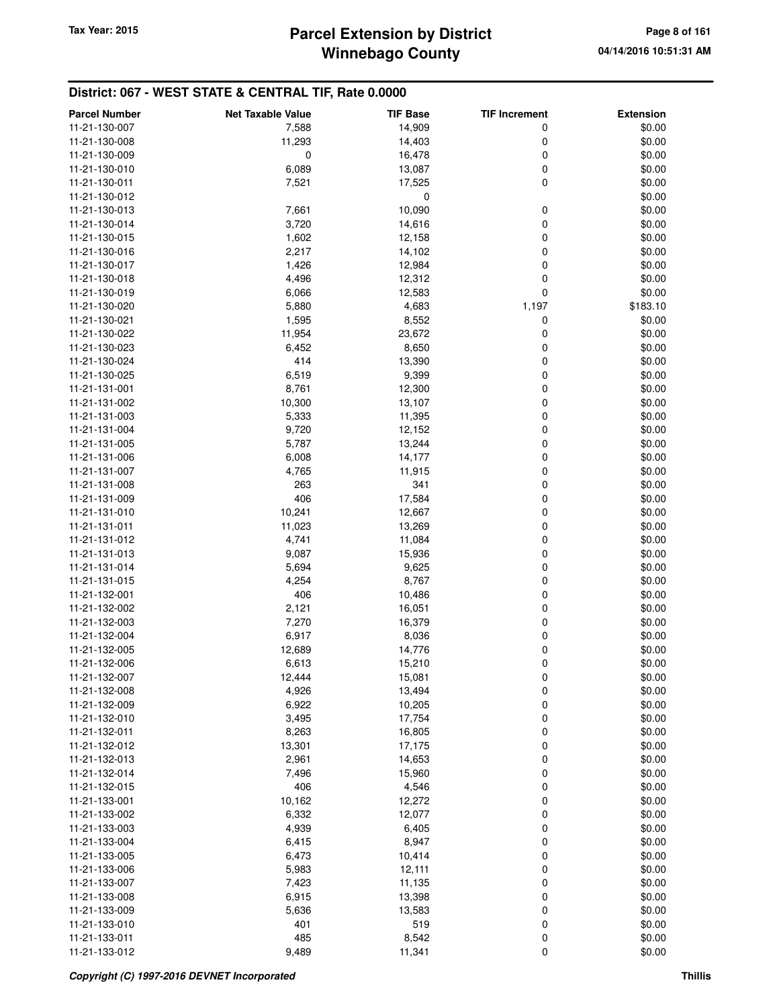## **Winnebago County** Tax Year: 2015 **Parcel Extension by District Page 8 of 161**

| <b>Parcel Number</b>           | <b>Net Taxable Value</b> | <b>TIF Base</b>  | <b>TIF Increment</b> | <b>Extension</b> |
|--------------------------------|--------------------------|------------------|----------------------|------------------|
| 11-21-130-007                  | 7,588                    | 14,909           | 0                    | \$0.00           |
| 11-21-130-008                  | 11,293                   | 14,403           | 0                    | \$0.00           |
| 11-21-130-009                  | 0                        | 16,478           | 0                    | \$0.00           |
| 11-21-130-010                  | 6,089                    | 13,087           | 0                    | \$0.00           |
| 11-21-130-011                  | 7,521                    | 17,525           | 0                    | \$0.00           |
| 11-21-130-012                  |                          | 0                |                      | \$0.00           |
| 11-21-130-013                  | 7,661                    | 10,090           | 0                    | \$0.00           |
| 11-21-130-014                  | 3,720                    | 14,616           | 0                    | \$0.00           |
| 11-21-130-015                  | 1,602                    | 12,158           | 0                    | \$0.00           |
| 11-21-130-016                  | 2,217                    | 14,102           | 0                    | \$0.00           |
| 11-21-130-017                  | 1,426                    | 12,984           | 0                    | \$0.00           |
| 11-21-130-018                  | 4,496                    | 12,312           | 0                    | \$0.00           |
| 11-21-130-019                  | 6,066                    | 12,583           | $\mathbf 0$          | \$0.00           |
| 11-21-130-020                  | 5,880                    | 4,683            | 1,197                | \$183.10         |
| 11-21-130-021                  | 1,595                    | 8,552            | 0                    | \$0.00           |
| 11-21-130-022                  | 11,954                   | 23,672           | 0                    | \$0.00           |
| 11-21-130-023                  | 6,452                    | 8,650            | 0                    | \$0.00           |
| 11-21-130-024                  | 414                      | 13,390           | 0                    | \$0.00           |
| 11-21-130-025                  | 6,519                    | 9,399            | 0                    | \$0.00           |
| 11-21-131-001                  | 8,761                    | 12,300           | 0                    | \$0.00           |
| 11-21-131-002                  | 10,300                   | 13,107           | $\mathbf 0$          | \$0.00           |
| 11-21-131-003                  | 5,333                    | 11,395           | 0                    | \$0.00           |
| 11-21-131-004                  | 9,720                    | 12,152           | 0                    | \$0.00           |
| 11-21-131-005                  | 5,787                    | 13,244           | 0                    | \$0.00           |
| 11-21-131-006                  | 6,008                    | 14,177           | 0                    | \$0.00           |
| 11-21-131-007                  | 4,765                    | 11,915           | 0                    | \$0.00           |
| 11-21-131-008                  | 263                      | 341              | 0                    | \$0.00           |
| 11-21-131-009                  | 406                      | 17,584           | 0                    | \$0.00           |
| 11-21-131-010                  | 10,241                   | 12,667           | 0                    | \$0.00           |
| 11-21-131-011                  | 11,023                   | 13,269           | $\mathbf 0$          | \$0.00           |
| 11-21-131-012                  | 4,741                    | 11,084           | $\mathbf 0$          | \$0.00           |
| 11-21-131-013                  | 9,087                    | 15,936           | 0                    | \$0.00           |
| 11-21-131-014                  | 5,694                    | 9,625            | 0                    | \$0.00           |
| 11-21-131-015                  | 4,254                    | 8,767            | 0                    | \$0.00           |
| 11-21-132-001                  | 406                      | 10,486           | 0                    | \$0.00           |
| 11-21-132-002                  | 2,121                    | 16,051           | 0                    | \$0.00           |
| 11-21-132-003                  | 7,270                    | 16,379           | 0                    | \$0.00           |
| 11-21-132-004                  | 6,917                    | 8,036            | 0                    | \$0.00           |
| 11-21-132-005                  | 12,689                   | 14,776           | 0                    | \$0.00           |
| 11-21-132-006                  | 6,613                    | 15,210           | $\mathbf 0$          | \$0.00           |
| 11-21-132-007                  | 12,444                   | 15,081           | 0                    | \$0.00           |
| 11-21-132-008                  | 4,926                    | 13,494           | 0                    | \$0.00           |
| 11-21-132-009                  | 6,922                    | 10,205           | 0                    | \$0.00           |
| 11-21-132-010                  | 3,495                    | 17,754           | 0                    | \$0.00           |
| 11-21-132-011                  | 8,263                    |                  | 0                    | \$0.00           |
|                                |                          | 16,805           |                      |                  |
| 11-21-132-012<br>11-21-132-013 | 13,301                   | 17,175           | 0                    | \$0.00           |
| 11-21-132-014                  | 2,961<br>7,496           | 14,653<br>15,960 | 0<br>0               | \$0.00<br>\$0.00 |
| 11-21-132-015                  | 406                      | 4,546            | 0                    | \$0.00           |
| 11-21-133-001                  |                          |                  |                      |                  |
|                                | 10,162                   | 12,272           | 0                    | \$0.00           |
| 11-21-133-002                  | 6,332                    | 12,077           | 0                    | \$0.00           |
| 11-21-133-003                  | 4,939                    | 6,405            | 0                    | \$0.00           |
| 11-21-133-004                  | 6,415                    | 8,947            | 0                    | \$0.00           |
| 11-21-133-005                  | 6,473                    | 10,414           | 0                    | \$0.00           |
| 11-21-133-006                  | 5,983                    | 12,111           | 0                    | \$0.00           |
| 11-21-133-007                  | 7,423                    | 11,135           | $\mathbf 0$          | \$0.00           |
| 11-21-133-008                  | 6,915                    | 13,398           | 0                    | \$0.00           |
| 11-21-133-009                  | 5,636                    | 13,583           | 0                    | \$0.00           |
| 11-21-133-010                  | 401                      | 519              | 0                    | \$0.00           |
| 11-21-133-011                  | 485                      | 8,542            | 0                    | \$0.00           |
| 11-21-133-012                  | 9,489                    | 11,341           | $\pmb{0}$            | \$0.00           |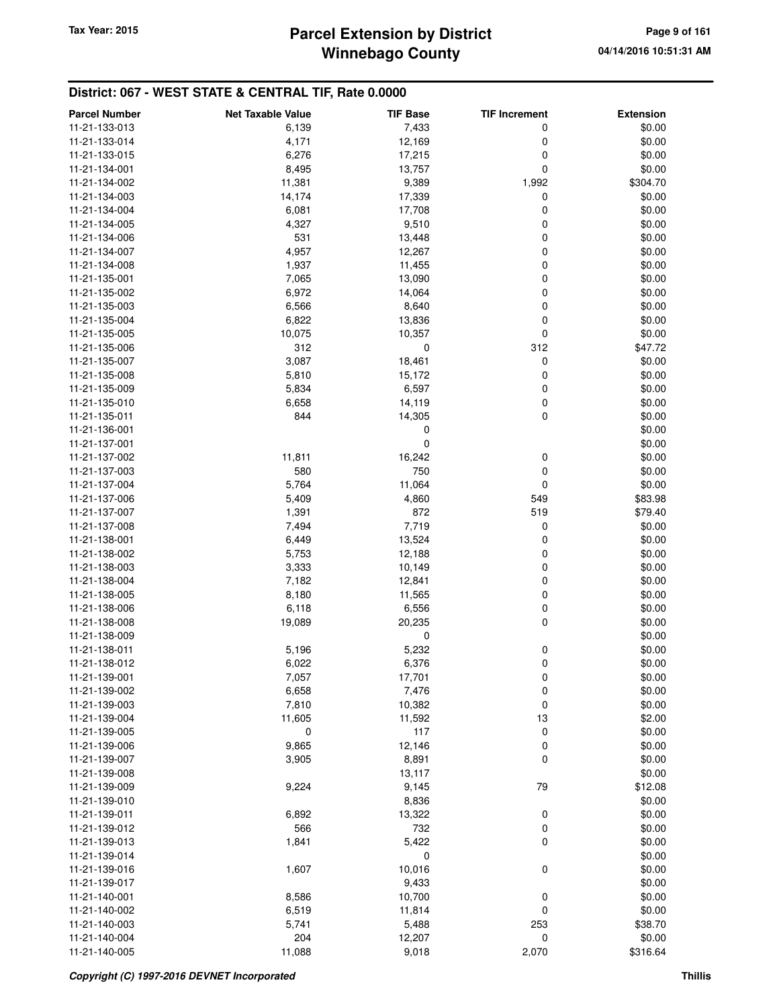## **Winnebago County Parcel Extension by District Tax Year: 2015 Page 9 of 161**

| <b>Parcel Number</b> | <b>Net Taxable Value</b> | <b>TIF Base</b> | <b>TIF Increment</b> | <b>Extension</b> |
|----------------------|--------------------------|-----------------|----------------------|------------------|
| 11-21-133-013        | 6,139                    | 7,433           | 0                    | \$0.00           |
| 11-21-133-014        | 4,171                    | 12,169          | 0                    | \$0.00           |
| 11-21-133-015        | 6,276                    | 17,215          | 0                    | \$0.00           |
| 11-21-134-001        | 8,495                    | 13,757          | 0                    | \$0.00           |
| 11-21-134-002        | 11,381                   | 9,389           | 1,992                | \$304.70         |
| 11-21-134-003        | 14,174                   | 17,339          | 0                    | \$0.00           |
|                      |                          |                 |                      | \$0.00           |
| 11-21-134-004        | 6,081                    | 17,708          | 0<br>0               |                  |
| 11-21-134-005        | 4,327                    | 9,510           |                      | \$0.00           |
| 11-21-134-006        | 531                      | 13,448          | 0                    | \$0.00           |
| 11-21-134-007        | 4,957                    | 12,267          | 0                    | \$0.00           |
| 11-21-134-008        | 1,937                    | 11,455          | 0                    | \$0.00           |
| 11-21-135-001        | 7,065                    | 13,090          | 0                    | \$0.00           |
| 11-21-135-002        | 6,972                    | 14,064          | 0                    | \$0.00           |
| 11-21-135-003        | 6,566                    | 8,640           | 0                    | \$0.00           |
| 11-21-135-004        | 6,822                    | 13,836          | 0                    | \$0.00           |
| 11-21-135-005        | 10,075                   | 10,357          | 0                    | \$0.00           |
| 11-21-135-006        | 312                      | 0               | 312                  | \$47.72          |
| 11-21-135-007        | 3,087                    | 18,461          | 0                    | \$0.00           |
| 11-21-135-008        | 5,810                    | 15,172          | 0                    | \$0.00           |
| 11-21-135-009        | 5,834                    | 6,597           | 0                    | \$0.00           |
| 11-21-135-010        | 6,658                    | 14,119          | 0                    | \$0.00           |
| 11-21-135-011        | 844                      | 14,305          | 0                    | \$0.00           |
| 11-21-136-001        |                          | 0               |                      | \$0.00           |
| 11-21-137-001        |                          | 0               |                      | \$0.00           |
| 11-21-137-002        | 11,811                   | 16,242          | 0                    | \$0.00           |
| 11-21-137-003        | 580                      | 750             | 0                    | \$0.00           |
| 11-21-137-004        | 5,764                    | 11,064          | 0                    | \$0.00           |
| 11-21-137-006        | 5,409                    | 4,860           | 549                  | \$83.98          |
| 11-21-137-007        | 1,391                    | 872             | 519                  | \$79.40          |
| 11-21-137-008        | 7,494                    | 7,719           | 0                    | \$0.00           |
| 11-21-138-001        | 6,449                    | 13,524          | 0                    | \$0.00           |
| 11-21-138-002        | 5,753                    | 12,188          | 0                    | \$0.00           |
| 11-21-138-003        | 3,333                    | 10,149          | 0                    | \$0.00           |
| 11-21-138-004        | 7,182                    | 12,841          | 0                    | \$0.00           |
| 11-21-138-005        | 8,180                    | 11,565          | 0                    | \$0.00           |
| 11-21-138-006        | 6,118                    | 6,556           | 0                    | \$0.00           |
| 11-21-138-008        | 19,089                   | 20,235          | 0                    | \$0.00           |
| 11-21-138-009        |                          | 0               |                      | \$0.00           |
| 11-21-138-011        | 5,196                    | 5,232           | 0                    | \$0.00           |
| 11-21-138-012        | 6,022                    | 6,376           | 0                    | \$0.00           |
| 11-21-139-001        |                          |                 |                      | \$0.00           |
| 11-21-139-002        | 7,057                    | 17,701          | O                    |                  |
|                      | 6,658<br>7,810           | 7,476           | 0                    | \$0.00<br>\$0.00 |
| 11-21-139-003        |                          | 10,382          | 0                    |                  |
| 11-21-139-004        | 11,605                   | 11,592          | 13                   | \$2.00           |
| 11-21-139-005        | 0                        | 117             | 0                    | \$0.00           |
| 11-21-139-006        | 9,865                    | 12,146          | 0                    | \$0.00           |
| 11-21-139-007        | 3,905                    | 8,891           | 0                    | \$0.00           |
| 11-21-139-008        |                          | 13,117          |                      | \$0.00           |
| 11-21-139-009        | 9,224                    | 9,145           | 79                   | \$12.08          |
| 11-21-139-010        |                          | 8,836           |                      | \$0.00           |
| 11-21-139-011        | 6,892                    | 13,322          | 0                    | \$0.00           |
| 11-21-139-012        | 566                      | 732             | 0                    | \$0.00           |
| 11-21-139-013        | 1,841                    | 5,422           | 0                    | \$0.00           |
| 11-21-139-014        |                          | 0               |                      | \$0.00           |
| 11-21-139-016        | 1,607                    | 10,016          | 0                    | \$0.00           |
| 11-21-139-017        |                          | 9,433           |                      | \$0.00           |
| 11-21-140-001        | 8,586                    | 10,700          | 0                    | \$0.00           |
| 11-21-140-002        | 6,519                    | 11,814          | 0                    | \$0.00           |
| 11-21-140-003        | 5,741                    | 5,488           | 253                  | \$38.70          |
| 11-21-140-004        | 204                      | 12,207          | 0                    | \$0.00           |
| 11-21-140-005        | 11,088                   | 9,018           | 2,070                | \$316.64         |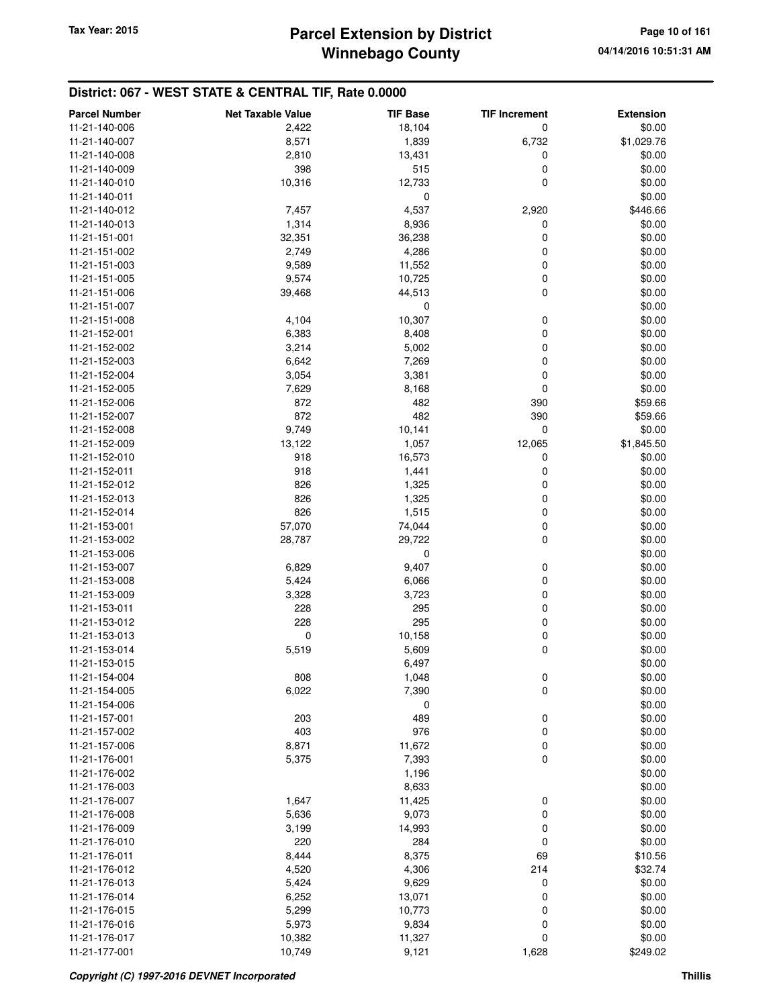| <b>Parcel Number</b> | <b>Net Taxable Value</b> | <b>TIF Base</b> | <b>TIF Increment</b> | <b>Extension</b> |
|----------------------|--------------------------|-----------------|----------------------|------------------|
| 11-21-140-006        | 2,422                    | 18,104          | 0                    | \$0.00           |
| 11-21-140-007        | 8,571                    | 1,839           | 6,732                | \$1,029.76       |
| 11-21-140-008        | 2,810                    | 13,431          | 0                    | \$0.00           |
| 11-21-140-009        | 398                      | 515             | 0                    | \$0.00           |
| 11-21-140-010        | 10,316                   | 12,733          | 0                    | \$0.00           |
| 11-21-140-011        |                          | 0               |                      | \$0.00           |
| 11-21-140-012        | 7,457                    | 4,537           | 2,920                | \$446.66         |
| 11-21-140-013        | 1,314                    | 8,936           | 0                    | \$0.00           |
| 11-21-151-001        | 32,351                   | 36,238          | 0                    | \$0.00           |
| 11-21-151-002        | 2,749                    | 4,286           | 0                    | \$0.00           |
| 11-21-151-003        | 9,589                    | 11,552          | 0                    | \$0.00           |
| 11-21-151-005        | 9,574                    | 10,725          | 0                    | \$0.00           |
| 11-21-151-006        | 39,468                   | 44,513          | 0                    | \$0.00           |
| 11-21-151-007        |                          | 0               |                      | \$0.00           |
| 11-21-151-008        | 4,104                    | 10,307          | 0                    | \$0.00           |
| 11-21-152-001        | 6,383                    | 8,408           | 0                    | \$0.00           |
| 11-21-152-002        | 3,214                    | 5,002           | 0                    | \$0.00           |
| 11-21-152-003        | 6,642                    | 7,269           | 0                    | \$0.00           |
| 11-21-152-004        | 3,054                    | 3,381           | 0                    | \$0.00           |
| 11-21-152-005        | 7,629                    | 8,168           | 0                    | \$0.00           |
| 11-21-152-006        | 872                      | 482             | 390                  | \$59.66          |
| 11-21-152-007        | 872                      | 482             | 390                  | \$59.66          |
| 11-21-152-008        | 9,749                    | 10,141          | 0                    | \$0.00           |
| 11-21-152-009        | 13,122                   | 1,057           | 12,065               | \$1,845.50       |
| 11-21-152-010        | 918                      | 16,573          | 0                    | \$0.00           |
| 11-21-152-011        | 918                      | 1,441           | 0                    | \$0.00           |
| 11-21-152-012        | 826                      | 1,325           | 0                    | \$0.00           |
| 11-21-152-013        | 826                      | 1,325           | 0                    | \$0.00           |
| 11-21-152-014        | 826                      | 1,515           | 0                    | \$0.00           |
| 11-21-153-001        | 57,070                   | 74,044          | 0                    | \$0.00           |
| 11-21-153-002        | 28,787                   | 29,722          | 0                    | \$0.00           |
| 11-21-153-006        |                          | 0               |                      | \$0.00           |
| 11-21-153-007        | 6,829                    | 9,407           | 0                    | \$0.00           |
| 11-21-153-008        | 5,424                    | 6,066           | 0                    | \$0.00           |
| 11-21-153-009        | 3,328                    | 3,723           | 0                    | \$0.00           |
| 11-21-153-011        | 228                      | 295             | 0                    | \$0.00           |
| 11-21-153-012        | 228                      | 295             | 0                    | \$0.00           |
| 11-21-153-013        | 0                        | 10,158          | 0                    | \$0.00           |
| 11-21-153-014        | 5,519                    | 5,609           | 0                    | \$0.00           |
| 11-21-153-015        |                          | 6,497           |                      | \$0.00           |
| 11-21-154-004        | 808                      | 1,048           | 0                    | \$0.00           |
| 11-21-154-005        | 6,022                    | 7,390           | 0                    | \$0.00           |
| 11-21-154-006        |                          | 0               |                      | \$0.00           |
| 11-21-157-001        | 203                      | 489             | 0                    | \$0.00           |
| 11-21-157-002        | 403                      | 976             | 0                    | \$0.00           |
| 11-21-157-006        | 8,871                    | 11,672          | 0                    | \$0.00           |
| 11-21-176-001        | 5,375                    | 7,393           | 0                    | \$0.00           |
| 11-21-176-002        |                          | 1,196           |                      | \$0.00           |
| 11-21-176-003        |                          | 8,633           |                      | \$0.00           |
| 11-21-176-007        | 1,647                    | 11,425          | 0                    | \$0.00           |
| 11-21-176-008        | 5,636                    | 9,073           | 0                    | \$0.00           |
| 11-21-176-009        | 3,199                    | 14,993          | 0                    | \$0.00           |
| 11-21-176-010        | 220                      | 284             | 0                    | \$0.00           |
| 11-21-176-011        | 8,444                    | 8,375           | 69                   | \$10.56          |
| 11-21-176-012        | 4,520                    | 4,306           | 214                  | \$32.74          |
| 11-21-176-013        | 5,424                    | 9,629           | 0                    | \$0.00           |
| 11-21-176-014        | 6,252                    | 13,071          | 0                    | \$0.00           |
| 11-21-176-015        | 5,299                    | 10,773          | 0                    | \$0.00           |
| 11-21-176-016        | 5,973                    | 9,834           | 0                    | \$0.00           |
| 11-21-176-017        | 10,382                   | 11,327          | 0                    | \$0.00           |
| 11-21-177-001        | 10,749                   | 9,121           | 1,628                | \$249.02         |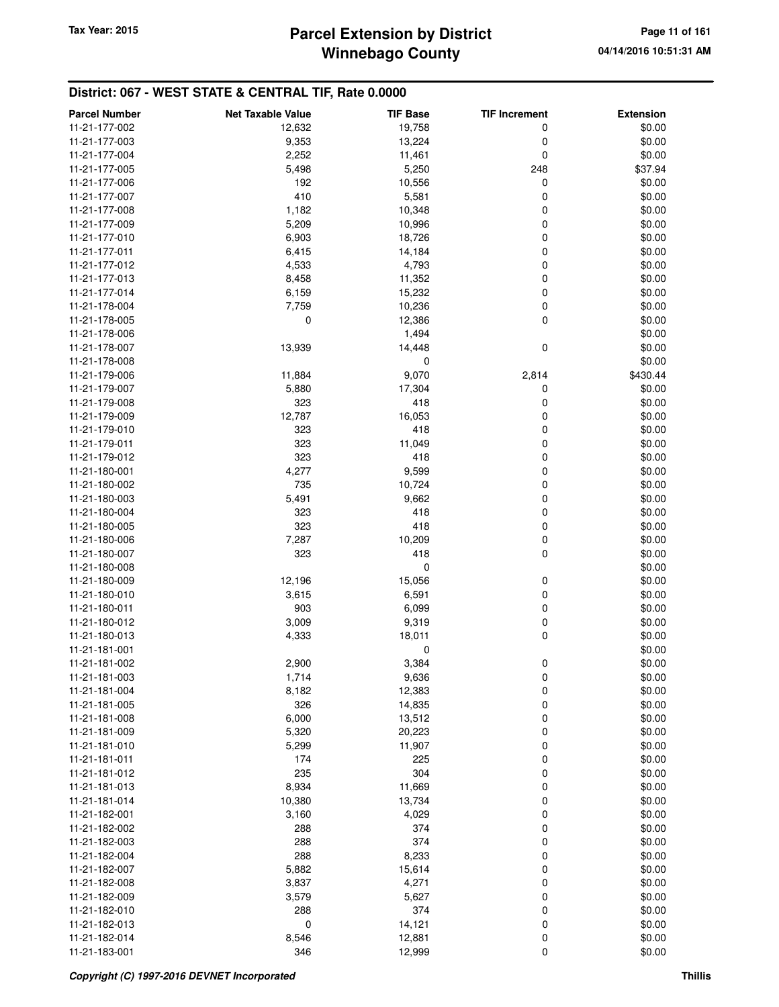# **Winnebago County** Tax Year: 2015 **Parcel Extension by District Page 11 of 161** Page 11 of 161

| <b>Parcel Number</b> | <b>Net Taxable Value</b> | <b>TIF Base</b> | <b>TIF Increment</b> | <b>Extension</b> |
|----------------------|--------------------------|-----------------|----------------------|------------------|
| 11-21-177-002        | 12,632                   | 19,758          | 0                    | \$0.00           |
| 11-21-177-003        | 9,353                    | 13,224          | 0                    | \$0.00           |
| 11-21-177-004        | 2,252                    | 11,461          | 0                    | \$0.00           |
| 11-21-177-005        | 5,498                    | 5,250           | 248                  | \$37.94          |
| 11-21-177-006        | 192                      | 10,556          | 0                    | \$0.00           |
| 11-21-177-007        | 410                      | 5,581           | 0                    | \$0.00           |
| 11-21-177-008        | 1,182                    | 10,348          | 0                    | \$0.00           |
| 11-21-177-009        | 5,209                    | 10,996          | 0                    | \$0.00           |
| 11-21-177-010        | 6,903                    | 18,726          | 0                    | \$0.00           |
| 11-21-177-011        | 6,415                    | 14,184          | 0                    | \$0.00           |
| 11-21-177-012        | 4,533                    | 4,793           | 0                    | \$0.00           |
| 11-21-177-013        | 8,458                    | 11,352          | 0                    | \$0.00           |
| 11-21-177-014        | 6,159                    | 15,232          | 0                    | \$0.00           |
| 11-21-178-004        | 7,759                    | 10,236          | 0                    | \$0.00           |
| 11-21-178-005        | 0                        | 12,386          | 0                    | \$0.00           |
| 11-21-178-006        |                          | 1,494           |                      | \$0.00           |
| 11-21-178-007        | 13,939                   | 14,448          | 0                    | \$0.00           |
| 11-21-178-008        |                          | 0               |                      | \$0.00           |
| 11-21-179-006        | 11,884                   | 9,070           | 2,814                | \$430.44         |
| 11-21-179-007        | 5,880                    | 17,304          | 0                    | \$0.00           |
| 11-21-179-008        | 323                      | 418             | 0                    | \$0.00           |
| 11-21-179-009        | 12,787                   | 16,053          | 0                    | \$0.00           |
| 11-21-179-010        | 323                      | 418             | 0                    | \$0.00           |
| 11-21-179-011        | 323                      | 11,049          | 0                    | \$0.00           |
| 11-21-179-012        | 323                      | 418             | 0                    | \$0.00           |
| 11-21-180-001        | 4,277                    | 9,599           | 0                    | \$0.00           |
| 11-21-180-002        | 735                      | 10,724          | 0                    | \$0.00           |
| 11-21-180-003        | 5,491                    | 9,662           | 0                    | \$0.00           |
| 11-21-180-004        | 323                      | 418             | 0                    | \$0.00           |
| 11-21-180-005        | 323                      | 418             | 0                    | \$0.00           |
| 11-21-180-006        | 7,287                    | 10,209          | 0                    | \$0.00           |
| 11-21-180-007        | 323                      | 418             | 0                    | \$0.00           |
| 11-21-180-008        |                          | 0               |                      | \$0.00           |
| 11-21-180-009        | 12,196                   | 15,056          | 0                    | \$0.00           |
| 11-21-180-010        | 3,615                    | 6,591           | 0                    | \$0.00           |
| 11-21-180-011        | 903                      | 6,099           | 0                    | \$0.00           |
| 11-21-180-012        | 3,009                    | 9,319           | 0                    | \$0.00           |
| 11-21-180-013        | 4,333                    | 18,011          | 0                    | \$0.00           |
| 11-21-181-001        |                          | 0               |                      | \$0.00           |
| 11-21-181-002        | 2,900                    | 3,384           | 0                    | \$0.00           |
| 11-21-181-003        | 1,714                    | 9,636           | 0                    | \$0.00           |
| 11-21-181-004        | 8,182                    | 12,383          | 0                    | \$0.00           |
| 11-21-181-005        | 326                      | 14,835          | 0                    | \$0.00           |
| 11-21-181-008        | 6,000                    | 13,512          | 0                    | \$0.00           |
| 11-21-181-009        | 5,320                    | 20,223          | 0                    | \$0.00           |
| 11-21-181-010        | 5,299                    | 11,907          | 0                    | \$0.00           |
| 11-21-181-011        | 174                      | 225             | 0                    | \$0.00           |
| 11-21-181-012        | 235                      | 304             | 0                    | \$0.00           |
| 11-21-181-013        | 8,934                    | 11,669          | 0                    | \$0.00           |
| 11-21-181-014        | 10,380                   | 13,734          | 0                    | \$0.00           |
| 11-21-182-001        | 3,160                    | 4,029           | 0                    | \$0.00           |
| 11-21-182-002        | 288                      | 374             | 0                    | \$0.00           |
| 11-21-182-003        | 288                      | 374             | 0                    | \$0.00           |
| 11-21-182-004        | 288                      | 8,233           | 0                    | \$0.00           |
| 11-21-182-007        | 5,882                    | 15,614          | 0                    | \$0.00           |
| 11-21-182-008        | 3,837                    | 4,271           | 0                    | \$0.00           |
| 11-21-182-009        | 3,579                    | 5,627           | 0                    | \$0.00           |
| 11-21-182-010        | 288                      | 374             | 0                    | \$0.00           |
| 11-21-182-013        | 0                        | 14,121          | 0                    | \$0.00           |
| 11-21-182-014        | 8,546                    | 12,881          | 0                    | \$0.00           |
| 11-21-183-001        | 346                      | 12,999          | 0                    | \$0.00           |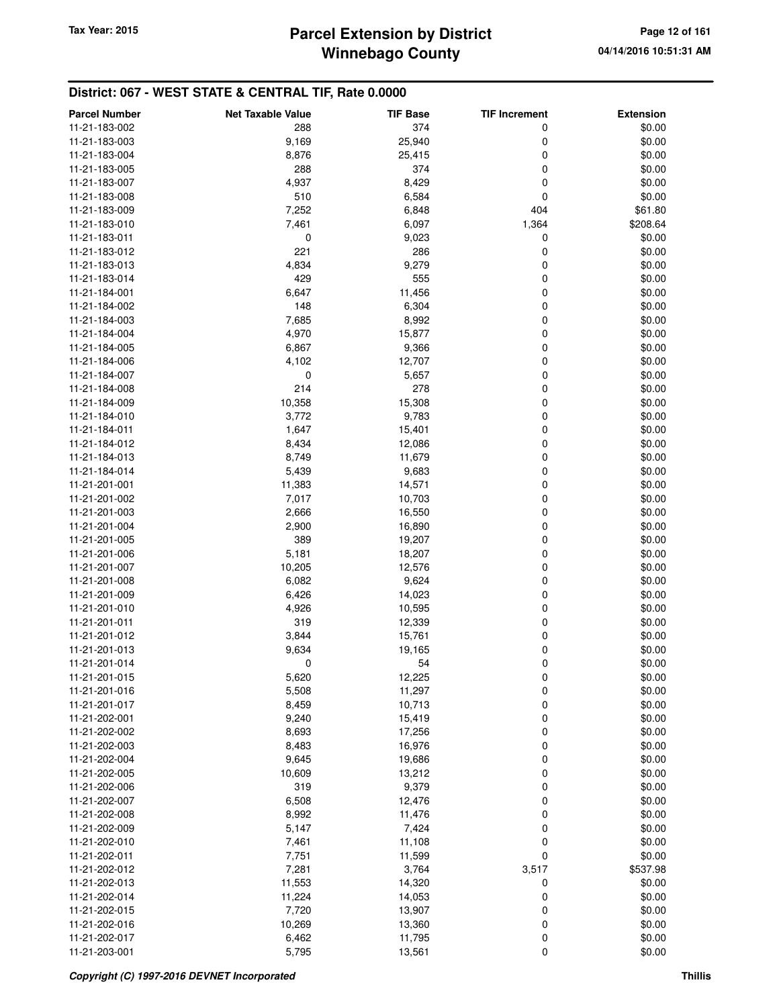| <b>Parcel Number</b> | <b>Net Taxable Value</b> | <b>TIF Base</b> | <b>TIF Increment</b> | <b>Extension</b> |
|----------------------|--------------------------|-----------------|----------------------|------------------|
| 11-21-183-002        | 288                      | 374             | 0                    | \$0.00           |
| 11-21-183-003        | 9,169                    | 25,940          | 0                    | \$0.00           |
| 11-21-183-004        | 8,876                    | 25,415          | 0                    | \$0.00           |
| 11-21-183-005        | 288                      | 374             | 0                    | \$0.00           |
| 11-21-183-007        | 4,937                    | 8,429           | 0                    | \$0.00           |
| 11-21-183-008        | 510                      | 6,584           | 0                    | \$0.00           |
|                      | 7,252                    |                 | 404                  |                  |
| 11-21-183-009        |                          | 6,848           |                      | \$61.80          |
| 11-21-183-010        | 7,461                    | 6,097           | 1,364                | \$208.64         |
| 11-21-183-011        | 0                        | 9,023           | 0                    | \$0.00           |
| 11-21-183-012        | 221                      | 286             | 0                    | \$0.00           |
| 11-21-183-013        | 4,834                    | 9,279           | 0                    | \$0.00           |
| 11-21-183-014        | 429                      | 555             | 0                    | \$0.00           |
| 11-21-184-001        | 6,647                    | 11,456          | 0                    | \$0.00           |
| 11-21-184-002        | 148                      | 6,304           | 0                    | \$0.00           |
| 11-21-184-003        | 7,685                    | 8,992           | 0                    | \$0.00           |
| 11-21-184-004        | 4,970                    | 15,877          | 0                    | \$0.00           |
| 11-21-184-005        | 6,867                    | 9,366           | 0                    | \$0.00           |
| 11-21-184-006        | 4,102                    | 12,707          | 0                    | \$0.00           |
| 11-21-184-007        | 0                        | 5,657           | 0                    | \$0.00           |
| 11-21-184-008        | 214                      | 278             | 0                    | \$0.00           |
| 11-21-184-009        | 10,358                   | 15,308          | 0                    | \$0.00           |
| 11-21-184-010        | 3,772                    | 9,783           | 0                    | \$0.00           |
| 11-21-184-011        | 1,647                    | 15,401          | 0                    | \$0.00           |
| 11-21-184-012        | 8,434                    | 12,086          | 0                    | \$0.00           |
| 11-21-184-013        | 8,749                    | 11,679          | 0                    | \$0.00           |
| 11-21-184-014        | 5,439                    | 9,683           | 0                    | \$0.00           |
| 11-21-201-001        | 11,383                   | 14,571          | 0                    | \$0.00           |
| 11-21-201-002        | 7,017                    | 10,703          | 0                    | \$0.00           |
| 11-21-201-003        | 2,666                    | 16,550          | 0                    | \$0.00           |
| 11-21-201-004        | 2,900                    | 16,890          | 0                    | \$0.00           |
| 11-21-201-005        | 389                      | 19,207          | 0                    | \$0.00           |
| 11-21-201-006        | 5,181                    | 18,207          | 0                    | \$0.00           |
| 11-21-201-007        | 10,205                   | 12,576          | 0                    | \$0.00           |
| 11-21-201-008        | 6,082                    | 9,624           | 0                    | \$0.00           |
| 11-21-201-009        | 6,426                    | 14,023          | 0                    | \$0.00           |
| 11-21-201-010        | 4,926                    | 10,595          | 0                    | \$0.00           |
| 11-21-201-011        | 319                      | 12,339          | 0                    | \$0.00           |
| 11-21-201-012        | 3,844                    | 15,761          | 0                    | \$0.00           |
| 11-21-201-013        | 9,634                    | 19,165          | 0                    | \$0.00           |
| 11-21-201-014        | 0                        | 54              | 0                    | \$0.00           |
| 11-21-201-015        | 5,620                    | 12,225          |                      | \$0.00           |
| 11-21-201-016        |                          | 11,297          | $\mathbf 0$          |                  |
| 11-21-201-017        | 5,508<br>8,459           | 10,713          | 0<br>0               | \$0.00<br>\$0.00 |
|                      |                          |                 |                      |                  |
| 11-21-202-001        | 9,240                    | 15,419          | 0                    | \$0.00           |
| 11-21-202-002        | 8,693                    | 17,256          | 0                    | \$0.00           |
| 11-21-202-003        | 8,483                    | 16,976          | 0                    | \$0.00           |
| 11-21-202-004        | 9,645                    | 19,686          | 0                    | \$0.00           |
| 11-21-202-005        | 10,609                   | 13,212          | 0                    | \$0.00           |
| 11-21-202-006        | 319                      | 9,379           | 0                    | \$0.00           |
| 11-21-202-007        | 6,508                    | 12,476          | 0                    | \$0.00           |
| 11-21-202-008        | 8,992                    | 11,476          | 0                    | \$0.00           |
| 11-21-202-009        | 5,147                    | 7,424           | 0                    | \$0.00           |
| 11-21-202-010        | 7,461                    | 11,108          | 0                    | \$0.00           |
| 11-21-202-011        | 7,751                    | 11,599          | 0                    | \$0.00           |
| 11-21-202-012        | 7,281                    | 3,764           | 3,517                | \$537.98         |
| 11-21-202-013        | 11,553                   | 14,320          | 0                    | \$0.00           |
| 11-21-202-014        | 11,224                   | 14,053          | 0                    | \$0.00           |
| 11-21-202-015        | 7,720                    | 13,907          | 0                    | \$0.00           |
| 11-21-202-016        | 10,269                   | 13,360          | 0                    | \$0.00           |
| 11-21-202-017        | 6,462                    | 11,795          | 0                    | \$0.00           |
| 11-21-203-001        | 5,795                    | 13,561          | 0                    | \$0.00           |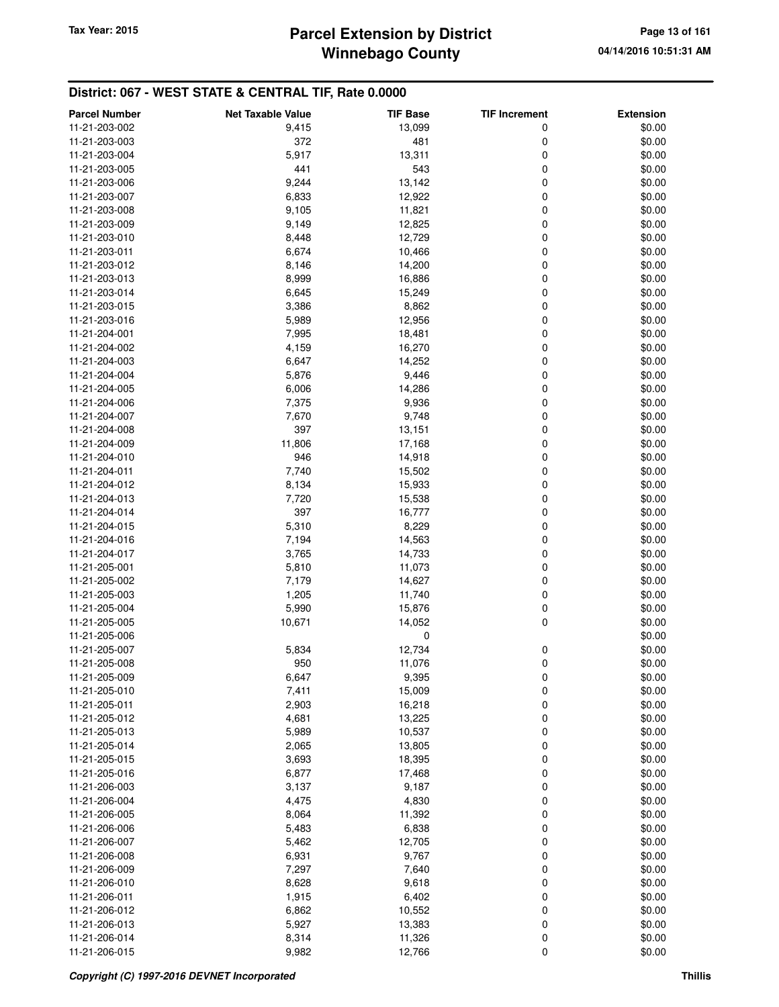| <b>Parcel Number</b> | <b>Net Taxable Value</b> | <b>TIF Base</b> | <b>TIF Increment</b> | <b>Extension</b> |
|----------------------|--------------------------|-----------------|----------------------|------------------|
| 11-21-203-002        | 9,415                    | 13,099          | 0                    | \$0.00           |
| 11-21-203-003        | 372                      | 481             | 0                    | \$0.00           |
| 11-21-203-004        | 5,917                    | 13,311          | 0                    | \$0.00           |
| 11-21-203-005        | 441                      | 543             | 0                    | \$0.00           |
| 11-21-203-006        | 9,244                    | 13,142          | 0                    | \$0.00           |
| 11-21-203-007        | 6,833                    | 12,922          | 0                    | \$0.00           |
| 11-21-203-008        | 9,105                    | 11,821          | 0                    | \$0.00           |
| 11-21-203-009        | 9,149                    | 12,825          | 0                    | \$0.00           |
| 11-21-203-010        | 8,448                    | 12,729          | 0                    | \$0.00           |
| 11-21-203-011        | 6,674                    | 10,466          | 0                    | \$0.00           |
| 11-21-203-012        | 8,146                    | 14,200          | 0                    | \$0.00           |
| 11-21-203-013        | 8,999                    | 16,886          | 0                    | \$0.00           |
| 11-21-203-014        | 6,645                    | 15,249          | 0                    | \$0.00           |
| 11-21-203-015        | 3,386                    | 8,862           | 0                    | \$0.00           |
| 11-21-203-016        | 5,989                    | 12,956          | 0                    | \$0.00           |
| 11-21-204-001        | 7,995                    | 18,481          | 0                    | \$0.00           |
| 11-21-204-002        | 4,159                    | 16,270          | 0                    | \$0.00           |
| 11-21-204-003        | 6,647                    | 14,252          | 0                    | \$0.00           |
| 11-21-204-004        | 5,876                    | 9,446           | 0                    | \$0.00           |
| 11-21-204-005        | 6,006                    | 14,286          | 0                    | \$0.00           |
| 11-21-204-006        |                          |                 | 0                    |                  |
|                      | 7,375                    | 9,936           |                      | \$0.00           |
| 11-21-204-007        | 7,670                    | 9,748           | 0                    | \$0.00           |
| 11-21-204-008        | 397                      | 13,151          | 0                    | \$0.00           |
| 11-21-204-009        | 11,806                   | 17,168          | 0                    | \$0.00           |
| 11-21-204-010        | 946                      | 14,918          | 0                    | \$0.00           |
| 11-21-204-011        | 7,740                    | 15,502          | 0                    | \$0.00           |
| 11-21-204-012        | 8,134                    | 15,933          | 0                    | \$0.00           |
| 11-21-204-013        | 7,720                    | 15,538          | 0                    | \$0.00           |
| 11-21-204-014        | 397                      | 16,777          | 0                    | \$0.00           |
| 11-21-204-015        | 5,310                    | 8,229           | 0                    | \$0.00           |
| 11-21-204-016        | 7,194                    | 14,563          | 0                    | \$0.00           |
| 11-21-204-017        | 3,765                    | 14,733          | 0                    | \$0.00           |
| 11-21-205-001        | 5,810                    | 11,073          | 0                    | \$0.00           |
| 11-21-205-002        | 7,179                    | 14,627          | 0                    | \$0.00           |
| 11-21-205-003        | 1,205                    | 11,740          | 0                    | \$0.00           |
| 11-21-205-004        | 5,990                    | 15,876          | 0                    | \$0.00           |
| 11-21-205-005        | 10,671                   | 14,052          | 0                    | \$0.00           |
| 11-21-205-006        |                          | 0               |                      | \$0.00           |
| 11-21-205-007        | 5,834                    | 12,734          | 0                    | \$0.00           |
| 11-21-205-008        | 950                      | 11,076          | 0                    | \$0.00           |
| 11-21-205-009        | 6,647                    | 9,395           | $\pmb{0}$            | \$0.00           |
| 11-21-205-010        | 7,411                    | 15,009          | $\mathbf 0$          | \$0.00           |
| 11-21-205-011        | 2,903                    | 16,218          | 0                    | \$0.00           |
| 11-21-205-012        | 4,681                    | 13,225          | 0                    | \$0.00           |
| 11-21-205-013        | 5,989                    | 10,537          | 0                    | \$0.00           |
| 11-21-205-014        | 2,065                    | 13,805          | 0                    | \$0.00           |
| 11-21-205-015        | 3,693                    | 18,395          | 0                    | \$0.00           |
| 11-21-205-016        | 6,877                    | 17,468          | 0                    | \$0.00           |
| 11-21-206-003        | 3,137                    | 9,187           | 0                    | \$0.00           |
| 11-21-206-004        | 4,475                    | 4,830           | 0                    | \$0.00           |
| 11-21-206-005        | 8,064                    | 11,392          | 0                    | \$0.00           |
| 11-21-206-006        | 5,483                    | 6,838           | 0                    | \$0.00           |
| 11-21-206-007        | 5,462                    | 12,705          | 0                    | \$0.00           |
| 11-21-206-008        | 6,931                    | 9,767           | 0                    | \$0.00           |
| 11-21-206-009        | 7,297                    | 7,640           | 0                    | \$0.00           |
| 11-21-206-010        | 8,628                    | 9,618           | 0                    | \$0.00           |
| 11-21-206-011        | 1,915                    | 6,402           | 0                    | \$0.00           |
| 11-21-206-012        | 6,862                    | 10,552          | 0                    | \$0.00           |
| 11-21-206-013        | 5,927                    | 13,383          | 0                    | \$0.00           |
| 11-21-206-014        | 8,314                    | 11,326          | 0                    | \$0.00           |
| 11-21-206-015        | 9,982                    | 12,766          | 0                    | \$0.00           |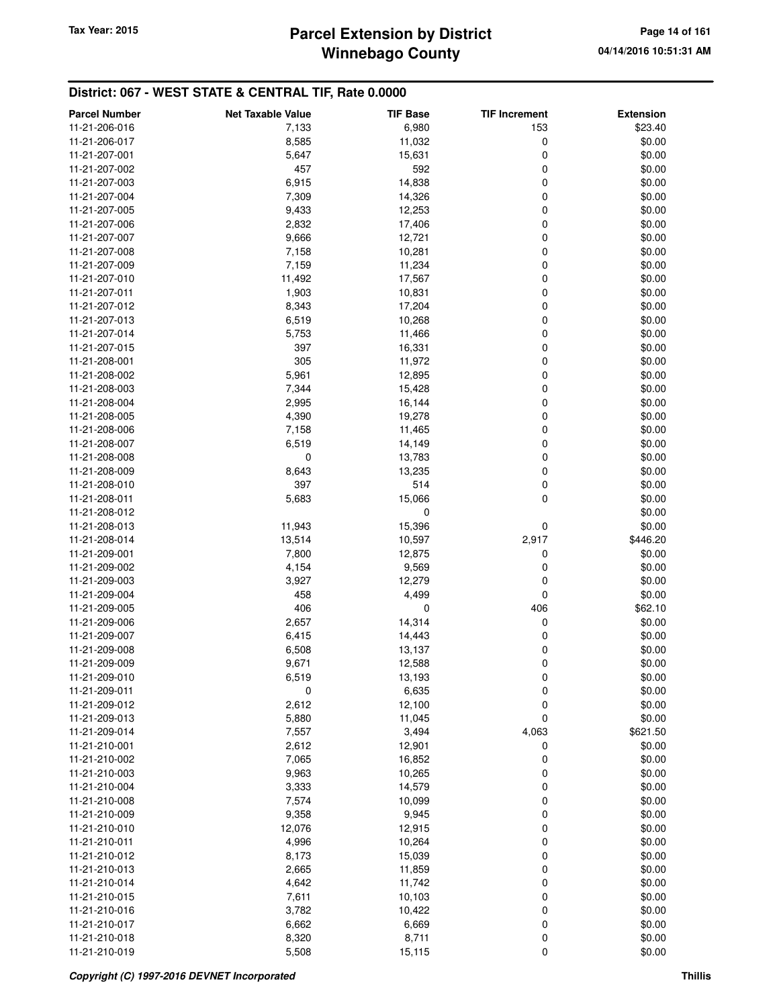## **Winnebago County** Tax Year: 2015 **Parcel Extension by District Page 14 of 161**

| <b>Parcel Number</b> | <b>Net Taxable Value</b> | <b>TIF Base</b>  | <b>TIF Increment</b> | <b>Extension</b> |
|----------------------|--------------------------|------------------|----------------------|------------------|
| 11-21-206-016        | 7,133                    | 6,980            | 153                  | \$23.40          |
| 11-21-206-017        | 8,585                    | 11,032           | 0                    | \$0.00           |
| 11-21-207-001        | 5,647                    | 15,631           | 0                    | \$0.00           |
| 11-21-207-002        | 457                      | 592              | 0                    | \$0.00           |
| 11-21-207-003        | 6,915                    | 14,838           | 0                    | \$0.00           |
| 11-21-207-004        | 7,309                    | 14,326           | 0                    | \$0.00           |
| 11-21-207-005        | 9,433                    | 12,253           | 0                    | \$0.00           |
| 11-21-207-006        | 2,832                    | 17,406           | 0                    | \$0.00           |
| 11-21-207-007        | 9,666                    | 12,721           | 0                    | \$0.00           |
| 11-21-207-008        | 7,158                    | 10,281           | 0                    | \$0.00           |
| 11-21-207-009        | 7,159                    | 11,234           | 0                    | \$0.00           |
| 11-21-207-010        | 11,492                   | 17,567           | 0                    | \$0.00           |
| 11-21-207-011        | 1,903                    | 10,831           | 0                    | \$0.00           |
| 11-21-207-012        | 8,343                    | 17,204           | 0                    | \$0.00           |
| 11-21-207-013        | 6,519                    | 10,268           | 0                    | \$0.00           |
| 11-21-207-014        | 5,753                    | 11,466           | 0                    | \$0.00           |
| 11-21-207-015        | 397                      | 16,331           | 0                    | \$0.00           |
| 11-21-208-001        | 305                      | 11,972           | 0                    | \$0.00           |
| 11-21-208-002        | 5,961                    | 12,895           | 0                    | \$0.00           |
| 11-21-208-003        | 7,344                    | 15,428           | 0                    | \$0.00           |
| 11-21-208-004        | 2,995                    | 16,144           | 0                    | \$0.00           |
| 11-21-208-005        | 4,390                    | 19,278           | 0                    | \$0.00           |
| 11-21-208-006        | 7,158                    | 11,465           | 0                    | \$0.00           |
| 11-21-208-007        | 6,519                    | 14,149           | 0                    | \$0.00           |
| 11-21-208-008        | 0                        | 13,783           | 0                    | \$0.00           |
| 11-21-208-009        | 8,643                    | 13,235           | 0                    | \$0.00           |
| 11-21-208-010        | 397                      | 514              | 0                    | \$0.00           |
| 11-21-208-011        | 5,683                    | 15,066           | 0                    | \$0.00           |
| 11-21-208-012        |                          | 0                |                      | \$0.00           |
| 11-21-208-013        | 11,943                   | 15,396           | 0                    | \$0.00           |
| 11-21-208-014        | 13,514                   | 10,597           | 2,917                | \$446.20         |
| 11-21-209-001        | 7,800                    | 12,875           | 0                    | \$0.00           |
| 11-21-209-002        | 4,154                    | 9,569            | 0                    | \$0.00           |
| 11-21-209-003        | 3,927                    | 12,279           | 0                    | \$0.00           |
| 11-21-209-004        | 458                      | 4,499            | 0                    | \$0.00           |
| 11-21-209-005        | 406                      | 0                | 406                  | \$62.10          |
| 11-21-209-006        | 2,657                    | 14,314           | 0                    | \$0.00           |
| 11-21-209-007        | 6,415                    | 14,443           | 0                    | \$0.00           |
| 11-21-209-008        | 6,508                    |                  | 0                    | \$0.00           |
| 11-21-209-009        | 9,671                    | 13,137<br>12,588 | 0                    | \$0.00           |
| 11-21-209-010        | 6,519                    | 13,193           | 0                    | \$0.00           |
| 11-21-209-011        | 0                        | 6,635            |                      | \$0.00           |
| 11-21-209-012        | 2,612                    | 12,100           | 0<br>0               | \$0.00           |
| 11-21-209-013        | 5,880                    |                  | 0                    | \$0.00           |
| 11-21-209-014        |                          | 11,045           |                      |                  |
| 11-21-210-001        | 7,557                    | 3,494            | 4,063                | \$621.50         |
|                      | 2,612                    | 12,901           | 0                    | \$0.00           |
| 11-21-210-002        | 7,065                    | 16,852           | 0                    | \$0.00           |
| 11-21-210-003        | 9,963                    | 10,265           | 0                    | \$0.00           |
| 11-21-210-004        | 3,333                    | 14,579           | 0                    | \$0.00           |
| 11-21-210-008        | 7,574                    | 10,099           | 0                    | \$0.00           |
| 11-21-210-009        | 9,358                    | 9,945            | 0                    | \$0.00           |
| 11-21-210-010        | 12,076                   | 12,915           | 0                    | \$0.00           |
| 11-21-210-011        | 4,996                    | 10,264           | 0                    | \$0.00           |
| 11-21-210-012        | 8,173                    | 15,039           | 0                    | \$0.00           |
| 11-21-210-013        | 2,665                    | 11,859           | 0                    | \$0.00           |
| 11-21-210-014        | 4,642                    | 11,742           | 0                    | \$0.00           |
| 11-21-210-015        | 7,611                    | 10,103           | 0                    | \$0.00           |
| 11-21-210-016        | 3,782                    | 10,422           | 0                    | \$0.00           |
| 11-21-210-017        | 6,662                    | 6,669            | 0                    | \$0.00           |
| 11-21-210-018        | 8,320                    | 8,711            | 0                    | \$0.00           |
| 11-21-210-019        | 5,508                    | 15,115           | 0                    | \$0.00           |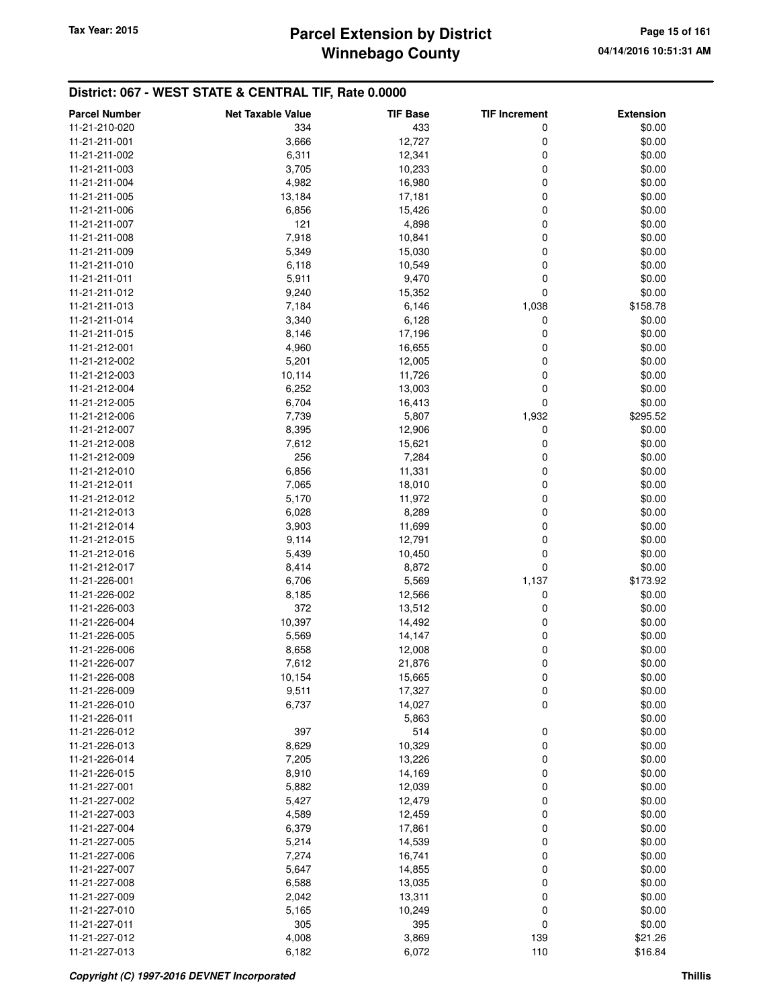## **Winnebago County** Tax Year: 2015 **Parcel Extension by District Page 15 of 161**

| <b>Parcel Number</b> | <b>Net Taxable Value</b> | <b>TIF Base</b> | <b>TIF Increment</b> | <b>Extension</b> |
|----------------------|--------------------------|-----------------|----------------------|------------------|
| 11-21-210-020        | 334                      | 433             | 0                    | \$0.00           |
| 11-21-211-001        | 3,666                    | 12,727          | 0                    | \$0.00           |
| 11-21-211-002        | 6,311                    | 12,341          | 0                    | \$0.00           |
| 11-21-211-003        | 3,705                    | 10,233          | 0                    | \$0.00           |
| 11-21-211-004        | 4,982                    | 16,980          | 0                    | \$0.00           |
| 11-21-211-005        | 13,184                   | 17,181          | 0                    | \$0.00           |
| 11-21-211-006        | 6,856                    | 15,426          | 0                    | \$0.00           |
| 11-21-211-007        | 121                      | 4,898           | 0                    | \$0.00           |
| 11-21-211-008        | 7,918                    | 10,841          | 0                    | \$0.00           |
| 11-21-211-009        | 5,349                    | 15,030          | 0                    | \$0.00           |
| 11-21-211-010        | 6,118                    | 10,549          | 0                    | \$0.00           |
| 11-21-211-011        | 5,911                    | 9,470           | 0                    | \$0.00           |
| 11-21-211-012        | 9,240                    | 15,352          | 0                    | \$0.00           |
| 11-21-211-013        | 7,184                    | 6,146           | 1,038                | \$158.78         |
| 11-21-211-014        | 3,340                    | 6,128           | 0                    | \$0.00           |
| 11-21-211-015        | 8,146                    | 17,196          | 0                    | \$0.00           |
| 11-21-212-001        | 4,960                    | 16,655          | 0                    | \$0.00           |
| 11-21-212-002        | 5,201                    | 12,005          | 0                    | \$0.00           |
| 11-21-212-003        | 10,114                   | 11,726          | 0                    | \$0.00           |
| 11-21-212-004        | 6,252                    | 13,003          | 0                    | \$0.00           |
| 11-21-212-005        | 6,704                    | 16,413          | 0                    | \$0.00           |
| 11-21-212-006        | 7,739                    | 5,807           | 1,932                | \$295.52         |
| 11-21-212-007        | 8,395                    | 12,906          | 0                    | \$0.00           |
| 11-21-212-008        | 7,612                    | 15,621          | 0                    | \$0.00           |
| 11-21-212-009        | 256                      | 7,284           | 0                    | \$0.00           |
| 11-21-212-010        | 6,856                    | 11,331          | 0                    | \$0.00           |
| 11-21-212-011        | 7,065                    | 18,010          | 0                    | \$0.00           |
| 11-21-212-012        | 5,170                    | 11,972          | 0                    | \$0.00           |
| 11-21-212-013        | 6,028                    | 8,289           | 0                    | \$0.00           |
| 11-21-212-014        | 3,903                    | 11,699          | 0                    | \$0.00           |
| 11-21-212-015        | 9,114                    | 12,791          | 0                    | \$0.00           |
| 11-21-212-016        | 5,439                    | 10,450          | 0                    | \$0.00           |
| 11-21-212-017        | 8,414                    | 8,872           | 0                    | \$0.00           |
| 11-21-226-001        | 6,706                    | 5,569           | 1,137                | \$173.92         |
| 11-21-226-002        | 8,185                    | 12,566          | 0                    | \$0.00           |
| 11-21-226-003        | 372                      | 13,512          | 0                    | \$0.00           |
| 11-21-226-004        | 10,397                   | 14,492          | 0                    | \$0.00           |
| 11-21-226-005        | 5,569                    | 14,147          | 0                    | \$0.00           |
| 11-21-226-006        | 8,658                    | 12,008          | 0                    | \$0.00           |
| 11-21-226-007        | 7,612                    | 21,876          | 0                    | \$0.00           |
| 11-21-226-008        | 10,154                   | 15,665          | 0                    | \$0.00           |
| 11-21-226-009        | 9,511                    | 17,327          | 0                    | \$0.00           |
| 11-21-226-010        | 6,737                    | 14,027          | 0                    | \$0.00           |
| 11-21-226-011        |                          | 5,863           |                      | \$0.00           |
| 11-21-226-012        | 397                      | 514             | 0                    | \$0.00           |
| 11-21-226-013        | 8,629                    | 10,329          | 0                    | \$0.00           |
| 11-21-226-014        | 7,205                    | 13,226          | 0                    | \$0.00           |
| 11-21-226-015        | 8,910                    | 14,169          | 0                    | \$0.00           |
| 11-21-227-001        | 5,882                    | 12,039          | 0                    | \$0.00           |
| 11-21-227-002        | 5,427                    | 12,479          | 0                    | \$0.00           |
| 11-21-227-003        | 4,589                    | 12,459          | 0                    | \$0.00           |
| 11-21-227-004        | 6,379                    | 17,861          | 0                    | \$0.00           |
| 11-21-227-005        | 5,214                    | 14,539          | 0                    | \$0.00           |
| 11-21-227-006        | 7,274                    | 16,741          | 0                    | \$0.00           |
| 11-21-227-007        | 5,647                    | 14,855          | 0                    | \$0.00           |
| 11-21-227-008        | 6,588                    | 13,035          | 0                    | \$0.00           |
| 11-21-227-009        | 2,042                    | 13,311          | 0                    | \$0.00           |
| 11-21-227-010        | 5,165                    | 10,249          | 0                    | \$0.00           |
| 11-21-227-011        | 305                      | 395             | 0                    | \$0.00           |
| 11-21-227-012        | 4,008                    | 3,869           | 139                  | \$21.26          |
| 11-21-227-013        | 6,182                    | 6,072           | 110                  | \$16.84          |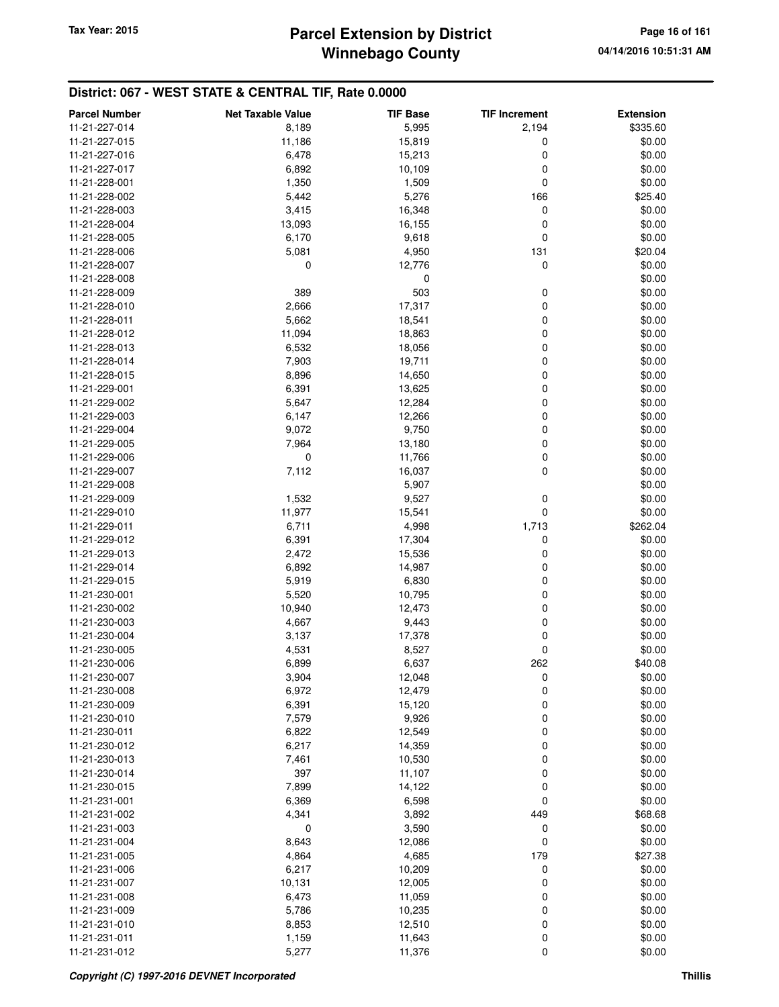## **Winnebago County** Tax Year: 2015 **Parcel Extension by District Page 16 of 161**

| <b>Parcel Number</b> | <b>Net Taxable Value</b> | <b>TIF Base</b> | <b>TIF Increment</b> | <b>Extension</b> |
|----------------------|--------------------------|-----------------|----------------------|------------------|
| 11-21-227-014        | 8,189                    | 5,995           | 2,194                | \$335.60         |
| 11-21-227-015        | 11,186                   | 15,819          | 0                    | \$0.00           |
| 11-21-227-016        | 6,478                    | 15,213          | 0                    | \$0.00           |
| 11-21-227-017        | 6,892                    | 10,109          | 0                    | \$0.00           |
| 11-21-228-001        | 1,350                    | 1,509           | 0                    | \$0.00           |
| 11-21-228-002        | 5,442                    | 5,276           | 166                  | \$25.40          |
| 11-21-228-003        | 3,415                    | 16,348          | 0                    | \$0.00           |
| 11-21-228-004        | 13,093                   |                 | 0                    | \$0.00           |
| 11-21-228-005        | 6,170                    | 16,155<br>9,618 | 0                    | \$0.00           |
| 11-21-228-006        |                          |                 |                      |                  |
| 11-21-228-007        | 5,081<br>0               | 4,950           | 131<br>0             | \$20.04          |
|                      |                          | 12,776          |                      | \$0.00           |
| 11-21-228-008        | 389                      | 0<br>503        | 0                    | \$0.00           |
| 11-21-228-009        |                          |                 | 0                    | \$0.00<br>\$0.00 |
| 11-21-228-010        | 2,666                    | 17,317          |                      |                  |
| 11-21-228-011        | 5,662                    | 18,541          | 0                    | \$0.00           |
| 11-21-228-012        | 11,094                   | 18,863          | 0                    | \$0.00           |
| 11-21-228-013        | 6,532                    | 18,056          | 0                    | \$0.00           |
| 11-21-228-014        | 7,903                    | 19,711          | 0                    | \$0.00           |
| 11-21-228-015        | 8,896                    | 14,650          | 0                    | \$0.00           |
| 11-21-229-001        | 6,391                    | 13,625          | 0                    | \$0.00           |
| 11-21-229-002        | 5,647                    | 12,284          | 0                    | \$0.00           |
| 11-21-229-003        | 6,147                    | 12,266          | 0                    | \$0.00           |
| 11-21-229-004        | 9,072                    | 9,750           | 0                    | \$0.00           |
| 11-21-229-005        | 7,964                    | 13,180          | 0                    | \$0.00           |
| 11-21-229-006        | 0                        | 11,766          | 0                    | \$0.00           |
| 11-21-229-007        | 7,112                    | 16,037          | 0                    | \$0.00           |
| 11-21-229-008        |                          | 5,907           |                      | \$0.00           |
| 11-21-229-009        | 1,532                    | 9,527           | 0                    | \$0.00           |
| 11-21-229-010        | 11,977                   | 15,541          | 0                    | \$0.00           |
| 11-21-229-011        | 6,711                    | 4,998           | 1,713                | \$262.04         |
| 11-21-229-012        | 6,391                    | 17,304          | 0                    | \$0.00           |
| 11-21-229-013        | 2,472                    | 15,536          | 0                    | \$0.00           |
| 11-21-229-014        | 6,892                    | 14,987          | 0                    | \$0.00           |
| 11-21-229-015        | 5,919                    | 6,830           | 0                    | \$0.00           |
| 11-21-230-001        | 5,520                    | 10,795          | 0                    | \$0.00           |
| 11-21-230-002        | 10,940                   | 12,473          | 0                    | \$0.00           |
| 11-21-230-003        | 4,667                    | 9,443           | 0                    | \$0.00           |
| 11-21-230-004        | 3,137                    | 17,378          | 0                    | \$0.00           |
| 11-21-230-005        | 4,531                    | 8,527           | 0                    | \$0.00           |
| 11-21-230-006        | 6,899                    | 6,637           | 262                  | \$40.08          |
| 11-21-230-007        | 3,904                    | 12,048          | 0                    | \$0.00           |
| 11-21-230-008        | 6,972                    | 12,479          | 0                    | \$0.00           |
| 11-21-230-009        | 6,391                    | 15,120          | 0                    | \$0.00           |
| 11-21-230-010        | 7,579                    | 9,926           | 0                    | \$0.00           |
| 11-21-230-011        | 6,822                    | 12,549          | 0                    | \$0.00           |
| 11-21-230-012        | 6,217                    | 14,359          | 0                    | \$0.00           |
| 11-21-230-013        | 7,461                    | 10,530          | 0                    | \$0.00           |
| 11-21-230-014        | 397                      | 11,107          | 0                    | \$0.00           |
| 11-21-230-015        | 7,899                    | 14,122          | 0                    | \$0.00           |
| 11-21-231-001        | 6,369                    | 6,598           | 0                    | \$0.00           |
| 11-21-231-002        | 4,341                    | 3,892           | 449                  | \$68.68          |
| 11-21-231-003        | 0                        | 3,590           | 0                    | \$0.00           |
| 11-21-231-004        | 8,643                    | 12,086          | 0                    | \$0.00           |
| 11-21-231-005        | 4,864                    | 4,685           | 179                  | \$27.38          |
| 11-21-231-006        | 6,217                    | 10,209          | 0                    | \$0.00           |
| 11-21-231-007        | 10,131                   | 12,005          | 0                    | \$0.00           |
| 11-21-231-008        | 6,473                    | 11,059          | 0                    | \$0.00           |
| 11-21-231-009        | 5,786                    | 10,235          | 0                    | \$0.00           |
| 11-21-231-010        | 8,853                    | 12,510          | 0                    | \$0.00           |
| 11-21-231-011        | 1,159                    | 11,643          | 0                    | \$0.00           |
| 11-21-231-012        | 5,277                    | 11,376          | 0                    | \$0.00           |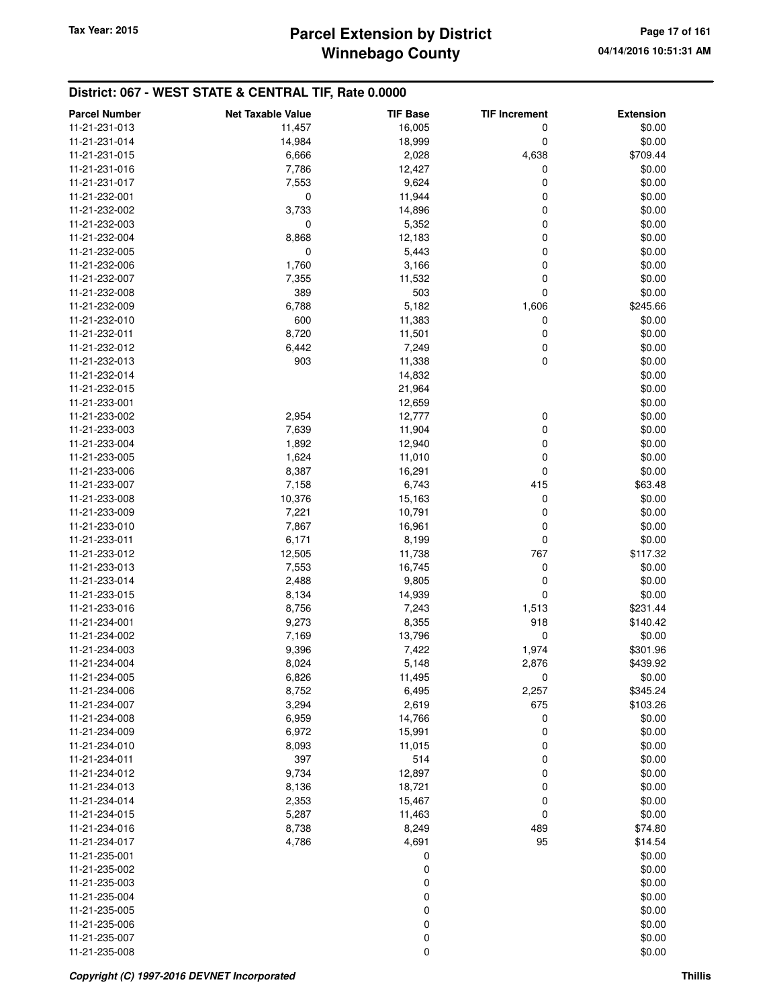# **Winnebago County** Tax Year: 2015 **Parcel Extension by District Page 17 of 161**

| <b>Parcel Number</b> | <b>Net Taxable Value</b> | <b>TIF Base</b> | <b>TIF Increment</b> | <b>Extension</b> |
|----------------------|--------------------------|-----------------|----------------------|------------------|
| 11-21-231-013        | 11,457                   | 16,005          | 0                    | \$0.00           |
| 11-21-231-014        | 14,984                   | 18,999          | 0                    | \$0.00           |
| 11-21-231-015        | 6,666                    | 2,028           | 4,638                | \$709.44         |
| 11-21-231-016        | 7,786                    | 12,427          | 0                    | \$0.00           |
| 11-21-231-017        | 7,553                    | 9,624           | 0                    | \$0.00           |
| 11-21-232-001        | 0                        | 11,944          | 0                    | \$0.00           |
| 11-21-232-002        | 3,733                    | 14,896          | 0                    | \$0.00           |
| 11-21-232-003        | 0                        | 5,352           | 0                    | \$0.00           |
| 11-21-232-004        | 8,868                    | 12,183          | 0                    | \$0.00           |
| 11-21-232-005        | 0                        | 5,443           | 0                    | \$0.00           |
| 11-21-232-006        | 1,760                    | 3,166           | 0                    | \$0.00           |
| 11-21-232-007        | 7,355                    | 11,532          | 0                    | \$0.00           |
| 11-21-232-008        | 389                      | 503             | 0                    | \$0.00           |
| 11-21-232-009        | 6,788                    | 5,182           | 1,606                | \$245.66         |
| 11-21-232-010        | 600                      | 11,383          | 0                    | \$0.00           |
| 11-21-232-011        | 8,720                    | 11,501          | 0                    | \$0.00           |
| 11-21-232-012        | 6,442                    | 7,249           | 0                    | \$0.00           |
| 11-21-232-013        | 903                      | 11,338          | 0                    | \$0.00           |
| 11-21-232-014        |                          | 14,832          |                      | \$0.00           |
| 11-21-232-015        |                          | 21,964          |                      | \$0.00           |
| 11-21-233-001        |                          | 12,659          |                      | \$0.00           |
| 11-21-233-002        | 2,954                    | 12,777          | 0                    | \$0.00           |
| 11-21-233-003        | 7,639                    | 11,904          | 0                    | \$0.00           |
| 11-21-233-004        | 1,892                    | 12,940          | 0                    | \$0.00           |
| 11-21-233-005        | 1,624                    | 11,010          | 0                    | \$0.00           |
| 11-21-233-006        | 8,387                    | 16,291          | 0                    | \$0.00           |
| 11-21-233-007        | 7,158                    | 6,743           | 415                  | \$63.48          |
| 11-21-233-008        | 10,376                   | 15,163          | 0                    | \$0.00           |
| 11-21-233-009        | 7,221                    | 10,791          | 0                    | \$0.00           |
| 11-21-233-010        | 7,867                    | 16,961          | 0                    | \$0.00           |
| 11-21-233-011        | 6,171                    | 8,199           | 0                    | \$0.00           |
| 11-21-233-012        | 12,505                   | 11,738          | 767                  | \$117.32         |
| 11-21-233-013        | 7,553                    | 16,745          | 0                    | \$0.00           |
| 11-21-233-014        | 2,488                    | 9,805           | 0                    | \$0.00           |
| 11-21-233-015        | 8,134                    | 14,939          | 0                    | \$0.00           |
| 11-21-233-016        | 8,756                    | 7,243           | 1,513                | \$231.44         |
| 11-21-234-001        | 9,273                    | 8,355           | 918                  | \$140.42         |
| 11-21-234-002        | 7,169                    | 13,796          | 0                    | \$0.00           |
| 11-21-234-003        | 9,396                    | 7,422           | 1,974                | \$301.96         |
| 11-21-234-004        | 8,024                    | 5,148           | 2,876                | \$439.92         |
| 11-21-234-005        | 6,826                    | 11,495          | 0                    | \$0.00           |
| 11-21-234-006        | 8,752                    | 6,495           | 2,257                | \$345.24         |
| 11-21-234-007        | 3,294                    | 2,619           | 675                  | \$103.26         |
| 11-21-234-008        | 6,959                    | 14,766          | 0                    | \$0.00           |
| 11-21-234-009        | 6,972                    | 15,991          | 0                    | \$0.00           |
| 11-21-234-010        | 8,093                    | 11,015          | 0                    | \$0.00           |
| 11-21-234-011        | 397                      | 514             | 0                    | \$0.00           |
| 11-21-234-012        | 9,734                    | 12,897          | 0                    | \$0.00           |
| 11-21-234-013        | 8,136                    | 18,721          | 0                    | \$0.00           |
| 11-21-234-014        | 2,353                    | 15,467          | 0                    | \$0.00           |
| 11-21-234-015        | 5,287                    | 11,463          | 0                    | \$0.00           |
| 11-21-234-016        | 8,738                    | 8,249           | 489                  | \$74.80          |
| 11-21-234-017        | 4,786                    | 4,691           | 95                   | \$14.54          |
| 11-21-235-001        |                          | 0               |                      | \$0.00           |
| 11-21-235-002        |                          | 0               |                      | \$0.00           |
| 11-21-235-003        |                          | 0               |                      | \$0.00           |
| 11-21-235-004        |                          | 0               |                      | \$0.00           |
| 11-21-235-005        |                          | 0               |                      | \$0.00           |
| 11-21-235-006        |                          | 0               |                      | \$0.00           |
| 11-21-235-007        |                          | 0               |                      | \$0.00           |
| 11-21-235-008        |                          | 0               |                      | \$0.00           |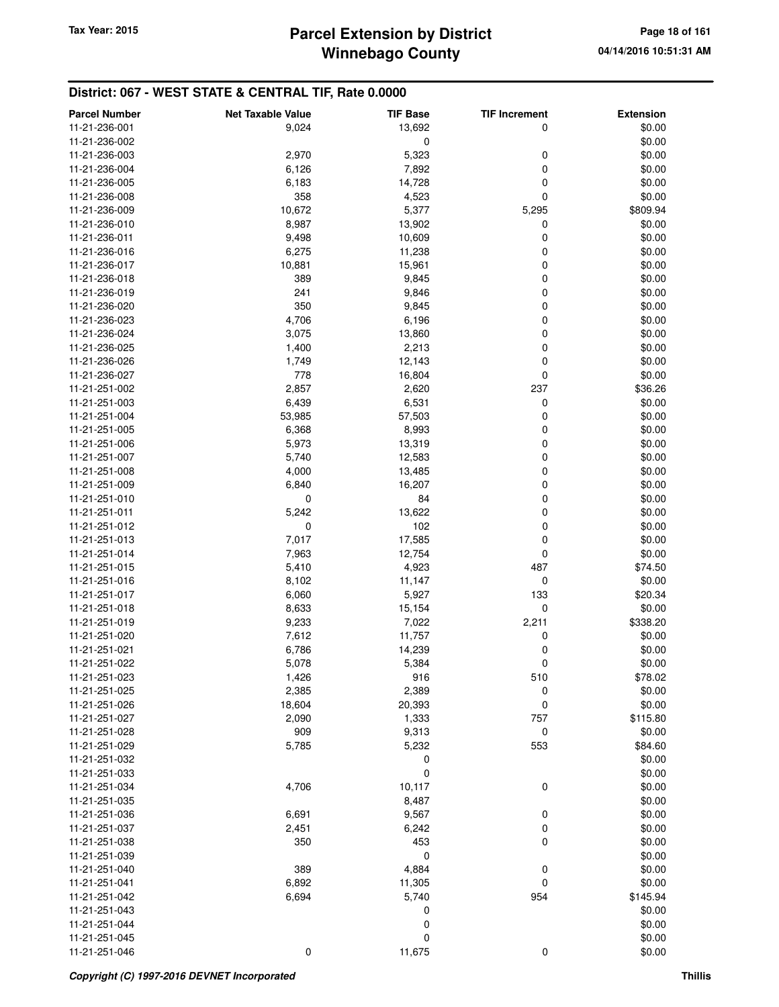| 11-21-236-001<br>9,024<br>13,692<br>0<br>\$0.00<br>0<br>11-21-236-002<br>\$0.00<br>5,323<br>2,970<br>0<br>\$0.00<br>11-21-236-003<br>0<br>6,126<br>7,892<br>\$0.00<br>11-21-236-004<br>0<br>6,183<br>14,728<br>\$0.00<br>11-21-236-005<br>0<br>358<br>4,523<br>\$0.00<br>11-21-236-008<br>5,377<br>10,672<br>\$809.94<br>11-21-236-009<br>5,295<br>8,987<br>13,902<br>0<br>\$0.00<br>11-21-236-010<br>0<br>10,609<br>\$0.00<br>11-21-236-011<br>9,498<br>6,275<br>11,238<br>0<br>\$0.00<br>11-21-236-016<br>10,881<br>0<br>\$0.00<br>11-21-236-017<br>15,961<br>0<br>11-21-236-018<br>389<br>9,845<br>\$0.00<br>0<br>241<br>9,846<br>\$0.00<br>11-21-236-019<br>0<br>\$0.00<br>350<br>9,845<br>11-21-236-020<br>0<br>11-21-236-023<br>4,706<br>6,196<br>\$0.00<br>13,860<br>0<br>\$0.00<br>11-21-236-024<br>3,075<br>0<br>2,213<br>\$0.00<br>11-21-236-025<br>1,400<br>0<br>\$0.00<br>11-21-236-026<br>1,749<br>12,143<br>778<br>16,804<br>0<br>\$0.00<br>11-21-236-027<br>2,857<br>2,620<br>237<br>\$36.26<br>11-21-251-002<br>11-21-251-003<br>6,439<br>6,531<br>0<br>\$0.00<br>11-21-251-004<br>53,985<br>57,503<br>0<br>\$0.00<br>6,368<br>8,993<br>0<br>\$0.00<br>11-21-251-005<br>0<br>5,973<br>13,319<br>\$0.00<br>11-21-251-006<br>0<br>5,740<br>12,583<br>\$0.00<br>11-21-251-007<br>0<br>4,000<br>\$0.00<br>11-21-251-008<br>13,485<br>0<br>6,840<br>16,207<br>\$0.00<br>11-21-251-009<br>0<br>84<br>0<br>\$0.00<br>11-21-251-010<br>5,242<br>13,622<br>0<br>\$0.00<br>11-21-251-011<br>0<br>102<br>0<br>\$0.00<br>11-21-251-012<br>11-21-251-013<br>7,017<br>17,585<br>0<br>\$0.00<br>0<br>\$0.00<br>11-21-251-014<br>7,963<br>12,754<br>5,410<br>4,923<br>\$74.50<br>11-21-251-015<br>487<br>8,102<br>0<br>\$0.00<br>11-21-251-016<br>11,147<br>6,060<br>5,927<br>133<br>\$20.34<br>11-21-251-017<br>0<br>8,633<br>15,154<br>\$0.00<br>11-21-251-018<br>7,022<br>2,211<br>\$338.20<br>11-21-251-019<br>9,233<br>11-21-251-020<br>7,612<br>11,757<br>0<br>\$0.00<br>14,239<br>0<br>\$0.00<br>11-21-251-021<br>6,786<br>0<br>11-21-251-022<br>5,384<br>\$0.00<br>5,078<br>11-21-251-023<br>1,426<br>916<br>510<br>\$78.02<br>2,385<br>2,389<br>0<br>\$0.00<br>11-21-251-025<br>0<br>\$0.00<br>11-21-251-026<br>18,604<br>20,393<br>2,090<br>1,333<br>757<br>\$115.80<br>11-21-251-027<br>11-21-251-028<br>909<br>9,313<br>0<br>\$0.00<br>11-21-251-029<br>5,785<br>5,232<br>553<br>\$84.60<br>\$0.00<br>11-21-251-032<br>0<br>$\mathbf 0$<br>\$0.00<br>11-21-251-033<br>\$0.00<br>4,706<br>10,117<br>0<br>11-21-251-034<br>\$0.00<br>11-21-251-035<br>8,487<br>\$0.00<br>11-21-251-036<br>6,691<br>9,567<br>0<br>0<br>\$0.00<br>11-21-251-037<br>2,451<br>6,242<br>453<br>0<br>350<br>\$0.00<br>11-21-251-038<br>0<br>\$0.00<br>11-21-251-039<br>389<br>11-21-251-040<br>4,884<br>0<br>\$0.00<br>0<br>\$0.00<br>11-21-251-041<br>6,892<br>11,305<br>954<br>\$145.94<br>11-21-251-042<br>6,694<br>5,740<br>0<br>\$0.00<br>11-21-251-043<br>\$0.00<br>0<br>11-21-251-044<br>$\mathbf 0$<br>\$0.00<br>11-21-251-045<br>11-21-251-046<br>$\mathbf 0$<br>11,675<br>0<br>\$0.00 | <b>Parcel Number</b> | <b>Net Taxable Value</b> | <b>TIF Base</b> | <b>TIF Increment</b> | <b>Extension</b> |
|-------------------------------------------------------------------------------------------------------------------------------------------------------------------------------------------------------------------------------------------------------------------------------------------------------------------------------------------------------------------------------------------------------------------------------------------------------------------------------------------------------------------------------------------------------------------------------------------------------------------------------------------------------------------------------------------------------------------------------------------------------------------------------------------------------------------------------------------------------------------------------------------------------------------------------------------------------------------------------------------------------------------------------------------------------------------------------------------------------------------------------------------------------------------------------------------------------------------------------------------------------------------------------------------------------------------------------------------------------------------------------------------------------------------------------------------------------------------------------------------------------------------------------------------------------------------------------------------------------------------------------------------------------------------------------------------------------------------------------------------------------------------------------------------------------------------------------------------------------------------------------------------------------------------------------------------------------------------------------------------------------------------------------------------------------------------------------------------------------------------------------------------------------------------------------------------------------------------------------------------------------------------------------------------------------------------------------------------------------------------------------------------------------------------------------------------------------------------------------------------------------------------------------------------------------------------------------------------------------------------------------------------------------------------------------------------------------------------------------------------------------------------------------------------------------------------------------------------------------------------------------------------------------------------------------------------------------------------------------------------------------------------------------------------------------------------------------------|----------------------|--------------------------|-----------------|----------------------|------------------|
|                                                                                                                                                                                                                                                                                                                                                                                                                                                                                                                                                                                                                                                                                                                                                                                                                                                                                                                                                                                                                                                                                                                                                                                                                                                                                                                                                                                                                                                                                                                                                                                                                                                                                                                                                                                                                                                                                                                                                                                                                                                                                                                                                                                                                                                                                                                                                                                                                                                                                                                                                                                                                                                                                                                                                                                                                                                                                                                                                                                                                                                                                     |                      |                          |                 |                      |                  |
|                                                                                                                                                                                                                                                                                                                                                                                                                                                                                                                                                                                                                                                                                                                                                                                                                                                                                                                                                                                                                                                                                                                                                                                                                                                                                                                                                                                                                                                                                                                                                                                                                                                                                                                                                                                                                                                                                                                                                                                                                                                                                                                                                                                                                                                                                                                                                                                                                                                                                                                                                                                                                                                                                                                                                                                                                                                                                                                                                                                                                                                                                     |                      |                          |                 |                      |                  |
|                                                                                                                                                                                                                                                                                                                                                                                                                                                                                                                                                                                                                                                                                                                                                                                                                                                                                                                                                                                                                                                                                                                                                                                                                                                                                                                                                                                                                                                                                                                                                                                                                                                                                                                                                                                                                                                                                                                                                                                                                                                                                                                                                                                                                                                                                                                                                                                                                                                                                                                                                                                                                                                                                                                                                                                                                                                                                                                                                                                                                                                                                     |                      |                          |                 |                      |                  |
|                                                                                                                                                                                                                                                                                                                                                                                                                                                                                                                                                                                                                                                                                                                                                                                                                                                                                                                                                                                                                                                                                                                                                                                                                                                                                                                                                                                                                                                                                                                                                                                                                                                                                                                                                                                                                                                                                                                                                                                                                                                                                                                                                                                                                                                                                                                                                                                                                                                                                                                                                                                                                                                                                                                                                                                                                                                                                                                                                                                                                                                                                     |                      |                          |                 |                      |                  |
|                                                                                                                                                                                                                                                                                                                                                                                                                                                                                                                                                                                                                                                                                                                                                                                                                                                                                                                                                                                                                                                                                                                                                                                                                                                                                                                                                                                                                                                                                                                                                                                                                                                                                                                                                                                                                                                                                                                                                                                                                                                                                                                                                                                                                                                                                                                                                                                                                                                                                                                                                                                                                                                                                                                                                                                                                                                                                                                                                                                                                                                                                     |                      |                          |                 |                      |                  |
|                                                                                                                                                                                                                                                                                                                                                                                                                                                                                                                                                                                                                                                                                                                                                                                                                                                                                                                                                                                                                                                                                                                                                                                                                                                                                                                                                                                                                                                                                                                                                                                                                                                                                                                                                                                                                                                                                                                                                                                                                                                                                                                                                                                                                                                                                                                                                                                                                                                                                                                                                                                                                                                                                                                                                                                                                                                                                                                                                                                                                                                                                     |                      |                          |                 |                      |                  |
|                                                                                                                                                                                                                                                                                                                                                                                                                                                                                                                                                                                                                                                                                                                                                                                                                                                                                                                                                                                                                                                                                                                                                                                                                                                                                                                                                                                                                                                                                                                                                                                                                                                                                                                                                                                                                                                                                                                                                                                                                                                                                                                                                                                                                                                                                                                                                                                                                                                                                                                                                                                                                                                                                                                                                                                                                                                                                                                                                                                                                                                                                     |                      |                          |                 |                      |                  |
|                                                                                                                                                                                                                                                                                                                                                                                                                                                                                                                                                                                                                                                                                                                                                                                                                                                                                                                                                                                                                                                                                                                                                                                                                                                                                                                                                                                                                                                                                                                                                                                                                                                                                                                                                                                                                                                                                                                                                                                                                                                                                                                                                                                                                                                                                                                                                                                                                                                                                                                                                                                                                                                                                                                                                                                                                                                                                                                                                                                                                                                                                     |                      |                          |                 |                      |                  |
|                                                                                                                                                                                                                                                                                                                                                                                                                                                                                                                                                                                                                                                                                                                                                                                                                                                                                                                                                                                                                                                                                                                                                                                                                                                                                                                                                                                                                                                                                                                                                                                                                                                                                                                                                                                                                                                                                                                                                                                                                                                                                                                                                                                                                                                                                                                                                                                                                                                                                                                                                                                                                                                                                                                                                                                                                                                                                                                                                                                                                                                                                     |                      |                          |                 |                      |                  |
|                                                                                                                                                                                                                                                                                                                                                                                                                                                                                                                                                                                                                                                                                                                                                                                                                                                                                                                                                                                                                                                                                                                                                                                                                                                                                                                                                                                                                                                                                                                                                                                                                                                                                                                                                                                                                                                                                                                                                                                                                                                                                                                                                                                                                                                                                                                                                                                                                                                                                                                                                                                                                                                                                                                                                                                                                                                                                                                                                                                                                                                                                     |                      |                          |                 |                      |                  |
|                                                                                                                                                                                                                                                                                                                                                                                                                                                                                                                                                                                                                                                                                                                                                                                                                                                                                                                                                                                                                                                                                                                                                                                                                                                                                                                                                                                                                                                                                                                                                                                                                                                                                                                                                                                                                                                                                                                                                                                                                                                                                                                                                                                                                                                                                                                                                                                                                                                                                                                                                                                                                                                                                                                                                                                                                                                                                                                                                                                                                                                                                     |                      |                          |                 |                      |                  |
|                                                                                                                                                                                                                                                                                                                                                                                                                                                                                                                                                                                                                                                                                                                                                                                                                                                                                                                                                                                                                                                                                                                                                                                                                                                                                                                                                                                                                                                                                                                                                                                                                                                                                                                                                                                                                                                                                                                                                                                                                                                                                                                                                                                                                                                                                                                                                                                                                                                                                                                                                                                                                                                                                                                                                                                                                                                                                                                                                                                                                                                                                     |                      |                          |                 |                      |                  |
|                                                                                                                                                                                                                                                                                                                                                                                                                                                                                                                                                                                                                                                                                                                                                                                                                                                                                                                                                                                                                                                                                                                                                                                                                                                                                                                                                                                                                                                                                                                                                                                                                                                                                                                                                                                                                                                                                                                                                                                                                                                                                                                                                                                                                                                                                                                                                                                                                                                                                                                                                                                                                                                                                                                                                                                                                                                                                                                                                                                                                                                                                     |                      |                          |                 |                      |                  |
|                                                                                                                                                                                                                                                                                                                                                                                                                                                                                                                                                                                                                                                                                                                                                                                                                                                                                                                                                                                                                                                                                                                                                                                                                                                                                                                                                                                                                                                                                                                                                                                                                                                                                                                                                                                                                                                                                                                                                                                                                                                                                                                                                                                                                                                                                                                                                                                                                                                                                                                                                                                                                                                                                                                                                                                                                                                                                                                                                                                                                                                                                     |                      |                          |                 |                      |                  |
|                                                                                                                                                                                                                                                                                                                                                                                                                                                                                                                                                                                                                                                                                                                                                                                                                                                                                                                                                                                                                                                                                                                                                                                                                                                                                                                                                                                                                                                                                                                                                                                                                                                                                                                                                                                                                                                                                                                                                                                                                                                                                                                                                                                                                                                                                                                                                                                                                                                                                                                                                                                                                                                                                                                                                                                                                                                                                                                                                                                                                                                                                     |                      |                          |                 |                      |                  |
|                                                                                                                                                                                                                                                                                                                                                                                                                                                                                                                                                                                                                                                                                                                                                                                                                                                                                                                                                                                                                                                                                                                                                                                                                                                                                                                                                                                                                                                                                                                                                                                                                                                                                                                                                                                                                                                                                                                                                                                                                                                                                                                                                                                                                                                                                                                                                                                                                                                                                                                                                                                                                                                                                                                                                                                                                                                                                                                                                                                                                                                                                     |                      |                          |                 |                      |                  |
|                                                                                                                                                                                                                                                                                                                                                                                                                                                                                                                                                                                                                                                                                                                                                                                                                                                                                                                                                                                                                                                                                                                                                                                                                                                                                                                                                                                                                                                                                                                                                                                                                                                                                                                                                                                                                                                                                                                                                                                                                                                                                                                                                                                                                                                                                                                                                                                                                                                                                                                                                                                                                                                                                                                                                                                                                                                                                                                                                                                                                                                                                     |                      |                          |                 |                      |                  |
|                                                                                                                                                                                                                                                                                                                                                                                                                                                                                                                                                                                                                                                                                                                                                                                                                                                                                                                                                                                                                                                                                                                                                                                                                                                                                                                                                                                                                                                                                                                                                                                                                                                                                                                                                                                                                                                                                                                                                                                                                                                                                                                                                                                                                                                                                                                                                                                                                                                                                                                                                                                                                                                                                                                                                                                                                                                                                                                                                                                                                                                                                     |                      |                          |                 |                      |                  |
|                                                                                                                                                                                                                                                                                                                                                                                                                                                                                                                                                                                                                                                                                                                                                                                                                                                                                                                                                                                                                                                                                                                                                                                                                                                                                                                                                                                                                                                                                                                                                                                                                                                                                                                                                                                                                                                                                                                                                                                                                                                                                                                                                                                                                                                                                                                                                                                                                                                                                                                                                                                                                                                                                                                                                                                                                                                                                                                                                                                                                                                                                     |                      |                          |                 |                      |                  |
|                                                                                                                                                                                                                                                                                                                                                                                                                                                                                                                                                                                                                                                                                                                                                                                                                                                                                                                                                                                                                                                                                                                                                                                                                                                                                                                                                                                                                                                                                                                                                                                                                                                                                                                                                                                                                                                                                                                                                                                                                                                                                                                                                                                                                                                                                                                                                                                                                                                                                                                                                                                                                                                                                                                                                                                                                                                                                                                                                                                                                                                                                     |                      |                          |                 |                      |                  |
|                                                                                                                                                                                                                                                                                                                                                                                                                                                                                                                                                                                                                                                                                                                                                                                                                                                                                                                                                                                                                                                                                                                                                                                                                                                                                                                                                                                                                                                                                                                                                                                                                                                                                                                                                                                                                                                                                                                                                                                                                                                                                                                                                                                                                                                                                                                                                                                                                                                                                                                                                                                                                                                                                                                                                                                                                                                                                                                                                                                                                                                                                     |                      |                          |                 |                      |                  |
|                                                                                                                                                                                                                                                                                                                                                                                                                                                                                                                                                                                                                                                                                                                                                                                                                                                                                                                                                                                                                                                                                                                                                                                                                                                                                                                                                                                                                                                                                                                                                                                                                                                                                                                                                                                                                                                                                                                                                                                                                                                                                                                                                                                                                                                                                                                                                                                                                                                                                                                                                                                                                                                                                                                                                                                                                                                                                                                                                                                                                                                                                     |                      |                          |                 |                      |                  |
|                                                                                                                                                                                                                                                                                                                                                                                                                                                                                                                                                                                                                                                                                                                                                                                                                                                                                                                                                                                                                                                                                                                                                                                                                                                                                                                                                                                                                                                                                                                                                                                                                                                                                                                                                                                                                                                                                                                                                                                                                                                                                                                                                                                                                                                                                                                                                                                                                                                                                                                                                                                                                                                                                                                                                                                                                                                                                                                                                                                                                                                                                     |                      |                          |                 |                      |                  |
|                                                                                                                                                                                                                                                                                                                                                                                                                                                                                                                                                                                                                                                                                                                                                                                                                                                                                                                                                                                                                                                                                                                                                                                                                                                                                                                                                                                                                                                                                                                                                                                                                                                                                                                                                                                                                                                                                                                                                                                                                                                                                                                                                                                                                                                                                                                                                                                                                                                                                                                                                                                                                                                                                                                                                                                                                                                                                                                                                                                                                                                                                     |                      |                          |                 |                      |                  |
|                                                                                                                                                                                                                                                                                                                                                                                                                                                                                                                                                                                                                                                                                                                                                                                                                                                                                                                                                                                                                                                                                                                                                                                                                                                                                                                                                                                                                                                                                                                                                                                                                                                                                                                                                                                                                                                                                                                                                                                                                                                                                                                                                                                                                                                                                                                                                                                                                                                                                                                                                                                                                                                                                                                                                                                                                                                                                                                                                                                                                                                                                     |                      |                          |                 |                      |                  |
|                                                                                                                                                                                                                                                                                                                                                                                                                                                                                                                                                                                                                                                                                                                                                                                                                                                                                                                                                                                                                                                                                                                                                                                                                                                                                                                                                                                                                                                                                                                                                                                                                                                                                                                                                                                                                                                                                                                                                                                                                                                                                                                                                                                                                                                                                                                                                                                                                                                                                                                                                                                                                                                                                                                                                                                                                                                                                                                                                                                                                                                                                     |                      |                          |                 |                      |                  |
|                                                                                                                                                                                                                                                                                                                                                                                                                                                                                                                                                                                                                                                                                                                                                                                                                                                                                                                                                                                                                                                                                                                                                                                                                                                                                                                                                                                                                                                                                                                                                                                                                                                                                                                                                                                                                                                                                                                                                                                                                                                                                                                                                                                                                                                                                                                                                                                                                                                                                                                                                                                                                                                                                                                                                                                                                                                                                                                                                                                                                                                                                     |                      |                          |                 |                      |                  |
|                                                                                                                                                                                                                                                                                                                                                                                                                                                                                                                                                                                                                                                                                                                                                                                                                                                                                                                                                                                                                                                                                                                                                                                                                                                                                                                                                                                                                                                                                                                                                                                                                                                                                                                                                                                                                                                                                                                                                                                                                                                                                                                                                                                                                                                                                                                                                                                                                                                                                                                                                                                                                                                                                                                                                                                                                                                                                                                                                                                                                                                                                     |                      |                          |                 |                      |                  |
|                                                                                                                                                                                                                                                                                                                                                                                                                                                                                                                                                                                                                                                                                                                                                                                                                                                                                                                                                                                                                                                                                                                                                                                                                                                                                                                                                                                                                                                                                                                                                                                                                                                                                                                                                                                                                                                                                                                                                                                                                                                                                                                                                                                                                                                                                                                                                                                                                                                                                                                                                                                                                                                                                                                                                                                                                                                                                                                                                                                                                                                                                     |                      |                          |                 |                      |                  |
|                                                                                                                                                                                                                                                                                                                                                                                                                                                                                                                                                                                                                                                                                                                                                                                                                                                                                                                                                                                                                                                                                                                                                                                                                                                                                                                                                                                                                                                                                                                                                                                                                                                                                                                                                                                                                                                                                                                                                                                                                                                                                                                                                                                                                                                                                                                                                                                                                                                                                                                                                                                                                                                                                                                                                                                                                                                                                                                                                                                                                                                                                     |                      |                          |                 |                      |                  |
|                                                                                                                                                                                                                                                                                                                                                                                                                                                                                                                                                                                                                                                                                                                                                                                                                                                                                                                                                                                                                                                                                                                                                                                                                                                                                                                                                                                                                                                                                                                                                                                                                                                                                                                                                                                                                                                                                                                                                                                                                                                                                                                                                                                                                                                                                                                                                                                                                                                                                                                                                                                                                                                                                                                                                                                                                                                                                                                                                                                                                                                                                     |                      |                          |                 |                      |                  |
|                                                                                                                                                                                                                                                                                                                                                                                                                                                                                                                                                                                                                                                                                                                                                                                                                                                                                                                                                                                                                                                                                                                                                                                                                                                                                                                                                                                                                                                                                                                                                                                                                                                                                                                                                                                                                                                                                                                                                                                                                                                                                                                                                                                                                                                                                                                                                                                                                                                                                                                                                                                                                                                                                                                                                                                                                                                                                                                                                                                                                                                                                     |                      |                          |                 |                      |                  |
|                                                                                                                                                                                                                                                                                                                                                                                                                                                                                                                                                                                                                                                                                                                                                                                                                                                                                                                                                                                                                                                                                                                                                                                                                                                                                                                                                                                                                                                                                                                                                                                                                                                                                                                                                                                                                                                                                                                                                                                                                                                                                                                                                                                                                                                                                                                                                                                                                                                                                                                                                                                                                                                                                                                                                                                                                                                                                                                                                                                                                                                                                     |                      |                          |                 |                      |                  |
|                                                                                                                                                                                                                                                                                                                                                                                                                                                                                                                                                                                                                                                                                                                                                                                                                                                                                                                                                                                                                                                                                                                                                                                                                                                                                                                                                                                                                                                                                                                                                                                                                                                                                                                                                                                                                                                                                                                                                                                                                                                                                                                                                                                                                                                                                                                                                                                                                                                                                                                                                                                                                                                                                                                                                                                                                                                                                                                                                                                                                                                                                     |                      |                          |                 |                      |                  |
|                                                                                                                                                                                                                                                                                                                                                                                                                                                                                                                                                                                                                                                                                                                                                                                                                                                                                                                                                                                                                                                                                                                                                                                                                                                                                                                                                                                                                                                                                                                                                                                                                                                                                                                                                                                                                                                                                                                                                                                                                                                                                                                                                                                                                                                                                                                                                                                                                                                                                                                                                                                                                                                                                                                                                                                                                                                                                                                                                                                                                                                                                     |                      |                          |                 |                      |                  |
|                                                                                                                                                                                                                                                                                                                                                                                                                                                                                                                                                                                                                                                                                                                                                                                                                                                                                                                                                                                                                                                                                                                                                                                                                                                                                                                                                                                                                                                                                                                                                                                                                                                                                                                                                                                                                                                                                                                                                                                                                                                                                                                                                                                                                                                                                                                                                                                                                                                                                                                                                                                                                                                                                                                                                                                                                                                                                                                                                                                                                                                                                     |                      |                          |                 |                      |                  |
|                                                                                                                                                                                                                                                                                                                                                                                                                                                                                                                                                                                                                                                                                                                                                                                                                                                                                                                                                                                                                                                                                                                                                                                                                                                                                                                                                                                                                                                                                                                                                                                                                                                                                                                                                                                                                                                                                                                                                                                                                                                                                                                                                                                                                                                                                                                                                                                                                                                                                                                                                                                                                                                                                                                                                                                                                                                                                                                                                                                                                                                                                     |                      |                          |                 |                      |                  |
|                                                                                                                                                                                                                                                                                                                                                                                                                                                                                                                                                                                                                                                                                                                                                                                                                                                                                                                                                                                                                                                                                                                                                                                                                                                                                                                                                                                                                                                                                                                                                                                                                                                                                                                                                                                                                                                                                                                                                                                                                                                                                                                                                                                                                                                                                                                                                                                                                                                                                                                                                                                                                                                                                                                                                                                                                                                                                                                                                                                                                                                                                     |                      |                          |                 |                      |                  |
|                                                                                                                                                                                                                                                                                                                                                                                                                                                                                                                                                                                                                                                                                                                                                                                                                                                                                                                                                                                                                                                                                                                                                                                                                                                                                                                                                                                                                                                                                                                                                                                                                                                                                                                                                                                                                                                                                                                                                                                                                                                                                                                                                                                                                                                                                                                                                                                                                                                                                                                                                                                                                                                                                                                                                                                                                                                                                                                                                                                                                                                                                     |                      |                          |                 |                      |                  |
|                                                                                                                                                                                                                                                                                                                                                                                                                                                                                                                                                                                                                                                                                                                                                                                                                                                                                                                                                                                                                                                                                                                                                                                                                                                                                                                                                                                                                                                                                                                                                                                                                                                                                                                                                                                                                                                                                                                                                                                                                                                                                                                                                                                                                                                                                                                                                                                                                                                                                                                                                                                                                                                                                                                                                                                                                                                                                                                                                                                                                                                                                     |                      |                          |                 |                      |                  |
|                                                                                                                                                                                                                                                                                                                                                                                                                                                                                                                                                                                                                                                                                                                                                                                                                                                                                                                                                                                                                                                                                                                                                                                                                                                                                                                                                                                                                                                                                                                                                                                                                                                                                                                                                                                                                                                                                                                                                                                                                                                                                                                                                                                                                                                                                                                                                                                                                                                                                                                                                                                                                                                                                                                                                                                                                                                                                                                                                                                                                                                                                     |                      |                          |                 |                      |                  |
|                                                                                                                                                                                                                                                                                                                                                                                                                                                                                                                                                                                                                                                                                                                                                                                                                                                                                                                                                                                                                                                                                                                                                                                                                                                                                                                                                                                                                                                                                                                                                                                                                                                                                                                                                                                                                                                                                                                                                                                                                                                                                                                                                                                                                                                                                                                                                                                                                                                                                                                                                                                                                                                                                                                                                                                                                                                                                                                                                                                                                                                                                     |                      |                          |                 |                      |                  |
|                                                                                                                                                                                                                                                                                                                                                                                                                                                                                                                                                                                                                                                                                                                                                                                                                                                                                                                                                                                                                                                                                                                                                                                                                                                                                                                                                                                                                                                                                                                                                                                                                                                                                                                                                                                                                                                                                                                                                                                                                                                                                                                                                                                                                                                                                                                                                                                                                                                                                                                                                                                                                                                                                                                                                                                                                                                                                                                                                                                                                                                                                     |                      |                          |                 |                      |                  |
|                                                                                                                                                                                                                                                                                                                                                                                                                                                                                                                                                                                                                                                                                                                                                                                                                                                                                                                                                                                                                                                                                                                                                                                                                                                                                                                                                                                                                                                                                                                                                                                                                                                                                                                                                                                                                                                                                                                                                                                                                                                                                                                                                                                                                                                                                                                                                                                                                                                                                                                                                                                                                                                                                                                                                                                                                                                                                                                                                                                                                                                                                     |                      |                          |                 |                      |                  |
|                                                                                                                                                                                                                                                                                                                                                                                                                                                                                                                                                                                                                                                                                                                                                                                                                                                                                                                                                                                                                                                                                                                                                                                                                                                                                                                                                                                                                                                                                                                                                                                                                                                                                                                                                                                                                                                                                                                                                                                                                                                                                                                                                                                                                                                                                                                                                                                                                                                                                                                                                                                                                                                                                                                                                                                                                                                                                                                                                                                                                                                                                     |                      |                          |                 |                      |                  |
|                                                                                                                                                                                                                                                                                                                                                                                                                                                                                                                                                                                                                                                                                                                                                                                                                                                                                                                                                                                                                                                                                                                                                                                                                                                                                                                                                                                                                                                                                                                                                                                                                                                                                                                                                                                                                                                                                                                                                                                                                                                                                                                                                                                                                                                                                                                                                                                                                                                                                                                                                                                                                                                                                                                                                                                                                                                                                                                                                                                                                                                                                     |                      |                          |                 |                      |                  |
|                                                                                                                                                                                                                                                                                                                                                                                                                                                                                                                                                                                                                                                                                                                                                                                                                                                                                                                                                                                                                                                                                                                                                                                                                                                                                                                                                                                                                                                                                                                                                                                                                                                                                                                                                                                                                                                                                                                                                                                                                                                                                                                                                                                                                                                                                                                                                                                                                                                                                                                                                                                                                                                                                                                                                                                                                                                                                                                                                                                                                                                                                     |                      |                          |                 |                      |                  |
|                                                                                                                                                                                                                                                                                                                                                                                                                                                                                                                                                                                                                                                                                                                                                                                                                                                                                                                                                                                                                                                                                                                                                                                                                                                                                                                                                                                                                                                                                                                                                                                                                                                                                                                                                                                                                                                                                                                                                                                                                                                                                                                                                                                                                                                                                                                                                                                                                                                                                                                                                                                                                                                                                                                                                                                                                                                                                                                                                                                                                                                                                     |                      |                          |                 |                      |                  |
|                                                                                                                                                                                                                                                                                                                                                                                                                                                                                                                                                                                                                                                                                                                                                                                                                                                                                                                                                                                                                                                                                                                                                                                                                                                                                                                                                                                                                                                                                                                                                                                                                                                                                                                                                                                                                                                                                                                                                                                                                                                                                                                                                                                                                                                                                                                                                                                                                                                                                                                                                                                                                                                                                                                                                                                                                                                                                                                                                                                                                                                                                     |                      |                          |                 |                      |                  |
|                                                                                                                                                                                                                                                                                                                                                                                                                                                                                                                                                                                                                                                                                                                                                                                                                                                                                                                                                                                                                                                                                                                                                                                                                                                                                                                                                                                                                                                                                                                                                                                                                                                                                                                                                                                                                                                                                                                                                                                                                                                                                                                                                                                                                                                                                                                                                                                                                                                                                                                                                                                                                                                                                                                                                                                                                                                                                                                                                                                                                                                                                     |                      |                          |                 |                      |                  |
|                                                                                                                                                                                                                                                                                                                                                                                                                                                                                                                                                                                                                                                                                                                                                                                                                                                                                                                                                                                                                                                                                                                                                                                                                                                                                                                                                                                                                                                                                                                                                                                                                                                                                                                                                                                                                                                                                                                                                                                                                                                                                                                                                                                                                                                                                                                                                                                                                                                                                                                                                                                                                                                                                                                                                                                                                                                                                                                                                                                                                                                                                     |                      |                          |                 |                      |                  |
|                                                                                                                                                                                                                                                                                                                                                                                                                                                                                                                                                                                                                                                                                                                                                                                                                                                                                                                                                                                                                                                                                                                                                                                                                                                                                                                                                                                                                                                                                                                                                                                                                                                                                                                                                                                                                                                                                                                                                                                                                                                                                                                                                                                                                                                                                                                                                                                                                                                                                                                                                                                                                                                                                                                                                                                                                                                                                                                                                                                                                                                                                     |                      |                          |                 |                      |                  |
|                                                                                                                                                                                                                                                                                                                                                                                                                                                                                                                                                                                                                                                                                                                                                                                                                                                                                                                                                                                                                                                                                                                                                                                                                                                                                                                                                                                                                                                                                                                                                                                                                                                                                                                                                                                                                                                                                                                                                                                                                                                                                                                                                                                                                                                                                                                                                                                                                                                                                                                                                                                                                                                                                                                                                                                                                                                                                                                                                                                                                                                                                     |                      |                          |                 |                      |                  |
|                                                                                                                                                                                                                                                                                                                                                                                                                                                                                                                                                                                                                                                                                                                                                                                                                                                                                                                                                                                                                                                                                                                                                                                                                                                                                                                                                                                                                                                                                                                                                                                                                                                                                                                                                                                                                                                                                                                                                                                                                                                                                                                                                                                                                                                                                                                                                                                                                                                                                                                                                                                                                                                                                                                                                                                                                                                                                                                                                                                                                                                                                     |                      |                          |                 |                      |                  |
|                                                                                                                                                                                                                                                                                                                                                                                                                                                                                                                                                                                                                                                                                                                                                                                                                                                                                                                                                                                                                                                                                                                                                                                                                                                                                                                                                                                                                                                                                                                                                                                                                                                                                                                                                                                                                                                                                                                                                                                                                                                                                                                                                                                                                                                                                                                                                                                                                                                                                                                                                                                                                                                                                                                                                                                                                                                                                                                                                                                                                                                                                     |                      |                          |                 |                      |                  |
|                                                                                                                                                                                                                                                                                                                                                                                                                                                                                                                                                                                                                                                                                                                                                                                                                                                                                                                                                                                                                                                                                                                                                                                                                                                                                                                                                                                                                                                                                                                                                                                                                                                                                                                                                                                                                                                                                                                                                                                                                                                                                                                                                                                                                                                                                                                                                                                                                                                                                                                                                                                                                                                                                                                                                                                                                                                                                                                                                                                                                                                                                     |                      |                          |                 |                      |                  |
|                                                                                                                                                                                                                                                                                                                                                                                                                                                                                                                                                                                                                                                                                                                                                                                                                                                                                                                                                                                                                                                                                                                                                                                                                                                                                                                                                                                                                                                                                                                                                                                                                                                                                                                                                                                                                                                                                                                                                                                                                                                                                                                                                                                                                                                                                                                                                                                                                                                                                                                                                                                                                                                                                                                                                                                                                                                                                                                                                                                                                                                                                     |                      |                          |                 |                      |                  |
|                                                                                                                                                                                                                                                                                                                                                                                                                                                                                                                                                                                                                                                                                                                                                                                                                                                                                                                                                                                                                                                                                                                                                                                                                                                                                                                                                                                                                                                                                                                                                                                                                                                                                                                                                                                                                                                                                                                                                                                                                                                                                                                                                                                                                                                                                                                                                                                                                                                                                                                                                                                                                                                                                                                                                                                                                                                                                                                                                                                                                                                                                     |                      |                          |                 |                      |                  |
|                                                                                                                                                                                                                                                                                                                                                                                                                                                                                                                                                                                                                                                                                                                                                                                                                                                                                                                                                                                                                                                                                                                                                                                                                                                                                                                                                                                                                                                                                                                                                                                                                                                                                                                                                                                                                                                                                                                                                                                                                                                                                                                                                                                                                                                                                                                                                                                                                                                                                                                                                                                                                                                                                                                                                                                                                                                                                                                                                                                                                                                                                     |                      |                          |                 |                      |                  |
|                                                                                                                                                                                                                                                                                                                                                                                                                                                                                                                                                                                                                                                                                                                                                                                                                                                                                                                                                                                                                                                                                                                                                                                                                                                                                                                                                                                                                                                                                                                                                                                                                                                                                                                                                                                                                                                                                                                                                                                                                                                                                                                                                                                                                                                                                                                                                                                                                                                                                                                                                                                                                                                                                                                                                                                                                                                                                                                                                                                                                                                                                     |                      |                          |                 |                      |                  |
|                                                                                                                                                                                                                                                                                                                                                                                                                                                                                                                                                                                                                                                                                                                                                                                                                                                                                                                                                                                                                                                                                                                                                                                                                                                                                                                                                                                                                                                                                                                                                                                                                                                                                                                                                                                                                                                                                                                                                                                                                                                                                                                                                                                                                                                                                                                                                                                                                                                                                                                                                                                                                                                                                                                                                                                                                                                                                                                                                                                                                                                                                     |                      |                          |                 |                      |                  |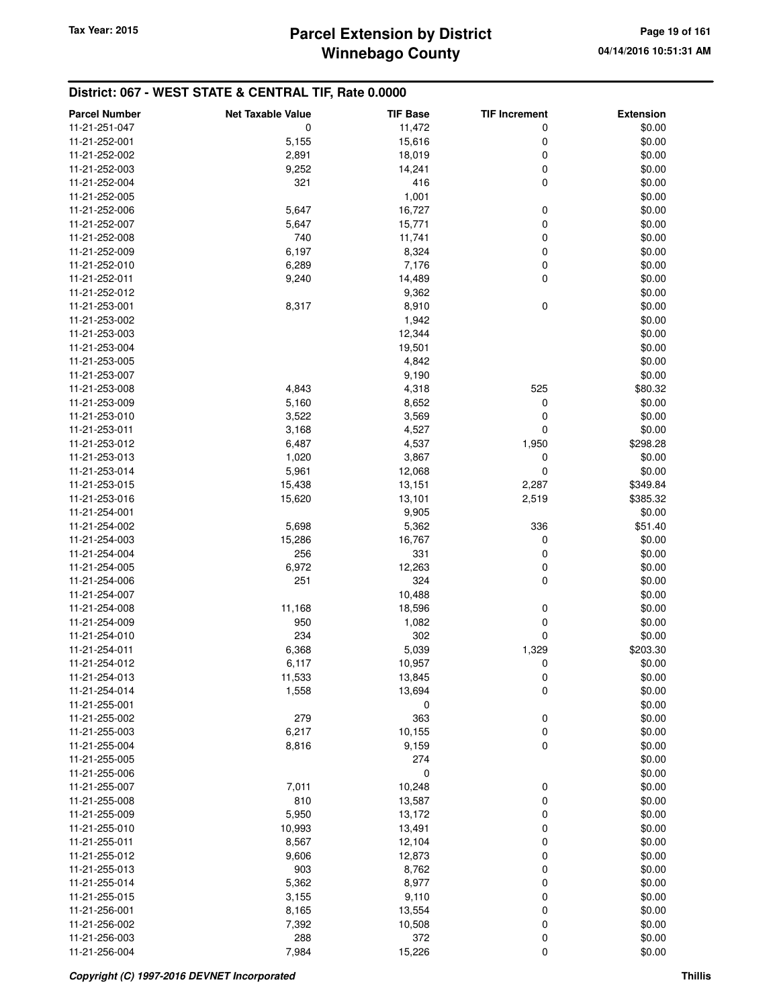| 11-21-251-047<br>11,472<br>0<br>0<br>\$0.00<br>\$0.00<br>11-21-252-001<br>5,155<br>15,616<br>0<br>0<br>\$0.00<br>11-21-252-002<br>2,891<br>18,019<br>0<br>\$0.00<br>11-21-252-003<br>9,252<br>14,241<br>0<br>\$0.00<br>11-21-252-004<br>321<br>416<br>1,001<br>\$0.00<br>11-21-252-005<br>0<br>11-21-252-006<br>5,647<br>16,727<br>\$0.00<br>0<br>15,771<br>\$0.00<br>11-21-252-007<br>5,647<br>0<br>740<br>11,741<br>\$0.00<br>11-21-252-008<br>0<br>\$0.00<br>11-21-252-009<br>6,197<br>8,324<br>0<br>\$0.00<br>11-21-252-010<br>6,289<br>7,176<br>0<br>\$0.00<br>11-21-252-011<br>9,240<br>14,489<br>\$0.00<br>9,362<br>11-21-252-012<br>$\pmb{0}$<br>8,910<br>\$0.00<br>11-21-253-001<br>8,317<br>\$0.00<br>11-21-253-002<br>1,942<br>\$0.00<br>11-21-253-003<br>12,344<br>11-21-253-004<br>19,501<br>\$0.00<br>4,842<br>\$0.00<br>11-21-253-005<br>\$0.00<br>9,190<br>11-21-253-007<br>525<br>11-21-253-008<br>4,843<br>4,318<br>\$80.32<br>11-21-253-009<br>5,160<br>8,652<br>0<br>\$0.00<br>\$0.00<br>11-21-253-010<br>3,522<br>3,569<br>0<br>4,527<br>0<br>\$0.00<br>3,168<br>11-21-253-011<br>6,487<br>4,537<br>1,950<br>\$298.28<br>11-21-253-012<br>11-21-253-013<br>1,020<br>3,867<br>0<br>\$0.00<br>11-21-253-014<br>5,961<br>12,068<br>0<br>\$0.00<br>11-21-253-015<br>15,438<br>13,151<br>\$349.84<br>2,287<br>2,519<br>\$385.32<br>11-21-253-016<br>15,620<br>13,101<br>9,905<br>\$0.00<br>11-21-254-001<br>11-21-254-002<br>5,698<br>5,362<br>336<br>\$51.40<br>11-21-254-003<br>15,286<br>16,767<br>0<br>\$0.00<br>331<br>\$0.00<br>11-21-254-004<br>256<br>0<br>\$0.00<br>6,972<br>12,263<br>0<br>11-21-254-005<br>251<br>324<br>0<br>\$0.00<br>11-21-254-006<br>\$0.00<br>11-21-254-007<br>10,488<br>0<br>11,168<br>\$0.00<br>11-21-254-008<br>18,596<br>0<br>950<br>1,082<br>\$0.00<br>11-21-254-009<br>0<br>234<br>302<br>\$0.00<br>11-21-254-010<br>6,368<br>5,039<br>1,329<br>\$203.30<br>11-21-254-011<br>11-21-254-012<br>10,957<br>0<br>\$0.00<br>6,117<br>11-21-254-013<br>11,533<br>13,845<br>0<br>\$0.00<br>0<br>11-21-254-014<br>1,558<br>13,694<br>\$0.00<br>\$0.00<br>11-21-255-001<br>0<br>279<br>\$0.00<br>363<br>0<br>11-21-255-002<br>6,217<br>0<br>\$0.00<br>11-21-255-003<br>10,155<br>0<br>\$0.00<br>11-21-255-004<br>8,816<br>9,159<br>274<br>\$0.00<br>11-21-255-005<br>$\mathbf 0$<br>\$0.00<br>11-21-255-006<br>\$0.00<br>7,011<br>10,248<br>0<br>11-21-255-007<br>0<br>\$0.00<br>11-21-255-008<br>810<br>13,587<br>\$0.00<br>11-21-255-009<br>5,950<br>0<br>13,172<br>0<br>\$0.00<br>11-21-255-010<br>10,993<br>13,491<br>0<br>8,567<br>12,104<br>\$0.00<br>11-21-255-011<br>0<br>\$0.00<br>9,606<br>12,873<br>11-21-255-012<br>\$0.00<br>11-21-255-013<br>903<br>8,762<br>0<br>0<br>\$0.00<br>11-21-255-014<br>5,362<br>8,977<br>9,110<br>0<br>\$0.00<br>11-21-255-015<br>3,155<br>0<br>8,165<br>13,554<br>\$0.00<br>11-21-256-001<br>0<br>\$0.00<br>7,392<br>10,508<br>11-21-256-002<br>0<br>\$0.00<br>11-21-256-003<br>288<br>372<br>0<br>11-21-256-004<br>15,226<br>\$0.00<br>7,984 | <b>Parcel Number</b> | <b>Net Taxable Value</b> | <b>TIF Base</b> | <b>TIF Increment</b> | <b>Extension</b> |
|--------------------------------------------------------------------------------------------------------------------------------------------------------------------------------------------------------------------------------------------------------------------------------------------------------------------------------------------------------------------------------------------------------------------------------------------------------------------------------------------------------------------------------------------------------------------------------------------------------------------------------------------------------------------------------------------------------------------------------------------------------------------------------------------------------------------------------------------------------------------------------------------------------------------------------------------------------------------------------------------------------------------------------------------------------------------------------------------------------------------------------------------------------------------------------------------------------------------------------------------------------------------------------------------------------------------------------------------------------------------------------------------------------------------------------------------------------------------------------------------------------------------------------------------------------------------------------------------------------------------------------------------------------------------------------------------------------------------------------------------------------------------------------------------------------------------------------------------------------------------------------------------------------------------------------------------------------------------------------------------------------------------------------------------------------------------------------------------------------------------------------------------------------------------------------------------------------------------------------------------------------------------------------------------------------------------------------------------------------------------------------------------------------------------------------------------------------------------------------------------------------------------------------------------------------------------------------------------------------------------------------------------------------------------------------------------------------------------------------------------------------------------------------------------------------------------------------------------------------------------------------------------------------------------------------------------------------------------------------------------------------------------------------------|----------------------|--------------------------|-----------------|----------------------|------------------|
|                                                                                                                                                                                                                                                                                                                                                                                                                                                                                                                                                                                                                                                                                                                                                                                                                                                                                                                                                                                                                                                                                                                                                                                                                                                                                                                                                                                                                                                                                                                                                                                                                                                                                                                                                                                                                                                                                                                                                                                                                                                                                                                                                                                                                                                                                                                                                                                                                                                                                                                                                                                                                                                                                                                                                                                                                                                                                                                                                                                                                                      |                      |                          |                 |                      |                  |
|                                                                                                                                                                                                                                                                                                                                                                                                                                                                                                                                                                                                                                                                                                                                                                                                                                                                                                                                                                                                                                                                                                                                                                                                                                                                                                                                                                                                                                                                                                                                                                                                                                                                                                                                                                                                                                                                                                                                                                                                                                                                                                                                                                                                                                                                                                                                                                                                                                                                                                                                                                                                                                                                                                                                                                                                                                                                                                                                                                                                                                      |                      |                          |                 |                      |                  |
|                                                                                                                                                                                                                                                                                                                                                                                                                                                                                                                                                                                                                                                                                                                                                                                                                                                                                                                                                                                                                                                                                                                                                                                                                                                                                                                                                                                                                                                                                                                                                                                                                                                                                                                                                                                                                                                                                                                                                                                                                                                                                                                                                                                                                                                                                                                                                                                                                                                                                                                                                                                                                                                                                                                                                                                                                                                                                                                                                                                                                                      |                      |                          |                 |                      |                  |
|                                                                                                                                                                                                                                                                                                                                                                                                                                                                                                                                                                                                                                                                                                                                                                                                                                                                                                                                                                                                                                                                                                                                                                                                                                                                                                                                                                                                                                                                                                                                                                                                                                                                                                                                                                                                                                                                                                                                                                                                                                                                                                                                                                                                                                                                                                                                                                                                                                                                                                                                                                                                                                                                                                                                                                                                                                                                                                                                                                                                                                      |                      |                          |                 |                      |                  |
|                                                                                                                                                                                                                                                                                                                                                                                                                                                                                                                                                                                                                                                                                                                                                                                                                                                                                                                                                                                                                                                                                                                                                                                                                                                                                                                                                                                                                                                                                                                                                                                                                                                                                                                                                                                                                                                                                                                                                                                                                                                                                                                                                                                                                                                                                                                                                                                                                                                                                                                                                                                                                                                                                                                                                                                                                                                                                                                                                                                                                                      |                      |                          |                 |                      |                  |
|                                                                                                                                                                                                                                                                                                                                                                                                                                                                                                                                                                                                                                                                                                                                                                                                                                                                                                                                                                                                                                                                                                                                                                                                                                                                                                                                                                                                                                                                                                                                                                                                                                                                                                                                                                                                                                                                                                                                                                                                                                                                                                                                                                                                                                                                                                                                                                                                                                                                                                                                                                                                                                                                                                                                                                                                                                                                                                                                                                                                                                      |                      |                          |                 |                      |                  |
|                                                                                                                                                                                                                                                                                                                                                                                                                                                                                                                                                                                                                                                                                                                                                                                                                                                                                                                                                                                                                                                                                                                                                                                                                                                                                                                                                                                                                                                                                                                                                                                                                                                                                                                                                                                                                                                                                                                                                                                                                                                                                                                                                                                                                                                                                                                                                                                                                                                                                                                                                                                                                                                                                                                                                                                                                                                                                                                                                                                                                                      |                      |                          |                 |                      |                  |
|                                                                                                                                                                                                                                                                                                                                                                                                                                                                                                                                                                                                                                                                                                                                                                                                                                                                                                                                                                                                                                                                                                                                                                                                                                                                                                                                                                                                                                                                                                                                                                                                                                                                                                                                                                                                                                                                                                                                                                                                                                                                                                                                                                                                                                                                                                                                                                                                                                                                                                                                                                                                                                                                                                                                                                                                                                                                                                                                                                                                                                      |                      |                          |                 |                      |                  |
|                                                                                                                                                                                                                                                                                                                                                                                                                                                                                                                                                                                                                                                                                                                                                                                                                                                                                                                                                                                                                                                                                                                                                                                                                                                                                                                                                                                                                                                                                                                                                                                                                                                                                                                                                                                                                                                                                                                                                                                                                                                                                                                                                                                                                                                                                                                                                                                                                                                                                                                                                                                                                                                                                                                                                                                                                                                                                                                                                                                                                                      |                      |                          |                 |                      |                  |
|                                                                                                                                                                                                                                                                                                                                                                                                                                                                                                                                                                                                                                                                                                                                                                                                                                                                                                                                                                                                                                                                                                                                                                                                                                                                                                                                                                                                                                                                                                                                                                                                                                                                                                                                                                                                                                                                                                                                                                                                                                                                                                                                                                                                                                                                                                                                                                                                                                                                                                                                                                                                                                                                                                                                                                                                                                                                                                                                                                                                                                      |                      |                          |                 |                      |                  |
|                                                                                                                                                                                                                                                                                                                                                                                                                                                                                                                                                                                                                                                                                                                                                                                                                                                                                                                                                                                                                                                                                                                                                                                                                                                                                                                                                                                                                                                                                                                                                                                                                                                                                                                                                                                                                                                                                                                                                                                                                                                                                                                                                                                                                                                                                                                                                                                                                                                                                                                                                                                                                                                                                                                                                                                                                                                                                                                                                                                                                                      |                      |                          |                 |                      |                  |
|                                                                                                                                                                                                                                                                                                                                                                                                                                                                                                                                                                                                                                                                                                                                                                                                                                                                                                                                                                                                                                                                                                                                                                                                                                                                                                                                                                                                                                                                                                                                                                                                                                                                                                                                                                                                                                                                                                                                                                                                                                                                                                                                                                                                                                                                                                                                                                                                                                                                                                                                                                                                                                                                                                                                                                                                                                                                                                                                                                                                                                      |                      |                          |                 |                      |                  |
|                                                                                                                                                                                                                                                                                                                                                                                                                                                                                                                                                                                                                                                                                                                                                                                                                                                                                                                                                                                                                                                                                                                                                                                                                                                                                                                                                                                                                                                                                                                                                                                                                                                                                                                                                                                                                                                                                                                                                                                                                                                                                                                                                                                                                                                                                                                                                                                                                                                                                                                                                                                                                                                                                                                                                                                                                                                                                                                                                                                                                                      |                      |                          |                 |                      |                  |
|                                                                                                                                                                                                                                                                                                                                                                                                                                                                                                                                                                                                                                                                                                                                                                                                                                                                                                                                                                                                                                                                                                                                                                                                                                                                                                                                                                                                                                                                                                                                                                                                                                                                                                                                                                                                                                                                                                                                                                                                                                                                                                                                                                                                                                                                                                                                                                                                                                                                                                                                                                                                                                                                                                                                                                                                                                                                                                                                                                                                                                      |                      |                          |                 |                      |                  |
|                                                                                                                                                                                                                                                                                                                                                                                                                                                                                                                                                                                                                                                                                                                                                                                                                                                                                                                                                                                                                                                                                                                                                                                                                                                                                                                                                                                                                                                                                                                                                                                                                                                                                                                                                                                                                                                                                                                                                                                                                                                                                                                                                                                                                                                                                                                                                                                                                                                                                                                                                                                                                                                                                                                                                                                                                                                                                                                                                                                                                                      |                      |                          |                 |                      |                  |
|                                                                                                                                                                                                                                                                                                                                                                                                                                                                                                                                                                                                                                                                                                                                                                                                                                                                                                                                                                                                                                                                                                                                                                                                                                                                                                                                                                                                                                                                                                                                                                                                                                                                                                                                                                                                                                                                                                                                                                                                                                                                                                                                                                                                                                                                                                                                                                                                                                                                                                                                                                                                                                                                                                                                                                                                                                                                                                                                                                                                                                      |                      |                          |                 |                      |                  |
|                                                                                                                                                                                                                                                                                                                                                                                                                                                                                                                                                                                                                                                                                                                                                                                                                                                                                                                                                                                                                                                                                                                                                                                                                                                                                                                                                                                                                                                                                                                                                                                                                                                                                                                                                                                                                                                                                                                                                                                                                                                                                                                                                                                                                                                                                                                                                                                                                                                                                                                                                                                                                                                                                                                                                                                                                                                                                                                                                                                                                                      |                      |                          |                 |                      |                  |
|                                                                                                                                                                                                                                                                                                                                                                                                                                                                                                                                                                                                                                                                                                                                                                                                                                                                                                                                                                                                                                                                                                                                                                                                                                                                                                                                                                                                                                                                                                                                                                                                                                                                                                                                                                                                                                                                                                                                                                                                                                                                                                                                                                                                                                                                                                                                                                                                                                                                                                                                                                                                                                                                                                                                                                                                                                                                                                                                                                                                                                      |                      |                          |                 |                      |                  |
|                                                                                                                                                                                                                                                                                                                                                                                                                                                                                                                                                                                                                                                                                                                                                                                                                                                                                                                                                                                                                                                                                                                                                                                                                                                                                                                                                                                                                                                                                                                                                                                                                                                                                                                                                                                                                                                                                                                                                                                                                                                                                                                                                                                                                                                                                                                                                                                                                                                                                                                                                                                                                                                                                                                                                                                                                                                                                                                                                                                                                                      |                      |                          |                 |                      |                  |
|                                                                                                                                                                                                                                                                                                                                                                                                                                                                                                                                                                                                                                                                                                                                                                                                                                                                                                                                                                                                                                                                                                                                                                                                                                                                                                                                                                                                                                                                                                                                                                                                                                                                                                                                                                                                                                                                                                                                                                                                                                                                                                                                                                                                                                                                                                                                                                                                                                                                                                                                                                                                                                                                                                                                                                                                                                                                                                                                                                                                                                      |                      |                          |                 |                      |                  |
|                                                                                                                                                                                                                                                                                                                                                                                                                                                                                                                                                                                                                                                                                                                                                                                                                                                                                                                                                                                                                                                                                                                                                                                                                                                                                                                                                                                                                                                                                                                                                                                                                                                                                                                                                                                                                                                                                                                                                                                                                                                                                                                                                                                                                                                                                                                                                                                                                                                                                                                                                                                                                                                                                                                                                                                                                                                                                                                                                                                                                                      |                      |                          |                 |                      |                  |
|                                                                                                                                                                                                                                                                                                                                                                                                                                                                                                                                                                                                                                                                                                                                                                                                                                                                                                                                                                                                                                                                                                                                                                                                                                                                                                                                                                                                                                                                                                                                                                                                                                                                                                                                                                                                                                                                                                                                                                                                                                                                                                                                                                                                                                                                                                                                                                                                                                                                                                                                                                                                                                                                                                                                                                                                                                                                                                                                                                                                                                      |                      |                          |                 |                      |                  |
|                                                                                                                                                                                                                                                                                                                                                                                                                                                                                                                                                                                                                                                                                                                                                                                                                                                                                                                                                                                                                                                                                                                                                                                                                                                                                                                                                                                                                                                                                                                                                                                                                                                                                                                                                                                                                                                                                                                                                                                                                                                                                                                                                                                                                                                                                                                                                                                                                                                                                                                                                                                                                                                                                                                                                                                                                                                                                                                                                                                                                                      |                      |                          |                 |                      |                  |
|                                                                                                                                                                                                                                                                                                                                                                                                                                                                                                                                                                                                                                                                                                                                                                                                                                                                                                                                                                                                                                                                                                                                                                                                                                                                                                                                                                                                                                                                                                                                                                                                                                                                                                                                                                                                                                                                                                                                                                                                                                                                                                                                                                                                                                                                                                                                                                                                                                                                                                                                                                                                                                                                                                                                                                                                                                                                                                                                                                                                                                      |                      |                          |                 |                      |                  |
|                                                                                                                                                                                                                                                                                                                                                                                                                                                                                                                                                                                                                                                                                                                                                                                                                                                                                                                                                                                                                                                                                                                                                                                                                                                                                                                                                                                                                                                                                                                                                                                                                                                                                                                                                                                                                                                                                                                                                                                                                                                                                                                                                                                                                                                                                                                                                                                                                                                                                                                                                                                                                                                                                                                                                                                                                                                                                                                                                                                                                                      |                      |                          |                 |                      |                  |
|                                                                                                                                                                                                                                                                                                                                                                                                                                                                                                                                                                                                                                                                                                                                                                                                                                                                                                                                                                                                                                                                                                                                                                                                                                                                                                                                                                                                                                                                                                                                                                                                                                                                                                                                                                                                                                                                                                                                                                                                                                                                                                                                                                                                                                                                                                                                                                                                                                                                                                                                                                                                                                                                                                                                                                                                                                                                                                                                                                                                                                      |                      |                          |                 |                      |                  |
|                                                                                                                                                                                                                                                                                                                                                                                                                                                                                                                                                                                                                                                                                                                                                                                                                                                                                                                                                                                                                                                                                                                                                                                                                                                                                                                                                                                                                                                                                                                                                                                                                                                                                                                                                                                                                                                                                                                                                                                                                                                                                                                                                                                                                                                                                                                                                                                                                                                                                                                                                                                                                                                                                                                                                                                                                                                                                                                                                                                                                                      |                      |                          |                 |                      |                  |
|                                                                                                                                                                                                                                                                                                                                                                                                                                                                                                                                                                                                                                                                                                                                                                                                                                                                                                                                                                                                                                                                                                                                                                                                                                                                                                                                                                                                                                                                                                                                                                                                                                                                                                                                                                                                                                                                                                                                                                                                                                                                                                                                                                                                                                                                                                                                                                                                                                                                                                                                                                                                                                                                                                                                                                                                                                                                                                                                                                                                                                      |                      |                          |                 |                      |                  |
|                                                                                                                                                                                                                                                                                                                                                                                                                                                                                                                                                                                                                                                                                                                                                                                                                                                                                                                                                                                                                                                                                                                                                                                                                                                                                                                                                                                                                                                                                                                                                                                                                                                                                                                                                                                                                                                                                                                                                                                                                                                                                                                                                                                                                                                                                                                                                                                                                                                                                                                                                                                                                                                                                                                                                                                                                                                                                                                                                                                                                                      |                      |                          |                 |                      |                  |
|                                                                                                                                                                                                                                                                                                                                                                                                                                                                                                                                                                                                                                                                                                                                                                                                                                                                                                                                                                                                                                                                                                                                                                                                                                                                                                                                                                                                                                                                                                                                                                                                                                                                                                                                                                                                                                                                                                                                                                                                                                                                                                                                                                                                                                                                                                                                                                                                                                                                                                                                                                                                                                                                                                                                                                                                                                                                                                                                                                                                                                      |                      |                          |                 |                      |                  |
|                                                                                                                                                                                                                                                                                                                                                                                                                                                                                                                                                                                                                                                                                                                                                                                                                                                                                                                                                                                                                                                                                                                                                                                                                                                                                                                                                                                                                                                                                                                                                                                                                                                                                                                                                                                                                                                                                                                                                                                                                                                                                                                                                                                                                                                                                                                                                                                                                                                                                                                                                                                                                                                                                                                                                                                                                                                                                                                                                                                                                                      |                      |                          |                 |                      |                  |
|                                                                                                                                                                                                                                                                                                                                                                                                                                                                                                                                                                                                                                                                                                                                                                                                                                                                                                                                                                                                                                                                                                                                                                                                                                                                                                                                                                                                                                                                                                                                                                                                                                                                                                                                                                                                                                                                                                                                                                                                                                                                                                                                                                                                                                                                                                                                                                                                                                                                                                                                                                                                                                                                                                                                                                                                                                                                                                                                                                                                                                      |                      |                          |                 |                      |                  |
|                                                                                                                                                                                                                                                                                                                                                                                                                                                                                                                                                                                                                                                                                                                                                                                                                                                                                                                                                                                                                                                                                                                                                                                                                                                                                                                                                                                                                                                                                                                                                                                                                                                                                                                                                                                                                                                                                                                                                                                                                                                                                                                                                                                                                                                                                                                                                                                                                                                                                                                                                                                                                                                                                                                                                                                                                                                                                                                                                                                                                                      |                      |                          |                 |                      |                  |
|                                                                                                                                                                                                                                                                                                                                                                                                                                                                                                                                                                                                                                                                                                                                                                                                                                                                                                                                                                                                                                                                                                                                                                                                                                                                                                                                                                                                                                                                                                                                                                                                                                                                                                                                                                                                                                                                                                                                                                                                                                                                                                                                                                                                                                                                                                                                                                                                                                                                                                                                                                                                                                                                                                                                                                                                                                                                                                                                                                                                                                      |                      |                          |                 |                      |                  |
|                                                                                                                                                                                                                                                                                                                                                                                                                                                                                                                                                                                                                                                                                                                                                                                                                                                                                                                                                                                                                                                                                                                                                                                                                                                                                                                                                                                                                                                                                                                                                                                                                                                                                                                                                                                                                                                                                                                                                                                                                                                                                                                                                                                                                                                                                                                                                                                                                                                                                                                                                                                                                                                                                                                                                                                                                                                                                                                                                                                                                                      |                      |                          |                 |                      |                  |
|                                                                                                                                                                                                                                                                                                                                                                                                                                                                                                                                                                                                                                                                                                                                                                                                                                                                                                                                                                                                                                                                                                                                                                                                                                                                                                                                                                                                                                                                                                                                                                                                                                                                                                                                                                                                                                                                                                                                                                                                                                                                                                                                                                                                                                                                                                                                                                                                                                                                                                                                                                                                                                                                                                                                                                                                                                                                                                                                                                                                                                      |                      |                          |                 |                      |                  |
|                                                                                                                                                                                                                                                                                                                                                                                                                                                                                                                                                                                                                                                                                                                                                                                                                                                                                                                                                                                                                                                                                                                                                                                                                                                                                                                                                                                                                                                                                                                                                                                                                                                                                                                                                                                                                                                                                                                                                                                                                                                                                                                                                                                                                                                                                                                                                                                                                                                                                                                                                                                                                                                                                                                                                                                                                                                                                                                                                                                                                                      |                      |                          |                 |                      |                  |
|                                                                                                                                                                                                                                                                                                                                                                                                                                                                                                                                                                                                                                                                                                                                                                                                                                                                                                                                                                                                                                                                                                                                                                                                                                                                                                                                                                                                                                                                                                                                                                                                                                                                                                                                                                                                                                                                                                                                                                                                                                                                                                                                                                                                                                                                                                                                                                                                                                                                                                                                                                                                                                                                                                                                                                                                                                                                                                                                                                                                                                      |                      |                          |                 |                      |                  |
|                                                                                                                                                                                                                                                                                                                                                                                                                                                                                                                                                                                                                                                                                                                                                                                                                                                                                                                                                                                                                                                                                                                                                                                                                                                                                                                                                                                                                                                                                                                                                                                                                                                                                                                                                                                                                                                                                                                                                                                                                                                                                                                                                                                                                                                                                                                                                                                                                                                                                                                                                                                                                                                                                                                                                                                                                                                                                                                                                                                                                                      |                      |                          |                 |                      |                  |
|                                                                                                                                                                                                                                                                                                                                                                                                                                                                                                                                                                                                                                                                                                                                                                                                                                                                                                                                                                                                                                                                                                                                                                                                                                                                                                                                                                                                                                                                                                                                                                                                                                                                                                                                                                                                                                                                                                                                                                                                                                                                                                                                                                                                                                                                                                                                                                                                                                                                                                                                                                                                                                                                                                                                                                                                                                                                                                                                                                                                                                      |                      |                          |                 |                      |                  |
|                                                                                                                                                                                                                                                                                                                                                                                                                                                                                                                                                                                                                                                                                                                                                                                                                                                                                                                                                                                                                                                                                                                                                                                                                                                                                                                                                                                                                                                                                                                                                                                                                                                                                                                                                                                                                                                                                                                                                                                                                                                                                                                                                                                                                                                                                                                                                                                                                                                                                                                                                                                                                                                                                                                                                                                                                                                                                                                                                                                                                                      |                      |                          |                 |                      |                  |
|                                                                                                                                                                                                                                                                                                                                                                                                                                                                                                                                                                                                                                                                                                                                                                                                                                                                                                                                                                                                                                                                                                                                                                                                                                                                                                                                                                                                                                                                                                                                                                                                                                                                                                                                                                                                                                                                                                                                                                                                                                                                                                                                                                                                                                                                                                                                                                                                                                                                                                                                                                                                                                                                                                                                                                                                                                                                                                                                                                                                                                      |                      |                          |                 |                      |                  |
|                                                                                                                                                                                                                                                                                                                                                                                                                                                                                                                                                                                                                                                                                                                                                                                                                                                                                                                                                                                                                                                                                                                                                                                                                                                                                                                                                                                                                                                                                                                                                                                                                                                                                                                                                                                                                                                                                                                                                                                                                                                                                                                                                                                                                                                                                                                                                                                                                                                                                                                                                                                                                                                                                                                                                                                                                                                                                                                                                                                                                                      |                      |                          |                 |                      |                  |
|                                                                                                                                                                                                                                                                                                                                                                                                                                                                                                                                                                                                                                                                                                                                                                                                                                                                                                                                                                                                                                                                                                                                                                                                                                                                                                                                                                                                                                                                                                                                                                                                                                                                                                                                                                                                                                                                                                                                                                                                                                                                                                                                                                                                                                                                                                                                                                                                                                                                                                                                                                                                                                                                                                                                                                                                                                                                                                                                                                                                                                      |                      |                          |                 |                      |                  |
|                                                                                                                                                                                                                                                                                                                                                                                                                                                                                                                                                                                                                                                                                                                                                                                                                                                                                                                                                                                                                                                                                                                                                                                                                                                                                                                                                                                                                                                                                                                                                                                                                                                                                                                                                                                                                                                                                                                                                                                                                                                                                                                                                                                                                                                                                                                                                                                                                                                                                                                                                                                                                                                                                                                                                                                                                                                                                                                                                                                                                                      |                      |                          |                 |                      |                  |
|                                                                                                                                                                                                                                                                                                                                                                                                                                                                                                                                                                                                                                                                                                                                                                                                                                                                                                                                                                                                                                                                                                                                                                                                                                                                                                                                                                                                                                                                                                                                                                                                                                                                                                                                                                                                                                                                                                                                                                                                                                                                                                                                                                                                                                                                                                                                                                                                                                                                                                                                                                                                                                                                                                                                                                                                                                                                                                                                                                                                                                      |                      |                          |                 |                      |                  |
|                                                                                                                                                                                                                                                                                                                                                                                                                                                                                                                                                                                                                                                                                                                                                                                                                                                                                                                                                                                                                                                                                                                                                                                                                                                                                                                                                                                                                                                                                                                                                                                                                                                                                                                                                                                                                                                                                                                                                                                                                                                                                                                                                                                                                                                                                                                                                                                                                                                                                                                                                                                                                                                                                                                                                                                                                                                                                                                                                                                                                                      |                      |                          |                 |                      |                  |
|                                                                                                                                                                                                                                                                                                                                                                                                                                                                                                                                                                                                                                                                                                                                                                                                                                                                                                                                                                                                                                                                                                                                                                                                                                                                                                                                                                                                                                                                                                                                                                                                                                                                                                                                                                                                                                                                                                                                                                                                                                                                                                                                                                                                                                                                                                                                                                                                                                                                                                                                                                                                                                                                                                                                                                                                                                                                                                                                                                                                                                      |                      |                          |                 |                      |                  |
|                                                                                                                                                                                                                                                                                                                                                                                                                                                                                                                                                                                                                                                                                                                                                                                                                                                                                                                                                                                                                                                                                                                                                                                                                                                                                                                                                                                                                                                                                                                                                                                                                                                                                                                                                                                                                                                                                                                                                                                                                                                                                                                                                                                                                                                                                                                                                                                                                                                                                                                                                                                                                                                                                                                                                                                                                                                                                                                                                                                                                                      |                      |                          |                 |                      |                  |
|                                                                                                                                                                                                                                                                                                                                                                                                                                                                                                                                                                                                                                                                                                                                                                                                                                                                                                                                                                                                                                                                                                                                                                                                                                                                                                                                                                                                                                                                                                                                                                                                                                                                                                                                                                                                                                                                                                                                                                                                                                                                                                                                                                                                                                                                                                                                                                                                                                                                                                                                                                                                                                                                                                                                                                                                                                                                                                                                                                                                                                      |                      |                          |                 |                      |                  |
|                                                                                                                                                                                                                                                                                                                                                                                                                                                                                                                                                                                                                                                                                                                                                                                                                                                                                                                                                                                                                                                                                                                                                                                                                                                                                                                                                                                                                                                                                                                                                                                                                                                                                                                                                                                                                                                                                                                                                                                                                                                                                                                                                                                                                                                                                                                                                                                                                                                                                                                                                                                                                                                                                                                                                                                                                                                                                                                                                                                                                                      |                      |                          |                 |                      |                  |
|                                                                                                                                                                                                                                                                                                                                                                                                                                                                                                                                                                                                                                                                                                                                                                                                                                                                                                                                                                                                                                                                                                                                                                                                                                                                                                                                                                                                                                                                                                                                                                                                                                                                                                                                                                                                                                                                                                                                                                                                                                                                                                                                                                                                                                                                                                                                                                                                                                                                                                                                                                                                                                                                                                                                                                                                                                                                                                                                                                                                                                      |                      |                          |                 |                      |                  |
|                                                                                                                                                                                                                                                                                                                                                                                                                                                                                                                                                                                                                                                                                                                                                                                                                                                                                                                                                                                                                                                                                                                                                                                                                                                                                                                                                                                                                                                                                                                                                                                                                                                                                                                                                                                                                                                                                                                                                                                                                                                                                                                                                                                                                                                                                                                                                                                                                                                                                                                                                                                                                                                                                                                                                                                                                                                                                                                                                                                                                                      |                      |                          |                 |                      |                  |
|                                                                                                                                                                                                                                                                                                                                                                                                                                                                                                                                                                                                                                                                                                                                                                                                                                                                                                                                                                                                                                                                                                                                                                                                                                                                                                                                                                                                                                                                                                                                                                                                                                                                                                                                                                                                                                                                                                                                                                                                                                                                                                                                                                                                                                                                                                                                                                                                                                                                                                                                                                                                                                                                                                                                                                                                                                                                                                                                                                                                                                      |                      |                          |                 |                      |                  |
|                                                                                                                                                                                                                                                                                                                                                                                                                                                                                                                                                                                                                                                                                                                                                                                                                                                                                                                                                                                                                                                                                                                                                                                                                                                                                                                                                                                                                                                                                                                                                                                                                                                                                                                                                                                                                                                                                                                                                                                                                                                                                                                                                                                                                                                                                                                                                                                                                                                                                                                                                                                                                                                                                                                                                                                                                                                                                                                                                                                                                                      |                      |                          |                 |                      |                  |
|                                                                                                                                                                                                                                                                                                                                                                                                                                                                                                                                                                                                                                                                                                                                                                                                                                                                                                                                                                                                                                                                                                                                                                                                                                                                                                                                                                                                                                                                                                                                                                                                                                                                                                                                                                                                                                                                                                                                                                                                                                                                                                                                                                                                                                                                                                                                                                                                                                                                                                                                                                                                                                                                                                                                                                                                                                                                                                                                                                                                                                      |                      |                          |                 |                      |                  |
|                                                                                                                                                                                                                                                                                                                                                                                                                                                                                                                                                                                                                                                                                                                                                                                                                                                                                                                                                                                                                                                                                                                                                                                                                                                                                                                                                                                                                                                                                                                                                                                                                                                                                                                                                                                                                                                                                                                                                                                                                                                                                                                                                                                                                                                                                                                                                                                                                                                                                                                                                                                                                                                                                                                                                                                                                                                                                                                                                                                                                                      |                      |                          |                 |                      |                  |
|                                                                                                                                                                                                                                                                                                                                                                                                                                                                                                                                                                                                                                                                                                                                                                                                                                                                                                                                                                                                                                                                                                                                                                                                                                                                                                                                                                                                                                                                                                                                                                                                                                                                                                                                                                                                                                                                                                                                                                                                                                                                                                                                                                                                                                                                                                                                                                                                                                                                                                                                                                                                                                                                                                                                                                                                                                                                                                                                                                                                                                      |                      |                          |                 |                      |                  |
|                                                                                                                                                                                                                                                                                                                                                                                                                                                                                                                                                                                                                                                                                                                                                                                                                                                                                                                                                                                                                                                                                                                                                                                                                                                                                                                                                                                                                                                                                                                                                                                                                                                                                                                                                                                                                                                                                                                                                                                                                                                                                                                                                                                                                                                                                                                                                                                                                                                                                                                                                                                                                                                                                                                                                                                                                                                                                                                                                                                                                                      |                      |                          |                 |                      |                  |
|                                                                                                                                                                                                                                                                                                                                                                                                                                                                                                                                                                                                                                                                                                                                                                                                                                                                                                                                                                                                                                                                                                                                                                                                                                                                                                                                                                                                                                                                                                                                                                                                                                                                                                                                                                                                                                                                                                                                                                                                                                                                                                                                                                                                                                                                                                                                                                                                                                                                                                                                                                                                                                                                                                                                                                                                                                                                                                                                                                                                                                      |                      |                          |                 |                      |                  |
|                                                                                                                                                                                                                                                                                                                                                                                                                                                                                                                                                                                                                                                                                                                                                                                                                                                                                                                                                                                                                                                                                                                                                                                                                                                                                                                                                                                                                                                                                                                                                                                                                                                                                                                                                                                                                                                                                                                                                                                                                                                                                                                                                                                                                                                                                                                                                                                                                                                                                                                                                                                                                                                                                                                                                                                                                                                                                                                                                                                                                                      |                      |                          |                 |                      |                  |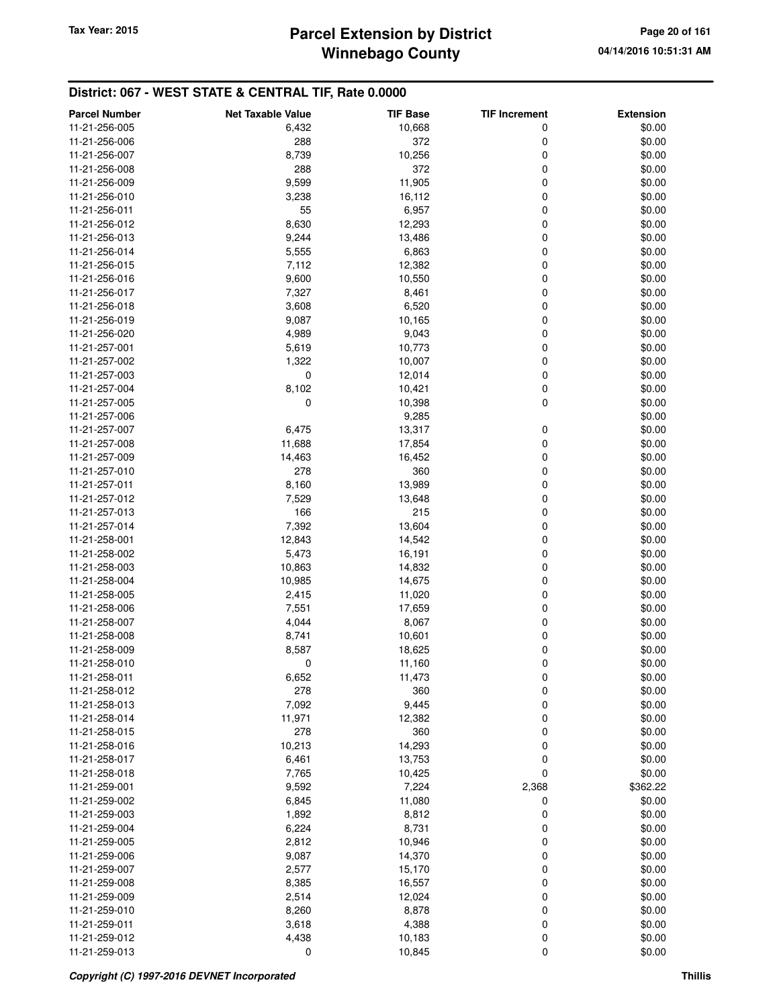| <b>Parcel Number</b>           | <b>Net Taxable Value</b> | <b>TIF Base</b> | <b>TIF Increment</b> | <b>Extension</b> |
|--------------------------------|--------------------------|-----------------|----------------------|------------------|
| 11-21-256-005                  | 6,432                    | 10,668          | 0                    | \$0.00           |
| 11-21-256-006                  | 288                      | 372             | 0                    | \$0.00           |
| 11-21-256-007                  | 8,739                    | 10,256          | 0                    | \$0.00           |
| 11-21-256-008                  | 288                      | 372             | 0                    | \$0.00           |
| 11-21-256-009                  | 9,599                    | 11,905          | 0                    | \$0.00           |
| 11-21-256-010                  | 3,238                    | 16,112          | 0                    | \$0.00           |
| 11-21-256-011                  | 55                       | 6,957           | 0                    | \$0.00           |
| 11-21-256-012                  | 8,630                    | 12,293          | 0                    | \$0.00           |
| 11-21-256-013                  | 9,244                    | 13,486          | 0                    | \$0.00           |
| 11-21-256-014                  | 5,555                    | 6,863           | 0                    | \$0.00           |
| 11-21-256-015                  | 7,112                    | 12,382          | 0                    | \$0.00           |
| 11-21-256-016                  | 9,600                    | 10,550          | 0                    | \$0.00           |
| 11-21-256-017                  | 7,327                    | 8,461           | 0                    | \$0.00           |
| 11-21-256-018                  | 3,608                    | 6,520           | 0                    | \$0.00           |
| 11-21-256-019                  | 9,087                    | 10,165          | 0                    | \$0.00           |
| 11-21-256-020                  | 4,989                    | 9,043           | 0                    | \$0.00           |
| 11-21-257-001                  | 5,619                    | 10,773          | 0                    | \$0.00           |
| 11-21-257-002                  | 1,322                    | 10,007          | 0                    | \$0.00           |
| 11-21-257-003                  | 0                        | 12,014          | 0                    | \$0.00           |
| 11-21-257-004                  | 8,102                    | 10,421          | 0                    | \$0.00           |
| 11-21-257-005                  | 0                        | 10,398          | 0                    | \$0.00           |
| 11-21-257-006                  |                          | 9,285           |                      | \$0.00           |
| 11-21-257-007                  | 6,475                    | 13,317          | 0                    | \$0.00           |
| 11-21-257-008                  | 11,688                   | 17,854          | 0                    | \$0.00           |
| 11-21-257-009                  | 14,463                   | 16,452          | 0                    | \$0.00           |
| 11-21-257-010                  | 278                      | 360             | 0                    | \$0.00           |
| 11-21-257-011                  | 8,160                    | 13,989          | 0                    | \$0.00           |
| 11-21-257-012                  | 7,529                    | 13,648          | 0                    | \$0.00           |
| 11-21-257-013                  | 166                      | 215             | 0                    | \$0.00           |
| 11-21-257-014                  | 7,392                    | 13,604          | 0                    | \$0.00           |
| 11-21-258-001                  | 12,843                   | 14,542          | 0                    | \$0.00           |
| 11-21-258-002                  | 5,473                    | 16,191          | 0                    | \$0.00           |
| 11-21-258-003                  | 10,863                   | 14,832          | 0                    | \$0.00           |
| 11-21-258-004                  | 10,985                   | 14,675          | 0                    | \$0.00           |
| 11-21-258-005                  | 2,415                    | 11,020          | 0                    | \$0.00           |
| 11-21-258-006                  | 7,551                    |                 | 0                    | \$0.00           |
| 11-21-258-007                  | 4,044                    | 17,659<br>8,067 | 0                    | \$0.00           |
| 11-21-258-008                  | 8,741                    | 10,601          | 0                    | \$0.00           |
| 11-21-258-009                  | 8,587                    | 18,625          | 0                    | \$0.00           |
| 11-21-258-010                  | 0                        | 11,160          | 0                    | \$0.00           |
| 11-21-258-011                  | 6,652                    | 11,473          | 0                    | \$0.00           |
| 11-21-258-012                  | 278                      | 360             | 0                    | \$0.00           |
| 11-21-258-013                  | 7,092                    | 9,445           | 0                    | \$0.00           |
| 11-21-258-014                  | 11,971                   | 12,382          | 0                    | \$0.00           |
| 11-21-258-015                  | 278                      | 360             | 0                    | \$0.00           |
| 11-21-258-016                  | 10,213                   | 14,293          | 0                    | \$0.00           |
| 11-21-258-017                  | 6,461                    | 13,753          | 0                    | \$0.00           |
| 11-21-258-018                  | 7,765                    | 10,425          | 0                    | \$0.00           |
|                                |                          |                 |                      |                  |
| 11-21-259-001                  | 9,592                    | 7,224           | 2,368                | \$362.22         |
| 11-21-259-002                  | 6,845                    | 11,080          | 0<br>0               | \$0.00           |
| 11-21-259-003<br>11-21-259-004 | 1,892                    | 8,812           |                      | \$0.00           |
|                                | 6,224                    | 8,731           | 0<br>0               | \$0.00           |
| 11-21-259-005                  | 2,812                    | 10,946          |                      | \$0.00           |
| 11-21-259-006                  | 9,087                    | 14,370          | 0                    | \$0.00           |
| 11-21-259-007                  | 2,577                    | 15,170          | 0                    | \$0.00           |
| 11-21-259-008                  | 8,385                    | 16,557          | 0                    | \$0.00           |
| 11-21-259-009                  | 2,514                    | 12,024          | 0                    | \$0.00           |
| 11-21-259-010                  | 8,260                    | 8,878           | 0                    | \$0.00           |
| 11-21-259-011                  | 3,618                    | 4,388           | 0                    | \$0.00           |
| 11-21-259-012                  | 4,438                    | 10,183          | 0                    | \$0.00           |
| 11-21-259-013                  | 0                        | 10,845          | 0                    | \$0.00           |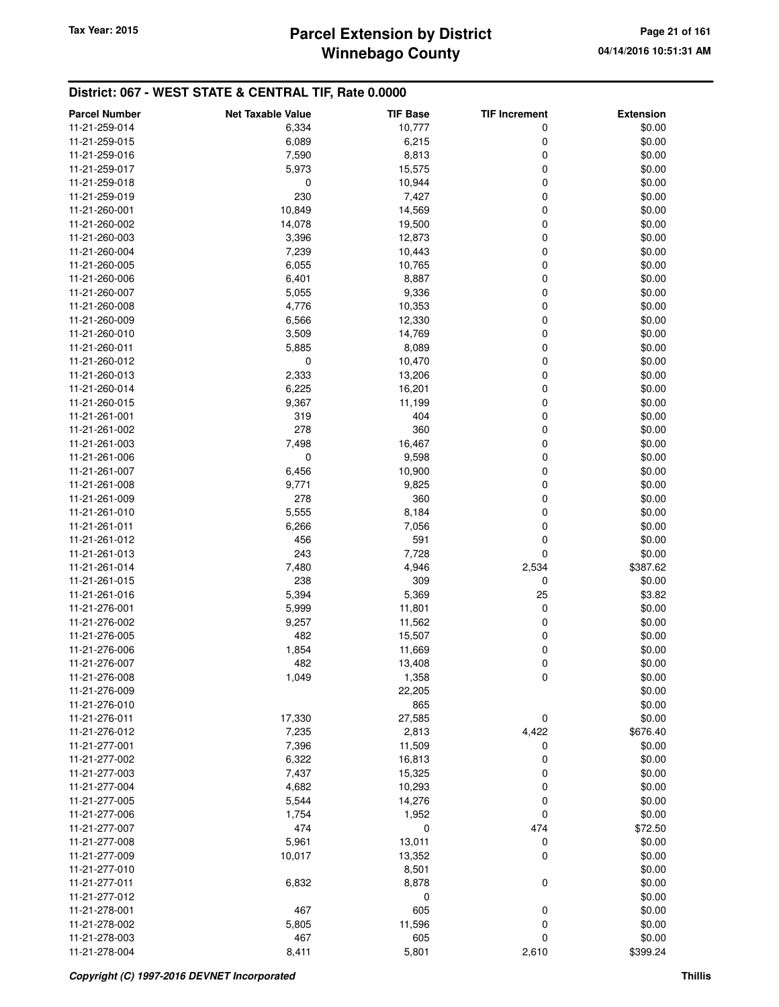## **Winnebago County** Tax Year: 2015 **Parcel Extension by District Page 21 of 161**

| <b>Parcel Number</b> | <b>Net Taxable Value</b> | <b>TIF Base</b> | <b>TIF Increment</b> | <b>Extension</b> |
|----------------------|--------------------------|-----------------|----------------------|------------------|
| 11-21-259-014        | 6,334                    | 10,777          | 0                    | \$0.00           |
| 11-21-259-015        | 6,089                    | 6,215           | 0                    | \$0.00           |
| 11-21-259-016        | 7,590                    | 8,813           | 0                    | \$0.00           |
| 11-21-259-017        | 5,973                    | 15,575          | 0                    | \$0.00           |
| 11-21-259-018        | 0                        | 10,944          | 0                    | \$0.00           |
| 11-21-259-019        | 230                      | 7,427           | 0                    | \$0.00           |
| 11-21-260-001        | 10,849                   | 14,569          | 0                    | \$0.00           |
| 11-21-260-002        | 14,078                   | 19,500          | 0                    | \$0.00           |
| 11-21-260-003        | 3,396                    | 12,873          | 0                    | \$0.00           |
| 11-21-260-004        | 7,239                    | 10,443          | 0                    | \$0.00           |
| 11-21-260-005        | 6,055                    | 10,765          | 0                    | \$0.00           |
| 11-21-260-006        | 6,401                    | 8,887           | 0                    | \$0.00           |
| 11-21-260-007        | 5,055                    | 9,336           | 0                    | \$0.00           |
| 11-21-260-008        | 4,776                    | 10,353          | 0                    | \$0.00           |
| 11-21-260-009        | 6,566                    | 12,330          | 0                    | \$0.00           |
| 11-21-260-010        | 3,509                    | 14,769          | 0                    | \$0.00           |
| 11-21-260-011        | 5,885                    | 8,089           | 0                    | \$0.00           |
| 11-21-260-012        | 0                        | 10,470          | 0                    | \$0.00           |
| 11-21-260-013        | 2,333                    | 13,206          | 0                    | \$0.00           |
| 11-21-260-014        | 6,225                    | 16,201          | 0                    | \$0.00           |
| 11-21-260-015        | 9,367                    | 11,199          | 0                    | \$0.00           |
| 11-21-261-001        | 319                      | 404             | 0                    | \$0.00           |
| 11-21-261-002        | 278                      | 360             | 0                    | \$0.00           |
| 11-21-261-003        | 7,498                    | 16,467          | 0                    | \$0.00           |
| 11-21-261-006        | 0                        | 9,598           | 0                    | \$0.00           |
| 11-21-261-007        | 6,456                    | 10,900          | 0                    | \$0.00           |
| 11-21-261-008        | 9,771                    | 9,825           | 0                    | \$0.00           |
| 11-21-261-009        | 278                      | 360             | 0                    | \$0.00           |
| 11-21-261-010        | 5,555                    | 8,184           | 0                    | \$0.00           |
| 11-21-261-011        | 6,266                    | 7,056           | 0                    | \$0.00           |
| 11-21-261-012        | 456                      | 591             | 0                    | \$0.00           |
| 11-21-261-013        | 243                      | 7,728           | 0                    | \$0.00           |
| 11-21-261-014        | 7,480                    | 4,946           | 2,534                | \$387.62         |
| 11-21-261-015        | 238                      | 309             | 0                    | \$0.00           |
| 11-21-261-016        | 5,394                    | 5,369           | 25                   | \$3.82           |
| 11-21-276-001        | 5,999                    | 11,801          | 0                    | \$0.00           |
| 11-21-276-002        | 9,257                    | 11,562          | 0                    | \$0.00           |
| 11-21-276-005        | 482                      | 15,507          | 0                    | \$0.00           |
| 11-21-276-006        | 1,854                    | 11,669          | 0                    | \$0.00           |
| 11-21-276-007        | 482                      | 13,408          | 0                    | \$0.00           |
| 11-21-276-008        | 1,049                    | 1,358           | 0                    | \$0.00           |
| 11-21-276-009        |                          | 22,205          |                      | \$0.00           |
| 11-21-276-010        |                          | 865             |                      | \$0.00           |
| 11-21-276-011        | 17,330                   | 27,585          | 0                    | \$0.00           |
| 11-21-276-012        | 7,235                    | 2,813           | 4,422                | \$676.40         |
| 11-21-277-001        | 7,396                    | 11,509          | 0                    | \$0.00           |
| 11-21-277-002        | 6,322                    | 16,813          | 0                    | \$0.00           |
| 11-21-277-003        | 7,437                    | 15,325          | 0                    | \$0.00           |
| 11-21-277-004        | 4,682                    | 10,293          | 0                    | \$0.00           |
| 11-21-277-005        | 5,544                    | 14,276          | 0                    | \$0.00           |
| 11-21-277-006        | 1,754                    | 1,952           | 0                    | \$0.00           |
| 11-21-277-007        | 474                      | $\mathbf 0$     | 474                  | \$72.50          |
| 11-21-277-008        | 5,961                    | 13,011          | 0                    | \$0.00           |
| 11-21-277-009        | 10,017                   | 13,352          | 0                    | \$0.00           |
| 11-21-277-010        |                          | 8,501           |                      | \$0.00           |
| 11-21-277-011        | 6,832                    | 8,878           | 0                    | \$0.00           |
| 11-21-277-012        |                          | 0               |                      | \$0.00           |
| 11-21-278-001        | 467                      | 605             | 0                    | \$0.00           |
| 11-21-278-002        | 5,805                    | 11,596          | 0                    | \$0.00           |
| 11-21-278-003        | 467                      | 605             | 0                    | \$0.00           |
| 11-21-278-004        | 8,411                    | 5,801           | 2,610                | \$399.24         |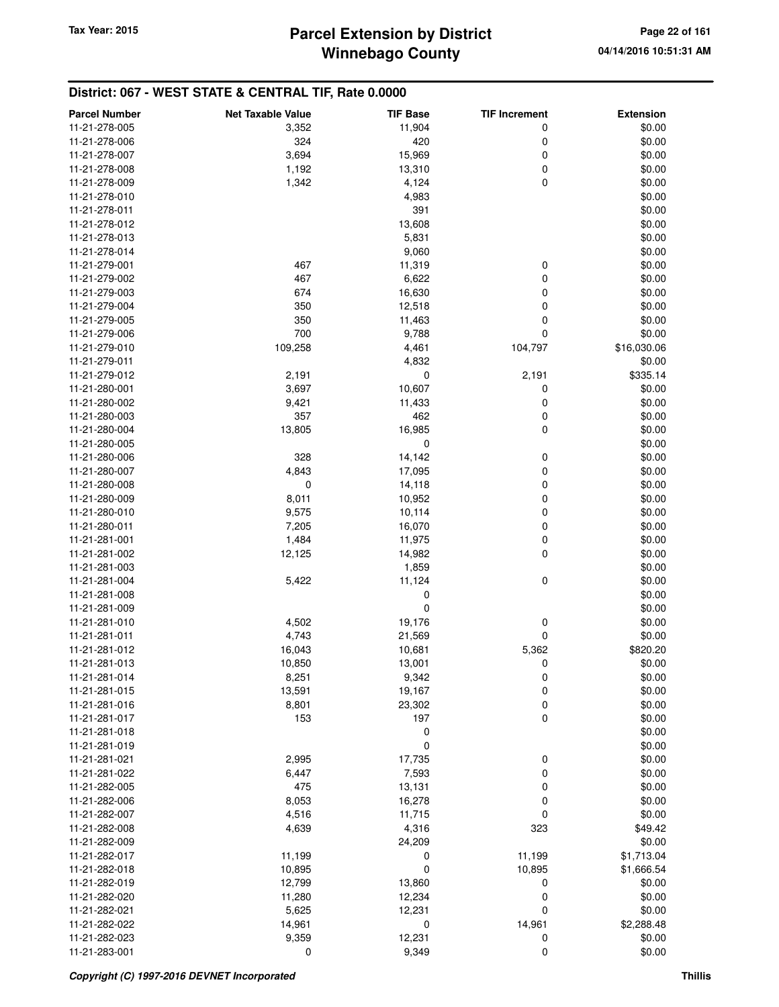| 11-21-278-005<br>\$0.00<br>3,352<br>11,904<br>0<br>420<br>11-21-278-006<br>324<br>0<br>\$0.00<br>3,694<br>15,969<br>0<br>\$0.00<br>11-21-278-007<br>1,192<br>13,310<br>0<br>\$0.00<br>11-21-278-008<br>$\mathbf 0$<br>\$0.00<br>11-21-278-009<br>1,342<br>4,124<br>11-21-278-010<br>\$0.00<br>4,983<br>391<br>11-21-278-011<br>\$0.00<br>13,608<br>\$0.00<br>11-21-278-012<br>5,831<br>\$0.00<br>11-21-278-013<br>9,060<br>\$0.00<br>11-21-278-014<br>11-21-279-001<br>11,319<br>0<br>\$0.00<br>467<br>11-21-279-002<br>467<br>6,622<br>0<br>\$0.00<br>674<br>16,630<br>0<br>\$0.00<br>11-21-279-003<br>11-21-279-004<br>12,518<br>0<br>\$0.00<br>350<br>350<br>0<br>\$0.00<br>11-21-279-005<br>11,463<br>0<br>11-21-279-006<br>700<br>9,788<br>\$0.00<br>11-21-279-010<br>109,258<br>4,461<br>104,797<br>\$16,030.06<br>\$0.00<br>11-21-279-011<br>4,832<br>0<br>2,191<br>\$335.14<br>11-21-279-012<br>2,191<br>11-21-280-001<br>3,697<br>10,607<br>0<br>\$0.00<br>11-21-280-002<br>9,421<br>11,433<br>0<br>\$0.00<br>462<br>11-21-280-003<br>357<br>0<br>\$0.00<br>$\mathbf 0$<br>13,805<br>16,985<br>\$0.00<br>11-21-280-004<br>0<br>\$0.00<br>11-21-280-005<br>0<br>\$0.00<br>11-21-280-006<br>328<br>14,142<br>4,843<br>0<br>\$0.00<br>11-21-280-007<br>17,095<br>0<br>14,118<br>0<br>\$0.00<br>11-21-280-008<br>8,011<br>10,952<br>0<br>\$0.00<br>11-21-280-009<br>9,575<br>0<br>\$0.00<br>11-21-280-010<br>10,114<br>0<br>\$0.00<br>11-21-280-011<br>7,205<br>16,070<br>0<br>11,975<br>\$0.00<br>11-21-281-001<br>1,484<br>12,125<br>14,982<br>0<br>\$0.00<br>11-21-281-002<br>1,859<br>\$0.00<br>11-21-281-003<br>$\mathbf 0$<br>5,422<br>11,124<br>\$0.00<br>11-21-281-004<br>0<br>\$0.00<br>11-21-281-008<br>$\mathbf 0$<br>\$0.00<br>11-21-281-009<br>4,502<br>19,176<br>0<br>\$0.00<br>11-21-281-010<br>0<br>\$0.00<br>11-21-281-011<br>4,743<br>21,569<br>11-21-281-012<br>5,362<br>\$820.20<br>16,043<br>10,681<br>0<br>11-21-281-013<br>10,850<br>13,001<br>\$0.00<br>8,251<br>\$0.00<br>11-21-281-014<br>9,342<br>0<br>0<br>11-21-281-015<br>13,591<br>19,167<br>\$0.00<br>0<br>\$0.00<br>11-21-281-016<br>8,801<br>23,302<br>$\mathbf 0$<br>153<br>197<br>\$0.00<br>11-21-281-017<br>0<br>\$0.00<br>11-21-281-018<br>0<br>\$0.00<br>11-21-281-019<br>\$0.00<br>11-21-281-021<br>2,995<br>17,735<br>0<br>\$0.00<br>7,593<br>0<br>11-21-281-022<br>6,447<br>475<br>13,131<br>0<br>\$0.00<br>11-21-282-005<br>8,053<br>0<br>\$0.00<br>11-21-282-006<br>16,278<br>4,516<br>11,715<br>0<br>\$0.00<br>11-21-282-007<br>11-21-282-008<br>4,639<br>4,316<br>323<br>\$49.42<br>24,209<br>\$0.00<br>11-21-282-009<br>11-21-282-017<br>11,199<br>11,199<br>\$1,713.04<br>0<br>11-21-282-018<br>10,895<br>0<br>10,895<br>\$1,666.54<br>11-21-282-019<br>12,799<br>13,860<br>0<br>\$0.00<br>11-21-282-020<br>11,280<br>12,234<br>0<br>\$0.00<br>5,625<br>0<br>\$0.00<br>11-21-282-021<br>12,231<br>11-21-282-022<br>14,961<br>0<br>14,961<br>\$2,288.48<br>11-21-282-023<br>9,359<br>12,231<br>0<br>\$0.00 | <b>Parcel Number</b> | <b>Net Taxable Value</b> | <b>TIF Base</b> | <b>TIF Increment</b> | <b>Extension</b> |
|----------------------------------------------------------------------------------------------------------------------------------------------------------------------------------------------------------------------------------------------------------------------------------------------------------------------------------------------------------------------------------------------------------------------------------------------------------------------------------------------------------------------------------------------------------------------------------------------------------------------------------------------------------------------------------------------------------------------------------------------------------------------------------------------------------------------------------------------------------------------------------------------------------------------------------------------------------------------------------------------------------------------------------------------------------------------------------------------------------------------------------------------------------------------------------------------------------------------------------------------------------------------------------------------------------------------------------------------------------------------------------------------------------------------------------------------------------------------------------------------------------------------------------------------------------------------------------------------------------------------------------------------------------------------------------------------------------------------------------------------------------------------------------------------------------------------------------------------------------------------------------------------------------------------------------------------------------------------------------------------------------------------------------------------------------------------------------------------------------------------------------------------------------------------------------------------------------------------------------------------------------------------------------------------------------------------------------------------------------------------------------------------------------------------------------------------------------------------------------------------------------------------------------------------------------------------------------------------------------------------------------------------------------------------------------------------------------------------------------------------------------------------------------------------------------------------------------------------------------------------------------------------------------------------------------------------------------------------------------------------------------------|----------------------|--------------------------|-----------------|----------------------|------------------|
|                                                                                                                                                                                                                                                                                                                                                                                                                                                                                                                                                                                                                                                                                                                                                                                                                                                                                                                                                                                                                                                                                                                                                                                                                                                                                                                                                                                                                                                                                                                                                                                                                                                                                                                                                                                                                                                                                                                                                                                                                                                                                                                                                                                                                                                                                                                                                                                                                                                                                                                                                                                                                                                                                                                                                                                                                                                                                                                                                                                                                |                      |                          |                 |                      |                  |
|                                                                                                                                                                                                                                                                                                                                                                                                                                                                                                                                                                                                                                                                                                                                                                                                                                                                                                                                                                                                                                                                                                                                                                                                                                                                                                                                                                                                                                                                                                                                                                                                                                                                                                                                                                                                                                                                                                                                                                                                                                                                                                                                                                                                                                                                                                                                                                                                                                                                                                                                                                                                                                                                                                                                                                                                                                                                                                                                                                                                                |                      |                          |                 |                      |                  |
|                                                                                                                                                                                                                                                                                                                                                                                                                                                                                                                                                                                                                                                                                                                                                                                                                                                                                                                                                                                                                                                                                                                                                                                                                                                                                                                                                                                                                                                                                                                                                                                                                                                                                                                                                                                                                                                                                                                                                                                                                                                                                                                                                                                                                                                                                                                                                                                                                                                                                                                                                                                                                                                                                                                                                                                                                                                                                                                                                                                                                |                      |                          |                 |                      |                  |
|                                                                                                                                                                                                                                                                                                                                                                                                                                                                                                                                                                                                                                                                                                                                                                                                                                                                                                                                                                                                                                                                                                                                                                                                                                                                                                                                                                                                                                                                                                                                                                                                                                                                                                                                                                                                                                                                                                                                                                                                                                                                                                                                                                                                                                                                                                                                                                                                                                                                                                                                                                                                                                                                                                                                                                                                                                                                                                                                                                                                                |                      |                          |                 |                      |                  |
|                                                                                                                                                                                                                                                                                                                                                                                                                                                                                                                                                                                                                                                                                                                                                                                                                                                                                                                                                                                                                                                                                                                                                                                                                                                                                                                                                                                                                                                                                                                                                                                                                                                                                                                                                                                                                                                                                                                                                                                                                                                                                                                                                                                                                                                                                                                                                                                                                                                                                                                                                                                                                                                                                                                                                                                                                                                                                                                                                                                                                |                      |                          |                 |                      |                  |
|                                                                                                                                                                                                                                                                                                                                                                                                                                                                                                                                                                                                                                                                                                                                                                                                                                                                                                                                                                                                                                                                                                                                                                                                                                                                                                                                                                                                                                                                                                                                                                                                                                                                                                                                                                                                                                                                                                                                                                                                                                                                                                                                                                                                                                                                                                                                                                                                                                                                                                                                                                                                                                                                                                                                                                                                                                                                                                                                                                                                                |                      |                          |                 |                      |                  |
|                                                                                                                                                                                                                                                                                                                                                                                                                                                                                                                                                                                                                                                                                                                                                                                                                                                                                                                                                                                                                                                                                                                                                                                                                                                                                                                                                                                                                                                                                                                                                                                                                                                                                                                                                                                                                                                                                                                                                                                                                                                                                                                                                                                                                                                                                                                                                                                                                                                                                                                                                                                                                                                                                                                                                                                                                                                                                                                                                                                                                |                      |                          |                 |                      |                  |
|                                                                                                                                                                                                                                                                                                                                                                                                                                                                                                                                                                                                                                                                                                                                                                                                                                                                                                                                                                                                                                                                                                                                                                                                                                                                                                                                                                                                                                                                                                                                                                                                                                                                                                                                                                                                                                                                                                                                                                                                                                                                                                                                                                                                                                                                                                                                                                                                                                                                                                                                                                                                                                                                                                                                                                                                                                                                                                                                                                                                                |                      |                          |                 |                      |                  |
|                                                                                                                                                                                                                                                                                                                                                                                                                                                                                                                                                                                                                                                                                                                                                                                                                                                                                                                                                                                                                                                                                                                                                                                                                                                                                                                                                                                                                                                                                                                                                                                                                                                                                                                                                                                                                                                                                                                                                                                                                                                                                                                                                                                                                                                                                                                                                                                                                                                                                                                                                                                                                                                                                                                                                                                                                                                                                                                                                                                                                |                      |                          |                 |                      |                  |
|                                                                                                                                                                                                                                                                                                                                                                                                                                                                                                                                                                                                                                                                                                                                                                                                                                                                                                                                                                                                                                                                                                                                                                                                                                                                                                                                                                                                                                                                                                                                                                                                                                                                                                                                                                                                                                                                                                                                                                                                                                                                                                                                                                                                                                                                                                                                                                                                                                                                                                                                                                                                                                                                                                                                                                                                                                                                                                                                                                                                                |                      |                          |                 |                      |                  |
|                                                                                                                                                                                                                                                                                                                                                                                                                                                                                                                                                                                                                                                                                                                                                                                                                                                                                                                                                                                                                                                                                                                                                                                                                                                                                                                                                                                                                                                                                                                                                                                                                                                                                                                                                                                                                                                                                                                                                                                                                                                                                                                                                                                                                                                                                                                                                                                                                                                                                                                                                                                                                                                                                                                                                                                                                                                                                                                                                                                                                |                      |                          |                 |                      |                  |
|                                                                                                                                                                                                                                                                                                                                                                                                                                                                                                                                                                                                                                                                                                                                                                                                                                                                                                                                                                                                                                                                                                                                                                                                                                                                                                                                                                                                                                                                                                                                                                                                                                                                                                                                                                                                                                                                                                                                                                                                                                                                                                                                                                                                                                                                                                                                                                                                                                                                                                                                                                                                                                                                                                                                                                                                                                                                                                                                                                                                                |                      |                          |                 |                      |                  |
|                                                                                                                                                                                                                                                                                                                                                                                                                                                                                                                                                                                                                                                                                                                                                                                                                                                                                                                                                                                                                                                                                                                                                                                                                                                                                                                                                                                                                                                                                                                                                                                                                                                                                                                                                                                                                                                                                                                                                                                                                                                                                                                                                                                                                                                                                                                                                                                                                                                                                                                                                                                                                                                                                                                                                                                                                                                                                                                                                                                                                |                      |                          |                 |                      |                  |
|                                                                                                                                                                                                                                                                                                                                                                                                                                                                                                                                                                                                                                                                                                                                                                                                                                                                                                                                                                                                                                                                                                                                                                                                                                                                                                                                                                                                                                                                                                                                                                                                                                                                                                                                                                                                                                                                                                                                                                                                                                                                                                                                                                                                                                                                                                                                                                                                                                                                                                                                                                                                                                                                                                                                                                                                                                                                                                                                                                                                                |                      |                          |                 |                      |                  |
|                                                                                                                                                                                                                                                                                                                                                                                                                                                                                                                                                                                                                                                                                                                                                                                                                                                                                                                                                                                                                                                                                                                                                                                                                                                                                                                                                                                                                                                                                                                                                                                                                                                                                                                                                                                                                                                                                                                                                                                                                                                                                                                                                                                                                                                                                                                                                                                                                                                                                                                                                                                                                                                                                                                                                                                                                                                                                                                                                                                                                |                      |                          |                 |                      |                  |
|                                                                                                                                                                                                                                                                                                                                                                                                                                                                                                                                                                                                                                                                                                                                                                                                                                                                                                                                                                                                                                                                                                                                                                                                                                                                                                                                                                                                                                                                                                                                                                                                                                                                                                                                                                                                                                                                                                                                                                                                                                                                                                                                                                                                                                                                                                                                                                                                                                                                                                                                                                                                                                                                                                                                                                                                                                                                                                                                                                                                                |                      |                          |                 |                      |                  |
|                                                                                                                                                                                                                                                                                                                                                                                                                                                                                                                                                                                                                                                                                                                                                                                                                                                                                                                                                                                                                                                                                                                                                                                                                                                                                                                                                                                                                                                                                                                                                                                                                                                                                                                                                                                                                                                                                                                                                                                                                                                                                                                                                                                                                                                                                                                                                                                                                                                                                                                                                                                                                                                                                                                                                                                                                                                                                                                                                                                                                |                      |                          |                 |                      |                  |
|                                                                                                                                                                                                                                                                                                                                                                                                                                                                                                                                                                                                                                                                                                                                                                                                                                                                                                                                                                                                                                                                                                                                                                                                                                                                                                                                                                                                                                                                                                                                                                                                                                                                                                                                                                                                                                                                                                                                                                                                                                                                                                                                                                                                                                                                                                                                                                                                                                                                                                                                                                                                                                                                                                                                                                                                                                                                                                                                                                                                                |                      |                          |                 |                      |                  |
|                                                                                                                                                                                                                                                                                                                                                                                                                                                                                                                                                                                                                                                                                                                                                                                                                                                                                                                                                                                                                                                                                                                                                                                                                                                                                                                                                                                                                                                                                                                                                                                                                                                                                                                                                                                                                                                                                                                                                                                                                                                                                                                                                                                                                                                                                                                                                                                                                                                                                                                                                                                                                                                                                                                                                                                                                                                                                                                                                                                                                |                      |                          |                 |                      |                  |
|                                                                                                                                                                                                                                                                                                                                                                                                                                                                                                                                                                                                                                                                                                                                                                                                                                                                                                                                                                                                                                                                                                                                                                                                                                                                                                                                                                                                                                                                                                                                                                                                                                                                                                                                                                                                                                                                                                                                                                                                                                                                                                                                                                                                                                                                                                                                                                                                                                                                                                                                                                                                                                                                                                                                                                                                                                                                                                                                                                                                                |                      |                          |                 |                      |                  |
|                                                                                                                                                                                                                                                                                                                                                                                                                                                                                                                                                                                                                                                                                                                                                                                                                                                                                                                                                                                                                                                                                                                                                                                                                                                                                                                                                                                                                                                                                                                                                                                                                                                                                                                                                                                                                                                                                                                                                                                                                                                                                                                                                                                                                                                                                                                                                                                                                                                                                                                                                                                                                                                                                                                                                                                                                                                                                                                                                                                                                |                      |                          |                 |                      |                  |
|                                                                                                                                                                                                                                                                                                                                                                                                                                                                                                                                                                                                                                                                                                                                                                                                                                                                                                                                                                                                                                                                                                                                                                                                                                                                                                                                                                                                                                                                                                                                                                                                                                                                                                                                                                                                                                                                                                                                                                                                                                                                                                                                                                                                                                                                                                                                                                                                                                                                                                                                                                                                                                                                                                                                                                                                                                                                                                                                                                                                                |                      |                          |                 |                      |                  |
|                                                                                                                                                                                                                                                                                                                                                                                                                                                                                                                                                                                                                                                                                                                                                                                                                                                                                                                                                                                                                                                                                                                                                                                                                                                                                                                                                                                                                                                                                                                                                                                                                                                                                                                                                                                                                                                                                                                                                                                                                                                                                                                                                                                                                                                                                                                                                                                                                                                                                                                                                                                                                                                                                                                                                                                                                                                                                                                                                                                                                |                      |                          |                 |                      |                  |
|                                                                                                                                                                                                                                                                                                                                                                                                                                                                                                                                                                                                                                                                                                                                                                                                                                                                                                                                                                                                                                                                                                                                                                                                                                                                                                                                                                                                                                                                                                                                                                                                                                                                                                                                                                                                                                                                                                                                                                                                                                                                                                                                                                                                                                                                                                                                                                                                                                                                                                                                                                                                                                                                                                                                                                                                                                                                                                                                                                                                                |                      |                          |                 |                      |                  |
|                                                                                                                                                                                                                                                                                                                                                                                                                                                                                                                                                                                                                                                                                                                                                                                                                                                                                                                                                                                                                                                                                                                                                                                                                                                                                                                                                                                                                                                                                                                                                                                                                                                                                                                                                                                                                                                                                                                                                                                                                                                                                                                                                                                                                                                                                                                                                                                                                                                                                                                                                                                                                                                                                                                                                                                                                                                                                                                                                                                                                |                      |                          |                 |                      |                  |
|                                                                                                                                                                                                                                                                                                                                                                                                                                                                                                                                                                                                                                                                                                                                                                                                                                                                                                                                                                                                                                                                                                                                                                                                                                                                                                                                                                                                                                                                                                                                                                                                                                                                                                                                                                                                                                                                                                                                                                                                                                                                                                                                                                                                                                                                                                                                                                                                                                                                                                                                                                                                                                                                                                                                                                                                                                                                                                                                                                                                                |                      |                          |                 |                      |                  |
|                                                                                                                                                                                                                                                                                                                                                                                                                                                                                                                                                                                                                                                                                                                                                                                                                                                                                                                                                                                                                                                                                                                                                                                                                                                                                                                                                                                                                                                                                                                                                                                                                                                                                                                                                                                                                                                                                                                                                                                                                                                                                                                                                                                                                                                                                                                                                                                                                                                                                                                                                                                                                                                                                                                                                                                                                                                                                                                                                                                                                |                      |                          |                 |                      |                  |
|                                                                                                                                                                                                                                                                                                                                                                                                                                                                                                                                                                                                                                                                                                                                                                                                                                                                                                                                                                                                                                                                                                                                                                                                                                                                                                                                                                                                                                                                                                                                                                                                                                                                                                                                                                                                                                                                                                                                                                                                                                                                                                                                                                                                                                                                                                                                                                                                                                                                                                                                                                                                                                                                                                                                                                                                                                                                                                                                                                                                                |                      |                          |                 |                      |                  |
|                                                                                                                                                                                                                                                                                                                                                                                                                                                                                                                                                                                                                                                                                                                                                                                                                                                                                                                                                                                                                                                                                                                                                                                                                                                                                                                                                                                                                                                                                                                                                                                                                                                                                                                                                                                                                                                                                                                                                                                                                                                                                                                                                                                                                                                                                                                                                                                                                                                                                                                                                                                                                                                                                                                                                                                                                                                                                                                                                                                                                |                      |                          |                 |                      |                  |
|                                                                                                                                                                                                                                                                                                                                                                                                                                                                                                                                                                                                                                                                                                                                                                                                                                                                                                                                                                                                                                                                                                                                                                                                                                                                                                                                                                                                                                                                                                                                                                                                                                                                                                                                                                                                                                                                                                                                                                                                                                                                                                                                                                                                                                                                                                                                                                                                                                                                                                                                                                                                                                                                                                                                                                                                                                                                                                                                                                                                                |                      |                          |                 |                      |                  |
|                                                                                                                                                                                                                                                                                                                                                                                                                                                                                                                                                                                                                                                                                                                                                                                                                                                                                                                                                                                                                                                                                                                                                                                                                                                                                                                                                                                                                                                                                                                                                                                                                                                                                                                                                                                                                                                                                                                                                                                                                                                                                                                                                                                                                                                                                                                                                                                                                                                                                                                                                                                                                                                                                                                                                                                                                                                                                                                                                                                                                |                      |                          |                 |                      |                  |
|                                                                                                                                                                                                                                                                                                                                                                                                                                                                                                                                                                                                                                                                                                                                                                                                                                                                                                                                                                                                                                                                                                                                                                                                                                                                                                                                                                                                                                                                                                                                                                                                                                                                                                                                                                                                                                                                                                                                                                                                                                                                                                                                                                                                                                                                                                                                                                                                                                                                                                                                                                                                                                                                                                                                                                                                                                                                                                                                                                                                                |                      |                          |                 |                      |                  |
|                                                                                                                                                                                                                                                                                                                                                                                                                                                                                                                                                                                                                                                                                                                                                                                                                                                                                                                                                                                                                                                                                                                                                                                                                                                                                                                                                                                                                                                                                                                                                                                                                                                                                                                                                                                                                                                                                                                                                                                                                                                                                                                                                                                                                                                                                                                                                                                                                                                                                                                                                                                                                                                                                                                                                                                                                                                                                                                                                                                                                |                      |                          |                 |                      |                  |
|                                                                                                                                                                                                                                                                                                                                                                                                                                                                                                                                                                                                                                                                                                                                                                                                                                                                                                                                                                                                                                                                                                                                                                                                                                                                                                                                                                                                                                                                                                                                                                                                                                                                                                                                                                                                                                                                                                                                                                                                                                                                                                                                                                                                                                                                                                                                                                                                                                                                                                                                                                                                                                                                                                                                                                                                                                                                                                                                                                                                                |                      |                          |                 |                      |                  |
|                                                                                                                                                                                                                                                                                                                                                                                                                                                                                                                                                                                                                                                                                                                                                                                                                                                                                                                                                                                                                                                                                                                                                                                                                                                                                                                                                                                                                                                                                                                                                                                                                                                                                                                                                                                                                                                                                                                                                                                                                                                                                                                                                                                                                                                                                                                                                                                                                                                                                                                                                                                                                                                                                                                                                                                                                                                                                                                                                                                                                |                      |                          |                 |                      |                  |
|                                                                                                                                                                                                                                                                                                                                                                                                                                                                                                                                                                                                                                                                                                                                                                                                                                                                                                                                                                                                                                                                                                                                                                                                                                                                                                                                                                                                                                                                                                                                                                                                                                                                                                                                                                                                                                                                                                                                                                                                                                                                                                                                                                                                                                                                                                                                                                                                                                                                                                                                                                                                                                                                                                                                                                                                                                                                                                                                                                                                                |                      |                          |                 |                      |                  |
|                                                                                                                                                                                                                                                                                                                                                                                                                                                                                                                                                                                                                                                                                                                                                                                                                                                                                                                                                                                                                                                                                                                                                                                                                                                                                                                                                                                                                                                                                                                                                                                                                                                                                                                                                                                                                                                                                                                                                                                                                                                                                                                                                                                                                                                                                                                                                                                                                                                                                                                                                                                                                                                                                                                                                                                                                                                                                                                                                                                                                |                      |                          |                 |                      |                  |
|                                                                                                                                                                                                                                                                                                                                                                                                                                                                                                                                                                                                                                                                                                                                                                                                                                                                                                                                                                                                                                                                                                                                                                                                                                                                                                                                                                                                                                                                                                                                                                                                                                                                                                                                                                                                                                                                                                                                                                                                                                                                                                                                                                                                                                                                                                                                                                                                                                                                                                                                                                                                                                                                                                                                                                                                                                                                                                                                                                                                                |                      |                          |                 |                      |                  |
|                                                                                                                                                                                                                                                                                                                                                                                                                                                                                                                                                                                                                                                                                                                                                                                                                                                                                                                                                                                                                                                                                                                                                                                                                                                                                                                                                                                                                                                                                                                                                                                                                                                                                                                                                                                                                                                                                                                                                                                                                                                                                                                                                                                                                                                                                                                                                                                                                                                                                                                                                                                                                                                                                                                                                                                                                                                                                                                                                                                                                |                      |                          |                 |                      |                  |
|                                                                                                                                                                                                                                                                                                                                                                                                                                                                                                                                                                                                                                                                                                                                                                                                                                                                                                                                                                                                                                                                                                                                                                                                                                                                                                                                                                                                                                                                                                                                                                                                                                                                                                                                                                                                                                                                                                                                                                                                                                                                                                                                                                                                                                                                                                                                                                                                                                                                                                                                                                                                                                                                                                                                                                                                                                                                                                                                                                                                                |                      |                          |                 |                      |                  |
|                                                                                                                                                                                                                                                                                                                                                                                                                                                                                                                                                                                                                                                                                                                                                                                                                                                                                                                                                                                                                                                                                                                                                                                                                                                                                                                                                                                                                                                                                                                                                                                                                                                                                                                                                                                                                                                                                                                                                                                                                                                                                                                                                                                                                                                                                                                                                                                                                                                                                                                                                                                                                                                                                                                                                                                                                                                                                                                                                                                                                |                      |                          |                 |                      |                  |
|                                                                                                                                                                                                                                                                                                                                                                                                                                                                                                                                                                                                                                                                                                                                                                                                                                                                                                                                                                                                                                                                                                                                                                                                                                                                                                                                                                                                                                                                                                                                                                                                                                                                                                                                                                                                                                                                                                                                                                                                                                                                                                                                                                                                                                                                                                                                                                                                                                                                                                                                                                                                                                                                                                                                                                                                                                                                                                                                                                                                                |                      |                          |                 |                      |                  |
|                                                                                                                                                                                                                                                                                                                                                                                                                                                                                                                                                                                                                                                                                                                                                                                                                                                                                                                                                                                                                                                                                                                                                                                                                                                                                                                                                                                                                                                                                                                                                                                                                                                                                                                                                                                                                                                                                                                                                                                                                                                                                                                                                                                                                                                                                                                                                                                                                                                                                                                                                                                                                                                                                                                                                                                                                                                                                                                                                                                                                |                      |                          |                 |                      |                  |
|                                                                                                                                                                                                                                                                                                                                                                                                                                                                                                                                                                                                                                                                                                                                                                                                                                                                                                                                                                                                                                                                                                                                                                                                                                                                                                                                                                                                                                                                                                                                                                                                                                                                                                                                                                                                                                                                                                                                                                                                                                                                                                                                                                                                                                                                                                                                                                                                                                                                                                                                                                                                                                                                                                                                                                                                                                                                                                                                                                                                                |                      |                          |                 |                      |                  |
|                                                                                                                                                                                                                                                                                                                                                                                                                                                                                                                                                                                                                                                                                                                                                                                                                                                                                                                                                                                                                                                                                                                                                                                                                                                                                                                                                                                                                                                                                                                                                                                                                                                                                                                                                                                                                                                                                                                                                                                                                                                                                                                                                                                                                                                                                                                                                                                                                                                                                                                                                                                                                                                                                                                                                                                                                                                                                                                                                                                                                |                      |                          |                 |                      |                  |
|                                                                                                                                                                                                                                                                                                                                                                                                                                                                                                                                                                                                                                                                                                                                                                                                                                                                                                                                                                                                                                                                                                                                                                                                                                                                                                                                                                                                                                                                                                                                                                                                                                                                                                                                                                                                                                                                                                                                                                                                                                                                                                                                                                                                                                                                                                                                                                                                                                                                                                                                                                                                                                                                                                                                                                                                                                                                                                                                                                                                                |                      |                          |                 |                      |                  |
|                                                                                                                                                                                                                                                                                                                                                                                                                                                                                                                                                                                                                                                                                                                                                                                                                                                                                                                                                                                                                                                                                                                                                                                                                                                                                                                                                                                                                                                                                                                                                                                                                                                                                                                                                                                                                                                                                                                                                                                                                                                                                                                                                                                                                                                                                                                                                                                                                                                                                                                                                                                                                                                                                                                                                                                                                                                                                                                                                                                                                |                      |                          |                 |                      |                  |
|                                                                                                                                                                                                                                                                                                                                                                                                                                                                                                                                                                                                                                                                                                                                                                                                                                                                                                                                                                                                                                                                                                                                                                                                                                                                                                                                                                                                                                                                                                                                                                                                                                                                                                                                                                                                                                                                                                                                                                                                                                                                                                                                                                                                                                                                                                                                                                                                                                                                                                                                                                                                                                                                                                                                                                                                                                                                                                                                                                                                                |                      |                          |                 |                      |                  |
|                                                                                                                                                                                                                                                                                                                                                                                                                                                                                                                                                                                                                                                                                                                                                                                                                                                                                                                                                                                                                                                                                                                                                                                                                                                                                                                                                                                                                                                                                                                                                                                                                                                                                                                                                                                                                                                                                                                                                                                                                                                                                                                                                                                                                                                                                                                                                                                                                                                                                                                                                                                                                                                                                                                                                                                                                                                                                                                                                                                                                |                      |                          |                 |                      |                  |
|                                                                                                                                                                                                                                                                                                                                                                                                                                                                                                                                                                                                                                                                                                                                                                                                                                                                                                                                                                                                                                                                                                                                                                                                                                                                                                                                                                                                                                                                                                                                                                                                                                                                                                                                                                                                                                                                                                                                                                                                                                                                                                                                                                                                                                                                                                                                                                                                                                                                                                                                                                                                                                                                                                                                                                                                                                                                                                                                                                                                                |                      |                          |                 |                      |                  |
|                                                                                                                                                                                                                                                                                                                                                                                                                                                                                                                                                                                                                                                                                                                                                                                                                                                                                                                                                                                                                                                                                                                                                                                                                                                                                                                                                                                                                                                                                                                                                                                                                                                                                                                                                                                                                                                                                                                                                                                                                                                                                                                                                                                                                                                                                                                                                                                                                                                                                                                                                                                                                                                                                                                                                                                                                                                                                                                                                                                                                |                      |                          |                 |                      |                  |
|                                                                                                                                                                                                                                                                                                                                                                                                                                                                                                                                                                                                                                                                                                                                                                                                                                                                                                                                                                                                                                                                                                                                                                                                                                                                                                                                                                                                                                                                                                                                                                                                                                                                                                                                                                                                                                                                                                                                                                                                                                                                                                                                                                                                                                                                                                                                                                                                                                                                                                                                                                                                                                                                                                                                                                                                                                                                                                                                                                                                                |                      |                          |                 |                      |                  |
|                                                                                                                                                                                                                                                                                                                                                                                                                                                                                                                                                                                                                                                                                                                                                                                                                                                                                                                                                                                                                                                                                                                                                                                                                                                                                                                                                                                                                                                                                                                                                                                                                                                                                                                                                                                                                                                                                                                                                                                                                                                                                                                                                                                                                                                                                                                                                                                                                                                                                                                                                                                                                                                                                                                                                                                                                                                                                                                                                                                                                |                      |                          |                 |                      |                  |
|                                                                                                                                                                                                                                                                                                                                                                                                                                                                                                                                                                                                                                                                                                                                                                                                                                                                                                                                                                                                                                                                                                                                                                                                                                                                                                                                                                                                                                                                                                                                                                                                                                                                                                                                                                                                                                                                                                                                                                                                                                                                                                                                                                                                                                                                                                                                                                                                                                                                                                                                                                                                                                                                                                                                                                                                                                                                                                                                                                                                                |                      |                          |                 |                      |                  |
|                                                                                                                                                                                                                                                                                                                                                                                                                                                                                                                                                                                                                                                                                                                                                                                                                                                                                                                                                                                                                                                                                                                                                                                                                                                                                                                                                                                                                                                                                                                                                                                                                                                                                                                                                                                                                                                                                                                                                                                                                                                                                                                                                                                                                                                                                                                                                                                                                                                                                                                                                                                                                                                                                                                                                                                                                                                                                                                                                                                                                |                      |                          |                 |                      |                  |
|                                                                                                                                                                                                                                                                                                                                                                                                                                                                                                                                                                                                                                                                                                                                                                                                                                                                                                                                                                                                                                                                                                                                                                                                                                                                                                                                                                                                                                                                                                                                                                                                                                                                                                                                                                                                                                                                                                                                                                                                                                                                                                                                                                                                                                                                                                                                                                                                                                                                                                                                                                                                                                                                                                                                                                                                                                                                                                                                                                                                                |                      |                          |                 |                      |                  |
|                                                                                                                                                                                                                                                                                                                                                                                                                                                                                                                                                                                                                                                                                                                                                                                                                                                                                                                                                                                                                                                                                                                                                                                                                                                                                                                                                                                                                                                                                                                                                                                                                                                                                                                                                                                                                                                                                                                                                                                                                                                                                                                                                                                                                                                                                                                                                                                                                                                                                                                                                                                                                                                                                                                                                                                                                                                                                                                                                                                                                |                      |                          |                 |                      |                  |
|                                                                                                                                                                                                                                                                                                                                                                                                                                                                                                                                                                                                                                                                                                                                                                                                                                                                                                                                                                                                                                                                                                                                                                                                                                                                                                                                                                                                                                                                                                                                                                                                                                                                                                                                                                                                                                                                                                                                                                                                                                                                                                                                                                                                                                                                                                                                                                                                                                                                                                                                                                                                                                                                                                                                                                                                                                                                                                                                                                                                                |                      |                          |                 |                      |                  |
|                                                                                                                                                                                                                                                                                                                                                                                                                                                                                                                                                                                                                                                                                                                                                                                                                                                                                                                                                                                                                                                                                                                                                                                                                                                                                                                                                                                                                                                                                                                                                                                                                                                                                                                                                                                                                                                                                                                                                                                                                                                                                                                                                                                                                                                                                                                                                                                                                                                                                                                                                                                                                                                                                                                                                                                                                                                                                                                                                                                                                |                      |                          |                 |                      |                  |
|                                                                                                                                                                                                                                                                                                                                                                                                                                                                                                                                                                                                                                                                                                                                                                                                                                                                                                                                                                                                                                                                                                                                                                                                                                                                                                                                                                                                                                                                                                                                                                                                                                                                                                                                                                                                                                                                                                                                                                                                                                                                                                                                                                                                                                                                                                                                                                                                                                                                                                                                                                                                                                                                                                                                                                                                                                                                                                                                                                                                                |                      |                          |                 |                      |                  |
|                                                                                                                                                                                                                                                                                                                                                                                                                                                                                                                                                                                                                                                                                                                                                                                                                                                                                                                                                                                                                                                                                                                                                                                                                                                                                                                                                                                                                                                                                                                                                                                                                                                                                                                                                                                                                                                                                                                                                                                                                                                                                                                                                                                                                                                                                                                                                                                                                                                                                                                                                                                                                                                                                                                                                                                                                                                                                                                                                                                                                |                      |                          |                 |                      |                  |
|                                                                                                                                                                                                                                                                                                                                                                                                                                                                                                                                                                                                                                                                                                                                                                                                                                                                                                                                                                                                                                                                                                                                                                                                                                                                                                                                                                                                                                                                                                                                                                                                                                                                                                                                                                                                                                                                                                                                                                                                                                                                                                                                                                                                                                                                                                                                                                                                                                                                                                                                                                                                                                                                                                                                                                                                                                                                                                                                                                                                                | 11-21-283-001        | $\mathbf 0$              | 9,349           | $\mathbf 0$          | \$0.00           |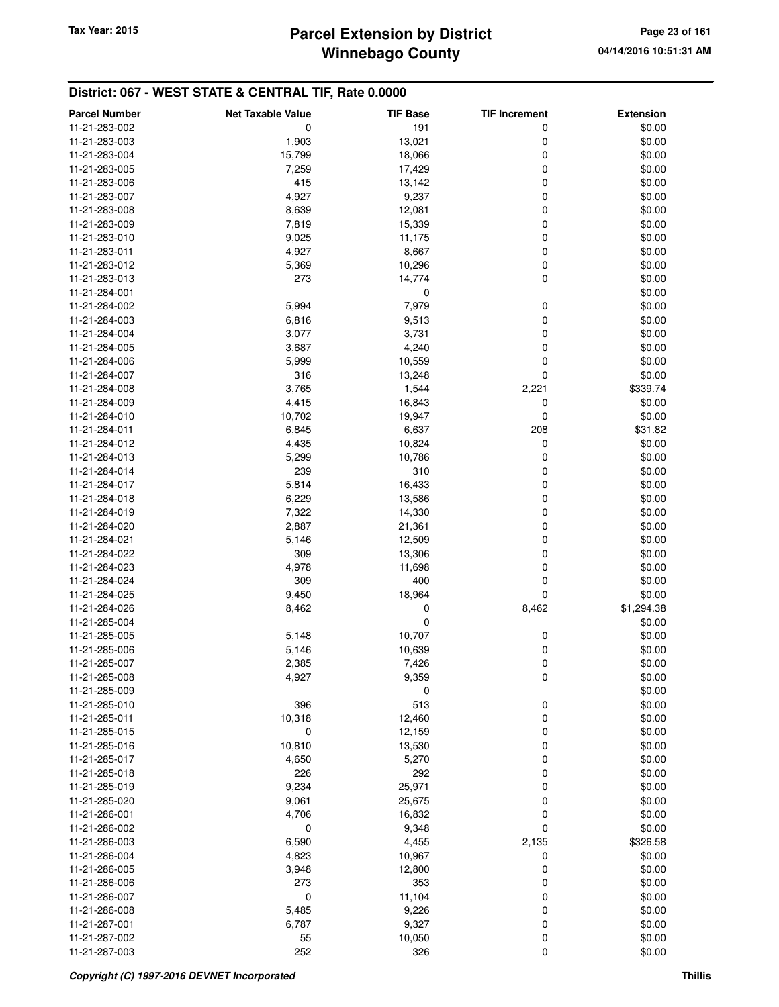## **Winnebago County Parcel Extension by District Tax Year: 2015 Page 23 of 161**

| <b>Parcel Number</b> | <b>Net Taxable Value</b> | <b>TIF Base</b> | <b>TIF Increment</b> | <b>Extension</b> |
|----------------------|--------------------------|-----------------|----------------------|------------------|
| 11-21-283-002        | 0                        | 191             | 0                    | \$0.00           |
| 11-21-283-003        | 1,903                    | 13,021          | 0                    | \$0.00           |
| 11-21-283-004        | 15,799                   | 18,066          | 0                    | \$0.00           |
| 11-21-283-005        | 7,259                    | 17,429          | 0                    | \$0.00           |
| 11-21-283-006        | 415                      | 13,142          | 0                    | \$0.00           |
| 11-21-283-007        | 4,927                    | 9,237           | 0                    | \$0.00           |
| 11-21-283-008        | 8,639                    | 12,081          | 0                    | \$0.00           |
| 11-21-283-009        | 7,819                    | 15,339          | 0                    | \$0.00           |
| 11-21-283-010        | 9,025                    | 11,175          | 0                    | \$0.00           |
| 11-21-283-011        | 4,927                    | 8,667           | 0                    | \$0.00           |
| 11-21-283-012        | 5,369                    | 10,296          | 0                    | \$0.00           |
| 11-21-283-013        | 273                      | 14,774          | 0                    | \$0.00           |
| 11-21-284-001        |                          | 0               |                      | \$0.00           |
| 11-21-284-002        | 5,994                    | 7,979           | 0                    | \$0.00           |
| 11-21-284-003        | 6,816                    | 9,513           | 0                    | \$0.00           |
| 11-21-284-004        | 3,077                    | 3,731           | 0                    | \$0.00           |
| 11-21-284-005        | 3,687                    | 4,240           | 0                    | \$0.00           |
| 11-21-284-006        | 5,999                    | 10,559          | 0                    | \$0.00           |
| 11-21-284-007        | 316                      | 13,248          | 0                    | \$0.00           |
| 11-21-284-008        |                          |                 |                      |                  |
|                      | 3,765                    | 1,544           | 2,221                | \$339.74         |
| 11-21-284-009        | 4,415                    | 16,843          | 0                    | \$0.00           |
| 11-21-284-010        | 10,702                   | 19,947          | 0                    | \$0.00           |
| 11-21-284-011        | 6,845                    | 6,637           | 208                  | \$31.82          |
| 11-21-284-012        | 4,435                    | 10,824          | 0                    | \$0.00           |
| 11-21-284-013        | 5,299                    | 10,786          | 0                    | \$0.00           |
| 11-21-284-014        | 239                      | 310             | 0                    | \$0.00           |
| 11-21-284-017        | 5,814                    | 16,433          | 0                    | \$0.00           |
| 11-21-284-018        | 6,229                    | 13,586          | 0                    | \$0.00           |
| 11-21-284-019        | 7,322                    | 14,330          | 0                    | \$0.00           |
| 11-21-284-020        | 2,887                    | 21,361          | 0                    | \$0.00           |
| 11-21-284-021        | 5,146                    | 12,509          | 0                    | \$0.00           |
| 11-21-284-022        | 309                      | 13,306          | 0                    | \$0.00           |
| 11-21-284-023        | 4,978                    | 11,698          | 0                    | \$0.00           |
| 11-21-284-024        | 309                      | 400             | 0                    | \$0.00           |
| 11-21-284-025        | 9,450                    | 18,964          | 0                    | \$0.00           |
| 11-21-284-026        | 8,462                    | 0               | 8,462                | \$1,294.38       |
| 11-21-285-004        |                          | 0               |                      | \$0.00           |
| 11-21-285-005        | 5,148                    | 10,707          | 0                    | \$0.00           |
| 11-21-285-006        | 5,146                    | 10,639          | 0                    | \$0.00           |
| 11-21-285-007        | 2,385                    | 7,426           | 0                    | \$0.00           |
| 11-21-285-008        | 4,927                    | 9,359           | 0                    | \$0.00           |
| 11-21-285-009        |                          | 0               |                      | \$0.00           |
| 11-21-285-010        | 396                      | 513             | 0                    | \$0.00           |
| 11-21-285-011        | 10,318                   | 12,460          | 0                    | \$0.00           |
| 11-21-285-015        | 0                        | 12,159          | 0                    | \$0.00           |
| 11-21-285-016        | 10,810                   | 13,530          | 0                    | \$0.00           |
| 11-21-285-017        | 4,650                    | 5,270           | 0                    | \$0.00           |
| 11-21-285-018        | 226                      | 292             | 0                    | \$0.00           |
| 11-21-285-019        | 9,234                    | 25,971          | 0                    | \$0.00           |
| 11-21-285-020        | 9,061                    | 25,675          | 0                    | \$0.00           |
| 11-21-286-001        | 4,706                    | 16,832          | 0                    | \$0.00           |
| 11-21-286-002        | 0                        | 9,348           | 0                    | \$0.00           |
| 11-21-286-003        | 6,590                    | 4,455           | 2,135                | \$326.58         |
| 11-21-286-004        | 4,823                    | 10,967          | 0                    | \$0.00           |
| 11-21-286-005        | 3,948                    | 12,800          | 0                    | \$0.00           |
| 11-21-286-006        | 273                      | 353             | 0                    | \$0.00           |
| 11-21-286-007        | $\mathbf 0$              | 11,104          | 0                    | \$0.00           |
| 11-21-286-008        | 5,485                    | 9,226           | 0                    | \$0.00           |
| 11-21-287-001        | 6,787                    | 9,327           | 0                    | \$0.00           |
| 11-21-287-002        | 55                       | 10,050          | 0                    | \$0.00           |
| 11-21-287-003        | 252                      | 326             | 0                    | \$0.00           |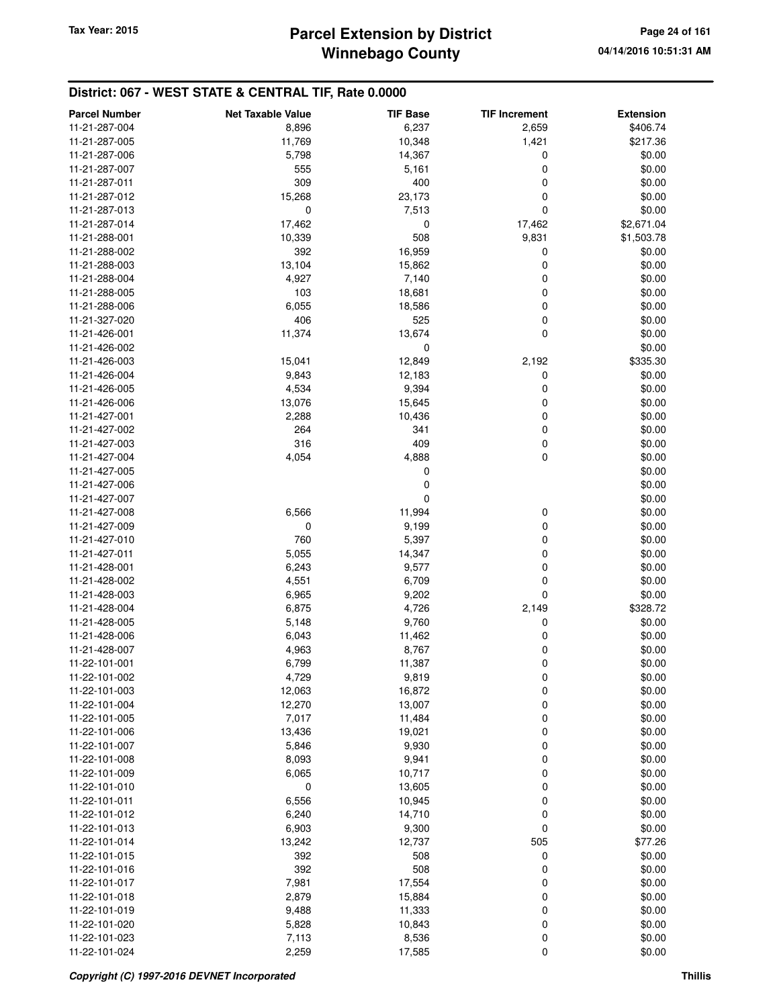## **Winnebago County** Tax Year: 2015 **Parcel Extension by District Page 24 of 161**

| <b>Parcel Number</b> | <b>Net Taxable Value</b> | <b>TIF Base</b> | <b>TIF Increment</b> | <b>Extension</b> |
|----------------------|--------------------------|-----------------|----------------------|------------------|
| 11-21-287-004        | 8,896                    | 6,237           | 2,659                | \$406.74         |
| 11-21-287-005        | 11,769                   | 10,348          | 1,421                | \$217.36         |
| 11-21-287-006        | 5,798                    | 14,367          | 0                    | \$0.00           |
|                      | 555                      |                 | 0                    |                  |
| 11-21-287-007        |                          | 5,161           |                      | \$0.00           |
| 11-21-287-011        | 309                      | 400             | 0                    | \$0.00           |
| 11-21-287-012        | 15,268                   | 23,173          | 0                    | \$0.00           |
| 11-21-287-013        | 0                        | 7,513           | 0                    | \$0.00           |
| 11-21-287-014        | 17,462                   | 0               | 17,462               | \$2,671.04       |
| 11-21-288-001        | 10,339                   | 508             | 9,831                | \$1,503.78       |
| 11-21-288-002        | 392                      | 16,959          | 0                    | \$0.00           |
| 11-21-288-003        | 13,104                   | 15,862          | 0                    | \$0.00           |
| 11-21-288-004        | 4,927                    | 7,140           | 0                    | \$0.00           |
| 11-21-288-005        | 103                      | 18,681          | 0                    | \$0.00           |
| 11-21-288-006        | 6,055                    | 18,586          | 0                    | \$0.00           |
| 11-21-327-020        | 406                      | 525             | 0                    | \$0.00           |
| 11-21-426-001        | 11,374                   | 13,674          | 0                    | \$0.00           |
| 11-21-426-002        |                          | 0               |                      | \$0.00           |
| 11-21-426-003        | 15,041                   | 12,849          | 2,192                | \$335.30         |
| 11-21-426-004        | 9,843                    | 12,183          | 0                    | \$0.00           |
| 11-21-426-005        | 4,534                    | 9,394           | 0                    | \$0.00           |
| 11-21-426-006        | 13,076                   | 15,645          | 0                    | \$0.00           |
| 11-21-427-001        | 2,288                    | 10,436          | 0                    | \$0.00           |
| 11-21-427-002        | 264                      | 341             | 0                    | \$0.00           |
| 11-21-427-003        | 316                      | 409             | 0                    | \$0.00           |
| 11-21-427-004        | 4,054                    | 4,888           | 0                    | \$0.00           |
| 11-21-427-005        |                          | 0               |                      | \$0.00           |
| 11-21-427-006        |                          | 0               |                      | \$0.00           |
| 11-21-427-007        |                          | 0               |                      | \$0.00           |
| 11-21-427-008        | 6,566                    | 11,994          | 0                    | \$0.00           |
| 11-21-427-009        | 0                        | 9,199           | 0                    | \$0.00           |
| 11-21-427-010        | 760                      | 5,397           | 0                    | \$0.00           |
| 11-21-427-011        | 5,055                    | 14,347          | 0                    | \$0.00           |
| 11-21-428-001        | 6,243                    | 9,577           | 0                    | \$0.00           |
| 11-21-428-002        | 4,551                    | 6,709           | 0                    | \$0.00           |
| 11-21-428-003        | 6,965                    | 9,202           | 0                    | \$0.00           |
| 11-21-428-004        | 6,875                    | 4,726           | 2,149                | \$328.72         |
| 11-21-428-005        | 5,148                    | 9,760           | 0                    | \$0.00           |
| 11-21-428-006        | 6,043                    | 11,462          | 0                    | \$0.00           |
| 11-21-428-007        | 4,963                    | 8,767           | 0                    | \$0.00           |
|                      |                          |                 | 0                    | \$0.00           |
| 11-22-101-001        | 6,799                    | 11,387          |                      |                  |
| 11-22-101-002        | 4,729                    | 9,819           | 0                    | \$0.00           |
| 11-22-101-003        | 12,063                   | 16,872          | 0                    | \$0.00           |
| 11-22-101-004        | 12,270                   | 13,007          | 0                    | \$0.00           |
| 11-22-101-005        | 7,017                    | 11,484          | 0                    | \$0.00           |
| 11-22-101-006        | 13,436                   | 19,021          | 0                    | \$0.00           |
| 11-22-101-007        | 5,846                    | 9,930           | 0                    | \$0.00           |
| 11-22-101-008        | 8,093                    | 9,941           | 0                    | \$0.00           |
| 11-22-101-009        | 6,065                    | 10,717          | 0                    | \$0.00           |
| 11-22-101-010        | 0                        | 13,605          | 0                    | \$0.00           |
| 11-22-101-011        | 6,556                    | 10,945          | 0                    | \$0.00           |
| 11-22-101-012        | 6,240                    | 14,710          | 0                    | \$0.00           |
| 11-22-101-013        | 6,903                    | 9,300           | 0                    | \$0.00           |
| 11-22-101-014        | 13,242                   | 12,737          | 505                  | \$77.26          |
| 11-22-101-015        | 392                      | 508             | 0                    | \$0.00           |
| 11-22-101-016        | 392                      | 508             | 0                    | \$0.00           |
| 11-22-101-017        | 7,981                    | 17,554          | 0                    | \$0.00           |
| 11-22-101-018        | 2,879                    | 15,884          | 0                    | \$0.00           |
| 11-22-101-019        | 9,488                    | 11,333          | 0                    | \$0.00           |
| 11-22-101-020        | 5,828                    | 10,843          | 0                    | \$0.00           |
| 11-22-101-023        | 7,113                    | 8,536           | 0                    | \$0.00           |
| 11-22-101-024        | 2,259                    | 17,585          | 0                    | \$0.00           |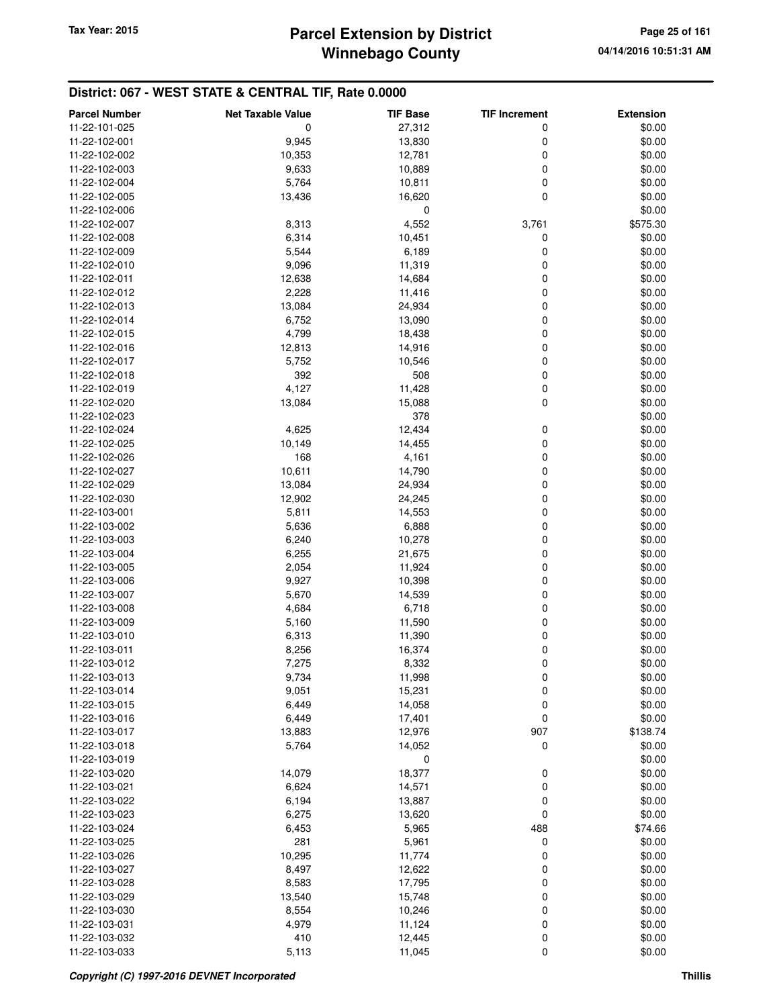| <b>Parcel Number</b> | <b>Net Taxable Value</b> | <b>TIF Base</b> | <b>TIF Increment</b> | <b>Extension</b> |
|----------------------|--------------------------|-----------------|----------------------|------------------|
| 11-22-101-025        | 0                        | 27,312          | 0                    | \$0.00           |
| 11-22-102-001        | 9,945                    | 13,830          | 0                    | \$0.00           |
| 11-22-102-002        | 10,353                   | 12,781          | 0                    | \$0.00           |
| 11-22-102-003        | 9,633                    | 10,889          | 0                    | \$0.00           |
| 11-22-102-004        | 5,764                    | 10,811          | 0                    | \$0.00           |
| 11-22-102-005        | 13,436                   | 16,620          | 0                    | \$0.00           |
| 11-22-102-006        |                          | 0               |                      | \$0.00           |
| 11-22-102-007        | 8,313                    | 4,552           | 3,761                | \$575.30         |
| 11-22-102-008        | 6,314                    | 10,451          | 0                    | \$0.00           |
| 11-22-102-009        | 5,544                    | 6,189           | 0                    | \$0.00           |
| 11-22-102-010        | 9,096                    | 11,319          | 0                    | \$0.00           |
| 11-22-102-011        | 12,638                   | 14,684          | 0                    | \$0.00           |
| 11-22-102-012        | 2,228                    | 11,416          | 0                    | \$0.00           |
| 11-22-102-013        | 13,084                   | 24,934          | 0                    | \$0.00           |
| 11-22-102-014        | 6,752                    | 13,090          | 0                    | \$0.00           |
| 11-22-102-015        | 4,799                    | 18,438          | 0                    | \$0.00           |
| 11-22-102-016        | 12,813                   | 14,916          | 0                    | \$0.00           |
| 11-22-102-017        | 5,752                    | 10,546          | 0                    | \$0.00           |
| 11-22-102-018        | 392                      | 508             | 0                    | \$0.00           |
| 11-22-102-019        | 4,127                    | 11,428          | 0                    | \$0.00           |
| 11-22-102-020        | 13,084                   | 15,088          | $\mathbf 0$          | \$0.00           |
| 11-22-102-023        |                          | 378             |                      | \$0.00           |
| 11-22-102-024        | 4,625                    | 12,434          | 0                    | \$0.00           |
| 11-22-102-025        | 10,149                   | 14,455          | 0                    | \$0.00           |
| 11-22-102-026        | 168                      | 4,161           | 0                    | \$0.00           |
| 11-22-102-027        | 10,611                   | 14,790          | 0                    | \$0.00           |
| 11-22-102-029        | 13,084                   | 24,934          | 0                    | \$0.00           |
| 11-22-102-030        | 12,902                   | 24,245          | 0                    | \$0.00           |
| 11-22-103-001        | 5,811                    | 14,553          | 0                    | \$0.00           |
| 11-22-103-002        | 5,636                    | 6,888           | 0                    | \$0.00           |
| 11-22-103-003        | 6,240                    | 10,278          | 0                    | \$0.00           |
| 11-22-103-004        | 6,255                    | 21,675          | 0                    | \$0.00           |
| 11-22-103-005        | 2,054                    | 11,924          | 0                    | \$0.00           |
| 11-22-103-006        | 9,927                    | 10,398          | 0                    | \$0.00           |
| 11-22-103-007        | 5,670                    | 14,539          | 0                    | \$0.00           |
| 11-22-103-008        | 4,684                    | 6,718           | 0                    | \$0.00           |
| 11-22-103-009        | 5,160                    | 11,590          | 0                    | \$0.00           |
| 11-22-103-010        | 6,313                    | 11,390          | 0                    | \$0.00           |
| 11-22-103-011        | 8,256                    | 16,374          | $\mathbf 0$          | \$0.00           |
| 11-22-103-012        | 7,275                    | 8,332           | 0                    | \$0.00           |
| 11-22-103-013        | 9,734                    | 11,998          | 0                    | \$0.00           |
| 11-22-103-014        | 9,051                    | 15,231          | 0                    | \$0.00           |
| 11-22-103-015        | 6,449                    | 14,058          | 0                    | \$0.00           |
| 11-22-103-016        | 6,449                    | 17,401          | $\boldsymbol{0}$     | \$0.00           |
| 11-22-103-017        | 13,883                   | 12,976          | 907                  | \$138.74         |
| 11-22-103-018        | 5,764                    | 14,052          | 0                    | \$0.00           |
| 11-22-103-019        |                          | 0               |                      | \$0.00           |
| 11-22-103-020        | 14,079                   | 18,377          | 0                    | \$0.00           |
| 11-22-103-021        | 6,624                    | 14,571          | 0                    | \$0.00           |
| 11-22-103-022        | 6,194                    | 13,887          | 0                    | \$0.00           |
| 11-22-103-023        | 6,275                    | 13,620          | 0                    | \$0.00           |
| 11-22-103-024        | 6,453                    | 5,965           | 488                  | \$74.66          |
| 11-22-103-025        | 281                      | 5,961           | 0                    | \$0.00           |
| 11-22-103-026        | 10,295                   | 11,774          | 0                    | \$0.00           |
| 11-22-103-027        | 8,497                    | 12,622          | 0                    | \$0.00           |
| 11-22-103-028        | 8,583                    | 17,795          | 0                    | \$0.00           |
| 11-22-103-029        | 13,540                   | 15,748          | 0                    | \$0.00           |
| 11-22-103-030        | 8,554                    | 10,246          | 0                    | \$0.00           |
| 11-22-103-031        | 4,979                    | 11,124          | $\mathbf 0$          | \$0.00           |
| 11-22-103-032        | 410                      | 12,445          | 0                    | \$0.00           |
| 11-22-103-033        | 5,113                    | 11,045          | 0                    | \$0.00           |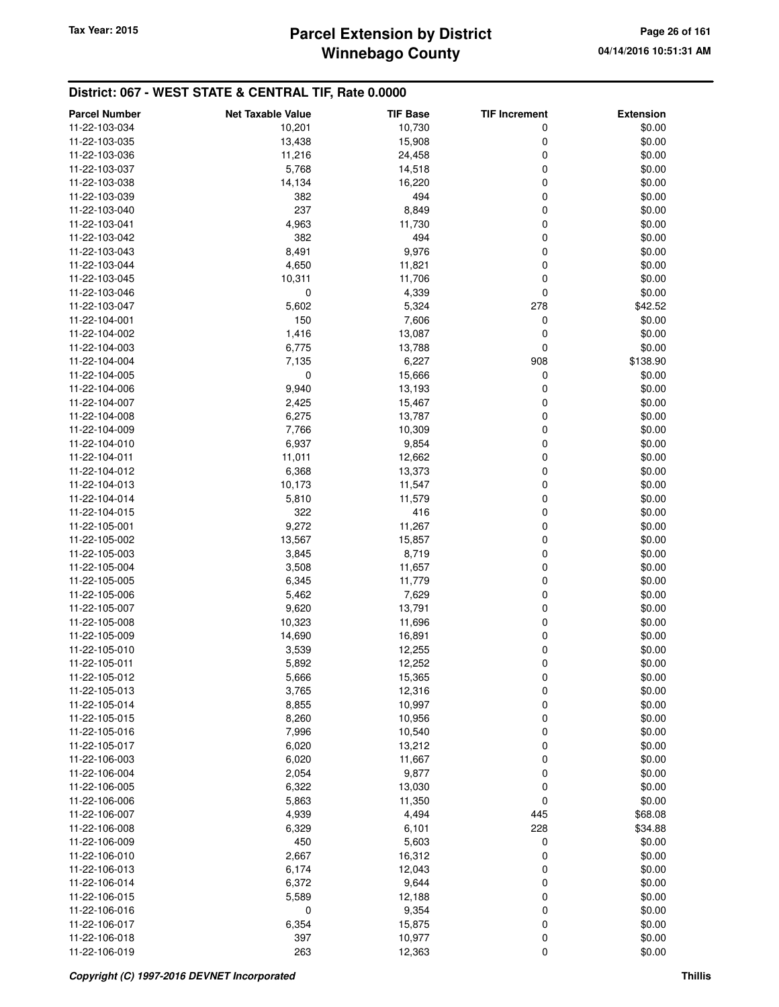# **Winnebago County** Tax Year: 2015 **Parcel Extension by District Page 26 of 161**

| <b>Parcel Number</b> | <b>Net Taxable Value</b> | <b>TIF Base</b> | <b>TIF Increment</b> | <b>Extension</b> |
|----------------------|--------------------------|-----------------|----------------------|------------------|
| 11-22-103-034        | 10,201                   | 10,730          | 0                    | \$0.00           |
| 11-22-103-035        | 13,438                   | 15,908          | 0                    | \$0.00           |
| 11-22-103-036        | 11,216                   | 24,458          | 0                    | \$0.00           |
| 11-22-103-037        | 5,768                    | 14,518          | 0                    | \$0.00           |
| 11-22-103-038        | 14,134                   | 16,220          | 0                    | \$0.00           |
| 11-22-103-039        | 382                      | 494             | 0                    | \$0.00           |
| 11-22-103-040        | 237                      | 8,849           | 0                    | \$0.00           |
| 11-22-103-041        | 4,963                    | 11,730          | 0                    | \$0.00           |
| 11-22-103-042        | 382                      | 494             | 0                    | \$0.00           |
| 11-22-103-043        | 8,491                    | 9,976           | 0                    | \$0.00           |
| 11-22-103-044        | 4,650                    | 11,821          | 0                    | \$0.00           |
| 11-22-103-045        | 10,311                   | 11,706          | 0                    | \$0.00           |
| 11-22-103-046        | 0                        | 4,339           | 0                    | \$0.00           |
| 11-22-103-047        | 5,602                    | 5,324           | 278                  | \$42.52          |
| 11-22-104-001        | 150                      | 7,606           | 0                    | \$0.00           |
| 11-22-104-002        | 1,416                    | 13,087          | 0                    | \$0.00           |
| 11-22-104-003        | 6,775                    | 13,788          | 0                    | \$0.00           |
| 11-22-104-004        | 7,135                    | 6,227           | 908                  | \$138.90         |
| 11-22-104-005        | 0                        | 15,666          | 0                    | \$0.00           |
| 11-22-104-006        | 9,940                    | 13,193          | 0                    | \$0.00           |
| 11-22-104-007        | 2,425                    | 15,467          | 0                    | \$0.00           |
| 11-22-104-008        | 6,275                    | 13,787          | 0                    | \$0.00           |
| 11-22-104-009        | 7,766                    | 10,309          | 0                    | \$0.00           |
| 11-22-104-010        | 6,937                    | 9,854           | 0                    | \$0.00           |
| 11-22-104-011        | 11,011                   | 12,662          | 0                    | \$0.00           |
| 11-22-104-012        | 6,368                    | 13,373          | 0                    | \$0.00           |
| 11-22-104-013        | 10,173                   | 11,547          | 0                    | \$0.00           |
| 11-22-104-014        | 5,810                    | 11,579          | 0                    | \$0.00           |
| 11-22-104-015        | 322                      | 416             | 0                    | \$0.00           |
| 11-22-105-001        | 9,272                    | 11,267          | 0                    | \$0.00           |
| 11-22-105-002        | 13,567                   | 15,857          | 0                    | \$0.00           |
| 11-22-105-003        | 3,845                    | 8,719           | 0                    | \$0.00           |
| 11-22-105-004        | 3,508                    | 11,657          | 0                    | \$0.00           |
| 11-22-105-005        | 6,345                    | 11,779          | 0                    | \$0.00           |
| 11-22-105-006        | 5,462                    | 7,629           | 0                    | \$0.00           |
| 11-22-105-007        | 9,620                    | 13,791          | 0                    | \$0.00           |
| 11-22-105-008        | 10,323                   | 11,696          | 0                    | \$0.00           |
| 11-22-105-009        | 14,690                   | 16,891          | 0                    | \$0.00           |
| 11-22-105-010        | 3,539                    | 12,255          | 0                    | \$0.00           |
| 11-22-105-011        | 5,892                    | 12,252          | 0                    | \$0.00           |
| 11-22-105-012        | 5,666                    | 15,365          | 0                    | \$0.00           |
| 11-22-105-013        | 3,765                    | 12,316          | 0                    | \$0.00           |
| 11-22-105-014        | 8,855                    | 10,997          | 0                    | \$0.00           |
| 11-22-105-015        | 8,260                    | 10,956          | 0                    | \$0.00           |
| 11-22-105-016        | 7,996                    | 10,540          | 0                    | \$0.00           |
| 11-22-105-017        | 6,020                    | 13,212          | 0                    | \$0.00           |
| 11-22-106-003        | 6,020                    | 11,667          | 0                    | \$0.00           |
| 11-22-106-004        | 2,054                    | 9,877           | 0                    | \$0.00           |
| 11-22-106-005        | 6,322                    | 13,030          | 0                    | \$0.00           |
| 11-22-106-006        | 5,863                    | 11,350          | 0                    | \$0.00           |
| 11-22-106-007        | 4,939                    | 4,494           | 445                  | \$68.08          |
| 11-22-106-008        | 6,329                    | 6,101           | 228                  | \$34.88          |
| 11-22-106-009        | 450                      | 5,603           | 0                    | \$0.00           |
| 11-22-106-010        | 2,667                    | 16,312          | 0                    | \$0.00           |
| 11-22-106-013        | 6,174                    | 12,043          | 0                    | \$0.00           |
| 11-22-106-014        | 6,372                    | 9,644           | 0                    | \$0.00           |
| 11-22-106-015        | 5,589                    | 12,188          | 0                    | \$0.00           |
| 11-22-106-016        | 0                        | 9,354           | 0                    | \$0.00           |
| 11-22-106-017        | 6,354                    | 15,875          | 0                    | \$0.00           |
| 11-22-106-018        | 397                      | 10,977          | 0                    | \$0.00           |
| 11-22-106-019        | 263                      | 12,363          | 0                    | \$0.00           |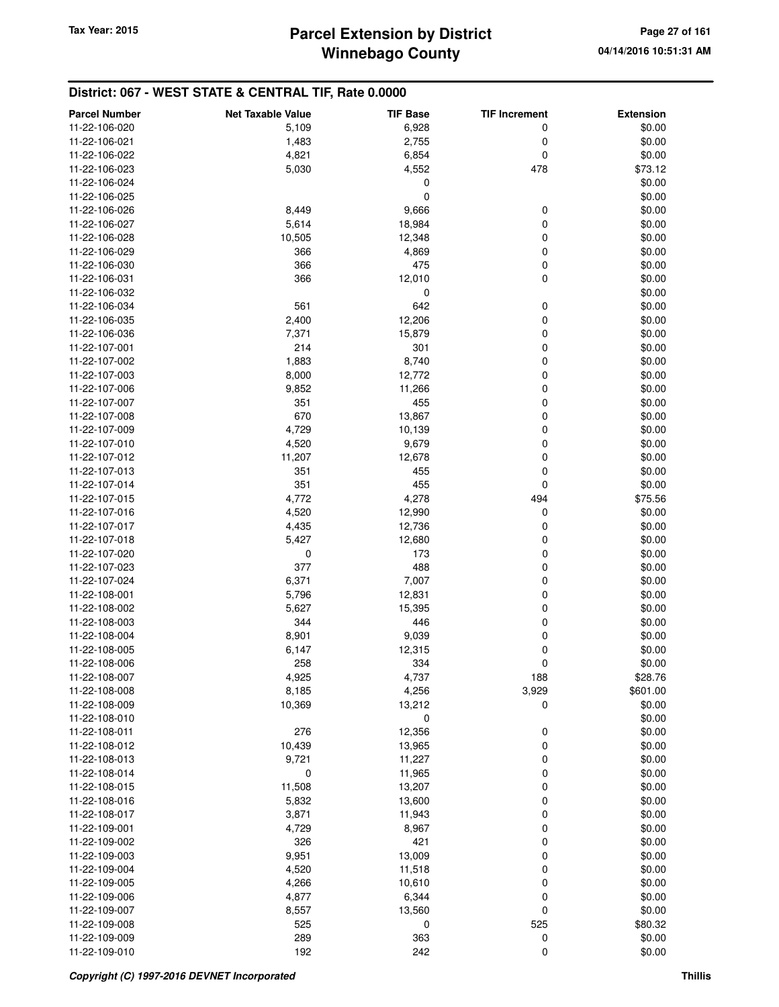| <b>Parcel Number</b> | <b>Net Taxable Value</b> | <b>TIF Base</b> | <b>TIF Increment</b> | <b>Extension</b> |
|----------------------|--------------------------|-----------------|----------------------|------------------|
| 11-22-106-020        | 5,109                    | 6,928           | 0                    | \$0.00           |
| 11-22-106-021        | 1,483                    | 2,755           | 0                    | \$0.00           |
| 11-22-106-022        | 4,821                    | 6,854           | 0                    | \$0.00           |
| 11-22-106-023        | 5,030                    | 4,552           | 478                  | \$73.12          |
| 11-22-106-024        |                          | 0               |                      | \$0.00           |
| 11-22-106-025        |                          | 0               |                      | \$0.00           |
| 11-22-106-026        | 8,449                    | 9,666           | 0                    | \$0.00           |
| 11-22-106-027        | 5,614                    | 18,984          | 0                    | \$0.00           |
| 11-22-106-028        | 10,505                   | 12,348          | 0                    | \$0.00           |
| 11-22-106-029        | 366                      | 4,869           | 0                    | \$0.00           |
| 11-22-106-030        | 366                      | 475             | 0                    | \$0.00           |
| 11-22-106-031        | 366                      | 12,010          | 0                    | \$0.00           |
| 11-22-106-032        |                          | 0               |                      | \$0.00           |
| 11-22-106-034        | 561                      | 642             | 0                    | \$0.00           |
| 11-22-106-035        | 2,400                    | 12,206          | 0                    | \$0.00           |
| 11-22-106-036        | 7,371                    | 15,879          | 0                    | \$0.00           |
| 11-22-107-001        | 214                      | 301             | 0                    | \$0.00           |
| 11-22-107-002        | 1,883                    | 8,740           | 0                    | \$0.00           |
| 11-22-107-003        | 8,000                    | 12,772          | 0                    | \$0.00           |
| 11-22-107-006        | 9,852                    | 11,266          | 0                    | \$0.00           |
| 11-22-107-007        | 351                      | 455             | 0                    | \$0.00           |
| 11-22-107-008        | 670                      | 13,867          | 0                    | \$0.00           |
| 11-22-107-009        | 4,729                    | 10,139          | 0                    | \$0.00           |
| 11-22-107-010        | 4,520                    | 9,679           | 0                    | \$0.00           |
| 11-22-107-012        | 11,207                   | 12,678          | 0                    | \$0.00           |
| 11-22-107-013        | 351                      | 455             | 0                    | \$0.00           |
| 11-22-107-014        | 351                      | 455             | 0                    | \$0.00           |
| 11-22-107-015        | 4,772                    | 4,278           | 494                  | \$75.56          |
| 11-22-107-016        | 4,520                    | 12,990          | 0                    | \$0.00           |
| 11-22-107-017        | 4,435                    | 12,736          | 0                    | \$0.00           |
| 11-22-107-018        | 5,427                    | 12,680          | 0                    | \$0.00           |
| 11-22-107-020        | 0                        | 173             | 0                    | \$0.00           |
| 11-22-107-023        | 377                      | 488             | 0                    | \$0.00           |
| 11-22-107-024        | 6,371                    | 7,007           | 0                    | \$0.00           |
| 11-22-108-001        | 5,796                    | 12,831          | 0                    | \$0.00           |
| 11-22-108-002        | 5,627                    | 15,395          | 0                    | \$0.00           |
| 11-22-108-003        | 344                      | 446             | 0                    | \$0.00           |
| 11-22-108-004        | 8,901                    | 9,039           | 0                    | \$0.00           |
| 11-22-108-005        | 6,147                    | 12,315          | 0                    | \$0.00           |
| 11-22-108-006        | 258                      | 334             | 0                    | \$0.00           |
| 11-22-108-007        | 4,925                    | 4,737           | 188                  | \$28.76          |
| 11-22-108-008        | 8,185                    | 4,256           | 3,929                | \$601.00         |
| 11-22-108-009        | 10,369                   | 13,212          | 0                    | \$0.00           |
| 11-22-108-010        |                          | 0               |                      | \$0.00           |
| 11-22-108-011        | 276                      | 12,356          | 0                    | \$0.00           |
| 11-22-108-012        | 10,439                   | 13,965          | 0                    | \$0.00           |
| 11-22-108-013        | 9,721                    | 11,227          | 0                    | \$0.00           |
| 11-22-108-014        | $\boldsymbol{0}$         | 11,965          | 0                    | \$0.00           |
| 11-22-108-015        | 11,508                   | 13,207          | 0                    | \$0.00           |
| 11-22-108-016        | 5,832                    | 13,600          | 0                    | \$0.00           |
| 11-22-108-017        | 3,871                    | 11,943          | 0                    | \$0.00           |
| 11-22-109-001        | 4,729                    | 8,967           | 0                    | \$0.00           |
| 11-22-109-002        | 326                      | 421             | 0                    | \$0.00           |
| 11-22-109-003        | 9,951                    | 13,009          | 0                    | \$0.00           |
| 11-22-109-004        | 4,520                    | 11,518          | 0                    | \$0.00           |
| 11-22-109-005        | 4,266                    | 10,610          | 0                    | \$0.00           |
| 11-22-109-006        | 4,877                    | 6,344           | 0                    | \$0.00           |
| 11-22-109-007        | 8,557                    | 13,560          | 0                    | \$0.00           |
| 11-22-109-008        | 525                      | 0               | 525                  | \$80.32          |
| 11-22-109-009        | 289                      | 363             | 0                    | \$0.00           |
| 11-22-109-010        | 192                      | 242             | 0                    | \$0.00           |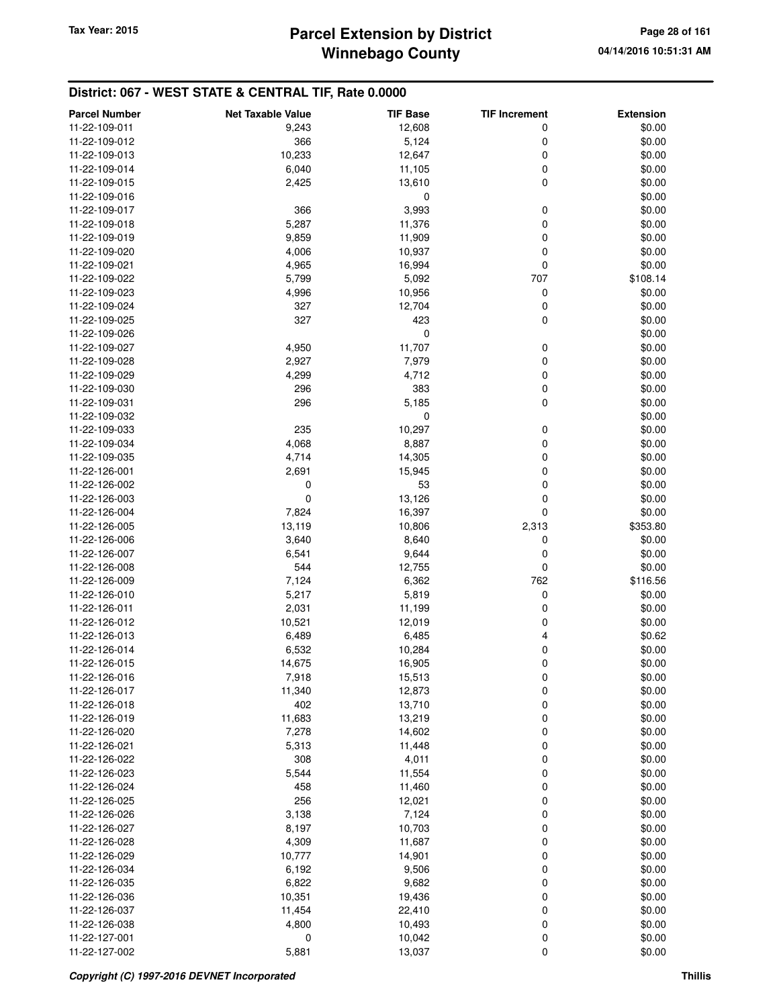## **Winnebago County Parcel Extension by District Tax Year: 2015 Page 28 of 161**

| <b>Parcel Number</b>           | <b>Net Taxable Value</b> | <b>TIF Base</b>  | <b>TIF Increment</b> | <b>Extension</b> |
|--------------------------------|--------------------------|------------------|----------------------|------------------|
| 11-22-109-011                  | 9,243                    | 12,608           | 0                    | \$0.00           |
| 11-22-109-012                  | 366                      | 5,124            | 0                    | \$0.00           |
| 11-22-109-013                  | 10,233                   | 12,647           | 0                    | \$0.00           |
| 11-22-109-014                  | 6,040                    | 11,105           | 0                    | \$0.00           |
| 11-22-109-015                  | 2,425                    | 13,610           | 0                    | \$0.00           |
| 11-22-109-016                  |                          | 0                |                      | \$0.00           |
| 11-22-109-017                  | 366                      | 3,993            | 0                    | \$0.00           |
| 11-22-109-018                  | 5,287                    | 11,376           | 0                    | \$0.00           |
| 11-22-109-019                  | 9,859                    | 11,909           | 0                    | \$0.00           |
| 11-22-109-020                  | 4,006                    | 10,937           | 0                    | \$0.00           |
| 11-22-109-021                  | 4,965                    | 16,994           | $\mathbf 0$          | \$0.00           |
| 11-22-109-022                  | 5,799                    | 5,092            | 707                  | \$108.14         |
| 11-22-109-023                  | 4,996                    | 10,956           | 0                    | \$0.00           |
| 11-22-109-024                  | 327                      | 12,704           | 0                    | \$0.00           |
| 11-22-109-025                  | 327                      | 423              | 0                    | \$0.00           |
| 11-22-109-026                  |                          | 0                |                      | \$0.00           |
| 11-22-109-027                  | 4,950                    | 11,707           | 0                    | \$0.00           |
| 11-22-109-028                  | 2,927                    | 7,979            | 0                    | \$0.00           |
| 11-22-109-029                  | 4,299                    | 4,712            | 0                    | \$0.00           |
| 11-22-109-030                  | 296                      | 383              | 0                    | \$0.00           |
| 11-22-109-031                  | 296                      | 5,185            | $\mathbf 0$          | \$0.00           |
| 11-22-109-032                  |                          | 0                |                      | \$0.00           |
| 11-22-109-033                  | 235                      | 10,297           | 0                    | \$0.00           |
| 11-22-109-034                  | 4,068                    | 8,887            | 0                    | \$0.00           |
| 11-22-109-035                  | 4,714                    | 14,305           | 0                    | \$0.00           |
| 11-22-126-001                  | 2,691                    | 15,945           | 0                    | \$0.00           |
| 11-22-126-002                  | 0                        | 53               | 0                    | \$0.00           |
| 11-22-126-003                  | $\mathbf 0$              | 13,126           | 0                    | \$0.00           |
| 11-22-126-004                  | 7,824                    | 16,397           | 0                    | \$0.00           |
| 11-22-126-005                  | 13,119                   | 10,806           | 2,313                | \$353.80         |
| 11-22-126-006                  | 3,640                    | 8,640            | 0                    | \$0.00           |
| 11-22-126-007                  | 6,541                    | 9,644            | 0                    | \$0.00           |
| 11-22-126-008                  | 544                      | 12,755           | 0                    | \$0.00           |
| 11-22-126-009                  | 7,124                    | 6,362            | 762                  | \$116.56         |
| 11-22-126-010                  | 5,217                    | 5,819            | 0                    | \$0.00           |
| 11-22-126-011                  | 2,031                    | 11,199           | 0                    | \$0.00           |
| 11-22-126-012                  | 10,521                   | 12,019           | 0                    | \$0.00           |
| 11-22-126-013                  | 6,489                    | 6,485            | 4                    | \$0.62           |
| 11-22-126-014                  | 6,532                    | 10,284           | 0                    | \$0.00           |
| 11-22-126-015                  | 14,675                   | 16,905           | $\mathbf 0$          | \$0.00           |
| 11-22-126-016                  | 7,918                    | 15,513           | 0                    | \$0.00           |
| 11-22-126-017                  | 11,340                   | 12,873           | 0                    | \$0.00           |
| 11-22-126-018                  | 402                      | 13,710           | 0                    | \$0.00           |
| 11-22-126-019<br>11-22-126-020 | 11,683<br>7,278          | 13,219<br>14,602 | 0<br>0               | \$0.00<br>\$0.00 |
| 11-22-126-021                  | 5,313                    | 11,448           | 0                    | \$0.00           |
| 11-22-126-022                  | 308                      | 4,011            | 0                    | \$0.00           |
| 11-22-126-023                  | 5,544                    | 11,554           | 0                    | \$0.00           |
| 11-22-126-024                  | 458                      | 11,460           | 0                    | \$0.00           |
| 11-22-126-025                  | 256                      | 12,021           | 0                    | \$0.00           |
| 11-22-126-026                  | 3,138                    | 7,124            | 0                    | \$0.00           |
| 11-22-126-027                  | 8,197                    | 10,703           | 0                    | \$0.00           |
| 11-22-126-028                  | 4,309                    | 11,687           | 0                    | \$0.00           |
| 11-22-126-029                  | 10,777                   | 14,901           | 0                    | \$0.00           |
| 11-22-126-034                  | 6,192                    | 9,506            | 0                    | \$0.00           |
| 11-22-126-035                  | 6,822                    | 9,682            | $\mathbf 0$          | \$0.00           |
| 11-22-126-036                  | 10,351                   | 19,436           | 0                    | \$0.00           |
| 11-22-126-037                  | 11,454                   | 22,410           | 0                    | \$0.00           |
| 11-22-126-038                  | 4,800                    | 10,493           | 0                    | \$0.00           |
| 11-22-127-001                  | 0                        | 10,042           | 0                    | \$0.00           |
| 11-22-127-002                  | 5,881                    | 13,037           | $\pmb{0}$            | \$0.00           |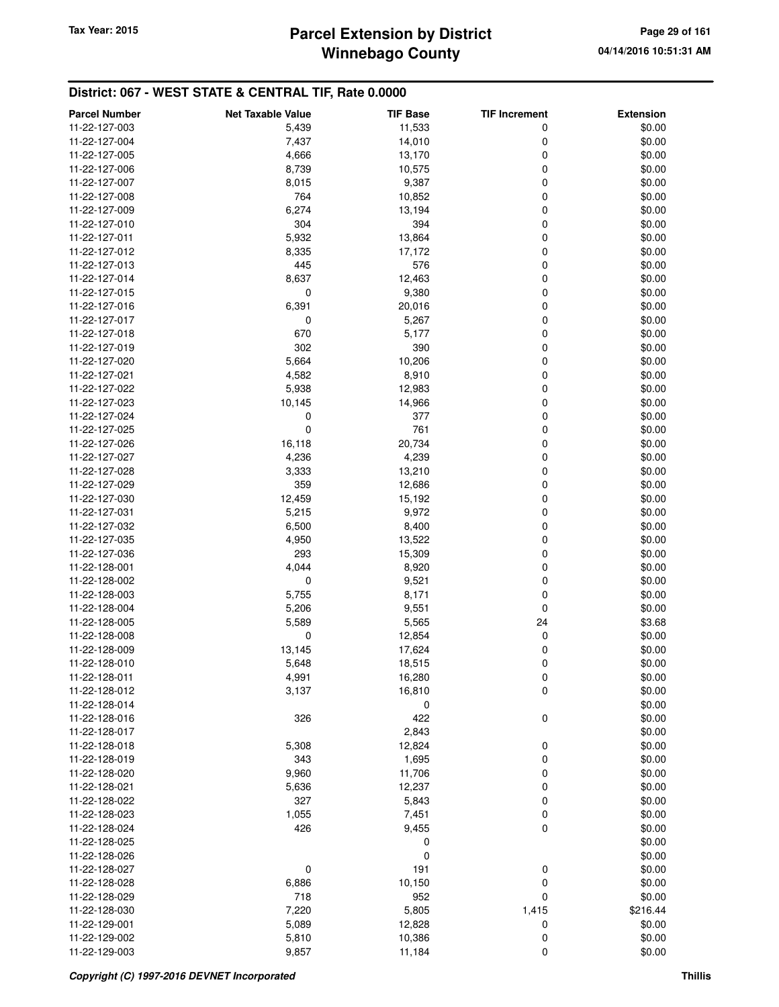# **Winnebago County** Tax Year: 2015 **Parcel Extension by District Page 29 of 161**

| <b>Parcel Number</b>           | <b>Net Taxable Value</b> | <b>TIF Base</b> | <b>TIF Increment</b> | <b>Extension</b> |
|--------------------------------|--------------------------|-----------------|----------------------|------------------|
| 11-22-127-003                  | 5,439                    | 11,533          | 0                    | \$0.00           |
| 11-22-127-004                  | 7,437                    | 14,010          | 0                    | \$0.00           |
| 11-22-127-005                  | 4,666                    | 13,170          | 0                    | \$0.00           |
| 11-22-127-006                  | 8,739                    | 10,575          | 0                    | \$0.00           |
| 11-22-127-007                  | 8,015                    | 9,387           | 0                    | \$0.00           |
| 11-22-127-008                  | 764                      | 10,852          | 0                    | \$0.00           |
| 11-22-127-009                  | 6,274                    | 13,194          | 0                    | \$0.00           |
| 11-22-127-010                  | 304                      | 394             | 0                    | \$0.00           |
| 11-22-127-011                  | 5,932                    | 13,864          | 0                    | \$0.00           |
| 11-22-127-012                  | 8,335                    | 17,172          | 0                    | \$0.00           |
| 11-22-127-013                  | 445                      | 576             | 0                    | \$0.00           |
| 11-22-127-014                  | 8,637                    | 12,463          | 0                    | \$0.00           |
| 11-22-127-015                  | 0                        | 9,380           | 0                    | \$0.00           |
| 11-22-127-016                  | 6,391                    | 20,016          | 0                    | \$0.00           |
| 11-22-127-017                  | 0                        | 5,267           | 0                    | \$0.00           |
| 11-22-127-018                  | 670                      | 5,177           | 0                    | \$0.00           |
| 11-22-127-019                  | 302                      | 390             | 0                    | \$0.00           |
| 11-22-127-020                  | 5,664                    | 10,206          | 0                    | \$0.00           |
| 11-22-127-021                  | 4,582                    | 8,910           | 0                    | \$0.00           |
| 11-22-127-022                  | 5,938                    | 12,983          | 0                    | \$0.00           |
| 11-22-127-023                  | 10,145                   | 14,966          | 0                    | \$0.00           |
|                                |                          | 377             | 0                    | \$0.00           |
| 11-22-127-024<br>11-22-127-025 | 0<br>$\mathbf 0$         | 761             | 0                    | \$0.00           |
| 11-22-127-026                  | 16,118                   | 20,734          | 0                    | \$0.00           |
| 11-22-127-027                  |                          |                 |                      |                  |
| 11-22-127-028                  | 4,236                    | 4,239           | 0                    | \$0.00           |
|                                | 3,333                    | 13,210          | 0                    | \$0.00           |
| 11-22-127-029                  | 359                      | 12,686          | 0                    | \$0.00           |
| 11-22-127-030                  | 12,459                   | 15,192          | 0                    | \$0.00           |
| 11-22-127-031                  | 5,215                    | 9,972           | 0                    | \$0.00           |
| 11-22-127-032                  | 6,500                    | 8,400           | 0                    | \$0.00           |
| 11-22-127-035                  | 4,950                    | 13,522          | 0                    | \$0.00           |
| 11-22-127-036                  | 293                      | 15,309          | 0                    | \$0.00           |
| 11-22-128-001                  | 4,044                    | 8,920           | 0                    | \$0.00           |
| 11-22-128-002                  | 0                        | 9,521           | 0                    | \$0.00           |
| 11-22-128-003                  | 5,755                    | 8,171           | 0                    | \$0.00           |
| 11-22-128-004                  | 5,206                    | 9,551           | 0                    | \$0.00           |
| 11-22-128-005                  | 5,589                    | 5,565           | 24                   | \$3.68           |
| 11-22-128-008                  | 0                        | 12,854          | 0                    | \$0.00           |
| 11-22-128-009                  | 13,145                   | 17,624          | 0                    | \$0.00           |
| 11-22-128-010                  | 5,648                    | 18,515          | 0                    | \$0.00           |
| 11-22-128-011                  | 4,991                    | 16,280          | $\pmb{0}$            | \$0.00           |
| 11-22-128-012                  | 3,137                    | 16,810          | $\mathbf 0$          | \$0.00           |
| 11-22-128-014                  |                          | 0               |                      | \$0.00           |
| 11-22-128-016                  | 326                      | 422             | $\mathbf 0$          | \$0.00           |
| 11-22-128-017                  |                          | 2,843           |                      | \$0.00           |
| 11-22-128-018                  | 5,308                    | 12,824          | 0                    | \$0.00           |
| 11-22-128-019                  | 343                      | 1,695           | 0                    | \$0.00           |
| 11-22-128-020                  | 9,960                    | 11,706          | 0                    | \$0.00           |
| 11-22-128-021                  | 5,636                    | 12,237          | 0                    | \$0.00           |
| 11-22-128-022                  | 327                      | 5,843           | 0                    | \$0.00           |
| 11-22-128-023                  | 1,055                    | 7,451           | 0                    | \$0.00           |
| 11-22-128-024                  | 426                      | 9,455           | $\mathbf 0$          | \$0.00           |
| 11-22-128-025                  |                          | 0               |                      | \$0.00           |
| 11-22-128-026                  |                          | 0               |                      | \$0.00           |
| 11-22-128-027                  | 0                        | 191             | 0                    | \$0.00           |
| 11-22-128-028                  | 6,886                    | 10,150          | 0                    | \$0.00           |
| 11-22-128-029                  | 718                      | 952             | $\mathbf 0$          | \$0.00           |
| 11-22-128-030                  | 7,220                    | 5,805           | 1,415                | \$216.44         |
| 11-22-129-001                  | 5,089                    | 12,828          | 0                    | \$0.00           |
| 11-22-129-002                  | 5,810                    | 10,386          | 0                    | \$0.00           |
| 11-22-129-003                  | 9,857                    | 11,184          | 0                    | \$0.00           |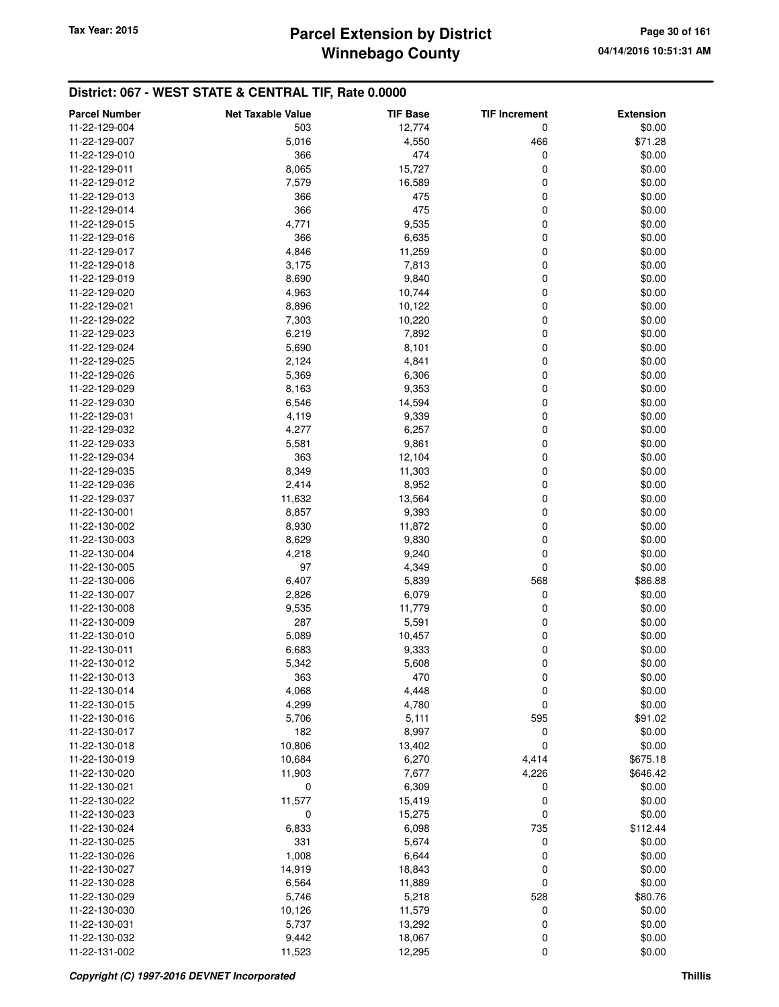## **Winnebago County Parcel Extension by District Tax Year: 2015 Page 30 of 161**

| <b>Parcel Number</b> | <b>Net Taxable Value</b> | <b>TIF Base</b> | <b>TIF Increment</b> | <b>Extension</b> |
|----------------------|--------------------------|-----------------|----------------------|------------------|
| 11-22-129-004        | 503                      | 12,774          | 0                    | \$0.00           |
| 11-22-129-007        | 5,016                    | 4,550           | 466                  | \$71.28          |
| 11-22-129-010        | 366                      | 474             | 0                    | \$0.00           |
| 11-22-129-011        | 8,065                    | 15,727          | 0                    | \$0.00           |
| 11-22-129-012        | 7,579                    | 16,589          | 0                    | \$0.00           |
| 11-22-129-013        | 366                      | 475             | 0                    | \$0.00           |
| 11-22-129-014        | 366                      | 475             | 0                    | \$0.00           |
| 11-22-129-015        | 4,771                    | 9,535           | 0                    | \$0.00           |
| 11-22-129-016        | 366                      | 6,635           | 0                    | \$0.00           |
| 11-22-129-017        | 4,846                    | 11,259          | 0                    | \$0.00           |
| 11-22-129-018        | 3,175                    | 7,813           | 0                    | \$0.00           |
| 11-22-129-019        | 8,690                    | 9,840           | 0                    | \$0.00           |
| 11-22-129-020        | 4,963                    | 10,744          | 0                    | \$0.00           |
| 11-22-129-021        | 8,896                    | 10,122          | 0                    | \$0.00           |
| 11-22-129-022        | 7,303                    | 10,220          | 0                    | \$0.00           |
| 11-22-129-023        | 6,219                    | 7,892           | 0                    | \$0.00           |
| 11-22-129-024        | 5,690                    | 8,101           | 0                    | \$0.00           |
| 11-22-129-025        | 2,124                    | 4,841           | 0                    | \$0.00           |
| 11-22-129-026        | 5,369                    | 6,306           | 0                    | \$0.00           |
| 11-22-129-029        | 8,163                    | 9,353           | 0                    | \$0.00           |
| 11-22-129-030        | 6,546                    | 14,594          | 0                    | \$0.00           |
| 11-22-129-031        | 4,119                    | 9,339           | 0                    | \$0.00           |
| 11-22-129-032        | 4,277                    | 6,257           | 0                    | \$0.00           |
| 11-22-129-033        | 5,581                    | 9,861           | 0                    | \$0.00           |
| 11-22-129-034        | 363                      | 12,104          | 0                    | \$0.00           |
| 11-22-129-035        | 8,349                    | 11,303          | 0                    | \$0.00           |
| 11-22-129-036        | 2,414                    | 8,952           | 0                    | \$0.00           |
| 11-22-129-037        | 11,632                   | 13,564          | 0                    | \$0.00           |
| 11-22-130-001        | 8,857                    | 9,393           | 0                    | \$0.00           |
| 11-22-130-002        | 8,930                    | 11,872          | 0                    | \$0.00           |
| 11-22-130-003        | 8,629                    | 9,830           | 0                    | \$0.00           |
| 11-22-130-004        | 4,218                    | 9,240           | 0                    | \$0.00           |
| 11-22-130-005        | 97                       | 4,349           | 0                    | \$0.00           |
| 11-22-130-006        | 6,407                    | 5,839           | 568                  | \$86.88          |
| 11-22-130-007        | 2,826                    | 6,079           | 0                    | \$0.00           |
| 11-22-130-008        | 9,535                    | 11,779          | 0                    | \$0.00           |
| 11-22-130-009        | 287                      | 5,591           | 0                    | \$0.00           |
| 11-22-130-010        | 5,089                    | 10,457          | 0                    | \$0.00           |
| 11-22-130-011        | 6,683                    | 9,333           | 0                    | \$0.00           |
| 11-22-130-012        | 5,342                    | 5,608           | 0                    | \$0.00           |
| 11-22-130-013        | 363                      | 4/0             | O                    | \$0.00           |
| 11-22-130-014        | 4,068                    | 4,448           | 0                    | \$0.00           |
| 11-22-130-015        | 4,299                    | 4,780           | 0                    | \$0.00           |
| 11-22-130-016        | 5,706                    | 5,111           | 595                  | \$91.02          |
| 11-22-130-017        | 182                      | 8,997           | 0                    | \$0.00           |
| 11-22-130-018        | 10,806                   | 13,402          | 0                    | \$0.00           |
| 11-22-130-019        | 10,684                   | 6,270           | 4,414                | \$675.18         |
| 11-22-130-020        | 11,903                   | 7,677           | 4,226                | \$646.42         |
| 11-22-130-021        | 0                        | 6,309           | 0                    | \$0.00           |
| 11-22-130-022        | 11,577                   | 15,419          | 0                    | \$0.00           |
| 11-22-130-023        | 0                        | 15,275          | 0                    | \$0.00           |
| 11-22-130-024        | 6,833                    | 6,098           | 735                  | \$112.44         |
| 11-22-130-025        | 331                      | 5,674           | 0                    | \$0.00           |
| 11-22-130-026        | 1,008                    | 6,644           | 0                    | \$0.00           |
| 11-22-130-027        | 14,919                   | 18,843          | 0                    | \$0.00           |
| 11-22-130-028        | 6,564                    | 11,889          | 0                    | \$0.00           |
| 11-22-130-029        | 5,746                    | 5,218           | 528                  | \$80.76          |
| 11-22-130-030        | 10,126                   | 11,579          | 0                    | \$0.00           |
| 11-22-130-031        | 5,737                    | 13,292          | 0                    | \$0.00           |
| 11-22-130-032        | 9,442                    | 18,067          | 0                    | \$0.00           |
| 11-22-131-002        | 11,523                   | 12,295          | 0                    | \$0.00           |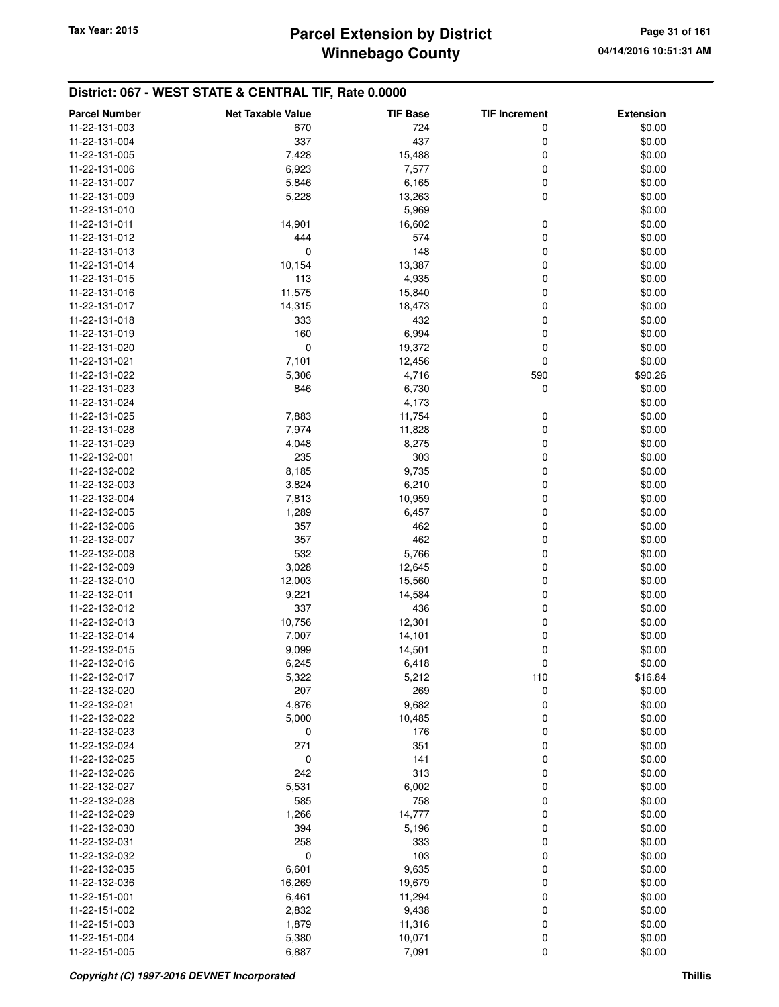| 724<br>11-22-131-003<br>670<br>0<br>\$0.00<br>437<br>11-22-131-004<br>337<br>0<br>\$0.00<br>7,428<br>15,488<br>0<br>\$0.00<br>11-22-131-005<br>$\mathbf 0$<br>6,923<br>7,577<br>\$0.00<br>11-22-131-006<br>0<br>\$0.00<br>11-22-131-007<br>5,846<br>6,165<br>$\mathbf 0$<br>13,263<br>\$0.00<br>11-22-131-009<br>5,228<br>5,969<br>\$0.00<br>11-22-131-010<br>14,901<br>16,602<br>0<br>\$0.00<br>11-22-131-011<br>$\mathbf 0$<br>444<br>574<br>\$0.00<br>11-22-131-012<br>0<br>148<br>0<br>\$0.00<br>11-22-131-013<br>10,154<br>13,387<br>0<br>\$0.00<br>11-22-131-014<br>113<br>4,935<br>0<br>11-22-131-015<br>\$0.00<br>$\mathbf 0$<br>11,575<br>15,840<br>\$0.00<br>11-22-131-016<br>$\mathbf 0$<br>14,315<br>\$0.00<br>11-22-131-017<br>18,473<br>0<br>\$0.00<br>11-22-131-018<br>333<br>432<br>160<br>6,994<br>0<br>\$0.00<br>11-22-131-019<br>0<br>0<br>19,372<br>\$0.00<br>11-22-131-020<br>7,101<br>0<br>\$0.00<br>11-22-131-021<br>12,456<br>5,306<br>4,716<br>590<br>\$90.26<br>11-22-131-022<br>0<br>\$0.00<br>11-22-131-023<br>846<br>6,730<br>11-22-131-024<br>4,173<br>\$0.00<br>11-22-131-025<br>7,883<br>11,754<br>0<br>\$0.00<br>7,974<br>11,828<br>0<br>\$0.00<br>11-22-131-028<br>$\mathbf 0$<br>8,275<br>\$0.00<br>11-22-131-029<br>4,048<br>235<br>303<br>0<br>\$0.00<br>11-22-132-001<br>8,185<br>9,735<br>0<br>\$0.00<br>11-22-132-002<br>0<br>3,824<br>6,210<br>\$0.00<br>11-22-132-003<br>10,959<br>0<br>\$0.00<br>11-22-132-004<br>7,813<br>$\mathbf 0$<br>6,457<br>\$0.00<br>11-22-132-005<br>1,289<br>357<br>0<br>\$0.00<br>11-22-132-006<br>462<br>462<br>11-22-132-007<br>357<br>0<br>\$0.00<br>532<br>0<br>11-22-132-008<br>5,766<br>\$0.00<br>$\mathbf 0$<br>3,028<br>12,645<br>\$0.00<br>11-22-132-009<br>$\mathbf 0$<br>12,003<br>\$0.00<br>11-22-132-010<br>15,560<br>0<br>\$0.00<br>11-22-132-011<br>9,221<br>14,584<br>337<br>436<br>0<br>\$0.00<br>11-22-132-012<br>10,756<br>12,301<br>0<br>\$0.00<br>11-22-132-013<br>0<br>\$0.00<br>11-22-132-014<br>7,007<br>14,101<br>0<br>\$0.00<br>11-22-132-015<br>9,099<br>14,501<br>0<br>\$0.00<br>11-22-132-016<br>6,245<br>6,418<br>5,212<br>110<br>\$16.84<br>11-22-132-017<br>5,322<br>11-22-132-020<br>207<br>269<br>0<br>\$0.00<br>4,876<br>9,682<br>0<br>\$0.00<br>11-22-132-021<br>0<br>5,000<br>10,485<br>\$0.00<br>11-22-132-022<br>0<br>176<br>0<br>\$0.00<br>11-22-132-023<br>351<br>11-22-132-024<br>271<br>0<br>\$0.00<br>141<br>0<br>11-22-132-025<br>0<br>\$0.00<br>313<br>$\mathbf 0$<br>\$0.00<br>242<br>11-22-132-026<br>6,002<br>$\mathbf 0$<br>5,531<br>\$0.00<br>11-22-132-027<br>585<br>758<br>0<br>\$0.00<br>11-22-132-028<br>11-22-132-029<br>1,266<br>14,777<br>0<br>\$0.00<br>0<br>11-22-132-030<br>394<br>5,196<br>\$0.00<br>333<br>$\mathbf 0$<br>258<br>\$0.00<br>11-22-132-031<br>$\mathbf 0$<br>0<br>103<br>\$0.00<br>11-22-132-032<br>9,635<br>6,601<br>0<br>\$0.00<br>11-22-132-035<br>11-22-132-036<br>19,679<br>0<br>\$0.00<br>16,269<br>0<br>11-22-151-001<br>6,461<br>11,294<br>\$0.00<br>$\mathbf 0$<br>2,832<br>9,438<br>\$0.00<br>11-22-151-002<br>0<br>1,879<br>11,316<br>\$0.00<br>11-22-151-003<br>11-22-151-004<br>10,071<br>0<br>\$0.00<br>5,380 | <b>Parcel Number</b> | <b>Net Taxable Value</b> | <b>TIF Base</b> | <b>TIF Increment</b> | <b>Extension</b> |
|--------------------------------------------------------------------------------------------------------------------------------------------------------------------------------------------------------------------------------------------------------------------------------------------------------------------------------------------------------------------------------------------------------------------------------------------------------------------------------------------------------------------------------------------------------------------------------------------------------------------------------------------------------------------------------------------------------------------------------------------------------------------------------------------------------------------------------------------------------------------------------------------------------------------------------------------------------------------------------------------------------------------------------------------------------------------------------------------------------------------------------------------------------------------------------------------------------------------------------------------------------------------------------------------------------------------------------------------------------------------------------------------------------------------------------------------------------------------------------------------------------------------------------------------------------------------------------------------------------------------------------------------------------------------------------------------------------------------------------------------------------------------------------------------------------------------------------------------------------------------------------------------------------------------------------------------------------------------------------------------------------------------------------------------------------------------------------------------------------------------------------------------------------------------------------------------------------------------------------------------------------------------------------------------------------------------------------------------------------------------------------------------------------------------------------------------------------------------------------------------------------------------------------------------------------------------------------------------------------------------------------------------------------------------------------------------------------------------------------------------------------------------------------------------------------------------------------------------------------------------------------------------------------------------------------------------------------------------------------------------------------------------------------------------------------------------------------------------------------------------------------------------------------------------------------|----------------------|--------------------------|-----------------|----------------------|------------------|
|                                                                                                                                                                                                                                                                                                                                                                                                                                                                                                                                                                                                                                                                                                                                                                                                                                                                                                                                                                                                                                                                                                                                                                                                                                                                                                                                                                                                                                                                                                                                                                                                                                                                                                                                                                                                                                                                                                                                                                                                                                                                                                                                                                                                                                                                                                                                                                                                                                                                                                                                                                                                                                                                                                                                                                                                                                                                                                                                                                                                                                                                                                                                                                                |                      |                          |                 |                      |                  |
|                                                                                                                                                                                                                                                                                                                                                                                                                                                                                                                                                                                                                                                                                                                                                                                                                                                                                                                                                                                                                                                                                                                                                                                                                                                                                                                                                                                                                                                                                                                                                                                                                                                                                                                                                                                                                                                                                                                                                                                                                                                                                                                                                                                                                                                                                                                                                                                                                                                                                                                                                                                                                                                                                                                                                                                                                                                                                                                                                                                                                                                                                                                                                                                |                      |                          |                 |                      |                  |
|                                                                                                                                                                                                                                                                                                                                                                                                                                                                                                                                                                                                                                                                                                                                                                                                                                                                                                                                                                                                                                                                                                                                                                                                                                                                                                                                                                                                                                                                                                                                                                                                                                                                                                                                                                                                                                                                                                                                                                                                                                                                                                                                                                                                                                                                                                                                                                                                                                                                                                                                                                                                                                                                                                                                                                                                                                                                                                                                                                                                                                                                                                                                                                                |                      |                          |                 |                      |                  |
|                                                                                                                                                                                                                                                                                                                                                                                                                                                                                                                                                                                                                                                                                                                                                                                                                                                                                                                                                                                                                                                                                                                                                                                                                                                                                                                                                                                                                                                                                                                                                                                                                                                                                                                                                                                                                                                                                                                                                                                                                                                                                                                                                                                                                                                                                                                                                                                                                                                                                                                                                                                                                                                                                                                                                                                                                                                                                                                                                                                                                                                                                                                                                                                |                      |                          |                 |                      |                  |
|                                                                                                                                                                                                                                                                                                                                                                                                                                                                                                                                                                                                                                                                                                                                                                                                                                                                                                                                                                                                                                                                                                                                                                                                                                                                                                                                                                                                                                                                                                                                                                                                                                                                                                                                                                                                                                                                                                                                                                                                                                                                                                                                                                                                                                                                                                                                                                                                                                                                                                                                                                                                                                                                                                                                                                                                                                                                                                                                                                                                                                                                                                                                                                                |                      |                          |                 |                      |                  |
|                                                                                                                                                                                                                                                                                                                                                                                                                                                                                                                                                                                                                                                                                                                                                                                                                                                                                                                                                                                                                                                                                                                                                                                                                                                                                                                                                                                                                                                                                                                                                                                                                                                                                                                                                                                                                                                                                                                                                                                                                                                                                                                                                                                                                                                                                                                                                                                                                                                                                                                                                                                                                                                                                                                                                                                                                                                                                                                                                                                                                                                                                                                                                                                |                      |                          |                 |                      |                  |
|                                                                                                                                                                                                                                                                                                                                                                                                                                                                                                                                                                                                                                                                                                                                                                                                                                                                                                                                                                                                                                                                                                                                                                                                                                                                                                                                                                                                                                                                                                                                                                                                                                                                                                                                                                                                                                                                                                                                                                                                                                                                                                                                                                                                                                                                                                                                                                                                                                                                                                                                                                                                                                                                                                                                                                                                                                                                                                                                                                                                                                                                                                                                                                                |                      |                          |                 |                      |                  |
|                                                                                                                                                                                                                                                                                                                                                                                                                                                                                                                                                                                                                                                                                                                                                                                                                                                                                                                                                                                                                                                                                                                                                                                                                                                                                                                                                                                                                                                                                                                                                                                                                                                                                                                                                                                                                                                                                                                                                                                                                                                                                                                                                                                                                                                                                                                                                                                                                                                                                                                                                                                                                                                                                                                                                                                                                                                                                                                                                                                                                                                                                                                                                                                |                      |                          |                 |                      |                  |
|                                                                                                                                                                                                                                                                                                                                                                                                                                                                                                                                                                                                                                                                                                                                                                                                                                                                                                                                                                                                                                                                                                                                                                                                                                                                                                                                                                                                                                                                                                                                                                                                                                                                                                                                                                                                                                                                                                                                                                                                                                                                                                                                                                                                                                                                                                                                                                                                                                                                                                                                                                                                                                                                                                                                                                                                                                                                                                                                                                                                                                                                                                                                                                                |                      |                          |                 |                      |                  |
|                                                                                                                                                                                                                                                                                                                                                                                                                                                                                                                                                                                                                                                                                                                                                                                                                                                                                                                                                                                                                                                                                                                                                                                                                                                                                                                                                                                                                                                                                                                                                                                                                                                                                                                                                                                                                                                                                                                                                                                                                                                                                                                                                                                                                                                                                                                                                                                                                                                                                                                                                                                                                                                                                                                                                                                                                                                                                                                                                                                                                                                                                                                                                                                |                      |                          |                 |                      |                  |
|                                                                                                                                                                                                                                                                                                                                                                                                                                                                                                                                                                                                                                                                                                                                                                                                                                                                                                                                                                                                                                                                                                                                                                                                                                                                                                                                                                                                                                                                                                                                                                                                                                                                                                                                                                                                                                                                                                                                                                                                                                                                                                                                                                                                                                                                                                                                                                                                                                                                                                                                                                                                                                                                                                                                                                                                                                                                                                                                                                                                                                                                                                                                                                                |                      |                          |                 |                      |                  |
|                                                                                                                                                                                                                                                                                                                                                                                                                                                                                                                                                                                                                                                                                                                                                                                                                                                                                                                                                                                                                                                                                                                                                                                                                                                                                                                                                                                                                                                                                                                                                                                                                                                                                                                                                                                                                                                                                                                                                                                                                                                                                                                                                                                                                                                                                                                                                                                                                                                                                                                                                                                                                                                                                                                                                                                                                                                                                                                                                                                                                                                                                                                                                                                |                      |                          |                 |                      |                  |
|                                                                                                                                                                                                                                                                                                                                                                                                                                                                                                                                                                                                                                                                                                                                                                                                                                                                                                                                                                                                                                                                                                                                                                                                                                                                                                                                                                                                                                                                                                                                                                                                                                                                                                                                                                                                                                                                                                                                                                                                                                                                                                                                                                                                                                                                                                                                                                                                                                                                                                                                                                                                                                                                                                                                                                                                                                                                                                                                                                                                                                                                                                                                                                                |                      |                          |                 |                      |                  |
|                                                                                                                                                                                                                                                                                                                                                                                                                                                                                                                                                                                                                                                                                                                                                                                                                                                                                                                                                                                                                                                                                                                                                                                                                                                                                                                                                                                                                                                                                                                                                                                                                                                                                                                                                                                                                                                                                                                                                                                                                                                                                                                                                                                                                                                                                                                                                                                                                                                                                                                                                                                                                                                                                                                                                                                                                                                                                                                                                                                                                                                                                                                                                                                |                      |                          |                 |                      |                  |
|                                                                                                                                                                                                                                                                                                                                                                                                                                                                                                                                                                                                                                                                                                                                                                                                                                                                                                                                                                                                                                                                                                                                                                                                                                                                                                                                                                                                                                                                                                                                                                                                                                                                                                                                                                                                                                                                                                                                                                                                                                                                                                                                                                                                                                                                                                                                                                                                                                                                                                                                                                                                                                                                                                                                                                                                                                                                                                                                                                                                                                                                                                                                                                                |                      |                          |                 |                      |                  |
|                                                                                                                                                                                                                                                                                                                                                                                                                                                                                                                                                                                                                                                                                                                                                                                                                                                                                                                                                                                                                                                                                                                                                                                                                                                                                                                                                                                                                                                                                                                                                                                                                                                                                                                                                                                                                                                                                                                                                                                                                                                                                                                                                                                                                                                                                                                                                                                                                                                                                                                                                                                                                                                                                                                                                                                                                                                                                                                                                                                                                                                                                                                                                                                |                      |                          |                 |                      |                  |
|                                                                                                                                                                                                                                                                                                                                                                                                                                                                                                                                                                                                                                                                                                                                                                                                                                                                                                                                                                                                                                                                                                                                                                                                                                                                                                                                                                                                                                                                                                                                                                                                                                                                                                                                                                                                                                                                                                                                                                                                                                                                                                                                                                                                                                                                                                                                                                                                                                                                                                                                                                                                                                                                                                                                                                                                                                                                                                                                                                                                                                                                                                                                                                                |                      |                          |                 |                      |                  |
|                                                                                                                                                                                                                                                                                                                                                                                                                                                                                                                                                                                                                                                                                                                                                                                                                                                                                                                                                                                                                                                                                                                                                                                                                                                                                                                                                                                                                                                                                                                                                                                                                                                                                                                                                                                                                                                                                                                                                                                                                                                                                                                                                                                                                                                                                                                                                                                                                                                                                                                                                                                                                                                                                                                                                                                                                                                                                                                                                                                                                                                                                                                                                                                |                      |                          |                 |                      |                  |
|                                                                                                                                                                                                                                                                                                                                                                                                                                                                                                                                                                                                                                                                                                                                                                                                                                                                                                                                                                                                                                                                                                                                                                                                                                                                                                                                                                                                                                                                                                                                                                                                                                                                                                                                                                                                                                                                                                                                                                                                                                                                                                                                                                                                                                                                                                                                                                                                                                                                                                                                                                                                                                                                                                                                                                                                                                                                                                                                                                                                                                                                                                                                                                                |                      |                          |                 |                      |                  |
|                                                                                                                                                                                                                                                                                                                                                                                                                                                                                                                                                                                                                                                                                                                                                                                                                                                                                                                                                                                                                                                                                                                                                                                                                                                                                                                                                                                                                                                                                                                                                                                                                                                                                                                                                                                                                                                                                                                                                                                                                                                                                                                                                                                                                                                                                                                                                                                                                                                                                                                                                                                                                                                                                                                                                                                                                                                                                                                                                                                                                                                                                                                                                                                |                      |                          |                 |                      |                  |
|                                                                                                                                                                                                                                                                                                                                                                                                                                                                                                                                                                                                                                                                                                                                                                                                                                                                                                                                                                                                                                                                                                                                                                                                                                                                                                                                                                                                                                                                                                                                                                                                                                                                                                                                                                                                                                                                                                                                                                                                                                                                                                                                                                                                                                                                                                                                                                                                                                                                                                                                                                                                                                                                                                                                                                                                                                                                                                                                                                                                                                                                                                                                                                                |                      |                          |                 |                      |                  |
|                                                                                                                                                                                                                                                                                                                                                                                                                                                                                                                                                                                                                                                                                                                                                                                                                                                                                                                                                                                                                                                                                                                                                                                                                                                                                                                                                                                                                                                                                                                                                                                                                                                                                                                                                                                                                                                                                                                                                                                                                                                                                                                                                                                                                                                                                                                                                                                                                                                                                                                                                                                                                                                                                                                                                                                                                                                                                                                                                                                                                                                                                                                                                                                |                      |                          |                 |                      |                  |
|                                                                                                                                                                                                                                                                                                                                                                                                                                                                                                                                                                                                                                                                                                                                                                                                                                                                                                                                                                                                                                                                                                                                                                                                                                                                                                                                                                                                                                                                                                                                                                                                                                                                                                                                                                                                                                                                                                                                                                                                                                                                                                                                                                                                                                                                                                                                                                                                                                                                                                                                                                                                                                                                                                                                                                                                                                                                                                                                                                                                                                                                                                                                                                                |                      |                          |                 |                      |                  |
|                                                                                                                                                                                                                                                                                                                                                                                                                                                                                                                                                                                                                                                                                                                                                                                                                                                                                                                                                                                                                                                                                                                                                                                                                                                                                                                                                                                                                                                                                                                                                                                                                                                                                                                                                                                                                                                                                                                                                                                                                                                                                                                                                                                                                                                                                                                                                                                                                                                                                                                                                                                                                                                                                                                                                                                                                                                                                                                                                                                                                                                                                                                                                                                |                      |                          |                 |                      |                  |
|                                                                                                                                                                                                                                                                                                                                                                                                                                                                                                                                                                                                                                                                                                                                                                                                                                                                                                                                                                                                                                                                                                                                                                                                                                                                                                                                                                                                                                                                                                                                                                                                                                                                                                                                                                                                                                                                                                                                                                                                                                                                                                                                                                                                                                                                                                                                                                                                                                                                                                                                                                                                                                                                                                                                                                                                                                                                                                                                                                                                                                                                                                                                                                                |                      |                          |                 |                      |                  |
|                                                                                                                                                                                                                                                                                                                                                                                                                                                                                                                                                                                                                                                                                                                                                                                                                                                                                                                                                                                                                                                                                                                                                                                                                                                                                                                                                                                                                                                                                                                                                                                                                                                                                                                                                                                                                                                                                                                                                                                                                                                                                                                                                                                                                                                                                                                                                                                                                                                                                                                                                                                                                                                                                                                                                                                                                                                                                                                                                                                                                                                                                                                                                                                |                      |                          |                 |                      |                  |
|                                                                                                                                                                                                                                                                                                                                                                                                                                                                                                                                                                                                                                                                                                                                                                                                                                                                                                                                                                                                                                                                                                                                                                                                                                                                                                                                                                                                                                                                                                                                                                                                                                                                                                                                                                                                                                                                                                                                                                                                                                                                                                                                                                                                                                                                                                                                                                                                                                                                                                                                                                                                                                                                                                                                                                                                                                                                                                                                                                                                                                                                                                                                                                                |                      |                          |                 |                      |                  |
|                                                                                                                                                                                                                                                                                                                                                                                                                                                                                                                                                                                                                                                                                                                                                                                                                                                                                                                                                                                                                                                                                                                                                                                                                                                                                                                                                                                                                                                                                                                                                                                                                                                                                                                                                                                                                                                                                                                                                                                                                                                                                                                                                                                                                                                                                                                                                                                                                                                                                                                                                                                                                                                                                                                                                                                                                                                                                                                                                                                                                                                                                                                                                                                |                      |                          |                 |                      |                  |
|                                                                                                                                                                                                                                                                                                                                                                                                                                                                                                                                                                                                                                                                                                                                                                                                                                                                                                                                                                                                                                                                                                                                                                                                                                                                                                                                                                                                                                                                                                                                                                                                                                                                                                                                                                                                                                                                                                                                                                                                                                                                                                                                                                                                                                                                                                                                                                                                                                                                                                                                                                                                                                                                                                                                                                                                                                                                                                                                                                                                                                                                                                                                                                                |                      |                          |                 |                      |                  |
|                                                                                                                                                                                                                                                                                                                                                                                                                                                                                                                                                                                                                                                                                                                                                                                                                                                                                                                                                                                                                                                                                                                                                                                                                                                                                                                                                                                                                                                                                                                                                                                                                                                                                                                                                                                                                                                                                                                                                                                                                                                                                                                                                                                                                                                                                                                                                                                                                                                                                                                                                                                                                                                                                                                                                                                                                                                                                                                                                                                                                                                                                                                                                                                |                      |                          |                 |                      |                  |
|                                                                                                                                                                                                                                                                                                                                                                                                                                                                                                                                                                                                                                                                                                                                                                                                                                                                                                                                                                                                                                                                                                                                                                                                                                                                                                                                                                                                                                                                                                                                                                                                                                                                                                                                                                                                                                                                                                                                                                                                                                                                                                                                                                                                                                                                                                                                                                                                                                                                                                                                                                                                                                                                                                                                                                                                                                                                                                                                                                                                                                                                                                                                                                                |                      |                          |                 |                      |                  |
|                                                                                                                                                                                                                                                                                                                                                                                                                                                                                                                                                                                                                                                                                                                                                                                                                                                                                                                                                                                                                                                                                                                                                                                                                                                                                                                                                                                                                                                                                                                                                                                                                                                                                                                                                                                                                                                                                                                                                                                                                                                                                                                                                                                                                                                                                                                                                                                                                                                                                                                                                                                                                                                                                                                                                                                                                                                                                                                                                                                                                                                                                                                                                                                |                      |                          |                 |                      |                  |
|                                                                                                                                                                                                                                                                                                                                                                                                                                                                                                                                                                                                                                                                                                                                                                                                                                                                                                                                                                                                                                                                                                                                                                                                                                                                                                                                                                                                                                                                                                                                                                                                                                                                                                                                                                                                                                                                                                                                                                                                                                                                                                                                                                                                                                                                                                                                                                                                                                                                                                                                                                                                                                                                                                                                                                                                                                                                                                                                                                                                                                                                                                                                                                                |                      |                          |                 |                      |                  |
|                                                                                                                                                                                                                                                                                                                                                                                                                                                                                                                                                                                                                                                                                                                                                                                                                                                                                                                                                                                                                                                                                                                                                                                                                                                                                                                                                                                                                                                                                                                                                                                                                                                                                                                                                                                                                                                                                                                                                                                                                                                                                                                                                                                                                                                                                                                                                                                                                                                                                                                                                                                                                                                                                                                                                                                                                                                                                                                                                                                                                                                                                                                                                                                |                      |                          |                 |                      |                  |
|                                                                                                                                                                                                                                                                                                                                                                                                                                                                                                                                                                                                                                                                                                                                                                                                                                                                                                                                                                                                                                                                                                                                                                                                                                                                                                                                                                                                                                                                                                                                                                                                                                                                                                                                                                                                                                                                                                                                                                                                                                                                                                                                                                                                                                                                                                                                                                                                                                                                                                                                                                                                                                                                                                                                                                                                                                                                                                                                                                                                                                                                                                                                                                                |                      |                          |                 |                      |                  |
|                                                                                                                                                                                                                                                                                                                                                                                                                                                                                                                                                                                                                                                                                                                                                                                                                                                                                                                                                                                                                                                                                                                                                                                                                                                                                                                                                                                                                                                                                                                                                                                                                                                                                                                                                                                                                                                                                                                                                                                                                                                                                                                                                                                                                                                                                                                                                                                                                                                                                                                                                                                                                                                                                                                                                                                                                                                                                                                                                                                                                                                                                                                                                                                |                      |                          |                 |                      |                  |
|                                                                                                                                                                                                                                                                                                                                                                                                                                                                                                                                                                                                                                                                                                                                                                                                                                                                                                                                                                                                                                                                                                                                                                                                                                                                                                                                                                                                                                                                                                                                                                                                                                                                                                                                                                                                                                                                                                                                                                                                                                                                                                                                                                                                                                                                                                                                                                                                                                                                                                                                                                                                                                                                                                                                                                                                                                                                                                                                                                                                                                                                                                                                                                                |                      |                          |                 |                      |                  |
|                                                                                                                                                                                                                                                                                                                                                                                                                                                                                                                                                                                                                                                                                                                                                                                                                                                                                                                                                                                                                                                                                                                                                                                                                                                                                                                                                                                                                                                                                                                                                                                                                                                                                                                                                                                                                                                                                                                                                                                                                                                                                                                                                                                                                                                                                                                                                                                                                                                                                                                                                                                                                                                                                                                                                                                                                                                                                                                                                                                                                                                                                                                                                                                |                      |                          |                 |                      |                  |
|                                                                                                                                                                                                                                                                                                                                                                                                                                                                                                                                                                                                                                                                                                                                                                                                                                                                                                                                                                                                                                                                                                                                                                                                                                                                                                                                                                                                                                                                                                                                                                                                                                                                                                                                                                                                                                                                                                                                                                                                                                                                                                                                                                                                                                                                                                                                                                                                                                                                                                                                                                                                                                                                                                                                                                                                                                                                                                                                                                                                                                                                                                                                                                                |                      |                          |                 |                      |                  |
|                                                                                                                                                                                                                                                                                                                                                                                                                                                                                                                                                                                                                                                                                                                                                                                                                                                                                                                                                                                                                                                                                                                                                                                                                                                                                                                                                                                                                                                                                                                                                                                                                                                                                                                                                                                                                                                                                                                                                                                                                                                                                                                                                                                                                                                                                                                                                                                                                                                                                                                                                                                                                                                                                                                                                                                                                                                                                                                                                                                                                                                                                                                                                                                |                      |                          |                 |                      |                  |
|                                                                                                                                                                                                                                                                                                                                                                                                                                                                                                                                                                                                                                                                                                                                                                                                                                                                                                                                                                                                                                                                                                                                                                                                                                                                                                                                                                                                                                                                                                                                                                                                                                                                                                                                                                                                                                                                                                                                                                                                                                                                                                                                                                                                                                                                                                                                                                                                                                                                                                                                                                                                                                                                                                                                                                                                                                                                                                                                                                                                                                                                                                                                                                                |                      |                          |                 |                      |                  |
|                                                                                                                                                                                                                                                                                                                                                                                                                                                                                                                                                                                                                                                                                                                                                                                                                                                                                                                                                                                                                                                                                                                                                                                                                                                                                                                                                                                                                                                                                                                                                                                                                                                                                                                                                                                                                                                                                                                                                                                                                                                                                                                                                                                                                                                                                                                                                                                                                                                                                                                                                                                                                                                                                                                                                                                                                                                                                                                                                                                                                                                                                                                                                                                |                      |                          |                 |                      |                  |
|                                                                                                                                                                                                                                                                                                                                                                                                                                                                                                                                                                                                                                                                                                                                                                                                                                                                                                                                                                                                                                                                                                                                                                                                                                                                                                                                                                                                                                                                                                                                                                                                                                                                                                                                                                                                                                                                                                                                                                                                                                                                                                                                                                                                                                                                                                                                                                                                                                                                                                                                                                                                                                                                                                                                                                                                                                                                                                                                                                                                                                                                                                                                                                                |                      |                          |                 |                      |                  |
|                                                                                                                                                                                                                                                                                                                                                                                                                                                                                                                                                                                                                                                                                                                                                                                                                                                                                                                                                                                                                                                                                                                                                                                                                                                                                                                                                                                                                                                                                                                                                                                                                                                                                                                                                                                                                                                                                                                                                                                                                                                                                                                                                                                                                                                                                                                                                                                                                                                                                                                                                                                                                                                                                                                                                                                                                                                                                                                                                                                                                                                                                                                                                                                |                      |                          |                 |                      |                  |
|                                                                                                                                                                                                                                                                                                                                                                                                                                                                                                                                                                                                                                                                                                                                                                                                                                                                                                                                                                                                                                                                                                                                                                                                                                                                                                                                                                                                                                                                                                                                                                                                                                                                                                                                                                                                                                                                                                                                                                                                                                                                                                                                                                                                                                                                                                                                                                                                                                                                                                                                                                                                                                                                                                                                                                                                                                                                                                                                                                                                                                                                                                                                                                                |                      |                          |                 |                      |                  |
|                                                                                                                                                                                                                                                                                                                                                                                                                                                                                                                                                                                                                                                                                                                                                                                                                                                                                                                                                                                                                                                                                                                                                                                                                                                                                                                                                                                                                                                                                                                                                                                                                                                                                                                                                                                                                                                                                                                                                                                                                                                                                                                                                                                                                                                                                                                                                                                                                                                                                                                                                                                                                                                                                                                                                                                                                                                                                                                                                                                                                                                                                                                                                                                |                      |                          |                 |                      |                  |
|                                                                                                                                                                                                                                                                                                                                                                                                                                                                                                                                                                                                                                                                                                                                                                                                                                                                                                                                                                                                                                                                                                                                                                                                                                                                                                                                                                                                                                                                                                                                                                                                                                                                                                                                                                                                                                                                                                                                                                                                                                                                                                                                                                                                                                                                                                                                                                                                                                                                                                                                                                                                                                                                                                                                                                                                                                                                                                                                                                                                                                                                                                                                                                                |                      |                          |                 |                      |                  |
|                                                                                                                                                                                                                                                                                                                                                                                                                                                                                                                                                                                                                                                                                                                                                                                                                                                                                                                                                                                                                                                                                                                                                                                                                                                                                                                                                                                                                                                                                                                                                                                                                                                                                                                                                                                                                                                                                                                                                                                                                                                                                                                                                                                                                                                                                                                                                                                                                                                                                                                                                                                                                                                                                                                                                                                                                                                                                                                                                                                                                                                                                                                                                                                |                      |                          |                 |                      |                  |
|                                                                                                                                                                                                                                                                                                                                                                                                                                                                                                                                                                                                                                                                                                                                                                                                                                                                                                                                                                                                                                                                                                                                                                                                                                                                                                                                                                                                                                                                                                                                                                                                                                                                                                                                                                                                                                                                                                                                                                                                                                                                                                                                                                                                                                                                                                                                                                                                                                                                                                                                                                                                                                                                                                                                                                                                                                                                                                                                                                                                                                                                                                                                                                                |                      |                          |                 |                      |                  |
|                                                                                                                                                                                                                                                                                                                                                                                                                                                                                                                                                                                                                                                                                                                                                                                                                                                                                                                                                                                                                                                                                                                                                                                                                                                                                                                                                                                                                                                                                                                                                                                                                                                                                                                                                                                                                                                                                                                                                                                                                                                                                                                                                                                                                                                                                                                                                                                                                                                                                                                                                                                                                                                                                                                                                                                                                                                                                                                                                                                                                                                                                                                                                                                |                      |                          |                 |                      |                  |
|                                                                                                                                                                                                                                                                                                                                                                                                                                                                                                                                                                                                                                                                                                                                                                                                                                                                                                                                                                                                                                                                                                                                                                                                                                                                                                                                                                                                                                                                                                                                                                                                                                                                                                                                                                                                                                                                                                                                                                                                                                                                                                                                                                                                                                                                                                                                                                                                                                                                                                                                                                                                                                                                                                                                                                                                                                                                                                                                                                                                                                                                                                                                                                                |                      |                          |                 |                      |                  |
|                                                                                                                                                                                                                                                                                                                                                                                                                                                                                                                                                                                                                                                                                                                                                                                                                                                                                                                                                                                                                                                                                                                                                                                                                                                                                                                                                                                                                                                                                                                                                                                                                                                                                                                                                                                                                                                                                                                                                                                                                                                                                                                                                                                                                                                                                                                                                                                                                                                                                                                                                                                                                                                                                                                                                                                                                                                                                                                                                                                                                                                                                                                                                                                |                      |                          |                 |                      |                  |
|                                                                                                                                                                                                                                                                                                                                                                                                                                                                                                                                                                                                                                                                                                                                                                                                                                                                                                                                                                                                                                                                                                                                                                                                                                                                                                                                                                                                                                                                                                                                                                                                                                                                                                                                                                                                                                                                                                                                                                                                                                                                                                                                                                                                                                                                                                                                                                                                                                                                                                                                                                                                                                                                                                                                                                                                                                                                                                                                                                                                                                                                                                                                                                                |                      |                          |                 |                      |                  |
|                                                                                                                                                                                                                                                                                                                                                                                                                                                                                                                                                                                                                                                                                                                                                                                                                                                                                                                                                                                                                                                                                                                                                                                                                                                                                                                                                                                                                                                                                                                                                                                                                                                                                                                                                                                                                                                                                                                                                                                                                                                                                                                                                                                                                                                                                                                                                                                                                                                                                                                                                                                                                                                                                                                                                                                                                                                                                                                                                                                                                                                                                                                                                                                |                      |                          |                 |                      |                  |
|                                                                                                                                                                                                                                                                                                                                                                                                                                                                                                                                                                                                                                                                                                                                                                                                                                                                                                                                                                                                                                                                                                                                                                                                                                                                                                                                                                                                                                                                                                                                                                                                                                                                                                                                                                                                                                                                                                                                                                                                                                                                                                                                                                                                                                                                                                                                                                                                                                                                                                                                                                                                                                                                                                                                                                                                                                                                                                                                                                                                                                                                                                                                                                                |                      |                          |                 |                      |                  |
|                                                                                                                                                                                                                                                                                                                                                                                                                                                                                                                                                                                                                                                                                                                                                                                                                                                                                                                                                                                                                                                                                                                                                                                                                                                                                                                                                                                                                                                                                                                                                                                                                                                                                                                                                                                                                                                                                                                                                                                                                                                                                                                                                                                                                                                                                                                                                                                                                                                                                                                                                                                                                                                                                                                                                                                                                                                                                                                                                                                                                                                                                                                                                                                |                      |                          |                 |                      |                  |
|                                                                                                                                                                                                                                                                                                                                                                                                                                                                                                                                                                                                                                                                                                                                                                                                                                                                                                                                                                                                                                                                                                                                                                                                                                                                                                                                                                                                                                                                                                                                                                                                                                                                                                                                                                                                                                                                                                                                                                                                                                                                                                                                                                                                                                                                                                                                                                                                                                                                                                                                                                                                                                                                                                                                                                                                                                                                                                                                                                                                                                                                                                                                                                                |                      |                          |                 |                      |                  |
|                                                                                                                                                                                                                                                                                                                                                                                                                                                                                                                                                                                                                                                                                                                                                                                                                                                                                                                                                                                                                                                                                                                                                                                                                                                                                                                                                                                                                                                                                                                                                                                                                                                                                                                                                                                                                                                                                                                                                                                                                                                                                                                                                                                                                                                                                                                                                                                                                                                                                                                                                                                                                                                                                                                                                                                                                                                                                                                                                                                                                                                                                                                                                                                |                      |                          |                 |                      |                  |
|                                                                                                                                                                                                                                                                                                                                                                                                                                                                                                                                                                                                                                                                                                                                                                                                                                                                                                                                                                                                                                                                                                                                                                                                                                                                                                                                                                                                                                                                                                                                                                                                                                                                                                                                                                                                                                                                                                                                                                                                                                                                                                                                                                                                                                                                                                                                                                                                                                                                                                                                                                                                                                                                                                                                                                                                                                                                                                                                                                                                                                                                                                                                                                                |                      |                          |                 |                      |                  |
|                                                                                                                                                                                                                                                                                                                                                                                                                                                                                                                                                                                                                                                                                                                                                                                                                                                                                                                                                                                                                                                                                                                                                                                                                                                                                                                                                                                                                                                                                                                                                                                                                                                                                                                                                                                                                                                                                                                                                                                                                                                                                                                                                                                                                                                                                                                                                                                                                                                                                                                                                                                                                                                                                                                                                                                                                                                                                                                                                                                                                                                                                                                                                                                |                      |                          |                 |                      |                  |
|                                                                                                                                                                                                                                                                                                                                                                                                                                                                                                                                                                                                                                                                                                                                                                                                                                                                                                                                                                                                                                                                                                                                                                                                                                                                                                                                                                                                                                                                                                                                                                                                                                                                                                                                                                                                                                                                                                                                                                                                                                                                                                                                                                                                                                                                                                                                                                                                                                                                                                                                                                                                                                                                                                                                                                                                                                                                                                                                                                                                                                                                                                                                                                                | 11-22-151-005        | 6,887                    | 7,091           | $\mathbf 0$          | \$0.00           |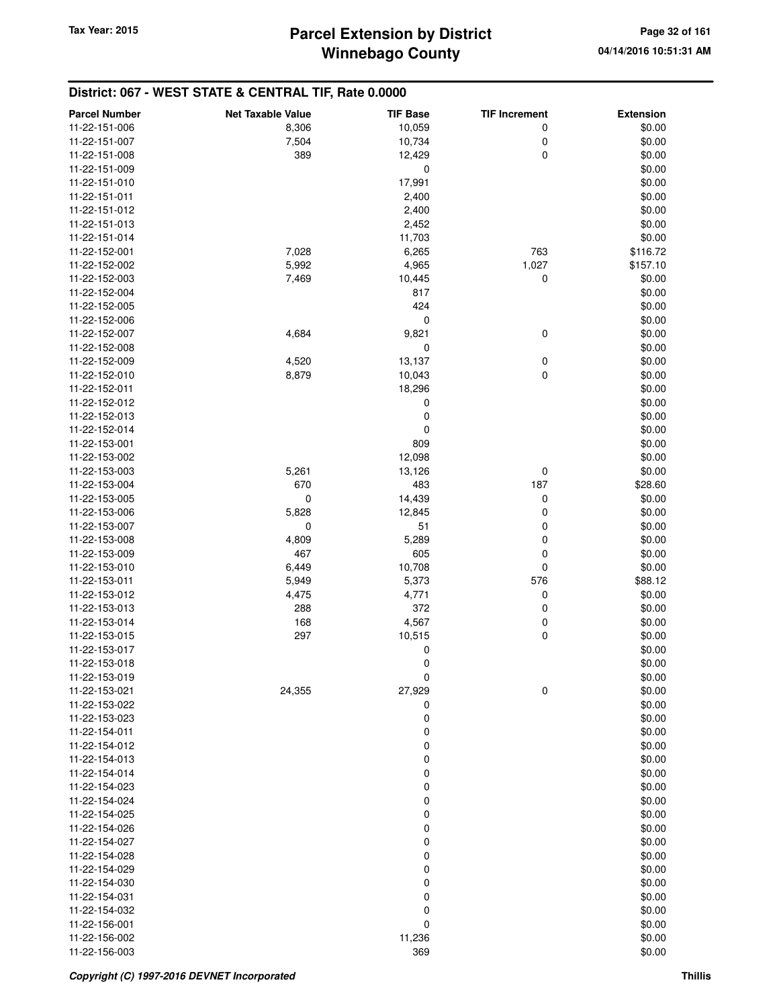| <b>Parcel Number</b>           | <b>Net Taxable Value</b> | <b>TIF Base</b>  | <b>TIF Increment</b> | <b>Extension</b> |
|--------------------------------|--------------------------|------------------|----------------------|------------------|
| 11-22-151-006                  | 8,306                    | 10,059           | 0                    | \$0.00           |
| 11-22-151-007                  | 7,504                    | 10,734           | 0                    | \$0.00           |
| 11-22-151-008                  | 389                      | 12,429           | 0                    | \$0.00           |
| 11-22-151-009                  |                          | $\mathbf 0$      |                      | \$0.00           |
| 11-22-151-010                  |                          | 17,991           |                      | \$0.00           |
| 11-22-151-011                  |                          | 2,400            |                      | \$0.00           |
| 11-22-151-012                  |                          | 2,400            |                      | \$0.00           |
| 11-22-151-013                  |                          | 2,452            |                      | \$0.00           |
| 11-22-151-014                  |                          | 11,703           |                      | \$0.00           |
| 11-22-152-001                  | 7,028                    | 6,265            | 763                  | \$116.72         |
| 11-22-152-002                  | 5,992                    | 4,965            | 1,027                | \$157.10         |
| 11-22-152-003                  | 7,469                    | 10,445           | 0                    | \$0.00           |
| 11-22-152-004                  |                          | 817              |                      | \$0.00           |
| 11-22-152-005                  |                          | 424              |                      | \$0.00           |
| 11-22-152-006                  |                          | 0                |                      | \$0.00           |
| 11-22-152-007                  | 4,684                    | 9,821            | 0                    | \$0.00           |
| 11-22-152-008                  |                          | 0                |                      | \$0.00           |
| 11-22-152-009                  | 4,520                    | 13,137           | 0                    | \$0.00           |
| 11-22-152-010                  | 8,879                    | 10,043           | 0                    | \$0.00           |
| 11-22-152-011                  |                          | 18,296           |                      | \$0.00           |
| 11-22-152-012                  |                          | 0                |                      | \$0.00           |
| 11-22-152-013                  |                          | $\boldsymbol{0}$ |                      | \$0.00           |
| 11-22-152-014                  |                          | $\mathbf 0$      |                      | \$0.00           |
| 11-22-153-001                  |                          | 809              |                      | \$0.00           |
| 11-22-153-002                  |                          | 12,098           |                      | \$0.00           |
| 11-22-153-003                  | 5,261                    | 13,126           | 0                    | \$0.00           |
| 11-22-153-004                  | 670                      | 483              | 187                  | \$28.60          |
| 11-22-153-005                  | $\mathbf 0$              | 14,439           | 0                    | \$0.00           |
| 11-22-153-006                  | 5,828                    | 12,845           | 0                    | \$0.00           |
| 11-22-153-007                  | 0                        | 51               | 0                    | \$0.00           |
| 11-22-153-008                  | 4,809                    | 5,289            | 0                    | \$0.00           |
| 11-22-153-009                  | 467                      | 605              | 0                    | \$0.00           |
| 11-22-153-010                  | 6,449                    | 10,708           | 0                    | \$0.00           |
| 11-22-153-011                  | 5,949                    | 5,373            | 576                  | \$88.12          |
| 11-22-153-012<br>11-22-153-013 | 4,475<br>288             | 4,771            | 0                    | \$0.00           |
| 11-22-153-014                  | 168                      | 372<br>4,567     | 0<br>0               | \$0.00<br>\$0.00 |
| 11-22-153-015                  | 297                      | 10,515           | 0                    | \$0.00           |
| 11-22-153-017                  |                          | 0                |                      | \$0.00           |
| 11-22-153-018                  |                          | 0                |                      | \$0.00           |
| 11-22-153-019                  |                          | 0                |                      | \$0.00           |
| 11-22-153-021                  | 24,355                   | 27,929           | 0                    | \$0.00           |
| 11-22-153-022                  |                          | 0                |                      | \$0.00           |
| 11-22-153-023                  |                          | $\boldsymbol{0}$ |                      | \$0.00           |
| 11-22-154-011                  |                          | $\boldsymbol{0}$ |                      | \$0.00           |
| 11-22-154-012                  |                          | $\mathbf 0$      |                      | \$0.00           |
| 11-22-154-013                  |                          | $\boldsymbol{0}$ |                      | \$0.00           |
| 11-22-154-014                  |                          | $\boldsymbol{0}$ |                      | \$0.00           |
| 11-22-154-023                  |                          | $\boldsymbol{0}$ |                      | \$0.00           |
| 11-22-154-024                  |                          | $\boldsymbol{0}$ |                      | \$0.00           |
| 11-22-154-025                  |                          | $\boldsymbol{0}$ |                      | \$0.00           |
| 11-22-154-026                  |                          | $\boldsymbol{0}$ |                      | \$0.00           |
| 11-22-154-027                  |                          | $\boldsymbol{0}$ |                      | \$0.00           |
| 11-22-154-028                  |                          | $\boldsymbol{0}$ |                      | \$0.00           |
| 11-22-154-029                  |                          | $\boldsymbol{0}$ |                      | \$0.00           |
| 11-22-154-030                  |                          | $\mathbf 0$      |                      | \$0.00           |
| 11-22-154-031                  |                          | $\mathbf 0$      |                      | \$0.00           |
| 11-22-154-032                  |                          | $\boldsymbol{0}$ |                      | \$0.00           |
| 11-22-156-001                  |                          | $\mathbf 0$      |                      | \$0.00           |
| 11-22-156-002                  |                          | 11,236           |                      | \$0.00           |
| 11-22-156-003                  |                          | 369              |                      | \$0.00           |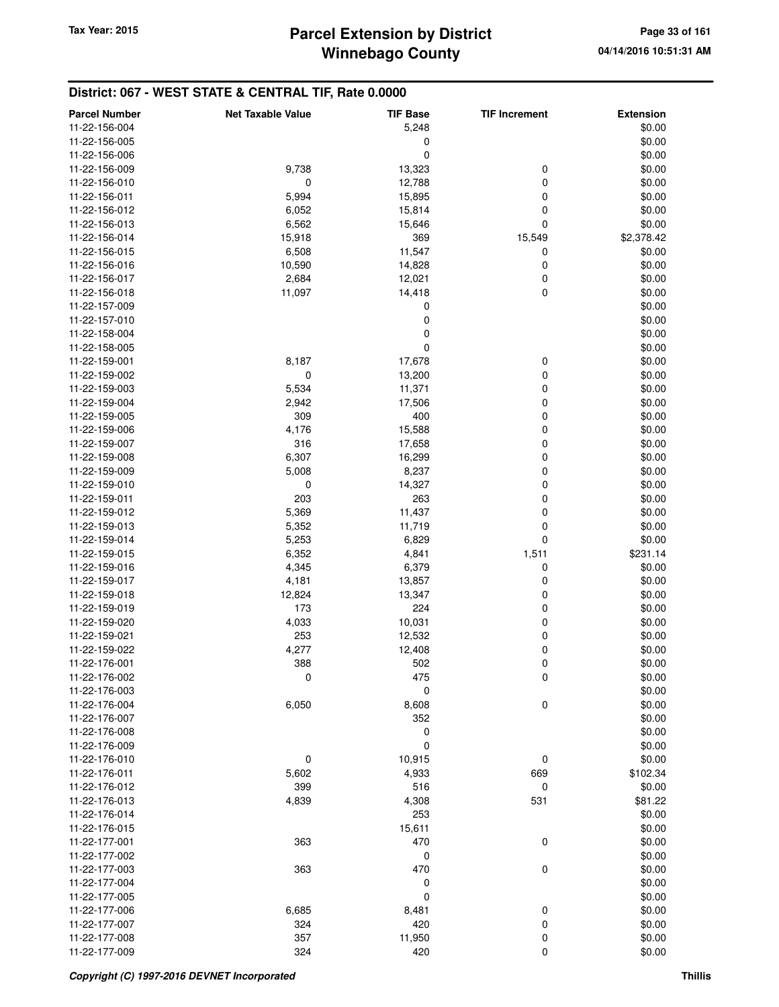## **Winnebago County Parcel Extension by District Tax Year: 2015 Page 33 of 161**

| <b>Parcel Number</b>           | <b>Net Taxable Value</b> | <b>TIF Base</b>  | <b>TIF Increment</b> | <b>Extension</b> |
|--------------------------------|--------------------------|------------------|----------------------|------------------|
| 11-22-156-004                  |                          | 5,248            |                      | \$0.00           |
| 11-22-156-005                  |                          | 0                |                      | \$0.00           |
| 11-22-156-006                  |                          | 0                |                      | \$0.00           |
| 11-22-156-009                  | 9,738                    | 13,323           | 0                    | \$0.00           |
| 11-22-156-010                  | 0                        | 12,788           | 0                    | \$0.00           |
| 11-22-156-011                  | 5,994                    | 15,895           | 0                    | \$0.00           |
| 11-22-156-012                  | 6,052                    | 15,814           | 0                    | \$0.00           |
| 11-22-156-013                  | 6,562                    | 15,646           | 0                    | \$0.00           |
| 11-22-156-014                  | 15,918                   | 369              | 15,549               | \$2,378.42       |
| 11-22-156-015                  | 6,508                    | 11,547           | 0                    | \$0.00           |
| 11-22-156-016                  | 10,590                   | 14,828           | 0                    | \$0.00           |
| 11-22-156-017                  | 2,684                    | 12,021           | 0                    | \$0.00           |
| 11-22-156-018                  | 11,097                   | 14,418           | $\mathbf 0$          | \$0.00           |
| 11-22-157-009                  |                          | 0                |                      | \$0.00           |
| 11-22-157-010                  |                          | 0                |                      | \$0.00           |
| 11-22-158-004                  |                          | 0                |                      | \$0.00           |
|                                |                          | 0                |                      | \$0.00           |
| 11-22-158-005<br>11-22-159-001 |                          |                  |                      |                  |
|                                | 8,187                    | 17,678           | 0                    | \$0.00           |
| 11-22-159-002                  | 0                        | 13,200           | 0                    | \$0.00           |
| 11-22-159-003                  | 5,534                    | 11,371           | 0                    | \$0.00           |
| 11-22-159-004                  | 2,942                    | 17,506           | 0                    | \$0.00           |
| 11-22-159-005                  | 309                      | 400              | 0                    | \$0.00           |
| 11-22-159-006                  | 4,176                    | 15,588           | 0                    | \$0.00           |
| 11-22-159-007                  | 316                      | 17,658           | 0                    | \$0.00           |
| 11-22-159-008                  | 6,307                    | 16,299           | 0                    | \$0.00           |
| 11-22-159-009                  | 5,008                    | 8,237            | 0                    | \$0.00           |
| 11-22-159-010                  | 0                        | 14,327           | 0                    | \$0.00           |
| 11-22-159-011                  | 203                      | 263              | 0                    | \$0.00           |
| 11-22-159-012                  | 5,369                    | 11,437           | 0                    | \$0.00           |
| 11-22-159-013                  | 5,352                    | 11,719           | 0                    | \$0.00           |
| 11-22-159-014                  | 5,253                    | 6,829            | 0                    | \$0.00           |
| 11-22-159-015                  | 6,352                    | 4,841            | 1,511                | \$231.14         |
| 11-22-159-016                  | 4,345                    | 6,379            | 0                    | \$0.00           |
| 11-22-159-017                  | 4,181                    | 13,857           | 0                    | \$0.00           |
| 11-22-159-018                  | 12,824                   | 13,347           | 0                    | \$0.00           |
| 11-22-159-019                  | 173                      | 224              | 0                    | \$0.00           |
| 11-22-159-020                  | 4,033                    | 10,031           | 0                    | \$0.00           |
| 11-22-159-021                  | 253                      | 12,532           | 0                    | \$0.00           |
| 11-22-159-022                  | 4,277                    | 12,408           | 0                    | \$0.00           |
| 11-22-176-001                  | 388                      | 502              | 0                    | \$0.00           |
| 11-22-176-002                  | 0                        | 475              | 0                    | \$0.00           |
| 11-22-176-003                  |                          | 0                |                      | \$0.00           |
| 11-22-176-004                  | 6,050                    | 8,608            | $\pmb{0}$            | \$0.00           |
| 11-22-176-007                  |                          | 352              |                      | \$0.00           |
| 11-22-176-008                  |                          | 0                |                      | \$0.00           |
| 11-22-176-009                  |                          | $\boldsymbol{0}$ |                      | \$0.00           |
| 11-22-176-010                  | 0                        | 10,915           | 0                    | \$0.00           |
| 11-22-176-011                  | 5,602                    | 4,933            | 669                  | \$102.34         |
| 11-22-176-012                  | 399                      | 516              | 0                    | \$0.00           |
| 11-22-176-013                  | 4,839                    | 4,308            | 531                  | \$81.22          |
| 11-22-176-014                  |                          | 253              |                      | \$0.00           |
| 11-22-176-015                  |                          | 15,611           |                      | \$0.00           |
| 11-22-177-001                  | 363                      | 470              | 0                    | \$0.00           |
| 11-22-177-002                  |                          | 0                |                      | \$0.00           |
| 11-22-177-003                  | 363                      | 470              | 0                    | \$0.00           |
| 11-22-177-004                  |                          | $\boldsymbol{0}$ |                      | \$0.00           |
| 11-22-177-005                  |                          | $\mathbf 0$      |                      | \$0.00           |
| 11-22-177-006                  | 6,685                    | 8,481            | 0                    | \$0.00           |
| 11-22-177-007                  | 324                      | 420              | 0                    | \$0.00           |
| 11-22-177-008                  | 357                      | 11,950           | 0                    | \$0.00           |
| 11-22-177-009                  | 324                      | 420              | 0                    | \$0.00           |
|                                |                          |                  |                      |                  |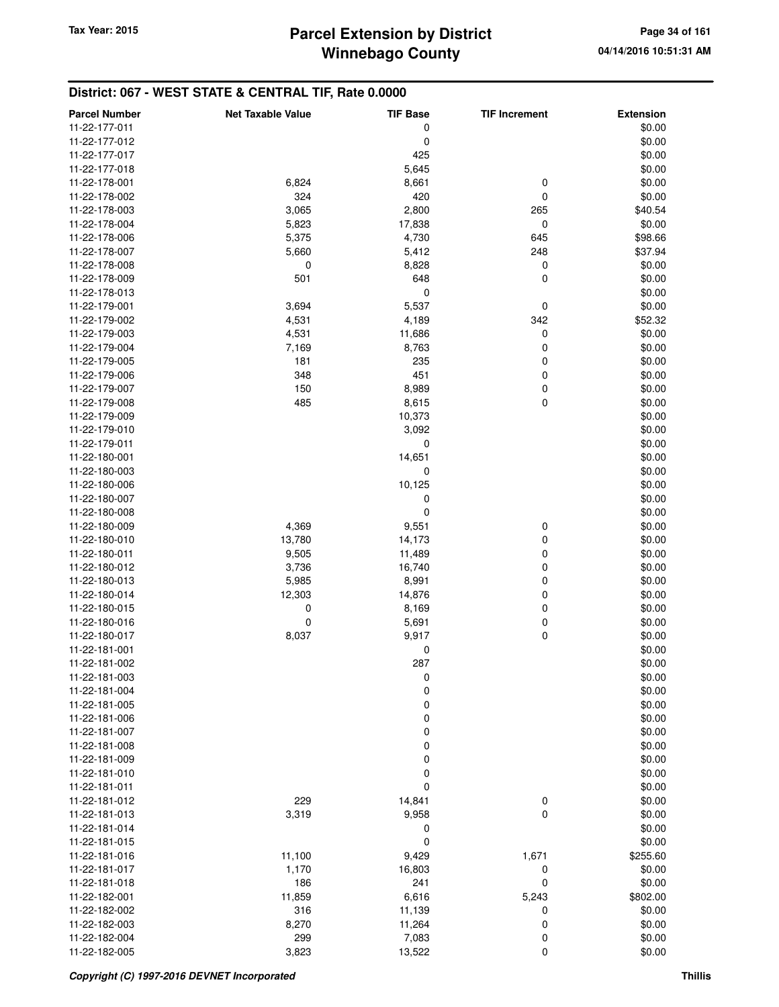## **Winnebago County Parcel Extension by District Tax Year: 2015 Page 34 of 161**

| <b>Parcel Number</b> | <b>Net Taxable Value</b> | <b>TIF Base</b>  | <b>TIF Increment</b> | <b>Extension</b> |
|----------------------|--------------------------|------------------|----------------------|------------------|
| 11-22-177-011        |                          | 0                |                      | \$0.00           |
| 11-22-177-012        |                          | $\mathbf 0$      |                      | \$0.00           |
| 11-22-177-017        |                          | 425              |                      | \$0.00           |
| 11-22-177-018        |                          | 5,645            |                      | \$0.00           |
| 11-22-178-001        | 6,824                    | 8,661            | 0                    | \$0.00           |
| 11-22-178-002        | 324                      | 420              | $\mathbf 0$          | \$0.00           |
| 11-22-178-003        | 3,065                    | 2,800            | 265                  | \$40.54          |
| 11-22-178-004        | 5,823                    | 17,838           | 0                    | \$0.00           |
| 11-22-178-006        | 5,375                    | 4,730            | 645                  | \$98.66          |
| 11-22-178-007        | 5,660                    | 5,412            | 248                  | \$37.94          |
| 11-22-178-008        | 0                        | 8,828            | 0                    | \$0.00           |
| 11-22-178-009        | 501                      | 648              | 0                    | \$0.00           |
| 11-22-178-013        |                          | 0                |                      | \$0.00           |
| 11-22-179-001        | 3,694                    | 5,537            | 0                    | \$0.00           |
| 11-22-179-002        | 4,531                    | 4,189            | 342                  | \$52.32          |
| 11-22-179-003        | 4,531                    | 11,686           | 0                    | \$0.00           |
| 11-22-179-004        | 7,169                    | 8,763            | 0                    | \$0.00           |
| 11-22-179-005        | 181                      | 235              | 0                    | \$0.00           |
| 11-22-179-006        | 348                      | 451              | 0                    | \$0.00           |
| 11-22-179-007        | 150                      | 8,989            | 0                    | \$0.00           |
| 11-22-179-008        | 485                      | 8,615            | $\mathbf 0$          | \$0.00           |
| 11-22-179-009        |                          | 10,373           |                      | \$0.00           |
| 11-22-179-010        |                          | 3,092            |                      | \$0.00           |
| 11-22-179-011        |                          | 0                |                      | \$0.00           |
| 11-22-180-001        |                          | 14,651           |                      | \$0.00           |
| 11-22-180-003        |                          | $\mathbf 0$      |                      | \$0.00           |
| 11-22-180-006        |                          | 10,125           |                      | \$0.00           |
| 11-22-180-007        |                          | 0                |                      | \$0.00           |
| 11-22-180-008        |                          | 0                |                      | \$0.00           |
| 11-22-180-009        | 4,369                    | 9,551            | 0                    | \$0.00           |
| 11-22-180-010        | 13,780                   | 14,173           | 0                    | \$0.00           |
| 11-22-180-011        | 9,505                    | 11,489           | 0                    | \$0.00           |
| 11-22-180-012        | 3,736                    | 16,740           | 0                    | \$0.00           |
| 11-22-180-013        | 5,985                    | 8,991            | 0                    | \$0.00           |
| 11-22-180-014        | 12,303                   | 14,876           | 0                    | \$0.00           |
| 11-22-180-015        | 0                        | 8,169            | 0                    | \$0.00           |
| 11-22-180-016        | 0                        | 5,691            | 0                    | \$0.00           |
| 11-22-180-017        | 8,037                    | 9,917            | $\mathbf 0$          | \$0.00           |
| 11-22-181-001        |                          | 0                |                      | \$0.00           |
| 11-22-181-002        |                          | 287              |                      | \$0.00           |
| 11-22-181-003        |                          | 0                |                      | \$0.00           |
| 11-22-181-004        |                          | $\mathbf 0$      |                      | \$0.00           |
| 11-22-181-005        |                          | $\mathbf 0$      |                      | \$0.00           |
| 11-22-181-006        |                          | $\boldsymbol{0}$ |                      | \$0.00           |
| 11-22-181-007        |                          | $\boldsymbol{0}$ |                      | \$0.00           |
| 11-22-181-008        |                          | 0                |                      | \$0.00           |
| 11-22-181-009        |                          | $\boldsymbol{0}$ |                      | \$0.00           |
| 11-22-181-010        |                          | $\mathbf 0$      |                      | \$0.00           |
| 11-22-181-011        |                          | 0                |                      | \$0.00           |
| 11-22-181-012        | 229                      | 14,841           | 0                    | \$0.00           |
| 11-22-181-013        | 3,319                    | 9,958            | $\mathbf 0$          | \$0.00           |
| 11-22-181-014        |                          | 0                |                      | \$0.00           |
| 11-22-181-015        |                          | $\mathbf 0$      |                      | \$0.00           |
| 11-22-181-016        | 11,100                   | 9,429            | 1,671                | \$255.60         |
| 11-22-181-017        | 1,170                    | 16,803           | 0                    | \$0.00           |
| 11-22-181-018        | 186                      | 241              | $\mathbf 0$          | \$0.00           |
| 11-22-182-001        | 11,859                   | 6,616            | 5,243                | \$802.00         |
| 11-22-182-002        | 316                      | 11,139           | 0                    | \$0.00           |
| 11-22-182-003        | 8,270                    | 11,264           | 0                    | \$0.00           |
| 11-22-182-004        | 299                      | 7,083            | 0                    | \$0.00           |
| 11-22-182-005        | 3,823                    | 13,522           | $\pmb{0}$            | \$0.00           |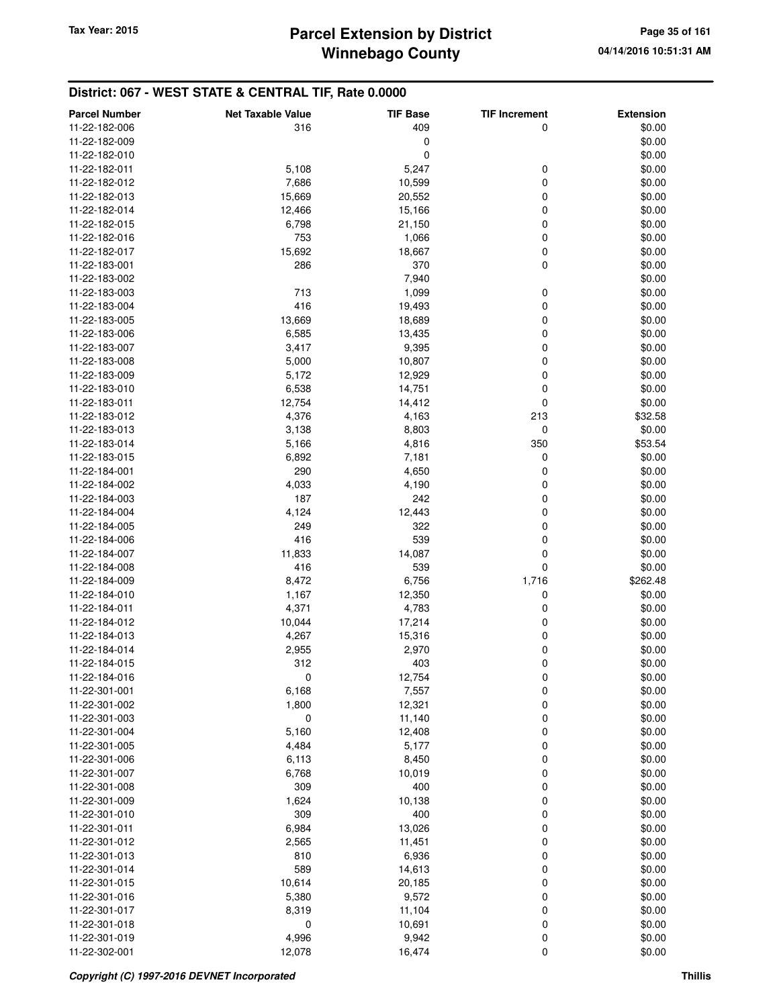| <b>Parcel Number</b> | <b>Net Taxable Value</b> | <b>TIF Base</b> | <b>TIF Increment</b> | <b>Extension</b> |
|----------------------|--------------------------|-----------------|----------------------|------------------|
| 11-22-182-006        | 316                      | 409             | 0                    | \$0.00           |
| 11-22-182-009        |                          | 0               |                      | \$0.00           |
| 11-22-182-010        |                          | 0               |                      | \$0.00           |
| 11-22-182-011        | 5,108                    | 5,247           | 0                    | \$0.00           |
| 11-22-182-012        | 7,686                    | 10,599          | 0                    | \$0.00           |
| 11-22-182-013        | 15,669                   | 20,552          | 0                    | \$0.00           |
| 11-22-182-014        | 12,466                   | 15,166          | 0                    | \$0.00           |
| 11-22-182-015        | 6,798                    | 21,150          | 0                    | \$0.00           |
| 11-22-182-016        | 753                      | 1,066           | 0                    | \$0.00           |
| 11-22-182-017        | 15,692                   | 18,667          | 0                    | \$0.00           |
| 11-22-183-001        | 286                      | 370             | 0                    | \$0.00           |
| 11-22-183-002        |                          | 7,940           |                      | \$0.00           |
| 11-22-183-003        | 713                      | 1,099           | 0                    | \$0.00           |
| 11-22-183-004        | 416                      | 19,493          | 0                    | \$0.00           |
| 11-22-183-005        | 13,669                   | 18,689          | 0                    | \$0.00           |
| 11-22-183-006        | 6,585                    | 13,435          | 0                    | \$0.00           |
| 11-22-183-007        | 3,417                    | 9,395           | 0                    | \$0.00           |
| 11-22-183-008        | 5,000                    | 10,807          | 0                    | \$0.00           |
| 11-22-183-009        | 5,172                    | 12,929          | 0                    | \$0.00           |
| 11-22-183-010        | 6,538                    | 14,751          | 0                    | \$0.00           |
| 11-22-183-011        | 12,754                   | 14,412          | 0                    | \$0.00           |
| 11-22-183-012        | 4,376                    | 4,163           | 213                  | \$32.58          |
| 11-22-183-013        | 3,138                    | 8,803           | 0                    | \$0.00           |
| 11-22-183-014        | 5,166                    | 4,816           | 350                  | \$53.54          |
| 11-22-183-015        | 6,892                    | 7,181           | 0                    | \$0.00           |
| 11-22-184-001        | 290                      | 4,650           | 0                    | \$0.00           |
| 11-22-184-002        | 4,033                    | 4,190           | 0                    | \$0.00           |
| 11-22-184-003        | 187                      | 242             | 0                    | \$0.00           |
| 11-22-184-004        | 4,124                    | 12,443          | 0                    | \$0.00           |
| 11-22-184-005        | 249                      | 322             | 0                    | \$0.00           |
| 11-22-184-006        | 416                      | 539             | 0                    | \$0.00           |
| 11-22-184-007        | 11,833                   | 14,087          | 0                    | \$0.00           |
| 11-22-184-008        | 416                      | 539             | 0                    | \$0.00           |
| 11-22-184-009        | 8,472                    | 6,756           | 1,716                | \$262.48         |
| 11-22-184-010        | 1,167                    | 12,350          | 0                    | \$0.00           |
| 11-22-184-011        | 4,371                    | 4,783           | 0                    | \$0.00           |
| 11-22-184-012        | 10,044                   | 17,214          | 0                    | \$0.00           |
| 11-22-184-013        | 4,267                    | 15,316          | 0                    | \$0.00           |
| 11-22-184-014        | 2,955                    | 2,970           | 0                    | \$0.00           |
| 11-22-184-015        | 312                      | 403             | 0                    | \$0.00           |
| 11-22-184-016        | $\pmb{0}$                | 12,754          | $\pmb{0}$            | \$0.00           |
| 11-22-301-001        | 6,168                    | 7,557           | 0                    | \$0.00           |
| 11-22-301-002        | 1,800                    | 12,321          | 0                    | \$0.00           |
| 11-22-301-003        | 0                        | 11,140          | 0                    | \$0.00           |
| 11-22-301-004        | 5,160                    | 12,408          | 0                    | \$0.00           |
| 11-22-301-005        | 4,484                    | 5,177           | 0                    | \$0.00           |
| 11-22-301-006        |                          |                 |                      |                  |
| 11-22-301-007        | 6,113<br>6,768           | 8,450<br>10,019 | 0<br>0               | \$0.00<br>\$0.00 |
| 11-22-301-008        | 309                      | 400             | 0                    | \$0.00           |
| 11-22-301-009        | 1,624                    | 10,138          | 0                    | \$0.00           |
| 11-22-301-010        | 309                      | 400             | 0                    | \$0.00           |
| 11-22-301-011        |                          |                 | 0                    |                  |
|                      | 6,984                    | 13,026          | 0                    | \$0.00           |
| 11-22-301-012        | 2,565                    | 11,451          |                      | \$0.00           |
| 11-22-301-013        | 810                      | 6,936           | 0                    | \$0.00           |
| 11-22-301-014        | 589                      | 14,613          | 0                    | \$0.00           |
| 11-22-301-015        | 10,614                   | 20,185          | 0                    | \$0.00           |
| 11-22-301-016        | 5,380                    | 9,572           | 0                    | \$0.00           |
| 11-22-301-017        | 8,319                    | 11,104          | 0                    | \$0.00           |
| 11-22-301-018        | 0                        | 10,691          | 0                    | \$0.00           |
| 11-22-301-019        | 4,996                    | 9,942           | 0                    | \$0.00           |
| 11-22-302-001        | 12,078                   | 16,474          | 0                    | \$0.00           |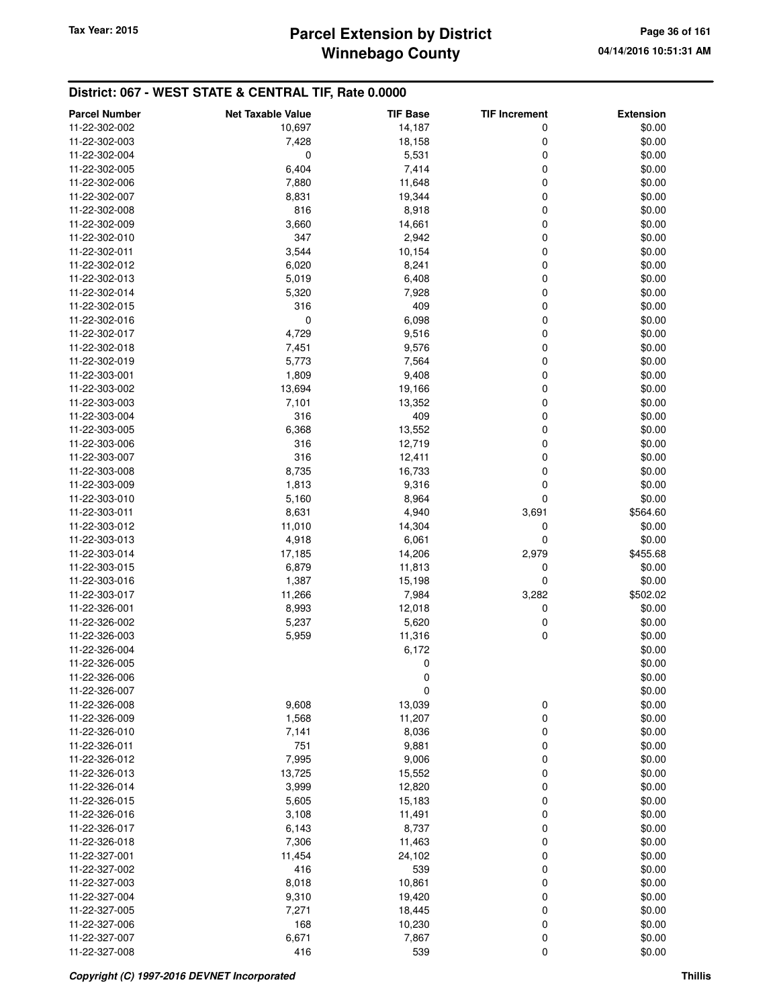## **Winnebago County Parcel Extension by District Tax Year: 2015 Page 36 of 161**

| <b>Parcel Number</b> | <b>Net Taxable Value</b> | TIF Base | <b>TIF Increment</b> | <b>Extension</b> |
|----------------------|--------------------------|----------|----------------------|------------------|
| 11-22-302-002        | 10,697                   | 14,187   | 0                    | \$0.00           |
| 11-22-302-003        | 7,428                    | 18,158   | 0                    | \$0.00           |
| 11-22-302-004        | 0                        | 5,531    | 0                    | \$0.00           |
| 11-22-302-005        | 6,404                    | 7,414    | 0                    | \$0.00           |
| 11-22-302-006        | 7,880                    | 11,648   | 0                    | \$0.00           |
| 11-22-302-007        | 8,831                    | 19,344   | 0                    | \$0.00           |
| 11-22-302-008        | 816                      | 8,918    | 0                    | \$0.00           |
| 11-22-302-009        | 3,660                    | 14,661   | 0                    | \$0.00           |
| 11-22-302-010        | 347                      | 2,942    | 0                    | \$0.00           |
| 11-22-302-011        | 3,544                    | 10,154   | 0                    | \$0.00           |
| 11-22-302-012        | 6,020                    | 8,241    | 0                    | \$0.00           |
| 11-22-302-013        | 5,019                    | 6,408    | 0                    | \$0.00           |
| 11-22-302-014        | 5,320                    | 7,928    | 0                    | \$0.00           |
| 11-22-302-015        | 316                      | 409      | 0                    | \$0.00           |
| 11-22-302-016        | 0                        | 6,098    | 0                    | \$0.00           |
| 11-22-302-017        | 4,729                    | 9,516    | 0                    | \$0.00           |
| 11-22-302-018        | 7,451                    | 9,576    | 0                    | \$0.00           |
| 11-22-302-019        | 5,773                    | 7,564    | 0                    | \$0.00           |
| 11-22-303-001        | 1,809                    | 9,408    | 0                    | \$0.00           |
| 11-22-303-002        | 13,694                   | 19,166   | 0                    | \$0.00           |
| 11-22-303-003        | 7,101                    | 13,352   | 0                    | \$0.00           |
| 11-22-303-004        | 316                      | 409      | 0                    | \$0.00           |
| 11-22-303-005        | 6,368                    | 13,552   | 0                    | \$0.00           |
| 11-22-303-006        | 316                      | 12,719   | 0                    | \$0.00           |
| 11-22-303-007        | 316                      | 12,411   | 0                    | \$0.00           |
| 11-22-303-008        | 8,735                    | 16,733   | 0                    | \$0.00           |
| 11-22-303-009        | 1,813                    | 9,316    | 0                    | \$0.00           |
| 11-22-303-010        | 5,160                    | 8,964    | 0                    | \$0.00           |
| 11-22-303-011        | 8,631                    | 4,940    | 3,691                | \$564.60         |
| 11-22-303-012        | 11,010                   | 14,304   | 0                    | \$0.00           |
| 11-22-303-013        | 4,918                    | 6,061    | 0                    | \$0.00           |
| 11-22-303-014        | 17,185                   | 14,206   | 2,979                | \$455.68         |
| 11-22-303-015        | 6,879                    | 11,813   | 0                    | \$0.00           |
| 11-22-303-016        | 1,387                    | 15,198   | 0                    | \$0.00           |
| 11-22-303-017        | 11,266                   | 7,984    | 3,282                | \$502.02         |
| 11-22-326-001        | 8,993                    | 12,018   | 0                    | \$0.00           |
| 11-22-326-002        | 5,237                    | 5,620    | 0                    | \$0.00           |
| 11-22-326-003        | 5,959                    | 11,316   | 0                    | \$0.00           |
| 11-22-326-004        |                          | 6,172    |                      | \$0.00           |
| 11-22-326-005        |                          | 0        |                      | \$0.00           |
| 11-22-326-006        |                          | 0        |                      | \$0.00           |
| 11-22-326-007        |                          | 0        |                      | \$0.00           |
| 11-22-326-008        | 9,608                    | 13,039   | 0                    | \$0.00           |
| 11-22-326-009        | 1,568                    | 11,207   | 0                    | \$0.00           |
| 11-22-326-010        | 7,141                    | 8,036    | 0                    | \$0.00           |
| 11-22-326-011        | 751                      | 9,881    | 0                    | \$0.00           |
| 11-22-326-012        | 7,995                    | 9,006    | 0                    | \$0.00           |
| 11-22-326-013        | 13,725                   | 15,552   | 0                    | \$0.00           |
| 11-22-326-014        | 3,999                    | 12,820   | 0                    | \$0.00           |
| 11-22-326-015        | 5,605                    | 15,183   | 0                    | \$0.00           |
| 11-22-326-016        | 3,108                    | 11,491   | 0                    | \$0.00           |
| 11-22-326-017        | 6,143                    | 8,737    | 0                    | \$0.00           |
| 11-22-326-018        | 7,306                    | 11,463   | 0                    | \$0.00           |
| 11-22-327-001        | 11,454                   | 24,102   | 0                    | \$0.00           |
| 11-22-327-002        | 416                      | 539      | 0                    | \$0.00           |
| 11-22-327-003        | 8,018                    | 10,861   | 0                    | \$0.00           |
| 11-22-327-004        | 9,310                    | 19,420   | 0                    | \$0.00           |
| 11-22-327-005        | 7,271                    | 18,445   | 0                    | \$0.00           |
| 11-22-327-006        | 168                      | 10,230   | 0                    | \$0.00           |
| 11-22-327-007        | 6,671                    | 7,867    | 0                    | \$0.00           |
| 11-22-327-008        | 416                      | 539      | 0                    | \$0.00           |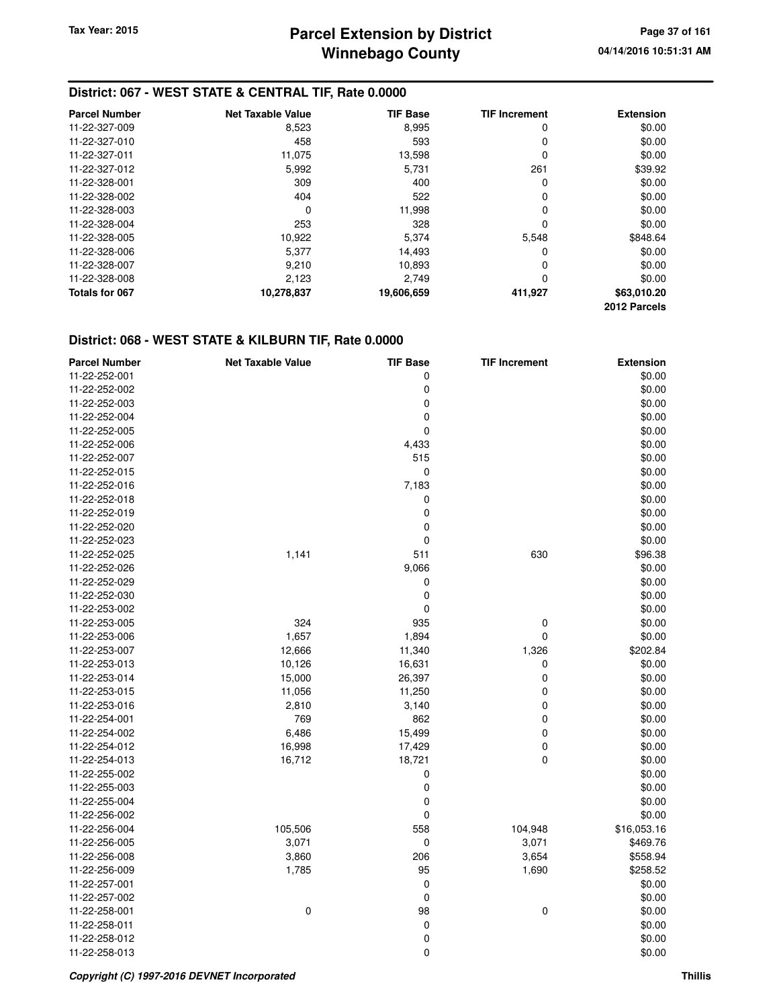## **District: 067 - WEST STATE & CENTRAL TIF, Rate 0.0000**

| <b>Parcel Number</b> | <b>Net Taxable Value</b> | <b>TIF Base</b> | <b>TIF Increment</b> | <b>Extension</b> |
|----------------------|--------------------------|-----------------|----------------------|------------------|
| 11-22-327-009        | 8,523                    | 8,995           | 0                    | \$0.00           |
| 11-22-327-010        | 458                      | 593             | 0                    | \$0.00           |
| 11-22-327-011        | 11,075                   | 13,598          | 0                    | \$0.00           |
| 11-22-327-012        | 5,992                    | 5,731           | 261                  | \$39.92          |
| 11-22-328-001        | 309                      | 400             | 0                    | \$0.00           |
| 11-22-328-002        | 404                      | 522             | 0                    | \$0.00           |
| 11-22-328-003        | 0                        | 11.998          | 0                    | \$0.00           |
| 11-22-328-004        | 253                      | 328             | 0                    | \$0.00           |
| 11-22-328-005        | 10,922                   | 5,374           | 5.548                | \$848.64         |
| 11-22-328-006        | 5,377                    | 14,493          | 0                    | \$0.00           |
| 11-22-328-007        | 9.210                    | 10.893          | 0                    | \$0.00           |
| 11-22-328-008        | 2,123                    | 2.749           | 0                    | \$0.00           |
| Totals for 067       | 10,278,837               | 19,606,659      | 411,927              | \$63,010.20      |
|                      |                          |                 |                      | 2012 Parcels     |

#### **District: 068 - WEST STATE & KILBURN TIF, Rate 0.0000**

| <b>Parcel Number</b> | <b>Net Taxable Value</b> | <b>TIF Base</b> | <b>TIF Increment</b> | <b>Extension</b> |
|----------------------|--------------------------|-----------------|----------------------|------------------|
| 11-22-252-001        |                          | 0               |                      | \$0.00           |
| 11-22-252-002        |                          | 0               |                      | \$0.00           |
| 11-22-252-003        |                          | 0               |                      | \$0.00           |
| 11-22-252-004        |                          | 0               |                      | \$0.00           |
| 11-22-252-005        |                          | 0               |                      | \$0.00           |
| 11-22-252-006        |                          | 4,433           |                      | \$0.00           |
| 11-22-252-007        |                          | 515             |                      | \$0.00           |
| 11-22-252-015        |                          | 0               |                      | \$0.00           |
| 11-22-252-016        |                          | 7,183           |                      | \$0.00           |
| 11-22-252-018        |                          | 0               |                      | \$0.00           |
| 11-22-252-019        |                          | $\mathbf 0$     |                      | \$0.00           |
| 11-22-252-020        |                          | 0               |                      | \$0.00           |
| 11-22-252-023        |                          | 0               |                      | \$0.00           |
| 11-22-252-025        | 1,141                    | 511             | 630                  | \$96.38          |
| 11-22-252-026        |                          | 9,066           |                      | \$0.00           |
| 11-22-252-029        |                          | 0               |                      | \$0.00           |
| 11-22-252-030        |                          | 0               |                      | \$0.00           |
| 11-22-253-002        |                          | 0               |                      | \$0.00           |
| 11-22-253-005        | 324                      | 935             | 0                    | \$0.00           |
| 11-22-253-006        | 1,657                    | 1,894           | $\mathbf 0$          | \$0.00           |
| 11-22-253-007        | 12,666                   | 11,340          | 1,326                | \$202.84         |
| 11-22-253-013        | 10,126                   | 16,631          | 0                    | \$0.00           |
| 11-22-253-014        | 15,000                   | 26,397          | $\mathbf 0$          | \$0.00           |
| 11-22-253-015        | 11,056                   | 11,250          | 0                    | \$0.00           |
| 11-22-253-016        | 2,810                    | 3,140           | $\pmb{0}$            | \$0.00           |
| 11-22-254-001        | 769                      | 862             | $\mathbf 0$          | \$0.00           |
| 11-22-254-002        | 6,486                    | 15,499          | 0                    | \$0.00           |
| 11-22-254-012        | 16,998                   | 17,429          | $\mathbf 0$          | \$0.00           |
| 11-22-254-013        | 16,712                   | 18,721          | $\mathbf 0$          | \$0.00           |
| 11-22-255-002        |                          | 0               |                      | \$0.00           |
| 11-22-255-003        |                          | $\pmb{0}$       |                      | \$0.00           |
| 11-22-255-004        |                          | 0               |                      | \$0.00           |
| 11-22-256-002        |                          | 0               |                      | \$0.00           |
| 11-22-256-004        | 105,506                  | 558             | 104,948              | \$16,053.16      |
| 11-22-256-005        | 3,071                    | 0               | 3,071                | \$469.76         |
| 11-22-256-008        | 3,860                    | 206             | 3,654                | \$558.94         |
| 11-22-256-009        | 1,785                    | 95              | 1,690                | \$258.52         |
| 11-22-257-001        |                          | 0               |                      | \$0.00           |
| 11-22-257-002        |                          | $\mathbf 0$     |                      | \$0.00           |
| 11-22-258-001        | 0                        | 98              | 0                    | \$0.00           |
| 11-22-258-011        |                          | $\mathbf 0$     |                      | \$0.00           |
| 11-22-258-012        |                          | 0               |                      | \$0.00           |
| 11-22-258-013        |                          | 0               |                      | \$0.00           |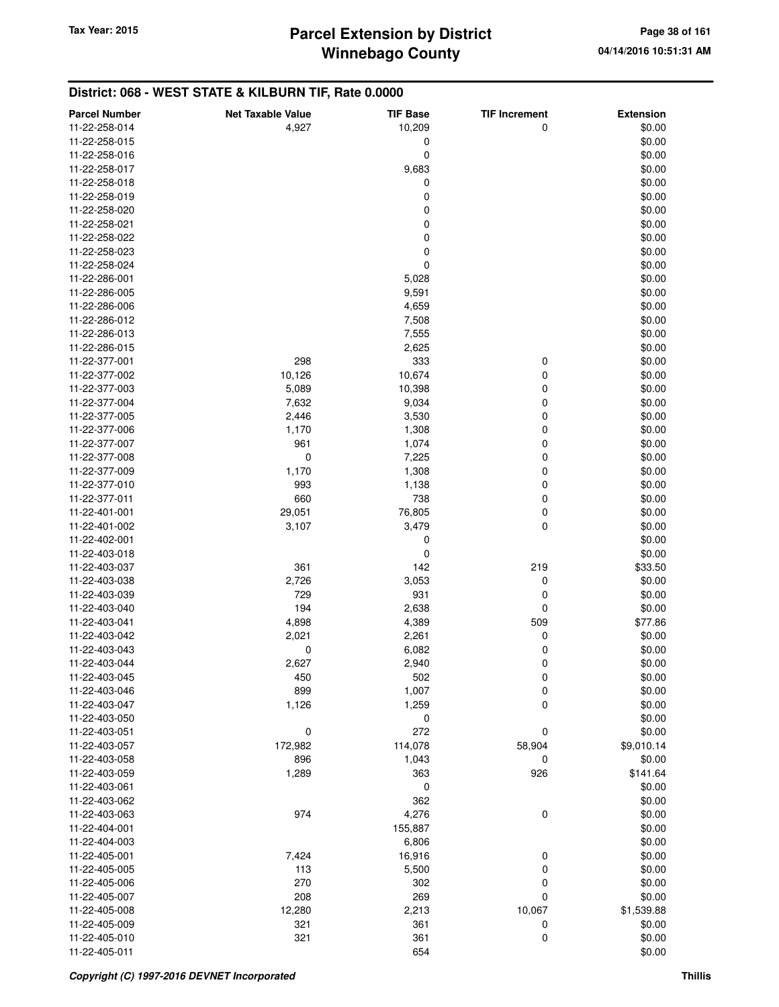## **District: 068 - WEST STATE & KILBURN TIF, Rate 0.0000**

| <b>Parcel Number</b> | <b>Net Taxable Value</b> | <b>TIF Base</b> | <b>TIF Increment</b> | <b>Extension</b> |
|----------------------|--------------------------|-----------------|----------------------|------------------|
| 11-22-258-014        | 4,927                    | 10,209          | 0                    | \$0.00           |
| 11-22-258-015        |                          | 0               |                      | \$0.00           |
| 11-22-258-016        |                          | 0               |                      | \$0.00           |
| 11-22-258-017        |                          | 9,683           |                      | \$0.00           |
| 11-22-258-018        |                          | 0               |                      | \$0.00           |
| 11-22-258-019        |                          | 0               |                      | \$0.00           |
| 11-22-258-020        |                          | 0               |                      | \$0.00           |
| 11-22-258-021        |                          | 0               |                      | \$0.00           |
| 11-22-258-022        |                          | 0               |                      | \$0.00           |
| 11-22-258-023        |                          | 0               |                      | \$0.00           |
| 11-22-258-024        |                          | 0               |                      | \$0.00           |
| 11-22-286-001        |                          | 5,028           |                      | \$0.00           |
| 11-22-286-005        |                          | 9,591           |                      | \$0.00           |
| 11-22-286-006        |                          | 4,659           |                      | \$0.00           |
| 11-22-286-012        |                          | 7,508           |                      | \$0.00           |
| 11-22-286-013        |                          | 7,555           |                      | \$0.00           |
| 11-22-286-015        |                          | 2,625           |                      | \$0.00           |
| 11-22-377-001        | 298                      | 333             | 0                    | \$0.00           |
| 11-22-377-002        | 10,126                   | 10,674          | 0                    | \$0.00           |
| 11-22-377-003        | 5,089                    | 10,398          | 0                    | \$0.00           |
| 11-22-377-004        | 7,632                    | 9,034           | 0                    | \$0.00           |
| 11-22-377-005        | 2,446                    | 3,530           | 0                    | \$0.00           |
| 11-22-377-006        | 1,170                    | 1,308           | 0                    | \$0.00           |
| 11-22-377-007        | 961                      | 1,074           | 0                    | \$0.00           |
| 11-22-377-008        | 0                        | 7,225           | 0                    | \$0.00           |
| 11-22-377-009        | 1,170                    | 1,308           | 0                    | \$0.00           |
| 11-22-377-010        | 993                      | 1,138           | 0                    | \$0.00           |
| 11-22-377-011        | 660                      | 738             | 0                    | \$0.00           |
| 11-22-401-001        | 29,051                   | 76,805          | 0                    | \$0.00           |
| 11-22-401-002        | 3,107                    | 3,479           | 0                    | \$0.00           |
| 11-22-402-001        |                          | 0               |                      | \$0.00           |
| 11-22-403-018        |                          | 0               |                      | \$0.00           |
| 11-22-403-037        | 361                      | 142             | 219                  | \$33.50          |
| 11-22-403-038        | 2,726                    | 3,053           | 0                    | \$0.00           |
| 11-22-403-039        | 729                      | 931             | 0                    | \$0.00           |
| 11-22-403-040        | 194                      | 2,638           | 0                    | \$0.00           |
| 11-22-403-041        | 4,898                    | 4,389           | 509                  | \$77.86          |
| 11-22-403-042        | 2,021                    | 2,261           | 0                    | \$0.00           |
| 11-22-403-043        | 0                        | 6,082           | 0                    | \$0.00           |
| 11-22-403-044        | 2,627                    | 2,940           | 0                    | \$0.00           |
| 11-22-403-045        | 450                      | 502             | 0                    | \$0.00           |
| 11-22-403-046        | 899                      | 1,007           | 0                    | \$0.00           |
| 11-22-403-047        | 1,126                    | 1,259           | 0                    | \$0.00           |
| 11-22-403-050        |                          | 0               |                      | \$0.00           |
| 11-22-403-051        | 0                        | 272             | 0                    | \$0.00           |
| 11-22-403-057        | 172,982                  | 114,078         | 58,904               | \$9,010.14       |
| 11-22-403-058        | 896                      | 1,043           | 0                    | \$0.00           |
| 11-22-403-059        | 1,289                    | 363             | 926                  | \$141.64         |
| 11-22-403-061        |                          | 0               |                      | \$0.00           |
| 11-22-403-062        |                          | 362             |                      | \$0.00           |
| 11-22-403-063        | 974                      | 4,276           | 0                    | \$0.00           |
| 11-22-404-001        |                          | 155,887         |                      | \$0.00           |
| 11-22-404-003        |                          | 6,806           |                      | \$0.00           |
| 11-22-405-001        | 7,424                    | 16,916          | 0                    | \$0.00           |
| 11-22-405-005        | 113                      | 5,500           | 0                    | \$0.00           |
| 11-22-405-006        | 270                      | 302             | 0                    | \$0.00           |
| 11-22-405-007        | 208                      | 269             | 0                    | \$0.00           |
| 11-22-405-008        | 12,280                   | 2,213           | 10,067               | \$1,539.88       |
| 11-22-405-009        | 321                      | 361             | 0                    | \$0.00           |
| 11-22-405-010        | 321                      | 361             | 0                    | \$0.00           |
| 11-22-405-011        |                          | 654             |                      | \$0.00           |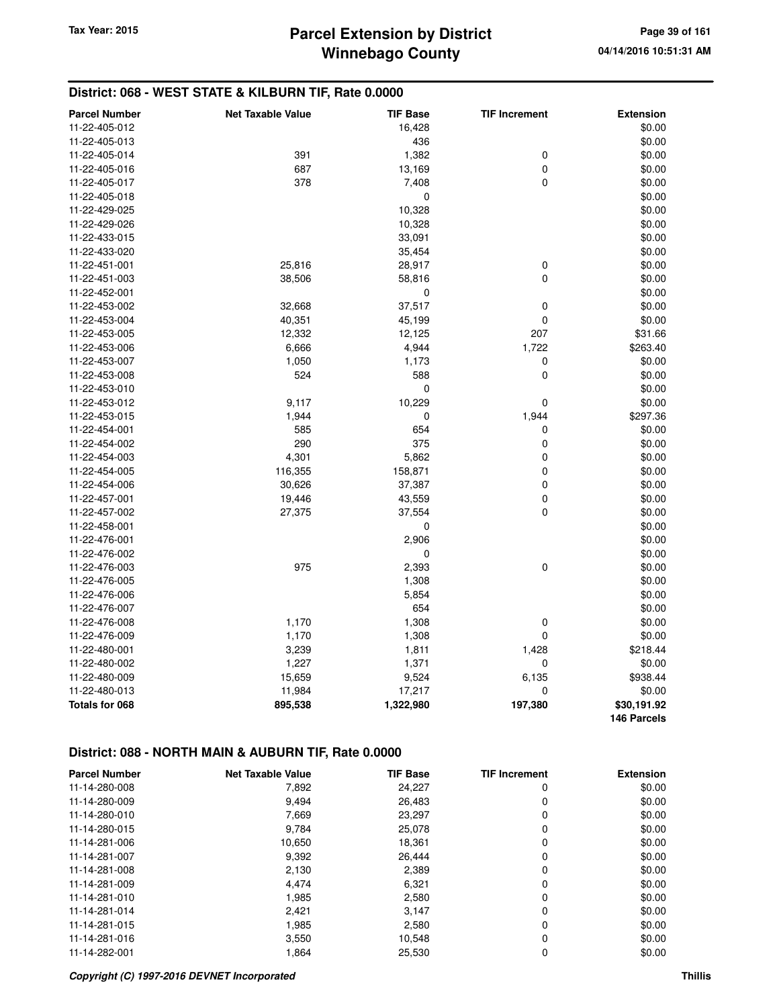## **District: 068 - WEST STATE & KILBURN TIF, Rate 0.0000**

| <b>Parcel Number</b>  | <b>Net Taxable Value</b> | <b>TIF Base</b> | <b>TIF Increment</b> | <b>Extension</b> |
|-----------------------|--------------------------|-----------------|----------------------|------------------|
| 11-22-405-012         |                          | 16,428          |                      | \$0.00           |
| 11-22-405-013         |                          | 436             |                      | \$0.00           |
| 11-22-405-014         | 391                      | 1,382           | $\mathbf 0$          | \$0.00           |
| 11-22-405-016         | 687                      | 13,169          | $\mathbf 0$          | \$0.00           |
| 11-22-405-017         | 378                      | 7,408           | 0                    | \$0.00           |
| 11-22-405-018         |                          | 0               |                      | \$0.00           |
| 11-22-429-025         |                          | 10,328          |                      | \$0.00           |
| 11-22-429-026         |                          | 10,328          |                      | \$0.00           |
| 11-22-433-015         |                          | 33,091          |                      | \$0.00           |
| 11-22-433-020         |                          | 35,454          |                      | \$0.00           |
| 11-22-451-001         | 25,816                   | 28,917          | $\pmb{0}$            | \$0.00           |
| 11-22-451-003         | 38,506                   | 58,816          | 0                    | \$0.00           |
| 11-22-452-001         |                          | $\mathbf 0$     |                      | \$0.00           |
| 11-22-453-002         | 32,668                   | 37,517          | $\mathbf 0$          | \$0.00           |
| 11-22-453-004         | 40,351                   | 45,199          | 0                    | \$0.00           |
| 11-22-453-005         | 12,332                   | 12,125          | 207                  | \$31.66          |
| 11-22-453-006         | 6,666                    | 4,944           | 1,722                | \$263.40         |
| 11-22-453-007         | 1,050                    | 1,173           | 0                    | \$0.00           |
| 11-22-453-008         | 524                      | 588             | 0                    | \$0.00           |
| 11-22-453-010         |                          | 0               |                      | \$0.00           |
| 11-22-453-012         | 9,117                    | 10,229          | 0                    | \$0.00           |
| 11-22-453-015         | 1,944                    | 0               | 1,944                | \$297.36         |
| 11-22-454-001         | 585                      | 654             | 0                    | \$0.00           |
| 11-22-454-002         | 290                      | 375             | $\mathbf 0$          | \$0.00           |
| 11-22-454-003         | 4,301                    | 5,862           | 0                    | \$0.00           |
| 11-22-454-005         | 116,355                  | 158,871         | 0                    | \$0.00           |
| 11-22-454-006         | 30,626                   | 37,387          | 0                    | \$0.00           |
| 11-22-457-001         | 19,446                   | 43,559          | 0                    | \$0.00           |
| 11-22-457-002         | 27,375                   | 37,554          | 0                    | \$0.00           |
| 11-22-458-001         |                          | 0               |                      | \$0.00           |
| 11-22-476-001         |                          | 2,906           |                      | \$0.00           |
| 11-22-476-002         |                          | 0               |                      | \$0.00           |
| 11-22-476-003         | 975                      | 2,393           | $\pmb{0}$            | \$0.00           |
| 11-22-476-005         |                          | 1,308           |                      | \$0.00           |
| 11-22-476-006         |                          | 5,854           |                      | \$0.00           |
| 11-22-476-007         |                          | 654             |                      | \$0.00           |
| 11-22-476-008         | 1,170                    | 1,308           | $\mathbf 0$          | \$0.00           |
| 11-22-476-009         | 1,170                    | 1,308           | 0                    | \$0.00           |
| 11-22-480-001         | 3,239                    | 1,811           | 1,428                | \$218.44         |
| 11-22-480-002         | 1,227                    | 1,371           | 0                    | \$0.00           |
| 11-22-480-009         | 15,659                   | 9,524           | 6,135                | \$938.44         |
| 11-22-480-013         | 11,984                   | 17,217          | 0                    | \$0.00           |
| <b>Totals for 068</b> | 895,538                  | 1,322,980       | 197,380              | \$30,191.92      |
|                       |                          |                 |                      | 146 Parcels      |

### **District: 088 - NORTH MAIN & AUBURN TIF, Rate 0.0000**

| <b>Parcel Number</b> | <b>Net Taxable Value</b> | <b>TIF Base</b> | <b>TIF Increment</b> | <b>Extension</b> |
|----------------------|--------------------------|-----------------|----------------------|------------------|
| 11-14-280-008        | 7,892                    | 24,227          | 0                    | \$0.00           |
| 11-14-280-009        | 9.494                    | 26.483          | 0                    | \$0.00           |
| 11-14-280-010        | 7,669                    | 23,297          | 0                    | \$0.00           |
| 11-14-280-015        | 9,784                    | 25,078          | 0                    | \$0.00           |
| 11-14-281-006        | 10,650                   | 18,361          | 0                    | \$0.00           |
| 11-14-281-007        | 9,392                    | 26.444          | 0                    | \$0.00           |
| 11-14-281-008        | 2,130                    | 2,389           | 0                    | \$0.00           |
| 11-14-281-009        | 4.474                    | 6,321           | 0                    | \$0.00           |
| 11-14-281-010        | 1,985                    | 2,580           | 0                    | \$0.00           |
| 11-14-281-014        | 2,421                    | 3,147           | 0                    | \$0.00           |
| 11-14-281-015        | 1,985                    | 2,580           | 0                    | \$0.00           |
| 11-14-281-016        | 3,550                    | 10,548          | 0                    | \$0.00           |
| 11-14-282-001        | 1.864                    | 25,530          | 0                    | \$0.00           |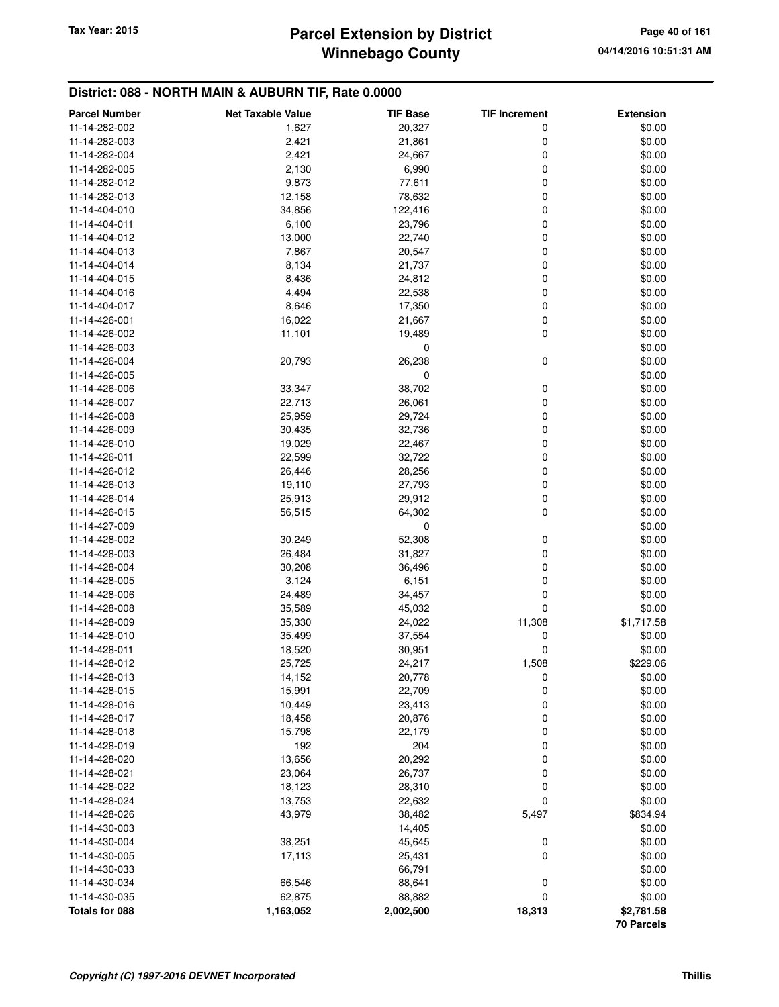## **Winnebago County** Tax Year: 2015 **Parcel Extension by District Page 40 of 161**

### **District: 088 - NORTH MAIN & AUBURN TIF, Rate 0.0000**

| <b>Parcel Number</b> | <b>Net Taxable Value</b> | <b>TIF Base</b> | <b>TIF Increment</b> | <b>Extension</b> |
|----------------------|--------------------------|-----------------|----------------------|------------------|
| 11-14-282-002        | 1,627                    | 20,327          | 0                    | \$0.00           |
| 11-14-282-003        | 2,421                    | 21,861          | 0                    | \$0.00           |
| 11-14-282-004        | 2,421                    | 24,667          | 0                    | \$0.00           |
| 11-14-282-005        | 2,130                    | 6,990           | 0                    | \$0.00           |
| 11-14-282-012        | 9,873                    | 77,611          | 0                    | \$0.00           |
| 11-14-282-013        | 12,158                   | 78,632          | 0                    | \$0.00           |
| 11-14-404-010        | 34,856                   | 122,416         | 0                    | \$0.00           |
| 11-14-404-011        | 6,100                    | 23,796          | 0                    | \$0.00           |
| 11-14-404-012        | 13,000                   | 22,740          | 0                    | \$0.00           |
| 11-14-404-013        | 7,867                    | 20,547          | 0                    | \$0.00           |
| 11-14-404-014        | 8,134                    | 21,737          | 0                    | \$0.00           |
| 11-14-404-015        | 8,436                    | 24,812          | 0                    | \$0.00           |
| 11-14-404-016        | 4,494                    | 22,538          | 0                    | \$0.00           |
| 11-14-404-017        | 8,646                    | 17,350          | 0                    | \$0.00           |
| 11-14-426-001        | 16,022                   | 21,667          | 0                    | \$0.00           |
| 11-14-426-002        | 11,101                   | 19,489          | 0                    | \$0.00           |
| 11-14-426-003        |                          | 0               |                      | \$0.00           |
| 11-14-426-004        | 20,793                   | 26,238          | 0                    | \$0.00           |
| 11-14-426-005        |                          | 0               |                      | \$0.00           |
| 11-14-426-006        | 33,347                   | 38,702          | 0                    | \$0.00           |
| 11-14-426-007        | 22,713                   | 26,061          | 0                    | \$0.00           |
| 11-14-426-008        | 25,959                   | 29,724          | 0                    | \$0.00           |
| 11-14-426-009        | 30,435                   | 32,736          | 0                    | \$0.00           |
| 11-14-426-010        | 19,029                   | 22,467          | 0                    | \$0.00           |
| 11-14-426-011        | 22,599                   | 32,722          | 0                    | \$0.00           |
| 11-14-426-012        | 26,446                   | 28,256          | 0                    | \$0.00           |
| 11-14-426-013        | 19,110                   | 27,793          | 0                    | \$0.00           |
| 11-14-426-014        | 25,913                   | 29,912          | 0                    | \$0.00           |
| 11-14-426-015        | 56,515                   | 64,302          | 0                    | \$0.00           |
| 11-14-427-009        |                          | 0               |                      | \$0.00           |
| 11-14-428-002        | 30,249                   | 52,308          | 0                    | \$0.00           |
| 11-14-428-003        | 26,484                   | 31,827          | 0                    | \$0.00           |
| 11-14-428-004        | 30,208                   | 36,496          | 0                    | \$0.00           |
| 11-14-428-005        | 3,124                    | 6,151           | 0                    | \$0.00           |
| 11-14-428-006        | 24,489                   | 34,457          | 0                    | \$0.00           |
| 11-14-428-008        | 35,589                   | 45,032          | 0                    | \$0.00           |
| 11-14-428-009        | 35,330                   | 24,022          | 11,308               | \$1,717.58       |
| 11-14-428-010        | 35,499                   | 37,554          | 0                    | \$0.00           |
| 11-14-428-011        | 18,520                   | 30,951          | 0                    | \$0.00           |
| 11-14-428-012        | 25,725                   | 24,217          | 1,508                | \$229.06         |
| 11-14-428-013        | 14,152                   | 20,778          | 0                    | \$0.00           |
| 11-14-428-015        | 15,991                   | 22,709          | 0                    | \$0.00           |
| 11-14-428-016        | 10,449                   | 23,413          | 0                    | \$0.00           |
| 11-14-428-017        | 18,458                   | 20,876          | 0                    | \$0.00           |
| 11-14-428-018        | 15,798                   | 22,179          | 0                    | \$0.00           |
| 11-14-428-019        | 192                      | 204             | 0                    | \$0.00           |
| 11-14-428-020        | 13,656                   | 20,292          | 0                    | \$0.00           |
| 11-14-428-021        | 23,064                   | 26,737          | 0                    | \$0.00           |
| 11-14-428-022        | 18,123                   | 28,310          | 0                    | \$0.00           |
| 11-14-428-024        | 13,753                   | 22,632          | 0                    | \$0.00           |
| 11-14-428-026        | 43,979                   | 38,482          | 5,497                | \$834.94         |
| 11-14-430-003        |                          | 14,405          |                      | \$0.00           |
| 11-14-430-004        | 38,251                   | 45,645          | 0                    | \$0.00           |
| 11-14-430-005        | 17,113                   | 25,431          | 0                    | \$0.00           |
| 11-14-430-033        |                          | 66,791          |                      | \$0.00           |
| 11-14-430-034        | 66,546                   | 88,641          | 0                    | \$0.00           |
| 11-14-430-035        | 62,875                   | 88,882          | 0                    | \$0.00           |
| Totals for 088       | 1,163,052                | 2,002,500       | 18,313               | \$2,781.58       |
|                      |                          |                 |                      | 70 Parcels       |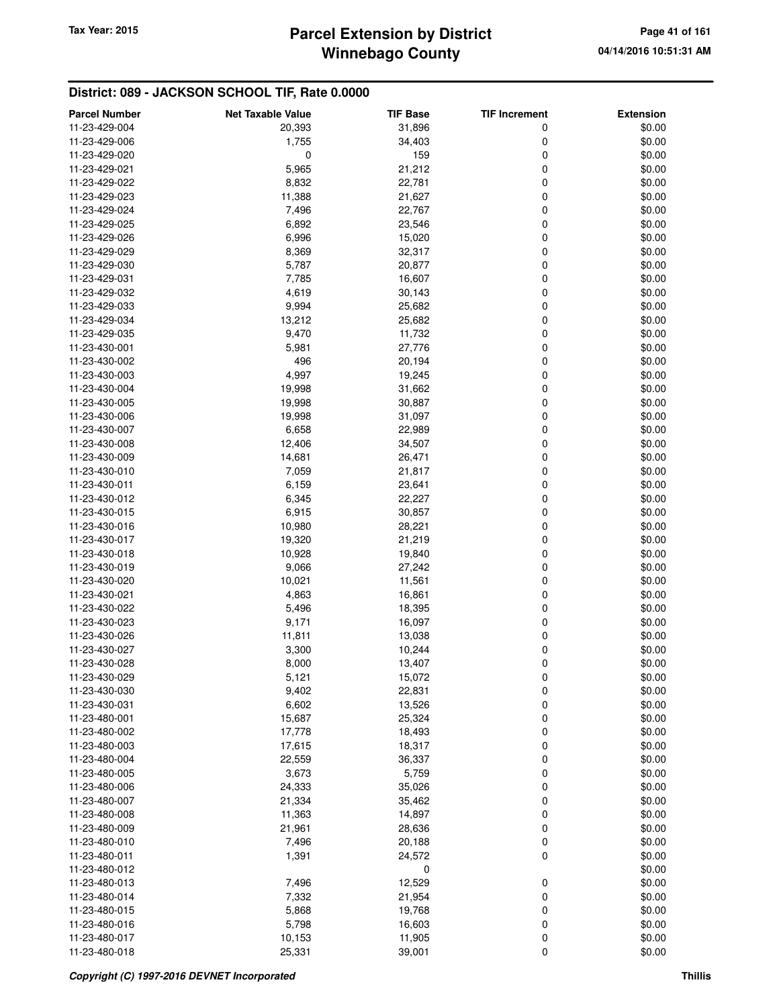## **Winnebago County Parcel Extension by District Tax Year: 2015 Page 41 of 161**

| <b>Parcel Number</b> | <b>Net Taxable Value</b> | <b>TIF Base</b> | <b>TIF Increment</b> | <b>Extension</b> |
|----------------------|--------------------------|-----------------|----------------------|------------------|
| 11-23-429-004        | 20,393                   | 31,896          | 0                    | \$0.00           |
| 11-23-429-006        | 1,755                    | 34,403          | 0                    | \$0.00           |
| 11-23-429-020        | 0                        | 159             | 0                    | \$0.00           |
| 11-23-429-021        | 5,965                    | 21,212          | 0                    | \$0.00           |
| 11-23-429-022        | 8,832                    | 22,781          | 0                    | \$0.00           |
| 11-23-429-023        | 11,388                   | 21,627          | 0                    | \$0.00           |
| 11-23-429-024        |                          |                 | 0                    |                  |
|                      | 7,496                    | 22,767          | 0                    | \$0.00           |
| 11-23-429-025        | 6,892                    | 23,546          |                      | \$0.00           |
| 11-23-429-026        | 6,996                    | 15,020          | 0                    | \$0.00           |
| 11-23-429-029        | 8,369                    | 32,317          | 0                    | \$0.00           |
| 11-23-429-030        | 5,787                    | 20,877          | 0                    | \$0.00           |
| 11-23-429-031        | 7,785                    | 16,607          | 0                    | \$0.00           |
| 11-23-429-032        | 4,619                    | 30,143          | 0                    | \$0.00           |
| 11-23-429-033        | 9,994                    | 25,682          | 0                    | \$0.00           |
| 11-23-429-034        | 13,212                   | 25,682          | 0                    | \$0.00           |
| 11-23-429-035        | 9,470                    | 11,732          | 0                    | \$0.00           |
| 11-23-430-001        | 5,981                    | 27,776          | 0                    | \$0.00           |
| 11-23-430-002        | 496                      | 20,194          | 0                    | \$0.00           |
| 11-23-430-003        | 4,997                    | 19,245          | 0                    | \$0.00           |
| 11-23-430-004        | 19,998                   | 31,662          | 0                    | \$0.00           |
| 11-23-430-005        | 19,998                   | 30,887          | 0                    | \$0.00           |
| 11-23-430-006        | 19,998                   | 31,097          | 0                    | \$0.00           |
| 11-23-430-007        | 6,658                    | 22,989          | 0                    | \$0.00           |
| 11-23-430-008        | 12,406                   | 34,507          | 0                    | \$0.00           |
| 11-23-430-009        | 14,681                   | 26,471          | 0                    | \$0.00           |
| 11-23-430-010        | 7,059                    | 21,817          | 0                    | \$0.00           |
| 11-23-430-011        | 6,159                    | 23,641          | 0                    | \$0.00           |
| 11-23-430-012        | 6,345                    | 22,227          | 0                    | \$0.00           |
| 11-23-430-015        | 6,915                    | 30,857          | 0                    | \$0.00           |
| 11-23-430-016        | 10,980                   | 28,221          | 0                    | \$0.00           |
| 11-23-430-017        | 19,320                   | 21,219          | 0                    | \$0.00           |
| 11-23-430-018        | 10,928                   | 19,840          | 0                    | \$0.00           |
| 11-23-430-019        | 9,066                    | 27,242          | 0                    | \$0.00           |
| 11-23-430-020        | 10,021                   | 11,561          | 0                    | \$0.00           |
| 11-23-430-021        | 4,863                    | 16,861          | 0                    | \$0.00           |
| 11-23-430-022        | 5,496                    | 18,395          | 0                    | \$0.00           |
| 11-23-430-023        | 9,171                    | 16,097          | 0                    | \$0.00           |
| 11-23-430-026        | 11,811                   | 13,038          | 0                    | \$0.00           |
| 11-23-430-027        |                          |                 | 0                    |                  |
|                      | 3,300                    | 10,244          |                      | \$0.00           |
| 11-23-430-028        | 8,000                    | 13,407          | 0                    | \$0.00           |
| 11-23-430-029        | 5,121                    | 15,072          | $\mathbf 0$          | \$0.00           |
| 11-23-430-030        | 9,402                    | 22,831          | 0                    | \$0.00           |
| 11-23-430-031        | 6,602                    | 13,526          | 0                    | \$0.00           |
| 11-23-480-001        | 15,687                   | 25,324          | 0                    | \$0.00           |
| 11-23-480-002        | 17,778                   | 18,493          | 0                    | \$0.00           |
| 11-23-480-003        | 17,615                   | 18,317          | 0                    | \$0.00           |
| 11-23-480-004        | 22,559                   | 36,337          | 0                    | \$0.00           |
| 11-23-480-005        | 3,673                    | 5,759           | 0                    | \$0.00           |
| 11-23-480-006        | 24,333                   | 35,026          | 0                    | \$0.00           |
| 11-23-480-007        | 21,334                   | 35,462          | 0                    | \$0.00           |
| 11-23-480-008        | 11,363                   | 14,897          | 0                    | \$0.00           |
| 11-23-480-009        | 21,961                   | 28,636          | 0                    | \$0.00           |
| 11-23-480-010        | 7,496                    | 20,188          | 0                    | \$0.00           |
| 11-23-480-011        | 1,391                    | 24,572          | $\mathbf 0$          | \$0.00           |
| 11-23-480-012        |                          | 0               |                      | \$0.00           |
| 11-23-480-013        | 7,496                    | 12,529          | 0                    | \$0.00           |
| 11-23-480-014        | 7,332                    | 21,954          | 0                    | \$0.00           |
| 11-23-480-015        | 5,868                    | 19,768          | 0                    | \$0.00           |
| 11-23-480-016        | 5,798                    | 16,603          | $\mathbf 0$          | \$0.00           |
| 11-23-480-017        | 10,153                   | 11,905          | 0                    | \$0.00           |
| 11-23-480-018        | 25,331                   | 39,001          | 0                    | \$0.00           |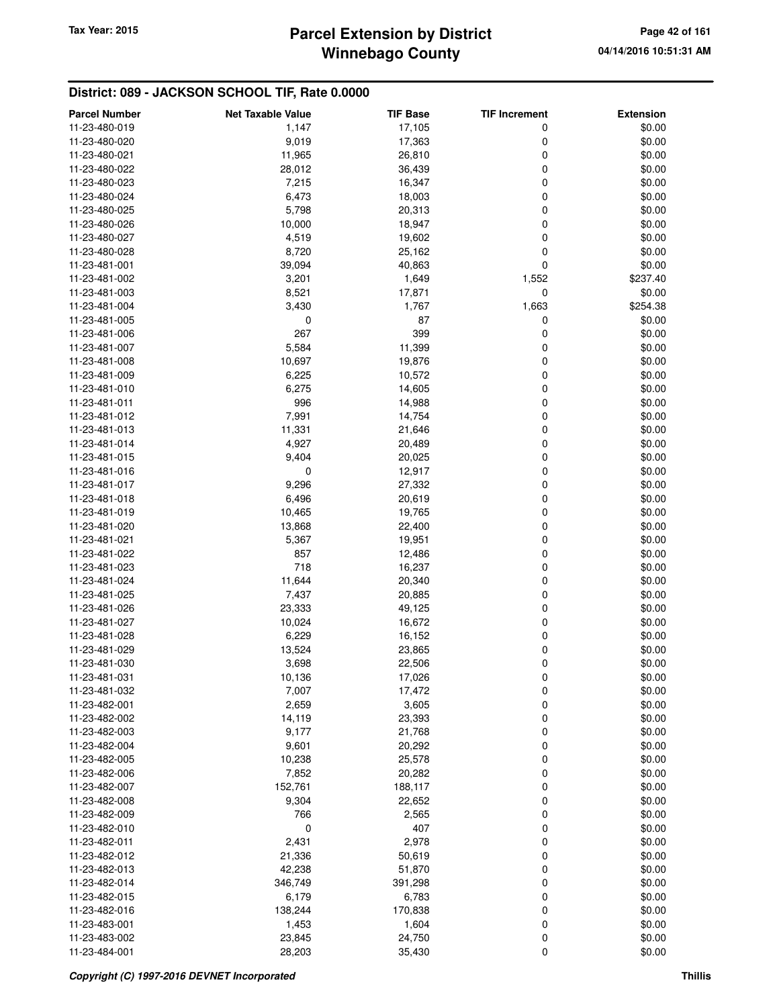## **Winnebago County Parcel Extension by District Tax Year: 2015 Page 42 of 161**

| <b>Parcel Number</b> | <b>Net Taxable Value</b> | <b>TIF Base</b> | <b>TIF Increment</b> | <b>Extension</b> |
|----------------------|--------------------------|-----------------|----------------------|------------------|
| 11-23-480-019        | 1,147                    | 17,105          | 0                    | \$0.00           |
| 11-23-480-020        | 9,019                    | 17,363          | 0                    | \$0.00           |
| 11-23-480-021        | 11,965                   | 26,810          | 0                    | \$0.00           |
| 11-23-480-022        | 28,012                   | 36,439          | 0                    | \$0.00           |
| 11-23-480-023        | 7,215                    | 16,347          | 0                    | \$0.00           |
| 11-23-480-024        | 6,473                    | 18,003          | 0                    | \$0.00           |
| 11-23-480-025        | 5,798                    | 20,313          | 0                    | \$0.00           |
| 11-23-480-026        | 10,000                   | 18,947          | 0                    | \$0.00           |
| 11-23-480-027        | 4,519                    | 19,602          | 0                    | \$0.00           |
| 11-23-480-028        | 8,720                    | 25,162          | 0                    | \$0.00           |
| 11-23-481-001        | 39,094                   | 40,863          | 0                    | \$0.00           |
| 11-23-481-002        | 3,201                    | 1,649           | 1,552                | \$237.40         |
| 11-23-481-003        | 8,521                    | 17,871          | 0                    | \$0.00           |
| 11-23-481-004        | 3,430                    | 1,767           | 1,663                | \$254.38         |
| 11-23-481-005        | 0                        | 87              | 0                    | \$0.00           |
| 11-23-481-006        | 267                      | 399             | 0                    | \$0.00           |
| 11-23-481-007        | 5,584                    | 11,399          | 0                    | \$0.00           |
| 11-23-481-008        | 10,697                   | 19,876          | 0                    | \$0.00           |
| 11-23-481-009        | 6,225                    | 10,572          | 0                    | \$0.00           |
| 11-23-481-010        | 6,275                    | 14,605          | 0                    | \$0.00           |
| 11-23-481-011        | 996                      | 14,988          | 0                    | \$0.00           |
| 11-23-481-012        | 7,991                    | 14,754          | 0                    | \$0.00           |
| 11-23-481-013        | 11,331                   | 21,646          | 0                    | \$0.00           |
| 11-23-481-014        | 4,927                    | 20,489          | 0                    | \$0.00           |
| 11-23-481-015        | 9,404                    | 20,025          | 0                    | \$0.00           |
| 11-23-481-016        | 0                        | 12,917          | 0                    | \$0.00           |
| 11-23-481-017        | 9,296                    | 27,332          | 0                    | \$0.00           |
| 11-23-481-018        | 6,496                    | 20,619          | 0                    | \$0.00           |
| 11-23-481-019        | 10,465                   | 19,765          | 0                    | \$0.00           |
| 11-23-481-020        | 13,868                   | 22,400          | 0                    | \$0.00           |
| 11-23-481-021        | 5,367                    | 19,951          | 0                    | \$0.00           |
| 11-23-481-022        | 857                      | 12,486          | 0                    | \$0.00           |
| 11-23-481-023        | 718                      | 16,237          | 0                    | \$0.00           |
| 11-23-481-024        | 11,644                   | 20,340          | 0                    | \$0.00           |
| 11-23-481-025        | 7,437                    | 20,885          | 0                    | \$0.00           |
| 11-23-481-026        | 23,333                   | 49,125          | 0                    | \$0.00           |
| 11-23-481-027        | 10,024                   | 16,672          | 0                    | \$0.00           |
| 11-23-481-028        | 6,229                    | 16,152          | 0                    | \$0.00           |
| 11-23-481-029        | 13,524                   | 23,865          | 0                    | \$0.00           |
| 11-23-481-030        | 3,698                    | 22,506          | 0                    | \$0.00           |
| 11-23-481-031        | 10,136                   | 17,026          | 0                    | \$0.00           |
| 11-23-481-032        | 7,007                    | 17,472          | 0                    | \$0.00           |
| 11-23-482-001        | 2,659                    | 3,605           | 0                    | \$0.00           |
| 11-23-482-002        | 14,119                   | 23,393          | 0                    | \$0.00           |
| 11-23-482-003        | 9,177                    | 21,768          | 0                    | \$0.00           |
| 11-23-482-004        | 9,601                    | 20,292          | 0                    | \$0.00           |
| 11-23-482-005        | 10,238                   | 25,578          | 0                    | \$0.00           |
| 11-23-482-006        | 7,852                    | 20,282          | 0                    | \$0.00           |
| 11-23-482-007        | 152,761                  | 188,117         | 0                    | \$0.00           |
| 11-23-482-008        | 9,304                    | 22,652          | 0                    | \$0.00           |
| 11-23-482-009        | 766                      | 2,565           | 0                    | \$0.00           |
| 11-23-482-010        | 0                        | 407             | 0                    | \$0.00           |
| 11-23-482-011        | 2,431                    | 2,978           | 0                    | \$0.00           |
| 11-23-482-012        | 21,336                   | 50,619          | 0                    | \$0.00           |
| 11-23-482-013        | 42,238                   | 51,870          | 0                    | \$0.00           |
| 11-23-482-014        | 346,749                  | 391,298         | 0                    | \$0.00           |
| 11-23-482-015        | 6,179                    | 6,783           | 0                    | \$0.00           |
| 11-23-482-016        | 138,244                  | 170,838         | 0                    | \$0.00           |
| 11-23-483-001        | 1,453                    | 1,604           | 0                    | \$0.00           |
| 11-23-483-002        | 23,845                   | 24,750          | 0                    | \$0.00           |
| 11-23-484-001        | 28,203                   | 35,430          | 0                    | \$0.00           |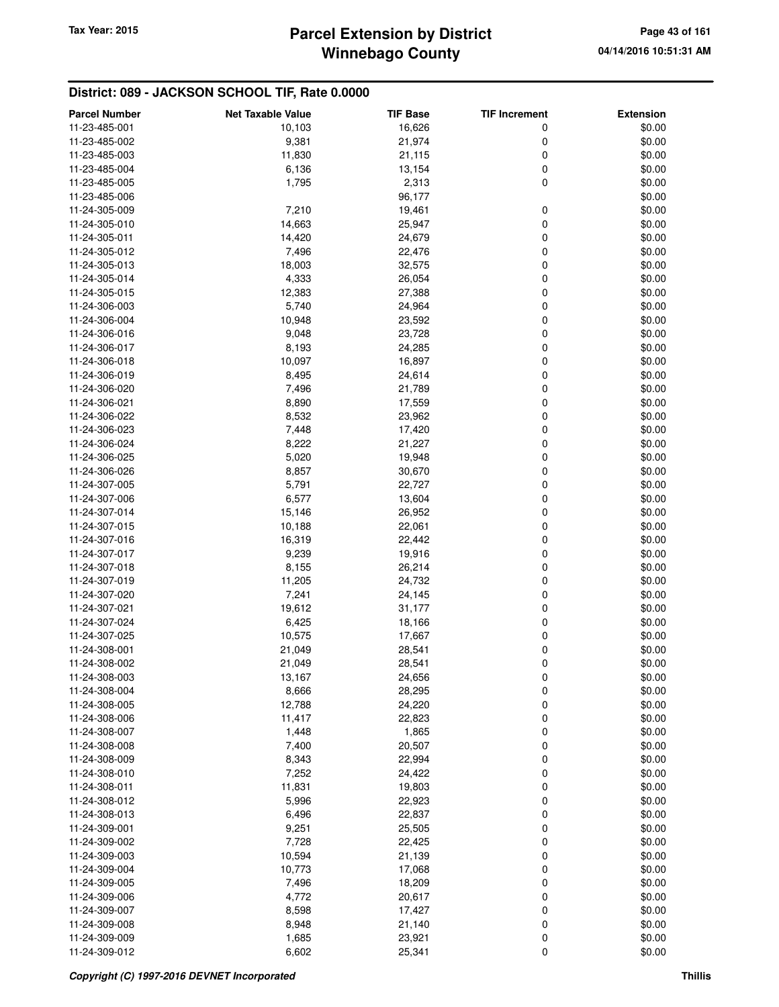# **Winnebago County** Tax Year: 2015 **Parcel Extension by District Page 43 of 161**

| <b>Parcel Number</b> | <b>Net Taxable Value</b> | <b>TIF Base</b> | <b>TIF Increment</b> | <b>Extension</b> |
|----------------------|--------------------------|-----------------|----------------------|------------------|
| 11-23-485-001        | 10,103                   | 16,626          | 0                    | \$0.00           |
| 11-23-485-002        | 9,381                    | 21,974          | 0                    | \$0.00           |
| 11-23-485-003        | 11,830                   | 21,115          | 0                    | \$0.00           |
| 11-23-485-004        | 6,136                    | 13,154          | 0                    | \$0.00           |
| 11-23-485-005        | 1,795                    | 2,313           | 0                    | \$0.00           |
| 11-23-485-006        |                          | 96,177          |                      | \$0.00           |
| 11-24-305-009        | 7,210                    | 19,461          | 0                    | \$0.00           |
| 11-24-305-010        | 14,663                   | 25,947          | 0                    | \$0.00           |
| 11-24-305-011        | 14,420                   | 24,679          | 0                    | \$0.00           |
| 11-24-305-012        | 7,496                    | 22,476          | 0                    | \$0.00           |
| 11-24-305-013        | 18,003                   | 32,575          | 0                    | \$0.00           |
| 11-24-305-014        | 4,333                    | 26,054          | 0                    | \$0.00           |
| 11-24-305-015        | 12,383                   | 27,388          | 0                    | \$0.00           |
| 11-24-306-003        | 5,740                    | 24,964          | 0                    | \$0.00           |
|                      |                          |                 | 0                    |                  |
| 11-24-306-004        | 10,948                   | 23,592          |                      | \$0.00           |
| 11-24-306-016        | 9,048                    | 23,728          | 0                    | \$0.00           |
| 11-24-306-017        | 8,193                    | 24,285          | 0<br>0               | \$0.00           |
| 11-24-306-018        | 10,097                   | 16,897          |                      | \$0.00           |
| 11-24-306-019        | 8,495                    | 24,614          | 0                    | \$0.00           |
| 11-24-306-020        | 7,496                    | 21,789          | 0                    | \$0.00           |
| 11-24-306-021        | 8,890                    | 17,559          | 0                    | \$0.00           |
| 11-24-306-022        | 8,532                    | 23,962          | 0                    | \$0.00           |
| 11-24-306-023        | 7,448                    | 17,420          | 0                    | \$0.00           |
| 11-24-306-024        | 8,222                    | 21,227          | 0                    | \$0.00           |
| 11-24-306-025        | 5,020                    | 19,948          | 0                    | \$0.00           |
| 11-24-306-026        | 8,857                    | 30,670          | 0                    | \$0.00           |
| 11-24-307-005        | 5,791                    | 22,727          | 0                    | \$0.00           |
| 11-24-307-006        | 6,577                    | 13,604          | 0                    | \$0.00           |
| 11-24-307-014        | 15,146                   | 26,952          | 0                    | \$0.00           |
| 11-24-307-015        | 10,188                   | 22,061          | 0                    | \$0.00           |
| 11-24-307-016        | 16,319                   | 22,442          | 0                    | \$0.00           |
| 11-24-307-017        | 9,239                    | 19,916          | 0                    | \$0.00           |
| 11-24-307-018        | 8,155                    | 26,214          | 0                    | \$0.00           |
| 11-24-307-019        | 11,205                   | 24,732          | 0                    | \$0.00           |
| 11-24-307-020        | 7,241                    | 24,145          | 0                    | \$0.00           |
| 11-24-307-021        | 19,612                   | 31,177          | 0                    | \$0.00           |
| 11-24-307-024        | 6,425                    | 18,166          | 0                    | \$0.00           |
| 11-24-307-025        | 10,575                   | 17,667          | 0                    | \$0.00           |
| 11-24-308-001        | 21,049                   | 28,541          | 0                    | \$0.00           |
| 11-24-308-002        | 21,049                   | 28,541          | 0                    | \$0.00           |
| 11-24-308-003        | 13,167                   | 24,656          | 0                    | \$0.00           |
| 11-24-308-004        | 8,666                    | 28,295          | 0                    | \$0.00           |
| 11-24-308-005        | 12,788                   | 24,220          | 0                    | \$0.00           |
| 11-24-308-006        | 11,417                   | 22,823          | 0                    | \$0.00           |
| 11-24-308-007        | 1,448                    | 1,865           | 0                    | \$0.00           |
| 11-24-308-008        | 7,400                    | 20,507          | 0                    | \$0.00           |
| 11-24-308-009        | 8,343                    | 22,994          | 0                    | \$0.00           |
| 11-24-308-010        | 7,252                    | 24,422          | 0                    | \$0.00           |
| 11-24-308-011        | 11,831                   | 19,803          | 0                    | \$0.00           |
| 11-24-308-012        | 5,996                    | 22,923          | 0                    | \$0.00           |
| 11-24-308-013        | 6,496                    | 22,837          | 0                    | \$0.00           |
| 11-24-309-001        | 9,251                    | 25,505          | 0                    | \$0.00           |
| 11-24-309-002        | 7,728                    | 22,425          | 0                    | \$0.00           |
| 11-24-309-003        | 10,594                   | 21,139          | 0                    | \$0.00           |
| 11-24-309-004        | 10,773                   | 17,068          | 0                    | \$0.00           |
| 11-24-309-005        | 7,496                    | 18,209          | 0                    | \$0.00           |
| 11-24-309-006        | 4,772                    | 20,617          | 0                    | \$0.00           |
| 11-24-309-007        | 8,598                    | 17,427          | 0                    | \$0.00           |
| 11-24-309-008        | 8,948                    | 21,140          | 0                    | \$0.00           |
| 11-24-309-009        | 1,685                    | 23,921          | 0                    | \$0.00           |
| 11-24-309-012        | 6,602                    | 25,341          | 0                    | \$0.00           |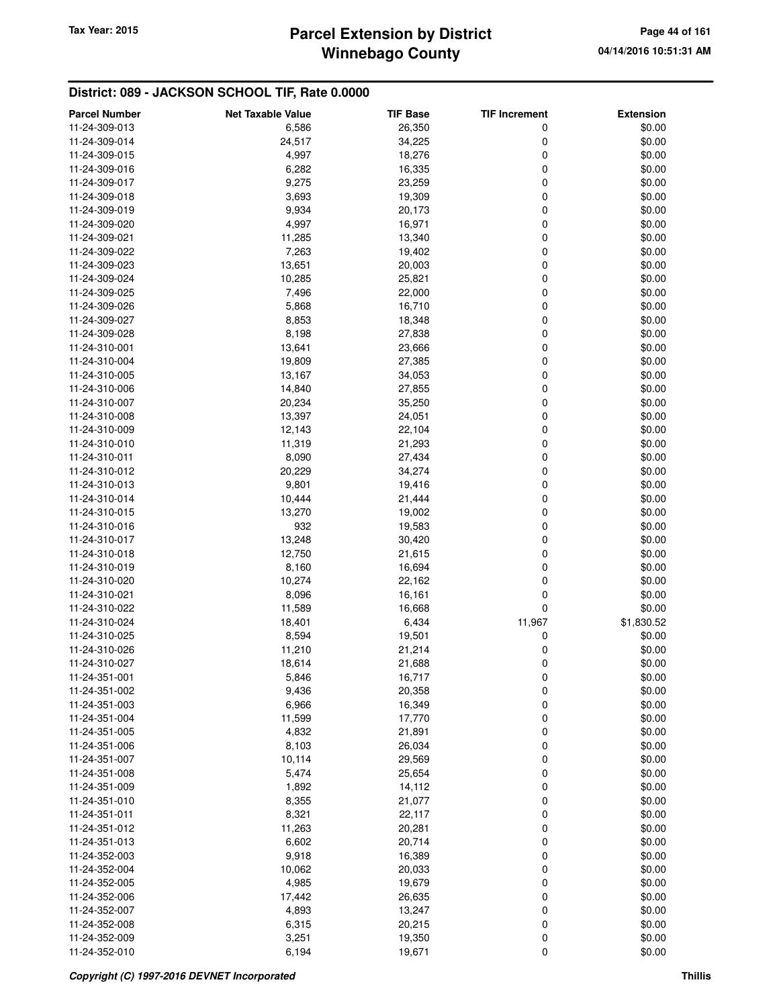# **Winnebago County** Tax Year: 2015 **Parcel Extension by District Page 44 of 161**

| <b>Parcel Number</b> | <b>Net Taxable Value</b> | <b>TIF Base</b> | <b>TIF Increment</b> | <b>Extension</b> |
|----------------------|--------------------------|-----------------|----------------------|------------------|
| 11-24-309-013        | 6,586                    | 26,350          | 0                    | \$0.00           |
| 11-24-309-014        | 24,517                   | 34,225          | 0                    | \$0.00           |
| 11-24-309-015        | 4,997                    | 18,276          | 0                    | \$0.00           |
| 11-24-309-016        | 6,282                    | 16,335          | 0                    | \$0.00           |
| 11-24-309-017        | 9,275                    | 23,259          | 0                    | \$0.00           |
| 11-24-309-018        | 3,693                    | 19,309          | 0                    | \$0.00           |
| 11-24-309-019        | 9,934                    | 20,173          | 0                    | \$0.00           |
| 11-24-309-020        | 4,997                    | 16,971          | 0                    | \$0.00           |
| 11-24-309-021        | 11,285                   | 13,340          | 0                    | \$0.00           |
| 11-24-309-022        | 7,263                    | 19,402          | 0                    | \$0.00           |
| 11-24-309-023        | 13,651                   | 20,003          | 0                    | \$0.00           |
| 11-24-309-024        | 10,285                   | 25,821          | 0                    | \$0.00           |
| 11-24-309-025        | 7,496                    | 22,000          | 0                    | \$0.00           |
| 11-24-309-026        | 5,868                    | 16,710          | 0                    | \$0.00           |
| 11-24-309-027        | 8,853                    | 18,348          | 0                    | \$0.00           |
| 11-24-309-028        | 8,198                    | 27,838          | 0                    | \$0.00           |
| 11-24-310-001        | 13,641                   | 23,666          | 0                    | \$0.00           |
| 11-24-310-004        | 19,809                   | 27,385          | 0                    | \$0.00           |
| 11-24-310-005        | 13,167                   | 34,053          | 0                    | \$0.00           |
| 11-24-310-006        | 14,840                   | 27,855          | 0                    | \$0.00           |
| 11-24-310-007        | 20,234                   | 35,250          | 0                    | \$0.00           |
| 11-24-310-008        | 13,397                   | 24,051          | 0                    | \$0.00           |
| 11-24-310-009        | 12,143                   | 22,104          | 0                    | \$0.00           |
| 11-24-310-010        | 11,319                   | 21,293          | 0                    | \$0.00           |
| 11-24-310-011        | 8,090                    | 27,434          | 0                    | \$0.00           |
| 11-24-310-012        | 20,229                   | 34,274          | 0                    | \$0.00           |
| 11-24-310-013        | 9,801                    | 19,416          | 0                    | \$0.00           |
| 11-24-310-014        | 10,444                   | 21,444          | 0                    | \$0.00           |
| 11-24-310-015        | 13,270                   | 19,002          | 0                    | \$0.00           |
| 11-24-310-016        | 932                      | 19,583          | 0                    | \$0.00           |
| 11-24-310-017        | 13,248                   | 30,420          | 0                    | \$0.00           |
| 11-24-310-018        | 12,750                   | 21,615          | 0                    | \$0.00           |
| 11-24-310-019        | 8,160                    | 16,694          | 0                    | \$0.00           |
| 11-24-310-020        | 10,274                   | 22,162          | 0                    | \$0.00           |
| 11-24-310-021        | 8,096                    | 16,161          | 0                    | \$0.00           |
| 11-24-310-022        | 11,589                   | 16,668          | 0                    | \$0.00           |
| 11-24-310-024        | 18,401                   | 6,434           | 11,967               | \$1,830.52       |
| 11-24-310-025        | 8,594                    | 19,501          | 0                    | \$0.00           |
| 11-24-310-026        | 11,210                   | 21,214          | 0                    | \$0.00           |
| 11-24-310-027        | 18,614                   | 21,688          | 0                    | \$0.00           |
| 11-24-351-001        | 5,846                    | 16,717          | 0                    | \$0.00           |
| 11-24-351-002        | 9,436                    | 20,358          | 0                    | \$0.00           |
| 11-24-351-003        | 6,966                    | 16,349          | 0                    | \$0.00           |
| 11-24-351-004        | 11,599                   | 17,770          | 0                    | \$0.00           |
| 11-24-351-005        | 4,832                    | 21,891          | 0                    | \$0.00           |
| 11-24-351-006        | 8,103                    | 26,034          | 0                    | \$0.00           |
| 11-24-351-007        | 10,114                   | 29,569          | 0                    | \$0.00           |
| 11-24-351-008        | 5,474                    | 25,654          | 0                    | \$0.00           |
| 11-24-351-009        | 1,892                    | 14,112          | 0                    | \$0.00           |
| 11-24-351-010        | 8,355                    | 21,077          | 0                    | \$0.00           |
| 11-24-351-011        | 8,321                    | 22,117          | 0                    | \$0.00           |
| 11-24-351-012        | 11,263                   | 20,281          | 0                    | \$0.00           |
| 11-24-351-013        | 6,602                    | 20,714          | 0                    | \$0.00           |
| 11-24-352-003        | 9,918                    | 16,389          | 0                    | \$0.00           |
| 11-24-352-004        | 10,062                   | 20,033          | 0                    | \$0.00           |
| 11-24-352-005        | 4,985                    | 19,679          | 0                    | \$0.00           |
| 11-24-352-006        | 17,442                   | 26,635          | 0                    | \$0.00           |
| 11-24-352-007        | 4,893                    | 13,247          | 0                    | \$0.00           |
| 11-24-352-008        | 6,315                    | 20,215          | 0                    | \$0.00           |
| 11-24-352-009        | 3,251                    | 19,350          | 0                    | \$0.00           |
| 11-24-352-010        | 6,194                    | 19,671          | 0                    | \$0.00           |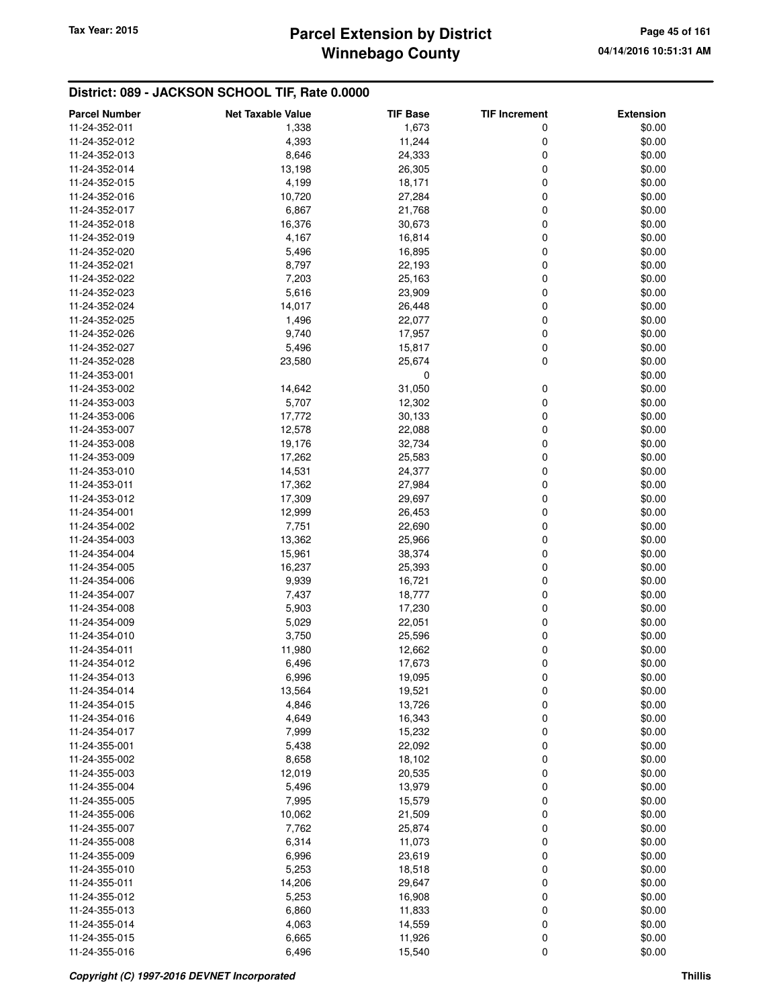## **Winnebago County Parcel Extension by District Tax Year: 2015 Page 45 of 161**

| <b>Parcel Number</b>           | <b>Net Taxable Value</b> | <b>TIF Base</b>  | <b>TIF Increment</b> | <b>Extension</b> |
|--------------------------------|--------------------------|------------------|----------------------|------------------|
| 11-24-352-011                  | 1,338                    | 1,673            | 0                    | \$0.00           |
| 11-24-352-012                  | 4,393                    | 11,244           | 0                    | \$0.00           |
| 11-24-352-013                  | 8,646                    | 24,333           | 0                    | \$0.00           |
| 11-24-352-014                  | 13,198                   | 26,305           | 0                    | \$0.00           |
| 11-24-352-015                  | 4,199                    | 18,171           | 0                    | \$0.00           |
| 11-24-352-016                  | 10,720                   | 27,284           | 0                    | \$0.00           |
| 11-24-352-017                  | 6,867                    | 21,768           | 0                    | \$0.00           |
| 11-24-352-018                  | 16,376                   | 30,673           | 0                    | \$0.00           |
| 11-24-352-019                  | 4,167                    | 16,814           | 0                    | \$0.00           |
| 11-24-352-020                  | 5,496                    | 16,895           | 0                    | \$0.00           |
| 11-24-352-021                  | 8,797                    | 22,193           | 0                    | \$0.00           |
| 11-24-352-022                  | 7,203                    | 25,163           | 0                    | \$0.00           |
| 11-24-352-023                  | 5,616                    | 23,909           | 0                    | \$0.00           |
| 11-24-352-024                  | 14,017                   | 26,448           | 0                    | \$0.00           |
| 11-24-352-025                  | 1,496                    | 22,077           | 0                    | \$0.00           |
| 11-24-352-026                  | 9,740                    | 17,957           | 0                    | \$0.00           |
| 11-24-352-027                  | 5,496                    | 15,817           | 0                    | \$0.00           |
| 11-24-352-028                  | 23,580                   | 25,674           | 0                    | \$0.00           |
| 11-24-353-001                  |                          | 0                |                      | \$0.00           |
| 11-24-353-002                  | 14,642                   | 31,050           | 0                    | \$0.00           |
| 11-24-353-003                  | 5,707                    | 12,302           | 0                    | \$0.00           |
| 11-24-353-006                  | 17,772                   | 30,133           | 0                    | \$0.00           |
| 11-24-353-007                  | 12,578                   | 22,088           | 0                    | \$0.00           |
| 11-24-353-008                  | 19,176                   | 32,734           | 0                    | \$0.00           |
| 11-24-353-009                  | 17,262                   |                  | 0                    | \$0.00           |
| 11-24-353-010                  |                          | 25,583           | 0                    |                  |
| 11-24-353-011                  | 14,531<br>17,362         | 24,377           | 0                    | \$0.00<br>\$0.00 |
| 11-24-353-012                  | 17,309                   | 27,984<br>29,697 | 0                    | \$0.00           |
| 11-24-354-001                  | 12,999                   | 26,453           | 0                    | \$0.00           |
| 11-24-354-002                  | 7,751                    | 22,690           | 0                    | \$0.00           |
| 11-24-354-003                  | 13,362                   | 25,966           | 0                    | \$0.00           |
| 11-24-354-004                  |                          |                  | 0                    | \$0.00           |
| 11-24-354-005                  | 15,961<br>16,237         | 38,374<br>25,393 | 0                    | \$0.00           |
| 11-24-354-006                  | 9,939                    | 16,721           | 0                    | \$0.00           |
| 11-24-354-007                  | 7,437                    | 18,777           | 0                    | \$0.00           |
| 11-24-354-008                  | 5,903                    | 17,230           | 0                    | \$0.00           |
| 11-24-354-009                  |                          |                  | 0                    |                  |
| 11-24-354-010                  | 5,029<br>3,750           | 22,051<br>25,596 | 0                    | \$0.00<br>\$0.00 |
| 11-24-354-011                  | 11,980                   | 12,662           | 0                    | \$0.00           |
| 11-24-354-012                  | 6,496                    | 17,673           | 0                    | \$0.00           |
| 11-24-354-013                  | 6,996                    | 19,095           | 0                    | \$0.00           |
| 11-24-354-014                  | 13,564                   | 19,521           |                      | \$0.00           |
| 11-24-354-015                  | 4,846                    | 13,726           | 0<br>0               | \$0.00           |
| 11-24-354-016                  | 4,649                    | 16,343           | 0                    | \$0.00           |
| 11-24-354-017                  | 7,999                    | 15,232           | 0                    | \$0.00           |
| 11-24-355-001                  |                          |                  | 0                    | \$0.00           |
| 11-24-355-002                  | 5,438                    | 22,092<br>18,102 |                      | \$0.00           |
| 11-24-355-003                  | 8,658<br>12,019          | 20,535           | 0<br>0               | \$0.00           |
| 11-24-355-004                  | 5,496                    | 13,979           | 0                    | \$0.00           |
| 11-24-355-005                  | 7,995                    | 15,579           | 0                    | \$0.00           |
| 11-24-355-006                  | 10,062                   | 21,509           | 0                    | \$0.00           |
| 11-24-355-007                  |                          |                  |                      | \$0.00           |
| 11-24-355-008                  | 7,762<br>6,314           | 25,874<br>11,073 | 0<br>0               | \$0.00           |
| 11-24-355-009                  | 6,996                    | 23,619           | 0                    | \$0.00           |
|                                |                          |                  | 0                    |                  |
| 11-24-355-010<br>11-24-355-011 | 5,253                    | 18,518           | 0                    | \$0.00<br>\$0.00 |
| 11-24-355-012                  | 14,206                   | 29,647           | 0                    | \$0.00           |
| 11-24-355-013                  | 5,253<br>6,860           | 16,908<br>11,833 | 0                    | \$0.00           |
|                                |                          |                  |                      |                  |
| 11-24-355-014                  | 4,063                    | 14,559           | 0                    | \$0.00           |
| 11-24-355-015<br>11-24-355-016 | 6,665<br>6,496           | 11,926<br>15,540 | 0<br>0               | \$0.00<br>\$0.00 |
|                                |                          |                  |                      |                  |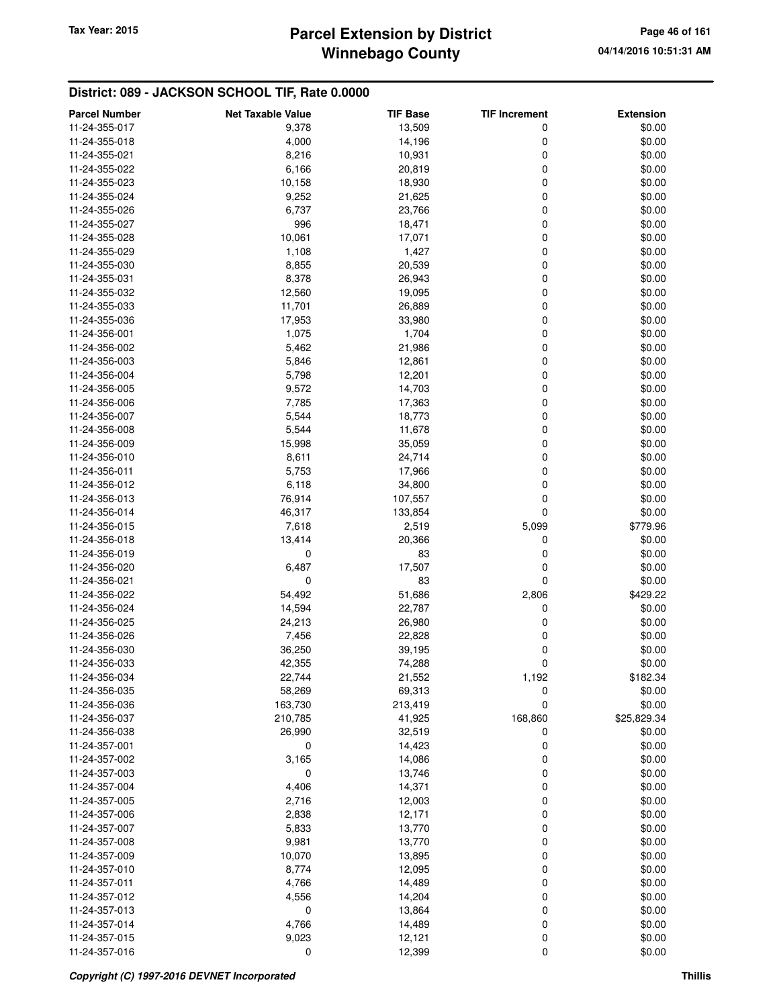## **Winnebago County Parcel Extension by District Tax Year: 2015 Page 46 of 161**

| <b>Parcel Number</b> | <b>Net Taxable Value</b> | <b>TIF Base</b> | <b>TIF Increment</b> | <b>Extension</b> |
|----------------------|--------------------------|-----------------|----------------------|------------------|
| 11-24-355-017        | 9,378                    | 13,509          | 0                    | \$0.00           |
| 11-24-355-018        | 4,000                    | 14,196          | 0                    | \$0.00           |
| 11-24-355-021        | 8,216                    | 10,931          | 0                    | \$0.00           |
| 11-24-355-022        | 6,166                    | 20,819          | 0                    | \$0.00           |
| 11-24-355-023        | 10,158                   | 18,930          | 0                    | \$0.00           |
| 11-24-355-024        | 9,252                    | 21,625          | 0                    | \$0.00           |
| 11-24-355-026        | 6,737                    | 23,766          | 0                    | \$0.00           |
| 11-24-355-027        | 996                      | 18,471          | 0                    | \$0.00           |
| 11-24-355-028        | 10,061                   | 17,071          | 0                    | \$0.00           |
| 11-24-355-029        | 1,108                    | 1,427           | 0                    | \$0.00           |
| 11-24-355-030        | 8,855                    | 20,539          | 0                    | \$0.00           |
| 11-24-355-031        | 8,378                    | 26,943          | 0                    | \$0.00           |
| 11-24-355-032        | 12,560                   | 19,095          | 0                    | \$0.00           |
| 11-24-355-033        | 11,701                   | 26,889          | 0                    | \$0.00           |
| 11-24-355-036        | 17,953                   | 33,980          | 0                    | \$0.00           |
| 11-24-356-001        | 1,075                    | 1,704           | 0                    | \$0.00           |
| 11-24-356-002        | 5,462                    | 21,986          | 0                    | \$0.00           |
| 11-24-356-003        | 5,846                    | 12,861          | 0                    | \$0.00           |
| 11-24-356-004        | 5,798                    | 12,201          | 0                    | \$0.00           |
| 11-24-356-005        | 9,572                    | 14,703          | 0                    | \$0.00           |
| 11-24-356-006        | 7,785                    | 17,363          | 0                    | \$0.00           |
| 11-24-356-007        | 5,544                    | 18,773          | 0                    | \$0.00           |
| 11-24-356-008        | 5,544                    | 11,678          | 0                    | \$0.00           |
| 11-24-356-009        | 15,998                   | 35,059          | 0                    | \$0.00           |
| 11-24-356-010        | 8,611                    | 24,714          | 0                    | \$0.00           |
| 11-24-356-011        | 5,753                    | 17,966          | 0                    | \$0.00           |
| 11-24-356-012        | 6,118                    | 34,800          | 0                    | \$0.00           |
| 11-24-356-013        | 76,914                   | 107,557         | 0                    | \$0.00           |
| 11-24-356-014        | 46,317                   | 133,854         | 0                    | \$0.00           |
| 11-24-356-015        | 7,618                    | 2,519           | 5,099                | \$779.96         |
| 11-24-356-018        | 13,414                   | 20,366          | 0                    | \$0.00           |
| 11-24-356-019        | 0                        | 83              | 0                    | \$0.00           |
| 11-24-356-020        | 6,487                    | 17,507          | 0                    | \$0.00           |
| 11-24-356-021        | 0                        | 83              | 0                    | \$0.00           |
| 11-24-356-022        | 54,492                   | 51,686          | 2,806                | \$429.22         |
| 11-24-356-024        | 14,594                   | 22,787          | 0                    | \$0.00           |
| 11-24-356-025        | 24,213                   | 26,980          | 0                    | \$0.00           |
| 11-24-356-026        | 7,456                    | 22,828          | 0                    | \$0.00           |
| 11-24-356-030        | 36,250                   | 39,195          | 0                    | \$0.00           |
| 11-24-356-033        | 42,355                   | 74,288          | 0                    | \$0.00           |
| 11-24-356-034        | 22,744                   | 21,552          | 1,192                | \$182.34         |
| 11-24-356-035        | 58,269                   | 69,313          | 0                    | \$0.00           |
| 11-24-356-036        | 163,730                  | 213,419         | 0                    | \$0.00           |
| 11-24-356-037        | 210,785                  | 41,925          | 168,860              | \$25,829.34      |
| 11-24-356-038        | 26,990                   | 32,519          | 0                    | \$0.00           |
| 11-24-357-001        | 0                        | 14,423          | 0                    | \$0.00           |
| 11-24-357-002        | 3,165                    | 14,086          | 0                    | \$0.00           |
| 11-24-357-003        | 0                        | 13,746          | 0                    | \$0.00           |
| 11-24-357-004        | 4,406                    | 14,371          | 0                    | \$0.00           |
| 11-24-357-005        | 2,716                    | 12,003          | 0                    | \$0.00           |
| 11-24-357-006        | 2,838                    | 12,171          | 0                    | \$0.00           |
| 11-24-357-007        | 5,833                    | 13,770          | 0                    | \$0.00           |
| 11-24-357-008        | 9,981                    | 13,770          | 0                    | \$0.00           |
| 11-24-357-009        | 10,070                   | 13,895          | 0                    | \$0.00           |
| 11-24-357-010        | 8,774                    | 12,095          | 0                    | \$0.00           |
| 11-24-357-011        | 4,766                    | 14,489          | 0                    | \$0.00           |
| 11-24-357-012        | 4,556                    | 14,204          | 0                    | \$0.00           |
| 11-24-357-013        | 0                        | 13,864          | 0                    | \$0.00           |
| 11-24-357-014        | 4,766                    | 14,489          | 0                    | \$0.00           |
| 11-24-357-015        | 9,023                    | 12,121          | 0                    | \$0.00           |
| 11-24-357-016        | 0                        | 12,399          | 0                    | \$0.00           |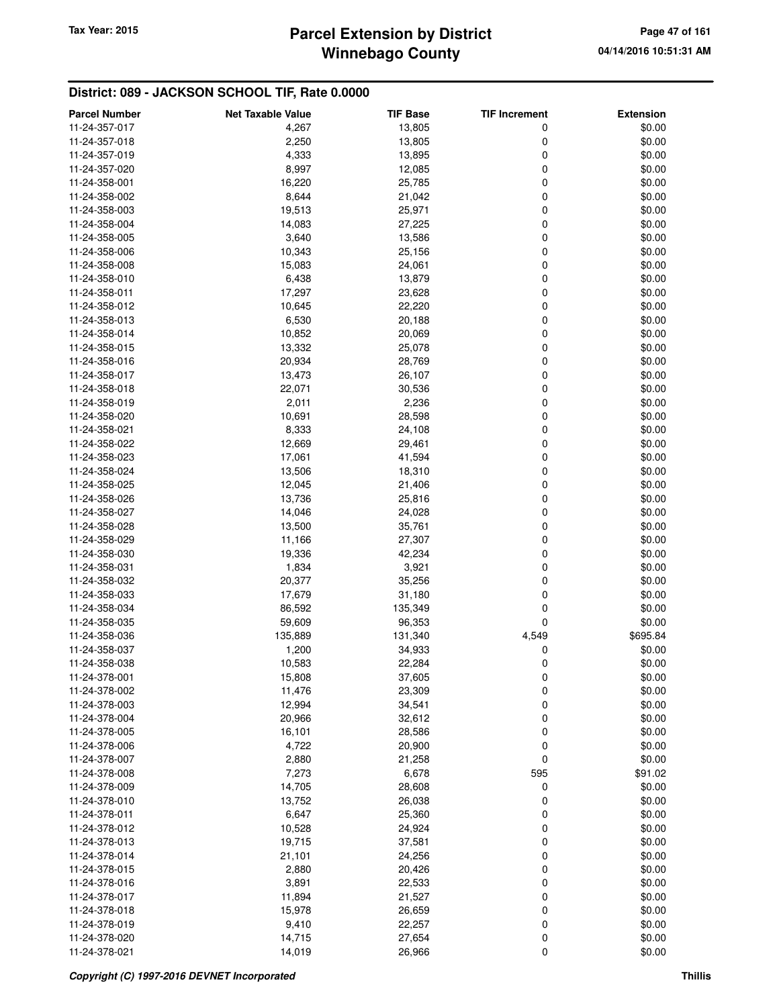# **Winnebago County** Tax Year: 2015 **Parcel Extension by District Page 47 of 161**

| <b>Parcel Number</b> | <b>Net Taxable Value</b> | <b>TIF Base</b> | <b>TIF Increment</b> | <b>Extension</b> |
|----------------------|--------------------------|-----------------|----------------------|------------------|
| 11-24-357-017        | 4,267                    | 13,805          | 0                    | \$0.00           |
| 11-24-357-018        | 2,250                    | 13,805          | 0                    | \$0.00           |
| 11-24-357-019        | 4,333                    | 13,895          | 0                    | \$0.00           |
| 11-24-357-020        | 8,997                    | 12,085          | 0                    | \$0.00           |
| 11-24-358-001        | 16,220                   | 25,785          | 0                    | \$0.00           |
| 11-24-358-002        | 8,644                    | 21,042          | 0                    | \$0.00           |
| 11-24-358-003        | 19,513                   | 25,971          | 0                    | \$0.00           |
| 11-24-358-004        | 14,083                   | 27,225          | 0                    | \$0.00           |
| 11-24-358-005        | 3,640                    | 13,586          | 0                    | \$0.00           |
| 11-24-358-006        | 10,343                   | 25,156          | 0                    | \$0.00           |
| 11-24-358-008        | 15,083                   | 24,061          | 0                    | \$0.00           |
| 11-24-358-010        | 6,438                    | 13,879          | 0                    | \$0.00           |
| 11-24-358-011        | 17,297                   | 23,628          | 0                    | \$0.00           |
| 11-24-358-012        | 10,645                   | 22,220          | 0                    | \$0.00           |
| 11-24-358-013        | 6,530                    | 20,188          | 0                    | \$0.00           |
| 11-24-358-014        | 10,852                   | 20,069          | 0                    | \$0.00           |
| 11-24-358-015        | 13,332                   | 25,078          | 0                    | \$0.00           |
| 11-24-358-016        | 20,934                   | 28,769          | 0                    | \$0.00           |
| 11-24-358-017        | 13,473                   | 26,107          | 0                    | \$0.00           |
| 11-24-358-018        | 22,071                   | 30,536          | 0                    | \$0.00           |
| 11-24-358-019        | 2,011                    | 2,236           | 0                    | \$0.00           |
| 11-24-358-020        | 10,691                   | 28,598          | 0                    | \$0.00           |
| 11-24-358-021        | 8,333                    | 24,108          | 0                    | \$0.00           |
| 11-24-358-022        | 12,669                   | 29,461          | 0                    | \$0.00           |
| 11-24-358-023        | 17,061                   | 41,594          | 0                    | \$0.00           |
| 11-24-358-024        | 13,506                   | 18,310          | 0                    | \$0.00           |
| 11-24-358-025        | 12,045                   | 21,406          | 0                    | \$0.00           |
| 11-24-358-026        | 13,736                   | 25,816          | 0                    | \$0.00           |
| 11-24-358-027        | 14,046                   | 24,028          | 0                    | \$0.00           |
| 11-24-358-028        | 13,500                   | 35,761          | 0                    | \$0.00           |
| 11-24-358-029        | 11,166                   | 27,307          | 0                    | \$0.00           |
| 11-24-358-030        | 19,336                   | 42,234          | 0                    | \$0.00           |
| 11-24-358-031        | 1,834                    | 3,921           | 0                    | \$0.00           |
| 11-24-358-032        | 20,377                   | 35,256          | 0                    | \$0.00           |
| 11-24-358-033        | 17,679                   | 31,180          | 0                    | \$0.00           |
| 11-24-358-034        | 86,592                   | 135,349         | 0                    | \$0.00           |
| 11-24-358-035        | 59,609                   | 96,353          | 0                    | \$0.00           |
| 11-24-358-036        | 135,889                  | 131,340         | 4,549                | \$695.84         |
| 11-24-358-037        | 1,200                    | 34,933          | 0                    | \$0.00           |
| 11-24-358-038        | 10,583                   | 22,284          | 0                    | \$0.00           |
| 11-24-378-001        | 15,808                   | 37,605          | 0                    | \$0.00           |
| 11-24-378-002        | 11,476                   | 23,309          | 0                    | \$0.00           |
| 11-24-378-003        | 12,994                   | 34,541          | 0                    | \$0.00           |
| 11-24-378-004        | 20,966                   | 32,612          | 0                    | \$0.00           |
| 11-24-378-005        | 16,101                   | 28,586          | 0                    | \$0.00           |
| 11-24-378-006        | 4,722                    | 20,900          | 0                    | \$0.00           |
| 11-24-378-007        | 2,880                    | 21,258          | 0                    | \$0.00           |
| 11-24-378-008        | 7,273                    | 6,678           | 595                  | \$91.02          |
| 11-24-378-009        | 14,705                   | 28,608          | 0                    | \$0.00           |
| 11-24-378-010        | 13,752                   | 26,038          | 0                    | \$0.00           |
| 11-24-378-011        | 6,647                    | 25,360          | 0                    | \$0.00           |
| 11-24-378-012        | 10,528                   | 24,924          | 0                    | \$0.00           |
| 11-24-378-013        | 19,715                   | 37,581          | 0                    | \$0.00           |
| 11-24-378-014        | 21,101                   | 24,256          | 0                    | \$0.00           |
| 11-24-378-015        | 2,880                    | 20,426          | 0                    | \$0.00           |
| 11-24-378-016        | 3,891                    | 22,533          | 0                    | \$0.00           |
| 11-24-378-017        | 11,894                   | 21,527          | 0                    | \$0.00           |
| 11-24-378-018        | 15,978                   | 26,659          | 0                    | \$0.00           |
| 11-24-378-019        | 9,410                    | 22,257          | 0                    | \$0.00           |
| 11-24-378-020        | 14,715                   | 27,654          | 0                    | \$0.00           |
| 11-24-378-021        | 14,019                   | 26,966          | 0                    | \$0.00           |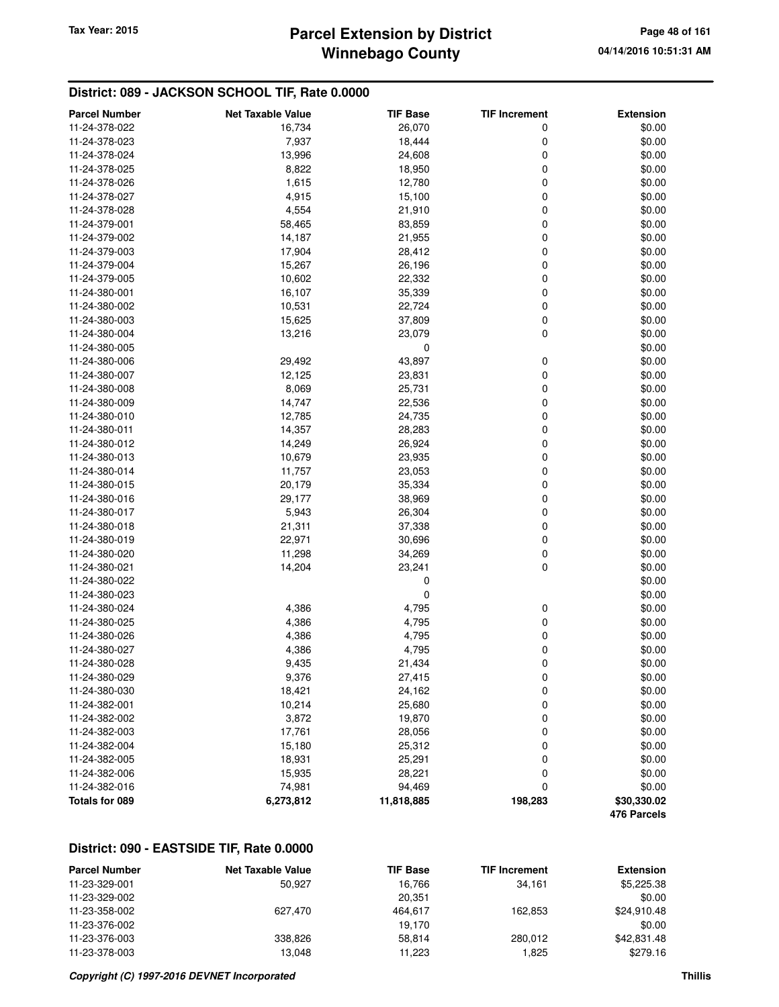## **Winnebago County Parcel Extension by District Tax Year: 2015 Page 48 of 161**

### **District: 089 - JACKSON SCHOOL TIF, Rate 0.0000**

| <b>Parcel Number</b> | <b>Net Taxable Value</b> | <b>TIF Base</b> | <b>TIF Increment</b> | <b>Extension</b> |
|----------------------|--------------------------|-----------------|----------------------|------------------|
| 11-24-378-022        | 16,734                   | 26,070          | 0                    | \$0.00           |
| 11-24-378-023        | 7,937                    | 18,444          | 0                    | \$0.00           |
| 11-24-378-024        | 13,996                   | 24,608          | 0                    | \$0.00           |
| 11-24-378-025        | 8,822                    | 18,950          | $\mathbf 0$          | \$0.00           |
| 11-24-378-026        | 1,615                    | 12,780          | 0                    | \$0.00           |
| 11-24-378-027        | 4,915                    | 15,100          | 0                    | \$0.00           |
| 11-24-378-028        | 4,554                    | 21,910          | 0                    | \$0.00           |
| 11-24-379-001        | 58,465                   | 83,859          | 0                    | \$0.00           |
| 11-24-379-002        | 14,187                   | 21,955          | 0                    | \$0.00           |
| 11-24-379-003        | 17,904                   | 28,412          | 0                    | \$0.00           |
| 11-24-379-004        | 15,267                   | 26,196          | $\mathbf 0$          | \$0.00           |
| 11-24-379-005        | 10,602                   | 22,332          | 0                    | \$0.00           |
| 11-24-380-001        | 16,107                   | 35,339          | 0                    | \$0.00           |
| 11-24-380-002        | 10,531                   | 22,724          | $\mathbf 0$          | \$0.00           |
| 11-24-380-003        | 15,625                   | 37,809          | $\mathbf 0$          | \$0.00           |
| 11-24-380-004        | 13,216                   | 23,079          | $\mathbf 0$          | \$0.00           |
| 11-24-380-005        |                          | 0               |                      | \$0.00           |
| 11-24-380-006        | 29,492                   | 43,897          | 0                    | \$0.00           |
| 11-24-380-007        | 12,125                   | 23,831          | $\mathbf 0$          | \$0.00           |
| 11-24-380-008        | 8,069                    | 25,731          | 0                    | \$0.00           |
| 11-24-380-009        | 14,747                   | 22,536          | $\mathbf 0$          | \$0.00           |
| 11-24-380-010        | 12,785                   | 24,735          | 0                    | \$0.00           |
| 11-24-380-011        | 14,357                   | 28,283          | 0                    | \$0.00           |
| 11-24-380-012        | 14,249                   | 26,924          | 0                    | \$0.00           |
| 11-24-380-013        | 10,679                   | 23,935          | 0                    | \$0.00           |
| 11-24-380-014        | 11,757                   | 23,053          | $\mathbf 0$          | \$0.00           |
| 11-24-380-015        | 20,179                   | 35,334          | 0                    | \$0.00           |
| 11-24-380-016        | 29,177                   | 38,969          | 0                    | \$0.00           |
| 11-24-380-017        | 5,943                    | 26,304          | 0                    | \$0.00           |
| 11-24-380-018        | 21,311                   | 37,338          | 0                    | \$0.00           |
| 11-24-380-019        | 22,971                   | 30,696          | $\mathbf 0$          | \$0.00           |
| 11-24-380-020        | 11,298                   | 34,269          | $\pmb{0}$            | \$0.00           |
| 11-24-380-021        | 14,204                   | 23,241          | 0                    | \$0.00           |
| 11-24-380-022        |                          | 0               |                      | \$0.00           |
| 11-24-380-023        |                          | 0               |                      | \$0.00           |
| 11-24-380-024        | 4,386                    | 4,795           | 0                    | \$0.00           |
| 11-24-380-025        | 4,386                    | 4,795           | 0                    | \$0.00           |
| 11-24-380-026        | 4,386                    | 4,795           | 0                    | \$0.00           |
| 11-24-380-027        | 4,386                    | 4,795           | 0                    | \$0.00           |
| 11-24-380-028        | 9,435                    | 21,434          | 0                    | \$0.00           |
| 11-24-380-029        | 9,376                    | 27,415          | 0                    | \$0.00           |
| 11-24-380-030        | 18,421                   | 24,162          | 0                    | \$0.00           |
| 11-24-382-001        | 10,214                   | 25,680          | $\boldsymbol{0}$     | \$0.00           |
| 11-24-382-002        | 3,872                    | 19,870          | 0                    | \$0.00           |
| 11-24-382-003        | 17,761                   | 28,056          | 0                    | \$0.00           |
| 11-24-382-004        | 15,180                   | 25,312          | 0                    | \$0.00           |
| 11-24-382-005        | 18,931                   | 25,291          | 0                    | \$0.00           |
| 11-24-382-006        | 15,935                   | 28,221          | 0                    | \$0.00           |
| 11-24-382-016        | 74,981                   | 94,469          | 0                    | \$0.00           |
| Totals for 089       | 6,273,812                | 11,818,885      | 198,283              | \$30,330.02      |
|                      |                          |                 |                      | 476 Parcels      |

### **District: 090 - EASTSIDE TIF, Rate 0.0000**

| <b>Parcel Number</b> | <b>Net Taxable Value</b> | <b>TIF Base</b> | <b>TIF Increment</b> | <b>Extension</b> |
|----------------------|--------------------------|-----------------|----------------------|------------------|
| 11-23-329-001        | 50.927                   | 16.766          | 34.161               | \$5,225.38       |
| 11-23-329-002        |                          | 20.351          |                      | \$0.00           |
| 11-23-358-002        | 627.470                  | 464.617         | 162.853              | \$24.910.48      |
| 11-23-376-002        |                          | 19.170          |                      | \$0.00           |
| 11-23-376-003        | 338.826                  | 58.814          | 280.012              | \$42,831,48      |
| 11-23-378-003        | 13.048                   | 11.223          | 1.825                | \$279.16         |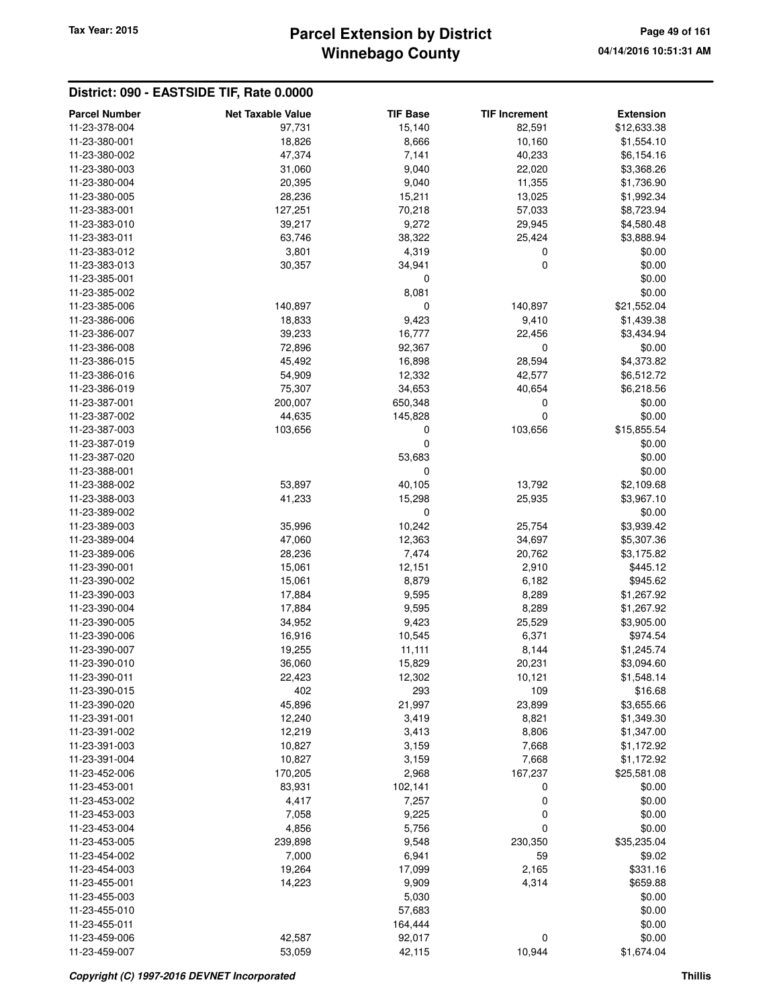# **Winnebago County** Tax Year: 2015 **Parcel Extension by District Page 49 of 161**

### **District: 090 - EASTSIDE TIF, Rate 0.0000**

| <b>Parcel Number</b> | <b>Net Taxable Value</b> | <b>TIF Base</b> | <b>TIF Increment</b> | <b>Extension</b> |
|----------------------|--------------------------|-----------------|----------------------|------------------|
| 11-23-378-004        | 97,731                   | 15,140          | 82,591               |                  |
|                      |                          |                 |                      | \$12,633.38      |
| 11-23-380-001        | 18,826                   | 8,666           | 10,160               | \$1,554.10       |
| 11-23-380-002        | 47,374                   | 7,141           | 40,233               | \$6,154.16       |
| 11-23-380-003        | 31,060                   | 9,040           | 22,020               | \$3,368.26       |
| 11-23-380-004        | 20,395                   | 9,040           | 11,355               | \$1,736.90       |
| 11-23-380-005        | 28,236                   | 15,211          | 13,025               | \$1,992.34       |
| 11-23-383-001        | 127,251                  | 70,218          | 57,033               | \$8,723.94       |
| 11-23-383-010        | 39,217                   | 9,272           | 29,945               | \$4,580.48       |
| 11-23-383-011        | 63,746                   | 38,322          | 25,424               | \$3,888.94       |
| 11-23-383-012        | 3,801                    | 4,319           | 0                    | \$0.00           |
| 11-23-383-013        | 30,357                   | 34,941          | $\mathbf 0$          | \$0.00           |
| 11-23-385-001        |                          | 0               |                      | \$0.00           |
| 11-23-385-002        |                          | 8,081           |                      | \$0.00           |
| 11-23-385-006        | 140,897                  | 0               | 140,897              | \$21,552.04      |
| 11-23-386-006        | 18,833                   | 9,423           | 9,410                | \$1,439.38       |
| 11-23-386-007        | 39,233                   | 16,777          | 22,456               | \$3,434.94       |
| 11-23-386-008        | 72,896                   | 92,367          | 0                    | \$0.00           |
| 11-23-386-015        | 45,492                   | 16,898          | 28,594               | \$4,373.82       |
| 11-23-386-016        | 54,909                   | 12,332          | 42,577               | \$6,512.72       |
| 11-23-386-019        | 75,307                   | 34,653          | 40,654               | \$6,218.56       |
| 11-23-387-001        | 200,007                  | 650,348         | 0                    | \$0.00           |
| 11-23-387-002        | 44,635                   | 145,828         | $\mathbf 0$          | \$0.00           |
| 11-23-387-003        | 103,656                  | 0               | 103,656              | \$15,855.54      |
| 11-23-387-019        |                          | 0               |                      | \$0.00           |
| 11-23-387-020        |                          | 53,683          |                      | \$0.00           |
| 11-23-388-001        |                          | 0               |                      | \$0.00           |
| 11-23-388-002        | 53,897                   | 40,105          | 13,792               | \$2,109.68       |
| 11-23-388-003        | 41,233                   | 15,298          | 25,935               | \$3,967.10       |
| 11-23-389-002        |                          | $\pmb{0}$       |                      | \$0.00           |
| 11-23-389-003        | 35,996                   | 10,242          | 25,754               | \$3,939.42       |
| 11-23-389-004        | 47,060                   | 12,363          | 34,697               | \$5,307.36       |
| 11-23-389-006        | 28,236                   | 7,474           | 20,762               | \$3,175.82       |
| 11-23-390-001        | 15,061                   | 12,151          | 2,910                | \$445.12         |
| 11-23-390-002        | 15,061                   | 8,879           | 6,182                | \$945.62         |
| 11-23-390-003        | 17,884                   | 9,595           | 8,289                | \$1,267.92       |
| 11-23-390-004        | 17,884                   | 9,595           | 8,289                | \$1,267.92       |
| 11-23-390-005        | 34,952                   | 9,423           | 25,529               | \$3,905.00       |
| 11-23-390-006        | 16,916                   | 10,545          | 6,371                | \$974.54         |
| 11-23-390-007        | 19,255                   | 11,111          | 8,144                | \$1,245.74       |
| 11-23-390-010        | 36,060                   | 15,829          | 20,231               | \$3,094.60       |
| 11-23-390-011        | 22,423                   | 12,302          | 10,121               | \$1,548.14       |
| 11-23-390-015        | 402                      | 293             | 109                  | \$16.68          |
| 11-23-390-020        | 45,896                   | 21,997          | 23,899               | \$3,655.66       |
| 11-23-391-001        | 12,240                   | 3,419           | 8,821                | \$1,349.30       |
| 11-23-391-002        | 12,219                   | 3,413           | 8,806                | \$1,347.00       |
| 11-23-391-003        | 10,827                   | 3,159           | 7,668                | \$1,172.92       |
| 11-23-391-004        | 10,827                   | 3,159           | 7,668                | \$1,172.92       |
| 11-23-452-006        | 170,205                  | 2,968           | 167,237              | \$25,581.08      |
| 11-23-453-001        | 83,931                   | 102,141         | 0                    | \$0.00           |
| 11-23-453-002        | 4,417                    | 7,257           | $\boldsymbol{0}$     | \$0.00           |
| 11-23-453-003        | 7,058                    | 9,225           | $\boldsymbol{0}$     | \$0.00           |
| 11-23-453-004        | 4,856                    | 5,756           | $\mathbf 0$          | \$0.00           |
| 11-23-453-005        | 239,898                  | 9,548           | 230,350              | \$35,235.04      |
| 11-23-454-002        | 7,000                    | 6,941           | 59                   | \$9.02           |
| 11-23-454-003        | 19,264                   | 17,099          | 2,165                | \$331.16         |
| 11-23-455-001        | 14,223                   | 9,909           | 4,314                | \$659.88         |
| 11-23-455-003        |                          | 5,030           |                      | \$0.00           |
| 11-23-455-010        |                          | 57,683          |                      | \$0.00           |
| 11-23-455-011        |                          | 164,444         |                      | \$0.00           |
| 11-23-459-006        | 42,587                   | 92,017          | 0                    | \$0.00           |
| 11-23-459-007        | 53,059                   | 42,115          | 10,944               | \$1,674.04       |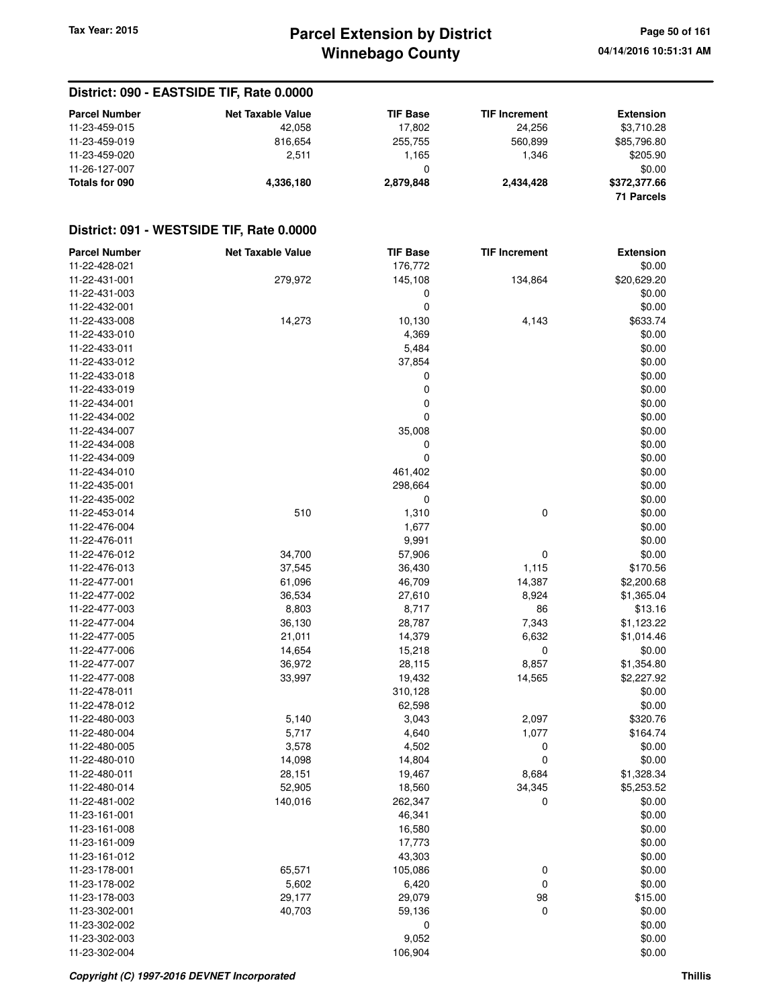## **Winnebago County Parcel Extension by District Tax Year: 2015 Page 50 of 161**

**04/14/2016 10:51:31 AM**

### **District: 090 - EASTSIDE TIF, Rate 0.0000**

| <b>Parcel Number</b> | <b>Net Taxable Value</b> | <b>TIF Base</b> | <b>TIF Increment</b> | <b>Extension</b> |
|----------------------|--------------------------|-----------------|----------------------|------------------|
| 11-23-459-015        | 42.058                   | 17.802          | 24.256               | \$3,710.28       |
| 11-23-459-019        | 816.654                  | 255.755         | 560.899              | \$85,796.80      |
| 11-23-459-020        | 2.511                    | .165،           | 1.346                | \$205.90         |
| 11-26-127-007        |                          |                 |                      | \$0.00           |
| Totals for 090       | 4.336.180                | 2.879.848       | 2.434.428            | \$372,377.66     |
|                      |                          |                 |                      | 71 Parcels       |

### **District: 091 - WESTSIDE TIF, Rate 0.0000**

| <b>Parcel Number</b> | <b>Net Taxable Value</b> | <b>TIF Base</b> | <b>TIF Increment</b> | <b>Extension</b> |
|----------------------|--------------------------|-----------------|----------------------|------------------|
| 11-22-428-021        |                          | 176,772         |                      | \$0.00           |
| 11-22-431-001        | 279,972                  | 145,108         | 134,864              | \$20,629.20      |
| 11-22-431-003        |                          | 0               |                      | \$0.00           |
| 11-22-432-001        |                          | 0               |                      | \$0.00           |
| 11-22-433-008        | 14,273                   | 10,130          | 4,143                | \$633.74         |
| 11-22-433-010        |                          | 4,369           |                      | \$0.00           |
| 11-22-433-011        |                          | 5,484           |                      | \$0.00           |
| 11-22-433-012        |                          | 37,854          |                      | \$0.00           |
| 11-22-433-018        |                          | 0               |                      | \$0.00           |
| 11-22-433-019        |                          | 0               |                      | \$0.00           |
| 11-22-434-001        |                          | 0               |                      | \$0.00           |
| 11-22-434-002        |                          | 0               |                      | \$0.00           |
| 11-22-434-007        |                          | 35,008          |                      | \$0.00           |
| 11-22-434-008        |                          | 0               |                      | \$0.00           |
| 11-22-434-009        |                          | 0               |                      | \$0.00           |
| 11-22-434-010        |                          | 461,402         |                      | \$0.00           |
| 11-22-435-001        |                          | 298,664         |                      | \$0.00           |
|                      |                          | 0               |                      |                  |
| 11-22-435-002        |                          |                 |                      | \$0.00           |
| 11-22-453-014        | 510                      | 1,310           | 0                    | \$0.00           |
| 11-22-476-004        |                          | 1,677           |                      | \$0.00           |
| 11-22-476-011        |                          | 9,991           |                      | \$0.00           |
| 11-22-476-012        | 34,700                   | 57,906          | 0                    | \$0.00           |
| 11-22-476-013        | 37,545                   | 36,430          | 1,115                | \$170.56         |
| 11-22-477-001        | 61,096                   | 46,709          | 14,387               | \$2,200.68       |
| 11-22-477-002        | 36,534                   | 27,610          | 8,924                | \$1,365.04       |
| 11-22-477-003        | 8,803                    | 8,717           | 86                   | \$13.16          |
| 11-22-477-004        | 36,130                   | 28,787          | 7,343                | \$1,123.22       |
| 11-22-477-005        | 21,011                   | 14,379          | 6,632                | \$1,014.46       |
| 11-22-477-006        | 14,654                   | 15,218          | 0                    | \$0.00           |
| 11-22-477-007        | 36,972                   | 28,115          | 8,857                | \$1,354.80       |
| 11-22-477-008        | 33,997                   | 19,432          | 14,565               | \$2,227.92       |
| 11-22-478-011        |                          | 310,128         |                      | \$0.00           |
| 11-22-478-012        |                          | 62,598          |                      | \$0.00           |
| 11-22-480-003        | 5,140                    | 3,043           | 2,097                | \$320.76         |
| 11-22-480-004        | 5,717                    | 4,640           | 1,077                | \$164.74         |
| 11-22-480-005        | 3,578                    | 4,502           | 0                    | \$0.00           |
| 11-22-480-010        | 14,098                   | 14,804          | 0                    | \$0.00           |
| 11-22-480-011        | 28,151                   | 19,467          | 8,684                | \$1,328.34       |
| 11-22-480-014        | 52,905                   | 18,560          | 34,345               | \$5,253.52       |
| 11-22-481-002        | 140,016                  | 262,347         | 0                    | \$0.00           |
| 11-23-161-001        |                          | 46,341          |                      | \$0.00           |
| 11-23-161-008        |                          | 16,580          |                      | \$0.00           |
| 11-23-161-009        |                          | 17,773          |                      | \$0.00           |
| 11-23-161-012        |                          | 43,303          |                      | \$0.00           |
| 11-23-178-001        | 65,571                   | 105,086         | $\boldsymbol{0}$     | \$0.00           |
| 11-23-178-002        | 5,602                    | 6,420           | 0                    | \$0.00           |
| 11-23-178-003        |                          | 29,079          |                      |                  |
| 11-23-302-001        | 29,177                   |                 | 98                   | \$15.00          |
|                      | 40,703                   | 59,136          | $\mathbf 0$          | \$0.00           |
| 11-23-302-002        |                          | 0               |                      | \$0.00           |
| 11-23-302-003        |                          | 9,052           |                      | \$0.00           |
| 11-23-302-004        |                          | 106,904         |                      | \$0.00           |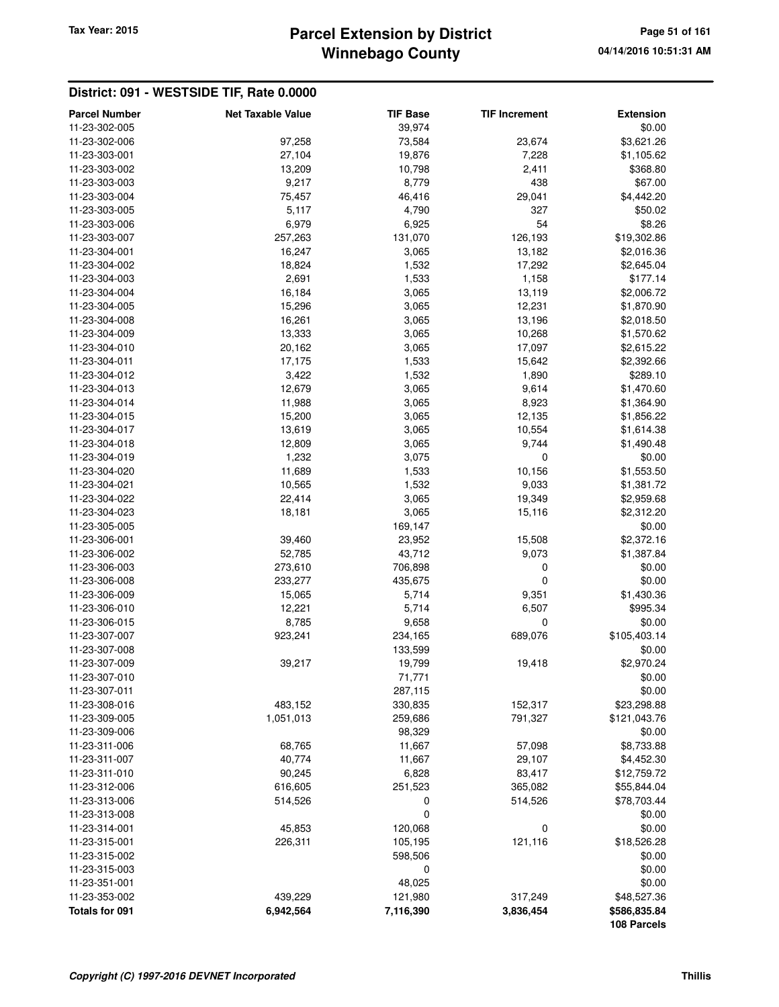# **Winnebago County** Tax Year: 2015 **Parcel Extension by District Page 51 of 161**

#### **District: 091 - WESTSIDE TIF, Rate 0.0000**

| <b>Parcel Number</b> | <b>Net Taxable Value</b> | <b>TIF Base</b> | <b>TIF Increment</b> | <b>Extension</b> |
|----------------------|--------------------------|-----------------|----------------------|------------------|
| 11-23-302-005        |                          | 39,974          |                      | \$0.00           |
| 11-23-302-006        | 97,258                   | 73,584          | 23,674               | \$3,621.26       |
| 11-23-303-001        | 27,104                   | 19,876          | 7,228                | \$1,105.62       |
| 11-23-303-002        | 13,209                   | 10,798          | 2,411                | \$368.80         |
| 11-23-303-003        | 9,217                    | 8,779           | 438                  | \$67.00          |
| 11-23-303-004        | 75,457                   | 46,416          | 29,041               | \$4,442.20       |
| 11-23-303-005        | 5,117                    | 4,790           | 327                  | \$50.02          |
| 11-23-303-006        | 6,979                    | 6,925           | 54                   | \$8.26           |
| 11-23-303-007        | 257,263                  | 131,070         | 126,193              | \$19,302.86      |
| 11-23-304-001        | 16,247                   | 3,065           | 13,182               | \$2,016.36       |
| 11-23-304-002        | 18,824                   | 1,532           | 17,292               | \$2,645.04       |
| 11-23-304-003        | 2,691                    | 1,533           | 1,158                | \$177.14         |
| 11-23-304-004        | 16,184                   | 3,065           | 13,119               | \$2,006.72       |
| 11-23-304-005        | 15,296                   | 3,065           | 12,231               | \$1,870.90       |
| 11-23-304-008        | 16,261                   | 3,065           | 13,196               | \$2,018.50       |
| 11-23-304-009        | 13,333                   | 3,065           | 10,268               | \$1,570.62       |
| 11-23-304-010        | 20,162                   | 3,065           | 17,097               | \$2,615.22       |
| 11-23-304-011        | 17,175                   | 1,533           | 15,642               | \$2,392.66       |
| 11-23-304-012        | 3,422                    | 1,532           | 1,890                | \$289.10         |
| 11-23-304-013        | 12,679                   | 3,065           | 9,614                | \$1,470.60       |
| 11-23-304-014        | 11,988                   | 3,065           | 8,923                | \$1,364.90       |
| 11-23-304-015        | 15,200                   | 3,065           | 12,135               | \$1,856.22       |
| 11-23-304-017        | 13,619                   | 3,065           | 10,554               | \$1,614.38       |
| 11-23-304-018        | 12,809                   | 3,065           | 9,744                | \$1,490.48       |
| 11-23-304-019        | 1,232                    | 3,075           | 0                    | \$0.00           |
| 11-23-304-020        | 11,689                   | 1,533           | 10,156               | \$1,553.50       |
| 11-23-304-021        | 10,565                   | 1,532           | 9,033                | \$1,381.72       |
| 11-23-304-022        | 22,414                   | 3,065           | 19,349               | \$2,959.68       |
| 11-23-304-023        | 18,181                   | 3,065           | 15,116               | \$2,312.20       |
| 11-23-305-005        |                          | 169,147         |                      | \$0.00           |
| 11-23-306-001        | 39,460                   | 23,952          | 15,508               | \$2,372.16       |
| 11-23-306-002        | 52,785                   | 43,712          | 9,073                | \$1,387.84       |
| 11-23-306-003        | 273,610                  | 706,898         | 0                    | \$0.00           |
| 11-23-306-008        | 233,277                  | 435,675         | $\mathbf 0$          | \$0.00           |
| 11-23-306-009        | 15,065                   | 5,714           | 9,351                | \$1,430.36       |
| 11-23-306-010        | 12,221                   | 5,714           | 6,507                | \$995.34         |
| 11-23-306-015        | 8,785                    | 9,658           | $\mathbf 0$          | \$0.00           |
| 11-23-307-007        | 923,241                  | 234,165         | 689,076              | \$105,403.14     |
| 11-23-307-008        |                          | 133,599         |                      | \$0.00           |
| 11-23-307-009        | 39,217                   | 19,799          | 19,418               | \$2,970.24       |
| 11-23-307-010        |                          | 71,771          |                      | \$0.00           |
| 11-23-307-011        |                          | 287,115         |                      | \$0.00           |
| 11-23-308-016        | 483,152                  | 330,835         | 152,317              | \$23,298.88      |
| 11-23-309-005        | 1,051,013                | 259,686         | 791,327              | \$121,043.76     |
| 11-23-309-006        |                          | 98,329          |                      | \$0.00           |
| 11-23-311-006        | 68,765                   | 11,667          | 57,098               | \$8,733.88       |
| 11-23-311-007        | 40,774                   | 11,667          | 29,107               | \$4,452.30       |
| 11-23-311-010        | 90,245                   | 6,828           | 83,417               | \$12,759.72      |
| 11-23-312-006        | 616,605                  | 251,523         | 365,082              | \$55,844.04      |
| 11-23-313-006        | 514,526                  | 0               | 514,526              | \$78,703.44      |
| 11-23-313-008        |                          | 0               |                      | \$0.00           |
| 11-23-314-001        | 45,853                   | 120,068         | $\mathbf 0$          | \$0.00           |
| 11-23-315-001        | 226,311                  | 105,195         | 121,116              | \$18,526.28      |
| 11-23-315-002        |                          | 598,506         |                      | \$0.00           |
| 11-23-315-003        |                          | 0               |                      | \$0.00           |
| 11-23-351-001        |                          | 48,025          |                      | \$0.00           |
| 11-23-353-002        | 439,229                  | 121,980         | 317,249              | \$48,527.36      |
| Totals for 091       | 6,942,564                | 7,116,390       | 3,836,454            | \$586,835.84     |
|                      |                          |                 |                      | 108 Parcels      |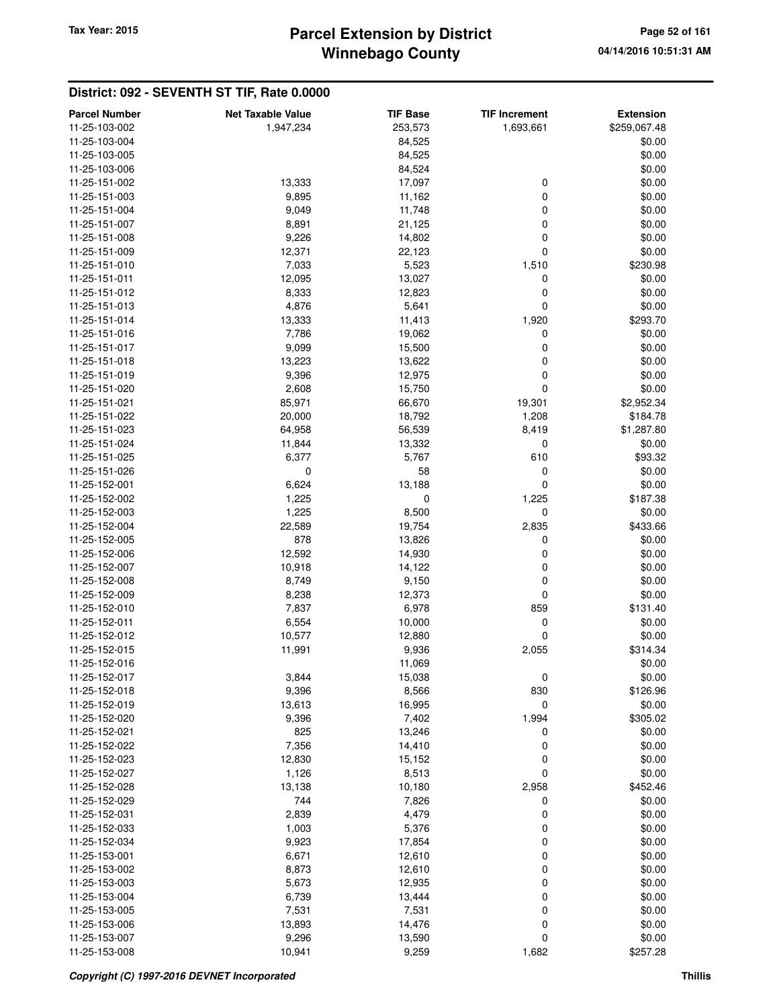## **Winnebago County Parcel Extension by District Tax Year: 2015 Page 52 of 161**

| <b>Parcel Number</b>           | <b>Net Taxable Value</b> | <b>TIF Base</b> | <b>TIF Increment</b> | <b>Extension</b> |
|--------------------------------|--------------------------|-----------------|----------------------|------------------|
| 11-25-103-002                  | 1,947,234                | 253,573         | 1,693,661            | \$259,067.48     |
| 11-25-103-004                  |                          | 84,525          |                      | \$0.00           |
| 11-25-103-005                  |                          | 84,525          |                      | \$0.00           |
| 11-25-103-006                  |                          | 84,524          |                      | \$0.00           |
| 11-25-151-002                  | 13,333                   | 17,097          | 0                    | \$0.00           |
| 11-25-151-003                  | 9,895                    | 11,162          | 0                    | \$0.00           |
| 11-25-151-004                  | 9,049                    | 11,748          | 0                    | \$0.00           |
| 11-25-151-007                  | 8,891                    | 21,125          | 0                    | \$0.00           |
| 11-25-151-008                  | 9,226                    | 14,802          | 0                    | \$0.00           |
| 11-25-151-009                  | 12,371                   | 22,123          | 0                    | \$0.00           |
| 11-25-151-010                  | 7,033                    | 5,523           | 1,510                | \$230.98         |
| 11-25-151-011                  | 12,095                   | 13,027          | 0                    | \$0.00           |
| 11-25-151-012                  | 8,333                    | 12,823          | 0                    | \$0.00           |
| 11-25-151-013                  | 4,876                    | 5,641           | 0                    | \$0.00           |
| 11-25-151-014                  |                          | 11,413          | 1,920                | \$293.70         |
| 11-25-151-016                  | 13,333<br>7,786          | 19,062          | 0                    | \$0.00           |
| 11-25-151-017                  | 9,099                    | 15,500          | 0                    | \$0.00           |
| 11-25-151-018                  | 13,223                   | 13,622          | 0                    | \$0.00           |
| 11-25-151-019                  | 9,396                    | 12,975          | 0                    | \$0.00           |
|                                |                          |                 | 0                    | \$0.00           |
| 11-25-151-020<br>11-25-151-021 | 2,608                    | 15,750          |                      | \$2,952.34       |
|                                | 85,971                   | 66,670          | 19,301               |                  |
| 11-25-151-022                  | 20,000<br>64,958         | 18,792          | 1,208                | \$184.78         |
| 11-25-151-023                  |                          | 56,539          | 8,419                | \$1,287.80       |
| 11-25-151-024                  | 11,844                   | 13,332          | 0                    | \$0.00           |
| 11-25-151-025<br>11-25-151-026 | 6,377                    | 5,767           | 610                  | \$93.32          |
|                                | 0                        | 58              | 0                    | \$0.00           |
| 11-25-152-001                  | 6,624                    | 13,188          | 0                    | \$0.00           |
| 11-25-152-002                  | 1,225                    | 0               | 1,225                | \$187.38         |
| 11-25-152-003                  | 1,225                    | 8,500           | 0                    | \$0.00           |
| 11-25-152-004                  | 22,589                   | 19,754          | 2,835                | \$433.66         |
| 11-25-152-005                  | 878                      | 13,826          | 0                    | \$0.00           |
| 11-25-152-006                  | 12,592                   | 14,930          | 0                    | \$0.00           |
| 11-25-152-007                  | 10,918                   | 14,122          | 0                    | \$0.00           |
| 11-25-152-008                  | 8,749                    | 9,150           | 0                    | \$0.00           |
| 11-25-152-009                  | 8,238                    | 12,373          | 0                    | \$0.00           |
| 11-25-152-010                  | 7,837                    | 6,978           | 859                  | \$131.40         |
| 11-25-152-011                  | 6,554                    | 10,000          | 0                    | \$0.00           |
| 11-25-152-012                  | 10,577                   | 12,880          | 0                    | \$0.00           |
| 11-25-152-015                  | 11,991                   | 9,936           | 2,055                | \$314.34         |
| 11-25-152-016                  |                          | 11,069          |                      | \$0.00<br>\$0.00 |
| 11-25-152-017<br>11-25-152-018 | 3,844                    | 15,038          | 0                    |                  |
|                                | 9,396                    | 8,566           | 830                  | \$126.96         |
| 11-25-152-019                  | 13,613                   | 16,995          | 0                    | \$0.00           |
| 11-25-152-020                  | 9,396                    | 7,402           | 1,994                | \$305.02         |
| 11-25-152-021                  | 825                      | 13,246          | 0                    | \$0.00           |
| 11-25-152-022                  | 7,356                    | 14,410          | 0                    | \$0.00           |
| 11-25-152-023                  | 12,830<br>1,126          | 15,152          | 0                    | \$0.00<br>\$0.00 |
| 11-25-152-027                  |                          | 8,513           | 0                    |                  |
| 11-25-152-028                  | 13,138                   | 10,180          | 2,958                | \$452.46         |
| 11-25-152-029                  | 744                      | 7,826           | 0                    | \$0.00           |
| 11-25-152-031                  | 2,839                    | 4,479           | 0                    | \$0.00           |
| 11-25-152-033                  | 1,003                    | 5,376           | 0                    | \$0.00           |
| 11-25-152-034                  | 9,923                    | 17,854          | 0                    | \$0.00           |
| 11-25-153-001                  | 6,671                    | 12,610          | 0                    | \$0.00           |
| 11-25-153-002                  | 8,873                    | 12,610          | 0                    | \$0.00           |
| 11-25-153-003                  | 5,673                    | 12,935          | 0                    | \$0.00           |
| 11-25-153-004                  | 6,739                    | 13,444          | 0                    | \$0.00           |
| 11-25-153-005                  | 7,531                    | 7,531           | 0                    | \$0.00           |
| 11-25-153-006                  | 13,893                   | 14,476          | 0                    | \$0.00           |
| 11-25-153-007                  | 9,296                    | 13,590          | 0                    | \$0.00           |
| 11-25-153-008                  | 10,941                   | 9,259           | 1,682                | \$257.28         |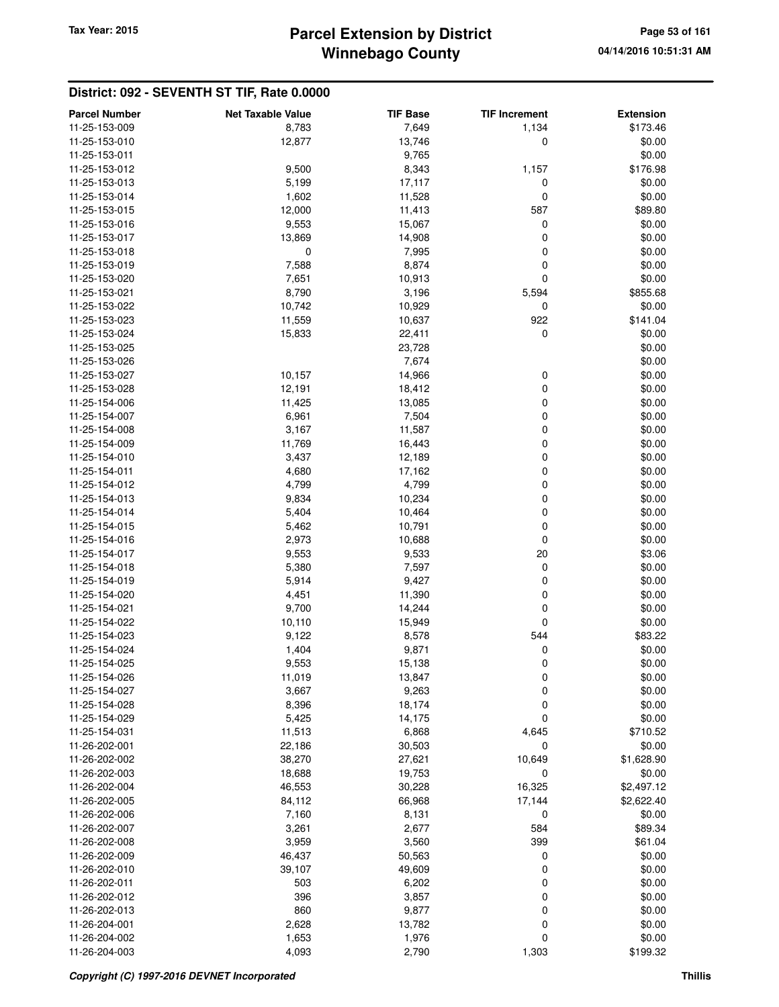## **Winnebago County Parcel Extension by District Tax Year: 2015 Page 53 of 161**

| <b>Parcel Number</b> | <b>Net Taxable Value</b> | <b>TIF Base</b> | <b>TIF Increment</b> | <b>Extension</b> |
|----------------------|--------------------------|-----------------|----------------------|------------------|
| 11-25-153-009        | 8,783                    | 7,649           | 1,134                | \$173.46         |
| 11-25-153-010        | 12,877                   | 13,746          | $\mathbf 0$          | \$0.00           |
| 11-25-153-011        |                          | 9,765           |                      | \$0.00           |
| 11-25-153-012        | 9,500                    | 8,343           | 1,157                | \$176.98         |
| 11-25-153-013        | 5,199                    | 17,117          | 0                    | \$0.00           |
| 11-25-153-014        | 1,602                    | 11,528          | $\mathbf 0$          | \$0.00           |
| 11-25-153-015        | 12,000                   | 11,413          | 587                  | \$89.80          |
| 11-25-153-016        | 9,553                    | 15,067          | 0                    | \$0.00           |
| 11-25-153-017        | 13,869                   | 14,908          | $\mathbf 0$          | \$0.00           |
| 11-25-153-018        | 0                        | 7,995           | 0                    | \$0.00           |
| 11-25-153-019        | 7,588                    | 8,874           | 0                    | \$0.00           |
| 11-25-153-020        | 7,651                    | 10,913          | $\mathbf 0$          | \$0.00           |
| 11-25-153-021        | 8,790                    | 3,196           | 5,594                | \$855.68         |
| 11-25-153-022        | 10,742                   | 10,929          | 0                    | \$0.00           |
| 11-25-153-023        | 11,559                   | 10,637          | 922                  | \$141.04         |
| 11-25-153-024        | 15,833                   | 22,411          | $\mathbf 0$          | \$0.00           |
| 11-25-153-025        |                          | 23,728          |                      | \$0.00           |
| 11-25-153-026        |                          | 7,674           |                      | \$0.00           |
| 11-25-153-027        |                          |                 |                      |                  |
| 11-25-153-028        | 10,157                   | 14,966          | 0                    | \$0.00           |
|                      | 12,191                   | 18,412          | $\mathbf 0$          | \$0.00           |
| 11-25-154-006        | 11,425                   | 13,085          | $\mathbf 0$          | \$0.00           |
| 11-25-154-007        | 6,961                    | 7,504           | $\boldsymbol{0}$     | \$0.00           |
| 11-25-154-008        | 3,167                    | 11,587          | $\mathbf 0$          | \$0.00           |
| 11-25-154-009        | 11,769                   | 16,443          | $\mathbf 0$          | \$0.00           |
| 11-25-154-010        | 3,437                    | 12,189          | 0                    | \$0.00           |
| 11-25-154-011        | 4,680                    | 17,162          | $\mathbf 0$          | \$0.00           |
| 11-25-154-012        | 4,799                    | 4,799           | $\mathbf 0$          | \$0.00           |
| 11-25-154-013        | 9,834                    | 10,234          | $\mathbf 0$          | \$0.00           |
| 11-25-154-014        | 5,404                    | 10,464          | $\mathbf 0$          | \$0.00           |
| 11-25-154-015        | 5,462                    | 10,791          | 0                    | \$0.00           |
| 11-25-154-016        | 2,973                    | 10,688          | $\mathbf 0$          | \$0.00           |
| 11-25-154-017        | 9,553                    | 9,533           | 20                   | \$3.06           |
| 11-25-154-018        | 5,380                    | 7,597           | 0                    | \$0.00           |
| 11-25-154-019        | 5,914                    | 9,427           | 0                    | \$0.00           |
| 11-25-154-020        | 4,451                    | 11,390          | 0                    | \$0.00           |
| 11-25-154-021        | 9,700                    | 14,244          | $\mathbf 0$          | \$0.00           |
| 11-25-154-022        | 10,110                   | 15,949          | $\mathbf 0$          | \$0.00           |
| 11-25-154-023        | 9,122                    | 8,578           | 544                  | \$83.22          |
| 11-25-154-024        | 1,404                    | 9,871           | 0                    | \$0.00           |
| 11-25-154-025        | 9,553                    | 15,138          | 0                    | \$0.00           |
| 11-25-154-026        | 11,019                   | 13,847          | $\mathbf 0$          | \$0.00           |
| 11-25-154-027        | 3,667                    | 9,263           | 0                    | \$0.00           |
| 11-25-154-028        | 8,396                    | 18,174          | $\boldsymbol{0}$     | \$0.00           |
| 11-25-154-029        | 5,425                    | 14,175          | $\mathbf 0$          | \$0.00           |
| 11-25-154-031        | 11,513                   | 6,868           | 4,645                | \$710.52         |
| 11-26-202-001        | 22,186                   | 30,503          | 0                    | \$0.00           |
| 11-26-202-002        | 38,270                   | 27,621          | 10,649               | \$1,628.90       |
| 11-26-202-003        | 18,688                   | 19,753          | 0                    | \$0.00           |
| 11-26-202-004        | 46,553                   | 30,228          | 16,325               | \$2,497.12       |
| 11-26-202-005        | 84,112                   | 66,968          | 17,144               | \$2,622.40       |
| 11-26-202-006        | 7,160                    | 8,131           | 0                    | \$0.00           |
| 11-26-202-007        | 3,261                    | 2,677           | 584                  | \$89.34          |
| 11-26-202-008        | 3,959                    | 3,560           | 399                  | \$61.04          |
| 11-26-202-009        | 46,437                   | 50,563          | 0                    | \$0.00           |
| 11-26-202-010        | 39,107                   | 49,609          | 0                    | \$0.00           |
| 11-26-202-011        | 503                      | 6,202           | 0                    | \$0.00           |
| 11-26-202-012        | 396                      | 3,857           | $\boldsymbol{0}$     | \$0.00           |
| 11-26-202-013        | 860                      | 9,877           | $\mathbf 0$          | \$0.00           |
| 11-26-204-001        | 2,628                    | 13,782          | $\mathbf 0$          | \$0.00           |
| 11-26-204-002        | 1,653                    | 1,976           | 0                    | \$0.00           |
| 11-26-204-003        | 4,093                    | 2,790           | 1,303                | \$199.32         |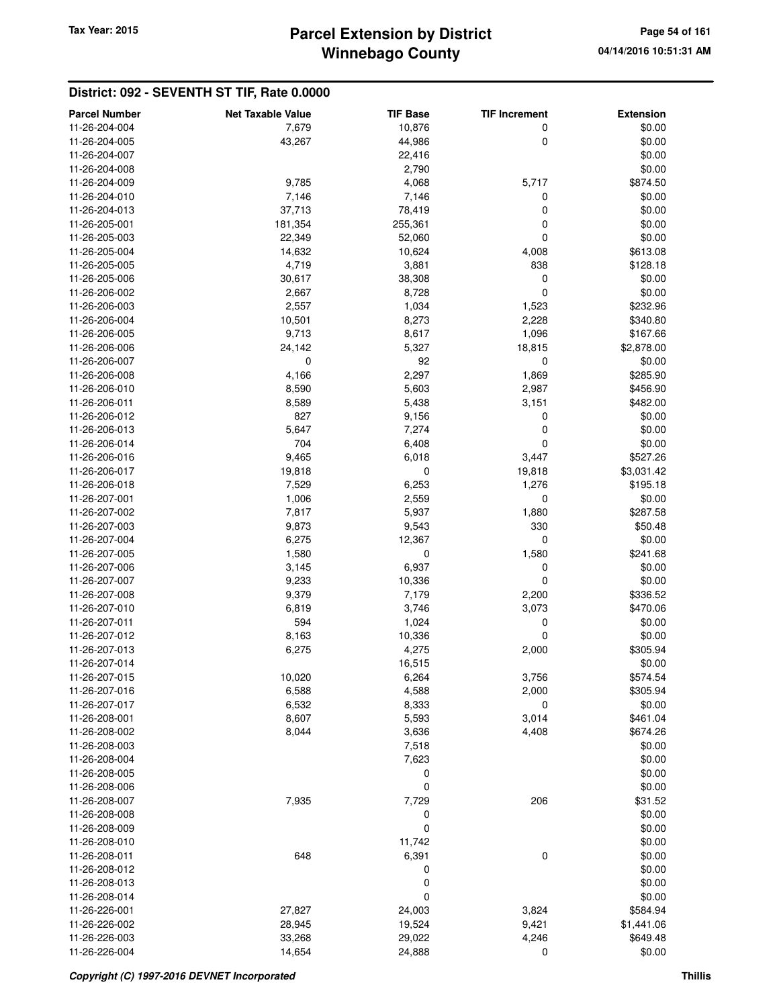# **Winnebago County** Tax Year: 2015 **Parcel Extension by District Page 54 of 161**

| <b>Parcel Number</b> | <b>Net Taxable Value</b> | <b>TIF Base</b> | <b>TIF Increment</b> | <b>Extension</b> |
|----------------------|--------------------------|-----------------|----------------------|------------------|
| 11-26-204-004        | 7,679                    | 10,876          | 0                    | \$0.00           |
| 11-26-204-005        | 43,267                   | 44,986          | 0                    | \$0.00           |
| 11-26-204-007        |                          | 22,416          |                      | \$0.00           |
| 11-26-204-008        |                          | 2,790           |                      | \$0.00           |
| 11-26-204-009        | 9,785                    | 4,068           | 5,717                | \$874.50         |
| 11-26-204-010        | 7,146                    | 7,146           | 0                    | \$0.00           |
| 11-26-204-013        | 37,713                   | 78,419          | 0                    | \$0.00           |
| 11-26-205-001        | 181,354                  | 255,361         | 0                    | \$0.00           |
| 11-26-205-003        | 22,349                   | 52,060          | 0                    | \$0.00           |
| 11-26-205-004        | 14,632                   | 10,624          | 4,008                | \$613.08         |
| 11-26-205-005        | 4,719                    | 3,881           | 838                  | \$128.18         |
| 11-26-205-006        | 30,617                   | 38,308          | 0                    | \$0.00           |
| 11-26-206-002        | 2,667                    | 8,728           | 0                    | \$0.00           |
| 11-26-206-003        | 2,557                    | 1,034           | 1,523                | \$232.96         |
| 11-26-206-004        | 10,501                   | 8,273           | 2,228                | \$340.80         |
| 11-26-206-005        | 9,713                    | 8,617           | 1,096                | \$167.66         |
| 11-26-206-006        | 24,142                   | 5,327           | 18,815               | \$2,878.00       |
| 11-26-206-007        | 0                        | 92              | 0                    | \$0.00           |
| 11-26-206-008        | 4,166                    | 2,297           | 1,869                | \$285.90         |
| 11-26-206-010        | 8,590                    | 5,603           | 2,987                | \$456.90         |
| 11-26-206-011        | 8,589                    | 5,438           | 3,151                | \$482.00         |
| 11-26-206-012        | 827                      | 9,156           | 0                    | \$0.00           |
| 11-26-206-013        | 5,647                    | 7,274           | 0                    | \$0.00           |
| 11-26-206-014        | 704                      | 6,408           | 0                    | \$0.00           |
| 11-26-206-016        | 9,465                    | 6,018           | 3,447                | \$527.26         |
| 11-26-206-017        | 19,818                   | 0               | 19,818               | \$3,031.42       |
| 11-26-206-018        | 7,529                    | 6,253           | 1,276                | \$195.18         |
| 11-26-207-001        | 1,006                    | 2,559           | 0                    | \$0.00           |
| 11-26-207-002        | 7,817                    | 5,937           | 1,880                | \$287.58         |
| 11-26-207-003        | 9,873                    | 9,543           | 330                  | \$50.48          |
| 11-26-207-004        | 6,275                    | 12,367          | 0                    | \$0.00           |
| 11-26-207-005        | 1,580                    | 0               | 1,580                | \$241.68         |
| 11-26-207-006        | 3,145                    | 6,937           | 0                    | \$0.00           |
| 11-26-207-007        | 9,233                    | 10,336          | 0                    | \$0.00           |
| 11-26-207-008        | 9,379                    | 7,179           | 2,200                | \$336.52         |
| 11-26-207-010        | 6,819                    | 3,746           | 3,073                | \$470.06         |
| 11-26-207-011        | 594                      | 1,024           | 0                    | \$0.00           |
| 11-26-207-012        | 8,163                    | 10,336          | 0                    | \$0.00           |
| 11-26-207-013        | 6,275                    | 4,275           | 2,000                | \$305.94         |
| 11-26-207-014        |                          | 16,515          |                      | \$0.00           |
| 11-26-207-015        | 10,020                   | 6,264           | 3,756                | \$574.54         |
| 11-26-207-016        | 6,588                    | 4,588           | 2,000                | \$305.94         |
| 11-26-207-017        | 6,532                    | 8,333           | 0                    | \$0.00           |
| 11-26-208-001        | 8,607                    | 5,593           | 3,014                | \$461.04         |
| 11-26-208-002        | 8,044                    | 3,636           | 4,408                | \$674.26         |
| 11-26-208-003        |                          | 7,518           |                      | \$0.00           |
| 11-26-208-004        |                          | 7,623           |                      | \$0.00           |
| 11-26-208-005        |                          | 0               |                      | \$0.00           |
| 11-26-208-006        |                          | 0               |                      | \$0.00           |
| 11-26-208-007        | 7,935                    | 7,729           | 206                  | \$31.52          |
| 11-26-208-008        |                          | 0               |                      | \$0.00           |
| 11-26-208-009        |                          | $\mathbf 0$     |                      | \$0.00           |
| 11-26-208-010        |                          | 11,742          |                      | \$0.00           |
| 11-26-208-011        | 648                      | 6,391           | 0                    | \$0.00           |
| 11-26-208-012        |                          | 0               |                      | \$0.00           |
| 11-26-208-013        |                          | 0               |                      | \$0.00           |
| 11-26-208-014        |                          | 0               |                      | \$0.00           |
| 11-26-226-001        | 27,827                   | 24,003          | 3,824                | \$584.94         |
| 11-26-226-002        | 28,945                   | 19,524          | 9,421                | \$1,441.06       |
| 11-26-226-003        | 33,268                   | 29,022          | 4,246                | \$649.48         |
| 11-26-226-004        | 14,654                   | 24,888          | 0                    | \$0.00           |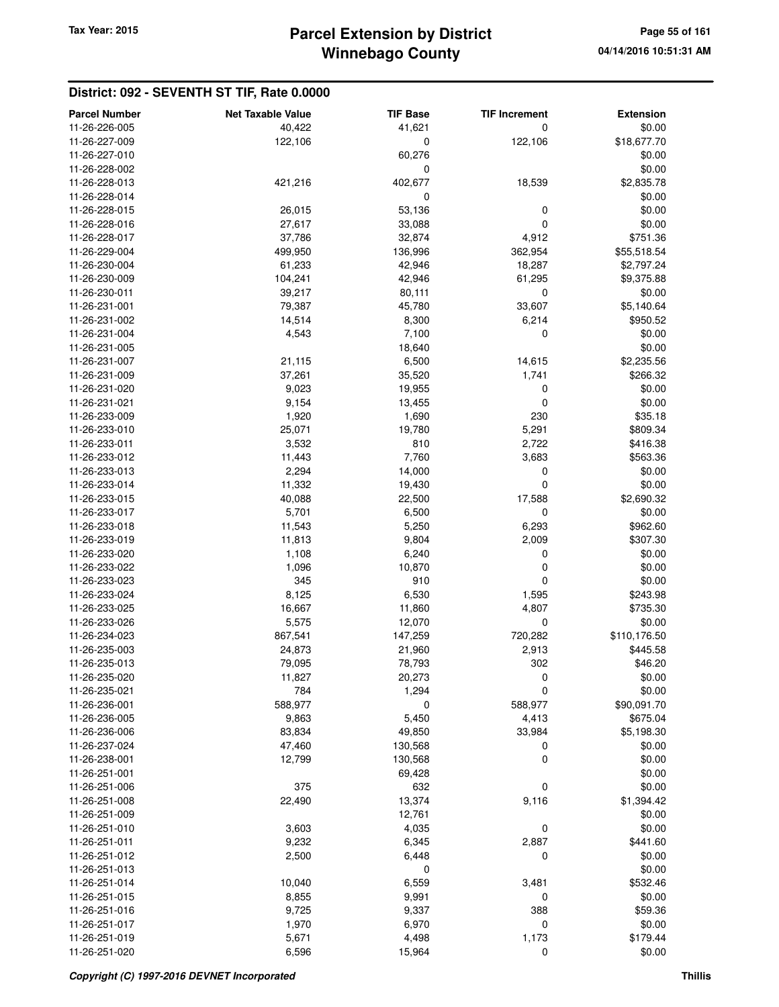| <b>Parcel Number</b> | <b>Net Taxable Value</b> | <b>TIF Base</b>  | <b>TIF Increment</b> | <b>Extension</b> |
|----------------------|--------------------------|------------------|----------------------|------------------|
| 11-26-226-005        | 40,422                   | 41,621           | 0                    | \$0.00           |
| 11-26-227-009        | 122,106                  | $\boldsymbol{0}$ | 122,106              | \$18,677.70      |
| 11-26-227-010        |                          | 60,276           |                      | \$0.00           |
| 11-26-228-002        |                          | 0                |                      | \$0.00           |
| 11-26-228-013        | 421,216                  | 402,677          | 18,539               | \$2,835.78       |
| 11-26-228-014        |                          | 0                |                      | \$0.00           |
|                      |                          |                  |                      |                  |
| 11-26-228-015        | 26,015                   | 53,136           | 0                    | \$0.00           |
| 11-26-228-016        | 27,617                   | 33,088           | 0                    | \$0.00           |
| 11-26-228-017        | 37,786                   | 32,874           | 4,912                | \$751.36         |
| 11-26-229-004        | 499,950                  | 136,996          | 362,954              | \$55,518.54      |
| 11-26-230-004        | 61,233                   | 42,946           | 18,287               | \$2,797.24       |
| 11-26-230-009        | 104,241                  | 42,946           | 61,295               | \$9,375.88       |
| 11-26-230-011        | 39,217                   | 80,111           | $\mathbf 0$          | \$0.00           |
| 11-26-231-001        | 79,387                   | 45,780           | 33,607               | \$5,140.64       |
| 11-26-231-002        | 14,514                   | 8,300            | 6,214                | \$950.52         |
| 11-26-231-004        | 4,543                    | 7,100            | 0                    | \$0.00           |
| 11-26-231-005        |                          | 18,640           |                      | \$0.00           |
| 11-26-231-007        | 21,115                   | 6,500            | 14,615               | \$2,235.56       |
| 11-26-231-009        | 37,261                   | 35,520           | 1,741                | \$266.32         |
| 11-26-231-020        | 9,023                    | 19,955           | 0                    | \$0.00           |
| 11-26-231-021        | 9,154                    | 13,455           | 0                    | \$0.00           |
| 11-26-233-009        | 1,920                    | 1,690            | 230                  | \$35.18          |
| 11-26-233-010        | 25,071                   | 19,780           | 5,291                | \$809.34         |
| 11-26-233-011        | 3,532                    | 810              | 2,722                | \$416.38         |
| 11-26-233-012        | 11,443                   | 7,760            | 3,683                | \$563.36         |
| 11-26-233-013        | 2,294                    | 14,000           | 0                    | \$0.00           |
| 11-26-233-014        | 11,332                   | 19,430           | $\mathbf 0$          | \$0.00           |
| 11-26-233-015        | 40,088                   | 22,500           | 17,588               | \$2,690.32       |
| 11-26-233-017        | 5,701                    | 6,500            | 0                    | \$0.00           |
| 11-26-233-018        | 11,543                   | 5,250            | 6,293                | \$962.60         |
| 11-26-233-019        | 11,813                   | 9,804            | 2,009                | \$307.30         |
| 11-26-233-020        | 1,108                    | 6,240            | 0                    | \$0.00           |
| 11-26-233-022        | 1,096                    | 10,870           | 0                    | \$0.00           |
| 11-26-233-023        | 345                      | 910              | 0                    | \$0.00           |
| 11-26-233-024        | 8,125                    | 6,530            | 1,595                | \$243.98         |
| 11-26-233-025        | 16,667                   | 11,860           | 4,807                | \$735.30         |
| 11-26-233-026        | 5,575                    | 12,070           | $\mathbf 0$          | \$0.00           |
| 11-26-234-023        | 867,541                  | 147,259          | 720,282              | \$110,176.50     |
| 11-26-235-003        | 24,873                   | 21,960           | 2,913                | \$445.58         |
| 11-26-235-013        | 79,095                   | 78,793           | 302                  | \$46.20          |
| 11-26-235-020        | 11,827                   | 20,273           | 0                    | \$0.00           |
| 11-26-235-021        | 784                      | 1,294            | $\mathbf 0$          | \$0.00           |
| 11-26-236-001        | 588,977                  | 0                | 588,977              | \$90,091.70      |
| 11-26-236-005        | 9,863                    | 5,450            | 4,413                | \$675.04         |
| 11-26-236-006        | 83,834                   | 49,850           | 33,984               | \$5,198.30       |
| 11-26-237-024        | 47,460                   | 130,568          | 0                    | \$0.00           |
| 11-26-238-001        | 12,799                   | 130,568          | 0                    | \$0.00           |
| 11-26-251-001        |                          | 69,428           |                      | \$0.00           |
| 11-26-251-006        | 375                      | 632              | 0                    | \$0.00           |
| 11-26-251-008        | 22,490                   | 13,374           | 9,116                | \$1,394.42       |
| 11-26-251-009        |                          |                  |                      |                  |
|                      |                          | 12,761           |                      | \$0.00           |
| 11-26-251-010        | 3,603                    | 4,035            | 0                    | \$0.00           |
| 11-26-251-011        | 9,232                    | 6,345            | 2,887                | \$441.60         |
| 11-26-251-012        | 2,500                    | 6,448            | 0                    | \$0.00           |
| 11-26-251-013        |                          | 0                |                      | \$0.00           |
| 11-26-251-014        | 10,040                   | 6,559            | 3,481                | \$532.46         |
| 11-26-251-015        | 8,855                    | 9,991            | 0                    | \$0.00           |
| 11-26-251-016        | 9,725                    | 9,337            | 388                  | \$59.36          |
| 11-26-251-017        | 1,970                    | 6,970            | 0                    | \$0.00           |
| 11-26-251-019        | 5,671                    | 4,498            | 1,173                | \$179.44         |
| 11-26-251-020        | 6,596                    | 15,964           | 0                    | \$0.00           |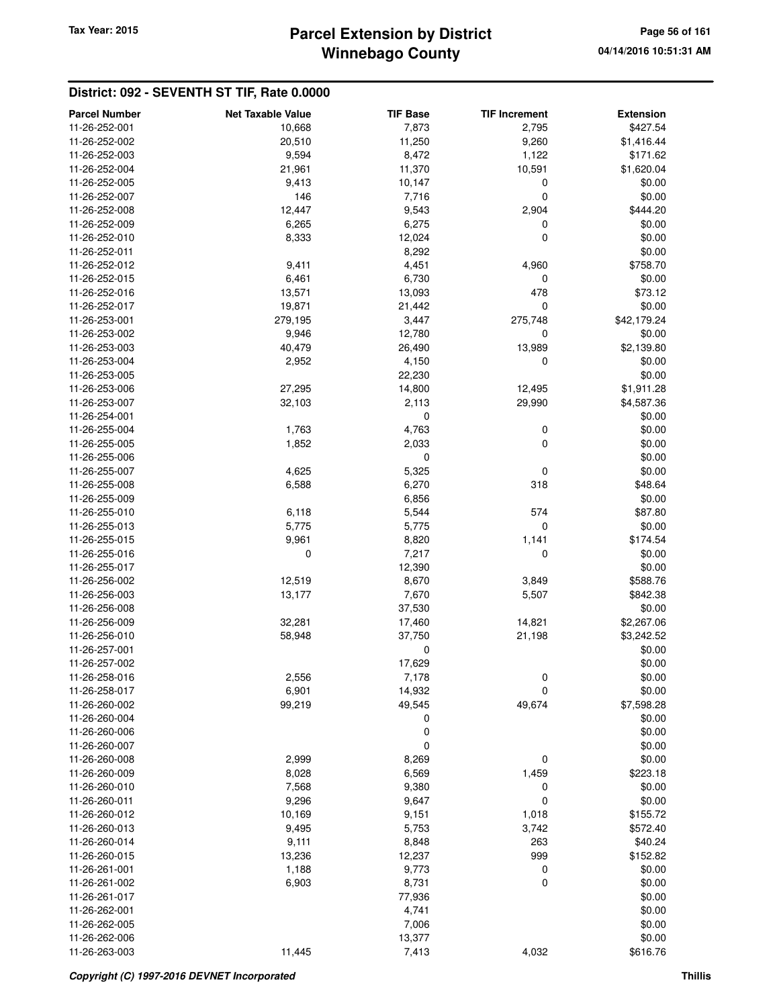# **Winnebago County** Tax Year: 2015 **Parcel Extension by District Page 56 of 161**

| <b>Parcel Number</b>           | <b>Net Taxable Value</b> | <b>TIF Base</b> | <b>TIF Increment</b> | <b>Extension</b>   |
|--------------------------------|--------------------------|-----------------|----------------------|--------------------|
| 11-26-252-001                  | 10,668                   | 7,873           | 2,795                | \$427.54           |
| 11-26-252-002                  | 20,510                   | 11,250          | 9,260                | \$1,416.44         |
| 11-26-252-003                  | 9,594                    | 8,472           | 1,122                | \$171.62           |
| 11-26-252-004                  | 21,961                   | 11,370          | 10,591               | \$1,620.04         |
| 11-26-252-005                  | 9,413                    | 10,147          | $\mathbf 0$          | \$0.00             |
| 11-26-252-007                  | 146                      | 7,716           | $\mathbf 0$          | \$0.00             |
| 11-26-252-008                  | 12,447                   | 9,543           | 2,904                | \$444.20           |
| 11-26-252-009                  | 6,265                    | 6,275           | 0                    | \$0.00             |
| 11-26-252-010                  | 8,333                    | 12,024          | $\mathbf 0$          | \$0.00             |
| 11-26-252-011                  |                          | 8,292           |                      | \$0.00             |
| 11-26-252-012                  | 9,411                    | 4,451           | 4,960                | \$758.70           |
| 11-26-252-015                  | 6,461                    | 6,730           | 0                    | \$0.00             |
| 11-26-252-016                  | 13,571                   | 13,093          | 478                  | \$73.12            |
| 11-26-252-017                  | 19,871                   | 21,442          | $\mathbf 0$          | \$0.00             |
| 11-26-253-001                  | 279,195                  | 3,447           | 275,748              | \$42,179.24        |
| 11-26-253-002                  | 9,946                    | 12,780          | 0                    | \$0.00             |
| 11-26-253-003                  | 40,479                   | 26,490          | 13,989               | \$2,139.80         |
| 11-26-253-004                  | 2,952                    | 4,150           | 0                    | \$0.00             |
| 11-26-253-005                  |                          | 22,230          |                      | \$0.00             |
| 11-26-253-006                  | 27,295                   | 14,800          | 12,495               | \$1,911.28         |
| 11-26-253-007                  | 32,103                   | 2,113           | 29,990               | \$4,587.36         |
| 11-26-254-001                  |                          | $\mathbf 0$     |                      | \$0.00             |
| 11-26-255-004                  | 1,763                    | 4,763           | 0                    | \$0.00             |
| 11-26-255-005                  | 1,852                    | 2,033           | 0                    | \$0.00             |
| 11-26-255-006                  |                          | $\mathbf 0$     |                      | \$0.00             |
| 11-26-255-007                  | 4,625                    | 5,325           | $\mathbf 0$          | \$0.00             |
| 11-26-255-008                  | 6,588                    | 6,270           | 318                  | \$48.64            |
| 11-26-255-009                  |                          | 6,856           |                      | \$0.00             |
| 11-26-255-010                  | 6,118                    | 5,544           | 574                  | \$87.80            |
| 11-26-255-013                  | 5,775                    | 5,775           | 0                    | \$0.00             |
| 11-26-255-015                  | 9,961                    | 8,820           | 1,141                | \$174.54           |
| 11-26-255-016                  | 0                        | 7,217           | 0                    | \$0.00             |
| 11-26-255-017                  |                          | 12,390          |                      | \$0.00             |
| 11-26-256-002                  | 12,519                   | 8,670           | 3,849                | \$588.76           |
| 11-26-256-003                  | 13,177                   | 7,670           | 5,507                | \$842.38           |
| 11-26-256-008                  |                          | 37,530          |                      | \$0.00             |
| 11-26-256-009                  | 32,281                   | 17,460          | 14,821               | \$2,267.06         |
| 11-26-256-010                  | 58,948                   | 37,750          | 21,198               | \$3,242.52         |
| 11-26-257-001                  |                          | 0               |                      | \$0.00             |
| 11-26-257-002                  |                          | 17,629          |                      | \$0.00             |
| 11-26-258-016                  | 2,556                    | 7,178           | 0                    | \$0.00             |
| 11-26-258-017                  | 6,901                    | 14,932          | $\mathbf 0$          | \$0.00             |
| 11-26-260-002                  | 99,219                   | 49,545          | 49,674               | \$7,598.28         |
| 11-26-260-004                  |                          | 0               |                      | \$0.00             |
| 11-26-260-006                  |                          | 0               |                      | \$0.00             |
| 11-26-260-007                  |                          | $\mathbf 0$     |                      | \$0.00             |
| 11-26-260-008                  | 2,999                    | 8,269           | 0                    | \$0.00             |
| 11-26-260-009                  | 8,028                    | 6,569           | 1,459                | \$223.18           |
| 11-26-260-010                  | 7,568                    | 9,380           | 0                    | \$0.00             |
| 11-26-260-011                  | 9,296                    | 9,647           | $\mathbf 0$          | \$0.00             |
| 11-26-260-012                  | 10,169                   | 9,151           | 1,018                | \$155.72           |
| 11-26-260-013                  | 9,495                    | 5,753           | 3,742                | \$572.40           |
| 11-26-260-014                  | 9,111                    | 8,848           | 263                  | \$40.24            |
| 11-26-260-015                  | 13,236                   | 12,237          | 999                  | \$152.82           |
| 11-26-261-001                  | 1,188                    | 9,773           | 0                    | \$0.00             |
| 11-26-261-002                  | 6,903                    | 8,731           | 0                    | \$0.00             |
| 11-26-261-017                  |                          | 77,936          |                      | \$0.00             |
| 11-26-262-001                  |                          | 4,741           |                      | \$0.00             |
| 11-26-262-005                  |                          | 7,006           |                      | \$0.00             |
| 11-26-262-006<br>11-26-263-003 | 11,445                   | 13,377<br>7,413 | 4,032                | \$0.00<br>\$616.76 |
|                                |                          |                 |                      |                    |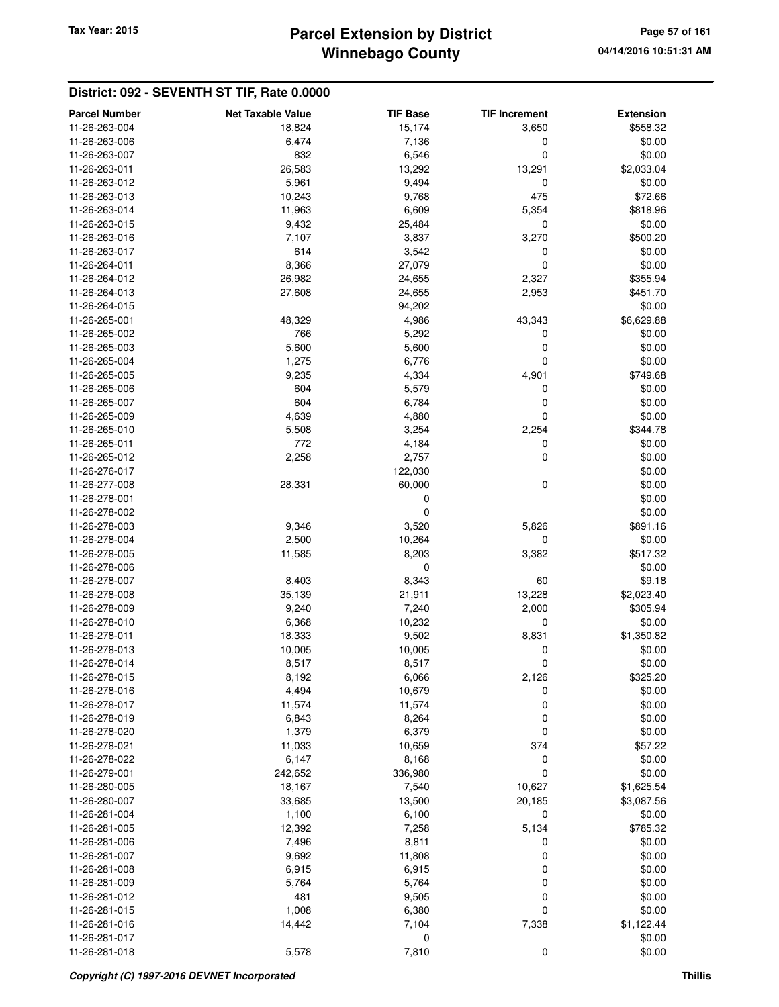## **Winnebago County Parcel Extension by District Tax Year: 2015 Page 57 of 161**

| <b>Parcel Number</b>           | <b>Net Taxable Value</b> | <b>TIF Base</b> | <b>TIF Increment</b> | <b>Extension</b>       |
|--------------------------------|--------------------------|-----------------|----------------------|------------------------|
| 11-26-263-004                  | 18,824                   | 15,174          | 3,650                | \$558.32               |
| 11-26-263-006                  | 6,474                    | 7,136           | 0                    | \$0.00                 |
| 11-26-263-007                  | 832                      | 6,546           | 0                    | \$0.00                 |
| 11-26-263-011                  | 26,583                   | 13,292          | 13,291               | \$2,033.04             |
| 11-26-263-012                  | 5,961                    | 9,494           | 0                    | \$0.00                 |
| 11-26-263-013                  | 10,243                   | 9,768           | 475                  | \$72.66                |
| 11-26-263-014                  | 11,963                   | 6,609           | 5,354                | \$818.96               |
| 11-26-263-015                  | 9,432                    | 25,484          | 0                    | \$0.00                 |
| 11-26-263-016                  | 7,107                    | 3,837           | 3,270                | \$500.20               |
| 11-26-263-017                  | 614                      | 3,542           | 0                    | \$0.00                 |
| 11-26-264-011                  | 8,366                    | 27,079          | 0                    | \$0.00                 |
| 11-26-264-012                  | 26,982                   | 24,655          | 2,327                | \$355.94               |
| 11-26-264-013                  | 27,608                   | 24,655          | 2,953                | \$451.70               |
| 11-26-264-015                  |                          | 94,202          |                      | \$0.00                 |
| 11-26-265-001                  | 48,329                   | 4,986           | 43,343               | \$6,629.88             |
| 11-26-265-002                  | 766                      | 5,292           | 0                    | \$0.00                 |
| 11-26-265-003                  | 5,600                    | 5,600           | 0                    | \$0.00                 |
| 11-26-265-004                  | 1,275                    | 6,776           | 0                    | \$0.00                 |
| 11-26-265-005                  | 9,235                    | 4,334           | 4,901                | \$749.68               |
| 11-26-265-006                  | 604                      | 5,579           | 0                    | \$0.00                 |
| 11-26-265-007                  | 604                      | 6,784           | 0                    | \$0.00                 |
| 11-26-265-009                  | 4,639                    | 4,880           | 0                    | \$0.00                 |
| 11-26-265-010                  | 5,508                    | 3,254           | 2,254                | \$344.78               |
| 11-26-265-011                  | 772                      | 4,184           | 0                    | \$0.00                 |
| 11-26-265-012                  | 2,258                    | 2,757           | 0                    | \$0.00                 |
| 11-26-276-017                  |                          | 122,030         |                      | \$0.00                 |
| 11-26-277-008                  | 28,331                   | 60,000          | 0                    | \$0.00                 |
| 11-26-278-001                  |                          | 0               |                      | \$0.00                 |
| 11-26-278-002                  |                          | 0               |                      | \$0.00                 |
| 11-26-278-003                  | 9,346                    | 3,520           | 5,826                | \$891.16               |
| 11-26-278-004                  | 2,500                    | 10,264          | 0                    | \$0.00                 |
| 11-26-278-005                  | 11,585                   | 8,203           | 3,382                | \$517.32               |
| 11-26-278-006                  |                          | 0               |                      | \$0.00                 |
| 11-26-278-007                  | 8,403                    | 8,343           | 60                   | \$9.18                 |
| 11-26-278-008<br>11-26-278-009 | 35,139<br>9,240          | 21,911<br>7,240 | 13,228<br>2,000      | \$2,023.40<br>\$305.94 |
| 11-26-278-010                  | 6,368                    | 10,232          | 0                    | \$0.00                 |
| 11-26-278-011                  | 18,333                   | 9,502           | 8,831                | \$1,350.82             |
| 11-26-278-013                  | 10,005                   | 10,005          | 0                    | \$0.00                 |
| 11-26-278-014                  | 8,517                    | 8,517           | 0                    | \$0.00                 |
| 11-26-278-015                  | 8,192                    | 6,066           | 2,126                | \$325.20               |
| 11-26-278-016                  | 4,494                    | 10,679          | 0                    | \$0.00                 |
| 11-26-278-017                  | 11,574                   | 11,574          | 0                    | \$0.00                 |
| 11-26-278-019                  | 6,843                    | 8,264           | 0                    | \$0.00                 |
| 11-26-278-020                  | 1,379                    | 6,379           | 0                    | \$0.00                 |
| 11-26-278-021                  | 11,033                   | 10,659          | 374                  | \$57.22                |
| 11-26-278-022                  | 6,147                    | 8,168           | 0                    | \$0.00                 |
| 11-26-279-001                  | 242,652                  | 336,980         | $\mathbf 0$          | \$0.00                 |
| 11-26-280-005                  | 18,167                   | 7,540           | 10,627               | \$1,625.54             |
| 11-26-280-007                  | 33,685                   | 13,500          | 20,185               | \$3,087.56             |
| 11-26-281-004                  | 1,100                    | 6,100           | 0                    | \$0.00                 |
| 11-26-281-005                  | 12,392                   | 7,258           | 5,134                | \$785.32               |
| 11-26-281-006                  | 7,496                    | 8,811           | 0                    | \$0.00                 |
| 11-26-281-007                  | 9,692                    | 11,808          | 0                    | \$0.00                 |
| 11-26-281-008                  | 6,915                    | 6,915           | 0                    | \$0.00                 |
| 11-26-281-009                  | 5,764                    | 5,764           | 0                    | \$0.00                 |
| 11-26-281-012                  | 481                      | 9,505           | 0                    | \$0.00                 |
| 11-26-281-015                  | 1,008                    | 6,380           | 0                    | \$0.00                 |
| 11-26-281-016                  | 14,442                   | 7,104           | 7,338                | \$1,122.44             |
| 11-26-281-017                  |                          | 0               |                      | \$0.00                 |
| 11-26-281-018                  | 5,578                    | 7,810           | 0                    | \$0.00                 |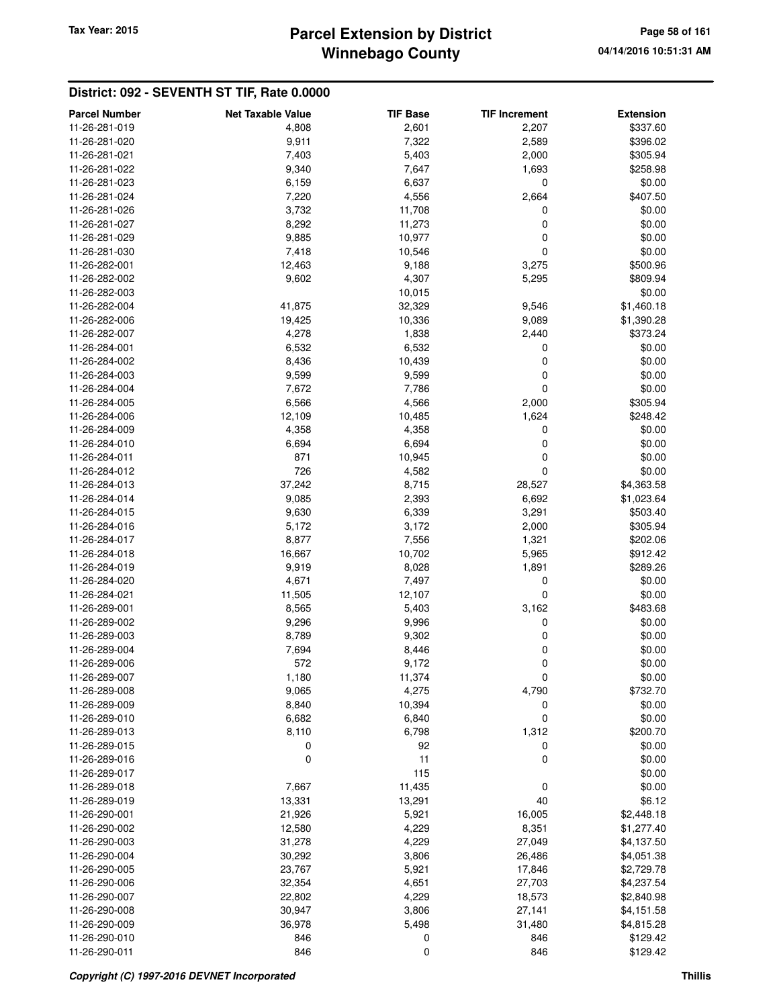## **Winnebago County Parcel Extension by District Tax Year: 2015 Page 58 of 161**

| <b>Parcel Number</b>           | <b>Net Taxable Value</b> | <b>TIF Base</b> | <b>TIF Increment</b> | <b>Extension</b>         |
|--------------------------------|--------------------------|-----------------|----------------------|--------------------------|
| 11-26-281-019                  | 4,808                    | 2,601           | 2,207                | \$337.60                 |
| 11-26-281-020                  | 9,911                    | 7,322           | 2,589                | \$396.02                 |
| 11-26-281-021                  | 7,403                    | 5,403           | 2,000                | \$305.94                 |
| 11-26-281-022                  | 9,340                    | 7,647           | 1,693                | \$258.98                 |
| 11-26-281-023                  | 6,159                    | 6,637           | 0                    | \$0.00                   |
| 11-26-281-024                  | 7,220                    | 4,556           | 2,664                | \$407.50                 |
| 11-26-281-026                  | 3,732                    | 11,708          | 0                    | \$0.00                   |
| 11-26-281-027                  | 8,292                    | 11,273          | 0                    | \$0.00                   |
| 11-26-281-029                  | 9,885                    | 10,977          | 0                    | \$0.00                   |
| 11-26-281-030                  | 7,418                    | 10,546          | 0                    | \$0.00                   |
| 11-26-282-001                  | 12,463                   | 9,188           | 3,275                | \$500.96                 |
| 11-26-282-002                  | 9,602                    | 4,307           | 5,295                | \$809.94                 |
| 11-26-282-003                  |                          | 10,015          |                      | \$0.00                   |
| 11-26-282-004                  | 41,875                   | 32,329          | 9,546                | \$1,460.18               |
| 11-26-282-006                  | 19,425                   | 10,336          | 9,089                | \$1,390.28               |
| 11-26-282-007                  | 4,278                    | 1,838           | 2,440                | \$373.24                 |
| 11-26-284-001                  | 6,532                    | 6,532           | 0                    | \$0.00                   |
| 11-26-284-002                  | 8,436                    | 10,439          | 0                    | \$0.00                   |
| 11-26-284-003                  | 9,599                    | 9,599           | 0                    | \$0.00                   |
| 11-26-284-004                  | 7,672                    | 7,786           | 0                    | \$0.00                   |
| 11-26-284-005                  | 6,566                    | 4,566           | 2,000                | \$305.94                 |
| 11-26-284-006                  | 12,109                   | 10,485          | 1,624                | \$248.42                 |
| 11-26-284-009                  | 4,358                    | 4,358           | 0                    | \$0.00                   |
| 11-26-284-010                  | 6,694                    | 6,694           | 0                    | \$0.00                   |
| 11-26-284-011                  | 871                      | 10,945          | 0                    | \$0.00                   |
| 11-26-284-012                  | 726                      | 4,582           | $\mathbf 0$          | \$0.00                   |
| 11-26-284-013                  | 37,242                   | 8,715           | 28,527               | \$4,363.58               |
| 11-26-284-014                  | 9,085                    | 2,393           | 6,692                | \$1,023.64               |
| 11-26-284-015                  | 9,630                    | 6,339           |                      | \$503.40                 |
| 11-26-284-016                  | 5,172                    | 3,172           | 3,291<br>2,000       | \$305.94                 |
| 11-26-284-017                  |                          |                 |                      |                          |
| 11-26-284-018                  | 8,877                    | 7,556<br>10,702 | 1,321                | \$202.06<br>\$912.42     |
| 11-26-284-019                  | 16,667<br>9,919          | 8,028           | 5,965<br>1,891       | \$289.26                 |
| 11-26-284-020                  | 4,671                    | 7,497           | 0                    | \$0.00                   |
|                                |                          |                 | 0                    |                          |
| 11-26-284-021<br>11-26-289-001 | 11,505                   | 12,107          |                      | \$0.00                   |
| 11-26-289-002                  | 8,565                    | 5,403           | 3,162                | \$483.68<br>\$0.00       |
| 11-26-289-003                  | 9,296<br>8,789           | 9,996           | 0<br>0               | \$0.00                   |
| 11-26-289-004                  | 7,694                    | 9,302<br>8,446  | 0                    | \$0.00                   |
| 11-26-289-006                  | 572                      | 9,172           | 0                    | \$0.00                   |
| 11-26-289-007                  | 1,180                    |                 |                      |                          |
| 11-26-289-008                  |                          | 11,374<br>4,275 | O                    | \$0.00                   |
| 11-26-289-009                  | 9,065<br>8,840           | 10,394          | 4,790<br>0           | \$732.70<br>\$0.00       |
| 11-26-289-010                  | 6,682                    | 6,840           | $\mathbf 0$          | \$0.00                   |
| 11-26-289-013                  | 8,110                    | 6,798           |                      | \$200.70                 |
| 11-26-289-015                  | 0                        | 92              | 1,312<br>0           | \$0.00                   |
| 11-26-289-016                  | $\mathbf 0$              | 11              | $\mathbf 0$          |                          |
| 11-26-289-017                  |                          | 115             |                      | \$0.00<br>\$0.00         |
| 11-26-289-018                  | 7,667                    | 11,435          | 0                    | \$0.00                   |
| 11-26-289-019                  | 13,331                   | 13,291          | 40                   | \$6.12                   |
| 11-26-290-001                  |                          |                 | 16,005               |                          |
| 11-26-290-002                  | 21,926<br>12,580         | 5,921<br>4,229  | 8,351                | \$2,448.18<br>\$1,277.40 |
| 11-26-290-003                  | 31,278                   | 4,229           | 27,049               | \$4,137.50               |
| 11-26-290-004                  | 30,292                   | 3,806           | 26,486               | \$4,051.38               |
| 11-26-290-005                  | 23,767                   | 5,921           | 17,846               | \$2,729.78               |
| 11-26-290-006                  |                          |                 |                      |                          |
| 11-26-290-007                  | 32,354                   | 4,651<br>4,229  | 27,703               | \$4,237.54               |
|                                | 22,802                   |                 | 18,573               | \$2,840.98               |
| 11-26-290-008                  | 30,947                   | 3,806           | 27,141               | \$4,151.58               |
| 11-26-290-009<br>11-26-290-010 | 36,978<br>846            | 5,498           | 31,480<br>846        | \$4,815.28               |
| 11-26-290-011                  | 846                      | 0<br>0          | 846                  | \$129.42<br>\$129.42     |
|                                |                          |                 |                      |                          |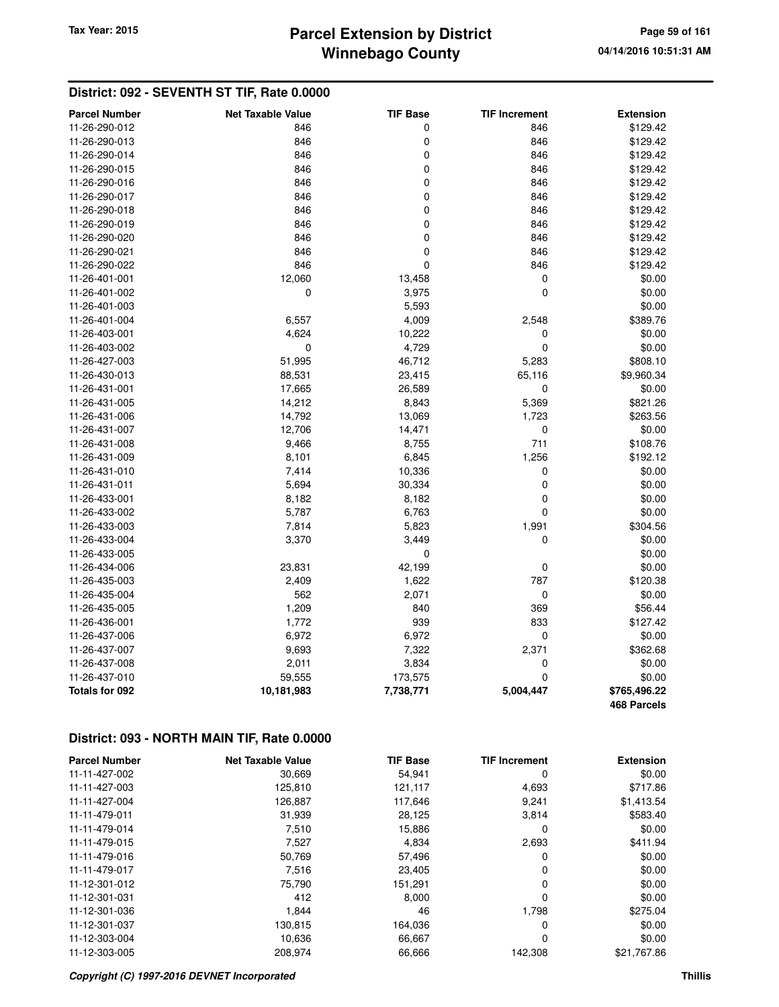## **Winnebago County Parcel Extension by District Tax Year: 2015 Page 59 of 161**

### **District: 092 - SEVENTH ST TIF, Rate 0.0000**

| <b>Parcel Number</b> | <b>Net Taxable Value</b> | <b>TIF Base</b> | <b>TIF Increment</b> | <b>Extension</b>   |
|----------------------|--------------------------|-----------------|----------------------|--------------------|
| 11-26-290-012        | 846                      | 0               | 846                  | \$129.42           |
| 11-26-290-013        | 846                      | 0               | 846                  | \$129.42           |
| 11-26-290-014        | 846                      | 0               | 846                  | \$129.42           |
| 11-26-290-015        | 846                      | 0               | 846                  | \$129.42           |
| 11-26-290-016        | 846                      | 0               | 846                  | \$129.42           |
| 11-26-290-017        | 846                      | 0               | 846                  | \$129.42           |
| 11-26-290-018        | 846                      | 0               | 846                  | \$129.42           |
| 11-26-290-019        | 846                      | 0               | 846                  | \$129.42           |
| 11-26-290-020        | 846                      | 0               | 846                  | \$129.42           |
| 11-26-290-021        | 846                      | 0               | 846                  | \$129.42           |
| 11-26-290-022        | 846                      | 0               | 846                  | \$129.42           |
| 11-26-401-001        | 12,060                   | 13,458          | 0                    | \$0.00             |
| 11-26-401-002        | 0                        | 3,975           | $\overline{0}$       | \$0.00             |
| 11-26-401-003        |                          | 5,593           |                      | \$0.00             |
| 11-26-401-004        | 6,557                    | 4,009           | 2,548                | \$389.76           |
| 11-26-403-001        | 4,624                    | 10,222          | 0                    | \$0.00             |
| 11-26-403-002        | 0                        | 4,729           | 0                    | \$0.00             |
| 11-26-427-003        | 51,995                   | 46,712          | 5,283                | \$808.10           |
| 11-26-430-013        | 88,531                   | 23,415          | 65,116               | \$9,960.34         |
| 11-26-431-001        | 17,665                   | 26,589          | 0                    | \$0.00             |
| 11-26-431-005        | 14,212                   | 8,843           | 5,369                | \$821.26           |
| 11-26-431-006        | 14,792                   | 13,069          | 1,723                | \$263.56           |
| 11-26-431-007        | 12,706                   | 14,471          | 0                    | \$0.00             |
| 11-26-431-008        | 9,466                    | 8,755           | 711                  | \$108.76           |
| 11-26-431-009        | 8,101                    | 6,845           | 1,256                | \$192.12           |
| 11-26-431-010        | 7,414                    | 10,336          | 0                    | \$0.00             |
| 11-26-431-011        | 5,694                    | 30,334          | $\mathbf 0$          | \$0.00             |
| 11-26-433-001        | 8,182                    | 8,182           | 0                    | \$0.00             |
| 11-26-433-002        | 5,787                    | 6,763           | 0                    | \$0.00             |
| 11-26-433-003        | 7,814                    | 5,823           | 1,991                | \$304.56           |
| 11-26-433-004        | 3,370                    | 3,449           | 0                    | \$0.00             |
| 11-26-433-005        |                          | $\pmb{0}$       |                      | \$0.00             |
| 11-26-434-006        | 23,831                   | 42,199          | 0                    | \$0.00             |
| 11-26-435-003        | 2,409                    | 1,622           | 787                  | \$120.38           |
| 11-26-435-004        | 562                      | 2,071           | $\mathbf 0$          | \$0.00             |
| 11-26-435-005        | 1,209                    | 840             | 369                  | \$56.44            |
| 11-26-436-001        | 1,772                    | 939             | 833                  | \$127.42           |
| 11-26-437-006        | 6,972                    | 6,972           | $\mathbf 0$          | \$0.00             |
| 11-26-437-007        | 9,693                    | 7,322           | 2,371                | \$362.68           |
| 11-26-437-008        | 2,011                    | 3,834           | 0                    | \$0.00             |
| 11-26-437-010        | 59,555                   | 173,575         | $\mathbf 0$          | \$0.00             |
| Totals for 092       | 10,181,983               | 7,738,771       | 5,004,447            | \$765,496.22       |
|                      |                          |                 |                      | <b>468 Parcels</b> |

### **District: 093 - NORTH MAIN TIF, Rate 0.0000**

| <b>Parcel Number</b> | <b>Net Taxable Value</b> | <b>TIF Base</b> | <b>TIF Increment</b> | <b>Extension</b> |
|----------------------|--------------------------|-----------------|----------------------|------------------|
| 11-11-427-002        | 30,669                   | 54,941          | 0                    | \$0.00           |
| 11-11-427-003        | 125,810                  | 121,117         | 4,693                | \$717.86         |
| 11-11-427-004        | 126.887                  | 117.646         | 9.241                | \$1,413.54       |
| 11-11-479-011        | 31,939                   | 28,125          | 3,814                | \$583.40         |
| 11-11-479-014        | 7,510                    | 15,886          | 0                    | \$0.00           |
| 11-11-479-015        | 7,527                    | 4,834           | 2,693                | \$411.94         |
| 11-11-479-016        | 50.769                   | 57,496          | 0                    | \$0.00           |
| 11-11-479-017        | 7,516                    | 23,405          | 0                    | \$0.00           |
| 11-12-301-012        | 75,790                   | 151,291         | 0                    | \$0.00           |
| 11-12-301-031        | 412                      | 8,000           | 0                    | \$0.00           |
| 11-12-301-036        | 1,844                    | 46              | 1.798                | \$275.04         |
| 11-12-301-037        | 130,815                  | 164,036         | 0                    | \$0.00           |
| 11-12-303-004        | 10,636                   | 66,667          | 0                    | \$0.00           |
| 11-12-303-005        | 208,974                  | 66,666          | 142,308              | \$21,767.86      |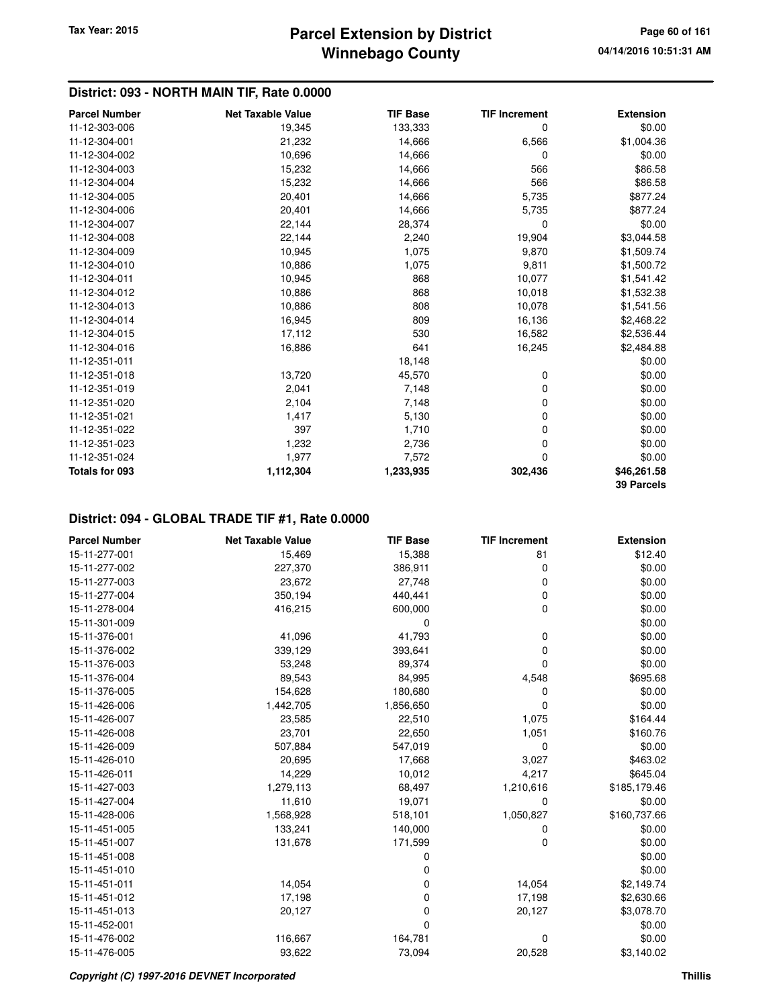### **District: 093 - NORTH MAIN TIF, Rate 0.0000**

| <b>Parcel Number</b> | <b>Net Taxable Value</b> | <b>TIF Base</b> | <b>TIF Increment</b> | <b>Extension</b>  |
|----------------------|--------------------------|-----------------|----------------------|-------------------|
| 11-12-303-006        | 19,345                   | 133,333         | 0                    | \$0.00            |
| 11-12-304-001        | 21,232                   | 14,666          | 6,566                | \$1,004.36        |
| 11-12-304-002        | 10,696                   | 14,666          | 0                    | \$0.00            |
| 11-12-304-003        | 15,232                   | 14,666          | 566                  | \$86.58           |
| 11-12-304-004        | 15,232                   | 14,666          | 566                  | \$86.58           |
| 11-12-304-005        | 20,401                   | 14,666          | 5,735                | \$877.24          |
| 11-12-304-006        | 20,401                   | 14,666          | 5,735                | \$877.24          |
| 11-12-304-007        | 22,144                   | 28,374          | $\mathbf 0$          | \$0.00            |
| 11-12-304-008        | 22,144                   | 2,240           | 19,904               | \$3,044.58        |
| 11-12-304-009        | 10,945                   | 1,075           | 9,870                | \$1,509.74        |
| 11-12-304-010        | 10,886                   | 1,075           | 9,811                | \$1,500.72        |
| 11-12-304-011        | 10,945                   | 868             | 10,077               | \$1,541.42        |
| 11-12-304-012        | 10,886                   | 868             | 10,018               | \$1,532.38        |
| 11-12-304-013        | 10,886                   | 808             | 10,078               | \$1,541.56        |
| 11-12-304-014        | 16,945                   | 809             | 16,136               | \$2,468.22        |
| 11-12-304-015        | 17,112                   | 530             | 16,582               | \$2,536.44        |
| 11-12-304-016        | 16,886                   | 641             | 16,245               | \$2,484.88        |
| 11-12-351-011        |                          | 18,148          |                      | \$0.00            |
| 11-12-351-018        | 13,720                   | 45,570          | 0                    | \$0.00            |
| 11-12-351-019        | 2,041                    | 7,148           | 0                    | \$0.00            |
| 11-12-351-020        | 2,104                    | 7,148           | 0                    | \$0.00            |
| 11-12-351-021        | 1,417                    | 5,130           | 0                    | \$0.00            |
| 11-12-351-022        | 397                      | 1,710           | 0                    | \$0.00            |
| 11-12-351-023        | 1,232                    | 2,736           | 0                    | \$0.00            |
| 11-12-351-024        | 1,977                    | 7,572           | 0                    | \$0.00            |
| Totals for 093       | 1,112,304                | 1,233,935       | 302,436              | \$46,261.58       |
|                      |                          |                 |                      | <b>39 Parcels</b> |

| <b>Parcel Number</b> | <b>Net Taxable Value</b> | <b>TIF Base</b> | <b>TIF Increment</b> | <b>Extension</b> |
|----------------------|--------------------------|-----------------|----------------------|------------------|
| 15-11-277-001        | 15,469                   | 15,388          | 81                   | \$12.40          |
| 15-11-277-002        | 227,370                  | 386,911         | 0                    | \$0.00           |
| 15-11-277-003        | 23,672                   | 27,748          | 0                    | \$0.00           |
| 15-11-277-004        | 350,194                  | 440,441         | 0                    | \$0.00           |
| 15-11-278-004        | 416,215                  | 600,000         | 0                    | \$0.00           |
| 15-11-301-009        |                          | $\Omega$        |                      | \$0.00           |
| 15-11-376-001        | 41,096                   | 41,793          | 0                    | \$0.00           |
| 15-11-376-002        | 339,129                  | 393,641         | 0                    | \$0.00           |
| 15-11-376-003        | 53,248                   | 89,374          | 0                    | \$0.00           |
| 15-11-376-004        | 89,543                   | 84,995          | 4,548                | \$695.68         |
| 15-11-376-005        | 154,628                  | 180,680         | 0                    | \$0.00           |
| 15-11-426-006        | 1,442,705                | 1,856,650       | $\Omega$             | \$0.00           |
| 15-11-426-007        | 23,585                   | 22,510          | 1,075                | \$164.44         |
| 15-11-426-008        | 23,701                   | 22,650          | 1,051                | \$160.76         |
| 15-11-426-009        | 507,884                  | 547,019         | 0                    | \$0.00           |
| 15-11-426-010        | 20,695                   | 17,668          | 3,027                | \$463.02         |
| 15-11-426-011        | 14,229                   | 10,012          | 4,217                | \$645.04         |
| 15-11-427-003        | 1,279,113                | 68,497          | 1,210,616            | \$185,179.46     |
| 15-11-427-004        | 11,610                   | 19,071          | 0                    | \$0.00           |
| 15-11-428-006        | 1,568,928                | 518,101         | 1,050,827            | \$160,737.66     |
| 15-11-451-005        | 133,241                  | 140,000         | 0                    | \$0.00           |
| 15-11-451-007        | 131,678                  | 171,599         | $\Omega$             | \$0.00           |
| 15-11-451-008        |                          | 0               |                      | \$0.00           |
| 15-11-451-010        |                          | 0               |                      | \$0.00           |
| 15-11-451-011        | 14,054                   | 0               | 14,054               | \$2,149.74       |
| 15-11-451-012        | 17,198                   | 0               | 17,198               | \$2,630.66       |
| 15-11-451-013        | 20,127                   | 0               | 20,127               | \$3,078.70       |
| 15-11-452-001        |                          | 0               |                      | \$0.00           |
| 15-11-476-002        | 116,667                  | 164,781         | 0                    | \$0.00           |
| 15-11-476-005        | 93,622                   | 73,094          | 20,528               | \$3,140.02       |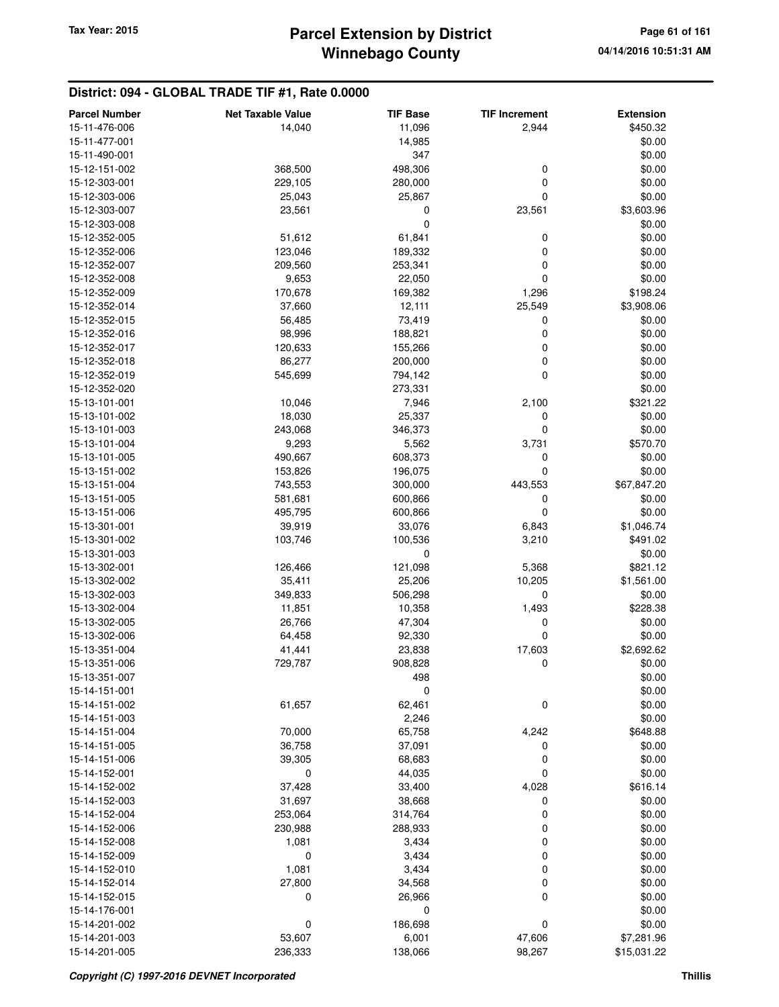| <b>Parcel Number</b> | <b>Net Taxable Value</b> | <b>TIF Base</b> | <b>TIF Increment</b> | <b>Extension</b> |
|----------------------|--------------------------|-----------------|----------------------|------------------|
| 15-11-476-006        | 14,040                   | 11,096          | 2,944                | \$450.32         |
| 15-11-477-001        |                          | 14,985          |                      | \$0.00           |
| 15-11-490-001        |                          | 347             |                      | \$0.00           |
| 15-12-151-002        | 368,500                  | 498,306         | 0                    | \$0.00           |
| 15-12-303-001        | 229,105                  | 280,000         | $\mathbf 0$          | \$0.00           |
| 15-12-303-006        | 25,043                   | 25,867          | $\mathbf 0$          | \$0.00           |
| 15-12-303-007        | 23,561                   | 0               | 23,561               | \$3,603.96       |
| 15-12-303-008        |                          | 0               |                      | \$0.00           |
| 15-12-352-005        | 51,612                   | 61,841          | 0                    | \$0.00           |
| 15-12-352-006        | 123,046                  | 189,332         | 0                    | \$0.00           |
| 15-12-352-007        | 209,560                  | 253,341         | 0                    | \$0.00           |
| 15-12-352-008        | 9,653                    | 22,050          | $\mathbf 0$          | \$0.00           |
| 15-12-352-009        | 170,678                  | 169,382         | 1,296                | \$198.24         |
| 15-12-352-014        | 37,660                   | 12,111          | 25,549               | \$3,908.06       |
| 15-12-352-015        | 56,485                   | 73,419          | 0                    | \$0.00           |
| 15-12-352-016        | 98,996                   | 188,821         | 0                    | \$0.00           |
| 15-12-352-017        | 120,633                  | 155,266         | 0                    | \$0.00           |
| 15-12-352-018        | 86,277                   | 200,000         | 0                    | \$0.00           |
| 15-12-352-019        | 545,699                  | 794,142         | $\mathbf 0$          | \$0.00           |
| 15-12-352-020        |                          | 273,331         |                      | \$0.00           |
| 15-13-101-001        | 10,046                   | 7,946           | 2,100                | \$321.22         |
| 15-13-101-002        | 18,030                   | 25,337          | 0                    | \$0.00           |
| 15-13-101-003        | 243,068                  | 346,373         | 0                    | \$0.00           |
| 15-13-101-004        | 9,293                    | 5,562           | 3,731                | \$570.70         |
| 15-13-101-005        | 490,667                  | 608,373         | 0                    | \$0.00           |
| 15-13-151-002        | 153,826                  | 196,075         | $\mathbf 0$          | \$0.00           |
| 15-13-151-004        | 743,553                  | 300,000         | 443,553              | \$67,847.20      |
| 15-13-151-005        | 581,681                  | 600,866         | 0                    | \$0.00           |
| 15-13-151-006        | 495,795                  | 600,866         | 0                    | \$0.00           |
| 15-13-301-001        | 39,919                   | 33,076          | 6,843                | \$1,046.74       |
| 15-13-301-002        | 103,746                  | 100,536         | 3,210                | \$491.02         |
| 15-13-301-003        |                          | 0               |                      | \$0.00           |
| 15-13-302-001        | 126,466                  | 121,098         | 5,368                | \$821.12         |
| 15-13-302-002        | 35,411                   | 25,206          | 10,205               | \$1,561.00       |
| 15-13-302-003        | 349,833                  | 506,298         | 0                    | \$0.00           |
| 15-13-302-004        | 11,851                   | 10,358          | 1,493                | \$228.38         |
| 15-13-302-005        | 26,766                   | 47,304          | 0                    | \$0.00           |
| 15-13-302-006        | 64,458                   | 92,330          | 0                    | \$0.00           |
| 15-13-351-004        | 41,441                   | 23,838          | 17,603               | \$2,692.62       |
| 15-13-351-006        | 729,787                  | 908,828         | 0                    | \$0.00           |
| 15-13-351-007        |                          | 498             |                      | \$0.00           |
| 15-14-151-001        |                          | 0               |                      | \$0.00           |
| 15-14-151-002        | 61,657                   | 62,461          | $\boldsymbol{0}$     | \$0.00           |
| 15-14-151-003        |                          | 2,246           |                      | \$0.00           |
| 15-14-151-004        | 70,000                   | 65,758          | 4,242                | \$648.88         |
| 15-14-151-005        | 36,758                   | 37,091          | 0                    | \$0.00           |
| 15-14-151-006        | 39,305                   | 68,683          | 0                    | \$0.00           |
| 15-14-152-001        | 0                        | 44,035          | 0                    | \$0.00           |
| 15-14-152-002        | 37,428                   | 33,400          | 4,028                | \$616.14         |
| 15-14-152-003        | 31,697                   | 38,668          | 0                    | \$0.00           |
| 15-14-152-004        | 253,064                  | 314,764         | 0                    | \$0.00           |
| 15-14-152-006        | 230,988                  | 288,933         | 0                    | \$0.00           |
| 15-14-152-008        | 1,081                    | 3,434           | 0                    | \$0.00           |
| 15-14-152-009        | 0                        | 3,434           | 0                    | \$0.00           |
| 15-14-152-010        | 1,081                    | 3,434           | 0                    | \$0.00           |
| 15-14-152-014        | 27,800                   | 34,568          | 0                    | \$0.00           |
| 15-14-152-015        | 0                        | 26,966          | 0                    | \$0.00           |
| 15-14-176-001        |                          | 0               |                      | \$0.00           |
| 15-14-201-002        | 0                        | 186,698         | 0                    | \$0.00           |
| 15-14-201-003        | 53,607                   | 6,001           | 47,606               | \$7,281.96       |
| 15-14-201-005        | 236,333                  | 138,066         | 98,267               | \$15,031.22      |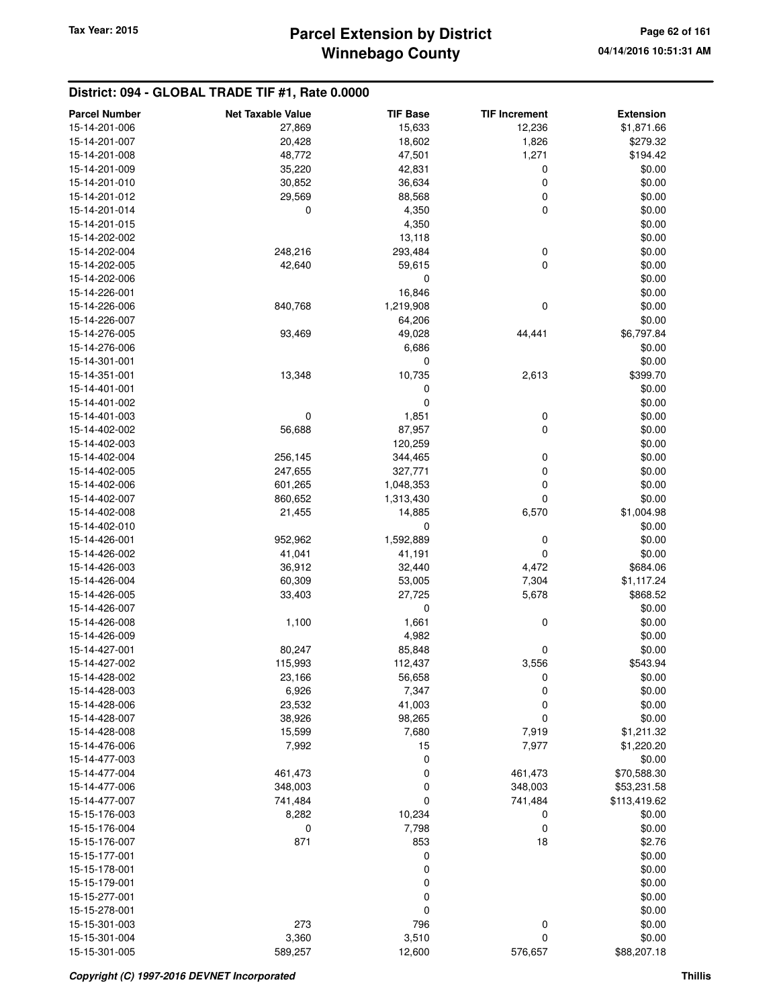| <b>Parcel Number</b>           | <b>Net Taxable Value</b> | <b>TIF Base</b> | <b>TIF Increment</b> | <b>Extension</b> |
|--------------------------------|--------------------------|-----------------|----------------------|------------------|
| 15-14-201-006                  | 27,869                   | 15,633          | 12,236               | \$1,871.66       |
| 15-14-201-007                  | 20,428                   | 18,602          | 1,826                | \$279.32         |
| 15-14-201-008                  | 48,772                   | 47,501          | 1,271                | \$194.42         |
| 15-14-201-009                  | 35,220                   | 42,831          | 0                    | \$0.00           |
| 15-14-201-010                  | 30,852                   | 36,634          | 0                    | \$0.00           |
| 15-14-201-012                  | 29,569                   | 88,568          | 0                    | \$0.00           |
| 15-14-201-014                  | 0                        | 4,350           | 0                    | \$0.00           |
| 15-14-201-015                  |                          | 4,350           |                      | \$0.00           |
| 15-14-202-002                  |                          | 13,118          |                      | \$0.00           |
| 15-14-202-004                  | 248,216                  | 293,484         | 0                    | \$0.00           |
| 15-14-202-005                  | 42,640                   | 59,615          | 0                    | \$0.00           |
| 15-14-202-006                  |                          | 0               |                      | \$0.00           |
| 15-14-226-001                  |                          | 16,846          |                      | \$0.00           |
| 15-14-226-006                  | 840,768                  | 1,219,908       | 0                    | \$0.00           |
| 15-14-226-007                  |                          | 64,206          |                      | \$0.00           |
| 15-14-276-005                  | 93,469                   | 49,028          | 44,441               | \$6,797.84       |
| 15-14-276-006                  |                          | 6,686           |                      | \$0.00           |
| 15-14-301-001                  |                          | 0               |                      | \$0.00           |
| 15-14-351-001                  | 13,348                   | 10,735          | 2,613                | \$399.70         |
| 15-14-401-001                  |                          | 0               |                      | \$0.00           |
| 15-14-401-002                  |                          | 0               |                      | \$0.00           |
| 15-14-401-003                  | 0                        | 1,851           | 0                    | \$0.00           |
| 15-14-402-002                  | 56,688                   | 87,957          | 0                    | \$0.00           |
| 15-14-402-003                  |                          | 120,259         |                      | \$0.00           |
| 15-14-402-004                  | 256,145                  | 344,465         | 0                    | \$0.00           |
| 15-14-402-005                  | 247,655                  | 327,771         | 0                    | \$0.00           |
| 15-14-402-006                  | 601,265                  | 1,048,353       | 0                    | \$0.00           |
| 15-14-402-007                  | 860,652                  | 1,313,430       | 0                    | \$0.00           |
| 15-14-402-008                  | 21,455                   | 14,885          | 6,570                | \$1,004.98       |
| 15-14-402-010                  |                          | 0               |                      | \$0.00           |
| 15-14-426-001                  | 952,962                  | 1,592,889       | 0                    | \$0.00           |
| 15-14-426-002                  | 41,041                   | 41,191          | 0                    | \$0.00           |
| 15-14-426-003                  | 36,912                   | 32,440          | 4,472                | \$684.06         |
| 15-14-426-004                  | 60,309                   | 53,005          | 7,304                | \$1,117.24       |
| 15-14-426-005                  | 33,403                   | 27,725          | 5,678                | \$868.52         |
| 15-14-426-007<br>15-14-426-008 |                          | 0               |                      | \$0.00           |
|                                | 1,100                    | 1,661           | 0                    | \$0.00           |
| 15-14-426-009<br>15-14-427-001 | 80,247                   | 4,982<br>85,848 | 0                    | \$0.00<br>\$0.00 |
| 15-14-427-002                  | 115,993                  | 112,437         | 3,556                | \$543.94         |
|                                | 23,166                   |                 |                      | \$0.00           |
| 15-14-428-002<br>15-14-428-003 | 6,926                    | 56,658<br>7,347 | 0<br>0               | \$0.00           |
| 15-14-428-006                  | 23,532                   | 41,003          | 0                    | \$0.00           |
| 15-14-428-007                  | 38,926                   | 98,265          | $\mathbf 0$          | \$0.00           |
| 15-14-428-008                  | 15,599                   | 7,680           | 7,919                | \$1,211.32       |
| 15-14-476-006                  | 7,992                    | 15              | 7,977                | \$1,220.20       |
| 15-14-477-003                  |                          | 0               |                      | \$0.00           |
| 15-14-477-004                  | 461,473                  | 0               | 461,473              | \$70,588.30      |
| 15-14-477-006                  | 348,003                  | 0               | 348,003              | \$53,231.58      |
| 15-14-477-007                  | 741,484                  | 0               | 741,484              | \$113,419.62     |
| 15-15-176-003                  | 8,282                    | 10,234          | 0                    | \$0.00           |
| 15-15-176-004                  | 0                        | 7,798           | 0                    | \$0.00           |
| 15-15-176-007                  | 871                      | 853             | 18                   | \$2.76           |
| 15-15-177-001                  |                          | 0               |                      | \$0.00           |
| 15-15-178-001                  |                          | 0               |                      | \$0.00           |
| 15-15-179-001                  |                          | 0               |                      | \$0.00           |
| 15-15-277-001                  |                          | 0               |                      | \$0.00           |
| 15-15-278-001                  |                          | 0               |                      | \$0.00           |
| 15-15-301-003                  | 273                      | 796             | 0                    | \$0.00           |
| 15-15-301-004                  | 3,360                    | 3,510           | 0                    | \$0.00           |
| 15-15-301-005                  | 589,257                  | 12,600          | 576,657              | \$88,207.18      |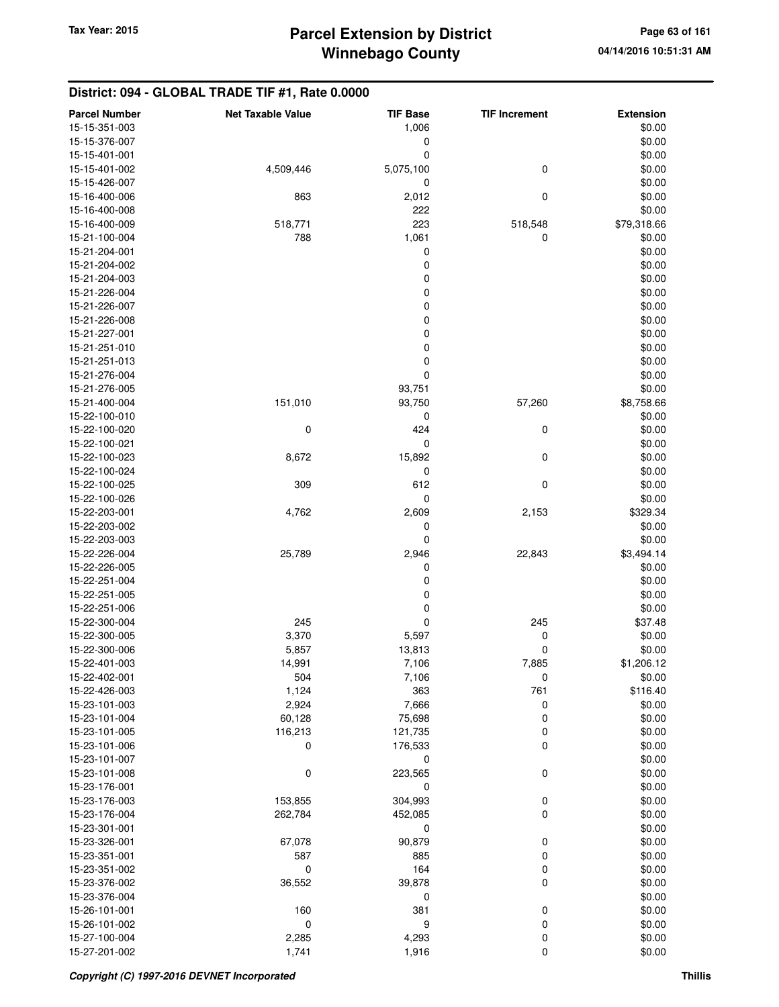| <b>Parcel Number</b> | <b>Net Taxable Value</b> | <b>TIF Base</b> | <b>TIF Increment</b> | <b>Extension</b>   |
|----------------------|--------------------------|-----------------|----------------------|--------------------|
| 15-15-351-003        |                          | 1,006           |                      | \$0.00             |
| 15-15-376-007        |                          | 0               |                      | \$0.00             |
| 15-15-401-001        |                          | 0               |                      | \$0.00             |
| 15-15-401-002        | 4,509,446                | 5,075,100       | 0                    | \$0.00             |
| 15-15-426-007        |                          | 0               |                      | \$0.00             |
| 15-16-400-006        | 863                      | 2,012           | 0                    | \$0.00             |
| 15-16-400-008        |                          | 222             |                      | \$0.00             |
| 15-16-400-009        | 518,771                  | 223             | 518,548              | \$79,318.66        |
| 15-21-100-004        | 788                      | 1,061           | 0                    | \$0.00             |
| 15-21-204-001        |                          | 0               |                      | \$0.00             |
| 15-21-204-002        |                          | 0               |                      | \$0.00             |
| 15-21-204-003        |                          | $\mathbf 0$     |                      | \$0.00             |
| 15-21-226-004        |                          | $\mathbf 0$     |                      | \$0.00             |
| 15-21-226-007        |                          | $\mathbf 0$     |                      | \$0.00             |
| 15-21-226-008        |                          | 0               |                      | \$0.00             |
| 15-21-227-001        |                          | 0               |                      | \$0.00             |
| 15-21-251-010        |                          | $\mathbf 0$     |                      | \$0.00             |
| 15-21-251-013        |                          | $\mathbf 0$     |                      | \$0.00             |
| 15-21-276-004        |                          | $\mathbf 0$     |                      | \$0.00             |
| 15-21-276-005        |                          | 93,751          |                      | \$0.00             |
| 15-21-400-004        | 151,010                  | 93,750          | 57,260               | \$8,758.66         |
| 15-22-100-010        |                          | 0               |                      | \$0.00             |
| 15-22-100-020        | 0                        | 424             | 0                    | \$0.00             |
| 15-22-100-021        |                          | 0               |                      | \$0.00             |
| 15-22-100-023        | 8,672                    | 15,892          | 0                    | \$0.00             |
| 15-22-100-024        |                          | 0               |                      | \$0.00             |
| 15-22-100-025        | 309                      | 612             | 0                    | \$0.00             |
| 15-22-100-026        |                          | 0               |                      | \$0.00             |
| 15-22-203-001        | 4,762                    | 2,609           | 2,153                | \$329.34           |
| 15-22-203-002        |                          | 0               |                      | \$0.00             |
| 15-22-203-003        |                          | $\mathbf 0$     |                      | \$0.00             |
| 15-22-226-004        | 25,789                   | 2,946           | 22,843               | \$3,494.14         |
| 15-22-226-005        |                          | 0               |                      | \$0.00             |
| 15-22-251-004        |                          | 0               |                      | \$0.00             |
| 15-22-251-005        |                          | 0               |                      | \$0.00             |
| 15-22-251-006        |                          | 0               |                      | \$0.00             |
| 15-22-300-004        | 245                      | $\mathbf 0$     | 245                  | \$37.48            |
| 15-22-300-005        | 3,370                    | 5,597           | 0                    | \$0.00             |
| 15-22-300-006        | 5,857                    | 13,813          | 0                    | \$0.00             |
| 15-22-401-003        | 14,991                   | 7,106           | 7,885                | \$1,206.12         |
| 15-22-402-001        | 504                      |                 | $\mathbf 0$          | \$0.00             |
| 15-22-426-003        | 1,124                    | 7,106           |                      |                    |
| 15-23-101-003        | 2,924                    | 363<br>7,666    | 761<br>0             | \$116.40<br>\$0.00 |
| 15-23-101-004        | 60,128                   | 75,698          | 0                    | \$0.00             |
| 15-23-101-005        |                          |                 |                      |                    |
| 15-23-101-006        | 116,213<br>0             | 121,735         | 0<br>0               | \$0.00             |
|                      |                          | 176,533         |                      | \$0.00             |
| 15-23-101-007        |                          | 0               |                      | \$0.00             |
| 15-23-101-008        | 0                        | 223,565         | 0                    | \$0.00             |
| 15-23-176-001        |                          | 0               |                      | \$0.00             |
| 15-23-176-003        | 153,855                  | 304,993         | 0                    | \$0.00             |
| 15-23-176-004        | 262,784                  | 452,085         | 0                    | \$0.00             |
| 15-23-301-001        |                          | 0               |                      | \$0.00             |
| 15-23-326-001        | 67,078                   | 90,879          | 0                    | \$0.00             |
| 15-23-351-001        | 587                      | 885             | 0                    | \$0.00             |
| 15-23-351-002        | 0                        | 164             | 0                    | \$0.00             |
| 15-23-376-002        | 36,552                   | 39,878          | 0                    | \$0.00             |
| 15-23-376-004        |                          | 0               |                      | \$0.00             |
| 15-26-101-001        | 160                      | 381             | 0                    | \$0.00             |
| 15-26-101-002        | $\mathbf 0$              | 9               | 0                    | \$0.00             |
| 15-27-100-004        | 2,285                    | 4,293           | 0                    | \$0.00             |
| 15-27-201-002        | 1,741                    | 1,916           | 0                    | \$0.00             |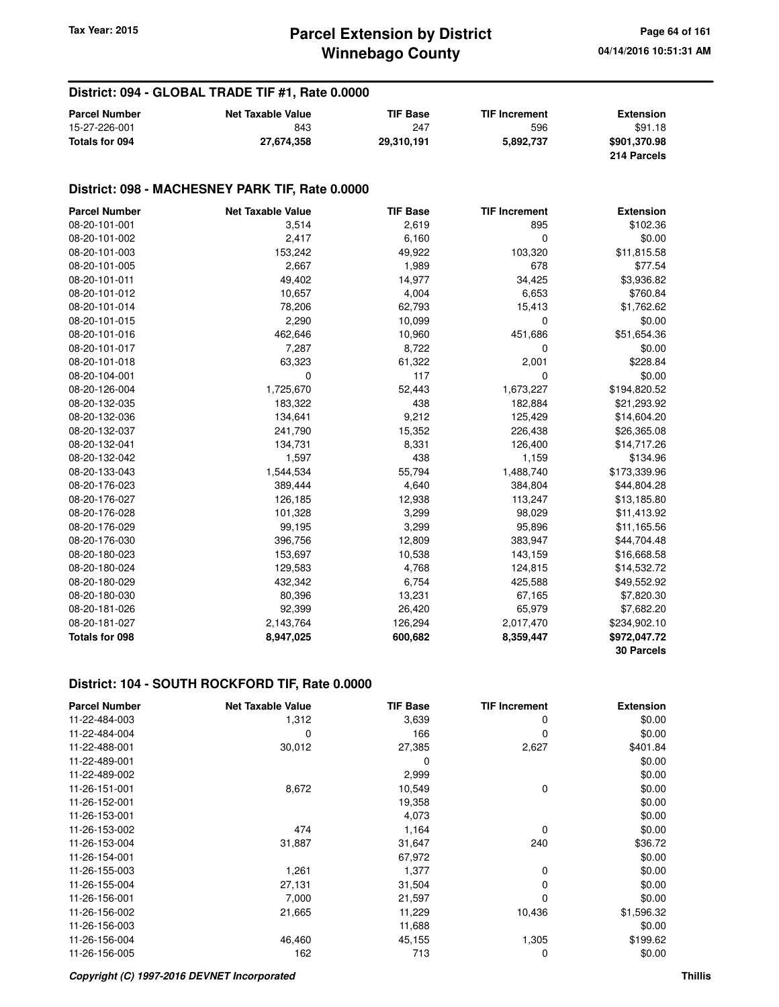| <b>Parcel Number</b> | <b>Net Taxable Value</b> | <b>TIF Base</b> | <b>TIF Increment</b> | <b>Extension</b> |
|----------------------|--------------------------|-----------------|----------------------|------------------|
| 15-27-226-001        | 843                      | 247             | 596                  | \$91.18          |
| Totals for 094       | 27,674,358               | 29.310.191      | 5,892,737            | \$901,370.98     |
|                      |                          |                 |                      | 214 Parcels      |

#### **District: 098 - MACHESNEY PARK TIF, Rate 0.0000**

| <b>Parcel Number</b>  | <b>Net Taxable Value</b> | <b>TIF Base</b> | <b>TIF Increment</b> | <b>Extension</b>  |
|-----------------------|--------------------------|-----------------|----------------------|-------------------|
| 08-20-101-001         | 3,514                    | 2,619           | 895                  | \$102.36          |
| 08-20-101-002         | 2,417                    | 6,160           | $\mathbf 0$          | \$0.00            |
| 08-20-101-003         | 153,242                  | 49,922          | 103,320              | \$11,815.58       |
| 08-20-101-005         | 2,667                    | 1,989           | 678                  | \$77.54           |
| 08-20-101-011         | 49,402                   | 14,977          | 34,425               | \$3,936.82        |
| 08-20-101-012         | 10,657                   | 4,004           | 6,653                | \$760.84          |
| 08-20-101-014         | 78,206                   | 62,793          | 15,413               | \$1,762.62        |
| 08-20-101-015         | 2,290                    | 10,099          | 0                    | \$0.00            |
| 08-20-101-016         | 462,646                  | 10,960          | 451,686              | \$51,654.36       |
| 08-20-101-017         | 7,287                    | 8,722           | 0                    | \$0.00            |
| 08-20-101-018         | 63,323                   | 61,322          | 2,001                | \$228.84          |
| 08-20-104-001         | 0                        | 117             | $\mathbf 0$          | \$0.00            |
| 08-20-126-004         | 1,725,670                | 52,443          | 1,673,227            | \$194,820.52      |
| 08-20-132-035         | 183,322                  | 438             | 182,884              | \$21,293.92       |
| 08-20-132-036         | 134,641                  | 9,212           | 125,429              | \$14,604.20       |
| 08-20-132-037         | 241,790                  | 15,352          | 226,438              | \$26,365.08       |
| 08-20-132-041         | 134,731                  | 8,331           | 126,400              | \$14,717.26       |
| 08-20-132-042         | 1,597                    | 438             | 1,159                | \$134.96          |
| 08-20-133-043         | 1,544,534                | 55,794          | 1,488,740            | \$173,339.96      |
| 08-20-176-023         | 389,444                  | 4,640           | 384,804              | \$44,804.28       |
| 08-20-176-027         | 126,185                  | 12,938          | 113,247              | \$13,185.80       |
| 08-20-176-028         | 101,328                  | 3,299           | 98,029               | \$11,413.92       |
| 08-20-176-029         | 99,195                   | 3,299           | 95,896               | \$11,165.56       |
| 08-20-176-030         | 396,756                  | 12,809          | 383,947              | \$44,704.48       |
| 08-20-180-023         | 153,697                  | 10,538          | 143,159              | \$16,668.58       |
| 08-20-180-024         | 129,583                  | 4,768           | 124,815              | \$14,532.72       |
| 08-20-180-029         | 432,342                  | 6,754           | 425,588              | \$49,552.92       |
| 08-20-180-030         | 80,396                   | 13,231          | 67,165               | \$7,820.30        |
| 08-20-181-026         | 92,399                   | 26,420          | 65,979               | \$7,682.20        |
| 08-20-181-027         | 2,143,764                | 126,294         | 2,017,470            | \$234,902.10      |
| <b>Totals for 098</b> | 8,947,025                | 600,682         | 8,359,447            | \$972,047.72      |
|                       |                          |                 |                      | <b>30 Parcels</b> |

| <b>Parcel Number</b> | <b>Net Taxable Value</b> | <b>TIF Base</b> | <b>TIF Increment</b> | <b>Extension</b> |
|----------------------|--------------------------|-----------------|----------------------|------------------|
| 11-22-484-003        | 1,312                    | 3,639           | 0                    | \$0.00           |
| 11-22-484-004        | 0                        | 166             | $\Omega$             | \$0.00           |
| 11-22-488-001        | 30,012                   | 27,385          | 2,627                | \$401.84         |
| 11-22-489-001        |                          | 0               |                      | \$0.00           |
| 11-22-489-002        |                          | 2,999           |                      | \$0.00           |
| 11-26-151-001        | 8,672                    | 10,549          | $\mathbf 0$          | \$0.00           |
| 11-26-152-001        |                          | 19,358          |                      | \$0.00           |
| 11-26-153-001        |                          | 4,073           |                      | \$0.00           |
| 11-26-153-002        | 474                      | 1,164           | 0                    | \$0.00           |
| 11-26-153-004        | 31,887                   | 31,647          | 240                  | \$36.72          |
| 11-26-154-001        |                          | 67,972          |                      | \$0.00           |
| 11-26-155-003        | 1,261                    | 1,377           | $\mathbf 0$          | \$0.00           |
| 11-26-155-004        | 27,131                   | 31,504          | 0                    | \$0.00           |
| 11-26-156-001        | 7,000                    | 21,597          | 0                    | \$0.00           |
| 11-26-156-002        | 21,665                   | 11,229          | 10,436               | \$1,596.32       |
| 11-26-156-003        |                          | 11,688          |                      | \$0.00           |
| 11-26-156-004        | 46,460                   | 45,155          | 1,305                | \$199.62         |
| 11-26-156-005        | 162                      | 713             | 0                    | \$0.00           |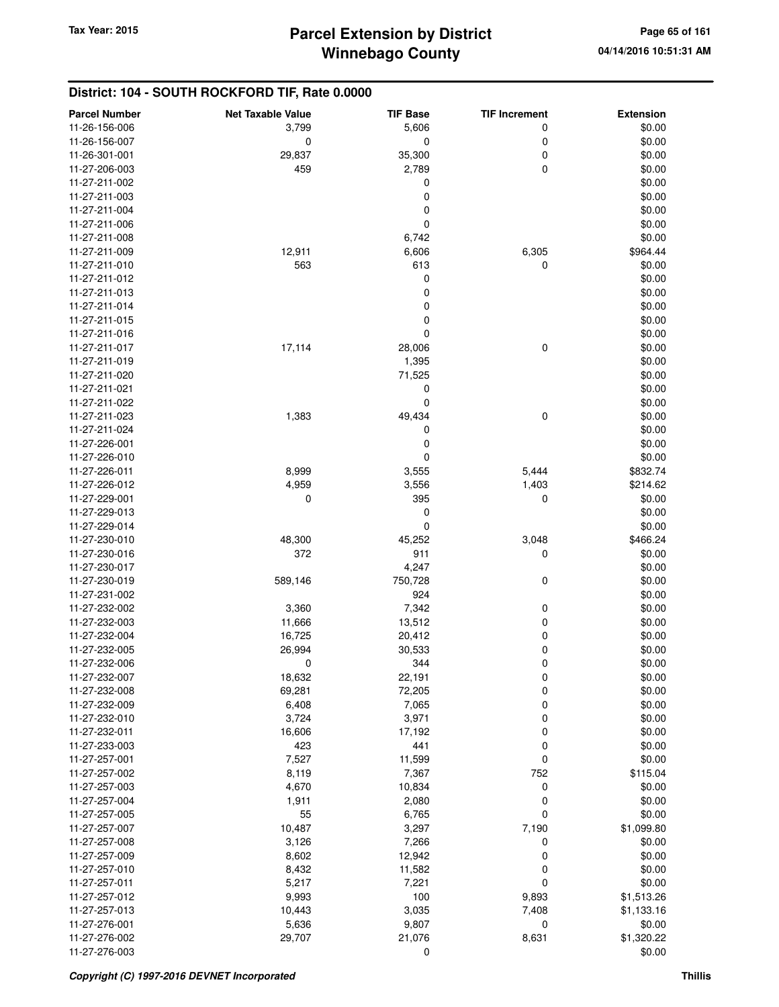| <b>Parcel Number</b> | <b>Net Taxable Value</b> | <b>TIF Base</b> | <b>TIF Increment</b> | <b>Extension</b> |
|----------------------|--------------------------|-----------------|----------------------|------------------|
| 11-26-156-006        | 3,799                    | 5,606           | 0                    | \$0.00           |
| 11-26-156-007        | 0                        | $\mathbf 0$     | 0                    | \$0.00           |
| 11-26-301-001        | 29,837                   | 35,300          | 0                    | \$0.00           |
| 11-27-206-003        | 459                      | 2,789           | 0                    | \$0.00           |
| 11-27-211-002        |                          | 0               |                      | \$0.00           |
| 11-27-211-003        |                          | 0               |                      | \$0.00           |
| 11-27-211-004        |                          | 0               |                      | \$0.00           |
| 11-27-211-006        |                          | 0               |                      | \$0.00           |
| 11-27-211-008        |                          | 6,742           |                      | \$0.00           |
| 11-27-211-009        | 12,911                   | 6,606           | 6,305                | \$964.44         |
| 11-27-211-010        | 563                      | 613             | $\mathbf 0$          | \$0.00           |
| 11-27-211-012        |                          | $\mathbf 0$     |                      | \$0.00           |
| 11-27-211-013        |                          | 0               |                      | \$0.00           |
| 11-27-211-014        |                          | 0               |                      | \$0.00           |
| 11-27-211-015        |                          | $\mathbf 0$     |                      | \$0.00           |
| 11-27-211-016        |                          | 0               |                      | \$0.00           |
| 11-27-211-017        | 17,114                   | 28,006          | 0                    | \$0.00           |
| 11-27-211-019        |                          | 1,395           |                      | \$0.00           |
| 11-27-211-020        |                          | 71,525          |                      | \$0.00           |
| 11-27-211-021        |                          | 0               |                      | \$0.00           |
| 11-27-211-022        |                          | $\mathbf 0$     |                      | \$0.00           |
| 11-27-211-023        | 1,383                    | 49,434          | $\mathbf 0$          | \$0.00           |
| 11-27-211-024        |                          | 0               |                      | \$0.00           |
| 11-27-226-001        |                          | 0               |                      | \$0.00           |
| 11-27-226-010        |                          | 0               |                      | \$0.00           |
| 11-27-226-011        | 8,999                    | 3,555           | 5,444                | \$832.74         |
| 11-27-226-012        | 4,959                    | 3,556           | 1,403                | \$214.62         |
| 11-27-229-001        | 0                        | 395             | 0                    | \$0.00           |
| 11-27-229-013        |                          | 0               |                      | \$0.00           |
| 11-27-229-014        |                          | 0               |                      | \$0.00           |
| 11-27-230-010        | 48,300                   | 45,252          | 3,048                | \$466.24         |
| 11-27-230-016        | 372                      | 911             | 0                    | \$0.00           |
| 11-27-230-017        |                          | 4,247           |                      | \$0.00           |
| 11-27-230-019        | 589,146                  | 750,728         | 0                    | \$0.00           |
| 11-27-231-002        |                          | 924             |                      | \$0.00           |
| 11-27-232-002        | 3,360                    | 7,342           | 0                    | \$0.00           |
| 11-27-232-003        | 11,666                   | 13,512          | 0                    | \$0.00           |
| 11-27-232-004        | 16,725                   | 20,412          | 0                    | \$0.00           |
| 11-27-232-005        | 26,994                   | 30,533          | 0                    | \$0.00           |
| 11-27-232-006        | 0                        | 344             | $\mathbf 0$          | \$0.00           |
| 11-27-232-007        | 18,632                   | 22,191          | 0                    | \$0.00           |
| 11-27-232-008        | 69,281                   | 72,205          | 0                    | \$0.00           |
| 11-27-232-009        | 6,408                    | 7,065           | 0                    | \$0.00           |
| 11-27-232-010        | 3,724                    | 3,971           | 0                    | \$0.00           |
| 11-27-232-011        | 16,606                   | 17,192          | 0                    | \$0.00           |
| 11-27-233-003        | 423                      | 441             | 0                    | \$0.00           |
| 11-27-257-001        | 7,527                    | 11,599          | 0                    | \$0.00           |
| 11-27-257-002        | 8,119                    | 7,367           | 752                  | \$115.04         |
| 11-27-257-003        | 4,670                    | 10,834          | 0                    | \$0.00           |
| 11-27-257-004        | 1,911                    | 2,080           | 0                    | \$0.00           |
| 11-27-257-005        | 55                       | 6,765           | $\mathbf 0$          | \$0.00           |
| 11-27-257-007        | 10,487                   | 3,297           | 7,190                | \$1,099.80       |
| 11-27-257-008        | 3,126                    | 7,266           | 0                    | \$0.00           |
| 11-27-257-009        | 8,602                    | 12,942          | 0                    | \$0.00           |
| 11-27-257-010        | 8,432                    | 11,582          | 0                    | \$0.00           |
| 11-27-257-011        | 5,217                    | 7,221           | $\mathbf 0$          | \$0.00           |
| 11-27-257-012        | 9,993                    | 100             | 9,893                | \$1,513.26       |
| 11-27-257-013        | 10,443                   | 3,035           | 7,408                | \$1,133.16       |
| 11-27-276-001        | 5,636                    | 9,807           | 0                    | \$0.00           |
| 11-27-276-002        | 29,707                   | 21,076          | 8,631                | \$1,320.22       |
| 11-27-276-003        |                          | $\mathbf 0$     |                      | \$0.00           |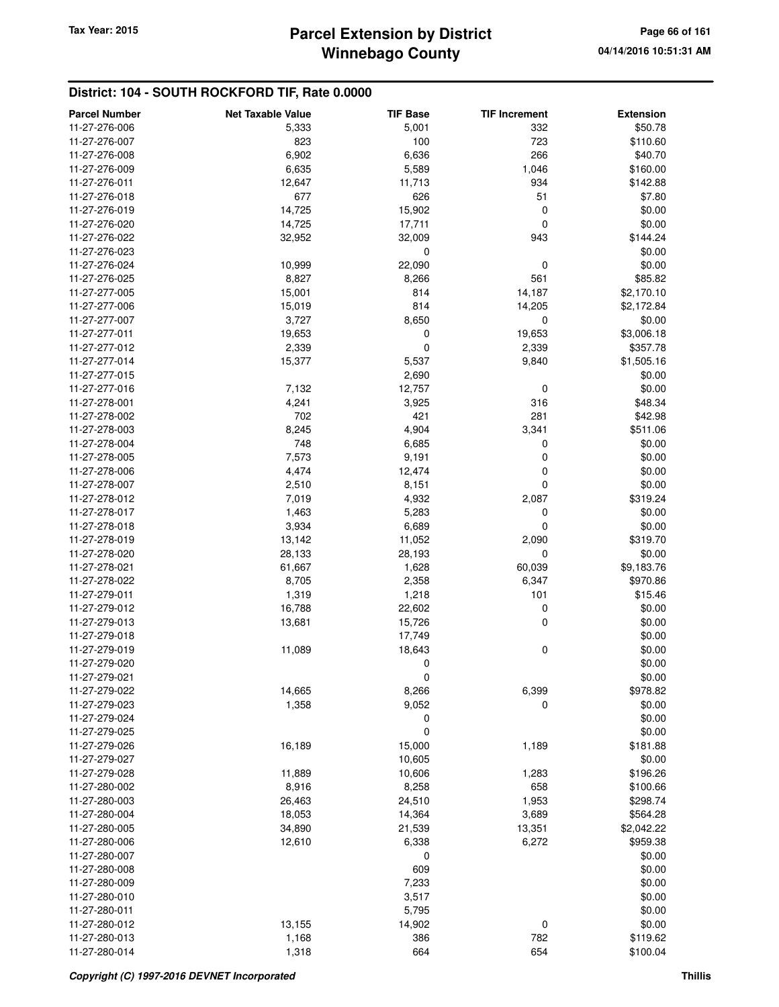## **Winnebago County Parcel Extension by District Tax Year: 2015 Page 66 of 161**

| <b>Parcel Number</b> | <b>Net Taxable Value</b> | <b>TIF Base</b> | <b>TIF Increment</b> | <b>Extension</b> |
|----------------------|--------------------------|-----------------|----------------------|------------------|
| 11-27-276-006        | 5,333                    | 5,001           | 332                  | \$50.78          |
| 11-27-276-007        | 823                      | 100             | 723                  | \$110.60         |
| 11-27-276-008        | 6,902                    | 6,636           | 266                  | \$40.70          |
| 11-27-276-009        | 6,635                    | 5,589           | 1,046                | \$160.00         |
| 11-27-276-011        | 12,647                   | 11,713          | 934                  | \$142.88         |
| 11-27-276-018        | 677                      | 626             | 51                   | \$7.80           |
| 11-27-276-019        | 14,725                   | 15,902          | 0                    | \$0.00           |
| 11-27-276-020        | 14,725                   | 17,711          | 0                    | \$0.00           |
| 11-27-276-022        | 32,952                   | 32,009          | 943                  | \$144.24         |
| 11-27-276-023        |                          | $\mathbf 0$     |                      | \$0.00           |
| 11-27-276-024        | 10,999                   | 22,090          | 0                    | \$0.00           |
| 11-27-276-025        | 8,827                    | 8,266           | 561                  | \$85.82          |
| 11-27-277-005        | 15,001                   | 814             | 14,187               | \$2,170.10       |
| 11-27-277-006        | 15,019                   | 814             | 14,205               | \$2,172.84       |
|                      |                          |                 |                      |                  |
| 11-27-277-007        | 3,727                    | 8,650           | 0                    | \$0.00           |
| 11-27-277-011        | 19,653                   | 0               | 19,653               | \$3,006.18       |
| 11-27-277-012        | 2,339                    | $\mathbf 0$     | 2,339                | \$357.78         |
| 11-27-277-014        | 15,377                   | 5,537           | 9,840                | \$1,505.16       |
| 11-27-277-015        |                          | 2,690           |                      | \$0.00           |
| 11-27-277-016        | 7,132                    | 12,757          | 0                    | \$0.00           |
| 11-27-278-001        | 4,241                    | 3,925           | 316                  | \$48.34          |
| 11-27-278-002        | 702                      | 421             | 281                  | \$42.98          |
| 11-27-278-003        | 8,245                    | 4,904           | 3,341                | \$511.06         |
| 11-27-278-004        | 748                      | 6,685           | 0                    | \$0.00           |
| 11-27-278-005        | 7,573                    | 9,191           | 0                    | \$0.00           |
| 11-27-278-006        | 4,474                    | 12,474          | 0                    | \$0.00           |
| 11-27-278-007        | 2,510                    | 8,151           | 0                    | \$0.00           |
| 11-27-278-012        | 7,019                    | 4,932           | 2,087                | \$319.24         |
| 11-27-278-017        | 1,463                    | 5,283           | 0                    | \$0.00           |
| 11-27-278-018        | 3,934                    | 6,689           | 0                    | \$0.00           |
| 11-27-278-019        | 13,142                   | 11,052          | 2,090                | \$319.70         |
| 11-27-278-020        | 28,133                   | 28,193          | 0                    | \$0.00           |
| 11-27-278-021        | 61,667                   | 1,628           | 60,039               | \$9,183.76       |
| 11-27-278-022        | 8,705                    | 2,358           | 6,347                | \$970.86         |
| 11-27-279-011        | 1,319                    | 1,218           | 101                  | \$15.46          |
| 11-27-279-012        | 16,788                   | 22,602          | 0                    | \$0.00           |
| 11-27-279-013        | 13,681                   | 15,726          | 0                    | \$0.00           |
| 11-27-279-018        |                          | 17,749          |                      | \$0.00           |
| 11-27-279-019        | 11,089                   | 18,643          | 0                    | \$0.00           |
| 11-27-279-020        |                          | 0               |                      | \$0.00           |
|                      |                          | 0               |                      | \$0.00           |
| 11-27-279-021        |                          |                 |                      |                  |
| 11-27-279-022        | 14,665                   | 8,266           | 6,399                | \$978.82         |
| 11-27-279-023        | 1,358                    | 9,052           | 0                    | \$0.00           |
| 11-27-279-024        |                          | 0               |                      | \$0.00           |
| 11-27-279-025        |                          | $\mathbf 0$     |                      | \$0.00           |
| 11-27-279-026        | 16,189                   | 15,000          | 1,189                | \$181.88         |
| 11-27-279-027        |                          | 10,605          |                      | \$0.00           |
| 11-27-279-028        | 11,889                   | 10,606          | 1,283                | \$196.26         |
| 11-27-280-002        | 8,916                    | 8,258           | 658                  | \$100.66         |
| 11-27-280-003        | 26,463                   | 24,510          | 1,953                | \$298.74         |
| 11-27-280-004        | 18,053                   | 14,364          | 3,689                | \$564.28         |
| 11-27-280-005        | 34,890                   | 21,539          | 13,351               | \$2,042.22       |
| 11-27-280-006        | 12,610                   | 6,338           | 6,272                | \$959.38         |
| 11-27-280-007        |                          | 0               |                      | \$0.00           |
| 11-27-280-008        |                          | 609             |                      | \$0.00           |
| 11-27-280-009        |                          | 7,233           |                      | \$0.00           |
| 11-27-280-010        |                          | 3,517           |                      | \$0.00           |
| 11-27-280-011        |                          | 5,795           |                      | \$0.00           |
| 11-27-280-012        | 13,155                   | 14,902          | 0                    | \$0.00           |
| 11-27-280-013        | 1,168                    | 386             | 782                  | \$119.62         |
| 11-27-280-014        | 1,318                    | 664             | 654                  | \$100.04         |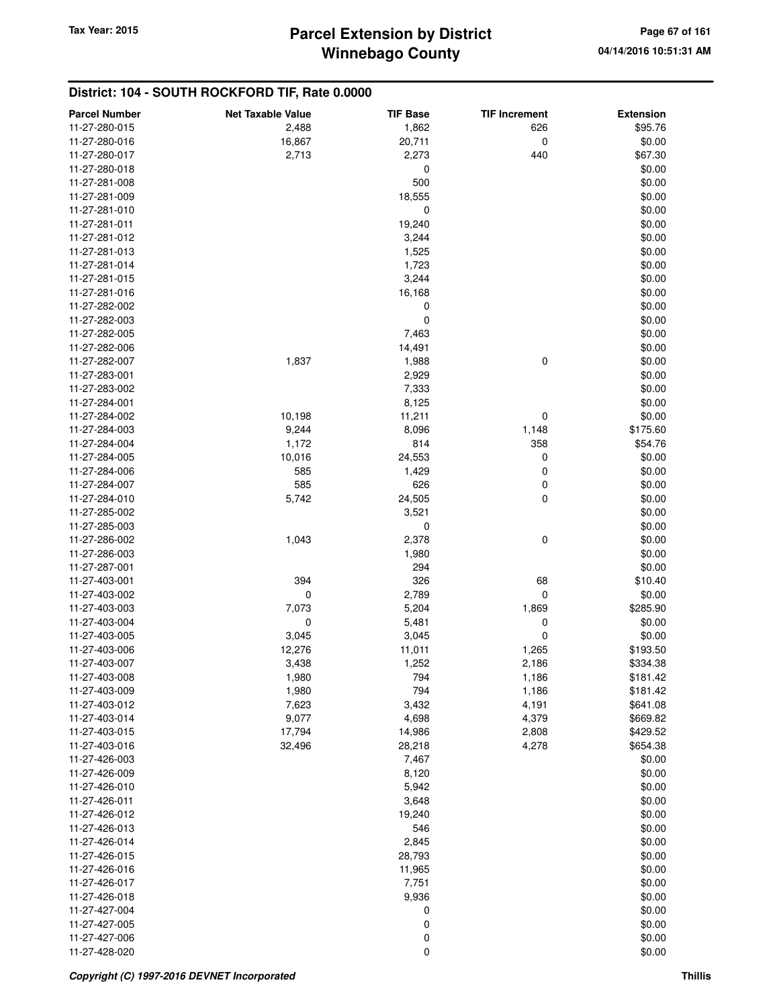| <b>Parcel Number</b> | <b>Net Taxable Value</b> | <b>TIF Base</b> | <b>TIF Increment</b> | <b>Extension</b> |
|----------------------|--------------------------|-----------------|----------------------|------------------|
| 11-27-280-015        | 2,488                    | 1,862           | 626                  | \$95.76          |
| 11-27-280-016        | 16,867                   | 20,711          | 0                    | \$0.00           |
| 11-27-280-017        | 2,713                    | 2,273           | 440                  | \$67.30          |
| 11-27-280-018        |                          | 0               |                      | \$0.00           |
| 11-27-281-008        |                          | 500             |                      | \$0.00           |
| 11-27-281-009        |                          | 18,555          |                      | \$0.00           |
| 11-27-281-010        |                          | 0               |                      | \$0.00           |
| 11-27-281-011        |                          | 19,240          |                      | \$0.00           |
| 11-27-281-012        |                          | 3,244           |                      | \$0.00           |
| 11-27-281-013        |                          | 1,525           |                      | \$0.00           |
| 11-27-281-014        |                          | 1,723           |                      | \$0.00           |
| 11-27-281-015        |                          | 3,244           |                      | \$0.00           |
| 11-27-281-016        |                          | 16,168          |                      | \$0.00           |
| 11-27-282-002        |                          | 0               |                      | \$0.00           |
| 11-27-282-003        |                          | 0               |                      | \$0.00           |
| 11-27-282-005        |                          | 7,463           |                      | \$0.00           |
| 11-27-282-006        |                          | 14,491          |                      | \$0.00           |
| 11-27-282-007        | 1,837                    | 1,988           | 0                    | \$0.00           |
| 11-27-283-001        |                          | 2,929           |                      | \$0.00           |
| 11-27-283-002        |                          | 7,333           |                      | \$0.00           |
| 11-27-284-001        |                          | 8,125           |                      | \$0.00           |
| 11-27-284-002        | 10,198                   | 11,211          | 0                    | \$0.00           |
| 11-27-284-003        | 9,244                    | 8,096           | 1,148                | \$175.60         |
| 11-27-284-004        | 1,172                    | 814             | 358                  | \$54.76          |
| 11-27-284-005        | 10,016                   | 24,553          | 0                    | \$0.00           |
| 11-27-284-006        | 585                      | 1,429           | 0                    | \$0.00           |
| 11-27-284-007        | 585                      | 626             | 0                    | \$0.00           |
| 11-27-284-010        | 5,742                    | 24,505          | 0                    | \$0.00           |
| 11-27-285-002        |                          | 3,521           |                      | \$0.00           |
| 11-27-285-003        |                          | 0               |                      | \$0.00           |
| 11-27-286-002        | 1,043                    | 2,378           | 0                    | \$0.00           |
| 11-27-286-003        |                          | 1,980           |                      | \$0.00           |
| 11-27-287-001        |                          | 294             |                      | \$0.00           |
| 11-27-403-001        | 394                      | 326             | 68                   | \$10.40          |
| 11-27-403-002        | 0                        | 2,789           | 0                    | \$0.00           |
| 11-27-403-003        | 7,073                    | 5,204           | 1,869                | \$285.90         |
| 11-27-403-004        | 0                        | 5,481           | 0                    | \$0.00           |
| 11-27-403-005        | 3,045                    | 3,045           | 0                    | \$0.00           |
| 11-27-403-006        | 12,276                   | 11,011          | 1,265                | \$193.50         |
| 11-27-403-007        | 3,438                    | 1,252           | 2,186                | \$334.38         |
| 11-27-403-008        | 1,980                    | 794             | 1,186                | \$181.42         |
| 11-27-403-009        | 1,980                    | 794             | 1,186                | \$181.42         |
| 11-27-403-012        | 7,623                    | 3,432           | 4,191                | \$641.08         |
| 11-27-403-014        | 9,077                    | 4,698           | 4,379                | \$669.82         |
| 11-27-403-015        | 17,794                   | 14,986          | 2,808                | \$429.52         |
| 11-27-403-016        | 32,496                   | 28,218          | 4,278                | \$654.38         |
| 11-27-426-003        |                          | 7,467           |                      | \$0.00           |
| 11-27-426-009        |                          | 8,120           |                      | \$0.00           |
| 11-27-426-010        |                          | 5,942           |                      | \$0.00           |
| 11-27-426-011        |                          | 3,648           |                      | \$0.00           |
| 11-27-426-012        |                          | 19,240          |                      | \$0.00           |
| 11-27-426-013        |                          | 546             |                      | \$0.00           |
| 11-27-426-014        |                          | 2,845           |                      | \$0.00           |
| 11-27-426-015        |                          | 28,793          |                      | \$0.00           |
| 11-27-426-016        |                          | 11,965          |                      | \$0.00           |
| 11-27-426-017        |                          | 7,751           |                      | \$0.00           |
| 11-27-426-018        |                          | 9,936           |                      | \$0.00           |
| 11-27-427-004        |                          | 0               |                      | \$0.00           |
| 11-27-427-005        |                          | 0               |                      | \$0.00           |
| 11-27-427-006        |                          | 0               |                      | \$0.00           |
| 11-27-428-020        |                          | 0               |                      | \$0.00           |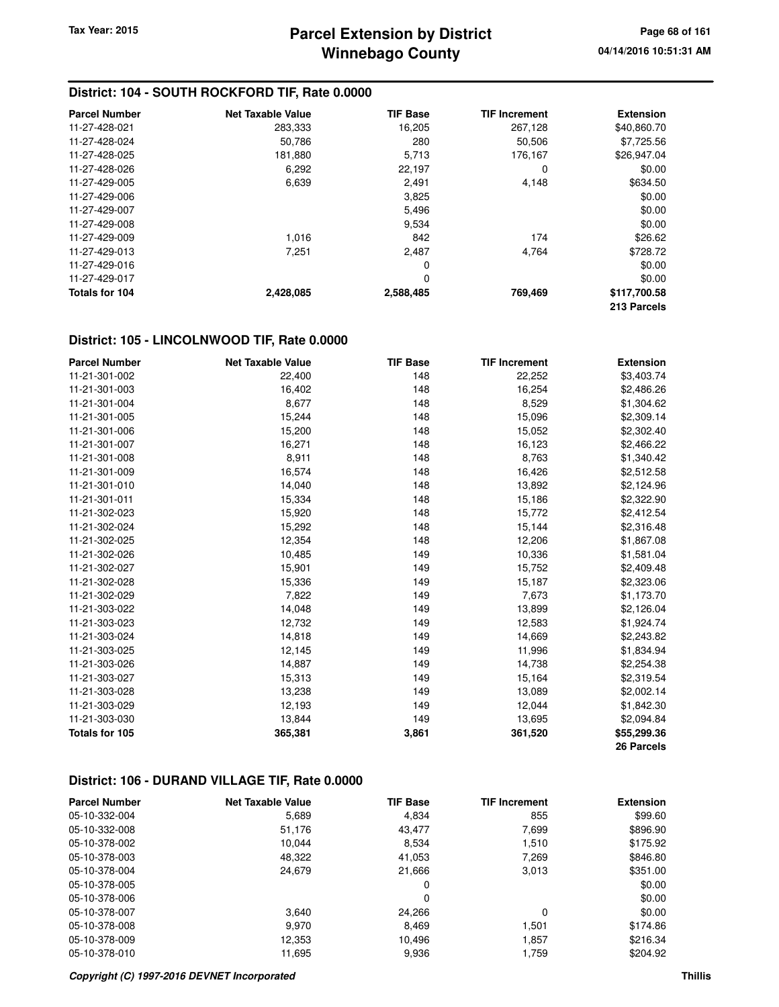### **District: 104 - SOUTH ROCKFORD TIF, Rate 0.0000**

| <b>Parcel Number</b> | <b>Net Taxable Value</b> | <b>TIF Base</b> | <b>TIF Increment</b> | <b>Extension</b> |
|----------------------|--------------------------|-----------------|----------------------|------------------|
| 11-27-428-021        | 283,333                  | 16,205          | 267,128              | \$40,860.70      |
| 11-27-428-024        | 50.786                   | 280             | 50,506               | \$7.725.56       |
| 11-27-428-025        | 181,880                  | 5,713           | 176,167              | \$26,947.04      |
| 11-27-428-026        | 6.292                    | 22.197          | 0                    | \$0.00           |
| 11-27-429-005        | 6,639                    | 2,491           | 4,148                | \$634.50         |
| 11-27-429-006        |                          | 3,825           |                      | \$0.00           |
| 11-27-429-007        |                          | 5,496           |                      | \$0.00           |
| 11-27-429-008        |                          | 9,534           |                      | \$0.00           |
| 11-27-429-009        | 1,016                    | 842             | 174                  | \$26.62          |
| 11-27-429-013        | 7,251                    | 2,487           | 4,764                | \$728.72         |
| 11-27-429-016        |                          | 0               |                      | \$0.00           |
| 11-27-429-017        |                          | 0               |                      | \$0.00           |
| Totals for 104       | 2,428,085                | 2,588,485       | 769,469              | \$117,700.58     |
|                      |                          |                 |                      | 213 Parcels      |

#### **District: 105 - LINCOLNWOOD TIF, Rate 0.0000**

| <b>Parcel Number</b> | <b>Net Taxable Value</b> | <b>TIF Base</b> | <b>TIF Increment</b> | <b>Extension</b> |
|----------------------|--------------------------|-----------------|----------------------|------------------|
| 11-21-301-002        | 22,400                   | 148             | 22,252               | \$3,403.74       |
| 11-21-301-003        | 16,402                   | 148             | 16,254               | \$2,486.26       |
| 11-21-301-004        | 8,677                    | 148             | 8,529                | \$1,304.62       |
| 11-21-301-005        | 15,244                   | 148             | 15,096               | \$2,309.14       |
| 11-21-301-006        | 15,200                   | 148             | 15,052               | \$2,302.40       |
| 11-21-301-007        | 16,271                   | 148             | 16,123               | \$2,466.22       |
| 11-21-301-008        | 8,911                    | 148             | 8,763                | \$1,340.42       |
| 11-21-301-009        | 16,574                   | 148             | 16,426               | \$2,512.58       |
| 11-21-301-010        | 14,040                   | 148             | 13,892               | \$2,124.96       |
| 11-21-301-011        | 15,334                   | 148             | 15,186               | \$2,322.90       |
| 11-21-302-023        | 15,920                   | 148             | 15,772               | \$2,412.54       |
| 11-21-302-024        | 15,292                   | 148             | 15,144               | \$2,316.48       |
| 11-21-302-025        | 12,354                   | 148             | 12,206               | \$1,867.08       |
| 11-21-302-026        | 10,485                   | 149             | 10,336               | \$1,581.04       |
| 11-21-302-027        | 15,901                   | 149             | 15,752               | \$2,409.48       |
| 11-21-302-028        | 15,336                   | 149             | 15,187               | \$2,323.06       |
| 11-21-302-029        | 7,822                    | 149             | 7,673                | \$1,173.70       |
| 11-21-303-022        | 14,048                   | 149             | 13,899               | \$2,126.04       |
| 11-21-303-023        | 12,732                   | 149             | 12,583               | \$1,924.74       |
| 11-21-303-024        | 14,818                   | 149             | 14,669               | \$2,243.82       |
| 11-21-303-025        | 12,145                   | 149             | 11,996               | \$1,834.94       |
| 11-21-303-026        | 14,887                   | 149             | 14,738               | \$2,254.38       |
| 11-21-303-027        | 15,313                   | 149             | 15,164               | \$2,319.54       |
| 11-21-303-028        | 13,238                   | 149             | 13,089               | \$2,002.14       |
| 11-21-303-029        | 12,193                   | 149             | 12,044               | \$1,842.30       |
| 11-21-303-030        | 13,844                   | 149             | 13,695               | \$2,094.84       |
| Totals for 105       | 365,381                  | 3,861           | 361,520              | \$55,299.36      |
|                      |                          |                 |                      | 26 Parcels       |

#### **District: 106 - DURAND VILLAGE TIF, Rate 0.0000**

| <b>Parcel Number</b> | <b>Net Taxable Value</b> | <b>TIF Base</b> | <b>TIF Increment</b> | <b>Extension</b> |
|----------------------|--------------------------|-----------------|----------------------|------------------|
| 05-10-332-004        | 5,689                    | 4,834           | 855                  | \$99.60          |
| 05-10-332-008        | 51,176                   | 43,477          | 7,699                | \$896.90         |
| 05-10-378-002        | 10.044                   | 8,534           | 1.510                | \$175.92         |
| 05-10-378-003        | 48,322                   | 41,053          | 7,269                | \$846.80         |
| 05-10-378-004        | 24,679                   | 21,666          | 3,013                | \$351.00         |
| 05-10-378-005        |                          | 0               |                      | \$0.00           |
| 05-10-378-006        |                          | 0               |                      | \$0.00           |
| 05-10-378-007        | 3.640                    | 24.266          | 0                    | \$0.00           |
| 05-10-378-008        | 9.970                    | 8,469           | 1.501                | \$174.86         |
| 05-10-378-009        | 12,353                   | 10,496          | 1.857                | \$216.34         |
| 05-10-378-010        | 11,695                   | 9,936           | 1,759                | \$204.92         |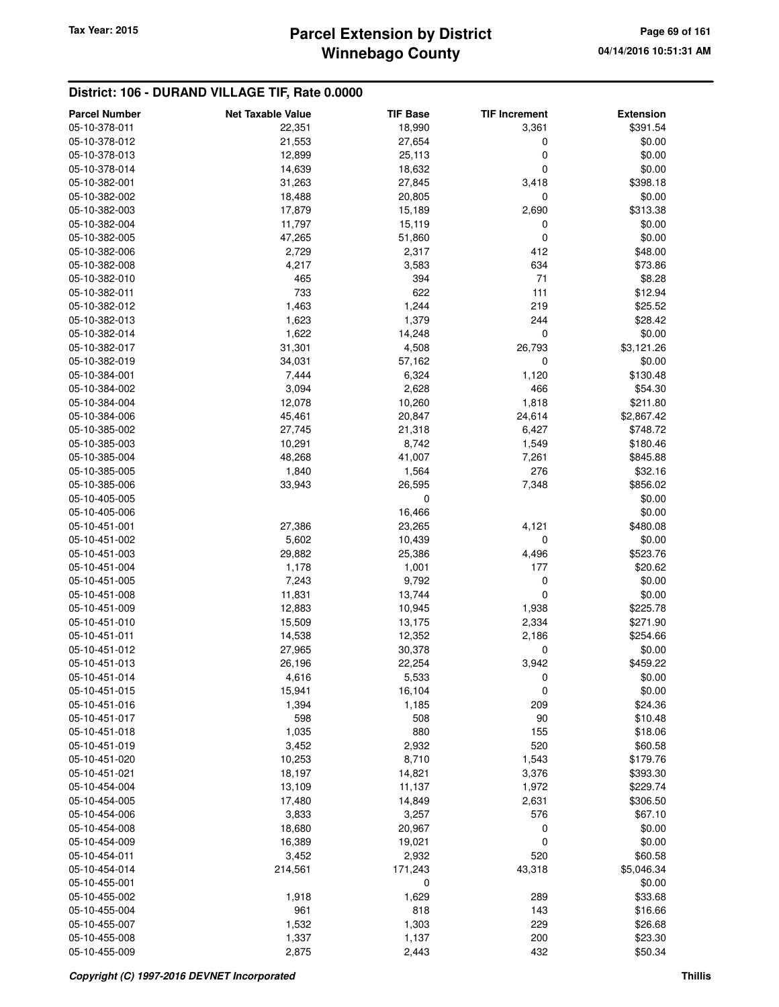## **Winnebago County Parcel Extension by District Tax Year: 2015 Page 69 of 161**

### **District: 106 - DURAND VILLAGE TIF, Rate 0.0000**

| <b>Parcel Number</b> | <b>Net Taxable Value</b> | <b>TIF Base</b> | <b>TIF Increment</b> | <b>Extension</b> |
|----------------------|--------------------------|-----------------|----------------------|------------------|
| 05-10-378-011        | 22,351                   | 18,990          | 3,361                | \$391.54         |
| 05-10-378-012        | 21,553                   | 27,654          | 0                    | \$0.00           |
| 05-10-378-013        | 12,899                   | 25,113          | 0                    | \$0.00           |
| 05-10-378-014        | 14,639                   | 18,632          | 0                    | \$0.00           |
| 05-10-382-001        | 31,263                   | 27,845          | 3,418                | \$398.18         |
| 05-10-382-002        | 18,488                   | 20,805          | 0                    | \$0.00           |
| 05-10-382-003        | 17,879                   | 15,189          | 2,690                | \$313.38         |
| 05-10-382-004        | 11,797                   | 15,119          | 0                    | \$0.00           |
| 05-10-382-005        | 47,265                   | 51,860          | 0                    | \$0.00           |
| 05-10-382-006        | 2,729                    | 2,317           | 412                  | \$48.00          |
| 05-10-382-008        | 4,217                    | 3,583           | 634                  | \$73.86          |
| 05-10-382-010        | 465                      | 394             | 71                   | \$8.28           |
| 05-10-382-011        | 733                      | 622             | 111                  | \$12.94          |
| 05-10-382-012        | 1,463                    | 1,244           | 219                  | \$25.52          |
| 05-10-382-013        | 1,623                    | 1,379           | 244                  | \$28.42          |
| 05-10-382-014        | 1,622                    | 14,248          | $\mathbf 0$          | \$0.00           |
| 05-10-382-017        | 31,301                   | 4,508           | 26,793               | \$3,121.26       |
| 05-10-382-019        | 34,031                   | 57,162          | 0                    | \$0.00           |
| 05-10-384-001        | 7,444                    | 6,324           | 1,120                | \$130.48         |
| 05-10-384-002        | 3,094                    | 2,628           | 466                  | \$54.30          |
| 05-10-384-004        | 12,078                   | 10,260          | 1,818                | \$211.80         |
| 05-10-384-006        | 45,461                   | 20,847          | 24,614               | \$2,867.42       |
| 05-10-385-002        | 27,745                   | 21,318          | 6,427                | \$748.72         |
| 05-10-385-003        | 10,291                   | 8,742           | 1,549                | \$180.46         |
| 05-10-385-004        | 48,268                   | 41,007          | 7,261                | \$845.88         |
| 05-10-385-005        | 1,840                    | 1,564           | 276                  | \$32.16          |
| 05-10-385-006        | 33,943                   | 26,595          | 7,348                | \$856.02         |
| 05-10-405-005        |                          | 0               |                      | \$0.00           |
| 05-10-405-006        |                          | 16,466          |                      | \$0.00           |
| 05-10-451-001        | 27,386                   | 23,265          | 4,121                | \$480.08         |
| 05-10-451-002        | 5,602                    | 10,439          | 0                    | \$0.00           |
| 05-10-451-003        | 29,882                   | 25,386          | 4,496                | \$523.76         |
| 05-10-451-004        | 1,178                    | 1,001           | 177                  | \$20.62          |
| 05-10-451-005        | 7,243                    | 9,792           | 0                    | \$0.00           |
| 05-10-451-008        | 11,831                   | 13,744          | 0                    | \$0.00           |
| 05-10-451-009        | 12,883                   | 10,945          | 1,938                | \$225.78         |
| 05-10-451-010        | 15,509                   | 13,175          | 2,334                | \$271.90         |
| 05-10-451-011        | 14,538                   | 12,352          | 2,186                | \$254.66         |
| 05-10-451-012        | 27,965                   | 30,378          | 0                    | \$0.00           |
| 05-10-451-013        | 26,196                   | 22,254          | 3,942                | \$459.22         |
| 05-10-451-014        | 4,616                    | 5,533           | 0                    | \$0.00           |
| 05-10-451-015        | 15,941                   | 16,104          | 0                    | \$0.00           |
| 05-10-451-016        | 1,394                    | 1,185           | 209                  | \$24.36          |
| 05-10-451-017        | 598                      | 508             | 90                   | \$10.48          |
| 05-10-451-018        | 1,035                    | 880             | 155                  | \$18.06          |
| 05-10-451-019        | 3,452                    | 2,932           | 520                  | \$60.58          |
| 05-10-451-020        | 10,253                   | 8,710           | 1,543                | \$179.76         |
| 05-10-451-021        | 18,197                   | 14,821          | 3,376                | \$393.30         |
| 05-10-454-004        | 13,109                   | 11,137          | 1,972                | \$229.74         |
| 05-10-454-005        | 17,480                   | 14,849          | 2,631                | \$306.50         |
| 05-10-454-006        | 3,833                    | 3,257           | 576                  | \$67.10          |
| 05-10-454-008        | 18,680                   | 20,967          | 0                    | \$0.00           |
| 05-10-454-009        | 16,389                   | 19,021          | 0                    | \$0.00           |
| 05-10-454-011        | 3,452                    | 2,932           | 520                  | \$60.58          |
| 05-10-454-014        | 214,561                  | 171,243         | 43,318               | \$5,046.34       |
| 05-10-455-001        |                          | 0               |                      | \$0.00           |
| 05-10-455-002        | 1,918                    | 1,629           | 289                  | \$33.68          |
| 05-10-455-004        | 961                      | 818             | 143                  | \$16.66          |
| 05-10-455-007        | 1,532                    | 1,303           | 229                  | \$26.68          |
| 05-10-455-008        | 1,337                    | 1,137           | 200                  | \$23.30          |
| 05-10-455-009        | 2,875                    | 2,443           | 432                  | \$50.34          |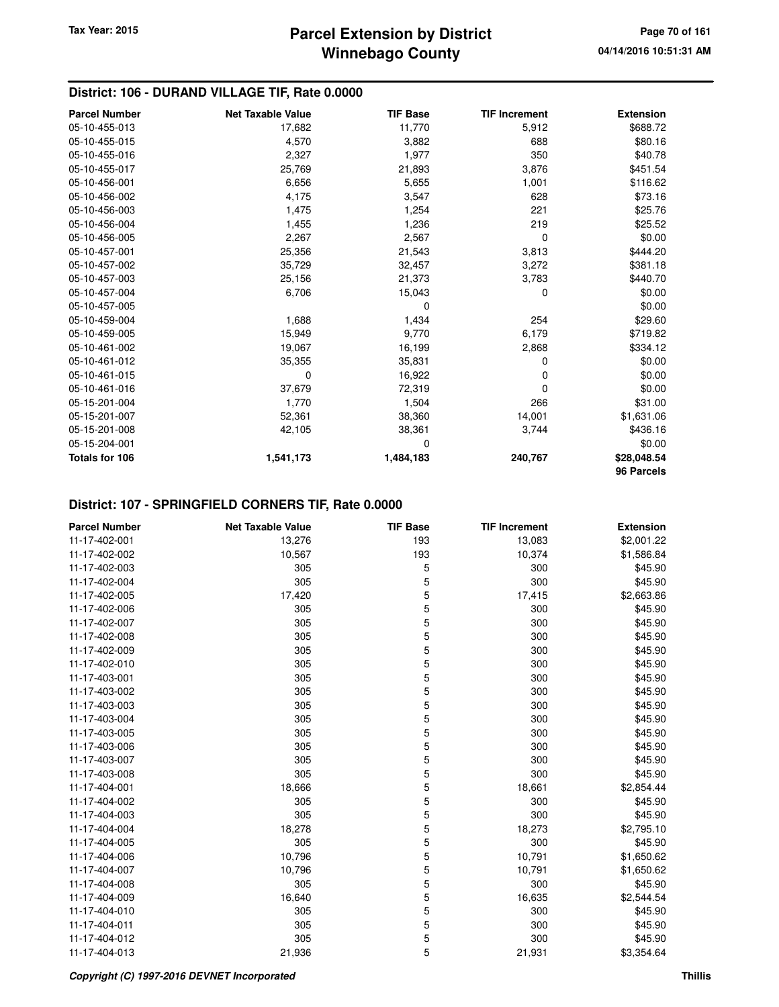### **District: 106 - DURAND VILLAGE TIF, Rate 0.0000**

| <b>Parcel Number</b>  | <b>Net Taxable Value</b> | <b>TIF Base</b> | <b>TIF Increment</b> | <b>Extension</b> |
|-----------------------|--------------------------|-----------------|----------------------|------------------|
| 05-10-455-013         | 17,682                   | 11,770          | 5,912                | \$688.72         |
| 05-10-455-015         | 4,570                    | 3,882           | 688                  | \$80.16          |
| 05-10-455-016         | 2,327                    | 1,977           | 350                  | \$40.78          |
| 05-10-455-017         | 25,769                   | 21,893          | 3,876                | \$451.54         |
| 05-10-456-001         | 6,656                    | 5,655           | 1,001                | \$116.62         |
| 05-10-456-002         | 4,175                    | 3,547           | 628                  | \$73.16          |
| 05-10-456-003         | 1,475                    | 1,254           | 221                  | \$25.76          |
| 05-10-456-004         | 1,455                    | 1,236           | 219                  | \$25.52          |
| 05-10-456-005         | 2,267                    | 2,567           | 0                    | \$0.00           |
| 05-10-457-001         | 25,356                   | 21,543          | 3,813                | \$444.20         |
| 05-10-457-002         | 35,729                   | 32,457          | 3,272                | \$381.18         |
| 05-10-457-003         | 25,156                   | 21,373          | 3,783                | \$440.70         |
| 05-10-457-004         | 6,706                    | 15,043          | $\Omega$             | \$0.00           |
| 05-10-457-005         |                          | 0               |                      | \$0.00           |
| 05-10-459-004         | 1,688                    | 1,434           | 254                  | \$29.60          |
| 05-10-459-005         | 15,949                   | 9,770           | 6,179                | \$719.82         |
| 05-10-461-002         | 19,067                   | 16,199          | 2,868                | \$334.12         |
| 05-10-461-012         | 35,355                   | 35,831          | 0                    | \$0.00           |
| 05-10-461-015         | 0                        | 16,922          | 0                    | \$0.00           |
| 05-10-461-016         | 37,679                   | 72,319          | 0                    | \$0.00           |
| 05-15-201-004         | 1,770                    | 1,504           | 266                  | \$31.00          |
| 05-15-201-007         | 52,361                   | 38,360          | 14,001               | \$1,631.06       |
| 05-15-201-008         | 42,105                   | 38,361          | 3,744                | \$436.16         |
| 05-15-204-001         |                          | 0               |                      | \$0.00           |
| <b>Totals for 106</b> | 1,541,173                | 1,484,183       | 240,767              | \$28,048.54      |
|                       |                          |                 |                      | 96 Parcels       |

### **District: 107 - SPRINGFIELD CORNERS TIF, Rate 0.0000**

| <b>Parcel Number</b> | <b>Net Taxable Value</b> | <b>TIF Base</b> | <b>TIF Increment</b> | <b>Extension</b> |
|----------------------|--------------------------|-----------------|----------------------|------------------|
| 11-17-402-001        | 13,276                   | 193             | 13,083               | \$2,001.22       |
| 11-17-402-002        | 10,567                   | 193             | 10,374               | \$1,586.84       |
| 11-17-402-003        | 305                      | 5               | 300                  | \$45.90          |
| 11-17-402-004        | 305                      | 5               | 300                  | \$45.90          |
| 11-17-402-005        | 17,420                   | 5               | 17,415               | \$2,663.86       |
| 11-17-402-006        | 305                      | 5               | 300                  | \$45.90          |
| 11-17-402-007        | 305                      | 5               | 300                  | \$45.90          |
| 11-17-402-008        | 305                      | 5               | 300                  | \$45.90          |
| 11-17-402-009        | 305                      | 5               | 300                  | \$45.90          |
| 11-17-402-010        | 305                      | 5               | 300                  | \$45.90          |
| 11-17-403-001        | 305                      | 5               | 300                  | \$45.90          |
| 11-17-403-002        | 305                      | 5               | 300                  | \$45.90          |
| 11-17-403-003        | 305                      | 5               | 300                  | \$45.90          |
| 11-17-403-004        | 305                      | 5               | 300                  | \$45.90          |
| 11-17-403-005        | 305                      | 5               | 300                  | \$45.90          |
| 11-17-403-006        | 305                      | 5               | 300                  | \$45.90          |
| 11-17-403-007        | 305                      | 5               | 300                  | \$45.90          |
| 11-17-403-008        | 305                      | 5               | 300                  | \$45.90          |
| 11-17-404-001        | 18,666                   | 5               | 18,661               | \$2,854.44       |
| 11-17-404-002        | 305                      | 5               | 300                  | \$45.90          |
| 11-17-404-003        | 305                      | 5               | 300                  | \$45.90          |
| 11-17-404-004        | 18,278                   | 5               | 18,273               | \$2,795.10       |
| 11-17-404-005        | 305                      | 5               | 300                  | \$45.90          |
| 11-17-404-006        | 10,796                   | 5               | 10,791               | \$1,650.62       |
| 11-17-404-007        | 10,796                   | 5               | 10,791               | \$1,650.62       |
| 11-17-404-008        | 305                      | 5               | 300                  | \$45.90          |
| 11-17-404-009        | 16,640                   | 5               | 16,635               | \$2,544.54       |
| 11-17-404-010        | 305                      | 5               | 300                  | \$45.90          |
| 11-17-404-011        | 305                      | 5               | 300                  | \$45.90          |
| 11-17-404-012        | 305                      | 5               | 300                  | \$45.90          |
| 11-17-404-013        | 21,936                   | 5               | 21,931               | \$3,354.64       |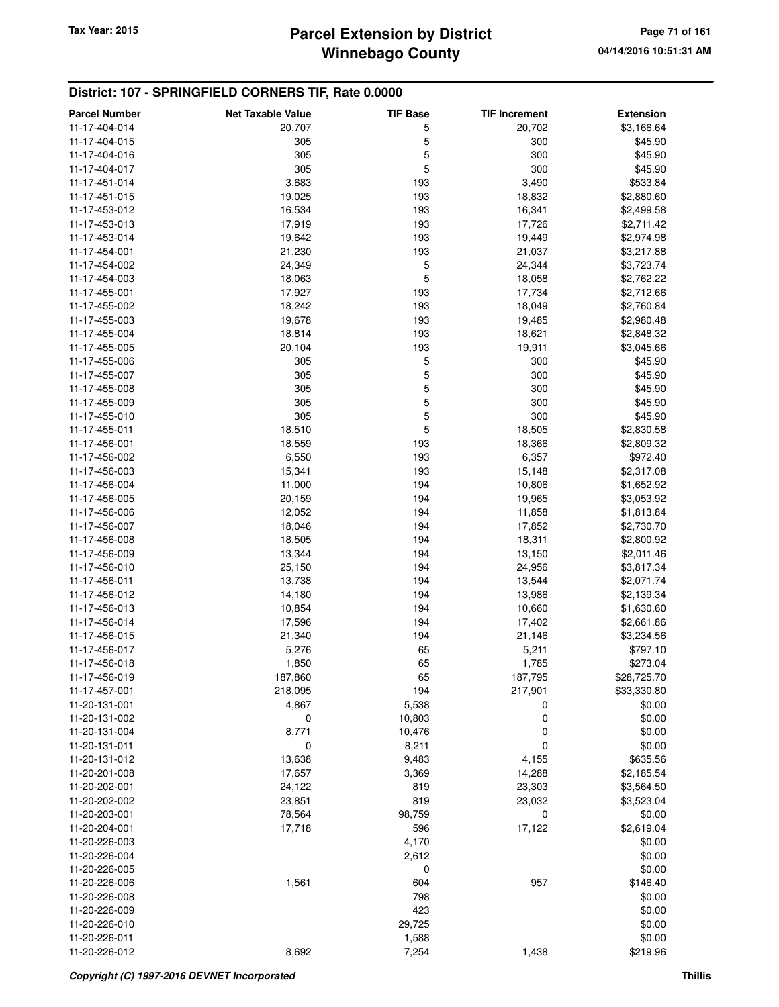## **District: 107 - SPRINGFIELD CORNERS TIF, Rate 0.0000**

| 11-17-404-014<br>20,707<br>5<br>\$3,166.64<br>20,702<br>5<br>305<br>300<br>\$45.90<br>11-17-404-015<br>5<br>300<br>305<br>\$45.90<br>11-17-404-016<br>5<br>305<br>300<br>\$45.90<br>11-17-404-017<br>3,683<br>193<br>3,490<br>\$533.84<br>11-17-451-014<br>11-17-451-015<br>19,025<br>193<br>18,832<br>\$2,880.60<br>11-17-453-012<br>16,534<br>193<br>16,341<br>\$2,499.58<br>17,919<br>193<br>17,726<br>11-17-453-013<br>\$2,711.42<br>193<br>19,642<br>11-17-453-014<br>19,449<br>\$2,974.98<br>193<br>11-17-454-001<br>21,230<br>21,037<br>\$3,217.88<br>5<br>11-17-454-002<br>24,349<br>24,344<br>\$3,723.74<br>5<br>11-17-454-003<br>18,063<br>18,058<br>\$2,762.22<br>17,927<br>193<br>17,734<br>\$2,712.66<br>11-17-455-001<br>193<br>11-17-455-002<br>18,242<br>18,049<br>\$2,760.84<br>19,678<br>193<br>11-17-455-003<br>19,485<br>\$2,980.48<br>11-17-455-004<br>18,814<br>193<br>18,621<br>\$2,848.32<br>11-17-455-005<br>20,104<br>193<br>19,911<br>\$3,045.66<br>5<br>305<br>300<br>\$45.90<br>11-17-455-006<br>5<br>300<br>305<br>\$45.90<br>11-17-455-007<br>5<br>305<br>300<br>\$45.90<br>11-17-455-008<br>5<br>305<br>300<br>\$45.90<br>11-17-455-009<br>5<br>305<br>300<br>11-17-455-010<br>\$45.90<br>5<br>18,510<br>18,505<br>\$2,830.58<br>11-17-455-011<br>11-17-456-001<br>18,559<br>193<br>18,366<br>\$2,809.32<br>193<br>6,550<br>6,357<br>\$972.40<br>11-17-456-002<br>11-17-456-003<br>15,341<br>193<br>15,148<br>\$2,317.08<br>11-17-456-004<br>11,000<br>194<br>10,806<br>\$1,652.92<br>20,159<br>194<br>19,965<br>\$3,053.92<br>11-17-456-005<br>194<br>12,052<br>11,858<br>11-17-456-006<br>\$1,813.84<br>194<br>17,852<br>11-17-456-007<br>18,046<br>\$2,730.70<br>18,505<br>11-17-456-008<br>194<br>18,311<br>\$2,800.92<br>13,344<br>194<br>11-17-456-009<br>13,150<br>\$2,011.46<br>25,150<br>194<br>24,956<br>11-17-456-010<br>\$3,817.34<br>13,738<br>194<br>13,544<br>11-17-456-011<br>\$2,071.74<br>14,180<br>194<br>11-17-456-012<br>13,986<br>\$2,139.34<br>11-17-456-013<br>10,854<br>194<br>10,660<br>\$1,630.60<br>11-17-456-014<br>17,596<br>194<br>\$2,661.86<br>17,402<br>21,340<br>194<br>11-17-456-015<br>21,146<br>\$3,234.56<br>11-17-456-017<br>5,276<br>65<br>5,211<br>\$797.10<br>65<br>1,850<br>1,785<br>11-17-456-018<br>\$273.04<br>187,860<br>65<br>187,795<br>\$28,725.70<br>11-17-456-019<br>11-17-457-001<br>194<br>217,901<br>\$33,330.80<br>218,095<br>11-20-131-001<br>4,867<br>5,538<br>0<br>\$0.00<br>10,803<br>0<br>\$0.00<br>11-20-131-002<br>0<br>\$0.00<br>11-20-131-004<br>8,771<br>10,476<br>0<br>0<br>$\mathbf 0$<br>\$0.00<br>8,211<br>11-20-131-011<br>\$635.56<br>11-20-131-012<br>13,638<br>9,483<br>4,155<br>17,657<br>14,288<br>\$2,185.54<br>11-20-201-008<br>3,369<br>24,122<br>23,303<br>11-20-202-001<br>819<br>\$3,564.50<br>819<br>11-20-202-002<br>23,851<br>23,032<br>\$3,523.04<br>78,564<br>98,759<br>0<br>\$0.00<br>11-20-203-001<br>11-20-204-001<br>17,718<br>596<br>17,122<br>\$2,619.04<br>4,170<br>\$0.00<br>11-20-226-003<br>2,612<br>\$0.00<br>11-20-226-004 | <b>Parcel Number</b> | <b>Net Taxable Value</b> | <b>TIF Base</b> | <b>TIF Increment</b> | <b>Extension</b> |
|----------------------------------------------------------------------------------------------------------------------------------------------------------------------------------------------------------------------------------------------------------------------------------------------------------------------------------------------------------------------------------------------------------------------------------------------------------------------------------------------------------------------------------------------------------------------------------------------------------------------------------------------------------------------------------------------------------------------------------------------------------------------------------------------------------------------------------------------------------------------------------------------------------------------------------------------------------------------------------------------------------------------------------------------------------------------------------------------------------------------------------------------------------------------------------------------------------------------------------------------------------------------------------------------------------------------------------------------------------------------------------------------------------------------------------------------------------------------------------------------------------------------------------------------------------------------------------------------------------------------------------------------------------------------------------------------------------------------------------------------------------------------------------------------------------------------------------------------------------------------------------------------------------------------------------------------------------------------------------------------------------------------------------------------------------------------------------------------------------------------------------------------------------------------------------------------------------------------------------------------------------------------------------------------------------------------------------------------------------------------------------------------------------------------------------------------------------------------------------------------------------------------------------------------------------------------------------------------------------------------------------------------------------------------------------------------------------------------------------------------------------------------------------------------------------------------------------------------------------------------------------------------------------------------------------------------------------------------------------------------------------------------------------------------------------------|----------------------|--------------------------|-----------------|----------------------|------------------|
|                                                                                                                                                                                                                                                                                                                                                                                                                                                                                                                                                                                                                                                                                                                                                                                                                                                                                                                                                                                                                                                                                                                                                                                                                                                                                                                                                                                                                                                                                                                                                                                                                                                                                                                                                                                                                                                                                                                                                                                                                                                                                                                                                                                                                                                                                                                                                                                                                                                                                                                                                                                                                                                                                                                                                                                                                                                                                                                                                                                                                                                                |                      |                          |                 |                      |                  |
|                                                                                                                                                                                                                                                                                                                                                                                                                                                                                                                                                                                                                                                                                                                                                                                                                                                                                                                                                                                                                                                                                                                                                                                                                                                                                                                                                                                                                                                                                                                                                                                                                                                                                                                                                                                                                                                                                                                                                                                                                                                                                                                                                                                                                                                                                                                                                                                                                                                                                                                                                                                                                                                                                                                                                                                                                                                                                                                                                                                                                                                                |                      |                          |                 |                      |                  |
|                                                                                                                                                                                                                                                                                                                                                                                                                                                                                                                                                                                                                                                                                                                                                                                                                                                                                                                                                                                                                                                                                                                                                                                                                                                                                                                                                                                                                                                                                                                                                                                                                                                                                                                                                                                                                                                                                                                                                                                                                                                                                                                                                                                                                                                                                                                                                                                                                                                                                                                                                                                                                                                                                                                                                                                                                                                                                                                                                                                                                                                                |                      |                          |                 |                      |                  |
|                                                                                                                                                                                                                                                                                                                                                                                                                                                                                                                                                                                                                                                                                                                                                                                                                                                                                                                                                                                                                                                                                                                                                                                                                                                                                                                                                                                                                                                                                                                                                                                                                                                                                                                                                                                                                                                                                                                                                                                                                                                                                                                                                                                                                                                                                                                                                                                                                                                                                                                                                                                                                                                                                                                                                                                                                                                                                                                                                                                                                                                                |                      |                          |                 |                      |                  |
|                                                                                                                                                                                                                                                                                                                                                                                                                                                                                                                                                                                                                                                                                                                                                                                                                                                                                                                                                                                                                                                                                                                                                                                                                                                                                                                                                                                                                                                                                                                                                                                                                                                                                                                                                                                                                                                                                                                                                                                                                                                                                                                                                                                                                                                                                                                                                                                                                                                                                                                                                                                                                                                                                                                                                                                                                                                                                                                                                                                                                                                                |                      |                          |                 |                      |                  |
|                                                                                                                                                                                                                                                                                                                                                                                                                                                                                                                                                                                                                                                                                                                                                                                                                                                                                                                                                                                                                                                                                                                                                                                                                                                                                                                                                                                                                                                                                                                                                                                                                                                                                                                                                                                                                                                                                                                                                                                                                                                                                                                                                                                                                                                                                                                                                                                                                                                                                                                                                                                                                                                                                                                                                                                                                                                                                                                                                                                                                                                                |                      |                          |                 |                      |                  |
|                                                                                                                                                                                                                                                                                                                                                                                                                                                                                                                                                                                                                                                                                                                                                                                                                                                                                                                                                                                                                                                                                                                                                                                                                                                                                                                                                                                                                                                                                                                                                                                                                                                                                                                                                                                                                                                                                                                                                                                                                                                                                                                                                                                                                                                                                                                                                                                                                                                                                                                                                                                                                                                                                                                                                                                                                                                                                                                                                                                                                                                                |                      |                          |                 |                      |                  |
|                                                                                                                                                                                                                                                                                                                                                                                                                                                                                                                                                                                                                                                                                                                                                                                                                                                                                                                                                                                                                                                                                                                                                                                                                                                                                                                                                                                                                                                                                                                                                                                                                                                                                                                                                                                                                                                                                                                                                                                                                                                                                                                                                                                                                                                                                                                                                                                                                                                                                                                                                                                                                                                                                                                                                                                                                                                                                                                                                                                                                                                                |                      |                          |                 |                      |                  |
|                                                                                                                                                                                                                                                                                                                                                                                                                                                                                                                                                                                                                                                                                                                                                                                                                                                                                                                                                                                                                                                                                                                                                                                                                                                                                                                                                                                                                                                                                                                                                                                                                                                                                                                                                                                                                                                                                                                                                                                                                                                                                                                                                                                                                                                                                                                                                                                                                                                                                                                                                                                                                                                                                                                                                                                                                                                                                                                                                                                                                                                                |                      |                          |                 |                      |                  |
|                                                                                                                                                                                                                                                                                                                                                                                                                                                                                                                                                                                                                                                                                                                                                                                                                                                                                                                                                                                                                                                                                                                                                                                                                                                                                                                                                                                                                                                                                                                                                                                                                                                                                                                                                                                                                                                                                                                                                                                                                                                                                                                                                                                                                                                                                                                                                                                                                                                                                                                                                                                                                                                                                                                                                                                                                                                                                                                                                                                                                                                                |                      |                          |                 |                      |                  |
|                                                                                                                                                                                                                                                                                                                                                                                                                                                                                                                                                                                                                                                                                                                                                                                                                                                                                                                                                                                                                                                                                                                                                                                                                                                                                                                                                                                                                                                                                                                                                                                                                                                                                                                                                                                                                                                                                                                                                                                                                                                                                                                                                                                                                                                                                                                                                                                                                                                                                                                                                                                                                                                                                                                                                                                                                                                                                                                                                                                                                                                                |                      |                          |                 |                      |                  |
|                                                                                                                                                                                                                                                                                                                                                                                                                                                                                                                                                                                                                                                                                                                                                                                                                                                                                                                                                                                                                                                                                                                                                                                                                                                                                                                                                                                                                                                                                                                                                                                                                                                                                                                                                                                                                                                                                                                                                                                                                                                                                                                                                                                                                                                                                                                                                                                                                                                                                                                                                                                                                                                                                                                                                                                                                                                                                                                                                                                                                                                                |                      |                          |                 |                      |                  |
|                                                                                                                                                                                                                                                                                                                                                                                                                                                                                                                                                                                                                                                                                                                                                                                                                                                                                                                                                                                                                                                                                                                                                                                                                                                                                                                                                                                                                                                                                                                                                                                                                                                                                                                                                                                                                                                                                                                                                                                                                                                                                                                                                                                                                                                                                                                                                                                                                                                                                                                                                                                                                                                                                                                                                                                                                                                                                                                                                                                                                                                                |                      |                          |                 |                      |                  |
|                                                                                                                                                                                                                                                                                                                                                                                                                                                                                                                                                                                                                                                                                                                                                                                                                                                                                                                                                                                                                                                                                                                                                                                                                                                                                                                                                                                                                                                                                                                                                                                                                                                                                                                                                                                                                                                                                                                                                                                                                                                                                                                                                                                                                                                                                                                                                                                                                                                                                                                                                                                                                                                                                                                                                                                                                                                                                                                                                                                                                                                                |                      |                          |                 |                      |                  |
|                                                                                                                                                                                                                                                                                                                                                                                                                                                                                                                                                                                                                                                                                                                                                                                                                                                                                                                                                                                                                                                                                                                                                                                                                                                                                                                                                                                                                                                                                                                                                                                                                                                                                                                                                                                                                                                                                                                                                                                                                                                                                                                                                                                                                                                                                                                                                                                                                                                                                                                                                                                                                                                                                                                                                                                                                                                                                                                                                                                                                                                                |                      |                          |                 |                      |                  |
|                                                                                                                                                                                                                                                                                                                                                                                                                                                                                                                                                                                                                                                                                                                                                                                                                                                                                                                                                                                                                                                                                                                                                                                                                                                                                                                                                                                                                                                                                                                                                                                                                                                                                                                                                                                                                                                                                                                                                                                                                                                                                                                                                                                                                                                                                                                                                                                                                                                                                                                                                                                                                                                                                                                                                                                                                                                                                                                                                                                                                                                                |                      |                          |                 |                      |                  |
|                                                                                                                                                                                                                                                                                                                                                                                                                                                                                                                                                                                                                                                                                                                                                                                                                                                                                                                                                                                                                                                                                                                                                                                                                                                                                                                                                                                                                                                                                                                                                                                                                                                                                                                                                                                                                                                                                                                                                                                                                                                                                                                                                                                                                                                                                                                                                                                                                                                                                                                                                                                                                                                                                                                                                                                                                                                                                                                                                                                                                                                                |                      |                          |                 |                      |                  |
|                                                                                                                                                                                                                                                                                                                                                                                                                                                                                                                                                                                                                                                                                                                                                                                                                                                                                                                                                                                                                                                                                                                                                                                                                                                                                                                                                                                                                                                                                                                                                                                                                                                                                                                                                                                                                                                                                                                                                                                                                                                                                                                                                                                                                                                                                                                                                                                                                                                                                                                                                                                                                                                                                                                                                                                                                                                                                                                                                                                                                                                                |                      |                          |                 |                      |                  |
|                                                                                                                                                                                                                                                                                                                                                                                                                                                                                                                                                                                                                                                                                                                                                                                                                                                                                                                                                                                                                                                                                                                                                                                                                                                                                                                                                                                                                                                                                                                                                                                                                                                                                                                                                                                                                                                                                                                                                                                                                                                                                                                                                                                                                                                                                                                                                                                                                                                                                                                                                                                                                                                                                                                                                                                                                                                                                                                                                                                                                                                                |                      |                          |                 |                      |                  |
|                                                                                                                                                                                                                                                                                                                                                                                                                                                                                                                                                                                                                                                                                                                                                                                                                                                                                                                                                                                                                                                                                                                                                                                                                                                                                                                                                                                                                                                                                                                                                                                                                                                                                                                                                                                                                                                                                                                                                                                                                                                                                                                                                                                                                                                                                                                                                                                                                                                                                                                                                                                                                                                                                                                                                                                                                                                                                                                                                                                                                                                                |                      |                          |                 |                      |                  |
|                                                                                                                                                                                                                                                                                                                                                                                                                                                                                                                                                                                                                                                                                                                                                                                                                                                                                                                                                                                                                                                                                                                                                                                                                                                                                                                                                                                                                                                                                                                                                                                                                                                                                                                                                                                                                                                                                                                                                                                                                                                                                                                                                                                                                                                                                                                                                                                                                                                                                                                                                                                                                                                                                                                                                                                                                                                                                                                                                                                                                                                                |                      |                          |                 |                      |                  |
|                                                                                                                                                                                                                                                                                                                                                                                                                                                                                                                                                                                                                                                                                                                                                                                                                                                                                                                                                                                                                                                                                                                                                                                                                                                                                                                                                                                                                                                                                                                                                                                                                                                                                                                                                                                                                                                                                                                                                                                                                                                                                                                                                                                                                                                                                                                                                                                                                                                                                                                                                                                                                                                                                                                                                                                                                                                                                                                                                                                                                                                                |                      |                          |                 |                      |                  |
|                                                                                                                                                                                                                                                                                                                                                                                                                                                                                                                                                                                                                                                                                                                                                                                                                                                                                                                                                                                                                                                                                                                                                                                                                                                                                                                                                                                                                                                                                                                                                                                                                                                                                                                                                                                                                                                                                                                                                                                                                                                                                                                                                                                                                                                                                                                                                                                                                                                                                                                                                                                                                                                                                                                                                                                                                                                                                                                                                                                                                                                                |                      |                          |                 |                      |                  |
|                                                                                                                                                                                                                                                                                                                                                                                                                                                                                                                                                                                                                                                                                                                                                                                                                                                                                                                                                                                                                                                                                                                                                                                                                                                                                                                                                                                                                                                                                                                                                                                                                                                                                                                                                                                                                                                                                                                                                                                                                                                                                                                                                                                                                                                                                                                                                                                                                                                                                                                                                                                                                                                                                                                                                                                                                                                                                                                                                                                                                                                                |                      |                          |                 |                      |                  |
|                                                                                                                                                                                                                                                                                                                                                                                                                                                                                                                                                                                                                                                                                                                                                                                                                                                                                                                                                                                                                                                                                                                                                                                                                                                                                                                                                                                                                                                                                                                                                                                                                                                                                                                                                                                                                                                                                                                                                                                                                                                                                                                                                                                                                                                                                                                                                                                                                                                                                                                                                                                                                                                                                                                                                                                                                                                                                                                                                                                                                                                                |                      |                          |                 |                      |                  |
|                                                                                                                                                                                                                                                                                                                                                                                                                                                                                                                                                                                                                                                                                                                                                                                                                                                                                                                                                                                                                                                                                                                                                                                                                                                                                                                                                                                                                                                                                                                                                                                                                                                                                                                                                                                                                                                                                                                                                                                                                                                                                                                                                                                                                                                                                                                                                                                                                                                                                                                                                                                                                                                                                                                                                                                                                                                                                                                                                                                                                                                                |                      |                          |                 |                      |                  |
|                                                                                                                                                                                                                                                                                                                                                                                                                                                                                                                                                                                                                                                                                                                                                                                                                                                                                                                                                                                                                                                                                                                                                                                                                                                                                                                                                                                                                                                                                                                                                                                                                                                                                                                                                                                                                                                                                                                                                                                                                                                                                                                                                                                                                                                                                                                                                                                                                                                                                                                                                                                                                                                                                                                                                                                                                                                                                                                                                                                                                                                                |                      |                          |                 |                      |                  |
|                                                                                                                                                                                                                                                                                                                                                                                                                                                                                                                                                                                                                                                                                                                                                                                                                                                                                                                                                                                                                                                                                                                                                                                                                                                                                                                                                                                                                                                                                                                                                                                                                                                                                                                                                                                                                                                                                                                                                                                                                                                                                                                                                                                                                                                                                                                                                                                                                                                                                                                                                                                                                                                                                                                                                                                                                                                                                                                                                                                                                                                                |                      |                          |                 |                      |                  |
|                                                                                                                                                                                                                                                                                                                                                                                                                                                                                                                                                                                                                                                                                                                                                                                                                                                                                                                                                                                                                                                                                                                                                                                                                                                                                                                                                                                                                                                                                                                                                                                                                                                                                                                                                                                                                                                                                                                                                                                                                                                                                                                                                                                                                                                                                                                                                                                                                                                                                                                                                                                                                                                                                                                                                                                                                                                                                                                                                                                                                                                                |                      |                          |                 |                      |                  |
|                                                                                                                                                                                                                                                                                                                                                                                                                                                                                                                                                                                                                                                                                                                                                                                                                                                                                                                                                                                                                                                                                                                                                                                                                                                                                                                                                                                                                                                                                                                                                                                                                                                                                                                                                                                                                                                                                                                                                                                                                                                                                                                                                                                                                                                                                                                                                                                                                                                                                                                                                                                                                                                                                                                                                                                                                                                                                                                                                                                                                                                                |                      |                          |                 |                      |                  |
|                                                                                                                                                                                                                                                                                                                                                                                                                                                                                                                                                                                                                                                                                                                                                                                                                                                                                                                                                                                                                                                                                                                                                                                                                                                                                                                                                                                                                                                                                                                                                                                                                                                                                                                                                                                                                                                                                                                                                                                                                                                                                                                                                                                                                                                                                                                                                                                                                                                                                                                                                                                                                                                                                                                                                                                                                                                                                                                                                                                                                                                                |                      |                          |                 |                      |                  |
|                                                                                                                                                                                                                                                                                                                                                                                                                                                                                                                                                                                                                                                                                                                                                                                                                                                                                                                                                                                                                                                                                                                                                                                                                                                                                                                                                                                                                                                                                                                                                                                                                                                                                                                                                                                                                                                                                                                                                                                                                                                                                                                                                                                                                                                                                                                                                                                                                                                                                                                                                                                                                                                                                                                                                                                                                                                                                                                                                                                                                                                                |                      |                          |                 |                      |                  |
|                                                                                                                                                                                                                                                                                                                                                                                                                                                                                                                                                                                                                                                                                                                                                                                                                                                                                                                                                                                                                                                                                                                                                                                                                                                                                                                                                                                                                                                                                                                                                                                                                                                                                                                                                                                                                                                                                                                                                                                                                                                                                                                                                                                                                                                                                                                                                                                                                                                                                                                                                                                                                                                                                                                                                                                                                                                                                                                                                                                                                                                                |                      |                          |                 |                      |                  |
|                                                                                                                                                                                                                                                                                                                                                                                                                                                                                                                                                                                                                                                                                                                                                                                                                                                                                                                                                                                                                                                                                                                                                                                                                                                                                                                                                                                                                                                                                                                                                                                                                                                                                                                                                                                                                                                                                                                                                                                                                                                                                                                                                                                                                                                                                                                                                                                                                                                                                                                                                                                                                                                                                                                                                                                                                                                                                                                                                                                                                                                                |                      |                          |                 |                      |                  |
|                                                                                                                                                                                                                                                                                                                                                                                                                                                                                                                                                                                                                                                                                                                                                                                                                                                                                                                                                                                                                                                                                                                                                                                                                                                                                                                                                                                                                                                                                                                                                                                                                                                                                                                                                                                                                                                                                                                                                                                                                                                                                                                                                                                                                                                                                                                                                                                                                                                                                                                                                                                                                                                                                                                                                                                                                                                                                                                                                                                                                                                                |                      |                          |                 |                      |                  |
|                                                                                                                                                                                                                                                                                                                                                                                                                                                                                                                                                                                                                                                                                                                                                                                                                                                                                                                                                                                                                                                                                                                                                                                                                                                                                                                                                                                                                                                                                                                                                                                                                                                                                                                                                                                                                                                                                                                                                                                                                                                                                                                                                                                                                                                                                                                                                                                                                                                                                                                                                                                                                                                                                                                                                                                                                                                                                                                                                                                                                                                                |                      |                          |                 |                      |                  |
|                                                                                                                                                                                                                                                                                                                                                                                                                                                                                                                                                                                                                                                                                                                                                                                                                                                                                                                                                                                                                                                                                                                                                                                                                                                                                                                                                                                                                                                                                                                                                                                                                                                                                                                                                                                                                                                                                                                                                                                                                                                                                                                                                                                                                                                                                                                                                                                                                                                                                                                                                                                                                                                                                                                                                                                                                                                                                                                                                                                                                                                                |                      |                          |                 |                      |                  |
|                                                                                                                                                                                                                                                                                                                                                                                                                                                                                                                                                                                                                                                                                                                                                                                                                                                                                                                                                                                                                                                                                                                                                                                                                                                                                                                                                                                                                                                                                                                                                                                                                                                                                                                                                                                                                                                                                                                                                                                                                                                                                                                                                                                                                                                                                                                                                                                                                                                                                                                                                                                                                                                                                                                                                                                                                                                                                                                                                                                                                                                                |                      |                          |                 |                      |                  |
|                                                                                                                                                                                                                                                                                                                                                                                                                                                                                                                                                                                                                                                                                                                                                                                                                                                                                                                                                                                                                                                                                                                                                                                                                                                                                                                                                                                                                                                                                                                                                                                                                                                                                                                                                                                                                                                                                                                                                                                                                                                                                                                                                                                                                                                                                                                                                                                                                                                                                                                                                                                                                                                                                                                                                                                                                                                                                                                                                                                                                                                                |                      |                          |                 |                      |                  |
|                                                                                                                                                                                                                                                                                                                                                                                                                                                                                                                                                                                                                                                                                                                                                                                                                                                                                                                                                                                                                                                                                                                                                                                                                                                                                                                                                                                                                                                                                                                                                                                                                                                                                                                                                                                                                                                                                                                                                                                                                                                                                                                                                                                                                                                                                                                                                                                                                                                                                                                                                                                                                                                                                                                                                                                                                                                                                                                                                                                                                                                                |                      |                          |                 |                      |                  |
|                                                                                                                                                                                                                                                                                                                                                                                                                                                                                                                                                                                                                                                                                                                                                                                                                                                                                                                                                                                                                                                                                                                                                                                                                                                                                                                                                                                                                                                                                                                                                                                                                                                                                                                                                                                                                                                                                                                                                                                                                                                                                                                                                                                                                                                                                                                                                                                                                                                                                                                                                                                                                                                                                                                                                                                                                                                                                                                                                                                                                                                                |                      |                          |                 |                      |                  |
|                                                                                                                                                                                                                                                                                                                                                                                                                                                                                                                                                                                                                                                                                                                                                                                                                                                                                                                                                                                                                                                                                                                                                                                                                                                                                                                                                                                                                                                                                                                                                                                                                                                                                                                                                                                                                                                                                                                                                                                                                                                                                                                                                                                                                                                                                                                                                                                                                                                                                                                                                                                                                                                                                                                                                                                                                                                                                                                                                                                                                                                                |                      |                          |                 |                      |                  |
|                                                                                                                                                                                                                                                                                                                                                                                                                                                                                                                                                                                                                                                                                                                                                                                                                                                                                                                                                                                                                                                                                                                                                                                                                                                                                                                                                                                                                                                                                                                                                                                                                                                                                                                                                                                                                                                                                                                                                                                                                                                                                                                                                                                                                                                                                                                                                                                                                                                                                                                                                                                                                                                                                                                                                                                                                                                                                                                                                                                                                                                                |                      |                          |                 |                      |                  |
|                                                                                                                                                                                                                                                                                                                                                                                                                                                                                                                                                                                                                                                                                                                                                                                                                                                                                                                                                                                                                                                                                                                                                                                                                                                                                                                                                                                                                                                                                                                                                                                                                                                                                                                                                                                                                                                                                                                                                                                                                                                                                                                                                                                                                                                                                                                                                                                                                                                                                                                                                                                                                                                                                                                                                                                                                                                                                                                                                                                                                                                                |                      |                          |                 |                      |                  |
|                                                                                                                                                                                                                                                                                                                                                                                                                                                                                                                                                                                                                                                                                                                                                                                                                                                                                                                                                                                                                                                                                                                                                                                                                                                                                                                                                                                                                                                                                                                                                                                                                                                                                                                                                                                                                                                                                                                                                                                                                                                                                                                                                                                                                                                                                                                                                                                                                                                                                                                                                                                                                                                                                                                                                                                                                                                                                                                                                                                                                                                                |                      |                          |                 |                      |                  |
|                                                                                                                                                                                                                                                                                                                                                                                                                                                                                                                                                                                                                                                                                                                                                                                                                                                                                                                                                                                                                                                                                                                                                                                                                                                                                                                                                                                                                                                                                                                                                                                                                                                                                                                                                                                                                                                                                                                                                                                                                                                                                                                                                                                                                                                                                                                                                                                                                                                                                                                                                                                                                                                                                                                                                                                                                                                                                                                                                                                                                                                                |                      |                          |                 |                      |                  |
|                                                                                                                                                                                                                                                                                                                                                                                                                                                                                                                                                                                                                                                                                                                                                                                                                                                                                                                                                                                                                                                                                                                                                                                                                                                                                                                                                                                                                                                                                                                                                                                                                                                                                                                                                                                                                                                                                                                                                                                                                                                                                                                                                                                                                                                                                                                                                                                                                                                                                                                                                                                                                                                                                                                                                                                                                                                                                                                                                                                                                                                                |                      |                          |                 |                      |                  |
|                                                                                                                                                                                                                                                                                                                                                                                                                                                                                                                                                                                                                                                                                                                                                                                                                                                                                                                                                                                                                                                                                                                                                                                                                                                                                                                                                                                                                                                                                                                                                                                                                                                                                                                                                                                                                                                                                                                                                                                                                                                                                                                                                                                                                                                                                                                                                                                                                                                                                                                                                                                                                                                                                                                                                                                                                                                                                                                                                                                                                                                                |                      |                          |                 |                      |                  |
|                                                                                                                                                                                                                                                                                                                                                                                                                                                                                                                                                                                                                                                                                                                                                                                                                                                                                                                                                                                                                                                                                                                                                                                                                                                                                                                                                                                                                                                                                                                                                                                                                                                                                                                                                                                                                                                                                                                                                                                                                                                                                                                                                                                                                                                                                                                                                                                                                                                                                                                                                                                                                                                                                                                                                                                                                                                                                                                                                                                                                                                                |                      |                          |                 |                      |                  |
|                                                                                                                                                                                                                                                                                                                                                                                                                                                                                                                                                                                                                                                                                                                                                                                                                                                                                                                                                                                                                                                                                                                                                                                                                                                                                                                                                                                                                                                                                                                                                                                                                                                                                                                                                                                                                                                                                                                                                                                                                                                                                                                                                                                                                                                                                                                                                                                                                                                                                                                                                                                                                                                                                                                                                                                                                                                                                                                                                                                                                                                                |                      |                          |                 |                      |                  |
|                                                                                                                                                                                                                                                                                                                                                                                                                                                                                                                                                                                                                                                                                                                                                                                                                                                                                                                                                                                                                                                                                                                                                                                                                                                                                                                                                                                                                                                                                                                                                                                                                                                                                                                                                                                                                                                                                                                                                                                                                                                                                                                                                                                                                                                                                                                                                                                                                                                                                                                                                                                                                                                                                                                                                                                                                                                                                                                                                                                                                                                                |                      |                          |                 |                      |                  |
|                                                                                                                                                                                                                                                                                                                                                                                                                                                                                                                                                                                                                                                                                                                                                                                                                                                                                                                                                                                                                                                                                                                                                                                                                                                                                                                                                                                                                                                                                                                                                                                                                                                                                                                                                                                                                                                                                                                                                                                                                                                                                                                                                                                                                                                                                                                                                                                                                                                                                                                                                                                                                                                                                                                                                                                                                                                                                                                                                                                                                                                                |                      |                          |                 |                      |                  |
|                                                                                                                                                                                                                                                                                                                                                                                                                                                                                                                                                                                                                                                                                                                                                                                                                                                                                                                                                                                                                                                                                                                                                                                                                                                                                                                                                                                                                                                                                                                                                                                                                                                                                                                                                                                                                                                                                                                                                                                                                                                                                                                                                                                                                                                                                                                                                                                                                                                                                                                                                                                                                                                                                                                                                                                                                                                                                                                                                                                                                                                                |                      |                          |                 |                      |                  |
|                                                                                                                                                                                                                                                                                                                                                                                                                                                                                                                                                                                                                                                                                                                                                                                                                                                                                                                                                                                                                                                                                                                                                                                                                                                                                                                                                                                                                                                                                                                                                                                                                                                                                                                                                                                                                                                                                                                                                                                                                                                                                                                                                                                                                                                                                                                                                                                                                                                                                                                                                                                                                                                                                                                                                                                                                                                                                                                                                                                                                                                                | 11-20-226-005        |                          | 0               |                      | \$0.00           |
| 1,561<br>604<br>957<br>\$146.40<br>11-20-226-006                                                                                                                                                                                                                                                                                                                                                                                                                                                                                                                                                                                                                                                                                                                                                                                                                                                                                                                                                                                                                                                                                                                                                                                                                                                                                                                                                                                                                                                                                                                                                                                                                                                                                                                                                                                                                                                                                                                                                                                                                                                                                                                                                                                                                                                                                                                                                                                                                                                                                                                                                                                                                                                                                                                                                                                                                                                                                                                                                                                                               |                      |                          |                 |                      |                  |
| 798<br>\$0.00<br>11-20-226-008                                                                                                                                                                                                                                                                                                                                                                                                                                                                                                                                                                                                                                                                                                                                                                                                                                                                                                                                                                                                                                                                                                                                                                                                                                                                                                                                                                                                                                                                                                                                                                                                                                                                                                                                                                                                                                                                                                                                                                                                                                                                                                                                                                                                                                                                                                                                                                                                                                                                                                                                                                                                                                                                                                                                                                                                                                                                                                                                                                                                                                 |                      |                          |                 |                      |                  |
| 423<br>\$0.00<br>11-20-226-009                                                                                                                                                                                                                                                                                                                                                                                                                                                                                                                                                                                                                                                                                                                                                                                                                                                                                                                                                                                                                                                                                                                                                                                                                                                                                                                                                                                                                                                                                                                                                                                                                                                                                                                                                                                                                                                                                                                                                                                                                                                                                                                                                                                                                                                                                                                                                                                                                                                                                                                                                                                                                                                                                                                                                                                                                                                                                                                                                                                                                                 |                      |                          |                 |                      |                  |
| 29,725<br>\$0.00<br>11-20-226-010                                                                                                                                                                                                                                                                                                                                                                                                                                                                                                                                                                                                                                                                                                                                                                                                                                                                                                                                                                                                                                                                                                                                                                                                                                                                                                                                                                                                                                                                                                                                                                                                                                                                                                                                                                                                                                                                                                                                                                                                                                                                                                                                                                                                                                                                                                                                                                                                                                                                                                                                                                                                                                                                                                                                                                                                                                                                                                                                                                                                                              |                      |                          |                 |                      |                  |
| \$0.00<br>11-20-226-011<br>1,588                                                                                                                                                                                                                                                                                                                                                                                                                                                                                                                                                                                                                                                                                                                                                                                                                                                                                                                                                                                                                                                                                                                                                                                                                                                                                                                                                                                                                                                                                                                                                                                                                                                                                                                                                                                                                                                                                                                                                                                                                                                                                                                                                                                                                                                                                                                                                                                                                                                                                                                                                                                                                                                                                                                                                                                                                                                                                                                                                                                                                               |                      |                          |                 |                      |                  |
| 8,692<br>1,438<br>11-20-226-012<br>7,254<br>\$219.96                                                                                                                                                                                                                                                                                                                                                                                                                                                                                                                                                                                                                                                                                                                                                                                                                                                                                                                                                                                                                                                                                                                                                                                                                                                                                                                                                                                                                                                                                                                                                                                                                                                                                                                                                                                                                                                                                                                                                                                                                                                                                                                                                                                                                                                                                                                                                                                                                                                                                                                                                                                                                                                                                                                                                                                                                                                                                                                                                                                                           |                      |                          |                 |                      |                  |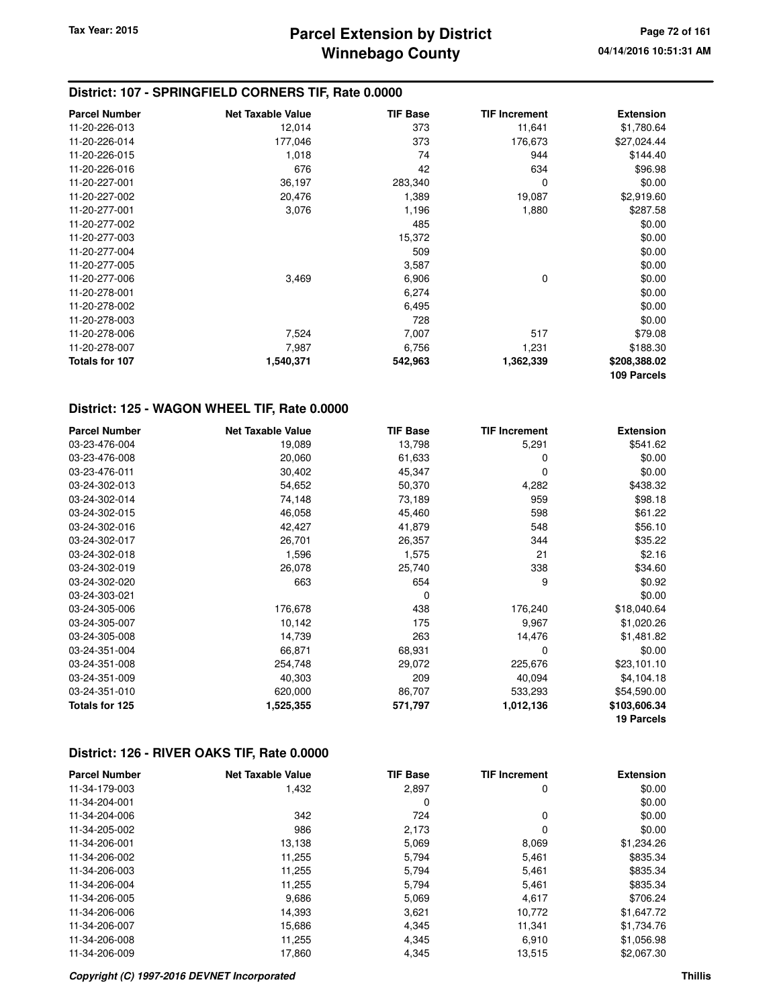### **District: 107 - SPRINGFIELD CORNERS TIF, Rate 0.0000**

| <b>Parcel Number</b> | <b>Net Taxable Value</b> | <b>TIF Base</b> | <b>TIF Increment</b> | <b>Extension</b> |
|----------------------|--------------------------|-----------------|----------------------|------------------|
| 11-20-226-013        | 12,014                   | 373             | 11,641               | \$1,780.64       |
| 11-20-226-014        | 177,046                  | 373             | 176,673              | \$27,024.44      |
| 11-20-226-015        | 1,018                    | 74              | 944                  | \$144.40         |
| 11-20-226-016        | 676                      | 42              | 634                  | \$96.98          |
| 11-20-227-001        | 36,197                   | 283,340         | 0                    | \$0.00           |
| 11-20-227-002        | 20,476                   | 1,389           | 19,087               | \$2,919.60       |
| 11-20-277-001        | 3,076                    | 1,196           | 1,880                | \$287.58         |
| 11-20-277-002        |                          | 485             |                      | \$0.00           |
| 11-20-277-003        |                          | 15,372          |                      | \$0.00           |
| 11-20-277-004        |                          | 509             |                      | \$0.00           |
| 11-20-277-005        |                          | 3,587           |                      | \$0.00           |
| 11-20-277-006        | 3,469                    | 6,906           | 0                    | \$0.00           |
| 11-20-278-001        |                          | 6,274           |                      | \$0.00           |
| 11-20-278-002        |                          | 6,495           |                      | \$0.00           |
| 11-20-278-003        |                          | 728             |                      | \$0.00           |
| 11-20-278-006        | 7,524                    | 7,007           | 517                  | \$79.08          |
| 11-20-278-007        | 7,987                    | 6,756           | 1,231                | \$188.30         |
| Totals for 107       | 1,540,371                | 542,963         | 1,362,339            | \$208,388.02     |
|                      |                          |                 |                      | 109 Parcels      |

### **District: 125 - WAGON WHEEL TIF, Rate 0.0000**

| <b>Parcel Number</b> | <b>Net Taxable Value</b> | <b>TIF Base</b> | <b>TIF Increment</b> | <b>Extension</b> |
|----------------------|--------------------------|-----------------|----------------------|------------------|
| 03-23-476-004        | 19,089                   | 13,798          | 5,291                | \$541.62         |
| 03-23-476-008        | 20,060                   | 61,633          | 0                    | \$0.00           |
| 03-23-476-011        | 30,402                   | 45,347          | 0                    | \$0.00           |
| 03-24-302-013        | 54,652                   | 50,370          | 4,282                | \$438.32         |
| 03-24-302-014        | 74,148                   | 73,189          | 959                  | \$98.18          |
| 03-24-302-015        | 46,058                   | 45,460          | 598                  | \$61.22          |
| 03-24-302-016        | 42,427                   | 41,879          | 548                  | \$56.10          |
| 03-24-302-017        | 26,701                   | 26,357          | 344                  | \$35.22          |
| 03-24-302-018        | 1,596                    | 1,575           | 21                   | \$2.16           |
| 03-24-302-019        | 26,078                   | 25,740          | 338                  | \$34.60          |
| 03-24-302-020        | 663                      | 654             | 9                    | \$0.92           |
| 03-24-303-021        |                          | $\Omega$        |                      | \$0.00           |
| 03-24-305-006        | 176,678                  | 438             | 176,240              | \$18,040.64      |
| 03-24-305-007        | 10,142                   | 175             | 9,967                | \$1,020.26       |
| 03-24-305-008        | 14,739                   | 263             | 14,476               | \$1,481.82       |
| 03-24-351-004        | 66,871                   | 68,931          | 0                    | \$0.00           |
| 03-24-351-008        | 254,748                  | 29,072          | 225,676              | \$23,101.10      |
| 03-24-351-009        | 40,303                   | 209             | 40,094               | \$4,104.18       |
| 03-24-351-010        | 620,000                  | 86,707          | 533,293              | \$54,590.00      |
| Totals for 125       | 1,525,355                | 571,797         | 1,012,136            | \$103,606.34     |
|                      |                          |                 |                      | 19 Parcels       |

#### **District: 126 - RIVER OAKS TIF, Rate 0.0000**

| <b>Parcel Number</b> | <b>Net Taxable Value</b> | <b>TIF Base</b> | <b>TIF Increment</b> | <b>Extension</b> |
|----------------------|--------------------------|-----------------|----------------------|------------------|
| 11-34-179-003        | 1,432                    | 2,897           | 0                    | \$0.00           |
| 11-34-204-001        |                          | 0               |                      | \$0.00           |
| 11-34-204-006        | 342                      | 724             | 0                    | \$0.00           |
| 11-34-205-002        | 986                      | 2,173           | 0                    | \$0.00           |
| 11-34-206-001        | 13.138                   | 5,069           | 8,069                | \$1,234.26       |
| 11-34-206-002        | 11,255                   | 5,794           | 5,461                | \$835.34         |
| 11-34-206-003        | 11,255                   | 5,794           | 5,461                | \$835.34         |
| 11-34-206-004        | 11,255                   | 5,794           | 5,461                | \$835.34         |
| 11-34-206-005        | 9,686                    | 5,069           | 4,617                | \$706.24         |
| 11-34-206-006        | 14,393                   | 3,621           | 10,772               | \$1,647.72       |
| 11-34-206-007        | 15,686                   | 4,345           | 11,341               | \$1,734.76       |
| 11-34-206-008        | 11,255                   | 4,345           | 6,910                | \$1,056.98       |
| 11-34-206-009        | 17.860                   | 4.345           | 13,515               | \$2,067.30       |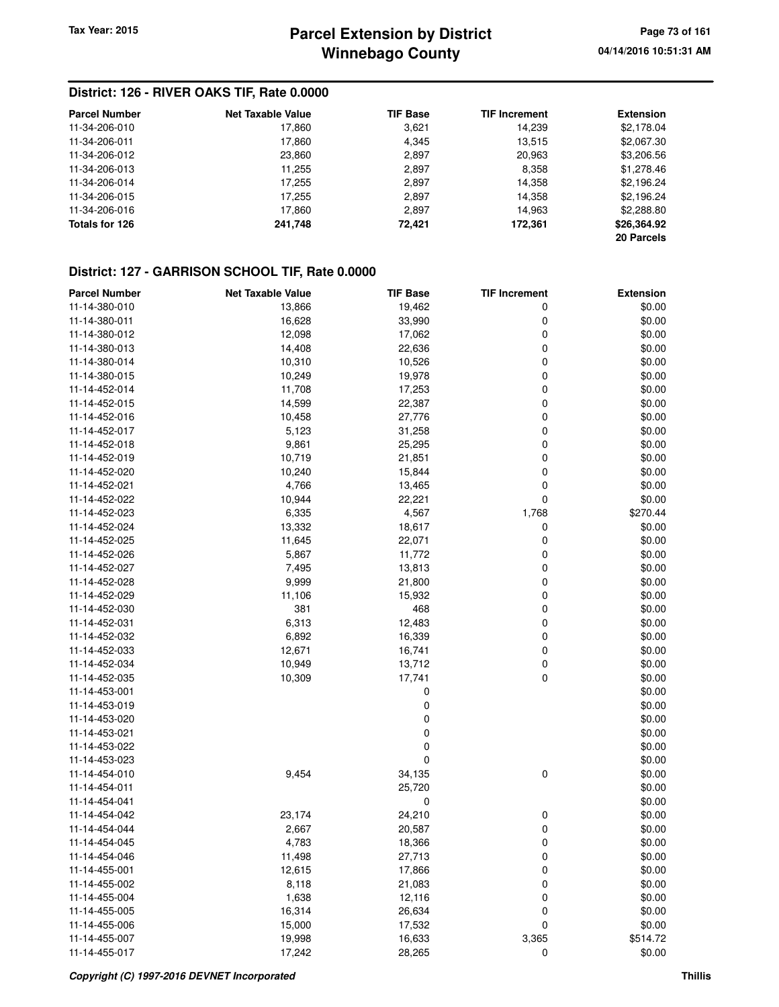## **Winnebago County Parcel Extension by District Tax Year: 2015 Page 73 of 161**

#### **District: 126 - RIVER OAKS TIF, Rate 0.0000**

| <b>Parcel Number</b> | Net Taxable Value | <b>TIF Base</b> | <b>TIF Increment</b> | <b>Extension</b> |
|----------------------|-------------------|-----------------|----------------------|------------------|
| 11-34-206-010        | 17,860            | 3,621           | 14,239               | \$2,178.04       |
| 11-34-206-011        | 17.860            | 4.345           | 13,515               | \$2,067.30       |
| 11-34-206-012        | 23,860            | 2,897           | 20,963               | \$3,206.56       |
| 11-34-206-013        | 11,255            | 2,897           | 8,358                | \$1,278.46       |
| 11-34-206-014        | 17,255            | 2,897           | 14,358               | \$2,196.24       |
| 11-34-206-015        | 17,255            | 2,897           | 14,358               | \$2,196.24       |
| 11-34-206-016        | 17,860            | 2,897           | 14,963               | \$2,288.80       |
| Totals for 126       | 241,748           | 72,421          | 172,361              | \$26,364.92      |
|                      |                   |                 |                      | 20 Parcels       |

#### **District: 127 - GARRISON SCHOOL TIF, Rate 0.0000**

| <b>Parcel Number</b> | <b>Net Taxable Value</b> | <b>TIF Base</b> | <b>TIF Increment</b> | <b>Extension</b> |
|----------------------|--------------------------|-----------------|----------------------|------------------|
| 11-14-380-010        | 13,866                   | 19,462          | 0                    | \$0.00           |
| 11-14-380-011        | 16,628                   | 33,990          | 0                    | \$0.00           |
| 11-14-380-012        | 12,098                   | 17,062          | 0                    | \$0.00           |
| 11-14-380-013        | 14,408                   | 22,636          | 0                    | \$0.00           |
| 11-14-380-014        | 10,310                   | 10,526          | 0                    | \$0.00           |
| 11-14-380-015        | 10,249                   | 19,978          | 0                    | \$0.00           |
| 11-14-452-014        | 11,708                   | 17,253          | 0                    | \$0.00           |
| 11-14-452-015        | 14,599                   | 22,387          | 0                    | \$0.00           |
| 11-14-452-016        | 10,458                   | 27,776          | 0                    | \$0.00           |
| 11-14-452-017        | 5,123                    | 31,258          | 0                    | \$0.00           |
| 11-14-452-018        | 9,861                    | 25,295          | 0                    | \$0.00           |
| 11-14-452-019        | 10,719                   | 21,851          | 0                    | \$0.00           |
| 11-14-452-020        | 10,240                   | 15,844          | 0                    | \$0.00           |
| 11-14-452-021        | 4,766                    | 13,465          | 0                    | \$0.00           |
| 11-14-452-022        | 10,944                   | 22,221          | 0                    | \$0.00           |
| 11-14-452-023        | 6,335                    | 4,567           | 1,768                | \$270.44         |
| 11-14-452-024        | 13,332                   | 18,617          | 0                    | \$0.00           |
| 11-14-452-025        | 11,645                   | 22,071          | 0                    | \$0.00           |
| 11-14-452-026        | 5,867                    | 11,772          | 0                    | \$0.00           |
| 11-14-452-027        | 7,495                    | 13,813          | 0                    | \$0.00           |
| 11-14-452-028        | 9,999                    | 21,800          | 0                    | \$0.00           |
| 11-14-452-029        | 11,106                   | 15,932          | 0                    | \$0.00           |
| 11-14-452-030        | 381                      | 468             | 0                    | \$0.00           |
| 11-14-452-031        | 6,313                    | 12,483          | 0                    | \$0.00           |
| 11-14-452-032        | 6,892                    | 16,339          | 0                    | \$0.00           |
| 11-14-452-033        | 12,671                   | 16,741          | 0                    | \$0.00           |
| 11-14-452-034        | 10,949                   | 13,712          | 0                    | \$0.00           |
| 11-14-452-035        | 10,309                   | 17,741          | 0                    | \$0.00           |
| 11-14-453-001        |                          | 0               |                      | \$0.00           |
| 11-14-453-019        |                          | 0               |                      | \$0.00           |
| 11-14-453-020        |                          | 0               |                      | \$0.00           |
| 11-14-453-021        |                          | 0               |                      | \$0.00           |
| 11-14-453-022        |                          | 0               |                      | \$0.00           |
| 11-14-453-023        |                          | 0               |                      | \$0.00           |
| 11-14-454-010        | 9,454                    | 34,135          | 0                    | \$0.00           |
| 11-14-454-011        |                          | 25,720          |                      | \$0.00           |
| 11-14-454-041        |                          | 0               |                      | \$0.00           |
| 11-14-454-042        | 23,174                   | 24,210          | 0                    | \$0.00           |
| 11-14-454-044        | 2,667                    | 20,587          | 0                    | \$0.00           |
| 11-14-454-045        | 4,783                    | 18,366          | 0                    | \$0.00           |
| 11-14-454-046        | 11,498                   | 27,713          | 0                    | \$0.00           |
| 11-14-455-001        | 12,615                   | 17,866          | 0                    | \$0.00           |
| 11-14-455-002        | 8,118                    | 21,083          | 0                    | \$0.00           |
| 11-14-455-004        | 1,638                    | 12,116          | 0                    | \$0.00           |
| 11-14-455-005        | 16,314                   | 26,634          | 0                    | \$0.00           |
| 11-14-455-006        | 15,000                   | 17,532          | 0                    | \$0.00           |
| 11-14-455-007        | 19,998                   | 16,633          | 3,365                | \$514.72         |
| 11-14-455-017        | 17,242                   | 28,265          | 0                    | \$0.00           |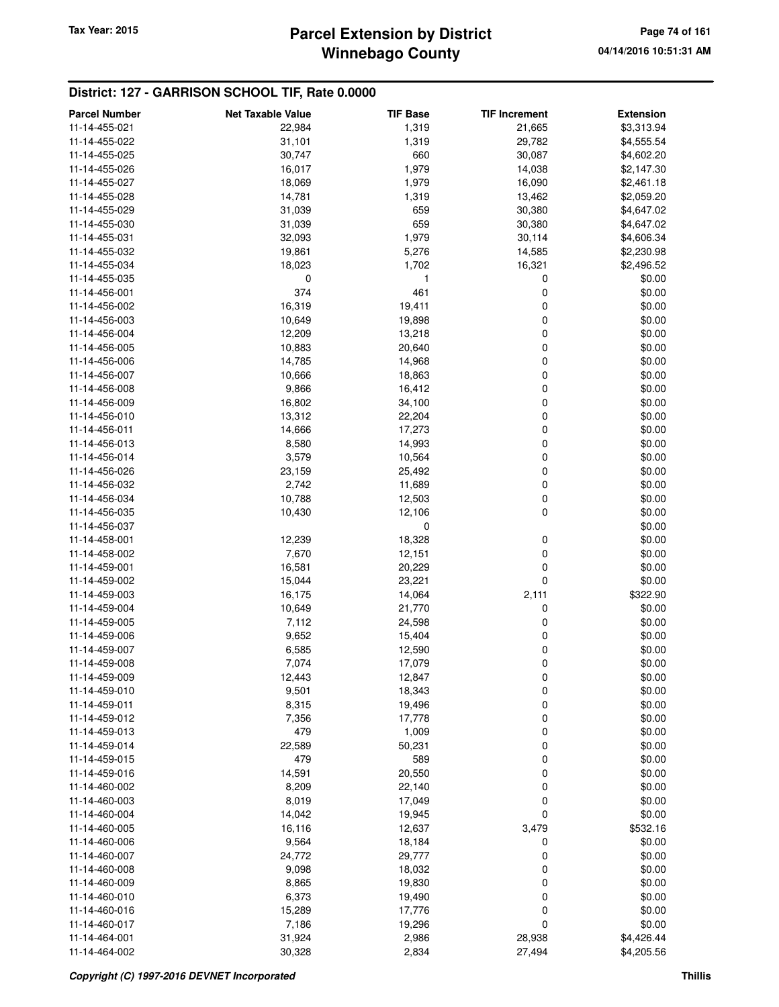# **Winnebago County** Tax Year: 2015 **Parcel Extension by District Page 74 of 161**

#### **District: 127 - GARRISON SCHOOL TIF, Rate 0.0000**

| <b>Parcel Number</b> | <b>Net Taxable Value</b> | <b>TIF Base</b> | <b>TIF Increment</b> | <b>Extension</b> |
|----------------------|--------------------------|-----------------|----------------------|------------------|
| 11-14-455-021        | 22,984                   | 1,319           | 21,665               | \$3,313.94       |
| 11-14-455-022        | 31,101                   | 1,319           | 29,782               | \$4,555.54       |
| 11-14-455-025        | 30,747                   | 660             | 30,087               | \$4,602.20       |
| 11-14-455-026        | 16,017                   | 1,979           | 14,038               | \$2,147.30       |
| 11-14-455-027        | 18,069                   | 1,979           | 16,090               | \$2,461.18       |
| 11-14-455-028        | 14,781                   | 1,319           | 13,462               | \$2,059.20       |
| 11-14-455-029        | 31,039                   | 659             | 30,380               | \$4,647.02       |
| 11-14-455-030        | 31,039                   | 659             | 30,380               | \$4,647.02       |
| 11-14-455-031        | 32,093                   | 1,979           | 30,114               | \$4,606.34       |
| 11-14-455-032        | 19,861                   | 5,276           | 14,585               | \$2,230.98       |
| 11-14-455-034        | 18,023                   | 1,702           | 16,321               | \$2,496.52       |
| 11-14-455-035        | 0                        | 1               | 0                    | \$0.00           |
| 11-14-456-001        | 374                      | 461             | 0                    | \$0.00           |
| 11-14-456-002        | 16,319                   | 19,411          | 0                    | \$0.00           |
| 11-14-456-003        | 10,649                   | 19,898          | 0                    | \$0.00           |
| 11-14-456-004        | 12,209                   | 13,218          | 0                    | \$0.00           |
| 11-14-456-005        | 10,883                   | 20,640          | 0                    | \$0.00           |
| 11-14-456-006        | 14,785                   | 14,968          | 0                    | \$0.00           |
| 11-14-456-007        | 10,666                   | 18,863          | 0                    | \$0.00           |
| 11-14-456-008        | 9,866                    | 16,412          | 0                    | \$0.00           |
| 11-14-456-009        | 16,802                   | 34,100          | 0                    | \$0.00           |
| 11-14-456-010        | 13,312                   | 22,204          | 0                    | \$0.00           |
| 11-14-456-011        | 14,666                   | 17,273          | 0                    | \$0.00           |
| 11-14-456-013        | 8,580                    | 14,993          | 0                    | \$0.00           |
| 11-14-456-014        | 3,579                    | 10,564          | 0                    | \$0.00           |
| 11-14-456-026        | 23,159                   | 25,492          | 0                    | \$0.00           |
| 11-14-456-032        | 2,742                    | 11,689          | 0                    | \$0.00           |
| 11-14-456-034        | 10,788                   | 12,503          | 0                    | \$0.00           |
| 11-14-456-035        | 10,430                   | 12,106          | 0                    | \$0.00           |
| 11-14-456-037        |                          | 0               |                      | \$0.00           |
| 11-14-458-001        | 12,239                   | 18,328          | 0                    | \$0.00           |
| 11-14-458-002        | 7,670                    | 12,151          | 0                    | \$0.00           |
| 11-14-459-001        | 16,581                   | 20,229          | 0                    | \$0.00           |
| 11-14-459-002        | 15,044                   | 23,221          | 0                    | \$0.00           |
| 11-14-459-003        | 16,175                   | 14,064          | 2,111                | \$322.90         |
| 11-14-459-004        | 10,649                   | 21,770          | 0                    | \$0.00           |
| 11-14-459-005        | 7,112                    | 24,598          | 0                    | \$0.00           |
| 11-14-459-006        | 9,652                    | 15,404          | 0                    | \$0.00           |
| 11-14-459-007        | 6,585                    | 12,590          | 0                    | \$0.00           |
| 11-14-459-008        | 7,074                    | 17,079          | 0                    | \$0.00           |
| 11-14-459-009        | 12,443                   | 12,847          | 0                    | \$0.00           |
| 11-14-459-010        | 9,501                    | 18,343          | 0                    | \$0.00           |
| 11-14-459-011        | 8,315                    | 19,496          | 0                    | \$0.00           |
| 11-14-459-012        | 7,356                    | 17,778          | 0                    | \$0.00           |
| 11-14-459-013        | 479                      | 1,009           | 0                    | \$0.00           |
| 11-14-459-014        | 22,589                   | 50,231          | 0                    | \$0.00           |
| 11-14-459-015        | 479                      | 589             | 0                    | \$0.00           |
| 11-14-459-016        | 14,591                   | 20,550          | 0                    | \$0.00           |
| 11-14-460-002        | 8,209                    | 22,140          | 0                    | \$0.00           |
| 11-14-460-003        | 8,019                    | 17,049          | 0                    | \$0.00           |
| 11-14-460-004        | 14,042                   | 19,945          | 0                    | \$0.00           |
| 11-14-460-005        | 16,116                   | 12,637          | 3,479                | \$532.16         |
| 11-14-460-006        | 9,564                    | 18,184          | 0                    | \$0.00           |
| 11-14-460-007        | 24,772                   | 29,777          | 0                    | \$0.00           |
| 11-14-460-008        | 9,098                    | 18,032          | 0                    | \$0.00           |
| 11-14-460-009        | 8,865                    | 19,830          | 0                    | \$0.00           |
| 11-14-460-010        | 6,373                    | 19,490          | 0                    | \$0.00           |
| 11-14-460-016        | 15,289                   | 17,776          | 0                    | \$0.00           |
| 11-14-460-017        | 7,186                    | 19,296          | 0                    | \$0.00           |
| 11-14-464-001        | 31,924                   | 2,986           | 28,938               | \$4,426.44       |
| 11-14-464-002        | 30,328                   | 2,834           | 27,494               | \$4,205.56       |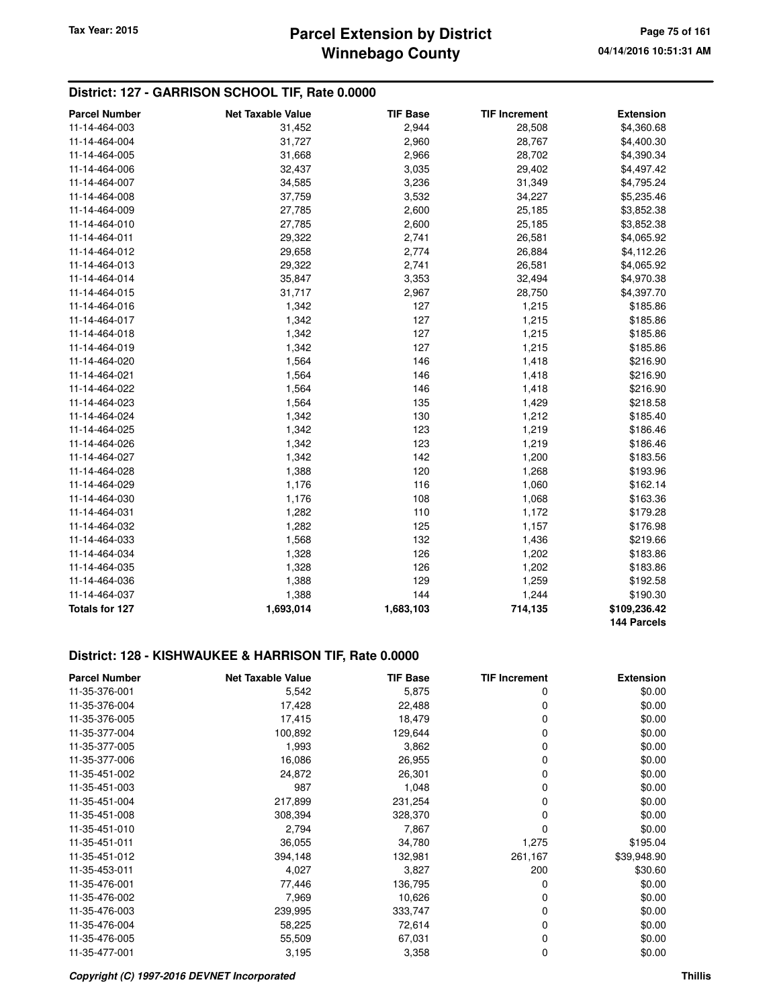#### **District: 127 - GARRISON SCHOOL TIF, Rate 0.0000**

| <b>Parcel Number</b> | <b>Net Taxable Value</b> | <b>TIF Base</b> | <b>TIF Increment</b> | <b>Extension</b> |
|----------------------|--------------------------|-----------------|----------------------|------------------|
| 11-14-464-003        | 31,452                   | 2,944           | 28,508               | \$4,360.68       |
| 11-14-464-004        | 31,727                   | 2,960           | 28,767               | \$4,400.30       |
| 11-14-464-005        | 31,668                   | 2,966           | 28,702               | \$4,390.34       |
| 11-14-464-006        | 32,437                   | 3,035           | 29,402               | \$4,497.42       |
| 11-14-464-007        | 34,585                   | 3,236           | 31,349               | \$4,795.24       |
| 11-14-464-008        | 37,759                   | 3,532           | 34,227               | \$5,235.46       |
| 11-14-464-009        | 27,785                   | 2,600           | 25,185               | \$3,852.38       |
| 11-14-464-010        | 27,785                   | 2,600           | 25,185               | \$3,852.38       |
| 11-14-464-011        | 29,322                   | 2,741           | 26,581               | \$4,065.92       |
| 11-14-464-012        | 29,658                   | 2,774           | 26,884               | \$4,112.26       |
| 11-14-464-013        | 29,322                   | 2,741           | 26,581               | \$4,065.92       |
| 11-14-464-014        | 35,847                   | 3,353           | 32,494               | \$4,970.38       |
| 11-14-464-015        | 31,717                   | 2,967           | 28,750               | \$4,397.70       |
| 11-14-464-016        | 1,342                    | 127             | 1,215                | \$185.86         |
| 11-14-464-017        | 1,342                    | 127             | 1,215                | \$185.86         |
| 11-14-464-018        | 1,342                    | 127             | 1,215                | \$185.86         |
| 11-14-464-019        | 1,342                    | 127             | 1,215                | \$185.86         |
| 11-14-464-020        | 1,564                    | 146             | 1,418                | \$216.90         |
| 11-14-464-021        | 1,564                    | 146             | 1,418                | \$216.90         |
| 11-14-464-022        | 1,564                    | 146             | 1,418                | \$216.90         |
| 11-14-464-023        | 1,564                    | 135             | 1,429                | \$218.58         |
| 11-14-464-024        | 1,342                    | 130             | 1,212                | \$185.40         |
| 11-14-464-025        | 1,342                    | 123             | 1,219                | \$186.46         |
| 11-14-464-026        | 1,342                    | 123             | 1,219                | \$186.46         |
| 11-14-464-027        | 1,342                    | 142             | 1,200                | \$183.56         |
| 11-14-464-028        | 1,388                    | 120             | 1,268                | \$193.96         |
| 11-14-464-029        | 1,176                    | 116             | 1,060                | \$162.14         |
| 11-14-464-030        | 1,176                    | 108             | 1,068                | \$163.36         |
| 11-14-464-031        | 1,282                    | 110             | 1,172                | \$179.28         |
| 11-14-464-032        | 1,282                    | 125             | 1,157                | \$176.98         |
| 11-14-464-033        | 1,568                    | 132             | 1,436                | \$219.66         |
| 11-14-464-034        | 1,328                    | 126             | 1,202                | \$183.86         |
| 11-14-464-035        | 1,328                    | 126             | 1,202                | \$183.86         |
| 11-14-464-036        | 1,388                    | 129             | 1,259                | \$192.58         |
| 11-14-464-037        | 1,388                    | 144             | 1,244                | \$190.30         |
| Totals for 127       | 1,693,014                | 1,683,103       | 714,135              | \$109,236.42     |
|                      |                          |                 |                      | 144 Parcels      |

#### **District: 128 - KISHWAUKEE & HARRISON TIF, Rate 0.0000**

| <b>Parcel Number</b> | <b>Net Taxable Value</b> | <b>TIF Base</b> | <b>TIF Increment</b> | <b>Extension</b> |
|----------------------|--------------------------|-----------------|----------------------|------------------|
| 11-35-376-001        | 5,542                    | 5,875           | 0                    | \$0.00           |
| 11-35-376-004        | 17,428                   | 22,488          | 0                    | \$0.00           |
| 11-35-376-005        | 17,415                   | 18,479          | 0                    | \$0.00           |
| 11-35-377-004        | 100,892                  | 129,644         | 0                    | \$0.00           |
| 11-35-377-005        | 1,993                    | 3,862           | 0                    | \$0.00           |
| 11-35-377-006        | 16,086                   | 26,955          | 0                    | \$0.00           |
| 11-35-451-002        | 24,872                   | 26,301          | 0                    | \$0.00           |
| 11-35-451-003        | 987                      | 1,048           | 0                    | \$0.00           |
| 11-35-451-004        | 217,899                  | 231,254         | 0                    | \$0.00           |
| 11-35-451-008        | 308,394                  | 328,370         | 0                    | \$0.00           |
| 11-35-451-010        | 2,794                    | 7,867           | 0                    | \$0.00           |
| 11-35-451-011        | 36,055                   | 34,780          | 1,275                | \$195.04         |
| 11-35-451-012        | 394,148                  | 132,981         | 261,167              | \$39,948.90      |
| 11-35-453-011        | 4,027                    | 3,827           | 200                  | \$30.60          |
| 11-35-476-001        | 77,446                   | 136,795         | 0                    | \$0.00           |
| 11-35-476-002        | 7,969                    | 10,626          | 0                    | \$0.00           |
| 11-35-476-003        | 239,995                  | 333,747         | 0                    | \$0.00           |
| 11-35-476-004        | 58,225                   | 72,614          | 0                    | \$0.00           |
| 11-35-476-005        | 55,509                   | 67,031          | 0                    | \$0.00           |
| 11-35-477-001        | 3,195                    | 3,358           | 0                    | \$0.00           |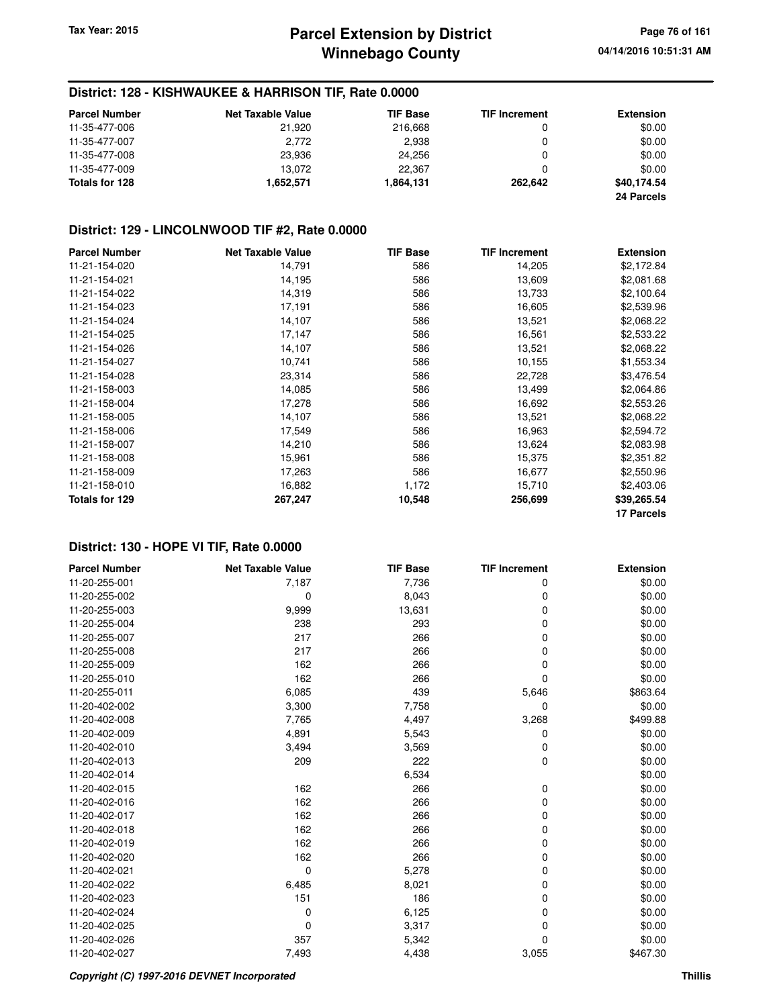#### **District: 128 - KISHWAUKEE & HARRISON TIF, Rate 0.0000**

| <b>Parcel Number</b> | <b>Net Taxable Value</b> | <b>TIF Base</b> | <b>TIF Increment</b> | <b>Extension</b> |
|----------------------|--------------------------|-----------------|----------------------|------------------|
| 11-35-477-006        | 21.920                   | 216,668         |                      | \$0.00           |
| 11-35-477-007        | 2,772                    | 2.938           |                      | \$0.00           |
| 11-35-477-008        | 23.936                   | 24.256          |                      | \$0.00           |
| 11-35-477-009        | 13.072                   | 22,367          |                      | \$0.00           |
| Totals for 128       | 1,652,571                | 1,864,131       | 262.642              | \$40,174.54      |
|                      |                          |                 |                      | 24 Parcels       |

#### **District: 129 - LINCOLNWOOD TIF #2, Rate 0.0000**

| <b>Parcel Number</b> | <b>Net Taxable Value</b> | <b>TIF Base</b> | <b>TIF Increment</b> | <b>Extension</b> |
|----------------------|--------------------------|-----------------|----------------------|------------------|
| 11-21-154-020        | 14,791                   | 586             | 14,205               | \$2,172.84       |
| 11-21-154-021        | 14,195                   | 586             | 13,609               | \$2,081.68       |
| 11-21-154-022        | 14,319                   | 586             | 13,733               | \$2,100.64       |
| 11-21-154-023        | 17,191                   | 586             | 16,605               | \$2,539.96       |
| 11-21-154-024        | 14,107                   | 586             | 13,521               | \$2,068.22       |
| 11-21-154-025        | 17,147                   | 586             | 16,561               | \$2,533.22       |
| 11-21-154-026        | 14,107                   | 586             | 13,521               | \$2,068.22       |
| 11-21-154-027        | 10,741                   | 586             | 10,155               | \$1,553.34       |
| 11-21-154-028        | 23,314                   | 586             | 22,728               | \$3,476.54       |
| 11-21-158-003        | 14,085                   | 586             | 13,499               | \$2,064.86       |
| 11-21-158-004        | 17,278                   | 586             | 16,692               | \$2,553.26       |
| 11-21-158-005        | 14,107                   | 586             | 13,521               | \$2,068.22       |
| 11-21-158-006        | 17,549                   | 586             | 16,963               | \$2,594.72       |
| 11-21-158-007        | 14,210                   | 586             | 13,624               | \$2,083.98       |
| 11-21-158-008        | 15,961                   | 586             | 15,375               | \$2,351.82       |
| 11-21-158-009        | 17,263                   | 586             | 16,677               | \$2,550.96       |
| 11-21-158-010        | 16,882                   | 1,172           | 15,710               | \$2,403.06       |
| Totals for 129       | 267,247                  | 10,548          | 256,699              | \$39,265.54      |
|                      |                          |                 |                      | 17 Parcels       |

| <b>Parcel Number</b> | <b>Net Taxable Value</b> | <b>TIF Base</b> | <b>TIF Increment</b> | <b>Extension</b> |
|----------------------|--------------------------|-----------------|----------------------|------------------|
| 11-20-255-001        | 7,187                    | 7,736           | 0                    | \$0.00           |
| 11-20-255-002        | 0                        | 8,043           | 0                    | \$0.00           |
| 11-20-255-003        | 9,999                    | 13,631          | 0                    | \$0.00           |
| 11-20-255-004        | 238                      | 293             | 0                    | \$0.00           |
| 11-20-255-007        | 217                      | 266             | 0                    | \$0.00           |
| 11-20-255-008        | 217                      | 266             | 0                    | \$0.00           |
| 11-20-255-009        | 162                      | 266             | 0                    | \$0.00           |
| 11-20-255-010        | 162                      | 266             | 0                    | \$0.00           |
| 11-20-255-011        | 6,085                    | 439             | 5,646                | \$863.64         |
| 11-20-402-002        | 3,300                    | 7,758           | 0                    | \$0.00           |
| 11-20-402-008        | 7,765                    | 4,497           | 3,268                | \$499.88         |
| 11-20-402-009        | 4,891                    | 5,543           | 0                    | \$0.00           |
| 11-20-402-010        | 3,494                    | 3,569           | 0                    | \$0.00           |
| 11-20-402-013        | 209                      | 222             | 0                    | \$0.00           |
| 11-20-402-014        |                          | 6,534           |                      | \$0.00           |
| 11-20-402-015        | 162                      | 266             | 0                    | \$0.00           |
| 11-20-402-016        | 162                      | 266             | 0                    | \$0.00           |
| 11-20-402-017        | 162                      | 266             | 0                    | \$0.00           |
| 11-20-402-018        | 162                      | 266             | 0                    | \$0.00           |
| 11-20-402-019        | 162                      | 266             | 0                    | \$0.00           |
| 11-20-402-020        | 162                      | 266             | 0                    | \$0.00           |
| 11-20-402-021        | $\mathbf 0$              | 5,278           | 0                    | \$0.00           |
| 11-20-402-022        | 6,485                    | 8,021           | 0                    | \$0.00           |
| 11-20-402-023        | 151                      | 186             | 0                    | \$0.00           |
| 11-20-402-024        | 0                        | 6,125           | 0                    | \$0.00           |
| 11-20-402-025        | 0                        | 3,317           | 0                    | \$0.00           |
| 11-20-402-026        | 357                      | 5,342           | 0                    | \$0.00           |
| 11-20-402-027        | 7,493                    | 4,438           | 3,055                | \$467.30         |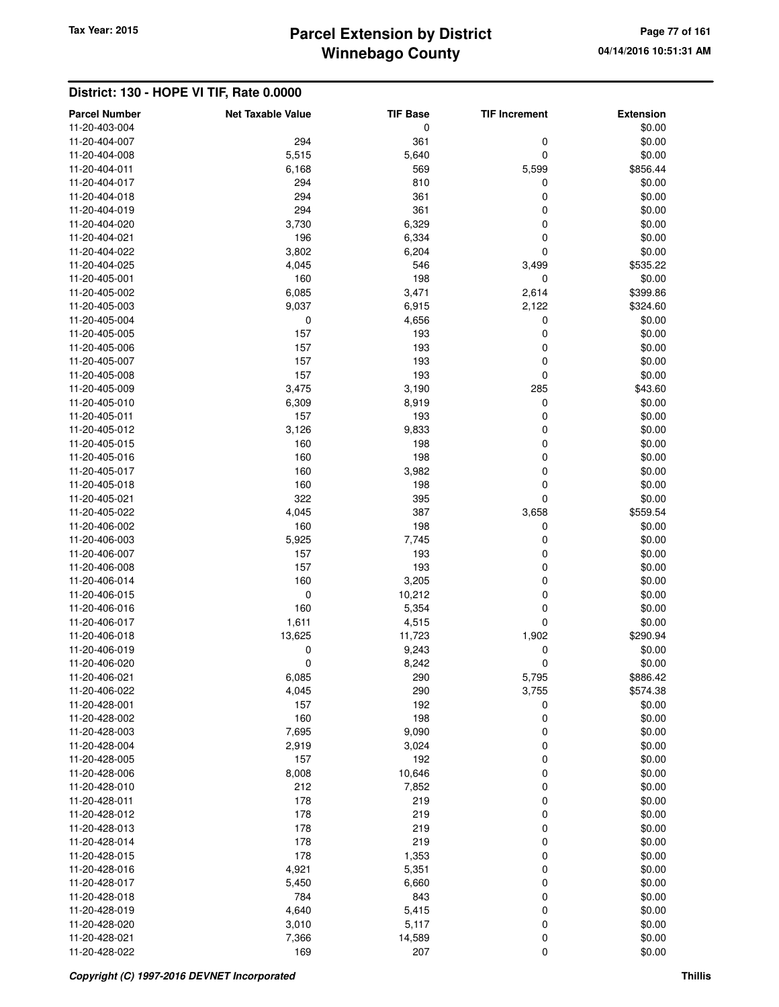# **Winnebago County** Tax Year: 2015 **Parcel Extension by District Page 77 of 161**

| <b>Parcel Number</b><br>11-20-403-004 | <b>Net Taxable Value</b> | <b>TIF Base</b><br>0 | <b>TIF Increment</b> | <b>Extension</b><br>\$0.00 |
|---------------------------------------|--------------------------|----------------------|----------------------|----------------------------|
| 11-20-404-007                         | 294                      | 361                  | 0                    | \$0.00                     |
| 11-20-404-008                         | 5,515                    | 5,640                | 0                    | \$0.00                     |
| 11-20-404-011                         | 6,168                    | 569                  | 5,599                | \$856.44                   |
| 11-20-404-017                         | 294                      | 810                  | 0                    | \$0.00                     |
| 11-20-404-018                         | 294                      |                      | 0                    | \$0.00                     |
|                                       |                          | 361                  |                      |                            |
| 11-20-404-019                         | 294                      | 361                  | 0                    | \$0.00                     |
| 11-20-404-020                         | 3,730                    | 6,329                | 0                    | \$0.00                     |
| 11-20-404-021                         | 196                      | 6,334                | 0                    | \$0.00                     |
| 11-20-404-022                         | 3,802                    | 6,204                | 0                    | \$0.00                     |
| 11-20-404-025                         | 4,045                    | 546                  | 3,499                | \$535.22                   |
| 11-20-405-001                         | 160                      | 198                  | 0                    | \$0.00                     |
| 11-20-405-002                         | 6,085                    | 3,471                | 2,614                | \$399.86                   |
| 11-20-405-003                         | 9,037                    | 6,915                | 2,122                | \$324.60                   |
| 11-20-405-004                         | 0                        | 4,656                | 0                    | \$0.00                     |
| 11-20-405-005                         | 157                      | 193                  | 0                    | \$0.00                     |
| 11-20-405-006                         | 157                      | 193                  | 0                    | \$0.00                     |
| 11-20-405-007                         | 157                      | 193                  | 0                    | \$0.00                     |
| 11-20-405-008                         | 157                      | 193                  | 0                    | \$0.00                     |
| 11-20-405-009                         | 3,475                    | 3,190                | 285                  | \$43.60                    |
| 11-20-405-010                         | 6,309                    | 8,919                | 0                    | \$0.00                     |
| 11-20-405-011                         | 157                      | 193                  | 0                    | \$0.00                     |
| 11-20-405-012                         | 3,126                    | 9,833                | 0                    | \$0.00                     |
| 11-20-405-015                         | 160                      | 198                  | 0                    | \$0.00                     |
| 11-20-405-016                         | 160                      | 198                  | 0                    | \$0.00                     |
| 11-20-405-017                         | 160                      | 3,982                | 0                    | \$0.00                     |
| 11-20-405-018                         | 160                      | 198                  | 0                    | \$0.00                     |
| 11-20-405-021                         | 322                      | 395                  | 0                    | \$0.00                     |
| 11-20-405-022                         | 4,045                    | 387                  | 3,658                | \$559.54                   |
| 11-20-406-002                         | 160                      | 198                  | 0                    | \$0.00                     |
| 11-20-406-003                         | 5,925                    | 7,745                | 0                    | \$0.00                     |
| 11-20-406-007                         | 157                      | 193                  | 0                    | \$0.00                     |
| 11-20-406-008                         | 157                      | 193                  | 0                    | \$0.00                     |
| 11-20-406-014                         | 160                      | 3,205                | 0                    | \$0.00                     |
| 11-20-406-015                         | 0                        | 10,212               | 0                    | \$0.00                     |
| 11-20-406-016                         | 160                      | 5,354                | 0                    | \$0.00                     |
| 11-20-406-017                         | 1,611                    | 4,515                | 0                    | \$0.00                     |
| 11-20-406-018                         | 13,625                   | 11,723               | 1,902                | \$290.94                   |
| 11-20-406-019                         | 0                        | 9,243                | 0                    | \$0.00                     |
| 11-20-406-020                         | 0                        | 8,242                | 0                    | \$0.00                     |
| 11-20-406-021                         | 6,085                    | 290                  | 5,795                | \$886.42                   |
| 11-20-406-022                         | 4,045                    | 290                  | 3,755                | \$574.38                   |
| 11-20-428-001                         | 157                      | 192                  | 0                    | \$0.00                     |
| 11-20-428-002                         | 160                      | 198                  | 0                    | \$0.00                     |
| 11-20-428-003                         | 7,695                    | 9,090                | 0                    | \$0.00                     |
| 11-20-428-004                         | 2,919                    | 3,024                | 0                    | \$0.00                     |
| 11-20-428-005                         | 157                      | 192                  | 0                    | \$0.00                     |
| 11-20-428-006                         | 8,008                    | 10,646               | 0                    | \$0.00                     |
| 11-20-428-010                         | 212                      | 7,852                | 0                    | \$0.00                     |
| 11-20-428-011                         | 178                      | 219                  | 0                    | \$0.00                     |
| 11-20-428-012                         | 178                      | 219                  | 0                    | \$0.00                     |
| 11-20-428-013                         | 178                      | 219                  | 0                    | \$0.00                     |
| 11-20-428-014                         | 178                      | 219                  | 0                    | \$0.00                     |
| 11-20-428-015                         | 178                      | 1,353                | 0                    | \$0.00                     |
| 11-20-428-016                         | 4,921                    | 5,351                | 0                    | \$0.00                     |
| 11-20-428-017                         | 5,450                    | 6,660                | 0                    | \$0.00                     |
| 11-20-428-018                         | 784                      | 843                  | 0                    | \$0.00                     |
| 11-20-428-019                         | 4,640                    | 5,415                | 0                    | \$0.00                     |
| 11-20-428-020                         | 3,010                    | 5,117                | 0                    | \$0.00                     |
| 11-20-428-021                         | 7,366                    | 14,589               | 0                    | \$0.00                     |
| 11-20-428-022                         | 169                      | 207                  | 0                    | \$0.00                     |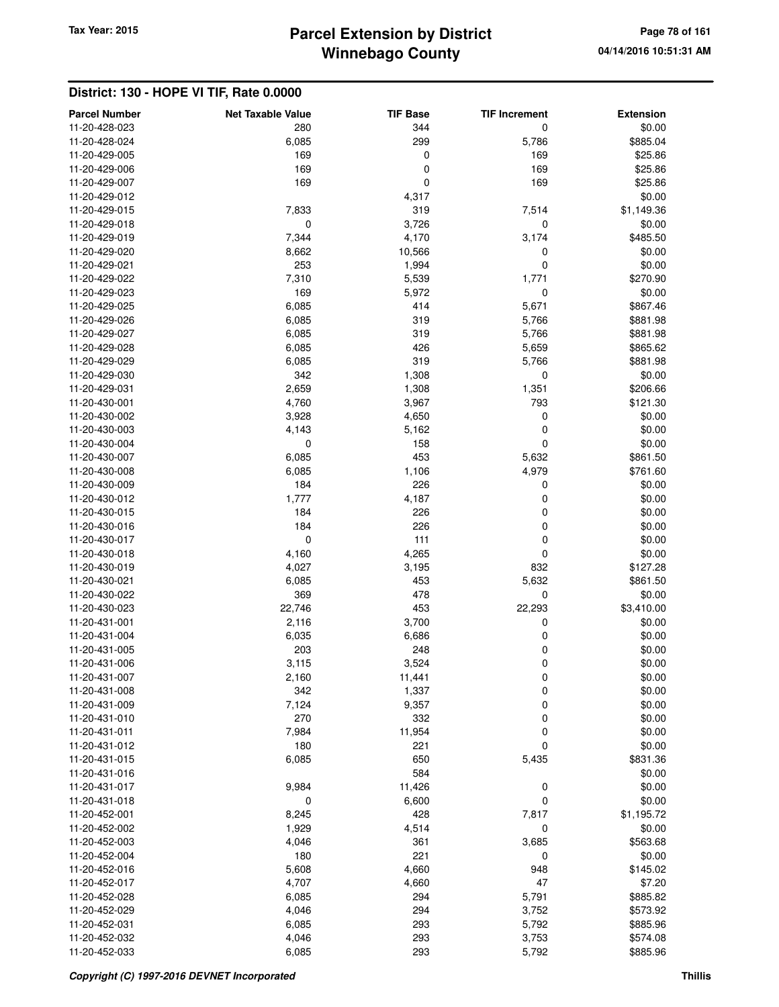## **Winnebago County Parcel Extension by District Tax Year: 2015 Page 78 of 161**

| <b>Parcel Number</b>           | <b>Net Taxable Value</b> | <b>TIF Base</b> | <b>TIF Increment</b> | <b>Extension</b>   |
|--------------------------------|--------------------------|-----------------|----------------------|--------------------|
| 11-20-428-023                  | 280                      | 344             | 0                    | \$0.00             |
| 11-20-428-024                  | 6,085                    | 299             | 5,786                | \$885.04           |
| 11-20-429-005                  | 169                      | 0               | 169                  | \$25.86            |
| 11-20-429-006                  | 169                      | 0               | 169                  | \$25.86            |
| 11-20-429-007                  | 169                      | 0               | 169                  | \$25.86            |
| 11-20-429-012                  |                          | 4,317           |                      | \$0.00             |
| 11-20-429-015                  | 7,833                    | 319             | 7,514                | \$1,149.36         |
| 11-20-429-018                  | 0                        | 3,726           | 0                    | \$0.00             |
| 11-20-429-019                  | 7,344                    | 4,170           | 3,174                | \$485.50           |
| 11-20-429-020                  | 8,662                    | 10,566          | 0                    | \$0.00             |
| 11-20-429-021                  | 253                      | 1,994           | 0                    | \$0.00             |
| 11-20-429-022                  | 7,310                    | 5,539           | 1,771                | \$270.90           |
| 11-20-429-023                  | 169                      | 5,972           | 0                    | \$0.00             |
| 11-20-429-025                  | 6,085                    | 414             | 5,671                | \$867.46           |
| 11-20-429-026                  | 6,085                    | 319             | 5,766                | \$881.98           |
| 11-20-429-027                  | 6,085                    | 319             | 5,766                | \$881.98           |
| 11-20-429-028                  | 6,085                    | 426             | 5,659                | \$865.62           |
| 11-20-429-029                  | 6,085                    | 319             | 5,766                | \$881.98           |
| 11-20-429-030                  | 342                      | 1,308           | 0                    | \$0.00             |
| 11-20-429-031                  | 2,659                    | 1,308           | 1,351                | \$206.66           |
| 11-20-430-001                  | 4,760                    | 3,967           | 793                  | \$121.30           |
| 11-20-430-002                  | 3,928                    | 4,650           | 0                    | \$0.00             |
| 11-20-430-003<br>11-20-430-004 | 4,143                    | 5,162<br>158    | 0                    | \$0.00             |
| 11-20-430-007                  | 0                        | 453             | 0                    | \$0.00<br>\$861.50 |
| 11-20-430-008                  | 6,085                    |                 | 5,632                |                    |
| 11-20-430-009                  | 6,085<br>184             | 1,106<br>226    | 4,979<br>0           | \$761.60<br>\$0.00 |
| 11-20-430-012                  | 1,777                    | 4,187           | 0                    | \$0.00             |
| 11-20-430-015                  | 184                      | 226             | 0                    | \$0.00             |
| 11-20-430-016                  | 184                      | 226             | 0                    | \$0.00             |
| 11-20-430-017                  | $\mathbf 0$              | 111             | 0                    | \$0.00             |
| 11-20-430-018                  | 4,160                    | 4,265           | 0                    | \$0.00             |
| 11-20-430-019                  | 4,027                    | 3,195           | 832                  | \$127.28           |
| 11-20-430-021                  | 6,085                    | 453             | 5,632                | \$861.50           |
| 11-20-430-022                  | 369                      | 478             | 0                    | \$0.00             |
| 11-20-430-023                  | 22,746                   | 453             | 22,293               | \$3,410.00         |
| 11-20-431-001                  | 2,116                    | 3,700           | 0                    | \$0.00             |
| 11-20-431-004                  | 6,035                    | 6,686           | 0                    | \$0.00             |
| 11-20-431-005                  | 203                      | 248             | 0                    | \$0.00             |
| 11-20-431-006                  | 3,115                    | 3,524           | 0                    | \$0.00             |
| 11-20-431-007                  | 2,160                    | 11,441          | 0                    | \$0.00             |
| 11-20-431-008                  | 342                      | 1,337           | 0                    | \$0.00             |
| 11-20-431-009                  | 7,124                    | 9,357           | 0                    | \$0.00             |
| 11-20-431-010                  | 270                      | 332             | 0                    | \$0.00             |
| 11-20-431-011                  | 7,984                    | 11,954          | 0                    | \$0.00             |
| 11-20-431-012                  | 180                      | 221             | 0                    | \$0.00             |
| 11-20-431-015                  | 6,085                    | 650             | 5,435                | \$831.36           |
| 11-20-431-016                  |                          | 584             |                      | \$0.00             |
| 11-20-431-017                  | 9,984                    | 11,426          | 0                    | \$0.00             |
| 11-20-431-018                  | $\mathbf 0$              | 6,600           | 0                    | \$0.00             |
| 11-20-452-001                  | 8,245                    | 428             | 7,817                | \$1,195.72         |
| 11-20-452-002                  | 1,929                    | 4,514           | 0                    | \$0.00             |
| 11-20-452-003<br>11-20-452-004 | 4,046<br>180             | 361<br>221      | 3,685<br>0           | \$563.68<br>\$0.00 |
| 11-20-452-016                  | 5,608                    | 4,660           | 948                  | \$145.02           |
| 11-20-452-017                  | 4,707                    | 4,660           | 47                   | \$7.20             |
| 11-20-452-028                  | 6,085                    | 294             | 5,791                | \$885.82           |
| 11-20-452-029                  | 4,046                    | 294             | 3,752                | \$573.92           |
| 11-20-452-031                  | 6,085                    | 293             | 5,792                | \$885.96           |
| 11-20-452-032                  | 4,046                    | 293             | 3,753                | \$574.08           |
| 11-20-452-033                  | 6,085                    | 293             | 5,792                | \$885.96           |
|                                |                          |                 |                      |                    |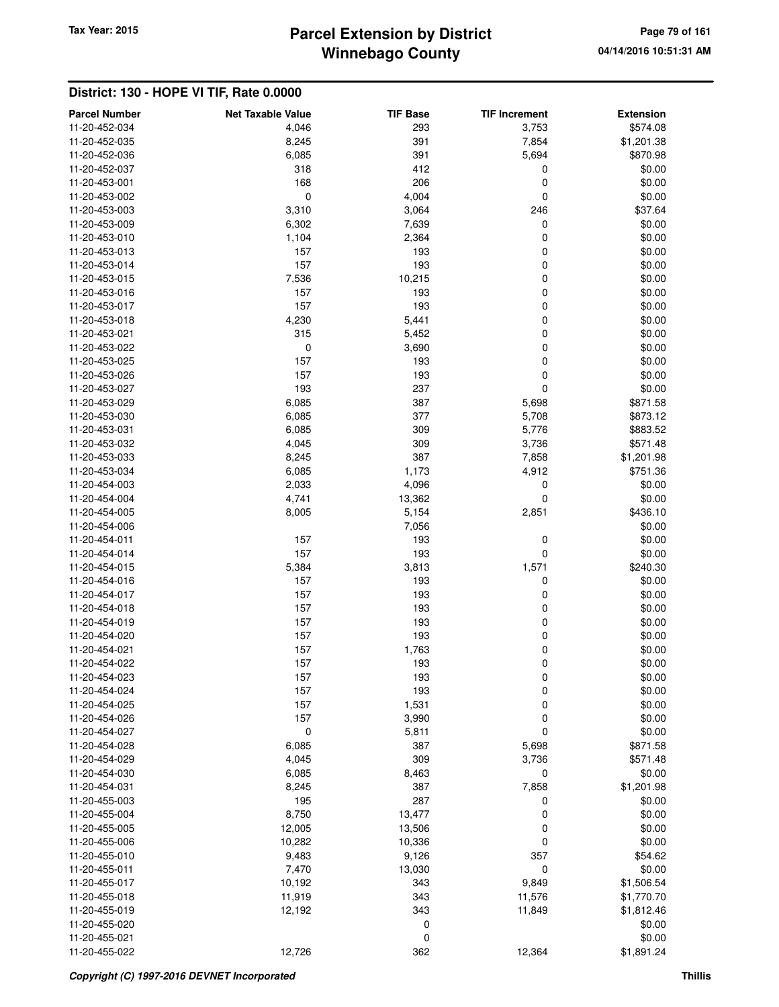## **Winnebago County Parcel Extension by District Tax Year: 2015 Page 79 of 161**

| 293<br>11-20-452-034<br>4,046<br>3,753<br>\$574.08<br>391<br>11-20-452-035<br>8,245<br>7,854<br>\$1,201.38<br>391<br>11-20-452-036<br>6,085<br>5,694<br>\$870.98<br>318<br>412<br>0<br>11-20-452-037<br>\$0.00<br>168<br>206<br>0<br>\$0.00<br>11-20-453-001<br>$\pmb{0}$<br>4,004<br>0<br>\$0.00<br>11-20-453-002<br>3,310<br>246<br>\$37.64<br>11-20-453-003<br>3,064<br>6,302<br>11-20-453-009<br>7,639<br>0<br>\$0.00<br>1,104<br>0<br>11-20-453-010<br>2,364<br>\$0.00<br>157<br>193<br>0<br>\$0.00<br>11-20-453-013<br>157<br>193<br>0<br>\$0.00<br>11-20-453-014<br>10,215<br>0<br>\$0.00<br>11-20-453-015<br>7,536<br>0<br>\$0.00<br>11-20-453-016<br>157<br>193<br>157<br>193<br>0<br>\$0.00<br>11-20-453-017<br>0<br>\$0.00<br>11-20-453-018<br>4,230<br>5,441<br>315<br>0<br>\$0.00<br>11-20-453-021<br>5,452<br>0<br>3,690<br>0<br>\$0.00<br>11-20-453-022<br>0<br>\$0.00<br>11-20-453-025<br>157<br>193<br>157<br>193<br>0<br>11-20-453-026<br>\$0.00<br>193<br>237<br>0<br>\$0.00<br>11-20-453-027<br>387<br>11-20-453-029<br>6,085<br>5,698<br>\$871.58<br>377<br>11-20-453-030<br>6,085<br>5,708<br>\$873.12<br>309<br>11-20-453-031<br>6,085<br>5,776<br>\$883.52<br>309<br>11-20-453-032<br>4,045<br>3,736<br>\$571.48<br>387<br>11-20-453-033<br>8,245<br>7,858<br>\$1,201.98<br>1,173<br>11-20-453-034<br>6,085<br>4,912<br>\$751.36<br>4,096<br>11-20-454-003<br>2,033<br>0<br>\$0.00<br>0<br>\$0.00<br>4,741<br>13,362<br>11-20-454-004<br>\$436.10<br>11-20-454-005<br>8,005<br>5,154<br>2,851<br>7,056<br>\$0.00<br>11-20-454-006<br>193<br>\$0.00<br>11-20-454-011<br>157<br>0<br>157<br>193<br>0<br>\$0.00<br>11-20-454-014<br>3,813<br>11-20-454-015<br>5,384<br>1,571<br>\$240.30<br>157<br>193<br>11-20-454-016<br>0<br>\$0.00<br>193<br>11-20-454-017<br>157<br>0<br>\$0.00<br>157<br>0<br>\$0.00<br>11-20-454-018<br>193<br>193<br>0<br>\$0.00<br>11-20-454-019<br>157<br>193<br>157<br>0<br>\$0.00<br>11-20-454-020<br>157<br>1,763<br>0<br>11-20-454-021<br>\$0.00<br>193<br>0<br>11-20-454-022<br>157<br>\$0.00<br>\$0.00<br>11-20-454-023<br>157<br>193<br>0<br>193<br>0<br>\$0.00<br>11-20-454-024<br>157<br>0<br>\$0.00<br>11-20-454-025<br>157<br>1,531<br>157<br>0<br>3,990<br>\$0.00<br>11-20-454-026<br>$\mathbf 0$<br>0<br>\$0.00<br>5,811<br>11-20-454-027<br>11-20-454-028<br>6,085<br>387<br>5,698<br>\$871.58<br>309<br>11-20-454-029<br>4,045<br>3,736<br>\$571.48<br>\$0.00<br>11-20-454-030<br>6,085<br>8,463<br>0<br>387<br>\$1,201.98<br>11-20-454-031<br>8,245<br>7,858<br>195<br>287<br>\$0.00<br>0<br>11-20-455-003<br>8,750<br>\$0.00<br>11-20-455-004<br>13,477<br>0<br>\$0.00<br>11-20-455-005<br>12,005<br>13,506<br>0<br>0<br>\$0.00<br>10,282<br>11-20-455-006<br>10,336<br>9,483<br>9,126<br>357<br>\$54.62<br>11-20-455-010<br>0<br>\$0.00<br>7,470<br>13,030<br>11-20-455-011<br>11-20-455-017<br>10,192<br>343<br>9,849<br>\$1,506.54<br>11-20-455-018<br>11,919<br>343<br>11,576<br>\$1,770.70<br>11-20-455-019<br>12,192<br>343<br>11,849<br>\$1,812.46<br>11-20-455-020<br>0<br>\$0.00<br>$\mathbf 0$<br>\$0.00<br>11-20-455-021<br>12,726<br>362<br>11-20-455-022<br>12,364 | <b>Parcel Number</b> | <b>Net Taxable Value</b> | <b>TIF Base</b> | <b>TIF Increment</b> | <b>Extension</b> |
|-------------------------------------------------------------------------------------------------------------------------------------------------------------------------------------------------------------------------------------------------------------------------------------------------------------------------------------------------------------------------------------------------------------------------------------------------------------------------------------------------------------------------------------------------------------------------------------------------------------------------------------------------------------------------------------------------------------------------------------------------------------------------------------------------------------------------------------------------------------------------------------------------------------------------------------------------------------------------------------------------------------------------------------------------------------------------------------------------------------------------------------------------------------------------------------------------------------------------------------------------------------------------------------------------------------------------------------------------------------------------------------------------------------------------------------------------------------------------------------------------------------------------------------------------------------------------------------------------------------------------------------------------------------------------------------------------------------------------------------------------------------------------------------------------------------------------------------------------------------------------------------------------------------------------------------------------------------------------------------------------------------------------------------------------------------------------------------------------------------------------------------------------------------------------------------------------------------------------------------------------------------------------------------------------------------------------------------------------------------------------------------------------------------------------------------------------------------------------------------------------------------------------------------------------------------------------------------------------------------------------------------------------------------------------------------------------------------------------------------------------------------------------------------------------------------------------------------------------------------------------------------------------------------------------------------------------------------------------------------------------------------------------------------------------------------------------------------------------------------------------------------------------|----------------------|--------------------------|-----------------|----------------------|------------------|
|                                                                                                                                                                                                                                                                                                                                                                                                                                                                                                                                                                                                                                                                                                                                                                                                                                                                                                                                                                                                                                                                                                                                                                                                                                                                                                                                                                                                                                                                                                                                                                                                                                                                                                                                                                                                                                                                                                                                                                                                                                                                                                                                                                                                                                                                                                                                                                                                                                                                                                                                                                                                                                                                                                                                                                                                                                                                                                                                                                                                                                                                                                                                                 |                      |                          |                 |                      |                  |
|                                                                                                                                                                                                                                                                                                                                                                                                                                                                                                                                                                                                                                                                                                                                                                                                                                                                                                                                                                                                                                                                                                                                                                                                                                                                                                                                                                                                                                                                                                                                                                                                                                                                                                                                                                                                                                                                                                                                                                                                                                                                                                                                                                                                                                                                                                                                                                                                                                                                                                                                                                                                                                                                                                                                                                                                                                                                                                                                                                                                                                                                                                                                                 |                      |                          |                 |                      |                  |
|                                                                                                                                                                                                                                                                                                                                                                                                                                                                                                                                                                                                                                                                                                                                                                                                                                                                                                                                                                                                                                                                                                                                                                                                                                                                                                                                                                                                                                                                                                                                                                                                                                                                                                                                                                                                                                                                                                                                                                                                                                                                                                                                                                                                                                                                                                                                                                                                                                                                                                                                                                                                                                                                                                                                                                                                                                                                                                                                                                                                                                                                                                                                                 |                      |                          |                 |                      |                  |
|                                                                                                                                                                                                                                                                                                                                                                                                                                                                                                                                                                                                                                                                                                                                                                                                                                                                                                                                                                                                                                                                                                                                                                                                                                                                                                                                                                                                                                                                                                                                                                                                                                                                                                                                                                                                                                                                                                                                                                                                                                                                                                                                                                                                                                                                                                                                                                                                                                                                                                                                                                                                                                                                                                                                                                                                                                                                                                                                                                                                                                                                                                                                                 |                      |                          |                 |                      |                  |
|                                                                                                                                                                                                                                                                                                                                                                                                                                                                                                                                                                                                                                                                                                                                                                                                                                                                                                                                                                                                                                                                                                                                                                                                                                                                                                                                                                                                                                                                                                                                                                                                                                                                                                                                                                                                                                                                                                                                                                                                                                                                                                                                                                                                                                                                                                                                                                                                                                                                                                                                                                                                                                                                                                                                                                                                                                                                                                                                                                                                                                                                                                                                                 |                      |                          |                 |                      |                  |
|                                                                                                                                                                                                                                                                                                                                                                                                                                                                                                                                                                                                                                                                                                                                                                                                                                                                                                                                                                                                                                                                                                                                                                                                                                                                                                                                                                                                                                                                                                                                                                                                                                                                                                                                                                                                                                                                                                                                                                                                                                                                                                                                                                                                                                                                                                                                                                                                                                                                                                                                                                                                                                                                                                                                                                                                                                                                                                                                                                                                                                                                                                                                                 |                      |                          |                 |                      |                  |
|                                                                                                                                                                                                                                                                                                                                                                                                                                                                                                                                                                                                                                                                                                                                                                                                                                                                                                                                                                                                                                                                                                                                                                                                                                                                                                                                                                                                                                                                                                                                                                                                                                                                                                                                                                                                                                                                                                                                                                                                                                                                                                                                                                                                                                                                                                                                                                                                                                                                                                                                                                                                                                                                                                                                                                                                                                                                                                                                                                                                                                                                                                                                                 |                      |                          |                 |                      |                  |
|                                                                                                                                                                                                                                                                                                                                                                                                                                                                                                                                                                                                                                                                                                                                                                                                                                                                                                                                                                                                                                                                                                                                                                                                                                                                                                                                                                                                                                                                                                                                                                                                                                                                                                                                                                                                                                                                                                                                                                                                                                                                                                                                                                                                                                                                                                                                                                                                                                                                                                                                                                                                                                                                                                                                                                                                                                                                                                                                                                                                                                                                                                                                                 |                      |                          |                 |                      |                  |
|                                                                                                                                                                                                                                                                                                                                                                                                                                                                                                                                                                                                                                                                                                                                                                                                                                                                                                                                                                                                                                                                                                                                                                                                                                                                                                                                                                                                                                                                                                                                                                                                                                                                                                                                                                                                                                                                                                                                                                                                                                                                                                                                                                                                                                                                                                                                                                                                                                                                                                                                                                                                                                                                                                                                                                                                                                                                                                                                                                                                                                                                                                                                                 |                      |                          |                 |                      |                  |
|                                                                                                                                                                                                                                                                                                                                                                                                                                                                                                                                                                                                                                                                                                                                                                                                                                                                                                                                                                                                                                                                                                                                                                                                                                                                                                                                                                                                                                                                                                                                                                                                                                                                                                                                                                                                                                                                                                                                                                                                                                                                                                                                                                                                                                                                                                                                                                                                                                                                                                                                                                                                                                                                                                                                                                                                                                                                                                                                                                                                                                                                                                                                                 |                      |                          |                 |                      |                  |
|                                                                                                                                                                                                                                                                                                                                                                                                                                                                                                                                                                                                                                                                                                                                                                                                                                                                                                                                                                                                                                                                                                                                                                                                                                                                                                                                                                                                                                                                                                                                                                                                                                                                                                                                                                                                                                                                                                                                                                                                                                                                                                                                                                                                                                                                                                                                                                                                                                                                                                                                                                                                                                                                                                                                                                                                                                                                                                                                                                                                                                                                                                                                                 |                      |                          |                 |                      |                  |
|                                                                                                                                                                                                                                                                                                                                                                                                                                                                                                                                                                                                                                                                                                                                                                                                                                                                                                                                                                                                                                                                                                                                                                                                                                                                                                                                                                                                                                                                                                                                                                                                                                                                                                                                                                                                                                                                                                                                                                                                                                                                                                                                                                                                                                                                                                                                                                                                                                                                                                                                                                                                                                                                                                                                                                                                                                                                                                                                                                                                                                                                                                                                                 |                      |                          |                 |                      |                  |
|                                                                                                                                                                                                                                                                                                                                                                                                                                                                                                                                                                                                                                                                                                                                                                                                                                                                                                                                                                                                                                                                                                                                                                                                                                                                                                                                                                                                                                                                                                                                                                                                                                                                                                                                                                                                                                                                                                                                                                                                                                                                                                                                                                                                                                                                                                                                                                                                                                                                                                                                                                                                                                                                                                                                                                                                                                                                                                                                                                                                                                                                                                                                                 |                      |                          |                 |                      |                  |
|                                                                                                                                                                                                                                                                                                                                                                                                                                                                                                                                                                                                                                                                                                                                                                                                                                                                                                                                                                                                                                                                                                                                                                                                                                                                                                                                                                                                                                                                                                                                                                                                                                                                                                                                                                                                                                                                                                                                                                                                                                                                                                                                                                                                                                                                                                                                                                                                                                                                                                                                                                                                                                                                                                                                                                                                                                                                                                                                                                                                                                                                                                                                                 |                      |                          |                 |                      |                  |
|                                                                                                                                                                                                                                                                                                                                                                                                                                                                                                                                                                                                                                                                                                                                                                                                                                                                                                                                                                                                                                                                                                                                                                                                                                                                                                                                                                                                                                                                                                                                                                                                                                                                                                                                                                                                                                                                                                                                                                                                                                                                                                                                                                                                                                                                                                                                                                                                                                                                                                                                                                                                                                                                                                                                                                                                                                                                                                                                                                                                                                                                                                                                                 |                      |                          |                 |                      |                  |
|                                                                                                                                                                                                                                                                                                                                                                                                                                                                                                                                                                                                                                                                                                                                                                                                                                                                                                                                                                                                                                                                                                                                                                                                                                                                                                                                                                                                                                                                                                                                                                                                                                                                                                                                                                                                                                                                                                                                                                                                                                                                                                                                                                                                                                                                                                                                                                                                                                                                                                                                                                                                                                                                                                                                                                                                                                                                                                                                                                                                                                                                                                                                                 |                      |                          |                 |                      |                  |
|                                                                                                                                                                                                                                                                                                                                                                                                                                                                                                                                                                                                                                                                                                                                                                                                                                                                                                                                                                                                                                                                                                                                                                                                                                                                                                                                                                                                                                                                                                                                                                                                                                                                                                                                                                                                                                                                                                                                                                                                                                                                                                                                                                                                                                                                                                                                                                                                                                                                                                                                                                                                                                                                                                                                                                                                                                                                                                                                                                                                                                                                                                                                                 |                      |                          |                 |                      |                  |
|                                                                                                                                                                                                                                                                                                                                                                                                                                                                                                                                                                                                                                                                                                                                                                                                                                                                                                                                                                                                                                                                                                                                                                                                                                                                                                                                                                                                                                                                                                                                                                                                                                                                                                                                                                                                                                                                                                                                                                                                                                                                                                                                                                                                                                                                                                                                                                                                                                                                                                                                                                                                                                                                                                                                                                                                                                                                                                                                                                                                                                                                                                                                                 |                      |                          |                 |                      |                  |
|                                                                                                                                                                                                                                                                                                                                                                                                                                                                                                                                                                                                                                                                                                                                                                                                                                                                                                                                                                                                                                                                                                                                                                                                                                                                                                                                                                                                                                                                                                                                                                                                                                                                                                                                                                                                                                                                                                                                                                                                                                                                                                                                                                                                                                                                                                                                                                                                                                                                                                                                                                                                                                                                                                                                                                                                                                                                                                                                                                                                                                                                                                                                                 |                      |                          |                 |                      |                  |
|                                                                                                                                                                                                                                                                                                                                                                                                                                                                                                                                                                                                                                                                                                                                                                                                                                                                                                                                                                                                                                                                                                                                                                                                                                                                                                                                                                                                                                                                                                                                                                                                                                                                                                                                                                                                                                                                                                                                                                                                                                                                                                                                                                                                                                                                                                                                                                                                                                                                                                                                                                                                                                                                                                                                                                                                                                                                                                                                                                                                                                                                                                                                                 |                      |                          |                 |                      |                  |
|                                                                                                                                                                                                                                                                                                                                                                                                                                                                                                                                                                                                                                                                                                                                                                                                                                                                                                                                                                                                                                                                                                                                                                                                                                                                                                                                                                                                                                                                                                                                                                                                                                                                                                                                                                                                                                                                                                                                                                                                                                                                                                                                                                                                                                                                                                                                                                                                                                                                                                                                                                                                                                                                                                                                                                                                                                                                                                                                                                                                                                                                                                                                                 |                      |                          |                 |                      |                  |
|                                                                                                                                                                                                                                                                                                                                                                                                                                                                                                                                                                                                                                                                                                                                                                                                                                                                                                                                                                                                                                                                                                                                                                                                                                                                                                                                                                                                                                                                                                                                                                                                                                                                                                                                                                                                                                                                                                                                                                                                                                                                                                                                                                                                                                                                                                                                                                                                                                                                                                                                                                                                                                                                                                                                                                                                                                                                                                                                                                                                                                                                                                                                                 |                      |                          |                 |                      |                  |
|                                                                                                                                                                                                                                                                                                                                                                                                                                                                                                                                                                                                                                                                                                                                                                                                                                                                                                                                                                                                                                                                                                                                                                                                                                                                                                                                                                                                                                                                                                                                                                                                                                                                                                                                                                                                                                                                                                                                                                                                                                                                                                                                                                                                                                                                                                                                                                                                                                                                                                                                                                                                                                                                                                                                                                                                                                                                                                                                                                                                                                                                                                                                                 |                      |                          |                 |                      |                  |
|                                                                                                                                                                                                                                                                                                                                                                                                                                                                                                                                                                                                                                                                                                                                                                                                                                                                                                                                                                                                                                                                                                                                                                                                                                                                                                                                                                                                                                                                                                                                                                                                                                                                                                                                                                                                                                                                                                                                                                                                                                                                                                                                                                                                                                                                                                                                                                                                                                                                                                                                                                                                                                                                                                                                                                                                                                                                                                                                                                                                                                                                                                                                                 |                      |                          |                 |                      |                  |
|                                                                                                                                                                                                                                                                                                                                                                                                                                                                                                                                                                                                                                                                                                                                                                                                                                                                                                                                                                                                                                                                                                                                                                                                                                                                                                                                                                                                                                                                                                                                                                                                                                                                                                                                                                                                                                                                                                                                                                                                                                                                                                                                                                                                                                                                                                                                                                                                                                                                                                                                                                                                                                                                                                                                                                                                                                                                                                                                                                                                                                                                                                                                                 |                      |                          |                 |                      |                  |
|                                                                                                                                                                                                                                                                                                                                                                                                                                                                                                                                                                                                                                                                                                                                                                                                                                                                                                                                                                                                                                                                                                                                                                                                                                                                                                                                                                                                                                                                                                                                                                                                                                                                                                                                                                                                                                                                                                                                                                                                                                                                                                                                                                                                                                                                                                                                                                                                                                                                                                                                                                                                                                                                                                                                                                                                                                                                                                                                                                                                                                                                                                                                                 |                      |                          |                 |                      |                  |
|                                                                                                                                                                                                                                                                                                                                                                                                                                                                                                                                                                                                                                                                                                                                                                                                                                                                                                                                                                                                                                                                                                                                                                                                                                                                                                                                                                                                                                                                                                                                                                                                                                                                                                                                                                                                                                                                                                                                                                                                                                                                                                                                                                                                                                                                                                                                                                                                                                                                                                                                                                                                                                                                                                                                                                                                                                                                                                                                                                                                                                                                                                                                                 |                      |                          |                 |                      |                  |
|                                                                                                                                                                                                                                                                                                                                                                                                                                                                                                                                                                                                                                                                                                                                                                                                                                                                                                                                                                                                                                                                                                                                                                                                                                                                                                                                                                                                                                                                                                                                                                                                                                                                                                                                                                                                                                                                                                                                                                                                                                                                                                                                                                                                                                                                                                                                                                                                                                                                                                                                                                                                                                                                                                                                                                                                                                                                                                                                                                                                                                                                                                                                                 |                      |                          |                 |                      |                  |
|                                                                                                                                                                                                                                                                                                                                                                                                                                                                                                                                                                                                                                                                                                                                                                                                                                                                                                                                                                                                                                                                                                                                                                                                                                                                                                                                                                                                                                                                                                                                                                                                                                                                                                                                                                                                                                                                                                                                                                                                                                                                                                                                                                                                                                                                                                                                                                                                                                                                                                                                                                                                                                                                                                                                                                                                                                                                                                                                                                                                                                                                                                                                                 |                      |                          |                 |                      |                  |
|                                                                                                                                                                                                                                                                                                                                                                                                                                                                                                                                                                                                                                                                                                                                                                                                                                                                                                                                                                                                                                                                                                                                                                                                                                                                                                                                                                                                                                                                                                                                                                                                                                                                                                                                                                                                                                                                                                                                                                                                                                                                                                                                                                                                                                                                                                                                                                                                                                                                                                                                                                                                                                                                                                                                                                                                                                                                                                                                                                                                                                                                                                                                                 |                      |                          |                 |                      |                  |
|                                                                                                                                                                                                                                                                                                                                                                                                                                                                                                                                                                                                                                                                                                                                                                                                                                                                                                                                                                                                                                                                                                                                                                                                                                                                                                                                                                                                                                                                                                                                                                                                                                                                                                                                                                                                                                                                                                                                                                                                                                                                                                                                                                                                                                                                                                                                                                                                                                                                                                                                                                                                                                                                                                                                                                                                                                                                                                                                                                                                                                                                                                                                                 |                      |                          |                 |                      |                  |
|                                                                                                                                                                                                                                                                                                                                                                                                                                                                                                                                                                                                                                                                                                                                                                                                                                                                                                                                                                                                                                                                                                                                                                                                                                                                                                                                                                                                                                                                                                                                                                                                                                                                                                                                                                                                                                                                                                                                                                                                                                                                                                                                                                                                                                                                                                                                                                                                                                                                                                                                                                                                                                                                                                                                                                                                                                                                                                                                                                                                                                                                                                                                                 |                      |                          |                 |                      |                  |
|                                                                                                                                                                                                                                                                                                                                                                                                                                                                                                                                                                                                                                                                                                                                                                                                                                                                                                                                                                                                                                                                                                                                                                                                                                                                                                                                                                                                                                                                                                                                                                                                                                                                                                                                                                                                                                                                                                                                                                                                                                                                                                                                                                                                                                                                                                                                                                                                                                                                                                                                                                                                                                                                                                                                                                                                                                                                                                                                                                                                                                                                                                                                                 |                      |                          |                 |                      |                  |
|                                                                                                                                                                                                                                                                                                                                                                                                                                                                                                                                                                                                                                                                                                                                                                                                                                                                                                                                                                                                                                                                                                                                                                                                                                                                                                                                                                                                                                                                                                                                                                                                                                                                                                                                                                                                                                                                                                                                                                                                                                                                                                                                                                                                                                                                                                                                                                                                                                                                                                                                                                                                                                                                                                                                                                                                                                                                                                                                                                                                                                                                                                                                                 |                      |                          |                 |                      |                  |
|                                                                                                                                                                                                                                                                                                                                                                                                                                                                                                                                                                                                                                                                                                                                                                                                                                                                                                                                                                                                                                                                                                                                                                                                                                                                                                                                                                                                                                                                                                                                                                                                                                                                                                                                                                                                                                                                                                                                                                                                                                                                                                                                                                                                                                                                                                                                                                                                                                                                                                                                                                                                                                                                                                                                                                                                                                                                                                                                                                                                                                                                                                                                                 |                      |                          |                 |                      |                  |
|                                                                                                                                                                                                                                                                                                                                                                                                                                                                                                                                                                                                                                                                                                                                                                                                                                                                                                                                                                                                                                                                                                                                                                                                                                                                                                                                                                                                                                                                                                                                                                                                                                                                                                                                                                                                                                                                                                                                                                                                                                                                                                                                                                                                                                                                                                                                                                                                                                                                                                                                                                                                                                                                                                                                                                                                                                                                                                                                                                                                                                                                                                                                                 |                      |                          |                 |                      |                  |
|                                                                                                                                                                                                                                                                                                                                                                                                                                                                                                                                                                                                                                                                                                                                                                                                                                                                                                                                                                                                                                                                                                                                                                                                                                                                                                                                                                                                                                                                                                                                                                                                                                                                                                                                                                                                                                                                                                                                                                                                                                                                                                                                                                                                                                                                                                                                                                                                                                                                                                                                                                                                                                                                                                                                                                                                                                                                                                                                                                                                                                                                                                                                                 |                      |                          |                 |                      |                  |
|                                                                                                                                                                                                                                                                                                                                                                                                                                                                                                                                                                                                                                                                                                                                                                                                                                                                                                                                                                                                                                                                                                                                                                                                                                                                                                                                                                                                                                                                                                                                                                                                                                                                                                                                                                                                                                                                                                                                                                                                                                                                                                                                                                                                                                                                                                                                                                                                                                                                                                                                                                                                                                                                                                                                                                                                                                                                                                                                                                                                                                                                                                                                                 |                      |                          |                 |                      |                  |
|                                                                                                                                                                                                                                                                                                                                                                                                                                                                                                                                                                                                                                                                                                                                                                                                                                                                                                                                                                                                                                                                                                                                                                                                                                                                                                                                                                                                                                                                                                                                                                                                                                                                                                                                                                                                                                                                                                                                                                                                                                                                                                                                                                                                                                                                                                                                                                                                                                                                                                                                                                                                                                                                                                                                                                                                                                                                                                                                                                                                                                                                                                                                                 |                      |                          |                 |                      |                  |
|                                                                                                                                                                                                                                                                                                                                                                                                                                                                                                                                                                                                                                                                                                                                                                                                                                                                                                                                                                                                                                                                                                                                                                                                                                                                                                                                                                                                                                                                                                                                                                                                                                                                                                                                                                                                                                                                                                                                                                                                                                                                                                                                                                                                                                                                                                                                                                                                                                                                                                                                                                                                                                                                                                                                                                                                                                                                                                                                                                                                                                                                                                                                                 |                      |                          |                 |                      |                  |
|                                                                                                                                                                                                                                                                                                                                                                                                                                                                                                                                                                                                                                                                                                                                                                                                                                                                                                                                                                                                                                                                                                                                                                                                                                                                                                                                                                                                                                                                                                                                                                                                                                                                                                                                                                                                                                                                                                                                                                                                                                                                                                                                                                                                                                                                                                                                                                                                                                                                                                                                                                                                                                                                                                                                                                                                                                                                                                                                                                                                                                                                                                                                                 |                      |                          |                 |                      |                  |
|                                                                                                                                                                                                                                                                                                                                                                                                                                                                                                                                                                                                                                                                                                                                                                                                                                                                                                                                                                                                                                                                                                                                                                                                                                                                                                                                                                                                                                                                                                                                                                                                                                                                                                                                                                                                                                                                                                                                                                                                                                                                                                                                                                                                                                                                                                                                                                                                                                                                                                                                                                                                                                                                                                                                                                                                                                                                                                                                                                                                                                                                                                                                                 |                      |                          |                 |                      |                  |
|                                                                                                                                                                                                                                                                                                                                                                                                                                                                                                                                                                                                                                                                                                                                                                                                                                                                                                                                                                                                                                                                                                                                                                                                                                                                                                                                                                                                                                                                                                                                                                                                                                                                                                                                                                                                                                                                                                                                                                                                                                                                                                                                                                                                                                                                                                                                                                                                                                                                                                                                                                                                                                                                                                                                                                                                                                                                                                                                                                                                                                                                                                                                                 |                      |                          |                 |                      |                  |
|                                                                                                                                                                                                                                                                                                                                                                                                                                                                                                                                                                                                                                                                                                                                                                                                                                                                                                                                                                                                                                                                                                                                                                                                                                                                                                                                                                                                                                                                                                                                                                                                                                                                                                                                                                                                                                                                                                                                                                                                                                                                                                                                                                                                                                                                                                                                                                                                                                                                                                                                                                                                                                                                                                                                                                                                                                                                                                                                                                                                                                                                                                                                                 |                      |                          |                 |                      |                  |
|                                                                                                                                                                                                                                                                                                                                                                                                                                                                                                                                                                                                                                                                                                                                                                                                                                                                                                                                                                                                                                                                                                                                                                                                                                                                                                                                                                                                                                                                                                                                                                                                                                                                                                                                                                                                                                                                                                                                                                                                                                                                                                                                                                                                                                                                                                                                                                                                                                                                                                                                                                                                                                                                                                                                                                                                                                                                                                                                                                                                                                                                                                                                                 |                      |                          |                 |                      |                  |
|                                                                                                                                                                                                                                                                                                                                                                                                                                                                                                                                                                                                                                                                                                                                                                                                                                                                                                                                                                                                                                                                                                                                                                                                                                                                                                                                                                                                                                                                                                                                                                                                                                                                                                                                                                                                                                                                                                                                                                                                                                                                                                                                                                                                                                                                                                                                                                                                                                                                                                                                                                                                                                                                                                                                                                                                                                                                                                                                                                                                                                                                                                                                                 |                      |                          |                 |                      |                  |
|                                                                                                                                                                                                                                                                                                                                                                                                                                                                                                                                                                                                                                                                                                                                                                                                                                                                                                                                                                                                                                                                                                                                                                                                                                                                                                                                                                                                                                                                                                                                                                                                                                                                                                                                                                                                                                                                                                                                                                                                                                                                                                                                                                                                                                                                                                                                                                                                                                                                                                                                                                                                                                                                                                                                                                                                                                                                                                                                                                                                                                                                                                                                                 |                      |                          |                 |                      |                  |
|                                                                                                                                                                                                                                                                                                                                                                                                                                                                                                                                                                                                                                                                                                                                                                                                                                                                                                                                                                                                                                                                                                                                                                                                                                                                                                                                                                                                                                                                                                                                                                                                                                                                                                                                                                                                                                                                                                                                                                                                                                                                                                                                                                                                                                                                                                                                                                                                                                                                                                                                                                                                                                                                                                                                                                                                                                                                                                                                                                                                                                                                                                                                                 |                      |                          |                 |                      |                  |
|                                                                                                                                                                                                                                                                                                                                                                                                                                                                                                                                                                                                                                                                                                                                                                                                                                                                                                                                                                                                                                                                                                                                                                                                                                                                                                                                                                                                                                                                                                                                                                                                                                                                                                                                                                                                                                                                                                                                                                                                                                                                                                                                                                                                                                                                                                                                                                                                                                                                                                                                                                                                                                                                                                                                                                                                                                                                                                                                                                                                                                                                                                                                                 |                      |                          |                 |                      |                  |
|                                                                                                                                                                                                                                                                                                                                                                                                                                                                                                                                                                                                                                                                                                                                                                                                                                                                                                                                                                                                                                                                                                                                                                                                                                                                                                                                                                                                                                                                                                                                                                                                                                                                                                                                                                                                                                                                                                                                                                                                                                                                                                                                                                                                                                                                                                                                                                                                                                                                                                                                                                                                                                                                                                                                                                                                                                                                                                                                                                                                                                                                                                                                                 |                      |                          |                 |                      |                  |
|                                                                                                                                                                                                                                                                                                                                                                                                                                                                                                                                                                                                                                                                                                                                                                                                                                                                                                                                                                                                                                                                                                                                                                                                                                                                                                                                                                                                                                                                                                                                                                                                                                                                                                                                                                                                                                                                                                                                                                                                                                                                                                                                                                                                                                                                                                                                                                                                                                                                                                                                                                                                                                                                                                                                                                                                                                                                                                                                                                                                                                                                                                                                                 |                      |                          |                 |                      |                  |
|                                                                                                                                                                                                                                                                                                                                                                                                                                                                                                                                                                                                                                                                                                                                                                                                                                                                                                                                                                                                                                                                                                                                                                                                                                                                                                                                                                                                                                                                                                                                                                                                                                                                                                                                                                                                                                                                                                                                                                                                                                                                                                                                                                                                                                                                                                                                                                                                                                                                                                                                                                                                                                                                                                                                                                                                                                                                                                                                                                                                                                                                                                                                                 |                      |                          |                 |                      |                  |
|                                                                                                                                                                                                                                                                                                                                                                                                                                                                                                                                                                                                                                                                                                                                                                                                                                                                                                                                                                                                                                                                                                                                                                                                                                                                                                                                                                                                                                                                                                                                                                                                                                                                                                                                                                                                                                                                                                                                                                                                                                                                                                                                                                                                                                                                                                                                                                                                                                                                                                                                                                                                                                                                                                                                                                                                                                                                                                                                                                                                                                                                                                                                                 |                      |                          |                 |                      |                  |
|                                                                                                                                                                                                                                                                                                                                                                                                                                                                                                                                                                                                                                                                                                                                                                                                                                                                                                                                                                                                                                                                                                                                                                                                                                                                                                                                                                                                                                                                                                                                                                                                                                                                                                                                                                                                                                                                                                                                                                                                                                                                                                                                                                                                                                                                                                                                                                                                                                                                                                                                                                                                                                                                                                                                                                                                                                                                                                                                                                                                                                                                                                                                                 |                      |                          |                 |                      |                  |
|                                                                                                                                                                                                                                                                                                                                                                                                                                                                                                                                                                                                                                                                                                                                                                                                                                                                                                                                                                                                                                                                                                                                                                                                                                                                                                                                                                                                                                                                                                                                                                                                                                                                                                                                                                                                                                                                                                                                                                                                                                                                                                                                                                                                                                                                                                                                                                                                                                                                                                                                                                                                                                                                                                                                                                                                                                                                                                                                                                                                                                                                                                                                                 |                      |                          |                 |                      |                  |
|                                                                                                                                                                                                                                                                                                                                                                                                                                                                                                                                                                                                                                                                                                                                                                                                                                                                                                                                                                                                                                                                                                                                                                                                                                                                                                                                                                                                                                                                                                                                                                                                                                                                                                                                                                                                                                                                                                                                                                                                                                                                                                                                                                                                                                                                                                                                                                                                                                                                                                                                                                                                                                                                                                                                                                                                                                                                                                                                                                                                                                                                                                                                                 |                      |                          |                 |                      |                  |
|                                                                                                                                                                                                                                                                                                                                                                                                                                                                                                                                                                                                                                                                                                                                                                                                                                                                                                                                                                                                                                                                                                                                                                                                                                                                                                                                                                                                                                                                                                                                                                                                                                                                                                                                                                                                                                                                                                                                                                                                                                                                                                                                                                                                                                                                                                                                                                                                                                                                                                                                                                                                                                                                                                                                                                                                                                                                                                                                                                                                                                                                                                                                                 |                      |                          |                 |                      |                  |
|                                                                                                                                                                                                                                                                                                                                                                                                                                                                                                                                                                                                                                                                                                                                                                                                                                                                                                                                                                                                                                                                                                                                                                                                                                                                                                                                                                                                                                                                                                                                                                                                                                                                                                                                                                                                                                                                                                                                                                                                                                                                                                                                                                                                                                                                                                                                                                                                                                                                                                                                                                                                                                                                                                                                                                                                                                                                                                                                                                                                                                                                                                                                                 |                      |                          |                 |                      |                  |
|                                                                                                                                                                                                                                                                                                                                                                                                                                                                                                                                                                                                                                                                                                                                                                                                                                                                                                                                                                                                                                                                                                                                                                                                                                                                                                                                                                                                                                                                                                                                                                                                                                                                                                                                                                                                                                                                                                                                                                                                                                                                                                                                                                                                                                                                                                                                                                                                                                                                                                                                                                                                                                                                                                                                                                                                                                                                                                                                                                                                                                                                                                                                                 |                      |                          |                 |                      | \$1,891.24       |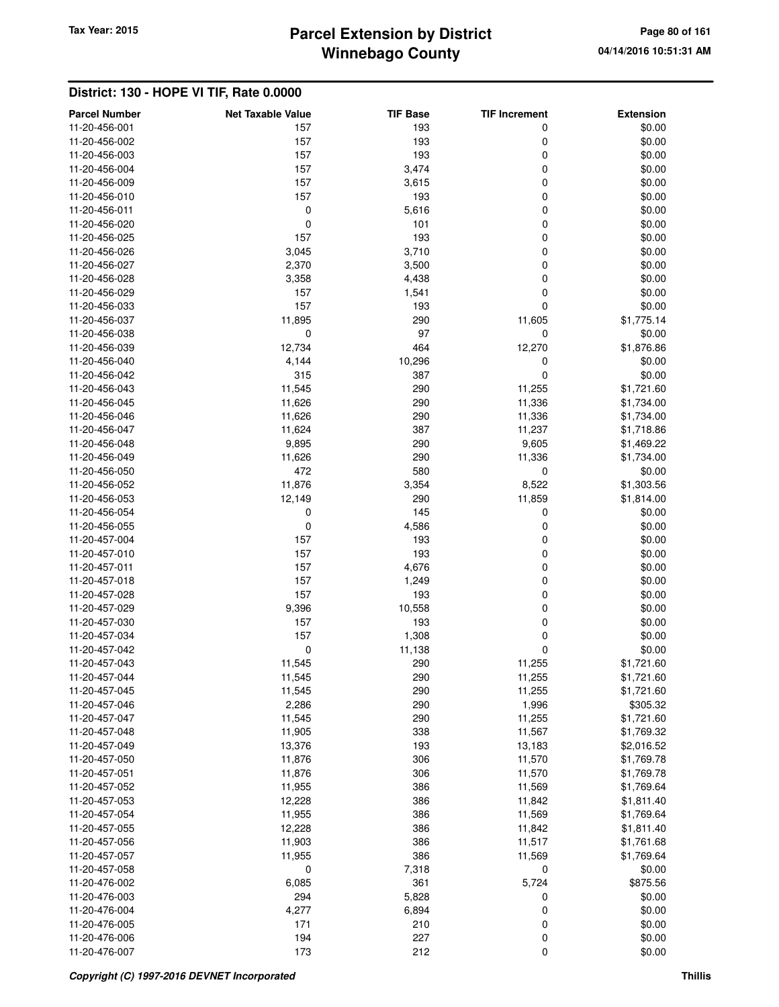# **Winnebago County** Tax Year: 2015 **Parcel Extension by District Page 80 of 161**

| <b>Parcel Number</b>           | <b>Net Taxable Value</b> | <b>TIF Base</b> | <b>TIF Increment</b> | <b>Extension</b>         |
|--------------------------------|--------------------------|-----------------|----------------------|--------------------------|
| 11-20-456-001                  | 157                      | 193             | 0                    | \$0.00                   |
| 11-20-456-002                  | 157                      | 193             | 0                    | \$0.00                   |
| 11-20-456-003                  | 157                      | 193             | 0                    | \$0.00                   |
| 11-20-456-004                  | 157                      | 3,474           | 0                    | \$0.00                   |
| 11-20-456-009                  | 157                      | 3,615           | 0                    | \$0.00                   |
| 11-20-456-010                  | 157                      | 193             | 0                    | \$0.00                   |
| 11-20-456-011                  | $\mathbf 0$              | 5,616           | 0                    | \$0.00                   |
| 11-20-456-020                  | $\pmb{0}$                | 101             | 0                    | \$0.00                   |
| 11-20-456-025                  | 157                      | 193             | 0                    | \$0.00                   |
| 11-20-456-026                  | 3,045                    | 3,710           | 0                    | \$0.00                   |
| 11-20-456-027                  | 2,370                    | 3,500           | 0                    | \$0.00                   |
| 11-20-456-028                  | 3,358                    | 4,438           | 0                    | \$0.00                   |
| 11-20-456-029                  | 157                      | 1,541           | $\mathbf 0$          | \$0.00                   |
| 11-20-456-033                  | 157                      | 193             | $\mathbf 0$          | \$0.00                   |
| 11-20-456-037                  | 11,895                   | 290             | 11,605               | \$1,775.14               |
| 11-20-456-038                  | 0                        | 97              | 0                    | \$0.00                   |
| 11-20-456-039                  | 12,734                   | 464             | 12,270               | \$1,876.86               |
| 11-20-456-040                  | 4,144                    | 10,296          | 0                    | \$0.00                   |
| 11-20-456-042                  | 315                      | 387             | $\mathbf 0$          | \$0.00                   |
| 11-20-456-043                  | 11,545                   | 290             | 11,255               | \$1,721.60               |
| 11-20-456-045                  | 11,626                   | 290             | 11,336               | \$1,734.00               |
| 11-20-456-046                  | 11,626                   | 290             | 11,336               | \$1,734.00               |
| 11-20-456-047                  | 11,624                   | 387             | 11,237               | \$1,718.86               |
| 11-20-456-048                  | 9,895                    | 290             | 9,605                | \$1,469.22               |
| 11-20-456-049                  | 11,626                   | 290             | 11,336               | \$1,734.00               |
| 11-20-456-050                  | 472                      | 580             | 0                    | \$0.00                   |
| 11-20-456-052                  | 11,876                   | 3,354           | 8,522                | \$1,303.56               |
| 11-20-456-053                  | 12,149                   | 290             | 11,859               | \$1,814.00               |
| 11-20-456-054                  | 0                        | 145             | 0                    | \$0.00                   |
| 11-20-456-055                  | 0                        | 4,586           | $\mathbf 0$          | \$0.00                   |
| 11-20-457-004                  | 157                      | 193             | 0                    | \$0.00                   |
| 11-20-457-010                  | 157                      | 193             | 0                    | \$0.00                   |
| 11-20-457-011                  | 157                      | 4,676           | 0                    | \$0.00                   |
| 11-20-457-018                  | 157                      | 1,249           | 0                    | \$0.00                   |
| 11-20-457-028                  | 157                      | 193             | 0                    | \$0.00                   |
| 11-20-457-029                  | 9,396                    | 10,558          | $\mathbf 0$          | \$0.00                   |
| 11-20-457-030                  | 157                      | 193             | 0                    | \$0.00                   |
| 11-20-457-034                  | 157                      | 1,308           | 0                    | \$0.00                   |
| 11-20-457-042                  | $\mathbf 0$              | 11,138          | 0                    | \$0.00                   |
| 11-20-457-043                  | 11,545<br>11,545         | 290             | 11,255<br>11,255     | \$1,721.60               |
| 11-20-457-044<br>11-20-457-045 | 11,545                   | 290<br>290      |                      | \$1,721.60<br>\$1,721.60 |
| 11-20-457-046                  | 2,286                    | 290             | 11,255<br>1,996      | \$305.32                 |
| 11-20-457-047                  | 11,545                   | 290             | 11,255               | \$1,721.60               |
| 11-20-457-048                  | 11,905                   | 338             | 11,567               | \$1,769.32               |
| 11-20-457-049                  | 13,376                   | 193             | 13,183               | \$2,016.52               |
| 11-20-457-050                  | 11,876                   | 306             | 11,570               | \$1,769.78               |
| 11-20-457-051                  | 11,876                   | 306             | 11,570               | \$1,769.78               |
| 11-20-457-052                  | 11,955                   | 386             | 11,569               | \$1,769.64               |
| 11-20-457-053                  | 12,228                   | 386             | 11,842               | \$1,811.40               |
| 11-20-457-054                  | 11,955                   | 386             | 11,569               | \$1,769.64               |
| 11-20-457-055                  | 12,228                   | 386             | 11,842               | \$1,811.40               |
| 11-20-457-056                  | 11,903                   | 386             | 11,517               | \$1,761.68               |
| 11-20-457-057                  | 11,955                   | 386             | 11,569               | \$1,769.64               |
| 11-20-457-058                  | 0                        | 7,318           | 0                    | \$0.00                   |
| 11-20-476-002                  | 6,085                    | 361             | 5,724                | \$875.56                 |
| 11-20-476-003                  | 294                      | 5,828           | 0                    | \$0.00                   |
| 11-20-476-004                  | 4,277                    | 6,894           | 0                    | \$0.00                   |
| 11-20-476-005                  | 171                      | 210             | 0                    | \$0.00                   |
| 11-20-476-006                  | 194                      | 227             | 0                    | \$0.00                   |
| 11-20-476-007                  | 173                      | 212             | $\pmb{0}$            | \$0.00                   |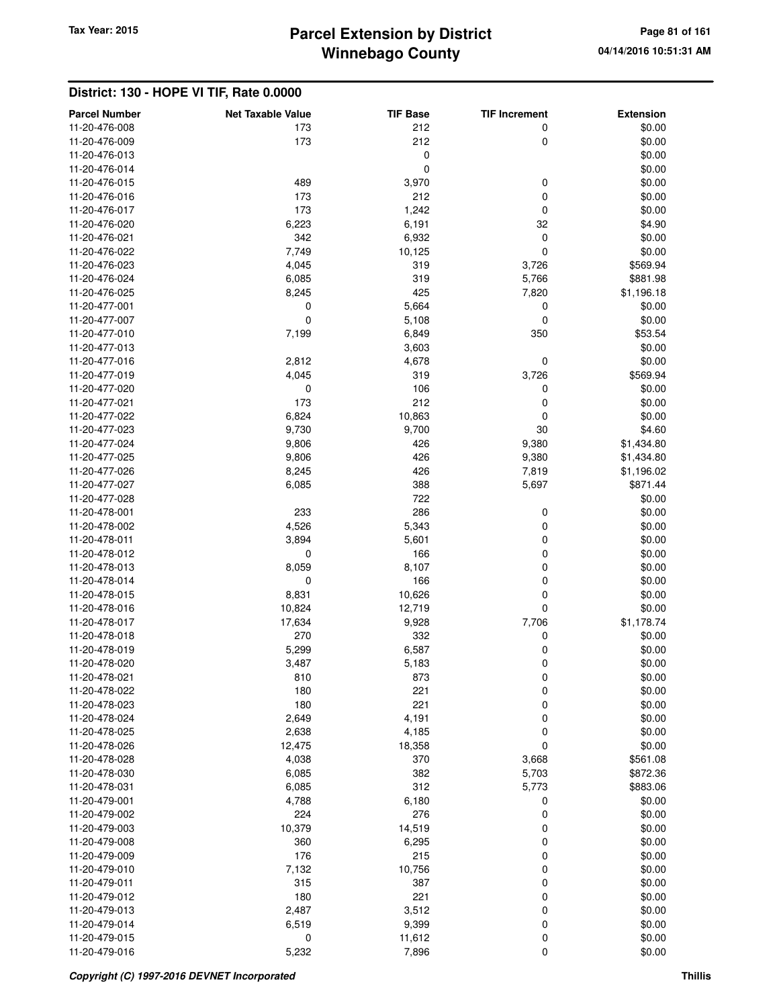# **Winnebago County** Tax Year: 2015 **Parcel Extension by District Page 81 of 161**

|                                       |                                 | <b>TIF Base</b> |                           |                            |
|---------------------------------------|---------------------------------|-----------------|---------------------------|----------------------------|
| <b>Parcel Number</b><br>11-20-476-008 | <b>Net Taxable Value</b><br>173 | 212             | <b>TIF Increment</b><br>0 | <b>Extension</b><br>\$0.00 |
| 11-20-476-009                         | 173                             | 212             | 0                         | \$0.00                     |
| 11-20-476-013                         |                                 | 0               |                           | \$0.00                     |
| 11-20-476-014                         |                                 | $\mathbf 0$     |                           | \$0.00                     |
| 11-20-476-015                         | 489                             | 3,970           | 0                         | \$0.00                     |
| 11-20-476-016                         | 173                             | 212             | 0                         | \$0.00                     |
| 11-20-476-017                         | 173                             | 1,242           | 0                         | \$0.00                     |
| 11-20-476-020                         | 6,223                           | 6,191           | 32                        | \$4.90                     |
| 11-20-476-021                         | 342                             | 6,932           | 0                         | \$0.00                     |
| 11-20-476-022                         | 7,749                           | 10,125          | 0                         | \$0.00                     |
| 11-20-476-023                         | 4,045                           | 319             | 3,726                     | \$569.94                   |
| 11-20-476-024                         | 6,085                           | 319             | 5,766                     | \$881.98                   |
| 11-20-476-025                         | 8,245                           | 425             | 7,820                     | \$1,196.18                 |
| 11-20-477-001                         | 0                               | 5,664           | 0                         | \$0.00                     |
| 11-20-477-007                         | $\mathbf 0$                     | 5,108           | 0                         | \$0.00                     |
| 11-20-477-010                         | 7,199                           | 6,849           | 350                       | \$53.54                    |
| 11-20-477-013                         |                                 | 3,603           |                           | \$0.00                     |
| 11-20-477-016                         | 2,812                           | 4,678           | 0                         | \$0.00                     |
| 11-20-477-019                         | 4,045                           | 319             | 3,726                     | \$569.94                   |
| 11-20-477-020                         | $\mathbf 0$                     | 106             | 0                         | \$0.00                     |
| 11-20-477-021                         | 173                             | 212             | 0                         | \$0.00                     |
| 11-20-477-022                         | 6,824                           | 10,863          | 0                         | \$0.00                     |
| 11-20-477-023                         | 9,730                           | 9,700           | 30                        | \$4.60                     |
| 11-20-477-024                         | 9,806                           | 426             | 9,380                     | \$1,434.80                 |
| 11-20-477-025                         | 9,806                           | 426             | 9,380                     | \$1,434.80                 |
| 11-20-477-026                         | 8,245                           | 426             | 7,819                     | \$1,196.02                 |
| 11-20-477-027                         | 6,085                           | 388             | 5,697                     | \$871.44                   |
| 11-20-477-028                         |                                 | 722             |                           | \$0.00                     |
| 11-20-478-001                         | 233                             | 286             | 0                         | \$0.00                     |
| 11-20-478-002                         | 4,526                           | 5,343           | 0                         | \$0.00                     |
| 11-20-478-011                         | 3,894                           | 5,601           | 0                         | \$0.00                     |
| 11-20-478-012                         | 0                               | 166             | 0                         | \$0.00                     |
| 11-20-478-013                         | 8,059                           | 8,107           | 0                         | \$0.00                     |
| 11-20-478-014                         | 0                               | 166             | 0                         | \$0.00                     |
| 11-20-478-015                         | 8,831                           | 10,626          | 0                         | \$0.00                     |
| 11-20-478-016                         | 10,824                          | 12,719          | 0                         | \$0.00                     |
| 11-20-478-017                         | 17,634                          | 9,928           | 7,706                     | \$1,178.74                 |
| 11-20-478-018                         | 270                             | 332             | 0                         | \$0.00                     |
| 11-20-478-019                         | 5,299                           | 6,587           | 0                         | \$0.00                     |
| 11-20-478-020                         | 3,487                           | 5,183           | 0                         | \$0.00                     |
| 11-20-478-021                         | 810                             | 873             | 0                         | \$0.00                     |
| 11-20-478-022                         | 180                             | 221             | 0                         | \$0.00                     |
| 11-20-478-023<br>11-20-478-024        | 180                             | 221             | 0                         | \$0.00                     |
| 11-20-478-025                         | 2,649<br>2,638                  | 4,191<br>4,185  | 0<br>0                    | \$0.00<br>\$0.00           |
| 11-20-478-026                         | 12,475                          | 18,358          | 0                         | \$0.00                     |
| 11-20-478-028                         | 4,038                           | 370             | 3,668                     | \$561.08                   |
| 11-20-478-030                         | 6,085                           | 382             | 5,703                     | \$872.36                   |
| 11-20-478-031                         | 6,085                           | 312             | 5,773                     | \$883.06                   |
| 11-20-479-001                         | 4,788                           | 6,180           | 0                         | \$0.00                     |
| 11-20-479-002                         | 224                             | 276             | 0                         | \$0.00                     |
| 11-20-479-003                         | 10,379                          | 14,519          | 0                         | \$0.00                     |
| 11-20-479-008                         | 360                             | 6,295           | 0                         | \$0.00                     |
| 11-20-479-009                         | 176                             | 215             | 0                         | \$0.00                     |
| 11-20-479-010                         | 7,132                           | 10,756          | 0                         | \$0.00                     |
| 11-20-479-011                         | 315                             | 387             | 0                         | \$0.00                     |
| 11-20-479-012                         | 180                             | 221             | 0                         | \$0.00                     |
| 11-20-479-013                         | 2,487                           | 3,512           | 0                         | \$0.00                     |
| 11-20-479-014                         | 6,519                           | 9,399           | 0                         | \$0.00                     |
| 11-20-479-015                         | $\mathbf 0$                     | 11,612          | 0                         | \$0.00                     |
| 11-20-479-016                         | 5,232                           | 7,896           | 0                         | \$0.00                     |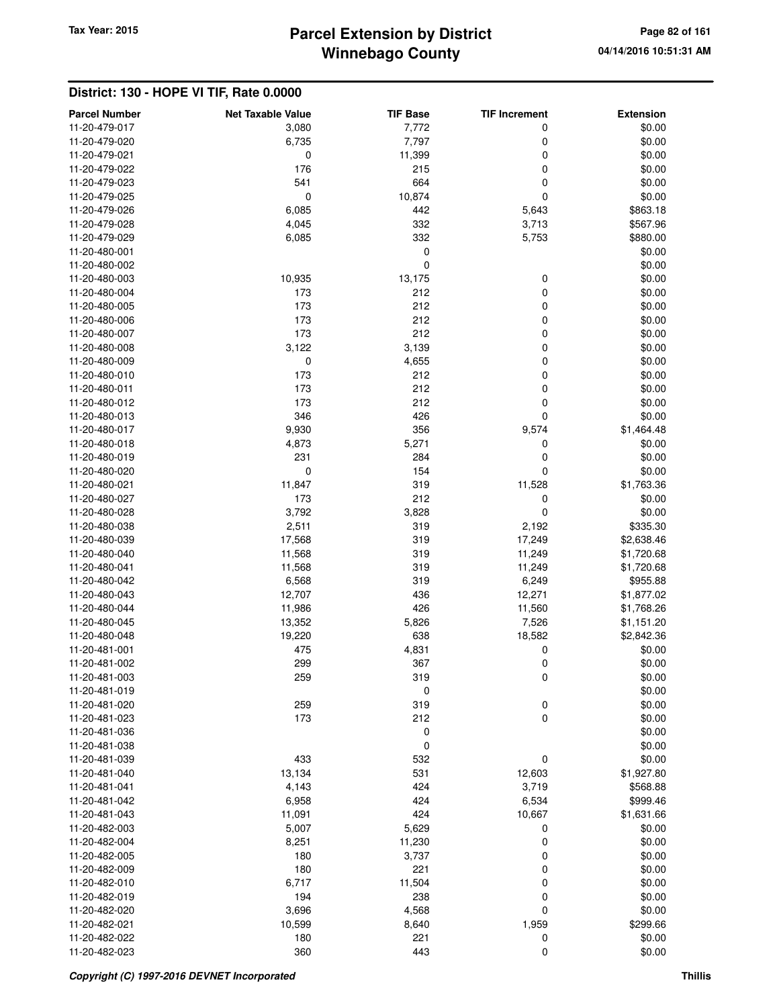# **Winnebago County Parcel Extension by District Tax Year: 2015 Page 82 of 161**

| <b>Parcel Number</b>           | <b>Net Taxable Value</b> | <b>TIF Base</b> | <b>TIF Increment</b> | <b>Extension</b> |
|--------------------------------|--------------------------|-----------------|----------------------|------------------|
| 11-20-479-017                  | 3,080                    | 7,772           | 0                    | \$0.00           |
| 11-20-479-020                  | 6,735                    | 7,797           | 0                    | \$0.00           |
| 11-20-479-021                  | 0                        | 11,399          | 0                    | \$0.00           |
| 11-20-479-022                  | 176                      | 215             | $\mathbf 0$          | \$0.00           |
| 11-20-479-023                  | 541                      | 664             | $\mathbf 0$          | \$0.00           |
| 11-20-479-025                  | 0                        | 10,874          | $\mathbf 0$          | \$0.00           |
| 11-20-479-026                  | 6,085                    | 442             | 5,643                | \$863.18         |
| 11-20-479-028                  | 4,045                    | 332             | 3,713                | \$567.96         |
| 11-20-479-029                  | 6,085                    | 332             | 5,753                | \$880.00         |
| 11-20-480-001                  |                          | $\mathbf 0$     |                      | \$0.00           |
| 11-20-480-002                  |                          | $\mathbf 0$     |                      | \$0.00           |
| 11-20-480-003                  | 10,935                   | 13,175          | 0                    | \$0.00           |
| 11-20-480-004                  | 173                      | 212             | $\mathbf 0$          | \$0.00           |
| 11-20-480-005                  | 173                      | 212             | 0                    | \$0.00           |
| 11-20-480-006                  | 173                      | 212             | 0                    | \$0.00           |
| 11-20-480-007                  | 173                      | 212             | $\mathbf 0$          | \$0.00           |
| 11-20-480-008                  | 3,122                    | 3,139           | $\mathbf 0$          | \$0.00           |
| 11-20-480-009                  | 0                        | 4,655           | $\mathbf 0$          | \$0.00           |
| 11-20-480-010                  | 173                      | 212             | 0                    | \$0.00           |
| 11-20-480-011                  | 173                      | 212             | $\mathbf 0$          | \$0.00           |
| 11-20-480-012                  | 173                      | 212             | $\mathbf 0$          | \$0.00           |
| 11-20-480-013                  | 346                      | 426             | $\mathbf 0$          | \$0.00           |
| 11-20-480-017                  | 9,930                    | 356             | 9,574                | \$1,464.48       |
| 11-20-480-018                  | 4,873                    | 5,271           | 0                    | \$0.00           |
| 11-20-480-019                  | 231                      | 284             | 0                    | \$0.00           |
| 11-20-480-020                  | 0                        | 154             | 0                    | \$0.00           |
| 11-20-480-021                  | 11,847                   | 319             | 11,528               | \$1,763.36       |
| 11-20-480-027                  | 173                      | 212             | 0                    | \$0.00           |
| 11-20-480-028                  | 3,792                    | 3,828           | $\mathbf 0$          | \$0.00           |
| 11-20-480-038                  | 2,511                    | 319             | 2,192                | \$335.30         |
| 11-20-480-039                  | 17,568                   | 319             | 17,249               | \$2,638.46       |
| 11-20-480-040                  | 11,568                   | 319             | 11,249               | \$1,720.68       |
| 11-20-480-041                  | 11,568                   | 319             | 11,249               | \$1,720.68       |
| 11-20-480-042                  | 6,568                    | 319             | 6,249                | \$955.88         |
| 11-20-480-043                  | 12,707                   | 436             | 12,271               | \$1,877.02       |
| 11-20-480-044                  | 11,986                   | 426             | 11,560               | \$1,768.26       |
| 11-20-480-045                  | 13,352                   | 5,826           | 7,526                | \$1,151.20       |
| 11-20-480-048                  | 19,220                   | 638             | 18,582               | \$2,842.36       |
| 11-20-481-001                  | 475                      | 4,831           | 0                    | \$0.00           |
| 11-20-481-002                  | 299                      | 367             | $\mathbf 0$          | \$0.00           |
| 11-20-481-003                  | 259                      | 319             | 0                    | \$0.00           |
| 11-20-481-019                  |                          | 0               |                      | \$0.00           |
| 11-20-481-020                  | 259                      | 319             | $\mathbf 0$          | \$0.00           |
| 11-20-481-023                  | 173                      | 212             | $\mathbf 0$          | \$0.00           |
| 11-20-481-036                  |                          | $\mathbf 0$     |                      | \$0.00           |
| 11-20-481-038                  |                          | $\mathbf 0$     |                      | \$0.00           |
| 11-20-481-039                  | 433                      | 532             | 0                    | \$0.00           |
| 11-20-481-040                  | 13,134                   | 531             | 12,603               | \$1,927.80       |
| 11-20-481-041                  | 4,143                    | 424             | 3,719                | \$568.88         |
| 11-20-481-042                  | 6,958                    | 424             | 6,534                | \$999.46         |
| 11-20-481-043                  | 11,091                   | 424             | 10,667               | \$1,631.66       |
| 11-20-482-003                  | 5,007                    | 5,629           | 0                    | \$0.00           |
| 11-20-482-004                  | 8,251                    | 11,230          | 0                    | \$0.00           |
| 11-20-482-005                  | 180                      | 3,737           | 0                    | \$0.00           |
| 11-20-482-009                  | 180                      | 221             | $\mathbf 0$          | \$0.00           |
| 11-20-482-010                  | 6,717                    | 11,504          | $\mathbf 0$          | \$0.00           |
| 11-20-482-019<br>11-20-482-020 | 194                      | 238             | 0<br>$\mathbf 0$     | \$0.00<br>\$0.00 |
| 11-20-482-021                  | 3,696                    | 4,568           |                      | \$299.66         |
| 11-20-482-022                  | 10,599<br>180            | 8,640<br>221    | 1,959                | \$0.00           |
| 11-20-482-023                  | 360                      | 443             | 0<br>$\mathbf 0$     | \$0.00           |
|                                |                          |                 |                      |                  |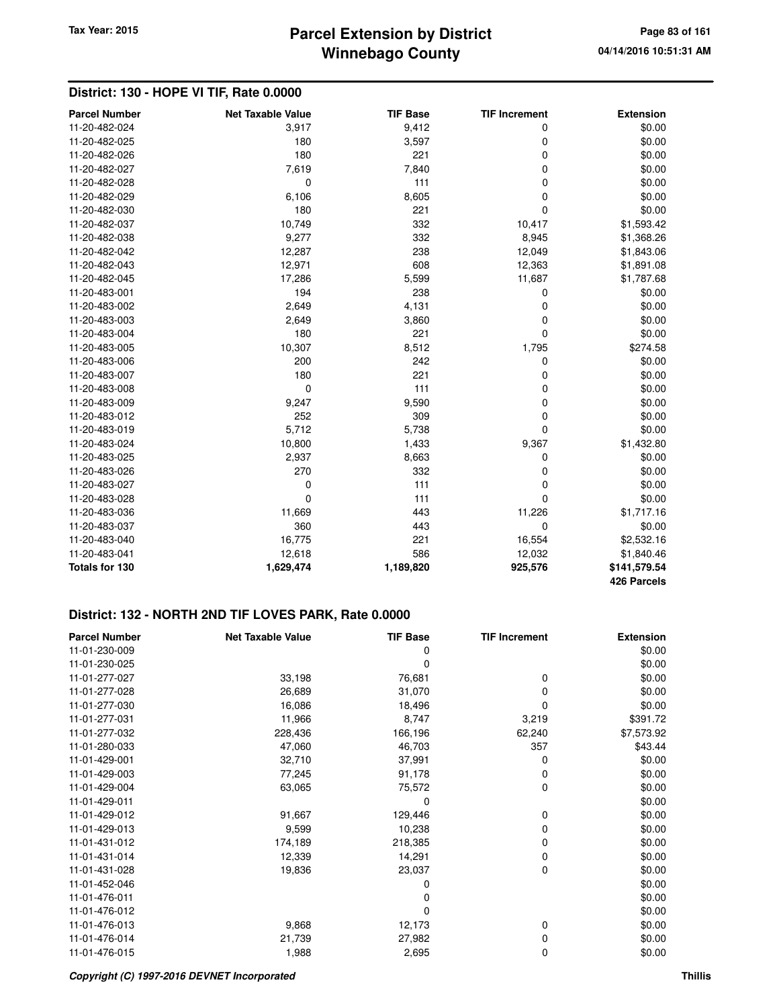## **Winnebago County Parcel Extension by District Tax Year: 2015 Page 83 of 161**

#### **District: 130 - HOPE VI TIF, Rate 0.0000**

| <b>Parcel Number</b> | <b>Net Taxable Value</b> | <b>TIF Base</b> | <b>TIF Increment</b> | <b>Extension</b>            |
|----------------------|--------------------------|-----------------|----------------------|-----------------------------|
| 11-20-482-024        | 3,917                    | 9,412           | 0                    | \$0.00                      |
| 11-20-482-025        | 180                      | 3,597           | 0                    | \$0.00                      |
| 11-20-482-026        | 180                      | 221             | 0                    | \$0.00                      |
| 11-20-482-027        | 7,619                    | 7,840           | 0                    | \$0.00                      |
| 11-20-482-028        | 0                        | 111             | 0                    | \$0.00                      |
| 11-20-482-029        | 6,106                    | 8,605           | 0                    | \$0.00                      |
| 11-20-482-030        | 180                      | 221             | 0                    | \$0.00                      |
| 11-20-482-037        | 10,749                   | 332             | 10,417               | \$1,593.42                  |
| 11-20-482-038        | 9,277                    | 332             | 8,945                | \$1,368.26                  |
| 11-20-482-042        | 12,287                   | 238             | 12,049               | \$1,843.06                  |
| 11-20-482-043        | 12,971                   | 608             | 12,363               | \$1,891.08                  |
| 11-20-482-045        | 17,286                   | 5,599           | 11,687               | \$1,787.68                  |
| 11-20-483-001        | 194                      | 238             | 0                    | \$0.00                      |
| 11-20-483-002        | 2,649                    | 4,131           | 0                    | \$0.00                      |
| 11-20-483-003        | 2,649                    | 3,860           | 0                    | \$0.00                      |
| 11-20-483-004        | 180                      | 221             | 0                    | \$0.00                      |
| 11-20-483-005        | 10,307                   | 8,512           | 1,795                | \$274.58                    |
| 11-20-483-006        | 200                      | 242             | 0                    | \$0.00                      |
| 11-20-483-007        | 180                      | 221             | 0                    | \$0.00                      |
| 11-20-483-008        | $\mathbf 0$              | 111             | 0                    | \$0.00                      |
| 11-20-483-009        | 9,247                    | 9,590           | 0                    | \$0.00                      |
| 11-20-483-012        | 252                      | 309             | 0                    | \$0.00                      |
| 11-20-483-019        | 5,712                    | 5,738           | 0                    | \$0.00                      |
| 11-20-483-024        | 10,800                   | 1,433           | 9,367                | \$1,432.80                  |
| 11-20-483-025        | 2,937                    | 8,663           | 0                    | \$0.00                      |
| 11-20-483-026        | 270                      | 332             | 0                    | \$0.00                      |
| 11-20-483-027        | 0                        | 111             | 0                    | \$0.00                      |
| 11-20-483-028        | $\mathbf 0$              | 111             | $\Omega$             | \$0.00                      |
| 11-20-483-036        | 11,669                   | 443             | 11,226               | \$1,717.16                  |
| 11-20-483-037        | 360                      | 443             | 0                    | \$0.00                      |
| 11-20-483-040        | 16,775                   | 221             | 16,554               | \$2,532.16                  |
| 11-20-483-041        | 12,618                   | 586             | 12,032               | \$1,840.46                  |
| Totals for 130       | 1,629,474                | 1,189,820       | 925,576              | \$141,579.54<br>426 Parcels |

| <b>Parcel Number</b> | <b>Net Taxable Value</b> | <b>TIF Base</b> | <b>TIF Increment</b> | <b>Extension</b> |
|----------------------|--------------------------|-----------------|----------------------|------------------|
| 11-01-230-009        |                          |                 |                      | \$0.00           |
| 11-01-230-025        |                          | 0               |                      | \$0.00           |
| 11-01-277-027        | 33,198                   | 76,681          | 0                    | \$0.00           |
| 11-01-277-028        | 26,689                   | 31,070          | 0                    | \$0.00           |
| 11-01-277-030        | 16,086                   | 18,496          | 0                    | \$0.00           |
| 11-01-277-031        | 11,966                   | 8,747           | 3,219                | \$391.72         |
| 11-01-277-032        | 228,436                  | 166,196         | 62,240               | \$7,573.92       |
| 11-01-280-033        | 47,060                   | 46,703          | 357                  | \$43.44          |
| 11-01-429-001        | 32,710                   | 37,991          | 0                    | \$0.00           |
| 11-01-429-003        | 77,245                   | 91,178          | 0                    | \$0.00           |
| 11-01-429-004        | 63,065                   | 75,572          | 0                    | \$0.00           |
| 11-01-429-011        |                          | 0               |                      | \$0.00           |
| 11-01-429-012        | 91,667                   | 129,446         | 0                    | \$0.00           |
| 11-01-429-013        | 9,599                    | 10,238          | 0                    | \$0.00           |
| 11-01-431-012        | 174,189                  | 218,385         | 0                    | \$0.00           |
| 11-01-431-014        | 12,339                   | 14,291          | 0                    | \$0.00           |
| 11-01-431-028        | 19,836                   | 23,037          | 0                    | \$0.00           |
| 11-01-452-046        |                          | 0               |                      | \$0.00           |
| 11-01-476-011        |                          | 0               |                      | \$0.00           |
| 11-01-476-012        |                          | $\Omega$        |                      | \$0.00           |
| 11-01-476-013        | 9,868                    | 12,173          | 0                    | \$0.00           |
| 11-01-476-014        | 21,739                   | 27,982          | 0                    | \$0.00           |
| 11-01-476-015        | 1,988                    | 2,695           | 0                    | \$0.00           |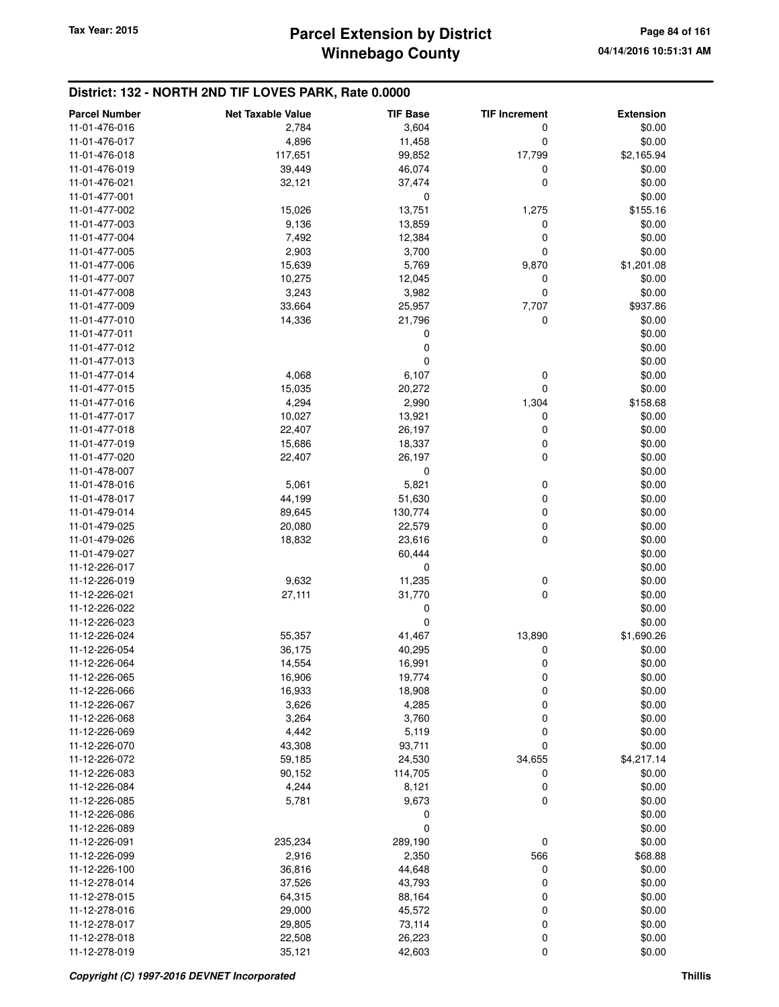| <b>Parcel Number</b>           | <b>Net Taxable Value</b> | <b>TIF Base</b> | <b>TIF Increment</b> | <b>Extension</b> |
|--------------------------------|--------------------------|-----------------|----------------------|------------------|
| 11-01-476-016                  | 2,784                    | 3,604           | 0                    | \$0.00           |
| 11-01-476-017                  | 4,896                    | 11,458          | 0                    | \$0.00           |
| 11-01-476-018                  | 117,651                  | 99,852          | 17,799               | \$2,165.94       |
| 11-01-476-019                  | 39,449                   | 46,074          | 0                    | \$0.00           |
| 11-01-476-021                  | 32,121                   | 37,474          | 0                    | \$0.00           |
| 11-01-477-001                  |                          | 0               |                      | \$0.00           |
| 11-01-477-002                  | 15,026                   | 13,751          | 1,275                | \$155.16         |
| 11-01-477-003                  | 9,136                    | 13,859          | 0                    | \$0.00           |
| 11-01-477-004                  | 7,492                    | 12,384          | 0                    | \$0.00           |
| 11-01-477-005                  | 2,903                    | 3,700           | 0                    | \$0.00           |
| 11-01-477-006                  | 15,639                   | 5,769           | 9,870                | \$1,201.08       |
| 11-01-477-007                  | 10,275                   | 12,045          | 0                    | \$0.00           |
| 11-01-477-008                  | 3,243                    | 3,982           | 0                    | \$0.00           |
| 11-01-477-009                  | 33,664                   | 25,957          | 7,707                | \$937.86         |
| 11-01-477-010                  | 14,336                   | 21,796          | 0                    | \$0.00           |
| 11-01-477-011                  |                          | 0               |                      | \$0.00           |
| 11-01-477-012                  |                          | 0               |                      | \$0.00           |
| 11-01-477-013                  |                          | 0               |                      | \$0.00           |
| 11-01-477-014                  | 4,068                    | 6,107           | 0                    | \$0.00           |
| 11-01-477-015                  | 15,035                   | 20,272          | 0                    | \$0.00           |
| 11-01-477-016                  | 4,294                    | 2,990           | 1,304                | \$158.68         |
| 11-01-477-017                  | 10,027                   | 13,921          | 0                    | \$0.00           |
| 11-01-477-018                  | 22,407                   | 26,197          | 0                    | \$0.00           |
| 11-01-477-019                  | 15,686                   | 18,337          | 0                    | \$0.00           |
| 11-01-477-020                  | 22,407                   | 26,197          | 0                    | \$0.00           |
| 11-01-478-007                  |                          | 0               |                      | \$0.00           |
| 11-01-478-016                  | 5,061                    | 5,821           | 0                    | \$0.00           |
| 11-01-478-017                  | 44,199                   | 51,630          | 0                    | \$0.00           |
| 11-01-479-014                  | 89,645                   | 130,774         | 0                    | \$0.00           |
| 11-01-479-025                  | 20,080                   | 22,579          | 0<br>0               | \$0.00           |
| 11-01-479-026                  | 18,832                   | 23,616          |                      | \$0.00           |
| 11-01-479-027<br>11-12-226-017 |                          | 60,444<br>0     |                      | \$0.00           |
| 11-12-226-019                  | 9,632                    | 11,235          |                      | \$0.00<br>\$0.00 |
| 11-12-226-021                  | 27,111                   | 31,770          | 0<br>0               | \$0.00           |
| 11-12-226-022                  |                          | 0               |                      | \$0.00           |
| 11-12-226-023                  |                          | 0               |                      | \$0.00           |
| 11-12-226-024                  | 55,357                   | 41,467          | 13,890               | \$1,690.26       |
| 11-12-226-054                  | 36,175                   | 40,295          | 0                    | \$0.00           |
| 11-12-226-064                  | 14,554                   | 16,991          | 0                    | \$0.00           |
| 11-12-226-065                  | 16,906                   | 19,774          | 0                    | \$0.00           |
| 11-12-226-066                  | 16,933                   | 18,908          | 0                    | \$0.00           |
| 11-12-226-067                  | 3,626                    | 4,285           | 0                    | \$0.00           |
| 11-12-226-068                  | 3,264                    | 3,760           | 0                    | \$0.00           |
| 11-12-226-069                  | 4,442                    | 5,119           | 0                    | \$0.00           |
| 11-12-226-070                  | 43,308                   | 93,711          | 0                    | \$0.00           |
| 11-12-226-072                  | 59,185                   | 24,530          | 34,655               | \$4,217.14       |
| 11-12-226-083                  | 90,152                   | 114,705         | 0                    | \$0.00           |
| 11-12-226-084                  | 4,244                    | 8,121           | 0                    | \$0.00           |
| 11-12-226-085                  | 5,781                    | 9,673           | 0                    | \$0.00           |
| 11-12-226-086                  |                          | 0               |                      | \$0.00           |
| 11-12-226-089                  |                          | 0               |                      | \$0.00           |
| 11-12-226-091                  | 235,234                  | 289,190         | 0                    | \$0.00           |
| 11-12-226-099                  | 2,916                    | 2,350           | 566                  | \$68.88          |
| 11-12-226-100                  | 36,816                   | 44,648          | 0                    | \$0.00           |
| 11-12-278-014                  | 37,526                   | 43,793          | 0                    | \$0.00           |
| 11-12-278-015                  | 64,315                   | 88,164          | 0                    | \$0.00           |
| 11-12-278-016                  | 29,000                   | 45,572          | 0                    | \$0.00           |
| 11-12-278-017                  | 29,805                   | 73,114          | 0                    | \$0.00           |
| 11-12-278-018                  | 22,508                   | 26,223          | 0                    | \$0.00           |
| 11-12-278-019                  | 35,121                   | 42,603          | 0                    | \$0.00           |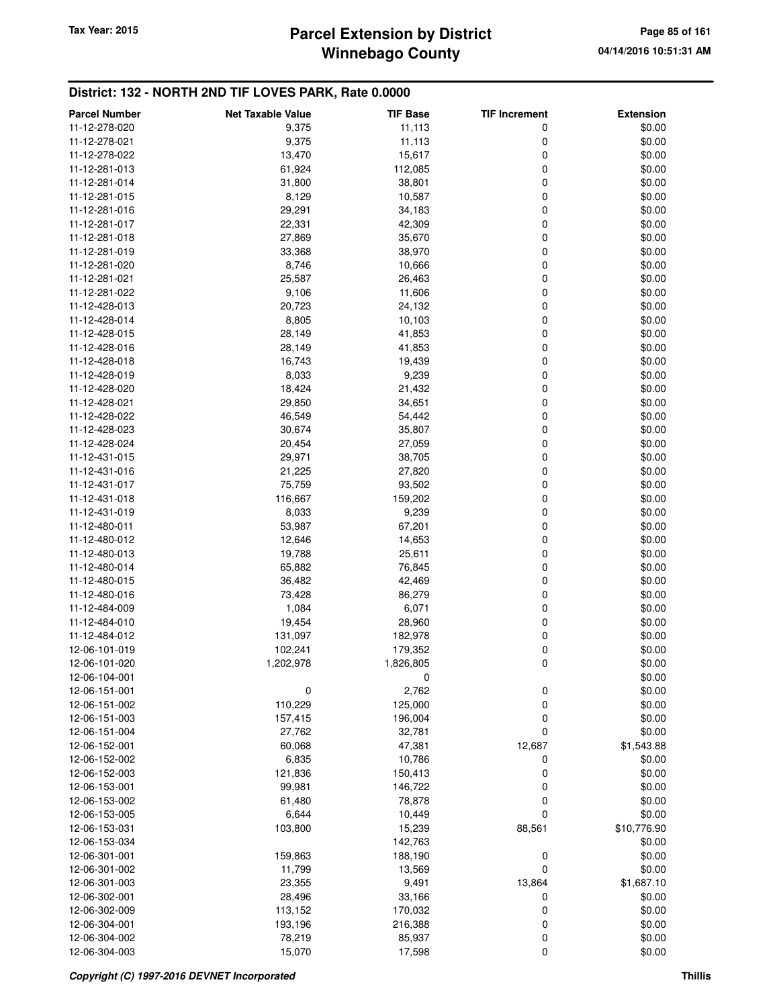## **Winnebago County** Tax Year: 2015 **Parcel Extension by District Page 85 of 161**

| <b>Parcel Number</b> | <b>Net Taxable Value</b> | <b>TIF Base</b> | <b>TIF Increment</b> | <b>Extension</b> |
|----------------------|--------------------------|-----------------|----------------------|------------------|
| 11-12-278-020        | 9,375                    | 11,113          | 0                    | \$0.00           |
| 11-12-278-021        | 9,375                    | 11,113          | 0                    | \$0.00           |
| 11-12-278-022        | 13,470                   | 15,617          | 0                    | \$0.00           |
| 11-12-281-013        | 61,924                   | 112,085         | 0                    | \$0.00           |
| 11-12-281-014        | 31,800                   | 38,801          | 0                    | \$0.00           |
| 11-12-281-015        | 8,129                    | 10,587          | 0                    | \$0.00           |
| 11-12-281-016        | 29,291                   | 34,183          | 0                    | \$0.00           |
| 11-12-281-017        | 22,331                   | 42,309          | 0                    | \$0.00           |
| 11-12-281-018        | 27,869                   | 35,670          | 0                    | \$0.00           |
| 11-12-281-019        | 33,368                   | 38,970          | 0                    | \$0.00           |
| 11-12-281-020        | 8,746                    | 10,666          | 0                    | \$0.00           |
| 11-12-281-021        | 25,587                   | 26,463          | 0                    | \$0.00           |
| 11-12-281-022        | 9,106                    | 11,606          | 0                    | \$0.00           |
| 11-12-428-013        | 20,723                   | 24,132          | 0                    | \$0.00           |
| 11-12-428-014        | 8,805                    | 10,103          | 0                    | \$0.00           |
| 11-12-428-015        | 28,149                   | 41,853          | 0                    | \$0.00           |
| 11-12-428-016        | 28,149                   | 41,853          | 0                    | \$0.00           |
| 11-12-428-018        | 16,743                   | 19,439          | 0                    | \$0.00           |
| 11-12-428-019        | 8,033                    | 9,239           | 0                    | \$0.00           |
| 11-12-428-020        | 18,424                   | 21,432          | 0                    | \$0.00           |
| 11-12-428-021        | 29,850                   | 34,651          | 0                    | \$0.00           |
| 11-12-428-022        | 46,549                   | 54,442          | 0                    | \$0.00           |
| 11-12-428-023        | 30,674                   | 35,807          | 0                    | \$0.00           |
| 11-12-428-024        | 20,454                   | 27,059          | 0                    | \$0.00           |
| 11-12-431-015        | 29,971                   | 38,705          | 0                    | \$0.00           |
| 11-12-431-016        | 21,225                   | 27,820          | 0                    | \$0.00           |
| 11-12-431-017        | 75,759                   | 93,502          | 0                    | \$0.00           |
| 11-12-431-018        | 116,667                  | 159,202         | 0                    | \$0.00           |
| 11-12-431-019        | 8,033                    | 9,239           | 0                    | \$0.00           |
| 11-12-480-011        | 53,987                   | 67,201          | 0                    | \$0.00           |
| 11-12-480-012        | 12,646                   | 14,653          | 0                    | \$0.00           |
| 11-12-480-013        | 19,788                   | 25,611          | 0                    | \$0.00           |
| 11-12-480-014        | 65,882                   | 76,845          | 0                    | \$0.00           |
| 11-12-480-015        | 36,482                   | 42,469          | 0                    | \$0.00           |
| 11-12-480-016        | 73,428                   | 86,279          | 0                    | \$0.00           |
| 11-12-484-009        | 1,084                    | 6,071           | 0                    | \$0.00           |
| 11-12-484-010        | 19,454                   | 28,960          | 0                    | \$0.00           |
| 11-12-484-012        | 131,097                  | 182,978         | 0                    | \$0.00           |
| 12-06-101-019        | 102,241                  | 179,352         | 0                    | \$0.00           |
| 12-06-101-020        | 1,202,978                | 1,826,805       | 0                    | \$0.00           |
| 12-06-104-001        |                          | 0               |                      | \$0.00           |
| 12-06-151-001        | $\boldsymbol{0}$         | 2,762           | 0                    | \$0.00           |
| 12-06-151-002        | 110,229                  | 125,000         | 0                    | \$0.00           |
| 12-06-151-003        | 157,415                  | 196,004         | 0                    | \$0.00           |
| 12-06-151-004        | 27,762                   | 32,781          | 0                    | \$0.00           |
| 12-06-152-001        | 60,068                   | 47,381          | 12,687               | \$1,543.88       |
| 12-06-152-002        | 6,835                    | 10,786          | 0                    | \$0.00           |
| 12-06-152-003        | 121,836                  | 150,413         | 0                    | \$0.00           |
| 12-06-153-001        | 99,981                   | 146,722         | 0                    | \$0.00           |
| 12-06-153-002        | 61,480                   | 78,878          | 0                    | \$0.00           |
| 12-06-153-005        | 6,644                    | 10,449          | 0                    | \$0.00           |
| 12-06-153-031        | 103,800                  | 15,239          | 88,561               | \$10,776.90      |
| 12-06-153-034        |                          | 142,763         |                      | \$0.00           |
| 12-06-301-001        | 159,863                  | 188,190         | 0                    | \$0.00           |
| 12-06-301-002        | 11,799                   | 13,569          | 0                    | \$0.00           |
| 12-06-301-003        | 23,355                   | 9,491           | 13,864               | \$1,687.10       |
| 12-06-302-001        | 28,496                   | 33,166          | 0                    | \$0.00           |
| 12-06-302-009        | 113,152                  | 170,032         | 0                    | \$0.00           |
| 12-06-304-001        | 193,196                  | 216,388         | 0                    | \$0.00           |
| 12-06-304-002        | 78,219                   | 85,937          | 0                    | \$0.00           |
| 12-06-304-003        | 15,070                   | 17,598          | 0                    | \$0.00           |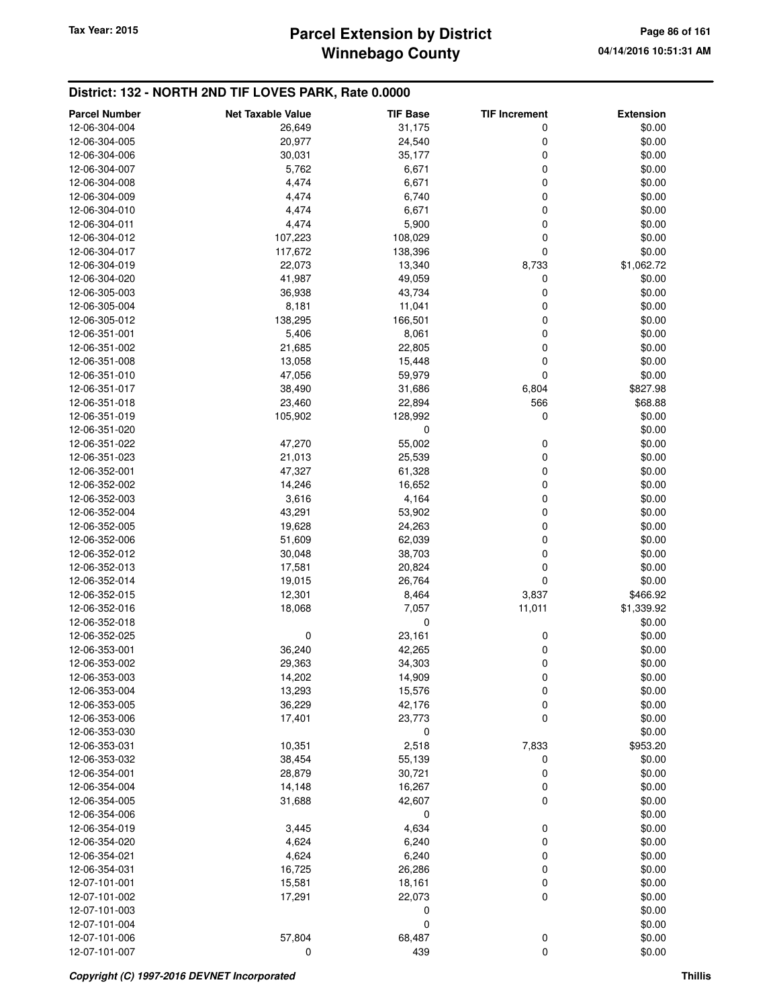## **Winnebago County** Tax Year: 2015 **Parcel Extension by District Page 86 of 161**

| <b>Parcel Number</b> | <b>Net Taxable Value</b> | <b>TIF Base</b> | <b>TIF Increment</b> | <b>Extension</b> |
|----------------------|--------------------------|-----------------|----------------------|------------------|
| 12-06-304-004        | 26,649                   | 31,175          | 0                    | \$0.00           |
| 12-06-304-005        | 20,977                   | 24,540          | 0                    | \$0.00           |
| 12-06-304-006        | 30,031                   | 35,177          | 0                    | \$0.00           |
| 12-06-304-007        | 5,762                    | 6,671           | 0                    | \$0.00           |
| 12-06-304-008        | 4,474                    | 6,671           | 0                    | \$0.00           |
| 12-06-304-009        | 4,474                    | 6,740           | 0                    | \$0.00           |
| 12-06-304-010        | 4,474                    | 6,671           | 0                    | \$0.00           |
| 12-06-304-011        | 4,474                    | 5,900           | 0                    | \$0.00           |
| 12-06-304-012        | 107,223                  | 108,029         | 0                    | \$0.00           |
| 12-06-304-017        | 117,672                  | 138,396         | 0                    | \$0.00           |
| 12-06-304-019        | 22,073                   | 13,340          | 8,733                | \$1,062.72       |
| 12-06-304-020        | 41,987                   | 49,059          | 0                    | \$0.00           |
| 12-06-305-003        | 36,938                   | 43,734          | 0                    | \$0.00           |
| 12-06-305-004        | 8,181                    | 11,041          | 0                    | \$0.00           |
| 12-06-305-012        | 138,295                  | 166,501         | 0                    | \$0.00           |
| 12-06-351-001        | 5,406                    | 8,061           | 0                    | \$0.00           |
| 12-06-351-002        | 21,685                   | 22,805          | 0                    | \$0.00           |
| 12-06-351-008        | 13,058                   | 15,448          | 0                    | \$0.00           |
| 12-06-351-010        | 47,056                   | 59,979          | $\mathbf 0$          | \$0.00           |
| 12-06-351-017        | 38,490                   | 31,686          | 6,804                | \$827.98         |
| 12-06-351-018        | 23,460                   | 22,894          | 566                  | \$68.88          |
| 12-06-351-019        | 105,902                  | 128,992         | $\mathbf 0$          | \$0.00           |
| 12-06-351-020        |                          | 0               |                      | \$0.00           |
| 12-06-351-022        | 47,270                   | 55,002          | 0                    | \$0.00           |
| 12-06-351-023        | 21,013                   | 25,539          | 0                    | \$0.00           |
| 12-06-352-001        | 47,327                   | 61,328          | 0                    | \$0.00           |
| 12-06-352-002        | 14,246                   | 16,652          | 0                    | \$0.00           |
| 12-06-352-003        | 3,616                    | 4,164           | 0                    | \$0.00           |
| 12-06-352-004        | 43,291                   | 53,902          | 0                    | \$0.00           |
| 12-06-352-005        | 19,628                   | 24,263          | 0                    | \$0.00           |
| 12-06-352-006        | 51,609                   | 62,039          | 0                    | \$0.00           |
| 12-06-352-012        | 30,048                   | 38,703          | 0                    | \$0.00           |
| 12-06-352-013        | 17,581                   | 20,824          | 0                    | \$0.00           |
| 12-06-352-014        | 19,015                   | 26,764          | 0                    | \$0.00           |
| 12-06-352-015        | 12,301                   | 8,464           | 3,837                | \$466.92         |
| 12-06-352-016        | 18,068                   | 7,057           | 11,011               | \$1,339.92       |
| 12-06-352-018        |                          | 0               |                      | \$0.00           |
| 12-06-352-025        | 0                        | 23,161          | 0                    | \$0.00           |
| 12-06-353-001        | 36,240                   | 42,265          | 0                    | \$0.00           |
| 12-06-353-002        | 29,363                   | 34,303          | 0                    | \$0.00           |
| 12-06-353-003        | 14,202                   | 14,909          | 0                    | \$0.00           |
| 12-06-353-004        | 13,293                   | 15,576          | 0                    | \$0.00           |
| 12-06-353-005        | 36,229                   | 42,176          | 0                    | \$0.00           |
| 12-06-353-006        | 17,401                   | 23,773          | $\mathbf 0$          | \$0.00           |
| 12-06-353-030        |                          | 0               |                      | \$0.00           |
| 12-06-353-031        | 10,351                   | 2,518           | 7,833                | \$953.20         |
| 12-06-353-032        | 38,454                   | 55,139          | 0                    | \$0.00           |
| 12-06-354-001        | 28,879                   | 30,721          | 0                    | \$0.00           |
| 12-06-354-004        | 14,148                   | 16,267          | 0                    | \$0.00           |
| 12-06-354-005        | 31,688                   | 42,607          | 0                    | \$0.00           |
| 12-06-354-006        |                          | $\pmb{0}$       |                      | \$0.00           |
| 12-06-354-019        | 3,445                    | 4,634           | 0                    | \$0.00           |
| 12-06-354-020        | 4,624                    | 6,240           | $\mathbf 0$          | \$0.00           |
| 12-06-354-021        | 4,624                    | 6,240           | 0                    | \$0.00           |
| 12-06-354-031        | 16,725                   | 26,286          | 0                    | \$0.00           |
| 12-07-101-001        | 15,581                   | 18,161          | 0                    | \$0.00           |
| 12-07-101-002        | 17,291                   | 22,073          | $\mathbf 0$          | \$0.00           |
| 12-07-101-003        |                          | 0               |                      | \$0.00           |
| 12-07-101-004        |                          | 0               |                      | \$0.00           |
| 12-07-101-006        | 57,804                   | 68,487          | $\boldsymbol{0}$     | \$0.00           |
| 12-07-101-007        | 0                        | 439             | $\mathbf 0$          | \$0.00           |
|                      |                          |                 |                      |                  |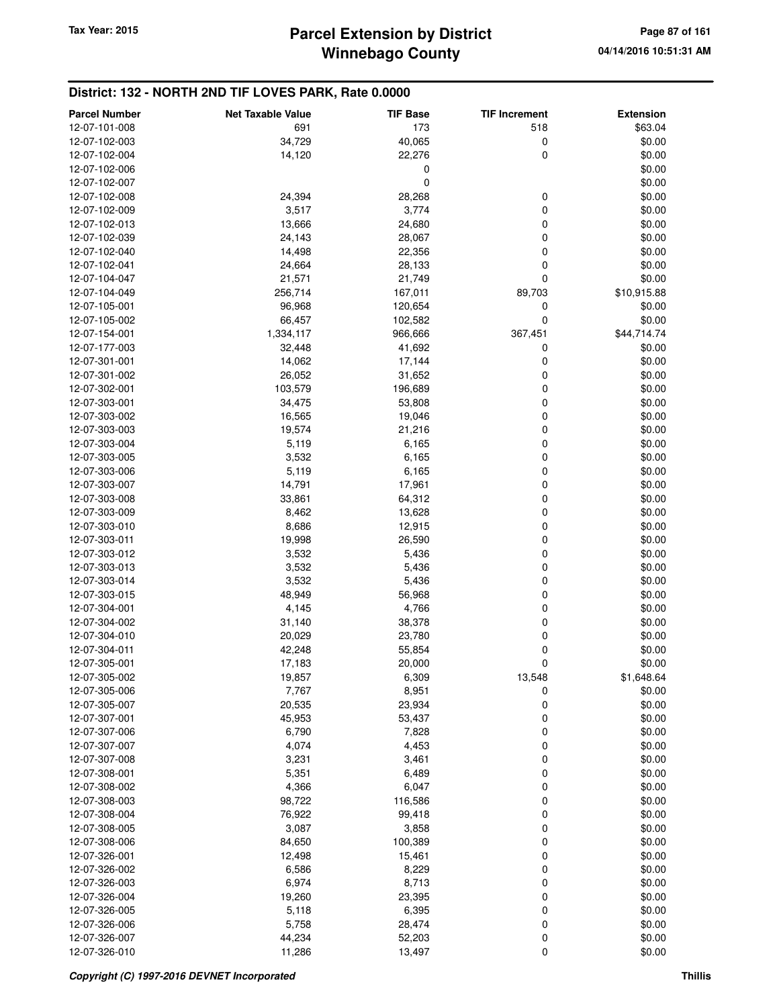| <b>Parcel Number</b>           | <b>Net Taxable Value</b> | <b>TIF Base</b>  | <b>TIF Increment</b> | <b>Extension</b> |
|--------------------------------|--------------------------|------------------|----------------------|------------------|
| 12-07-101-008                  | 691                      | 173              | 518                  | \$63.04          |
| 12-07-102-003                  | 34,729                   | 40,065           | 0                    | \$0.00           |
| 12-07-102-004                  | 14,120                   | 22,276           | 0                    | \$0.00           |
| 12-07-102-006                  |                          | 0                |                      | \$0.00           |
| 12-07-102-007                  |                          | 0                |                      | \$0.00           |
| 12-07-102-008                  | 24,394                   | 28,268           | 0                    | \$0.00           |
| 12-07-102-009                  | 3,517                    | 3,774            | 0                    | \$0.00           |
| 12-07-102-013                  | 13,666                   | 24,680           | 0                    | \$0.00           |
| 12-07-102-039                  | 24,143                   | 28,067           | 0                    | \$0.00           |
| 12-07-102-040                  | 14,498                   | 22,356           | 0                    | \$0.00           |
| 12-07-102-041                  | 24,664                   | 28,133           | 0                    | \$0.00           |
| 12-07-104-047                  | 21,571                   | 21,749           | 0                    | \$0.00           |
| 12-07-104-049                  | 256,714                  | 167,011          | 89,703               | \$10,915.88      |
| 12-07-105-001                  | 96,968                   | 120,654          | 0                    | \$0.00           |
| 12-07-105-002                  | 66,457                   | 102,582          | 0                    | \$0.00           |
| 12-07-154-001                  | 1,334,117                | 966,666          | 367,451              | \$44,714.74      |
| 12-07-177-003                  | 32,448                   | 41,692           | 0                    | \$0.00           |
| 12-07-301-001                  | 14,062                   | 17,144           | 0                    | \$0.00           |
| 12-07-301-002                  | 26,052                   | 31,652           | 0                    | \$0.00           |
| 12-07-302-001                  | 103,579                  | 196,689          | 0                    | \$0.00           |
| 12-07-303-001                  | 34,475                   | 53,808           | 0                    | \$0.00           |
| 12-07-303-002                  | 16,565                   | 19,046           | 0                    | \$0.00           |
| 12-07-303-003                  | 19,574                   | 21,216           | 0                    | \$0.00           |
| 12-07-303-004                  | 5,119                    | 6,165            | 0                    | \$0.00           |
| 12-07-303-005                  | 3,532                    | 6,165            | 0                    | \$0.00           |
| 12-07-303-006                  | 5,119                    | 6,165            | 0                    | \$0.00           |
| 12-07-303-007                  | 14,791                   | 17,961           | 0                    | \$0.00           |
| 12-07-303-008                  | 33,861                   | 64,312           | 0                    | \$0.00           |
| 12-07-303-009                  | 8,462                    | 13,628           | 0                    | \$0.00           |
| 12-07-303-010                  | 8,686                    | 12,915           | 0                    | \$0.00           |
| 12-07-303-011                  | 19,998                   | 26,590           | 0                    | \$0.00           |
| 12-07-303-012                  | 3,532                    | 5,436            | 0                    | \$0.00           |
| 12-07-303-013                  | 3,532                    | 5,436            | 0                    | \$0.00           |
| 12-07-303-014                  | 3,532                    | 5,436            | 0                    | \$0.00           |
| 12-07-303-015                  | 48,949                   | 56,968           | 0                    | \$0.00           |
| 12-07-304-001                  | 4,145                    | 4,766            | 0<br>0               | \$0.00           |
| 12-07-304-002<br>12-07-304-010 | 31,140<br>20,029         | 38,378<br>23,780 | 0                    | \$0.00<br>\$0.00 |
| 12-07-304-011                  | 42,248                   | 55,854           | 0                    | \$0.00           |
| 12-07-305-001                  | 17,183                   | 20,000           | 0                    | \$0.00           |
| 12-07-305-002                  | 19,857                   | 6,309            | 13,548               | \$1,648.64       |
| 12-07-305-006                  | 7,767                    | 8,951            | 0                    | \$0.00           |
| 12-07-305-007                  | 20,535                   | 23,934           | 0                    | \$0.00           |
| 12-07-307-001                  | 45,953                   | 53,437           | $\mathbf 0$          | \$0.00           |
| 12-07-307-006                  | 6,790                    | 7,828            | 0                    | \$0.00           |
| 12-07-307-007                  | 4,074                    | 4,453            | 0                    | \$0.00           |
| 12-07-307-008                  | 3,231                    | 3,461            | 0                    | \$0.00           |
| 12-07-308-001                  | 5,351                    | 6,489            | 0                    | \$0.00           |
| 12-07-308-002                  | 4,366                    | 6,047            | 0                    | \$0.00           |
| 12-07-308-003                  | 98,722                   | 116,586          | 0                    | \$0.00           |
| 12-07-308-004                  | 76,922                   | 99,418           | 0                    | \$0.00           |
| 12-07-308-005                  | 3,087                    | 3,858            | 0                    | \$0.00           |
| 12-07-308-006                  | 84,650                   | 100,389          | 0                    | \$0.00           |
| 12-07-326-001                  | 12,498                   | 15,461           | 0                    | \$0.00           |
| 12-07-326-002                  | 6,586                    | 8,229            | 0                    | \$0.00           |
| 12-07-326-003                  | 6,974                    | 8,713            | 0                    | \$0.00           |
| 12-07-326-004                  | 19,260                   | 23,395           | 0                    | \$0.00           |
| 12-07-326-005                  | 5,118                    | 6,395            | 0                    | \$0.00           |
| 12-07-326-006                  | 5,758                    | 28,474           | 0                    | \$0.00           |
| 12-07-326-007                  | 44,234                   | 52,203           | 0                    | \$0.00           |
| 12-07-326-010                  | 11,286                   | 13,497           | 0                    | \$0.00           |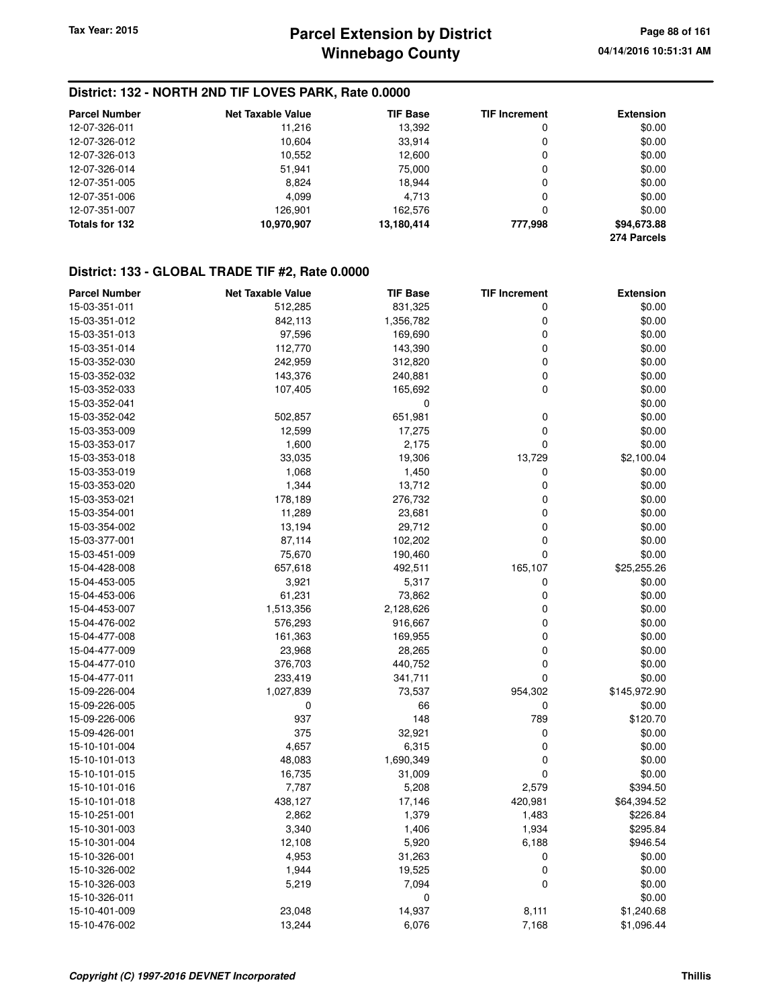#### **District: 132 - NORTH 2ND TIF LOVES PARK, Rate 0.0000**

| <b>Parcel Number</b> | <b>Net Taxable Value</b> | <b>TIF Base</b> | <b>TIF Increment</b> | <b>Extension</b> |
|----------------------|--------------------------|-----------------|----------------------|------------------|
| 12-07-326-011        | 11.216                   | 13,392          | 0                    | \$0.00           |
| 12-07-326-012        | 10.604                   | 33.914          | 0                    | \$0.00           |
| 12-07-326-013        | 10,552                   | 12,600          | 0                    | \$0.00           |
| 12-07-326-014        | 51,941                   | 75.000          | 0                    | \$0.00           |
| 12-07-351-005        | 8.824                    | 18.944          | 0                    | \$0.00           |
| 12-07-351-006        | 4.099                    | 4.713           | 0                    | \$0.00           |
| 12-07-351-007        | 126.901                  | 162.576         | 0                    | \$0.00           |
| Totals for 132       | 10,970,907               | 13,180,414      | 777.998              | \$94,673.88      |
|                      |                          |                 |                      | 274 Parcels      |

#### **District: 133 - GLOBAL TRADE TIF #2, Rate 0.0000**

| <b>Parcel Number</b> | <b>Net Taxable Value</b> | <b>TIF Base</b> | <b>TIF Increment</b> | <b>Extension</b> |
|----------------------|--------------------------|-----------------|----------------------|------------------|
| 15-03-351-011        | 512,285                  | 831,325         | 0                    | \$0.00           |
| 15-03-351-012        | 842,113                  | 1,356,782       | 0                    | \$0.00           |
| 15-03-351-013        | 97,596                   | 169,690         | 0                    | \$0.00           |
| 15-03-351-014        | 112,770                  | 143,390         | 0                    | \$0.00           |
| 15-03-352-030        | 242,959                  | 312,820         | 0                    | \$0.00           |
| 15-03-352-032        | 143,376                  | 240,881         | 0                    | \$0.00           |
| 15-03-352-033        | 107,405                  | 165,692         | 0                    | \$0.00           |
| 15-03-352-041        |                          | 0               |                      | \$0.00           |
| 15-03-352-042        | 502,857                  | 651,981         | 0                    | \$0.00           |
| 15-03-353-009        | 12,599                   | 17,275          | 0                    | \$0.00           |
| 15-03-353-017        | 1,600                    | 2,175           | 0                    | \$0.00           |
| 15-03-353-018        | 33,035                   | 19,306          | 13,729               | \$2,100.04       |
| 15-03-353-019        | 1,068                    | 1,450           | 0                    | \$0.00           |
| 15-03-353-020        | 1,344                    | 13,712          | 0                    | \$0.00           |
| 15-03-353-021        | 178,189                  | 276,732         | 0                    | \$0.00           |
| 15-03-354-001        | 11,289                   | 23,681          | 0                    | \$0.00           |
| 15-03-354-002        | 13,194                   | 29,712          | 0                    | \$0.00           |
| 15-03-377-001        | 87,114                   | 102,202         | 0                    | \$0.00           |
| 15-03-451-009        | 75,670                   | 190,460         | 0                    | \$0.00           |
| 15-04-428-008        | 657,618                  | 492,511         | 165,107              | \$25,255.26      |
| 15-04-453-005        | 3,921                    | 5,317           | 0                    | \$0.00           |
| 15-04-453-006        | 61,231                   | 73,862          | 0                    | \$0.00           |
| 15-04-453-007        | 1,513,356                | 2,128,626       | 0                    | \$0.00           |
| 15-04-476-002        | 576,293                  | 916,667         | 0                    | \$0.00           |
| 15-04-477-008        | 161,363                  | 169,955         | 0                    | \$0.00           |
| 15-04-477-009        | 23,968                   | 28,265          | 0                    | \$0.00           |
| 15-04-477-010        | 376,703                  | 440,752         | 0                    | \$0.00           |
| 15-04-477-011        | 233,419                  | 341,711         | 0                    | \$0.00           |
| 15-09-226-004        | 1,027,839                | 73,537          | 954,302              | \$145,972.90     |
| 15-09-226-005        | 0                        | 66              | 0                    | \$0.00           |
| 15-09-226-006        | 937                      | 148             | 789                  | \$120.70         |
| 15-09-426-001        | 375                      | 32,921          | 0                    | \$0.00           |
| 15-10-101-004        | 4,657                    | 6,315           | 0                    | \$0.00           |
| 15-10-101-013        | 48,083                   | 1,690,349       | 0                    | \$0.00           |
| 15-10-101-015        | 16,735                   | 31,009          | 0                    | \$0.00           |
| 15-10-101-016        | 7,787                    | 5,208           | 2,579                | \$394.50         |
| 15-10-101-018        | 438,127                  | 17,146          | 420,981              | \$64,394.52      |
| 15-10-251-001        | 2,862                    | 1,379           | 1,483                | \$226.84         |
| 15-10-301-003        | 3,340                    | 1,406           | 1,934                | \$295.84         |
| 15-10-301-004        | 12,108                   | 5,920           | 6,188                | \$946.54         |
| 15-10-326-001        | 4,953                    | 31,263          | 0                    | \$0.00           |
| 15-10-326-002        | 1,944                    | 19,525          | $\mathbf 0$          | \$0.00           |
| 15-10-326-003        | 5,219                    | 7,094           | 0                    | \$0.00           |
| 15-10-326-011        |                          | 0               |                      | \$0.00           |
| 15-10-401-009        | 23,048                   | 14,937          | 8,111                | \$1,240.68       |
| 15-10-476-002        | 13,244                   | 6,076           | 7,168                | \$1,096.44       |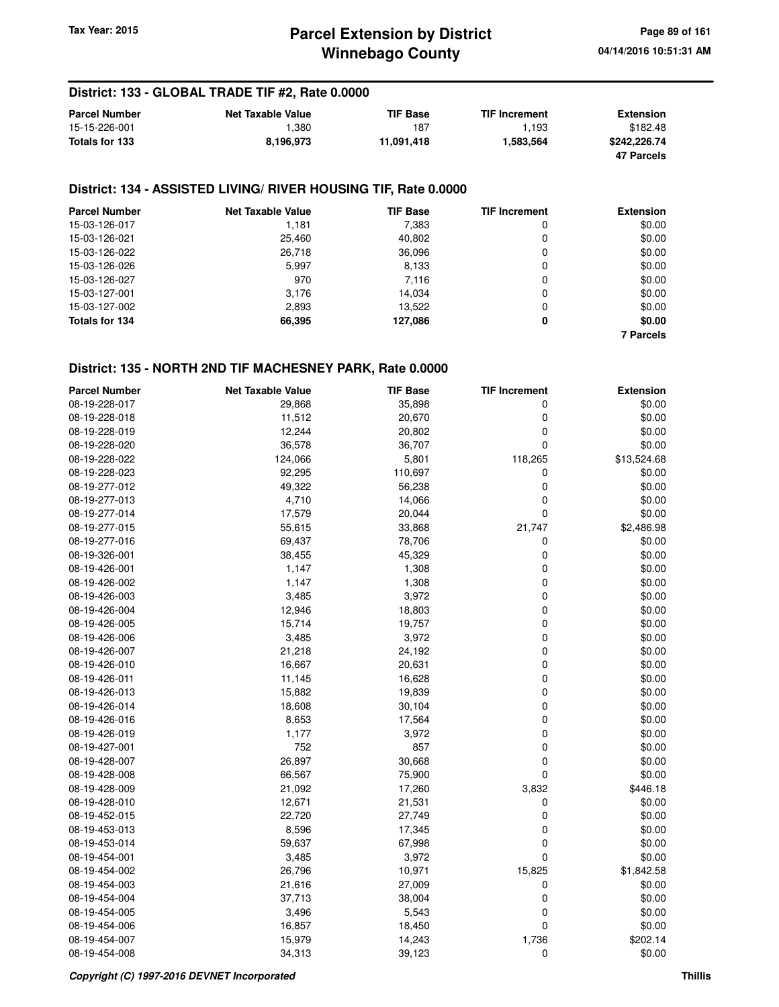## **Winnebago County Parcel Extension by District Tax Year: 2015 Page 89 of 161**

#### **District: 133 - GLOBAL TRADE TIF #2, Rate 0.0000**

| <b>Parcel Number</b> | <b>Net Taxable Value</b> | <b>TIF Base</b> | <b>TIF Increment</b> | <b>Extension</b> |
|----------------------|--------------------------|-----------------|----------------------|------------------|
| 15-15-226-001        | 380. ا                   | 187             | 1.193                | \$182.48         |
| Totals for 133       | 8.196.973                | 11.091.418      | 1.583.564            | \$242.226.74     |
|                      |                          |                 |                      | 47 Parcels       |

## **District: 134 - ASSISTED LIVING/ RIVER HOUSING TIF, Rate 0.0000**

| <b>Parcel Number</b> | <b>Net Taxable Value</b> | <b>TIF Base</b> | <b>TIF Increment</b> | <b>Extension</b> |
|----------------------|--------------------------|-----------------|----------------------|------------------|
| 15-03-126-017        | 1.181                    | 7,383           | 0                    | \$0.00           |
| 15-03-126-021        | 25,460                   | 40,802          | 0                    | \$0.00           |
| 15-03-126-022        | 26.718                   | 36.096          | 0                    | \$0.00           |
| 15-03-126-026        | 5.997                    | 8,133           | 0                    | \$0.00           |
| 15-03-126-027        | 970                      | 7,116           | 0                    | \$0.00           |
| 15-03-127-001        | 3,176                    | 14.034          | 0                    | \$0.00           |
| 15-03-127-002        | 2,893                    | 13.522          | 0                    | \$0.00           |
| Totals for 134       | 66,395                   | 127.086         | 0                    | \$0.00           |
|                      |                          |                 |                      | <b>7 Parcels</b> |

| <b>Parcel Number</b> | <b>Net Taxable Value</b> | <b>TIF Base</b> | <b>TIF Increment</b> | <b>Extension</b> |
|----------------------|--------------------------|-----------------|----------------------|------------------|
| 08-19-228-017        | 29,868                   | 35,898          | 0                    | \$0.00           |
| 08-19-228-018        | 11,512                   | 20,670          | 0                    | \$0.00           |
| 08-19-228-019        | 12,244                   | 20,802          | 0                    | \$0.00           |
| 08-19-228-020        | 36,578                   | 36,707          | 0                    | \$0.00           |
| 08-19-228-022        | 124,066                  | 5,801           | 118,265              | \$13,524.68      |
| 08-19-228-023        | 92,295                   | 110,697         | 0                    | \$0.00           |
| 08-19-277-012        | 49,322                   | 56,238          | 0                    | \$0.00           |
| 08-19-277-013        | 4,710                    | 14,066          | 0                    | \$0.00           |
| 08-19-277-014        | 17,579                   | 20,044          | 0                    | \$0.00           |
| 08-19-277-015        | 55,615                   | 33,868          | 21,747               | \$2,486.98       |
| 08-19-277-016        | 69,437                   | 78,706          | 0                    | \$0.00           |
| 08-19-326-001        | 38,455                   | 45,329          | 0                    | \$0.00           |
| 08-19-426-001        | 1,147                    | 1,308           | 0                    | \$0.00           |
| 08-19-426-002        | 1,147                    | 1,308           | 0                    | \$0.00           |
| 08-19-426-003        | 3,485                    | 3,972           | 0                    | \$0.00           |
| 08-19-426-004        | 12,946                   | 18,803          | 0                    | \$0.00           |
| 08-19-426-005        | 15,714                   | 19,757          | 0                    | \$0.00           |
| 08-19-426-006        | 3,485                    | 3,972           | 0                    | \$0.00           |
| 08-19-426-007        | 21,218                   | 24,192          | 0                    | \$0.00           |
| 08-19-426-010        | 16,667                   | 20,631          | 0                    | \$0.00           |
| 08-19-426-011        | 11,145                   | 16,628          | 0                    | \$0.00           |
| 08-19-426-013        | 15,882                   | 19,839          | 0                    | \$0.00           |
| 08-19-426-014        | 18,608                   | 30,104          | 0                    | \$0.00           |
| 08-19-426-016        | 8,653                    | 17,564          | 0                    | \$0.00           |
| 08-19-426-019        | 1,177                    | 3,972           | 0                    | \$0.00           |
| 08-19-427-001        | 752                      | 857             | $\mathbf 0$          | \$0.00           |
| 08-19-428-007        | 26,897                   | 30,668          | 0                    | \$0.00           |
| 08-19-428-008        | 66,567                   | 75,900          | 0                    | \$0.00           |
| 08-19-428-009        | 21,092                   | 17,260          | 3,832                | \$446.18         |
| 08-19-428-010        | 12,671                   | 21,531          | 0                    | \$0.00           |
| 08-19-452-015        | 22,720                   | 27,749          | 0                    | \$0.00           |
| 08-19-453-013        | 8,596                    | 17,345          | 0                    | \$0.00           |
| 08-19-453-014        | 59,637                   | 67,998          | 0                    | \$0.00           |
| 08-19-454-001        | 3,485                    | 3,972           | 0                    | \$0.00           |
| 08-19-454-002        | 26,796                   | 10,971          | 15,825               | \$1,842.58       |
| 08-19-454-003        | 21,616                   | 27,009          | 0                    | \$0.00           |
| 08-19-454-004        | 37,713                   | 38,004          | 0                    | \$0.00           |
| 08-19-454-005        | 3,496                    | 5,543           | 0                    | \$0.00           |
| 08-19-454-006        | 16,857                   | 18,450          | 0                    | \$0.00           |
| 08-19-454-007        | 15,979                   | 14,243          | 1,736                | \$202.14         |
| 08-19-454-008        | 34,313                   | 39,123          | 0                    | \$0.00           |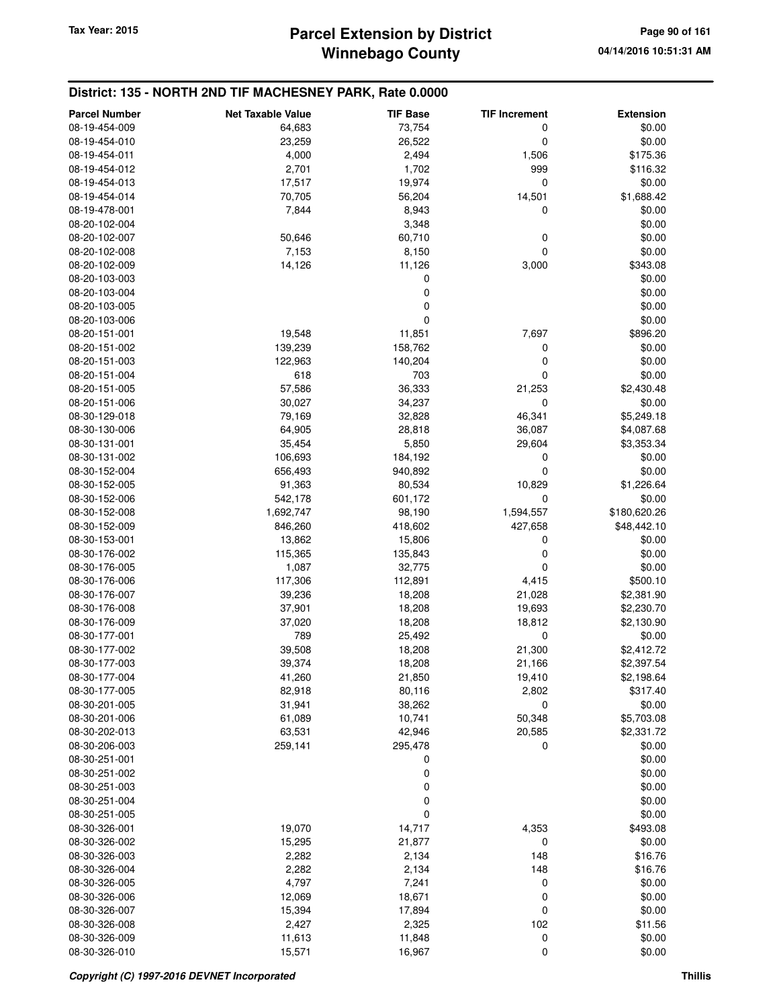| <b>Parcel Number</b> | <b>Net Taxable Value</b> | <b>TIF Base</b> | <b>TIF Increment</b> | <b>Extension</b> |
|----------------------|--------------------------|-----------------|----------------------|------------------|
| 08-19-454-009        | 64,683                   | 73,754          | 0                    | \$0.00           |
| 08-19-454-010        | 23,259                   | 26,522          | 0                    | \$0.00           |
| 08-19-454-011        | 4,000                    | 2,494           | 1,506                | \$175.36         |
| 08-19-454-012        | 2,701                    | 1,702           | 999                  | \$116.32         |
| 08-19-454-013        | 17,517                   | 19,974          | 0                    | \$0.00           |
| 08-19-454-014        | 70,705                   | 56,204          | 14,501               | \$1,688.42       |
| 08-19-478-001        | 7,844                    | 8,943           | 0                    | \$0.00           |
| 08-20-102-004        |                          | 3,348           |                      | \$0.00           |
| 08-20-102-007        | 50,646                   | 60,710          | 0                    | \$0.00           |
| 08-20-102-008        | 7,153                    | 8,150           | 0                    | \$0.00           |
| 08-20-102-009        | 14,126                   | 11,126          | 3,000                | \$343.08         |
| 08-20-103-003        |                          | 0               |                      | \$0.00           |
| 08-20-103-004        |                          | 0               |                      | \$0.00           |
| 08-20-103-005        |                          | 0               |                      | \$0.00           |
| 08-20-103-006        |                          | 0               |                      | \$0.00           |
| 08-20-151-001        | 19,548                   | 11,851          | 7,697                | \$896.20         |
| 08-20-151-002        | 139,239                  | 158,762         | 0                    | \$0.00           |
| 08-20-151-003        | 122,963                  | 140,204         | 0                    | \$0.00           |
| 08-20-151-004        | 618                      | 703             | 0                    | \$0.00           |
| 08-20-151-005        | 57,586                   | 36,333          | 21,253               | \$2,430.48       |
| 08-20-151-006        | 30,027                   | 34,237          | 0                    | \$0.00           |
| 08-30-129-018        | 79,169                   | 32,828          | 46,341               | \$5,249.18       |
| 08-30-130-006        | 64,905                   | 28,818          | 36,087               | \$4,087.68       |
| 08-30-131-001        | 35,454                   | 5,850           | 29,604               | \$3,353.34       |
| 08-30-131-002        | 106,693                  | 184,192         | 0                    | \$0.00           |
| 08-30-152-004        | 656,493                  | 940,892         | 0                    | \$0.00           |
| 08-30-152-005        | 91,363                   | 80,534          | 10,829               | \$1,226.64       |
| 08-30-152-006        | 542,178                  | 601,172         | 0                    | \$0.00           |
| 08-30-152-008        | 1,692,747                | 98,190          | 1,594,557            | \$180,620.26     |
| 08-30-152-009        | 846,260                  | 418,602         | 427,658              | \$48,442.10      |
| 08-30-153-001        | 13,862                   | 15,806          | 0                    | \$0.00           |
| 08-30-176-002        | 115,365                  | 135,843         | $\mathbf 0$          | \$0.00           |
| 08-30-176-005        | 1,087                    | 32,775          | 0                    | \$0.00           |
| 08-30-176-006        | 117,306                  | 112,891         | 4,415                | \$500.10         |
| 08-30-176-007        | 39,236                   | 18,208          | 21,028               | \$2,381.90       |
| 08-30-176-008        | 37,901                   | 18,208          | 19,693               | \$2,230.70       |
| 08-30-176-009        | 37,020                   | 18,208          | 18,812               | \$2,130.90       |
| 08-30-177-001        | 789                      | 25,492          | $\mathbf 0$          | \$0.00           |
| 08-30-177-002        | 39,508                   | 18,208          | 21,300               | \$2,412.72       |
| 08-30-177-003        | 39,374                   | 18,208          | 21,166               | \$2,397.54       |
| 08-30-177-004        | 41,260                   | 21,850          | 19,410               | \$2,198.64       |
| 08-30-177-005        | 82,918                   | 80,116          | 2,802                | \$317.40         |
| 08-30-201-005        | 31,941                   | 38,262          | 0                    | \$0.00           |
| 08-30-201-006        | 61,089                   | 10,741          | 50,348               | \$5,703.08       |
| 08-30-202-013        | 63,531                   | 42,946          | 20,585               | \$2,331.72       |
| 08-30-206-003        | 259,141                  | 295,478         | 0                    | \$0.00           |
| 08-30-251-001        |                          | 0               |                      | \$0.00           |
| 08-30-251-002        |                          | 0               |                      | \$0.00           |
| 08-30-251-003        |                          | 0               |                      | \$0.00           |
| 08-30-251-004        |                          | 0               |                      | \$0.00           |
| 08-30-251-005        |                          | 0               |                      | \$0.00           |
| 08-30-326-001        | 19,070                   | 14,717          | 4,353                | \$493.08         |
| 08-30-326-002        | 15,295                   | 21,877          | 0                    | \$0.00           |
| 08-30-326-003        | 2,282                    | 2,134           | 148                  | \$16.76          |
| 08-30-326-004        | 2,282                    | 2,134           | 148                  | \$16.76          |
| 08-30-326-005        | 4,797                    | 7,241           | 0                    | \$0.00           |
| 08-30-326-006        | 12,069                   | 18,671          | 0                    | \$0.00           |
| 08-30-326-007        | 15,394                   | 17,894          | 0                    | \$0.00           |
| 08-30-326-008        | 2,427                    | 2,325           | 102                  | \$11.56          |
| 08-30-326-009        | 11,613                   | 11,848          | 0                    | \$0.00           |
| 08-30-326-010        | 15,571                   | 16,967          | $\mathbf 0$          | \$0.00           |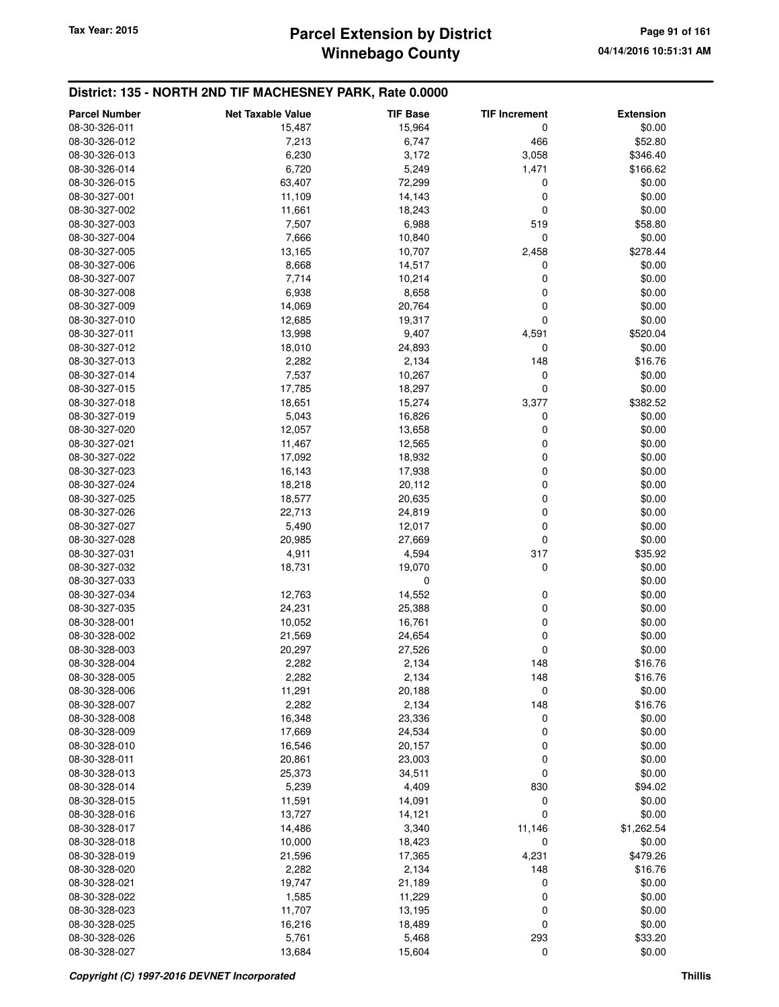## **Winnebago County** Tax Year: 2015 **Parcel Extension by District Page 91 of 161**

| <b>Parcel Number</b> | <b>Net Taxable Value</b> | <b>TIF Base</b> | <b>TIF Increment</b> | <b>Extension</b> |
|----------------------|--------------------------|-----------------|----------------------|------------------|
| 08-30-326-011        | 15,487                   | 15,964          | 0                    | \$0.00           |
| 08-30-326-012        | 7,213                    | 6,747           | 466                  | \$52.80          |
| 08-30-326-013        | 6,230                    | 3,172           | 3,058                | \$346.40         |
| 08-30-326-014        | 6,720                    | 5,249           | 1,471                | \$166.62         |
| 08-30-326-015        | 63,407                   | 72,299          | 0                    | \$0.00           |
| 08-30-327-001        | 11,109                   | 14,143          | 0                    | \$0.00           |
| 08-30-327-002        | 11,661                   | 18,243          | 0                    | \$0.00           |
| 08-30-327-003        | 7,507                    | 6,988           | 519                  | \$58.80          |
| 08-30-327-004        | 7,666                    | 10,840          | 0                    | \$0.00           |
| 08-30-327-005        | 13,165                   | 10,707          | 2,458                | \$278.44         |
| 08-30-327-006        | 8,668                    | 14,517          | 0                    | \$0.00           |
| 08-30-327-007        | 7,714                    | 10,214          | 0                    | \$0.00           |
| 08-30-327-008        | 6,938                    | 8,658           | 0                    | \$0.00           |
| 08-30-327-009        | 14,069                   | 20,764          | 0                    | \$0.00           |
| 08-30-327-010        | 12,685                   | 19,317          | 0                    | \$0.00           |
| 08-30-327-011        | 13,998                   | 9,407           | 4,591                | \$520.04         |
| 08-30-327-012        | 18,010                   | 24,893          | 0                    | \$0.00           |
| 08-30-327-013        | 2,282                    | 2,134           | 148                  | \$16.76          |
| 08-30-327-014        | 7,537                    | 10,267          | 0                    | \$0.00           |
| 08-30-327-015        | 17,785                   | 18,297          | 0                    | \$0.00           |
| 08-30-327-018        | 18,651                   | 15,274          | 3,377                | \$382.52         |
| 08-30-327-019        | 5,043                    | 16,826          | 0                    | \$0.00           |
| 08-30-327-020        | 12,057                   | 13,658          | 0                    | \$0.00           |
| 08-30-327-021        | 11,467                   | 12,565          | 0                    | \$0.00           |
| 08-30-327-022        | 17,092                   | 18,932          | 0                    | \$0.00           |
| 08-30-327-023        | 16,143                   | 17,938          | 0                    | \$0.00           |
| 08-30-327-024        | 18,218                   | 20,112          | 0                    | \$0.00           |
| 08-30-327-025        | 18,577                   | 20,635          | 0                    | \$0.00           |
| 08-30-327-026        | 22,713                   | 24,819          | 0                    | \$0.00           |
| 08-30-327-027        | 5,490                    | 12,017          | 0                    | \$0.00           |
| 08-30-327-028        | 20,985                   | 27,669          | 0                    | \$0.00           |
| 08-30-327-031        | 4,911                    | 4,594           | 317                  | \$35.92          |
| 08-30-327-032        | 18,731                   | 19,070          | 0                    | \$0.00           |
| 08-30-327-033        |                          | 0               |                      | \$0.00           |
| 08-30-327-034        | 12,763                   | 14,552          | 0                    | \$0.00           |
| 08-30-327-035        | 24,231                   | 25,388          | 0                    | \$0.00           |
| 08-30-328-001        | 10,052                   | 16,761          | 0                    | \$0.00           |
| 08-30-328-002        | 21,569                   | 24,654          | 0                    | \$0.00           |
| 08-30-328-003        | 20,297                   | 27,526          | 0                    | \$0.00           |
| 08-30-328-004        | 2,282                    | 2,134           | 148                  | \$16.76          |
| 08-30-328-005        | 2,282                    | 2,134           | 148                  | \$16.76          |
| 08-30-328-006        | 11,291                   | 20,188          | 0                    | \$0.00           |
| 08-30-328-007        | 2,282                    | 2,134           | 148                  | \$16.76          |
| 08-30-328-008        | 16,348                   | 23,336          | 0                    | \$0.00           |
| 08-30-328-009        | 17,669                   | 24,534          | 0                    | \$0.00           |
| 08-30-328-010        | 16,546                   | 20,157          | 0                    | \$0.00           |
| 08-30-328-011        | 20,861                   | 23,003          | 0                    | \$0.00           |
| 08-30-328-013        | 25,373                   | 34,511          | 0                    | \$0.00           |
| 08-30-328-014        | 5,239                    | 4,409           | 830                  | \$94.02          |
| 08-30-328-015        | 11,591                   | 14,091          | 0                    | \$0.00           |
| 08-30-328-016        | 13,727                   | 14,121          | 0                    | \$0.00           |
| 08-30-328-017        | 14,486                   | 3,340           | 11,146               | \$1,262.54       |
| 08-30-328-018        | 10,000                   | 18,423          | 0                    | \$0.00           |
| 08-30-328-019        | 21,596                   | 17,365          | 4,231                | \$479.26         |
| 08-30-328-020        | 2,282                    | 2,134           | 148                  | \$16.76          |
| 08-30-328-021        | 19,747                   | 21,189          | 0                    | \$0.00           |
| 08-30-328-022        | 1,585                    | 11,229          | 0                    | \$0.00           |
| 08-30-328-023        | 11,707                   | 13,195          | 0                    | \$0.00           |
| 08-30-328-025        | 16,216                   | 18,489          | $\mathbf 0$          | \$0.00           |
| 08-30-328-026        | 5,761                    | 5,468           | 293                  | \$33.20          |
| 08-30-328-027        | 13,684                   | 15,604          | 0                    | \$0.00           |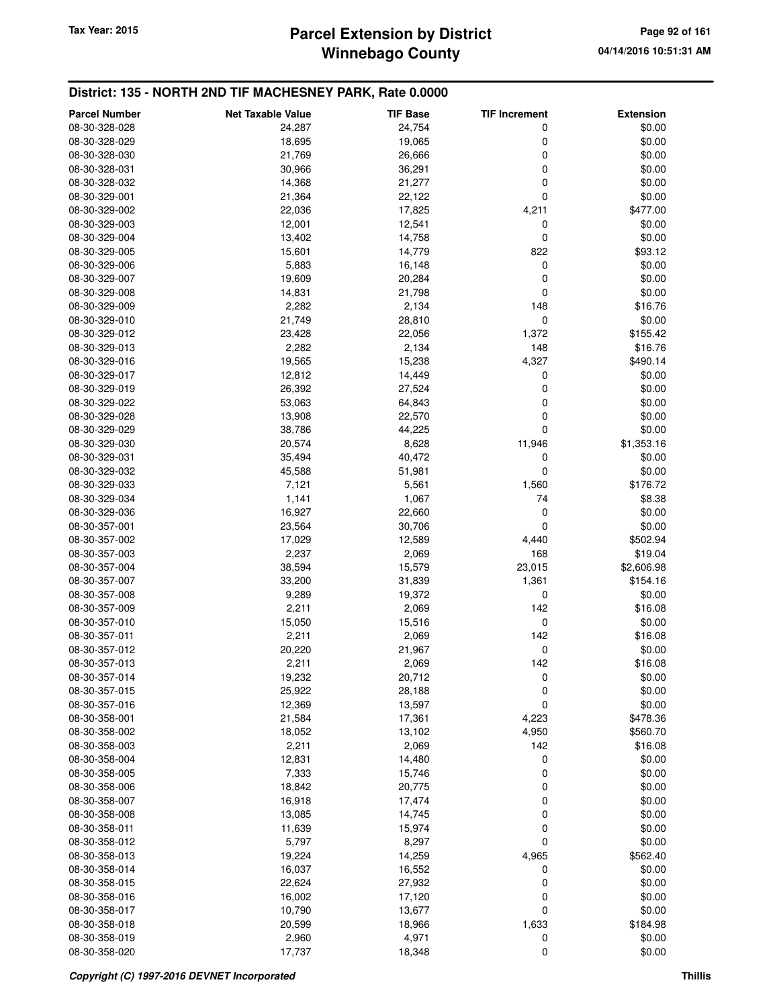## **Winnebago County Parcel Extension by District Tax Year: 2015 Page 92 of 161**

| <b>Parcel Number</b><br><b>Net Taxable Value</b><br><b>TIF Base</b><br>24,754<br>08-30-328-028<br>24,287<br>0<br>08-30-328-029<br>18,695<br>19,065<br>0 | <b>Extension</b><br>\$0.00<br>\$0.00<br>\$0.00 |
|---------------------------------------------------------------------------------------------------------------------------------------------------------|------------------------------------------------|
|                                                                                                                                                         |                                                |
|                                                                                                                                                         |                                                |
| 0<br>08-30-328-030<br>21,769<br>26,666                                                                                                                  |                                                |
| 30,966<br>36,291<br>0<br>08-30-328-031                                                                                                                  | \$0.00                                         |
| 21,277<br>0<br>08-30-328-032<br>14,368                                                                                                                  | \$0.00                                         |
| 0<br>08-30-329-001<br>21,364<br>22,122                                                                                                                  | \$0.00                                         |
| 08-30-329-002<br>22,036<br>17,825<br>4,211                                                                                                              | \$477.00                                       |
| 12,001<br>12,541<br>08-30-329-003<br>0                                                                                                                  | \$0.00                                         |
| 13,402<br>0<br>08-30-329-004<br>14,758                                                                                                                  | \$0.00                                         |
| 15,601<br>14,779<br>822<br>08-30-329-005                                                                                                                | \$93.12                                        |
| 0<br>08-30-329-006<br>5,883<br>16,148                                                                                                                   | \$0.00                                         |
| 19,609<br>08-30-329-007<br>20,284<br>0                                                                                                                  | \$0.00                                         |
| 14,831<br>21,798<br>0<br>08-30-329-008                                                                                                                  | \$0.00                                         |
| 2,282<br>2,134<br>148<br>08-30-329-009                                                                                                                  | \$16.76                                        |
| 21,749<br>0<br>08-30-329-010<br>28,810                                                                                                                  | \$0.00                                         |
| 08-30-329-012<br>23,428<br>22,056<br>1,372                                                                                                              | \$155.42                                       |
| 08-30-329-013<br>2,282<br>2,134<br>148                                                                                                                  | \$16.76                                        |
| 19,565<br>15,238<br>4,327<br>08-30-329-016                                                                                                              | \$490.14                                       |
| 12,812<br>0<br>08-30-329-017<br>14,449                                                                                                                  | \$0.00                                         |
| 26,392<br>0<br>08-30-329-019<br>27,524                                                                                                                  | \$0.00                                         |
| 08-30-329-022<br>53,063<br>64,843<br>0                                                                                                                  | \$0.00                                         |
| 13,908<br>08-30-329-028<br>22,570<br>0                                                                                                                  | \$0.00                                         |
| 0<br>38,786<br>44,225<br>08-30-329-029                                                                                                                  | \$0.00                                         |
| 20,574<br>8,628<br>11,946<br>08-30-329-030                                                                                                              | \$1,353.16                                     |
| 35,494<br>08-30-329-031<br>40,472<br>0                                                                                                                  | \$0.00                                         |
| 08-30-329-032<br>45,588<br>0<br>51,981                                                                                                                  | \$0.00                                         |
| 08-30-329-033<br>7,121<br>5,561<br>1,560                                                                                                                | \$176.72                                       |
| 1,141<br>1,067<br>74<br>08-30-329-034                                                                                                                   | \$8.38                                         |
| 16,927<br>22,660<br>0<br>08-30-329-036                                                                                                                  | \$0.00                                         |
| 23,564<br>30,706<br>0<br>08-30-357-001                                                                                                                  | \$0.00                                         |
| 08-30-357-002<br>17,029<br>12,589<br>4,440                                                                                                              | \$502.94                                       |
| 2,237<br>168<br>08-30-357-003<br>2,069                                                                                                                  | \$19.04                                        |
| 38,594<br>15,579<br>23,015<br>08-30-357-004                                                                                                             | \$2,606.98                                     |
| 08-30-357-007<br>33,200<br>31,839<br>1,361                                                                                                              | \$154.16                                       |
| 08-30-357-008<br>9,289<br>19,372<br>0                                                                                                                   | \$0.00                                         |
| 08-30-357-009<br>2,211<br>142<br>2,069                                                                                                                  | \$16.08                                        |
| 08-30-357-010<br>15,050<br>15,516<br>0                                                                                                                  | \$0.00                                         |
| 2,211<br>142<br>08-30-357-011<br>2,069                                                                                                                  | \$16.08                                        |
| 08-30-357-012<br>20,220<br>0<br>21,967                                                                                                                  | \$0.00                                         |
| 142<br>08-30-357-013<br>2,211<br>2,069                                                                                                                  | \$16.08                                        |
| 20,712<br>08-30-357-014<br>19,232<br>0                                                                                                                  | \$0.00                                         |
| 08-30-357-015<br>25,922<br>28,188<br>0                                                                                                                  | \$0.00                                         |
| 0<br>08-30-357-016<br>12,369<br>13,597                                                                                                                  | \$0.00                                         |
| 21,584<br>4,223<br>08-30-358-001<br>17,361                                                                                                              | \$478.36                                       |
| 4,950<br>08-30-358-002<br>18,052<br>13,102                                                                                                              | \$560.70                                       |
| 08-30-358-003<br>2,211<br>2,069<br>142                                                                                                                  | \$16.08                                        |
| 12,831<br>08-30-358-004<br>14,480<br>0                                                                                                                  | \$0.00                                         |
| 7,333<br>15,746<br>0<br>08-30-358-005                                                                                                                   | \$0.00                                         |
| 18,842<br>20,775<br>08-30-358-006<br>0                                                                                                                  | \$0.00                                         |
| 0<br>08-30-358-007<br>16,918<br>17,474                                                                                                                  | \$0.00                                         |
| 08-30-358-008<br>13,085<br>14,745<br>0                                                                                                                  | \$0.00                                         |
| 08-30-358-011<br>11,639<br>15,974<br>0                                                                                                                  | \$0.00                                         |
| 5,797<br>8,297<br>0<br>08-30-358-012                                                                                                                    | \$0.00                                         |
| 19,224<br>14,259<br>08-30-358-013<br>4,965                                                                                                              | \$562.40                                       |
| 08-30-358-014<br>16,037<br>16,552<br>0                                                                                                                  | \$0.00                                         |
| 08-30-358-015<br>22,624<br>27,932<br>0                                                                                                                  | \$0.00                                         |
| 08-30-358-016<br>16,002<br>17,120<br>0                                                                                                                  | \$0.00                                         |
| 10,790<br>0<br>08-30-358-017<br>13,677                                                                                                                  | \$0.00                                         |
| 20,599<br>1,633<br>08-30-358-018<br>18,966                                                                                                              | \$184.98                                       |
| 0<br>08-30-358-019<br>2,960<br>4,971                                                                                                                    | \$0.00                                         |
| 17,737<br>0<br>08-30-358-020<br>18,348                                                                                                                  | \$0.00                                         |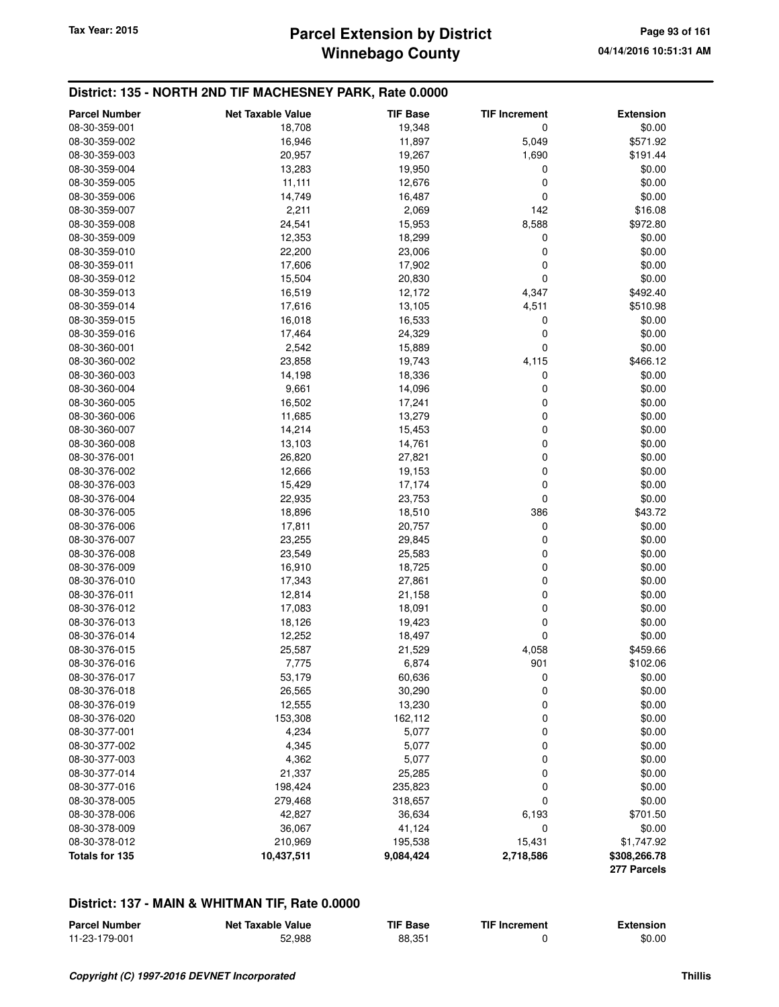#### **District: 135 - NORTH 2ND TIF MACHESNEY PARK, Rate 0.0000**

| <b>Parcel Number</b> | <b>Net Taxable Value</b> | <b>TIF Base</b> | <b>TIF Increment</b> | <b>Extension</b>            |
|----------------------|--------------------------|-----------------|----------------------|-----------------------------|
| 08-30-359-001        | 18,708                   | 19,348          | 0                    | \$0.00                      |
| 08-30-359-002        | 16,946                   | 11,897          | 5,049                | \$571.92                    |
| 08-30-359-003        | 20,957                   | 19,267          | 1,690                | \$191.44                    |
| 08-30-359-004        | 13,283                   | 19,950          | 0                    | \$0.00                      |
| 08-30-359-005        | 11,111                   | 12,676          | 0                    | \$0.00                      |
| 08-30-359-006        | 14,749                   | 16,487          | 0                    | \$0.00                      |
| 08-30-359-007        | 2,211                    | 2,069           | 142                  | \$16.08                     |
| 08-30-359-008        | 24,541                   | 15,953          | 8,588                | \$972.80                    |
| 08-30-359-009        | 12,353                   | 18,299          | 0                    | \$0.00                      |
| 08-30-359-010        | 22,200                   | 23,006          | 0                    | \$0.00                      |
| 08-30-359-011        | 17,606                   | 17,902          | 0                    | \$0.00                      |
| 08-30-359-012        | 15,504                   | 20,830          | 0                    | \$0.00                      |
| 08-30-359-013        | 16,519                   | 12,172          | 4,347                | \$492.40                    |
| 08-30-359-014        | 17,616                   | 13,105          | 4,511                | \$510.98                    |
| 08-30-359-015        | 16,018                   | 16,533          | 0                    | \$0.00                      |
| 08-30-359-016        | 17,464                   | 24,329          | 0                    | \$0.00                      |
| 08-30-360-001        | 2,542                    | 15,889          | 0                    | \$0.00                      |
| 08-30-360-002        | 23,858                   | 19,743          | 4,115                | \$466.12                    |
| 08-30-360-003        | 14,198                   | 18,336          | 0                    | \$0.00                      |
| 08-30-360-004        | 9,661                    | 14,096          | 0                    | \$0.00                      |
| 08-30-360-005        | 16,502                   | 17,241          | 0                    | \$0.00                      |
| 08-30-360-006        | 11,685                   | 13,279          | 0                    | \$0.00                      |
| 08-30-360-007        | 14,214                   | 15,453          | 0                    | \$0.00                      |
| 08-30-360-008        | 13,103                   | 14,761          | 0                    | \$0.00                      |
| 08-30-376-001        | 26,820                   | 27,821          | 0                    | \$0.00                      |
| 08-30-376-002        | 12,666                   | 19,153          | 0                    | \$0.00                      |
| 08-30-376-003        | 15,429                   | 17,174          | 0                    | \$0.00                      |
| 08-30-376-004        | 22,935                   | 23,753          | 0                    | \$0.00                      |
| 08-30-376-005        | 18,896                   | 18,510          | 386                  | \$43.72                     |
| 08-30-376-006        | 17,811                   | 20,757          | 0                    | \$0.00                      |
| 08-30-376-007        | 23,255                   | 29,845          | 0                    | \$0.00                      |
| 08-30-376-008        | 23,549                   | 25,583          | 0                    | \$0.00                      |
| 08-30-376-009        | 16,910                   | 18,725          | 0                    | \$0.00                      |
| 08-30-376-010        | 17,343                   | 27,861          | 0                    | \$0.00                      |
| 08-30-376-011        | 12,814                   | 21,158          | 0                    | \$0.00                      |
| 08-30-376-012        | 17,083                   | 18,091          | 0                    | \$0.00                      |
| 08-30-376-013        | 18,126                   | 19,423          | 0                    | \$0.00                      |
| 08-30-376-014        | 12,252                   | 18,497          | 0                    | \$0.00                      |
| 08-30-376-015        | 25,587                   | 21,529          | 4,058                | \$459.66                    |
| 08-30-376-016        | 7,775                    | 6,874           | 901                  | \$102.06                    |
| 08-30-376-017        | 53,179                   | 60,636          | 0                    | \$0.00                      |
| 08-30-376-018        | 26,565                   | 30,290          | 0                    | \$0.00                      |
| 08-30-376-019        | 12,555                   | 13,230          | 0                    | \$0.00                      |
| 08-30-376-020        | 153,308                  | 162,112         | 0                    | \$0.00                      |
| 08-30-377-001        | 4,234                    | 5,077           | $\mathbf 0$          | \$0.00                      |
| 08-30-377-002        | 4,345                    | 5,077           | 0                    | \$0.00                      |
| 08-30-377-003        | 4,362                    | 5,077           | $\mathbf 0$          | \$0.00                      |
| 08-30-377-014        | 21,337                   | 25,285          | 0                    | \$0.00                      |
| 08-30-377-016        | 198,424                  | 235,823         | 0                    | \$0.00                      |
| 08-30-378-005        | 279,468                  | 318,657         | 0                    | \$0.00                      |
| 08-30-378-006        | 42,827                   | 36,634          | 6,193                | \$701.50                    |
| 08-30-378-009        | 36,067                   | 41,124          | 0                    | \$0.00                      |
| 08-30-378-012        | 210,969                  | 195,538         | 15,431               | \$1,747.92                  |
| Totals for 135       | 10,437,511               | 9,084,424       | 2,718,586            | \$308,266.78<br>277 Parcels |

#### **District: 137 - MAIN & WHITMAN TIF, Rate 0.0000**

| <b>Parcel Number</b> | <b>Net Taxable Value</b> | <b>TIF Base</b> | <b>TIF Increment</b> | <b>Extension</b> |
|----------------------|--------------------------|-----------------|----------------------|------------------|
| 11-23-179-001        | 52.988                   | 88,351          |                      | \$0.00           |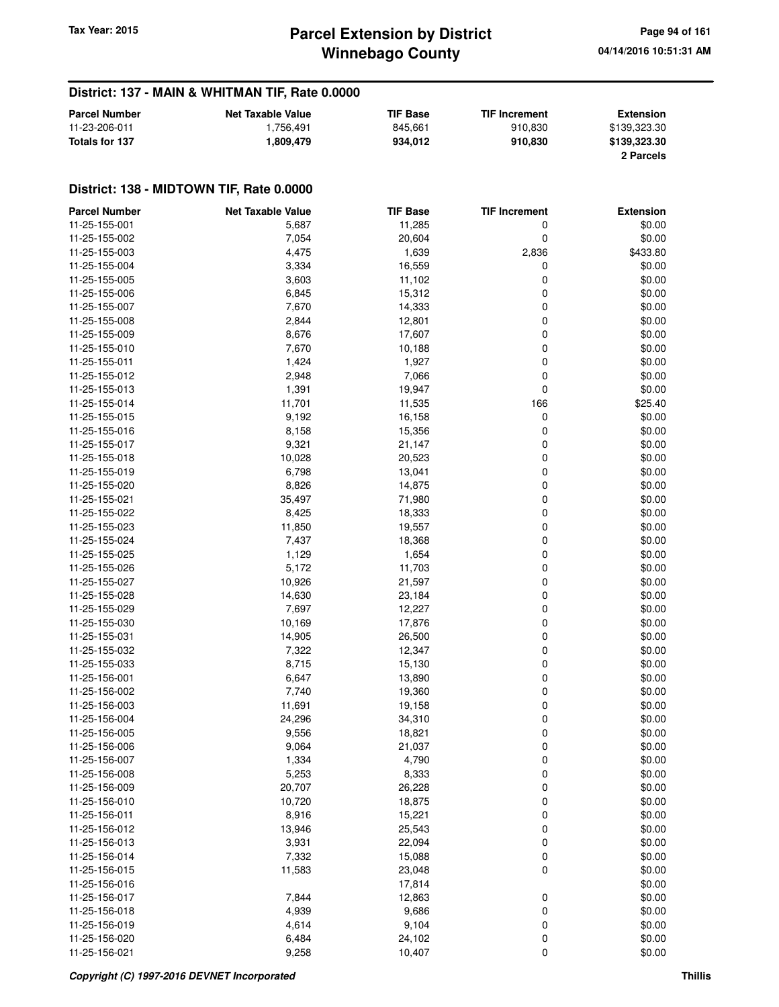#### **District: 137 - MAIN & WHITMAN TIF, Rate 0.0000**

| <b>Parcel Number</b> | <b>Net Taxable Value</b> | <b>TIF Base</b> | <b>TIF Increment</b> | <b>Extension</b> |
|----------------------|--------------------------|-----------------|----------------------|------------------|
| 11-23-206-011        | 1.756.491                | 845.661         | 910.830              | \$139,323,30     |
| Totals for 137       | . 809.479.،              | 934.012         | 910.830              | \$139,323.30     |
|                      |                          |                 |                      | 2 Parcels        |

| <b>Parcel Number</b>           | <b>Net Taxable Value</b> | <b>TIF Base</b>  | <b>TIF Increment</b> | <b>Extension</b> |
|--------------------------------|--------------------------|------------------|----------------------|------------------|
| 11-25-155-001                  | 5,687                    | 11,285           | 0                    | \$0.00           |
| 11-25-155-002                  | 7,054                    | 20,604           | 0                    | \$0.00           |
| 11-25-155-003                  | 4,475                    | 1,639            | 2,836                | \$433.80         |
| 11-25-155-004                  | 3,334                    | 16,559           | 0                    | \$0.00           |
| 11-25-155-005                  | 3,603                    | 11,102           | 0                    | \$0.00           |
| 11-25-155-006                  | 6,845                    | 15,312           | 0                    | \$0.00           |
| 11-25-155-007                  | 7,670                    | 14,333           | 0                    | \$0.00           |
| 11-25-155-008                  | 2,844                    | 12,801           | 0                    | \$0.00           |
| 11-25-155-009                  | 8,676                    | 17,607           | 0                    | \$0.00           |
| 11-25-155-010                  | 7,670                    | 10,188           | 0                    | \$0.00           |
| 11-25-155-011                  | 1,424                    | 1,927            | 0                    | \$0.00           |
| 11-25-155-012                  | 2,948                    | 7,066            | 0                    | \$0.00           |
| 11-25-155-013                  | 1,391                    | 19,947           | 0                    | \$0.00           |
| 11-25-155-014                  | 11,701                   | 11,535           | 166                  | \$25.40          |
| 11-25-155-015                  | 9,192                    | 16,158           | 0                    | \$0.00           |
| 11-25-155-016                  | 8,158                    | 15,356           | 0                    | \$0.00           |
| 11-25-155-017                  | 9,321                    | 21,147           | 0                    | \$0.00           |
| 11-25-155-018                  | 10,028                   | 20,523           | 0                    | \$0.00           |
| 11-25-155-019                  | 6,798                    | 13,041           | 0                    | \$0.00           |
| 11-25-155-020                  | 8,826                    | 14,875           | 0                    | \$0.00           |
| 11-25-155-021                  | 35,497                   | 71,980           | 0                    | \$0.00           |
| 11-25-155-022                  | 8,425                    | 18,333           | 0                    | \$0.00           |
| 11-25-155-023                  | 11,850                   | 19,557           | 0                    | \$0.00           |
| 11-25-155-024                  | 7,437                    | 18,368           | 0                    | \$0.00           |
| 11-25-155-025                  | 1,129                    | 1,654            | 0                    | \$0.00           |
| 11-25-155-026                  | 5,172                    | 11,703           | 0                    | \$0.00           |
| 11-25-155-027                  | 10,926                   | 21,597           | 0                    | \$0.00           |
| 11-25-155-028                  | 14,630                   | 23,184           | 0                    | \$0.00           |
| 11-25-155-029                  | 7,697                    | 12,227           | 0                    | \$0.00           |
| 11-25-155-030                  | 10,169                   | 17,876           | 0                    | \$0.00           |
| 11-25-155-031                  | 14,905                   | 26,500           | 0                    | \$0.00           |
| 11-25-155-032                  | 7,322                    | 12,347           | 0                    | \$0.00           |
| 11-25-155-033                  | 8,715                    | 15,130           | 0                    | \$0.00           |
| 11-25-156-001                  | 6,647                    | 13,890           | 0                    | \$0.00           |
| 11-25-156-002                  | 7,740                    | 19,360           | 0                    | \$0.00           |
| 11-25-156-003                  | 11,691                   | 19,158           | 0                    | \$0.00           |
| 11-25-156-004                  | 24,296                   | 34,310           | 0                    | \$0.00           |
| 11-25-156-005                  | 9,556                    | 18,821           | 0                    | \$0.00           |
| 11-25-156-006                  | 9,064                    | 21,037           | 0                    | \$0.00           |
| 11-25-156-007                  | 1,334                    | 4,790            | 0                    | \$0.00           |
| 11-25-156-008                  | 5,253                    | 8,333            | 0                    | \$0.00           |
| 11-25-156-009                  | 20,707                   | 26,228           | 0                    | \$0.00           |
| 11-25-156-010                  |                          |                  |                      | \$0.00           |
|                                | 10,720                   | 18,875           | 0<br>0               |                  |
| 11-25-156-011<br>11-25-156-012 | 8,916                    | 15,221           |                      | \$0.00           |
|                                | 13,946                   | 25,543           | 0<br>0               | \$0.00           |
| 11-25-156-013<br>11-25-156-014 | 3,931                    | 22,094<br>15,088 | 0                    | \$0.00           |
|                                | 7,332                    |                  |                      | \$0.00           |
| 11-25-156-015                  | 11,583                   | 23,048           | 0                    | \$0.00           |
| 11-25-156-016                  |                          | 17,814           |                      | \$0.00           |
| 11-25-156-017                  | 7,844                    | 12,863           | 0                    | \$0.00           |
| 11-25-156-018                  | 4,939                    | 9,686            | 0                    | \$0.00           |
| 11-25-156-019                  | 4,614                    | 9,104            | 0                    | \$0.00           |
| 11-25-156-020                  | 6,484                    | 24,102           | 0                    | \$0.00           |
| 11-25-156-021                  | 9,258                    | 10,407           | 0                    | \$0.00           |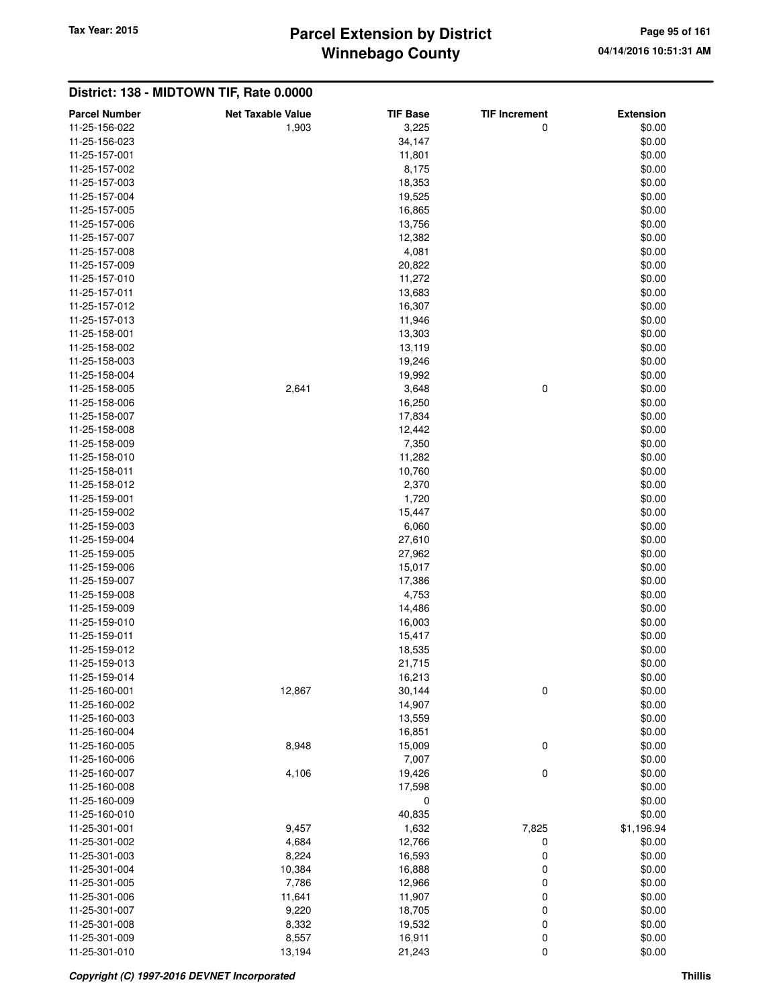# **Winnebago County** Tax Year: 2015 **Parcel Extension by District Page 95 of 161**

| <b>Parcel Number</b> | <b>Net Taxable Value</b> | <b>TIF Base</b> | <b>TIF Increment</b> | <b>Extension</b> |
|----------------------|--------------------------|-----------------|----------------------|------------------|
| 11-25-156-022        | 1,903                    | 3,225           | 0                    | \$0.00           |
| 11-25-156-023        |                          | 34,147          |                      | \$0.00           |
| 11-25-157-001        |                          | 11,801          |                      | \$0.00           |
| 11-25-157-002        |                          | 8,175           |                      | \$0.00           |
| 11-25-157-003        |                          | 18,353          |                      | \$0.00           |
| 11-25-157-004        |                          | 19,525          |                      | \$0.00           |
| 11-25-157-005        |                          | 16,865          |                      | \$0.00           |
| 11-25-157-006        |                          | 13,756          |                      | \$0.00           |
| 11-25-157-007        |                          | 12,382          |                      | \$0.00           |
| 11-25-157-008        |                          | 4,081           |                      | \$0.00           |
| 11-25-157-009        |                          | 20,822          |                      | \$0.00           |
| 11-25-157-010        |                          | 11,272          |                      | \$0.00           |
| 11-25-157-011        |                          | 13,683          |                      | \$0.00           |
| 11-25-157-012        |                          | 16,307          |                      | \$0.00           |
| 11-25-157-013        |                          | 11,946          |                      | \$0.00           |
| 11-25-158-001        |                          | 13,303          |                      | \$0.00           |
| 11-25-158-002        |                          | 13,119          |                      | \$0.00           |
| 11-25-158-003        |                          | 19,246          |                      | \$0.00           |
| 11-25-158-004        |                          | 19,992          |                      | \$0.00           |
| 11-25-158-005        | 2,641                    | 3,648           | 0                    | \$0.00           |
| 11-25-158-006        |                          | 16,250          |                      | \$0.00           |
| 11-25-158-007        |                          | 17,834          |                      | \$0.00           |
| 11-25-158-008        |                          | 12,442          |                      | \$0.00           |
| 11-25-158-009        |                          | 7,350           |                      | \$0.00           |
| 11-25-158-010        |                          | 11,282          |                      | \$0.00           |
| 11-25-158-011        |                          | 10,760          |                      | \$0.00           |
| 11-25-158-012        |                          | 2,370           |                      | \$0.00           |
| 11-25-159-001        |                          | 1,720           |                      | \$0.00           |
| 11-25-159-002        |                          | 15,447          |                      | \$0.00           |
| 11-25-159-003        |                          | 6,060           |                      | \$0.00           |
| 11-25-159-004        |                          | 27,610          |                      | \$0.00           |
| 11-25-159-005        |                          | 27,962          |                      | \$0.00           |
| 11-25-159-006        |                          | 15,017          |                      | \$0.00           |
| 11-25-159-007        |                          | 17,386          |                      | \$0.00           |
| 11-25-159-008        |                          | 4,753           |                      | \$0.00           |
| 11-25-159-009        |                          | 14,486          |                      | \$0.00           |
| 11-25-159-010        |                          | 16,003          |                      | \$0.00           |
| 11-25-159-011        |                          | 15,417          |                      | \$0.00           |
| 11-25-159-012        |                          | 18,535          |                      | \$0.00           |
| 11-25-159-013        |                          | 21,715          |                      | \$0.00           |
| 11-25-159-014        |                          | 16,213          |                      | \$0.00           |
| 11-25-160-001        | 12,867                   | 30,144          | $\pmb{0}$            | \$0.00           |
| 11-25-160-002        |                          | 14,907          |                      | \$0.00           |
| 11-25-160-003        |                          | 13,559          |                      | \$0.00           |
| 11-25-160-004        |                          | 16,851          |                      | \$0.00           |
| 11-25-160-005        | 8,948                    | 15,009          | 0                    | \$0.00           |
| 11-25-160-006        |                          | 7,007           |                      | \$0.00           |
| 11-25-160-007        | 4,106                    | 19,426          | 0                    | \$0.00           |
| 11-25-160-008        |                          | 17,598          |                      | \$0.00           |
| 11-25-160-009        |                          | 0               |                      | \$0.00           |
| 11-25-160-010        |                          | 40,835          |                      | \$0.00           |
| 11-25-301-001        | 9,457                    | 1,632           | 7,825                | \$1,196.94       |
| 11-25-301-002        | 4,684                    | 12,766          | 0                    | \$0.00           |
| 11-25-301-003        | 8,224                    | 16,593          | 0                    | \$0.00           |
| 11-25-301-004        | 10,384                   | 16,888          | 0                    | \$0.00           |
| 11-25-301-005        | 7,786                    | 12,966          | $\pmb{0}$            | \$0.00           |
| 11-25-301-006        | 11,641                   | 11,907          | $\pmb{0}$            | \$0.00           |
| 11-25-301-007        | 9,220                    | 18,705          | $\mathbf 0$          | \$0.00           |
| 11-25-301-008        | 8,332                    | 19,532          | $\pmb{0}$            | \$0.00           |
| 11-25-301-009        | 8,557                    | 16,911          | $\mathbf 0$          | \$0.00           |
| 11-25-301-010        | 13,194                   | 21,243          | 0                    | \$0.00           |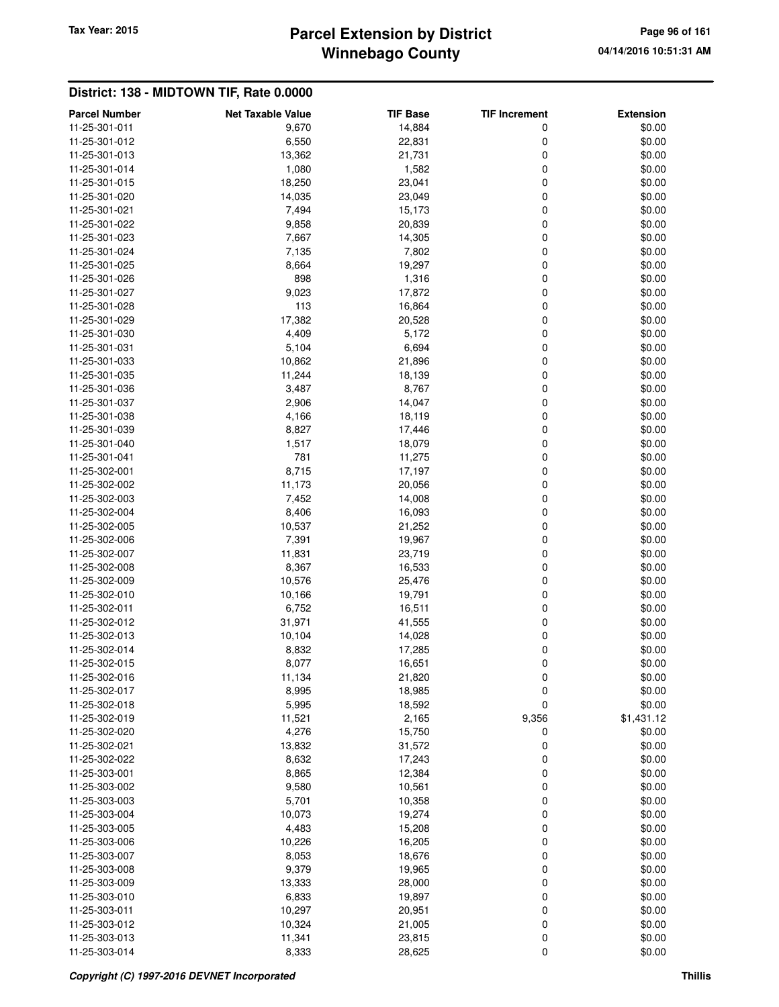# **Winnebago County** Tax Year: 2015 **Parcel Extension by District Page 96 of 161**

| <b>Parcel Number</b> | <b>Net Taxable Value</b> | <b>TIF Base</b> | <b>TIF Increment</b> | <b>Extension</b> |
|----------------------|--------------------------|-----------------|----------------------|------------------|
| 11-25-301-011        | 9,670                    | 14,884          | 0                    | \$0.00           |
| 11-25-301-012        | 6,550                    | 22,831          | 0                    | \$0.00           |
| 11-25-301-013        | 13,362                   | 21,731          | 0                    | \$0.00           |
| 11-25-301-014        | 1,080                    | 1,582           | 0                    | \$0.00           |
| 11-25-301-015        | 18,250                   | 23,041          | 0                    | \$0.00           |
| 11-25-301-020        | 14,035                   | 23,049          | 0                    | \$0.00           |
| 11-25-301-021        | 7,494                    | 15,173          | 0                    | \$0.00           |
| 11-25-301-022        | 9,858                    | 20,839          | 0                    | \$0.00           |
| 11-25-301-023        | 7,667                    | 14,305          | 0                    | \$0.00           |
| 11-25-301-024        | 7,135                    | 7,802           | 0                    | \$0.00           |
| 11-25-301-025        | 8,664                    | 19,297          | 0                    | \$0.00           |
| 11-25-301-026        | 898                      | 1,316           | 0                    | \$0.00           |
| 11-25-301-027        | 9,023                    | 17,872          | 0                    | \$0.00           |
| 11-25-301-028        | 113                      | 16,864          | 0                    | \$0.00           |
| 11-25-301-029        | 17,382                   | 20,528          | 0                    | \$0.00           |
| 11-25-301-030        | 4,409                    | 5,172           | 0                    | \$0.00           |
| 11-25-301-031        | 5,104                    | 6,694           | 0                    | \$0.00           |
| 11-25-301-033        | 10,862                   | 21,896          | 0                    | \$0.00           |
| 11-25-301-035        | 11,244                   | 18,139          | 0                    | \$0.00           |
| 11-25-301-036        | 3,487                    | 8,767           | 0                    | \$0.00           |
| 11-25-301-037        | 2,906                    | 14,047          | 0                    | \$0.00           |
| 11-25-301-038        | 4,166                    | 18,119          | 0                    | \$0.00           |
| 11-25-301-039        | 8,827                    | 17,446          | 0                    | \$0.00           |
| 11-25-301-040        | 1,517                    | 18,079          | 0                    | \$0.00           |
| 11-25-301-041        | 781                      | 11,275          | 0                    | \$0.00           |
| 11-25-302-001        | 8,715                    | 17,197          | 0                    | \$0.00           |
| 11-25-302-002        | 11,173                   | 20,056          | 0                    | \$0.00           |
| 11-25-302-003        | 7,452                    | 14,008          | 0                    | \$0.00           |
| 11-25-302-004        | 8,406                    | 16,093          | 0                    | \$0.00           |
| 11-25-302-005        | 10,537                   | 21,252          | 0                    | \$0.00           |
| 11-25-302-006        | 7,391                    | 19,967          | 0                    | \$0.00           |
| 11-25-302-007        | 11,831                   | 23,719          | 0                    | \$0.00           |
| 11-25-302-008        | 8,367                    | 16,533          | 0                    | \$0.00           |
| 11-25-302-009        | 10,576                   | 25,476          | 0                    | \$0.00           |
| 11-25-302-010        | 10,166                   | 19,791          | 0                    | \$0.00           |
| 11-25-302-011        | 6,752                    | 16,511          | 0                    | \$0.00           |
| 11-25-302-012        | 31,971                   | 41,555          | 0                    | \$0.00           |
| 11-25-302-013        | 10,104                   | 14,028          | 0                    | \$0.00           |
| 11-25-302-014        | 8,832                    | 17,285          | 0                    | \$0.00           |
| 11-25-302-015        | 8,077                    | 16,651          | 0                    | \$0.00           |
| 11-25-302-016        | 11,134                   | 21,820          | 0                    | \$0.00           |
| 11-25-302-017        | 8,995                    | 18,985          | 0                    | \$0.00           |
| 11-25-302-018        | 5,995                    | 18,592          | 0                    | \$0.00           |
| 11-25-302-019        | 11,521                   | 2,165           | 9,356                | \$1,431.12       |
| 11-25-302-020        | 4,276                    | 15,750          | 0                    | \$0.00           |
| 11-25-302-021        | 13,832                   | 31,572          | 0                    | \$0.00           |
| 11-25-302-022        | 8,632                    | 17,243          | 0                    | \$0.00           |
| 11-25-303-001        | 8,865                    | 12,384          | 0                    | \$0.00           |
| 11-25-303-002        | 9,580                    | 10,561          | 0                    | \$0.00           |
| 11-25-303-003        | 5,701                    | 10,358          | 0                    | \$0.00           |
| 11-25-303-004        | 10,073                   | 19,274          | 0                    | \$0.00           |
| 11-25-303-005        | 4,483                    | 15,208          | 0                    | \$0.00           |
| 11-25-303-006        | 10,226                   | 16,205          | 0                    | \$0.00           |
| 11-25-303-007        | 8,053                    | 18,676          | 0                    | \$0.00           |
| 11-25-303-008        | 9,379                    | 19,965          | 0                    | \$0.00           |
| 11-25-303-009        | 13,333                   | 28,000          | 0                    | \$0.00           |
| 11-25-303-010        | 6,833                    | 19,897          | 0                    | \$0.00           |
| 11-25-303-011        | 10,297                   | 20,951          | 0                    | \$0.00           |
| 11-25-303-012        | 10,324                   | 21,005          | 0                    | \$0.00           |
| 11-25-303-013        | 11,341                   | 23,815          | 0                    | \$0.00           |
| 11-25-303-014        | 8,333                    | 28,625          | 0                    | \$0.00           |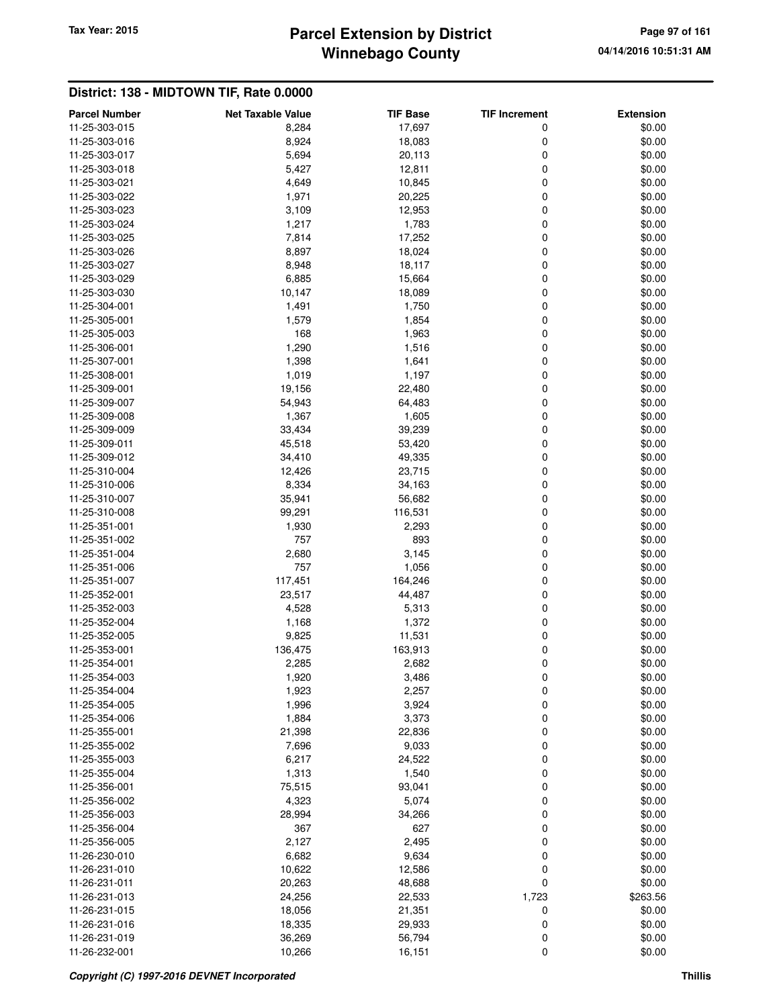# **Winnebago County** Tax Year: 2015 **Parcel Extension by District Page 97 of 161**

| \$0.00<br>11-25-303-015<br>8,284<br>17,697<br>0<br>11-25-303-016<br>8,924<br>18,083<br>0<br>\$0.00<br>11-25-303-017<br>5,694<br>20,113<br>0<br>\$0.00<br>5,427<br>0<br>11-25-303-018<br>12,811<br>\$0.00<br>4,649<br>10,845<br>0<br>\$0.00<br>11-25-303-021<br>\$0.00<br>11-25-303-022<br>1,971<br>20,225<br>0<br>11-25-303-023<br>3,109<br>12,953<br>0<br>\$0.00<br>11-25-303-024<br>1,217<br>1,783<br>0<br>\$0.00<br>7,814<br>0<br>11-25-303-025<br>17,252<br>\$0.00<br>8,897<br>18,024<br>0<br>\$0.00<br>11-25-303-026<br>11-25-303-027<br>8,948<br>18,117<br>0<br>\$0.00<br>11-25-303-029<br>6,885<br>15,664<br>0<br>\$0.00<br>11-25-303-030<br>18,089<br>0<br>\$0.00<br>10,147<br>1,491<br>1,750<br>0<br>11-25-304-001<br>\$0.00<br>0<br>1,579<br>1,854<br>\$0.00<br>11-25-305-001<br>\$0.00<br>11-25-305-003<br>168<br>1,963<br>0<br>11-25-306-001<br>1,290<br>1,516<br>0<br>\$0.00<br>11-25-307-001<br>1,398<br>1,641<br>0<br>\$0.00<br>1,197<br>0<br>11-25-308-001<br>1,019<br>\$0.00<br>19,156<br>22,480<br>0<br>\$0.00<br>11-25-309-001<br>11-25-309-007<br>54,943<br>64,483<br>0<br>\$0.00<br>11-25-309-008<br>1,367<br>1,605<br>0<br>\$0.00<br>11-25-309-009<br>33,434<br>39,239<br>0<br>\$0.00<br>0<br>11-25-309-011<br>45,518<br>53,420<br>\$0.00<br>34,410<br>49,335<br>0<br>\$0.00<br>11-25-309-012<br>12,426<br>23,715<br>0<br>\$0.00<br>11-25-310-004<br>8,334<br>11-25-310-006<br>34,163<br>0<br>\$0.00<br>35,941<br>56,682<br>0<br>\$0.00<br>11-25-310-007<br>0<br>99,291<br>116,531<br>\$0.00<br>11-25-310-008<br>2,293<br>0<br>\$0.00<br>11-25-351-001<br>1,930<br>757<br>893<br>0<br>\$0.00<br>11-25-351-002<br>11-25-351-004<br>2,680<br>3,145<br>0<br>\$0.00<br>11-25-351-006<br>757<br>1,056<br>0<br>\$0.00<br>0<br>11-25-351-007<br>117,451<br>164,246<br>\$0.00<br>23,517<br>44,487<br>0<br>\$0.00<br>11-25-352-001<br>11-25-352-003<br>4,528<br>5,313<br>0<br>\$0.00<br>11-25-352-004<br>1,168<br>1,372<br>0<br>\$0.00<br>9,825<br>11,531<br>0<br>\$0.00<br>11-25-352-005<br>0<br>11-25-353-001<br>136,475<br>163,913<br>\$0.00<br>0<br>2,285<br>2,682<br>\$0.00<br>11-25-354-001<br>\$0.00<br>11-25-354-003<br>1,920<br>3,486<br>0<br>0<br>\$0.00<br>11-25-354-004<br>1,923<br>2,257<br>11-25-354-005<br>1,996<br>3,924<br>0<br>\$0.00<br>3,373<br>0<br>11-25-354-006<br>1,884<br>\$0.00<br>21,398<br>22,836<br>0<br>\$0.00<br>11-25-355-001<br>11-25-355-002<br>7,696<br>9,033<br>0<br>\$0.00<br>\$0.00<br>11-25-355-003<br>6,217<br>24,522<br>0<br>11-25-355-004<br>1,313<br>1,540<br>0<br>\$0.00<br>0<br>11-25-356-001<br>75,515<br>93,041<br>\$0.00<br>0<br>11-25-356-002<br>4,323<br>5,074<br>\$0.00<br>0<br>\$0.00<br>11-25-356-003<br>28,994<br>34,266<br>\$0.00<br>11-25-356-004<br>367<br>627<br>0<br>11-25-356-005<br>2,127<br>2,495<br>0<br>\$0.00<br>9,634<br>0<br>11-26-230-010<br>6,682<br>\$0.00<br>0<br>10,622<br>12,586<br>\$0.00<br>11-26-231-010<br>0<br>\$0.00<br>11-26-231-011<br>20,263<br>48,688<br>\$263.56<br>11-26-231-013<br>24,256<br>22,533<br>1,723<br>11-26-231-015<br>21,351<br>0<br>\$0.00<br>18,056<br>$\pmb{0}$<br>11-26-231-016<br>18,335<br>29,933<br>\$0.00<br>0<br>\$0.00<br>11-26-231-019<br>36,269<br>56,794 | <b>Parcel Number</b> | <b>Net Taxable Value</b> | <b>TIF Base</b> | <b>TIF Increment</b> | <b>Extension</b> |
|-------------------------------------------------------------------------------------------------------------------------------------------------------------------------------------------------------------------------------------------------------------------------------------------------------------------------------------------------------------------------------------------------------------------------------------------------------------------------------------------------------------------------------------------------------------------------------------------------------------------------------------------------------------------------------------------------------------------------------------------------------------------------------------------------------------------------------------------------------------------------------------------------------------------------------------------------------------------------------------------------------------------------------------------------------------------------------------------------------------------------------------------------------------------------------------------------------------------------------------------------------------------------------------------------------------------------------------------------------------------------------------------------------------------------------------------------------------------------------------------------------------------------------------------------------------------------------------------------------------------------------------------------------------------------------------------------------------------------------------------------------------------------------------------------------------------------------------------------------------------------------------------------------------------------------------------------------------------------------------------------------------------------------------------------------------------------------------------------------------------------------------------------------------------------------------------------------------------------------------------------------------------------------------------------------------------------------------------------------------------------------------------------------------------------------------------------------------------------------------------------------------------------------------------------------------------------------------------------------------------------------------------------------------------------------------------------------------------------------------------------------------------------------------------------------------------------------------------------------------------------------------------------------------------------------------------------------------------------------------------------------------------------------------------------------------------------------------------------------------------------------------------------------------------------------------|----------------------|--------------------------|-----------------|----------------------|------------------|
|                                                                                                                                                                                                                                                                                                                                                                                                                                                                                                                                                                                                                                                                                                                                                                                                                                                                                                                                                                                                                                                                                                                                                                                                                                                                                                                                                                                                                                                                                                                                                                                                                                                                                                                                                                                                                                                                                                                                                                                                                                                                                                                                                                                                                                                                                                                                                                                                                                                                                                                                                                                                                                                                                                                                                                                                                                                                                                                                                                                                                                                                                                                                                                                     |                      |                          |                 |                      |                  |
|                                                                                                                                                                                                                                                                                                                                                                                                                                                                                                                                                                                                                                                                                                                                                                                                                                                                                                                                                                                                                                                                                                                                                                                                                                                                                                                                                                                                                                                                                                                                                                                                                                                                                                                                                                                                                                                                                                                                                                                                                                                                                                                                                                                                                                                                                                                                                                                                                                                                                                                                                                                                                                                                                                                                                                                                                                                                                                                                                                                                                                                                                                                                                                                     |                      |                          |                 |                      |                  |
|                                                                                                                                                                                                                                                                                                                                                                                                                                                                                                                                                                                                                                                                                                                                                                                                                                                                                                                                                                                                                                                                                                                                                                                                                                                                                                                                                                                                                                                                                                                                                                                                                                                                                                                                                                                                                                                                                                                                                                                                                                                                                                                                                                                                                                                                                                                                                                                                                                                                                                                                                                                                                                                                                                                                                                                                                                                                                                                                                                                                                                                                                                                                                                                     |                      |                          |                 |                      |                  |
|                                                                                                                                                                                                                                                                                                                                                                                                                                                                                                                                                                                                                                                                                                                                                                                                                                                                                                                                                                                                                                                                                                                                                                                                                                                                                                                                                                                                                                                                                                                                                                                                                                                                                                                                                                                                                                                                                                                                                                                                                                                                                                                                                                                                                                                                                                                                                                                                                                                                                                                                                                                                                                                                                                                                                                                                                                                                                                                                                                                                                                                                                                                                                                                     |                      |                          |                 |                      |                  |
|                                                                                                                                                                                                                                                                                                                                                                                                                                                                                                                                                                                                                                                                                                                                                                                                                                                                                                                                                                                                                                                                                                                                                                                                                                                                                                                                                                                                                                                                                                                                                                                                                                                                                                                                                                                                                                                                                                                                                                                                                                                                                                                                                                                                                                                                                                                                                                                                                                                                                                                                                                                                                                                                                                                                                                                                                                                                                                                                                                                                                                                                                                                                                                                     |                      |                          |                 |                      |                  |
|                                                                                                                                                                                                                                                                                                                                                                                                                                                                                                                                                                                                                                                                                                                                                                                                                                                                                                                                                                                                                                                                                                                                                                                                                                                                                                                                                                                                                                                                                                                                                                                                                                                                                                                                                                                                                                                                                                                                                                                                                                                                                                                                                                                                                                                                                                                                                                                                                                                                                                                                                                                                                                                                                                                                                                                                                                                                                                                                                                                                                                                                                                                                                                                     |                      |                          |                 |                      |                  |
|                                                                                                                                                                                                                                                                                                                                                                                                                                                                                                                                                                                                                                                                                                                                                                                                                                                                                                                                                                                                                                                                                                                                                                                                                                                                                                                                                                                                                                                                                                                                                                                                                                                                                                                                                                                                                                                                                                                                                                                                                                                                                                                                                                                                                                                                                                                                                                                                                                                                                                                                                                                                                                                                                                                                                                                                                                                                                                                                                                                                                                                                                                                                                                                     |                      |                          |                 |                      |                  |
|                                                                                                                                                                                                                                                                                                                                                                                                                                                                                                                                                                                                                                                                                                                                                                                                                                                                                                                                                                                                                                                                                                                                                                                                                                                                                                                                                                                                                                                                                                                                                                                                                                                                                                                                                                                                                                                                                                                                                                                                                                                                                                                                                                                                                                                                                                                                                                                                                                                                                                                                                                                                                                                                                                                                                                                                                                                                                                                                                                                                                                                                                                                                                                                     |                      |                          |                 |                      |                  |
|                                                                                                                                                                                                                                                                                                                                                                                                                                                                                                                                                                                                                                                                                                                                                                                                                                                                                                                                                                                                                                                                                                                                                                                                                                                                                                                                                                                                                                                                                                                                                                                                                                                                                                                                                                                                                                                                                                                                                                                                                                                                                                                                                                                                                                                                                                                                                                                                                                                                                                                                                                                                                                                                                                                                                                                                                                                                                                                                                                                                                                                                                                                                                                                     |                      |                          |                 |                      |                  |
|                                                                                                                                                                                                                                                                                                                                                                                                                                                                                                                                                                                                                                                                                                                                                                                                                                                                                                                                                                                                                                                                                                                                                                                                                                                                                                                                                                                                                                                                                                                                                                                                                                                                                                                                                                                                                                                                                                                                                                                                                                                                                                                                                                                                                                                                                                                                                                                                                                                                                                                                                                                                                                                                                                                                                                                                                                                                                                                                                                                                                                                                                                                                                                                     |                      |                          |                 |                      |                  |
|                                                                                                                                                                                                                                                                                                                                                                                                                                                                                                                                                                                                                                                                                                                                                                                                                                                                                                                                                                                                                                                                                                                                                                                                                                                                                                                                                                                                                                                                                                                                                                                                                                                                                                                                                                                                                                                                                                                                                                                                                                                                                                                                                                                                                                                                                                                                                                                                                                                                                                                                                                                                                                                                                                                                                                                                                                                                                                                                                                                                                                                                                                                                                                                     |                      |                          |                 |                      |                  |
|                                                                                                                                                                                                                                                                                                                                                                                                                                                                                                                                                                                                                                                                                                                                                                                                                                                                                                                                                                                                                                                                                                                                                                                                                                                                                                                                                                                                                                                                                                                                                                                                                                                                                                                                                                                                                                                                                                                                                                                                                                                                                                                                                                                                                                                                                                                                                                                                                                                                                                                                                                                                                                                                                                                                                                                                                                                                                                                                                                                                                                                                                                                                                                                     |                      |                          |                 |                      |                  |
|                                                                                                                                                                                                                                                                                                                                                                                                                                                                                                                                                                                                                                                                                                                                                                                                                                                                                                                                                                                                                                                                                                                                                                                                                                                                                                                                                                                                                                                                                                                                                                                                                                                                                                                                                                                                                                                                                                                                                                                                                                                                                                                                                                                                                                                                                                                                                                                                                                                                                                                                                                                                                                                                                                                                                                                                                                                                                                                                                                                                                                                                                                                                                                                     |                      |                          |                 |                      |                  |
|                                                                                                                                                                                                                                                                                                                                                                                                                                                                                                                                                                                                                                                                                                                                                                                                                                                                                                                                                                                                                                                                                                                                                                                                                                                                                                                                                                                                                                                                                                                                                                                                                                                                                                                                                                                                                                                                                                                                                                                                                                                                                                                                                                                                                                                                                                                                                                                                                                                                                                                                                                                                                                                                                                                                                                                                                                                                                                                                                                                                                                                                                                                                                                                     |                      |                          |                 |                      |                  |
|                                                                                                                                                                                                                                                                                                                                                                                                                                                                                                                                                                                                                                                                                                                                                                                                                                                                                                                                                                                                                                                                                                                                                                                                                                                                                                                                                                                                                                                                                                                                                                                                                                                                                                                                                                                                                                                                                                                                                                                                                                                                                                                                                                                                                                                                                                                                                                                                                                                                                                                                                                                                                                                                                                                                                                                                                                                                                                                                                                                                                                                                                                                                                                                     |                      |                          |                 |                      |                  |
|                                                                                                                                                                                                                                                                                                                                                                                                                                                                                                                                                                                                                                                                                                                                                                                                                                                                                                                                                                                                                                                                                                                                                                                                                                                                                                                                                                                                                                                                                                                                                                                                                                                                                                                                                                                                                                                                                                                                                                                                                                                                                                                                                                                                                                                                                                                                                                                                                                                                                                                                                                                                                                                                                                                                                                                                                                                                                                                                                                                                                                                                                                                                                                                     |                      |                          |                 |                      |                  |
|                                                                                                                                                                                                                                                                                                                                                                                                                                                                                                                                                                                                                                                                                                                                                                                                                                                                                                                                                                                                                                                                                                                                                                                                                                                                                                                                                                                                                                                                                                                                                                                                                                                                                                                                                                                                                                                                                                                                                                                                                                                                                                                                                                                                                                                                                                                                                                                                                                                                                                                                                                                                                                                                                                                                                                                                                                                                                                                                                                                                                                                                                                                                                                                     |                      |                          |                 |                      |                  |
|                                                                                                                                                                                                                                                                                                                                                                                                                                                                                                                                                                                                                                                                                                                                                                                                                                                                                                                                                                                                                                                                                                                                                                                                                                                                                                                                                                                                                                                                                                                                                                                                                                                                                                                                                                                                                                                                                                                                                                                                                                                                                                                                                                                                                                                                                                                                                                                                                                                                                                                                                                                                                                                                                                                                                                                                                                                                                                                                                                                                                                                                                                                                                                                     |                      |                          |                 |                      |                  |
|                                                                                                                                                                                                                                                                                                                                                                                                                                                                                                                                                                                                                                                                                                                                                                                                                                                                                                                                                                                                                                                                                                                                                                                                                                                                                                                                                                                                                                                                                                                                                                                                                                                                                                                                                                                                                                                                                                                                                                                                                                                                                                                                                                                                                                                                                                                                                                                                                                                                                                                                                                                                                                                                                                                                                                                                                                                                                                                                                                                                                                                                                                                                                                                     |                      |                          |                 |                      |                  |
|                                                                                                                                                                                                                                                                                                                                                                                                                                                                                                                                                                                                                                                                                                                                                                                                                                                                                                                                                                                                                                                                                                                                                                                                                                                                                                                                                                                                                                                                                                                                                                                                                                                                                                                                                                                                                                                                                                                                                                                                                                                                                                                                                                                                                                                                                                                                                                                                                                                                                                                                                                                                                                                                                                                                                                                                                                                                                                                                                                                                                                                                                                                                                                                     |                      |                          |                 |                      |                  |
|                                                                                                                                                                                                                                                                                                                                                                                                                                                                                                                                                                                                                                                                                                                                                                                                                                                                                                                                                                                                                                                                                                                                                                                                                                                                                                                                                                                                                                                                                                                                                                                                                                                                                                                                                                                                                                                                                                                                                                                                                                                                                                                                                                                                                                                                                                                                                                                                                                                                                                                                                                                                                                                                                                                                                                                                                                                                                                                                                                                                                                                                                                                                                                                     |                      |                          |                 |                      |                  |
|                                                                                                                                                                                                                                                                                                                                                                                                                                                                                                                                                                                                                                                                                                                                                                                                                                                                                                                                                                                                                                                                                                                                                                                                                                                                                                                                                                                                                                                                                                                                                                                                                                                                                                                                                                                                                                                                                                                                                                                                                                                                                                                                                                                                                                                                                                                                                                                                                                                                                                                                                                                                                                                                                                                                                                                                                                                                                                                                                                                                                                                                                                                                                                                     |                      |                          |                 |                      |                  |
|                                                                                                                                                                                                                                                                                                                                                                                                                                                                                                                                                                                                                                                                                                                                                                                                                                                                                                                                                                                                                                                                                                                                                                                                                                                                                                                                                                                                                                                                                                                                                                                                                                                                                                                                                                                                                                                                                                                                                                                                                                                                                                                                                                                                                                                                                                                                                                                                                                                                                                                                                                                                                                                                                                                                                                                                                                                                                                                                                                                                                                                                                                                                                                                     |                      |                          |                 |                      |                  |
|                                                                                                                                                                                                                                                                                                                                                                                                                                                                                                                                                                                                                                                                                                                                                                                                                                                                                                                                                                                                                                                                                                                                                                                                                                                                                                                                                                                                                                                                                                                                                                                                                                                                                                                                                                                                                                                                                                                                                                                                                                                                                                                                                                                                                                                                                                                                                                                                                                                                                                                                                                                                                                                                                                                                                                                                                                                                                                                                                                                                                                                                                                                                                                                     |                      |                          |                 |                      |                  |
|                                                                                                                                                                                                                                                                                                                                                                                                                                                                                                                                                                                                                                                                                                                                                                                                                                                                                                                                                                                                                                                                                                                                                                                                                                                                                                                                                                                                                                                                                                                                                                                                                                                                                                                                                                                                                                                                                                                                                                                                                                                                                                                                                                                                                                                                                                                                                                                                                                                                                                                                                                                                                                                                                                                                                                                                                                                                                                                                                                                                                                                                                                                                                                                     |                      |                          |                 |                      |                  |
|                                                                                                                                                                                                                                                                                                                                                                                                                                                                                                                                                                                                                                                                                                                                                                                                                                                                                                                                                                                                                                                                                                                                                                                                                                                                                                                                                                                                                                                                                                                                                                                                                                                                                                                                                                                                                                                                                                                                                                                                                                                                                                                                                                                                                                                                                                                                                                                                                                                                                                                                                                                                                                                                                                                                                                                                                                                                                                                                                                                                                                                                                                                                                                                     |                      |                          |                 |                      |                  |
|                                                                                                                                                                                                                                                                                                                                                                                                                                                                                                                                                                                                                                                                                                                                                                                                                                                                                                                                                                                                                                                                                                                                                                                                                                                                                                                                                                                                                                                                                                                                                                                                                                                                                                                                                                                                                                                                                                                                                                                                                                                                                                                                                                                                                                                                                                                                                                                                                                                                                                                                                                                                                                                                                                                                                                                                                                                                                                                                                                                                                                                                                                                                                                                     |                      |                          |                 |                      |                  |
|                                                                                                                                                                                                                                                                                                                                                                                                                                                                                                                                                                                                                                                                                                                                                                                                                                                                                                                                                                                                                                                                                                                                                                                                                                                                                                                                                                                                                                                                                                                                                                                                                                                                                                                                                                                                                                                                                                                                                                                                                                                                                                                                                                                                                                                                                                                                                                                                                                                                                                                                                                                                                                                                                                                                                                                                                                                                                                                                                                                                                                                                                                                                                                                     |                      |                          |                 |                      |                  |
|                                                                                                                                                                                                                                                                                                                                                                                                                                                                                                                                                                                                                                                                                                                                                                                                                                                                                                                                                                                                                                                                                                                                                                                                                                                                                                                                                                                                                                                                                                                                                                                                                                                                                                                                                                                                                                                                                                                                                                                                                                                                                                                                                                                                                                                                                                                                                                                                                                                                                                                                                                                                                                                                                                                                                                                                                                                                                                                                                                                                                                                                                                                                                                                     |                      |                          |                 |                      |                  |
|                                                                                                                                                                                                                                                                                                                                                                                                                                                                                                                                                                                                                                                                                                                                                                                                                                                                                                                                                                                                                                                                                                                                                                                                                                                                                                                                                                                                                                                                                                                                                                                                                                                                                                                                                                                                                                                                                                                                                                                                                                                                                                                                                                                                                                                                                                                                                                                                                                                                                                                                                                                                                                                                                                                                                                                                                                                                                                                                                                                                                                                                                                                                                                                     |                      |                          |                 |                      |                  |
|                                                                                                                                                                                                                                                                                                                                                                                                                                                                                                                                                                                                                                                                                                                                                                                                                                                                                                                                                                                                                                                                                                                                                                                                                                                                                                                                                                                                                                                                                                                                                                                                                                                                                                                                                                                                                                                                                                                                                                                                                                                                                                                                                                                                                                                                                                                                                                                                                                                                                                                                                                                                                                                                                                                                                                                                                                                                                                                                                                                                                                                                                                                                                                                     |                      |                          |                 |                      |                  |
|                                                                                                                                                                                                                                                                                                                                                                                                                                                                                                                                                                                                                                                                                                                                                                                                                                                                                                                                                                                                                                                                                                                                                                                                                                                                                                                                                                                                                                                                                                                                                                                                                                                                                                                                                                                                                                                                                                                                                                                                                                                                                                                                                                                                                                                                                                                                                                                                                                                                                                                                                                                                                                                                                                                                                                                                                                                                                                                                                                                                                                                                                                                                                                                     |                      |                          |                 |                      |                  |
|                                                                                                                                                                                                                                                                                                                                                                                                                                                                                                                                                                                                                                                                                                                                                                                                                                                                                                                                                                                                                                                                                                                                                                                                                                                                                                                                                                                                                                                                                                                                                                                                                                                                                                                                                                                                                                                                                                                                                                                                                                                                                                                                                                                                                                                                                                                                                                                                                                                                                                                                                                                                                                                                                                                                                                                                                                                                                                                                                                                                                                                                                                                                                                                     |                      |                          |                 |                      |                  |
|                                                                                                                                                                                                                                                                                                                                                                                                                                                                                                                                                                                                                                                                                                                                                                                                                                                                                                                                                                                                                                                                                                                                                                                                                                                                                                                                                                                                                                                                                                                                                                                                                                                                                                                                                                                                                                                                                                                                                                                                                                                                                                                                                                                                                                                                                                                                                                                                                                                                                                                                                                                                                                                                                                                                                                                                                                                                                                                                                                                                                                                                                                                                                                                     |                      |                          |                 |                      |                  |
|                                                                                                                                                                                                                                                                                                                                                                                                                                                                                                                                                                                                                                                                                                                                                                                                                                                                                                                                                                                                                                                                                                                                                                                                                                                                                                                                                                                                                                                                                                                                                                                                                                                                                                                                                                                                                                                                                                                                                                                                                                                                                                                                                                                                                                                                                                                                                                                                                                                                                                                                                                                                                                                                                                                                                                                                                                                                                                                                                                                                                                                                                                                                                                                     |                      |                          |                 |                      |                  |
|                                                                                                                                                                                                                                                                                                                                                                                                                                                                                                                                                                                                                                                                                                                                                                                                                                                                                                                                                                                                                                                                                                                                                                                                                                                                                                                                                                                                                                                                                                                                                                                                                                                                                                                                                                                                                                                                                                                                                                                                                                                                                                                                                                                                                                                                                                                                                                                                                                                                                                                                                                                                                                                                                                                                                                                                                                                                                                                                                                                                                                                                                                                                                                                     |                      |                          |                 |                      |                  |
|                                                                                                                                                                                                                                                                                                                                                                                                                                                                                                                                                                                                                                                                                                                                                                                                                                                                                                                                                                                                                                                                                                                                                                                                                                                                                                                                                                                                                                                                                                                                                                                                                                                                                                                                                                                                                                                                                                                                                                                                                                                                                                                                                                                                                                                                                                                                                                                                                                                                                                                                                                                                                                                                                                                                                                                                                                                                                                                                                                                                                                                                                                                                                                                     |                      |                          |                 |                      |                  |
|                                                                                                                                                                                                                                                                                                                                                                                                                                                                                                                                                                                                                                                                                                                                                                                                                                                                                                                                                                                                                                                                                                                                                                                                                                                                                                                                                                                                                                                                                                                                                                                                                                                                                                                                                                                                                                                                                                                                                                                                                                                                                                                                                                                                                                                                                                                                                                                                                                                                                                                                                                                                                                                                                                                                                                                                                                                                                                                                                                                                                                                                                                                                                                                     |                      |                          |                 |                      |                  |
|                                                                                                                                                                                                                                                                                                                                                                                                                                                                                                                                                                                                                                                                                                                                                                                                                                                                                                                                                                                                                                                                                                                                                                                                                                                                                                                                                                                                                                                                                                                                                                                                                                                                                                                                                                                                                                                                                                                                                                                                                                                                                                                                                                                                                                                                                                                                                                                                                                                                                                                                                                                                                                                                                                                                                                                                                                                                                                                                                                                                                                                                                                                                                                                     |                      |                          |                 |                      |                  |
|                                                                                                                                                                                                                                                                                                                                                                                                                                                                                                                                                                                                                                                                                                                                                                                                                                                                                                                                                                                                                                                                                                                                                                                                                                                                                                                                                                                                                                                                                                                                                                                                                                                                                                                                                                                                                                                                                                                                                                                                                                                                                                                                                                                                                                                                                                                                                                                                                                                                                                                                                                                                                                                                                                                                                                                                                                                                                                                                                                                                                                                                                                                                                                                     |                      |                          |                 |                      |                  |
|                                                                                                                                                                                                                                                                                                                                                                                                                                                                                                                                                                                                                                                                                                                                                                                                                                                                                                                                                                                                                                                                                                                                                                                                                                                                                                                                                                                                                                                                                                                                                                                                                                                                                                                                                                                                                                                                                                                                                                                                                                                                                                                                                                                                                                                                                                                                                                                                                                                                                                                                                                                                                                                                                                                                                                                                                                                                                                                                                                                                                                                                                                                                                                                     |                      |                          |                 |                      |                  |
|                                                                                                                                                                                                                                                                                                                                                                                                                                                                                                                                                                                                                                                                                                                                                                                                                                                                                                                                                                                                                                                                                                                                                                                                                                                                                                                                                                                                                                                                                                                                                                                                                                                                                                                                                                                                                                                                                                                                                                                                                                                                                                                                                                                                                                                                                                                                                                                                                                                                                                                                                                                                                                                                                                                                                                                                                                                                                                                                                                                                                                                                                                                                                                                     |                      |                          |                 |                      |                  |
|                                                                                                                                                                                                                                                                                                                                                                                                                                                                                                                                                                                                                                                                                                                                                                                                                                                                                                                                                                                                                                                                                                                                                                                                                                                                                                                                                                                                                                                                                                                                                                                                                                                                                                                                                                                                                                                                                                                                                                                                                                                                                                                                                                                                                                                                                                                                                                                                                                                                                                                                                                                                                                                                                                                                                                                                                                                                                                                                                                                                                                                                                                                                                                                     |                      |                          |                 |                      |                  |
|                                                                                                                                                                                                                                                                                                                                                                                                                                                                                                                                                                                                                                                                                                                                                                                                                                                                                                                                                                                                                                                                                                                                                                                                                                                                                                                                                                                                                                                                                                                                                                                                                                                                                                                                                                                                                                                                                                                                                                                                                                                                                                                                                                                                                                                                                                                                                                                                                                                                                                                                                                                                                                                                                                                                                                                                                                                                                                                                                                                                                                                                                                                                                                                     |                      |                          |                 |                      |                  |
|                                                                                                                                                                                                                                                                                                                                                                                                                                                                                                                                                                                                                                                                                                                                                                                                                                                                                                                                                                                                                                                                                                                                                                                                                                                                                                                                                                                                                                                                                                                                                                                                                                                                                                                                                                                                                                                                                                                                                                                                                                                                                                                                                                                                                                                                                                                                                                                                                                                                                                                                                                                                                                                                                                                                                                                                                                                                                                                                                                                                                                                                                                                                                                                     |                      |                          |                 |                      |                  |
|                                                                                                                                                                                                                                                                                                                                                                                                                                                                                                                                                                                                                                                                                                                                                                                                                                                                                                                                                                                                                                                                                                                                                                                                                                                                                                                                                                                                                                                                                                                                                                                                                                                                                                                                                                                                                                                                                                                                                                                                                                                                                                                                                                                                                                                                                                                                                                                                                                                                                                                                                                                                                                                                                                                                                                                                                                                                                                                                                                                                                                                                                                                                                                                     |                      |                          |                 |                      |                  |
|                                                                                                                                                                                                                                                                                                                                                                                                                                                                                                                                                                                                                                                                                                                                                                                                                                                                                                                                                                                                                                                                                                                                                                                                                                                                                                                                                                                                                                                                                                                                                                                                                                                                                                                                                                                                                                                                                                                                                                                                                                                                                                                                                                                                                                                                                                                                                                                                                                                                                                                                                                                                                                                                                                                                                                                                                                                                                                                                                                                                                                                                                                                                                                                     |                      |                          |                 |                      |                  |
|                                                                                                                                                                                                                                                                                                                                                                                                                                                                                                                                                                                                                                                                                                                                                                                                                                                                                                                                                                                                                                                                                                                                                                                                                                                                                                                                                                                                                                                                                                                                                                                                                                                                                                                                                                                                                                                                                                                                                                                                                                                                                                                                                                                                                                                                                                                                                                                                                                                                                                                                                                                                                                                                                                                                                                                                                                                                                                                                                                                                                                                                                                                                                                                     |                      |                          |                 |                      |                  |
|                                                                                                                                                                                                                                                                                                                                                                                                                                                                                                                                                                                                                                                                                                                                                                                                                                                                                                                                                                                                                                                                                                                                                                                                                                                                                                                                                                                                                                                                                                                                                                                                                                                                                                                                                                                                                                                                                                                                                                                                                                                                                                                                                                                                                                                                                                                                                                                                                                                                                                                                                                                                                                                                                                                                                                                                                                                                                                                                                                                                                                                                                                                                                                                     |                      |                          |                 |                      |                  |
|                                                                                                                                                                                                                                                                                                                                                                                                                                                                                                                                                                                                                                                                                                                                                                                                                                                                                                                                                                                                                                                                                                                                                                                                                                                                                                                                                                                                                                                                                                                                                                                                                                                                                                                                                                                                                                                                                                                                                                                                                                                                                                                                                                                                                                                                                                                                                                                                                                                                                                                                                                                                                                                                                                                                                                                                                                                                                                                                                                                                                                                                                                                                                                                     |                      |                          |                 |                      |                  |
|                                                                                                                                                                                                                                                                                                                                                                                                                                                                                                                                                                                                                                                                                                                                                                                                                                                                                                                                                                                                                                                                                                                                                                                                                                                                                                                                                                                                                                                                                                                                                                                                                                                                                                                                                                                                                                                                                                                                                                                                                                                                                                                                                                                                                                                                                                                                                                                                                                                                                                                                                                                                                                                                                                                                                                                                                                                                                                                                                                                                                                                                                                                                                                                     |                      |                          |                 |                      |                  |
|                                                                                                                                                                                                                                                                                                                                                                                                                                                                                                                                                                                                                                                                                                                                                                                                                                                                                                                                                                                                                                                                                                                                                                                                                                                                                                                                                                                                                                                                                                                                                                                                                                                                                                                                                                                                                                                                                                                                                                                                                                                                                                                                                                                                                                                                                                                                                                                                                                                                                                                                                                                                                                                                                                                                                                                                                                                                                                                                                                                                                                                                                                                                                                                     |                      |                          |                 |                      |                  |
|                                                                                                                                                                                                                                                                                                                                                                                                                                                                                                                                                                                                                                                                                                                                                                                                                                                                                                                                                                                                                                                                                                                                                                                                                                                                                                                                                                                                                                                                                                                                                                                                                                                                                                                                                                                                                                                                                                                                                                                                                                                                                                                                                                                                                                                                                                                                                                                                                                                                                                                                                                                                                                                                                                                                                                                                                                                                                                                                                                                                                                                                                                                                                                                     |                      |                          |                 |                      |                  |
|                                                                                                                                                                                                                                                                                                                                                                                                                                                                                                                                                                                                                                                                                                                                                                                                                                                                                                                                                                                                                                                                                                                                                                                                                                                                                                                                                                                                                                                                                                                                                                                                                                                                                                                                                                                                                                                                                                                                                                                                                                                                                                                                                                                                                                                                                                                                                                                                                                                                                                                                                                                                                                                                                                                                                                                                                                                                                                                                                                                                                                                                                                                                                                                     |                      |                          |                 |                      |                  |
|                                                                                                                                                                                                                                                                                                                                                                                                                                                                                                                                                                                                                                                                                                                                                                                                                                                                                                                                                                                                                                                                                                                                                                                                                                                                                                                                                                                                                                                                                                                                                                                                                                                                                                                                                                                                                                                                                                                                                                                                                                                                                                                                                                                                                                                                                                                                                                                                                                                                                                                                                                                                                                                                                                                                                                                                                                                                                                                                                                                                                                                                                                                                                                                     |                      |                          |                 |                      |                  |
|                                                                                                                                                                                                                                                                                                                                                                                                                                                                                                                                                                                                                                                                                                                                                                                                                                                                                                                                                                                                                                                                                                                                                                                                                                                                                                                                                                                                                                                                                                                                                                                                                                                                                                                                                                                                                                                                                                                                                                                                                                                                                                                                                                                                                                                                                                                                                                                                                                                                                                                                                                                                                                                                                                                                                                                                                                                                                                                                                                                                                                                                                                                                                                                     |                      |                          |                 |                      |                  |
|                                                                                                                                                                                                                                                                                                                                                                                                                                                                                                                                                                                                                                                                                                                                                                                                                                                                                                                                                                                                                                                                                                                                                                                                                                                                                                                                                                                                                                                                                                                                                                                                                                                                                                                                                                                                                                                                                                                                                                                                                                                                                                                                                                                                                                                                                                                                                                                                                                                                                                                                                                                                                                                                                                                                                                                                                                                                                                                                                                                                                                                                                                                                                                                     |                      |                          |                 |                      |                  |
|                                                                                                                                                                                                                                                                                                                                                                                                                                                                                                                                                                                                                                                                                                                                                                                                                                                                                                                                                                                                                                                                                                                                                                                                                                                                                                                                                                                                                                                                                                                                                                                                                                                                                                                                                                                                                                                                                                                                                                                                                                                                                                                                                                                                                                                                                                                                                                                                                                                                                                                                                                                                                                                                                                                                                                                                                                                                                                                                                                                                                                                                                                                                                                                     |                      |                          |                 |                      |                  |
|                                                                                                                                                                                                                                                                                                                                                                                                                                                                                                                                                                                                                                                                                                                                                                                                                                                                                                                                                                                                                                                                                                                                                                                                                                                                                                                                                                                                                                                                                                                                                                                                                                                                                                                                                                                                                                                                                                                                                                                                                                                                                                                                                                                                                                                                                                                                                                                                                                                                                                                                                                                                                                                                                                                                                                                                                                                                                                                                                                                                                                                                                                                                                                                     |                      |                          |                 |                      |                  |
|                                                                                                                                                                                                                                                                                                                                                                                                                                                                                                                                                                                                                                                                                                                                                                                                                                                                                                                                                                                                                                                                                                                                                                                                                                                                                                                                                                                                                                                                                                                                                                                                                                                                                                                                                                                                                                                                                                                                                                                                                                                                                                                                                                                                                                                                                                                                                                                                                                                                                                                                                                                                                                                                                                                                                                                                                                                                                                                                                                                                                                                                                                                                                                                     |                      |                          |                 |                      |                  |
|                                                                                                                                                                                                                                                                                                                                                                                                                                                                                                                                                                                                                                                                                                                                                                                                                                                                                                                                                                                                                                                                                                                                                                                                                                                                                                                                                                                                                                                                                                                                                                                                                                                                                                                                                                                                                                                                                                                                                                                                                                                                                                                                                                                                                                                                                                                                                                                                                                                                                                                                                                                                                                                                                                                                                                                                                                                                                                                                                                                                                                                                                                                                                                                     | 11-26-232-001        | 10,266                   | 16,151          | 0                    | \$0.00           |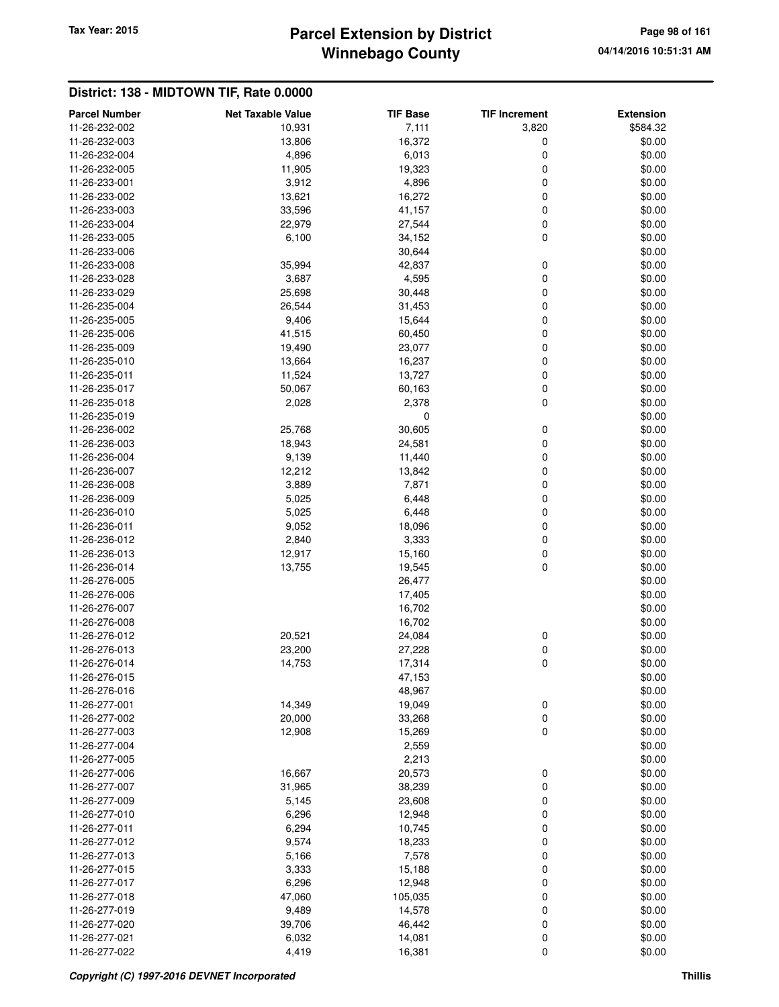## **Winnebago County Parcel Extension by District Tax Year: 2015 Page 98 of 161**

| <b>Parcel Number</b>           | <b>Net Taxable Value</b> | <b>TIF Base</b>  | <b>TIF Increment</b> | <b>Extension</b> |
|--------------------------------|--------------------------|------------------|----------------------|------------------|
| 11-26-232-002                  | 10,931                   | 7,111            | 3,820                | \$584.32         |
| 11-26-232-003                  | 13,806                   | 16,372           | 0                    | \$0.00           |
| 11-26-232-004                  | 4,896                    | 6,013            | 0                    | \$0.00           |
| 11-26-232-005                  | 11,905                   | 19,323           | 0                    | \$0.00           |
| 11-26-233-001                  | 3,912                    | 4,896            | 0                    | \$0.00           |
| 11-26-233-002                  | 13,621                   | 16,272           | 0                    | \$0.00           |
| 11-26-233-003                  | 33,596                   | 41,157           | 0                    | \$0.00           |
| 11-26-233-004                  | 22,979                   | 27,544           | 0                    | \$0.00           |
| 11-26-233-005                  | 6,100                    | 34,152           | 0                    | \$0.00           |
| 11-26-233-006                  |                          | 30,644           |                      | \$0.00           |
| 11-26-233-008                  | 35,994                   | 42,837           | 0                    | \$0.00           |
| 11-26-233-028                  | 3,687                    | 4,595            | 0                    | \$0.00           |
| 11-26-233-029                  | 25,698                   | 30,448           | 0                    | \$0.00           |
| 11-26-235-004                  | 26,544                   | 31,453           | 0                    | \$0.00           |
| 11-26-235-005                  | 9,406                    | 15,644           | 0                    | \$0.00           |
| 11-26-235-006                  | 41,515                   | 60,450           | 0                    | \$0.00           |
| 11-26-235-009                  | 19,490                   | 23,077           | 0                    | \$0.00           |
| 11-26-235-010                  | 13,664                   | 16,237           | 0                    | \$0.00           |
| 11-26-235-011                  | 11,524                   | 13,727           | 0                    | \$0.00           |
| 11-26-235-017                  | 50,067                   | 60,163           | 0                    | \$0.00           |
| 11-26-235-018                  | 2,028                    | 2,378            | 0                    | \$0.00           |
| 11-26-235-019                  |                          | 0                |                      | \$0.00           |
| 11-26-236-002                  | 25,768                   | 30,605           | 0                    | \$0.00           |
| 11-26-236-003                  | 18,943                   | 24,581           | 0                    | \$0.00           |
| 11-26-236-004                  | 9,139                    | 11,440           | 0                    | \$0.00           |
| 11-26-236-007                  | 12,212                   | 13,842           | 0                    | \$0.00           |
| 11-26-236-008                  | 3,889                    | 7,871            | 0                    | \$0.00           |
| 11-26-236-009                  | 5,025                    | 6,448            | 0                    | \$0.00           |
| 11-26-236-010                  | 5,025                    | 6,448            | 0                    | \$0.00           |
| 11-26-236-011                  | 9,052                    | 18,096           | 0                    | \$0.00           |
| 11-26-236-012                  | 2,840                    | 3,333            | 0                    | \$0.00           |
| 11-26-236-013                  | 12,917                   | 15,160           | 0                    | \$0.00           |
| 11-26-236-014                  | 13,755                   | 19,545           | 0                    | \$0.00           |
| 11-26-276-005                  |                          | 26,477           |                      | \$0.00           |
| 11-26-276-006                  |                          | 17,405           |                      | \$0.00           |
| 11-26-276-007                  |                          | 16,702           |                      | \$0.00           |
| 11-26-276-008                  |                          | 16,702           |                      | \$0.00           |
| 11-26-276-012                  | 20,521                   | 24,084           | 0                    | \$0.00<br>\$0.00 |
| 11-26-276-013                  | 23,200                   | 27,228           | 0<br>0               |                  |
| 11-26-276-014<br>11-26-276-015 | 14,753                   | 17,314           |                      | \$0.00           |
| 11-26-276-016                  |                          | 47,153<br>48,967 |                      | \$0.00<br>\$0.00 |
| 11-26-277-001                  | 14,349                   | 19,049           | 0                    | \$0.00           |
| 11-26-277-002                  | 20,000                   | 33,268           | 0                    | \$0.00           |
| 11-26-277-003                  | 12,908                   | 15,269           | 0                    | \$0.00           |
| 11-26-277-004                  |                          | 2,559            |                      | \$0.00           |
| 11-26-277-005                  |                          | 2,213            |                      | \$0.00           |
| 11-26-277-006                  | 16,667                   | 20,573           | 0                    | \$0.00           |
| 11-26-277-007                  | 31,965                   | 38,239           | 0                    | \$0.00           |
| 11-26-277-009                  | 5,145                    | 23,608           | 0                    | \$0.00           |
| 11-26-277-010                  | 6,296                    | 12,948           | 0                    | \$0.00           |
| 11-26-277-011                  | 6,294                    | 10,745           | 0                    | \$0.00           |
| 11-26-277-012                  | 9,574                    | 18,233           | 0                    | \$0.00           |
| 11-26-277-013                  | 5,166                    | 7,578            | 0                    | \$0.00           |
| 11-26-277-015                  | 3,333                    | 15,188           | 0                    | \$0.00           |
| 11-26-277-017                  | 6,296                    | 12,948           | 0                    | \$0.00           |
| 11-26-277-018                  | 47,060                   | 105,035          | 0                    | \$0.00           |
| 11-26-277-019                  | 9,489                    | 14,578           | 0                    | \$0.00           |
| 11-26-277-020                  | 39,706                   | 46,442           | 0                    | \$0.00           |
| 11-26-277-021                  | 6,032                    | 14,081           | 0                    | \$0.00           |
| 11-26-277-022                  | 4,419                    | 16,381           | 0                    | \$0.00           |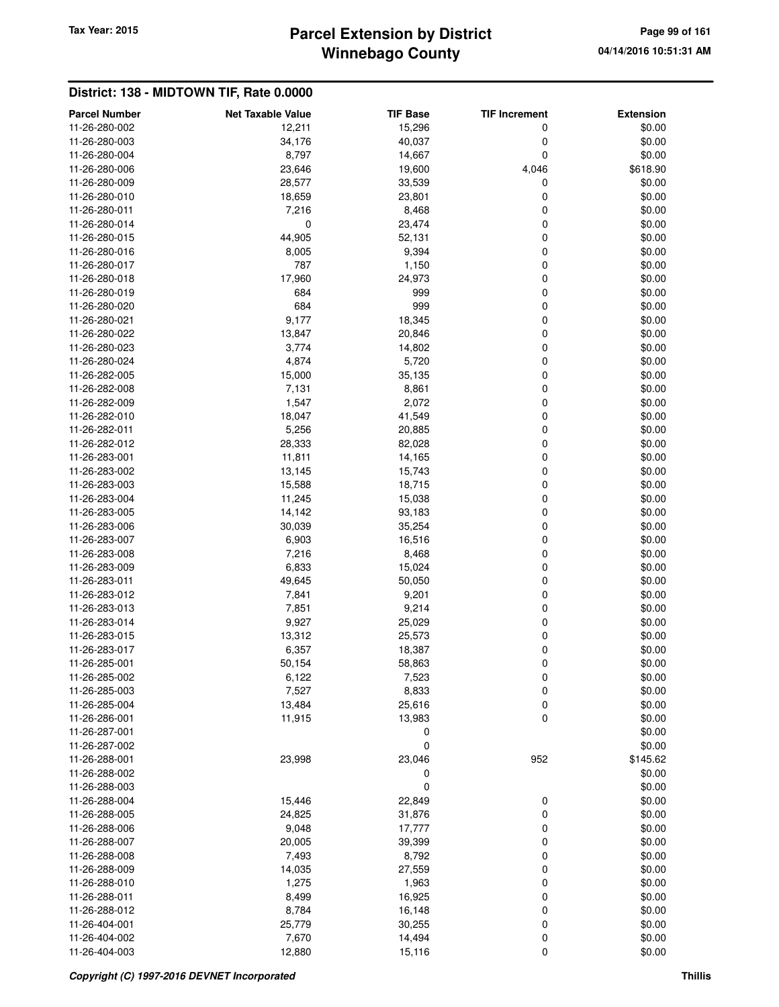## **Winnebago County Parcel Extension by District Tax Year: 2015 Page 99 of 161**

| <b>Parcel Number</b> | <b>Net Taxable Value</b> | <b>TIF Base</b> | <b>TIF Increment</b> | <b>Extension</b> |
|----------------------|--------------------------|-----------------|----------------------|------------------|
| 11-26-280-002        | 12,211                   | 15,296          | 0                    | \$0.00           |
| 11-26-280-003        | 34,176                   | 40,037          | 0                    | \$0.00           |
| 11-26-280-004        | 8,797                    | 14,667          | 0                    | \$0.00           |
| 11-26-280-006        | 23,646                   | 19,600          | 4,046                | \$618.90         |
| 11-26-280-009        | 28,577                   | 33,539          | 0                    | \$0.00           |
| 11-26-280-010        | 18,659                   | 23,801          | 0                    | \$0.00           |
| 11-26-280-011        | 7,216                    | 8,468           | 0                    | \$0.00           |
| 11-26-280-014        | 0                        | 23,474          | 0                    | \$0.00           |
| 11-26-280-015        | 44,905                   | 52,131          | 0                    | \$0.00           |
| 11-26-280-016        | 8,005                    | 9,394           | 0                    | \$0.00           |
| 11-26-280-017        | 787                      | 1,150           | 0                    | \$0.00           |
| 11-26-280-018        | 17,960                   | 24,973          | 0                    | \$0.00           |
| 11-26-280-019        | 684                      | 999             | 0                    | \$0.00           |
|                      | 684                      | 999             | 0                    | \$0.00           |
| 11-26-280-020        |                          |                 |                      |                  |
| 11-26-280-021        | 9,177                    | 18,345          | 0                    | \$0.00           |
| 11-26-280-022        | 13,847                   | 20,846          | 0                    | \$0.00           |
| 11-26-280-023        | 3,774                    | 14,802          | 0                    | \$0.00           |
| 11-26-280-024        | 4,874                    | 5,720           | 0                    | \$0.00           |
| 11-26-282-005        | 15,000                   | 35,135          | 0                    | \$0.00           |
| 11-26-282-008        | 7,131                    | 8,861           | 0                    | \$0.00           |
| 11-26-282-009        | 1,547                    | 2,072           | 0                    | \$0.00           |
| 11-26-282-010        | 18,047                   | 41,549          | 0                    | \$0.00           |
| 11-26-282-011        | 5,256                    | 20,885          | 0                    | \$0.00           |
| 11-26-282-012        | 28,333                   | 82,028          | 0                    | \$0.00           |
| 11-26-283-001        | 11,811                   | 14,165          | 0                    | \$0.00           |
| 11-26-283-002        | 13,145                   | 15,743          | 0                    | \$0.00           |
| 11-26-283-003        | 15,588                   | 18,715          | 0                    | \$0.00           |
| 11-26-283-004        | 11,245                   | 15,038          | 0                    | \$0.00           |
| 11-26-283-005        | 14,142                   | 93,183          | 0                    | \$0.00           |
| 11-26-283-006        | 30,039                   | 35,254          | 0                    | \$0.00           |
| 11-26-283-007        | 6,903                    | 16,516          | 0                    | \$0.00           |
| 11-26-283-008        | 7,216                    | 8,468           | 0                    | \$0.00           |
| 11-26-283-009        | 6,833                    | 15,024          | 0                    | \$0.00           |
|                      |                          |                 | 0                    |                  |
| 11-26-283-011        | 49,645                   | 50,050          |                      | \$0.00           |
| 11-26-283-012        | 7,841                    | 9,201           | 0                    | \$0.00           |
| 11-26-283-013        | 7,851                    | 9,214           | 0                    | \$0.00           |
| 11-26-283-014        | 9,927                    | 25,029          | 0                    | \$0.00           |
| 11-26-283-015        | 13,312                   | 25,573          | 0                    | \$0.00           |
| 11-26-283-017        | 6,357                    | 18,387          | 0                    | \$0.00           |
| 11-26-285-001        | 50,154                   | 58,863          | 0                    | \$0.00           |
| 11-26-285-002        | 6,122                    | 7,523           | 0                    | \$0.00           |
| 11-26-285-003        | 7,527                    | 8,833           | $\mathbf 0$          | \$0.00           |
| 11-26-285-004        | 13,484                   | 25,616          | 0                    | \$0.00           |
| 11-26-286-001        | 11,915                   | 13,983          | $\mathbf 0$          | \$0.00           |
| 11-26-287-001        |                          | 0               |                      | \$0.00           |
| 11-26-287-002        |                          | 0               |                      | \$0.00           |
| 11-26-288-001        | 23,998                   | 23,046          | 952                  | \$145.62         |
| 11-26-288-002        |                          | 0               |                      | \$0.00           |
| 11-26-288-003        |                          | 0               |                      | \$0.00           |
| 11-26-288-004        | 15,446                   | 22,849          | 0                    | \$0.00           |
| 11-26-288-005        | 24,825                   | 31,876          | 0                    | \$0.00           |
| 11-26-288-006        | 9,048                    | 17,777          | 0                    | \$0.00           |
| 11-26-288-007        | 20,005                   | 39,399          | 0                    | \$0.00           |
| 11-26-288-008        | 7,493                    | 8,792           | 0                    | \$0.00           |
| 11-26-288-009        | 14,035                   | 27,559          | 0                    | \$0.00           |
|                      |                          |                 |                      |                  |
| 11-26-288-010        | 1,275                    | 1,963           | 0                    | \$0.00           |
| 11-26-288-011        | 8,499                    | 16,925          | 0                    | \$0.00           |
| 11-26-288-012        | 8,784                    | 16,148          | 0                    | \$0.00           |
| 11-26-404-001        | 25,779                   | 30,255          | 0                    | \$0.00           |
| 11-26-404-002        | 7,670                    | 14,494          | 0                    | \$0.00           |
| 11-26-404-003        | 12,880                   | 15,116          | $\mathbf 0$          | \$0.00           |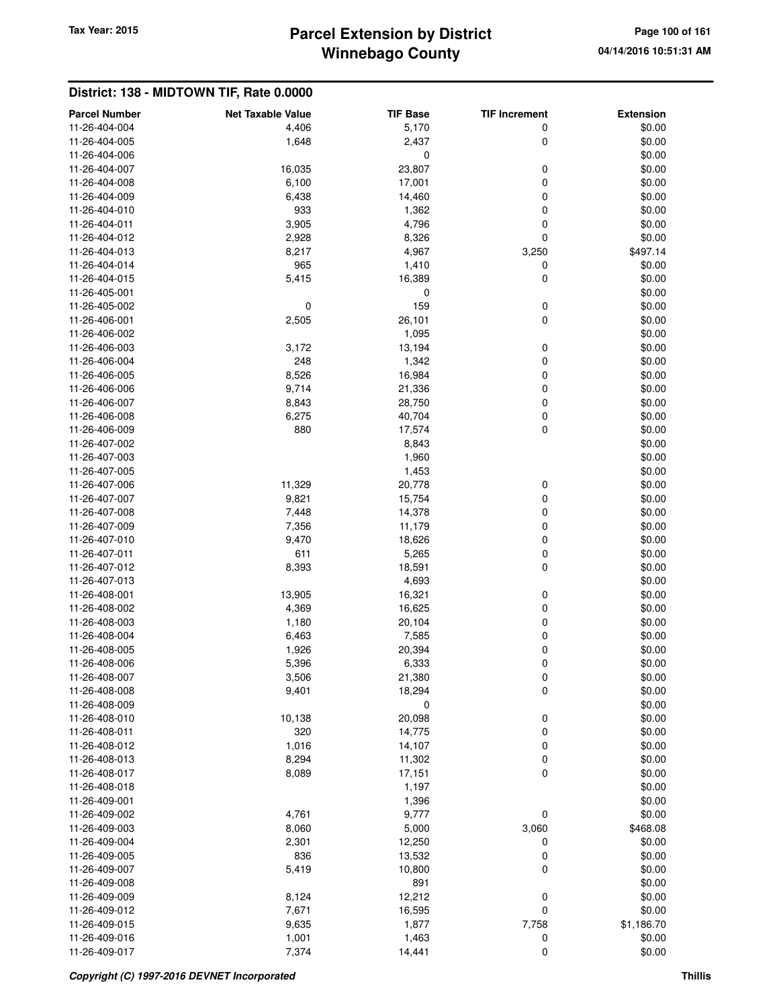# **Winnebago County** Tax Year: 2015 **Parcel Extension by District Page 100 of 161**

| <b>Parcel Number</b>           | <b>Net Taxable Value</b> | <b>TIF Base</b>  | <b>TIF Increment</b> | <b>Extension</b> |
|--------------------------------|--------------------------|------------------|----------------------|------------------|
| 11-26-404-004                  | 4,406                    | 5,170            | 0                    | \$0.00           |
| 11-26-404-005                  | 1,648                    | 2,437            | 0                    | \$0.00           |
| 11-26-404-006                  |                          | 0                |                      | \$0.00           |
| 11-26-404-007                  | 16,035                   | 23,807           | 0                    | \$0.00           |
| 11-26-404-008                  | 6,100                    | 17,001           | 0                    | \$0.00           |
| 11-26-404-009                  | 6,438                    | 14,460           | 0                    | \$0.00           |
| 11-26-404-010                  | 933                      | 1,362            | 0                    | \$0.00           |
| 11-26-404-011                  | 3,905                    | 4,796            | 0                    | \$0.00           |
| 11-26-404-012                  | 2,928                    | 8,326            | 0                    | \$0.00           |
| 11-26-404-013                  | 8,217                    | 4,967            | 3,250                | \$497.14         |
| 11-26-404-014                  | 965                      | 1,410            | 0                    | \$0.00           |
| 11-26-404-015                  | 5,415                    | 16,389           | 0                    | \$0.00           |
| 11-26-405-001                  |                          | 0                |                      | \$0.00           |
| 11-26-405-002                  | 0                        | 159              | 0                    | \$0.00           |
| 11-26-406-001                  | 2,505                    | 26,101           | 0                    | \$0.00           |
| 11-26-406-002                  |                          | 1,095            |                      | \$0.00           |
| 11-26-406-003                  | 3,172                    | 13,194           | 0                    | \$0.00           |
| 11-26-406-004                  | 248                      | 1,342            | 0                    | \$0.00           |
| 11-26-406-005                  | 8,526                    | 16,984           | 0                    | \$0.00           |
| 11-26-406-006                  | 9,714                    | 21,336           | 0                    | \$0.00           |
| 11-26-406-007                  | 8,843                    | 28,750           | 0                    | \$0.00           |
| 11-26-406-008                  | 6,275                    | 40,704           | 0                    | \$0.00           |
| 11-26-406-009                  | 880                      | 17,574           | 0                    | \$0.00           |
| 11-26-407-002                  |                          | 8,843            |                      | \$0.00           |
| 11-26-407-003                  |                          | 1,960            |                      | \$0.00           |
| 11-26-407-005                  |                          | 1,453            |                      | \$0.00           |
| 11-26-407-006                  | 11,329                   | 20,778           | 0                    | \$0.00           |
| 11-26-407-007                  | 9,821                    | 15,754           | 0                    | \$0.00           |
| 11-26-407-008                  | 7,448                    | 14,378           | 0                    | \$0.00           |
| 11-26-407-009                  | 7,356                    | 11,179           | 0                    | \$0.00           |
| 11-26-407-010                  | 9,470                    | 18,626           | 0                    | \$0.00           |
| 11-26-407-011                  | 611                      | 5,265            | 0                    | \$0.00           |
| 11-26-407-012                  | 8,393                    | 18,591           | 0                    | \$0.00           |
| 11-26-407-013                  |                          | 4,693            |                      | \$0.00           |
| 11-26-408-001                  | 13,905                   | 16,321           | 0                    | \$0.00           |
| 11-26-408-002                  | 4,369                    | 16,625           | 0                    | \$0.00           |
| 11-26-408-003                  | 1,180                    | 20,104           | 0                    | \$0.00           |
| 11-26-408-004                  | 6,463                    | 7,585            | 0                    | \$0.00           |
| 11-26-408-005<br>11-26-408-006 | 1,926                    | 20,394           | 0                    | \$0.00<br>\$0.00 |
| 11-26-408-007                  | 5,396                    | 6,333            | 0                    |                  |
| 11-26-408-008                  | 3,506<br>9,401           | 21,380<br>18,294 | 0<br>0               | \$0.00<br>\$0.00 |
| 11-26-408-009                  |                          | 0                |                      | \$0.00           |
| 11-26-408-010                  | 10,138                   | 20,098           | 0                    | \$0.00           |
| 11-26-408-011                  | 320                      | 14,775           | 0                    | \$0.00           |
| 11-26-408-012                  | 1,016                    | 14,107           | 0                    | \$0.00           |
| 11-26-408-013                  | 8,294                    | 11,302           | 0                    | \$0.00           |
| 11-26-408-017                  | 8,089                    | 17,151           | 0                    | \$0.00           |
| 11-26-408-018                  |                          | 1,197            |                      | \$0.00           |
| 11-26-409-001                  |                          | 1,396            |                      | \$0.00           |
| 11-26-409-002                  | 4,761                    | 9,777            | 0                    | \$0.00           |
| 11-26-409-003                  | 8,060                    | 5,000            | 3,060                | \$468.08         |
| 11-26-409-004                  | 2,301                    | 12,250           | 0                    | \$0.00           |
| 11-26-409-005                  | 836                      | 13,532           | 0                    | \$0.00           |
| 11-26-409-007                  | 5,419                    | 10,800           | 0                    | \$0.00           |
| 11-26-409-008                  |                          | 891              |                      | \$0.00           |
| 11-26-409-009                  | 8,124                    | 12,212           | 0                    | \$0.00           |
| 11-26-409-012                  | 7,671                    | 16,595           | 0                    | \$0.00           |
| 11-26-409-015                  | 9,635                    | 1,877            | 7,758                | \$1,186.70       |
| 11-26-409-016                  | 1,001                    | 1,463            | 0                    | \$0.00           |
| 11-26-409-017                  | 7,374                    | 14,441           | $\mathbf 0$          | \$0.00           |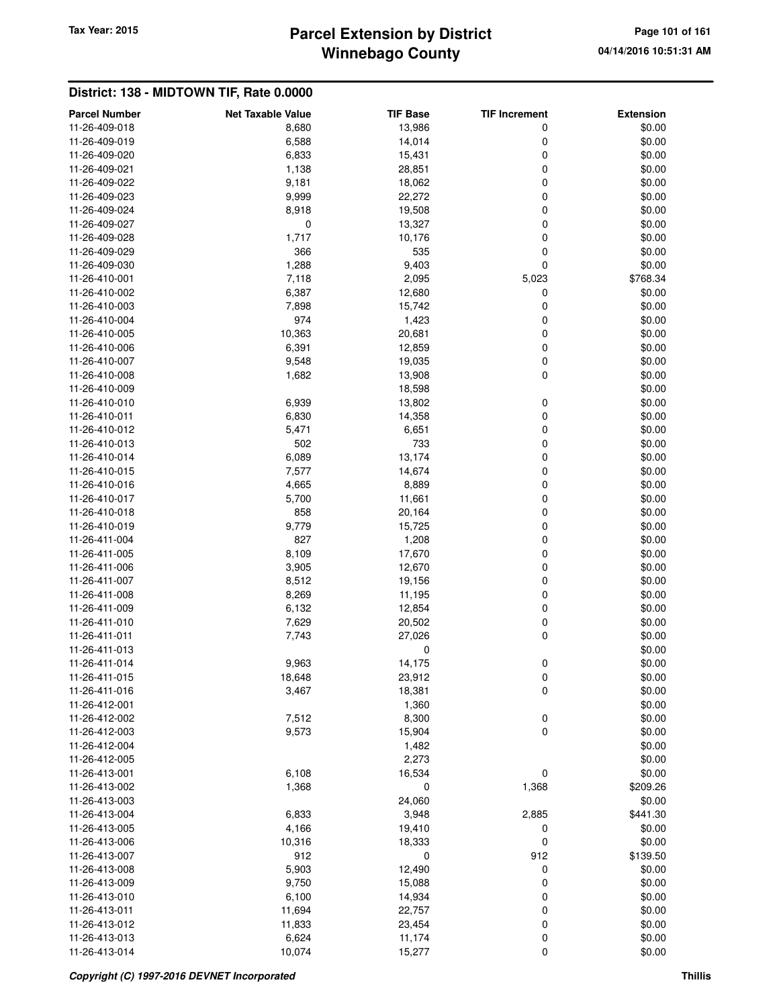# **Winnebago County** Tax Year: 2015 **Parcel Extension by District Page 101 of 161 Page 101 of 161**

| <b>Parcel Number</b>           | <b>Net Taxable Value</b> | <b>TIF Base</b>  | <b>TIF Increment</b> | <b>Extension</b> |
|--------------------------------|--------------------------|------------------|----------------------|------------------|
| 11-26-409-018                  | 8,680                    | 13,986           | 0                    | \$0.00           |
| 11-26-409-019                  | 6,588                    | 14,014           | 0                    | \$0.00           |
| 11-26-409-020                  | 6,833                    | 15,431           | 0                    | \$0.00           |
| 11-26-409-021                  | 1,138                    | 28,851           | 0                    | \$0.00           |
| 11-26-409-022                  | 9,181                    | 18,062           | 0                    | \$0.00           |
| 11-26-409-023                  | 9,999                    | 22,272           | 0                    | \$0.00           |
| 11-26-409-024                  | 8,918                    | 19,508           | 0                    | \$0.00           |
| 11-26-409-027                  | 0                        | 13,327           | 0                    | \$0.00           |
| 11-26-409-028                  | 1,717                    | 10,176           | 0                    | \$0.00           |
| 11-26-409-029                  | 366                      | 535              | 0                    | \$0.00           |
| 11-26-409-030                  | 1,288                    | 9,403            | 0                    | \$0.00           |
| 11-26-410-001                  | 7,118                    | 2,095            | 5,023                | \$768.34         |
| 11-26-410-002                  | 6,387                    | 12,680           | 0                    | \$0.00           |
| 11-26-410-003                  | 7,898                    | 15,742           | 0                    | \$0.00           |
| 11-26-410-004                  | 974                      | 1,423            | 0                    | \$0.00           |
| 11-26-410-005                  | 10,363                   | 20,681           | 0                    | \$0.00           |
| 11-26-410-006                  | 6,391                    | 12,859           | 0                    | \$0.00           |
| 11-26-410-007                  | 9,548                    | 19,035           | 0                    | \$0.00           |
| 11-26-410-008                  | 1,682                    | 13,908           | 0                    | \$0.00           |
| 11-26-410-009                  |                          | 18,598           |                      | \$0.00           |
| 11-26-410-010                  | 6,939                    | 13,802           | 0                    | \$0.00           |
| 11-26-410-011                  | 6,830                    | 14,358           | 0                    | \$0.00           |
| 11-26-410-012                  | 5,471                    | 6,651            | 0                    | \$0.00           |
| 11-26-410-013                  | 502                      | 733              | 0                    | \$0.00           |
| 11-26-410-014                  | 6,089                    | 13,174           | 0                    | \$0.00           |
| 11-26-410-015                  | 7,577                    | 14,674           | 0                    | \$0.00           |
| 11-26-410-016                  | 4,665                    | 8,889            | 0                    | \$0.00           |
| 11-26-410-017                  | 5,700                    | 11,661           | 0                    | \$0.00           |
| 11-26-410-018                  | 858                      | 20,164           | 0                    | \$0.00           |
| 11-26-410-019                  | 9,779                    | 15,725           | 0                    | \$0.00           |
| 11-26-411-004                  | 827                      | 1,208            | 0                    | \$0.00           |
| 11-26-411-005                  | 8,109                    | 17,670           | 0                    | \$0.00           |
| 11-26-411-006                  | 3,905                    | 12,670           | 0                    | \$0.00           |
| 11-26-411-007                  | 8,512                    | 19,156           | 0                    | \$0.00           |
| 11-26-411-008                  | 8,269                    | 11,195           | 0                    | \$0.00           |
| 11-26-411-009                  | 6,132                    | 12,854           | 0                    | \$0.00           |
| 11-26-411-010                  | 7,629                    | 20,502           | 0                    | \$0.00           |
| 11-26-411-011<br>11-26-411-013 | 7,743                    | 27,026           | 0                    | \$0.00<br>\$0.00 |
| 11-26-411-014                  |                          | 0                | 0                    |                  |
| 11-26-411-015                  | 9,963<br>18,648          | 14,175<br>23,912 | 0                    | \$0.00<br>\$0.00 |
| 11-26-411-016                  | 3,467                    | 18,381           | 0                    | \$0.00           |
| 11-26-412-001                  |                          | 1,360            |                      | \$0.00           |
| 11-26-412-002                  | 7,512                    | 8,300            | 0                    | \$0.00           |
| 11-26-412-003                  | 9,573                    | 15,904           | 0                    | \$0.00           |
| 11-26-412-004                  |                          | 1,482            |                      | \$0.00           |
| 11-26-412-005                  |                          | 2,273            |                      | \$0.00           |
| 11-26-413-001                  | 6,108                    | 16,534           | 0                    | \$0.00           |
| 11-26-413-002                  | 1,368                    | 0                | 1,368                | \$209.26         |
| 11-26-413-003                  |                          | 24,060           |                      | \$0.00           |
| 11-26-413-004                  | 6,833                    | 3,948            | 2,885                | \$441.30         |
| 11-26-413-005                  | 4,166                    | 19,410           | 0                    | \$0.00           |
| 11-26-413-006                  | 10,316                   | 18,333           | 0                    | \$0.00           |
| 11-26-413-007                  | 912                      | 0                | 912                  | \$139.50         |
| 11-26-413-008                  | 5,903                    | 12,490           | 0                    | \$0.00           |
| 11-26-413-009                  | 9,750                    | 15,088           | 0                    | \$0.00           |
| 11-26-413-010                  | 6,100                    | 14,934           | 0                    | \$0.00           |
| 11-26-413-011                  | 11,694                   | 22,757           | 0                    | \$0.00           |
| 11-26-413-012                  | 11,833                   | 23,454           | 0                    | \$0.00           |
| 11-26-413-013                  | 6,624                    | 11,174           | 0                    | \$0.00           |
| 11-26-413-014                  | 10,074                   | 15,277           | 0                    | \$0.00           |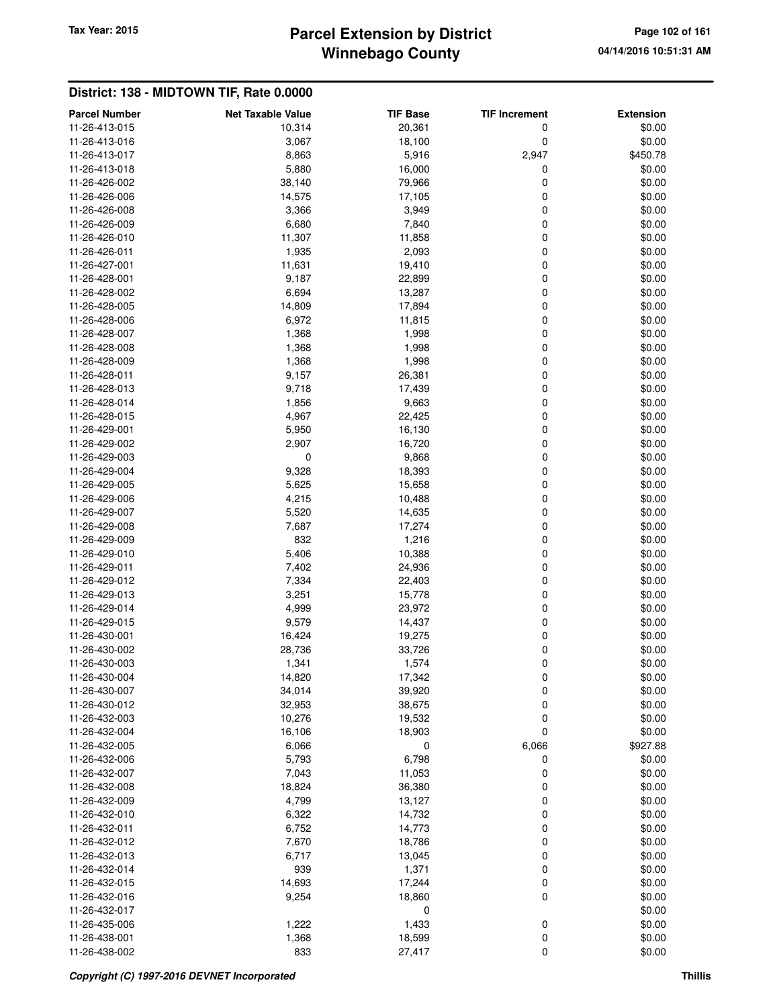# **Winnebago County** Tax Year: 2015 **Parcel Extension by District Page 102 of 161**

| <b>Parcel Number</b>           | <b>Net Taxable Value</b> | <b>TIF Base</b> | <b>TIF Increment</b> | <b>Extension</b> |
|--------------------------------|--------------------------|-----------------|----------------------|------------------|
| 11-26-413-015                  | 10,314                   | 20,361          | 0                    | \$0.00           |
| 11-26-413-016                  | 3,067                    | 18,100          | 0                    | \$0.00           |
| 11-26-413-017                  | 8,863                    | 5,916           | 2,947                | \$450.78         |
| 11-26-413-018                  | 5,880                    | 16,000          | 0                    | \$0.00           |
| 11-26-426-002                  | 38,140                   | 79,966          | 0                    | \$0.00           |
| 11-26-426-006                  | 14,575                   | 17,105          | 0                    | \$0.00           |
| 11-26-426-008                  | 3,366                    | 3,949           | 0                    | \$0.00           |
| 11-26-426-009                  | 6,680                    | 7,840           | 0                    | \$0.00           |
| 11-26-426-010                  | 11,307                   | 11,858          | 0                    | \$0.00           |
| 11-26-426-011                  | 1,935                    | 2,093           | 0                    | \$0.00           |
| 11-26-427-001                  | 11,631                   | 19,410          | 0                    | \$0.00           |
| 11-26-428-001                  | 9,187                    | 22,899          | 0                    | \$0.00           |
| 11-26-428-002                  | 6,694                    | 13,287          | 0                    | \$0.00           |
| 11-26-428-005                  | 14,809                   | 17,894          | 0                    | \$0.00           |
| 11-26-428-006                  | 6,972                    | 11,815          | 0                    | \$0.00           |
| 11-26-428-007                  | 1,368                    | 1,998           | 0                    | \$0.00           |
| 11-26-428-008                  | 1,368                    | 1,998           | 0                    | \$0.00           |
| 11-26-428-009                  | 1,368                    | 1,998           | 0                    | \$0.00           |
| 11-26-428-011                  | 9,157                    | 26,381          | 0                    | \$0.00           |
| 11-26-428-013                  | 9,718                    | 17,439          | 0                    | \$0.00           |
| 11-26-428-014                  | 1,856                    | 9,663           | 0                    | \$0.00           |
| 11-26-428-015                  | 4,967                    | 22,425          | 0                    | \$0.00           |
| 11-26-429-001                  | 5,950                    | 16,130          | 0                    | \$0.00           |
| 11-26-429-002                  | 2,907                    | 16,720          | 0                    | \$0.00           |
| 11-26-429-003                  | $\mathbf 0$              | 9,868           | 0                    | \$0.00           |
| 11-26-429-004                  | 9,328                    | 18,393          | 0                    | \$0.00           |
| 11-26-429-005                  | 5,625                    | 15,658          | 0                    | \$0.00           |
| 11-26-429-006                  | 4,215                    | 10,488          | 0                    | \$0.00           |
| 11-26-429-007                  | 5,520                    | 14,635          | 0                    | \$0.00           |
| 11-26-429-008                  | 7,687                    | 17,274          | 0                    | \$0.00           |
| 11-26-429-009                  | 832                      | 1,216           | 0                    | \$0.00           |
| 11-26-429-010                  | 5,406                    | 10,388          | 0                    | \$0.00           |
| 11-26-429-011                  | 7,402                    | 24,936          | 0                    | \$0.00           |
| 11-26-429-012                  | 7,334                    | 22,403          | 0                    | \$0.00           |
| 11-26-429-013                  | 3,251                    | 15,778          | 0                    | \$0.00           |
| 11-26-429-014                  | 4,999                    | 23,972          | 0                    | \$0.00           |
| 11-26-429-015                  | 9,579                    | 14,437          | 0                    | \$0.00           |
| 11-26-430-001                  | 16,424                   | 19,275          | 0                    | \$0.00           |
| 11-26-430-002                  | 28,736                   | 33,726          | 0                    | \$0.00           |
| 11-26-430-003                  | 1,341                    | 1,574           | 0                    | \$0.00           |
|                                |                          |                 |                      |                  |
| 11-26-430-004<br>11-26-430-007 | 14,820                   | 17,342          | 0                    | \$0.00           |
|                                | 34,014<br>32,953         | 39,920          | 0                    | \$0.00           |
| 11-26-430-012                  |                          | 38,675          | 0                    | \$0.00           |
| 11-26-432-003                  | 10,276                   | 19,532          | 0                    | \$0.00           |
| 11-26-432-004                  | 16,106                   | 18,903          | 0                    | \$0.00           |
| 11-26-432-005                  | 6,066                    | 0               | 6,066                | \$927.88         |
| 11-26-432-006                  | 5,793                    | 6,798           | 0                    | \$0.00           |
| 11-26-432-007                  | 7,043                    | 11,053          | 0                    | \$0.00           |
| 11-26-432-008                  | 18,824                   | 36,380          | 0                    | \$0.00           |
| 11-26-432-009                  | 4,799                    | 13,127          | 0                    | \$0.00           |
| 11-26-432-010                  | 6,322                    | 14,732          | 0                    | \$0.00           |
| 11-26-432-011                  | 6,752                    | 14,773          | 0                    | \$0.00           |
| 11-26-432-012                  | 7,670                    | 18,786          | 0                    | \$0.00           |
| 11-26-432-013                  | 6,717                    | 13,045          | 0                    | \$0.00           |
| 11-26-432-014                  | 939                      | 1,371           | 0                    | \$0.00           |
| 11-26-432-015                  | 14,693                   | 17,244          | 0                    | \$0.00           |
| 11-26-432-016                  | 9,254                    | 18,860          | 0                    | \$0.00           |
| 11-26-432-017                  |                          | 0               |                      | \$0.00           |
| 11-26-435-006                  | 1,222                    | 1,433           | $\pmb{0}$            | \$0.00           |
| 11-26-438-001                  | 1,368                    | 18,599          | 0                    | \$0.00           |
| 11-26-438-002                  | 833                      | 27,417          | $\pmb{0}$            | \$0.00           |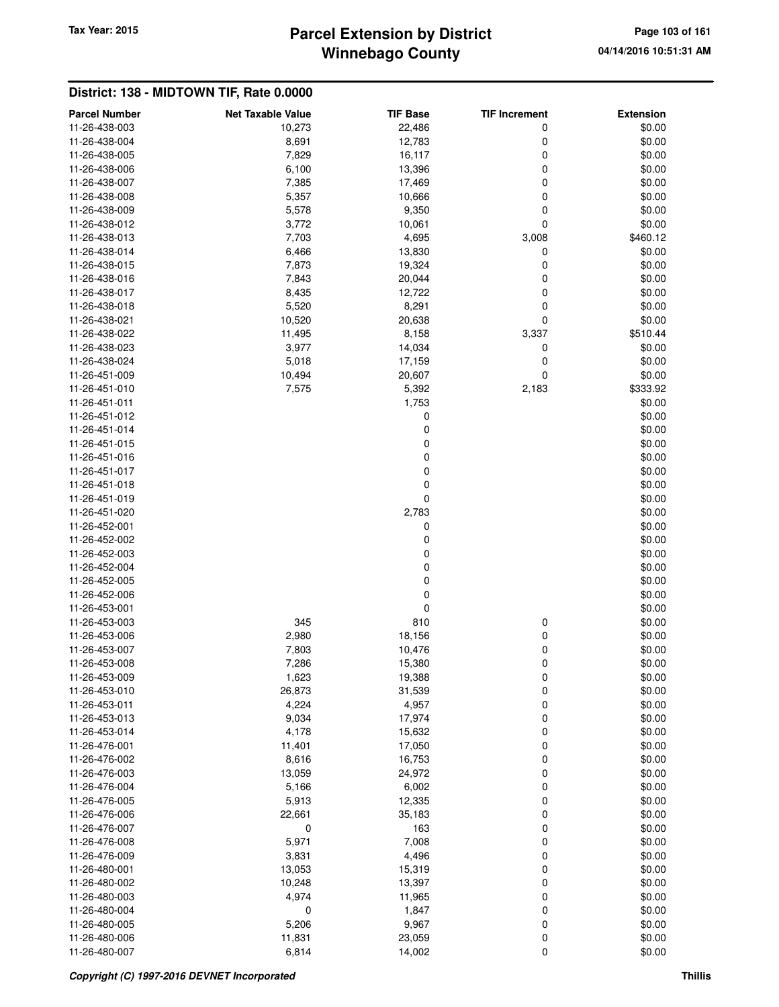# **Winnebago County** Tax Year: 2015 **Parcel Extension by District Page 103 of 161**

| <b>Parcel Number</b>           | <b>Net Taxable Value</b> | <b>TIF Base</b> | <b>TIF Increment</b> | <b>Extension</b> |
|--------------------------------|--------------------------|-----------------|----------------------|------------------|
| 11-26-438-003                  | 10,273                   | 22,486          | 0                    | \$0.00           |
| 11-26-438-004                  | 8,691                    | 12,783          | 0                    | \$0.00           |
| 11-26-438-005                  | 7,829                    | 16,117          | 0                    | \$0.00           |
| 11-26-438-006                  | 6,100                    | 13,396          | 0                    | \$0.00           |
| 11-26-438-007                  | 7,385                    | 17,469          | 0                    | \$0.00           |
| 11-26-438-008                  | 5,357                    | 10,666          | 0                    | \$0.00           |
| 11-26-438-009                  | 5,578                    | 9,350           | 0                    | \$0.00           |
| 11-26-438-012                  | 3,772                    | 10,061          | 0                    | \$0.00           |
| 11-26-438-013                  | 7,703                    | 4,695           | 3,008                | \$460.12         |
| 11-26-438-014                  | 6,466                    | 13,830          | 0                    | \$0.00           |
| 11-26-438-015                  | 7,873                    | 19,324          | 0                    | \$0.00           |
| 11-26-438-016                  | 7,843                    | 20,044          | 0                    | \$0.00           |
| 11-26-438-017                  | 8,435                    | 12,722          | 0                    | \$0.00           |
| 11-26-438-018                  | 5,520                    | 8,291           | 0                    | \$0.00           |
| 11-26-438-021                  | 10,520                   | 20,638          | 0                    | \$0.00           |
| 11-26-438-022                  | 11,495                   | 8,158           | 3,337                | \$510.44         |
| 11-26-438-023                  | 3,977                    | 14,034          | 0                    | \$0.00           |
| 11-26-438-024                  | 5,018                    | 17,159          | 0                    | \$0.00           |
| 11-26-451-009                  | 10,494                   | 20,607          | 0                    | \$0.00           |
| 11-26-451-010                  | 7,575                    | 5,392           | 2,183                | \$333.92         |
| 11-26-451-011                  |                          | 1,753           |                      | \$0.00           |
| 11-26-451-012                  |                          | 0               |                      | \$0.00           |
| 11-26-451-014                  |                          | $\mathbf 0$     |                      | \$0.00           |
| 11-26-451-015                  |                          | 0               |                      | \$0.00           |
| 11-26-451-016                  |                          | 0               |                      | \$0.00           |
| 11-26-451-017                  |                          | 0               |                      | \$0.00           |
| 11-26-451-018                  |                          | 0               |                      | \$0.00           |
| 11-26-451-019                  |                          | 0               |                      | \$0.00           |
| 11-26-451-020                  |                          | 2,783           |                      | \$0.00           |
| 11-26-452-001                  |                          | 0               |                      | \$0.00           |
| 11-26-452-002                  |                          | 0               |                      | \$0.00           |
| 11-26-452-003                  |                          | 0               |                      | \$0.00           |
| 11-26-452-004                  |                          | 0               |                      | \$0.00           |
| 11-26-452-005                  |                          | $\mathbf 0$     |                      | \$0.00           |
| 11-26-452-006                  |                          | 0               |                      | \$0.00           |
| 11-26-453-001                  |                          | $\mathbf 0$     |                      | \$0.00           |
| 11-26-453-003                  | 345                      | 810             | 0                    | \$0.00           |
| 11-26-453-006                  | 2,980                    | 18,156          | 0                    | \$0.00           |
| 11-26-453-007                  | 7,803                    | 10,476          | 0                    | \$0.00           |
| 11-26-453-008                  | 7,286                    | 15,380          | 0                    | \$0.00           |
| 11-26-453-009                  | 1,623                    | 19,388          | 0                    | \$0.00           |
| 11-26-453-010<br>11-26-453-011 | 26,873                   | 31,539          | 0<br>$\mathbf 0$     | \$0.00<br>\$0.00 |
| 11-26-453-013                  | 4,224<br>9,034           | 4,957<br>17,974 | $\mathbf 0$          | \$0.00           |
| 11-26-453-014                  | 4,178                    | 15,632          | 0                    | \$0.00           |
| 11-26-476-001                  | 11,401                   | 17,050          | 0                    | \$0.00           |
| 11-26-476-002                  | 8,616                    | 16,753          | 0                    | \$0.00           |
| 11-26-476-003                  | 13,059                   | 24,972          | 0                    | \$0.00           |
| 11-26-476-004                  | 5,166                    | 6,002           | 0                    | \$0.00           |
| 11-26-476-005                  | 5,913                    | 12,335          | 0                    | \$0.00           |
| 11-26-476-006                  | 22,661                   | 35,183          | 0                    | \$0.00           |
| 11-26-476-007                  | 0                        | 163             | 0                    | \$0.00           |
| 11-26-476-008                  | 5,971                    | 7,008           | 0                    | \$0.00           |
| 11-26-476-009                  | 3,831                    | 4,496           | $\mathbf 0$          | \$0.00           |
| 11-26-480-001                  | 13,053                   | 15,319          | 0                    | \$0.00           |
| 11-26-480-002                  | 10,248                   | 13,397          | 0                    | \$0.00           |
| 11-26-480-003                  | 4,974                    | 11,965          | 0                    | \$0.00           |
| 11-26-480-004                  | 0                        | 1,847           | 0                    | \$0.00           |
| 11-26-480-005                  | 5,206                    | 9,967           | 0                    | \$0.00           |
| 11-26-480-006                  | 11,831                   | 23,059          | 0                    | \$0.00           |
| 11-26-480-007                  | 6,814                    | 14,002          | 0                    | \$0.00           |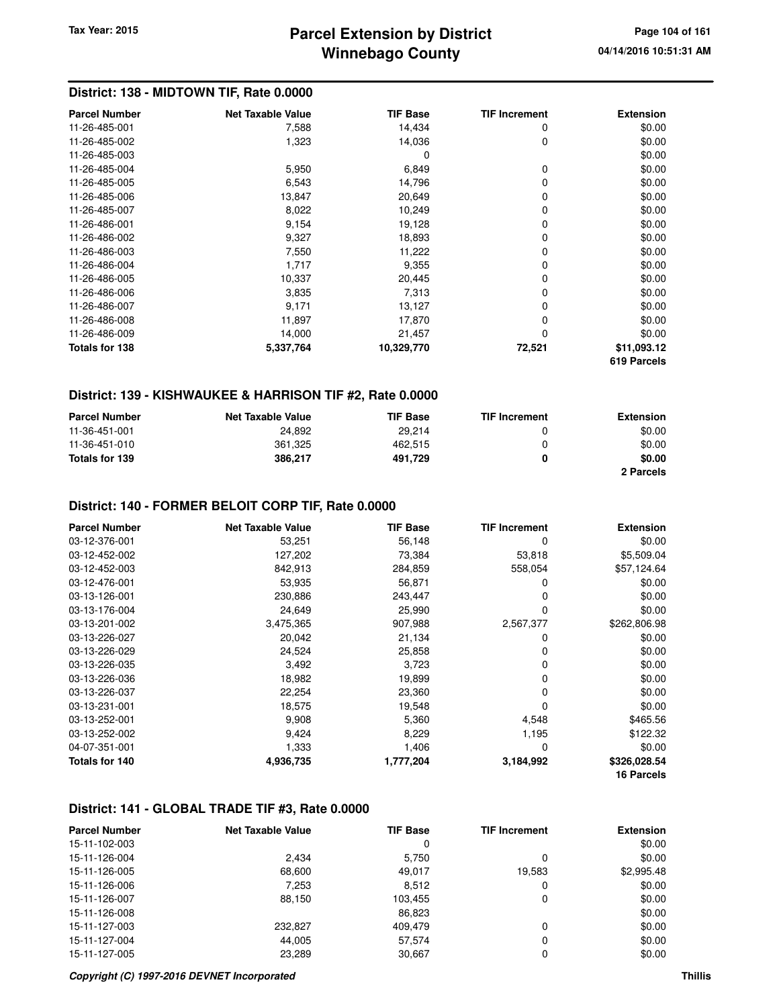## **Winnebago County Parcel Extension by District Tax Year: 2015 Page 104 of 161**

## **District: 138 - MIDTOWN TIF, Rate 0.0000**

| <b>Parcel Number</b> | <b>Net Taxable Value</b> | <b>TIF Base</b> | <b>TIF Increment</b> | <b>Extension</b> |
|----------------------|--------------------------|-----------------|----------------------|------------------|
| 11-26-485-001        | 7,588                    | 14,434          | 0                    | \$0.00           |
| 11-26-485-002        | 1,323                    | 14,036          | 0                    | \$0.00           |
| 11-26-485-003        |                          | 0               |                      | \$0.00           |
| 11-26-485-004        | 5,950                    | 6,849           | 0                    | \$0.00           |
| 11-26-485-005        | 6,543                    | 14,796          | 0                    | \$0.00           |
| 11-26-485-006        | 13,847                   | 20,649          | $\Omega$             | \$0.00           |
| 11-26-485-007        | 8,022                    | 10,249          | 0                    | \$0.00           |
| 11-26-486-001        | 9,154                    | 19,128          | 0                    | \$0.00           |
| 11-26-486-002        | 9,327                    | 18,893          | 0                    | \$0.00           |
| 11-26-486-003        | 7,550                    | 11,222          | 0                    | \$0.00           |
| 11-26-486-004        | 1,717                    | 9,355           | 0                    | \$0.00           |
| 11-26-486-005        | 10,337                   | 20,445          | 0                    | \$0.00           |
| 11-26-486-006        | 3,835                    | 7,313           | 0                    | \$0.00           |
| 11-26-486-007        | 9,171                    | 13,127          | 0                    | \$0.00           |
| 11-26-486-008        | 11,897                   | 17,870          | 0                    | \$0.00           |
| 11-26-486-009        | 14,000                   | 21,457          | 0                    | \$0.00           |
| Totals for 138       | 5,337,764                | 10,329,770      | 72,521               | \$11,093.12      |
|                      |                          |                 |                      | 619 Parcels      |

#### **District: 139 - KISHWAUKEE & HARRISON TIF #2, Rate 0.0000**

| <b>Parcel Number</b> | <b>Net Taxable Value</b> | <b>TIF Base</b> | <b>TIF Increment</b> | <b>Extension</b> |
|----------------------|--------------------------|-----------------|----------------------|------------------|
| 11-36-451-001        | 24.892                   | 29.214          | n                    | \$0.00           |
| 11-36-451-010        | 361.325                  | 462.515         | n                    | \$0.00           |
| Totals for 139       | 386.217                  | 491.729         |                      | \$0.00           |
|                      |                          |                 |                      | 2 Parcels        |

#### **District: 140 - FORMER BELOIT CORP TIF, Rate 0.0000**

| <b>Parcel Number</b> | <b>Net Taxable Value</b> | <b>TIF Base</b> | <b>TIF Increment</b> | <b>Extension</b>  |
|----------------------|--------------------------|-----------------|----------------------|-------------------|
| 03-12-376-001        | 53,251                   | 56,148          | 0                    | \$0.00            |
| 03-12-452-002        | 127,202                  | 73,384          | 53,818               | \$5,509.04        |
| 03-12-452-003        | 842,913                  | 284,859         | 558,054              | \$57,124.64       |
| 03-12-476-001        | 53,935                   | 56,871          | 0                    | \$0.00            |
| 03-13-126-001        | 230,886                  | 243,447         | 0                    | \$0.00            |
| 03-13-176-004        | 24,649                   | 25,990          | 0                    | \$0.00            |
| 03-13-201-002        | 3,475,365                | 907,988         | 2,567,377            | \$262,806.98      |
| 03-13-226-027        | 20,042                   | 21,134          | 0                    | \$0.00            |
| 03-13-226-029        | 24,524                   | 25,858          | 0                    | \$0.00            |
| 03-13-226-035        | 3,492                    | 3,723           | 0                    | \$0.00            |
| 03-13-226-036        | 18,982                   | 19,899          | 0                    | \$0.00            |
| 03-13-226-037        | 22,254                   | 23,360          | 0                    | \$0.00            |
| 03-13-231-001        | 18,575                   | 19,548          | 0                    | \$0.00            |
| 03-13-252-001        | 9,908                    | 5,360           | 4,548                | \$465.56          |
| 03-13-252-002        | 9,424                    | 8,229           | 1,195                | \$122.32          |
| 04-07-351-001        | 1,333                    | 1,406           | 0                    | \$0.00            |
| Totals for 140       | 4,936,735                | 1,777,204       | 3,184,992            | \$326,028.54      |
|                      |                          |                 |                      | <b>16 Parcels</b> |

#### **District: 141 - GLOBAL TRADE TIF #3, Rate 0.0000**

| <b>Parcel Number</b> | <b>Net Taxable Value</b> | <b>TIF Base</b> | <b>TIF Increment</b> | <b>Extension</b> |
|----------------------|--------------------------|-----------------|----------------------|------------------|
| 15-11-102-003        |                          | 0               |                      | \$0.00           |
| 15-11-126-004        | 2.434                    | 5.750           | 0                    | \$0.00           |
| 15-11-126-005        | 68,600                   | 49.017          | 19,583               | \$2,995.48       |
| 15-11-126-006        | 7,253                    | 8,512           | 0                    | \$0.00           |
| 15-11-126-007        | 88,150                   | 103.455         | 0                    | \$0.00           |
| 15-11-126-008        |                          | 86,823          |                      | \$0.00           |
| 15-11-127-003        | 232.827                  | 409.479         | 0                    | \$0.00           |
| 15-11-127-004        | 44.005                   | 57.574          | 0                    | \$0.00           |
| 15-11-127-005        | 23,289                   | 30.667          | 0                    | \$0.00           |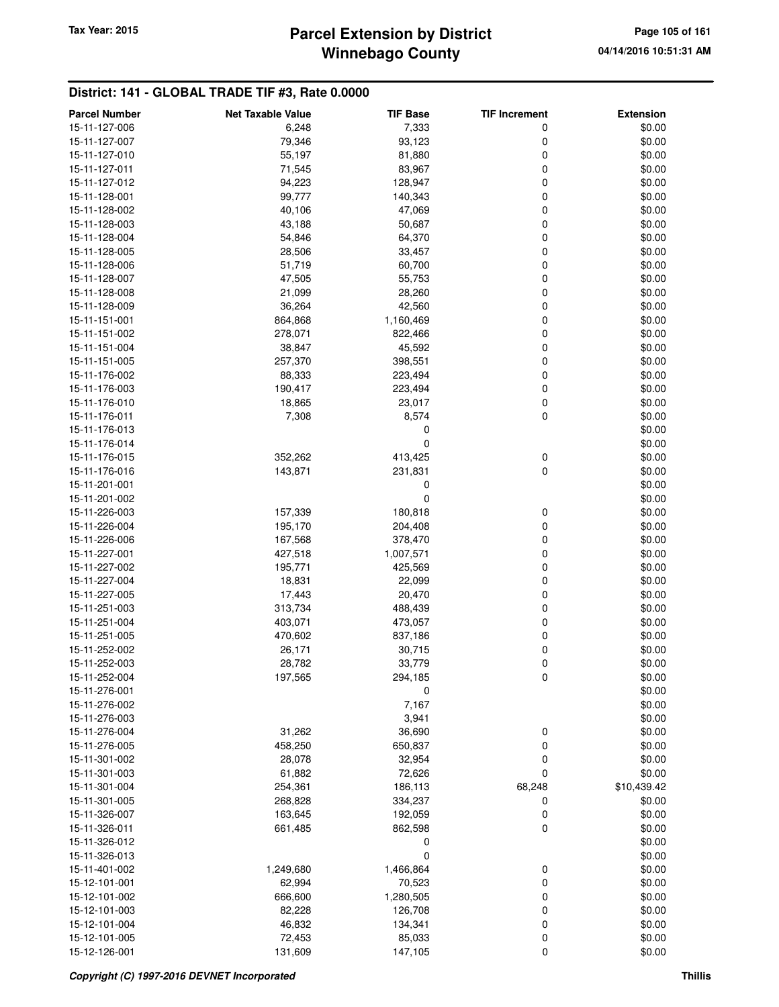# **Winnebago County** Tax Year: 2015 **Parcel Extension by District** Page 105 of 161

#### **District: 141 - GLOBAL TRADE TIF #3, Rate 0.0000**

| <b>Parcel Number</b> | <b>Net Taxable Value</b> | <b>TIF Base</b> | <b>TIF Increment</b> | <b>Extension</b> |
|----------------------|--------------------------|-----------------|----------------------|------------------|
| 15-11-127-006        | 6,248                    | 7,333           | 0                    | \$0.00           |
| 15-11-127-007        | 79,346                   | 93,123          | 0                    | \$0.00           |
| 15-11-127-010        | 55,197                   | 81,880          | $\mathbf 0$          | \$0.00           |
| 15-11-127-011        | 71,545                   | 83,967          | $\mathbf 0$          | \$0.00           |
| 15-11-127-012        | 94,223                   | 128,947         | 0                    | \$0.00           |
| 15-11-128-001        | 99,777                   | 140,343         | 0                    | \$0.00           |
| 15-11-128-002        | 40,106                   | 47,069          | $\mathbf 0$          | \$0.00           |
| 15-11-128-003        | 43,188                   | 50,687          | 0                    | \$0.00           |
| 15-11-128-004        | 54,846                   | 64,370          | $\mathbf 0$          | \$0.00           |
| 15-11-128-005        | 28,506                   | 33,457          | 0                    | \$0.00           |
| 15-11-128-006        | 51,719                   | 60,700          | 0                    | \$0.00           |
| 15-11-128-007        | 47,505                   | 55,753          | $\mathbf 0$          | \$0.00           |
| 15-11-128-008        | 21,099                   | 28,260          | $\mathbf 0$          | \$0.00           |
| 15-11-128-009        | 36,264                   | 42,560          | $\mathbf 0$          | \$0.00           |
| 15-11-151-001        | 864,868                  | 1,160,469       | 0                    | \$0.00           |
| 15-11-151-002        | 278,071                  | 822,466         | 0                    | \$0.00           |
| 15-11-151-004        | 38,847                   | 45,592          | $\mathbf 0$          | \$0.00           |
| 15-11-151-005        | 257,370                  | 398,551         | 0                    | \$0.00           |
| 15-11-176-002        | 88,333                   | 223,494         | $\mathbf 0$          | \$0.00           |
| 15-11-176-003        | 190,417                  | 223,494         | 0                    | \$0.00           |
| 15-11-176-010        | 18,865                   | 23,017          | $\mathbf 0$          | \$0.00           |
| 15-11-176-011        | 7,308                    | 8,574           | $\mathbf 0$          | \$0.00           |
| 15-11-176-013        |                          | 0               |                      | \$0.00           |
| 15-11-176-014        |                          | 0               |                      | \$0.00           |
| 15-11-176-015        | 352,262                  | 413,425         | 0                    | \$0.00           |
| 15-11-176-016        | 143,871                  | 231,831         | $\mathbf 0$          | \$0.00           |
| 15-11-201-001        |                          | 0               |                      | \$0.00           |
| 15-11-201-002        |                          | $\mathbf 0$     |                      | \$0.00           |
| 15-11-226-003        | 157,339                  | 180,818         | 0                    | \$0.00           |
| 15-11-226-004        | 195,170                  | 204,408         | 0                    | \$0.00           |
| 15-11-226-006        | 167,568                  | 378,470         | $\mathbf 0$          | \$0.00           |
| 15-11-227-001        | 427,518                  | 1,007,571       | $\mathbf 0$          | \$0.00           |
| 15-11-227-002        | 195,771                  | 425,569         | $\mathbf 0$          | \$0.00           |
| 15-11-227-004        | 18,831                   | 22,099          | $\mathbf 0$          | \$0.00           |
| 15-11-227-005        | 17,443                   | 20,470          | 0                    | \$0.00           |
| 15-11-251-003        | 313,734                  | 488,439         | 0                    | \$0.00           |
| 15-11-251-004        | 403,071                  | 473,057         | $\mathbf 0$          | \$0.00           |
| 15-11-251-005        | 470,602                  | 837,186         | 0                    | \$0.00           |
| 15-11-252-002        | 26,171                   | 30,715          | $\mathbf 0$          | \$0.00           |
| 15-11-252-003        | 28,782                   | 33,779          | 0                    | \$0.00           |
| 15-11-252-004        | 197,565                  | 294,185         | 0                    | \$0.00           |
| 15-11-276-001        |                          | 0               |                      | \$0.00           |
| 15-11-276-002        |                          | 7,167           |                      | \$0.00           |
| 15-11-276-003        |                          | 3,941           |                      | \$0.00           |
| 15-11-276-004        | 31,262                   | 36,690          | 0                    | \$0.00           |
| 15-11-276-005        | 458,250                  | 650,837         | 0                    | \$0.00           |
| 15-11-301-002        | 28,078                   | 32,954          | 0                    | \$0.00           |
| 15-11-301-003        | 61,882                   | 72,626          | $\mathbf 0$          | \$0.00           |
| 15-11-301-004        | 254,361                  | 186,113         | 68,248               | \$10,439.42      |
| 15-11-301-005        | 268,828                  | 334,237         | 0                    | \$0.00           |
| 15-11-326-007        | 163,645                  | 192,059         | 0                    | \$0.00           |
| 15-11-326-011        | 661,485                  | 862,598         | $\mathbf 0$          | \$0.00           |
| 15-11-326-012        |                          | 0               |                      | \$0.00           |
| 15-11-326-013        |                          | 0               |                      | \$0.00           |
| 15-11-401-002        | 1,249,680                | 1,466,864       | 0                    | \$0.00           |
| 15-12-101-001        | 62,994                   | 70,523          | 0                    | \$0.00           |
| 15-12-101-002        | 666,600                  | 1,280,505       | 0                    | \$0.00           |
| 15-12-101-003        | 82,228                   | 126,708         | 0                    | \$0.00           |
| 15-12-101-004        | 46,832                   | 134,341         | 0                    | \$0.00           |
| 15-12-101-005        | 72,453                   | 85,033          | 0                    | \$0.00           |
| 15-12-126-001        | 131,609                  | 147,105         | $\mathbf 0$          | \$0.00           |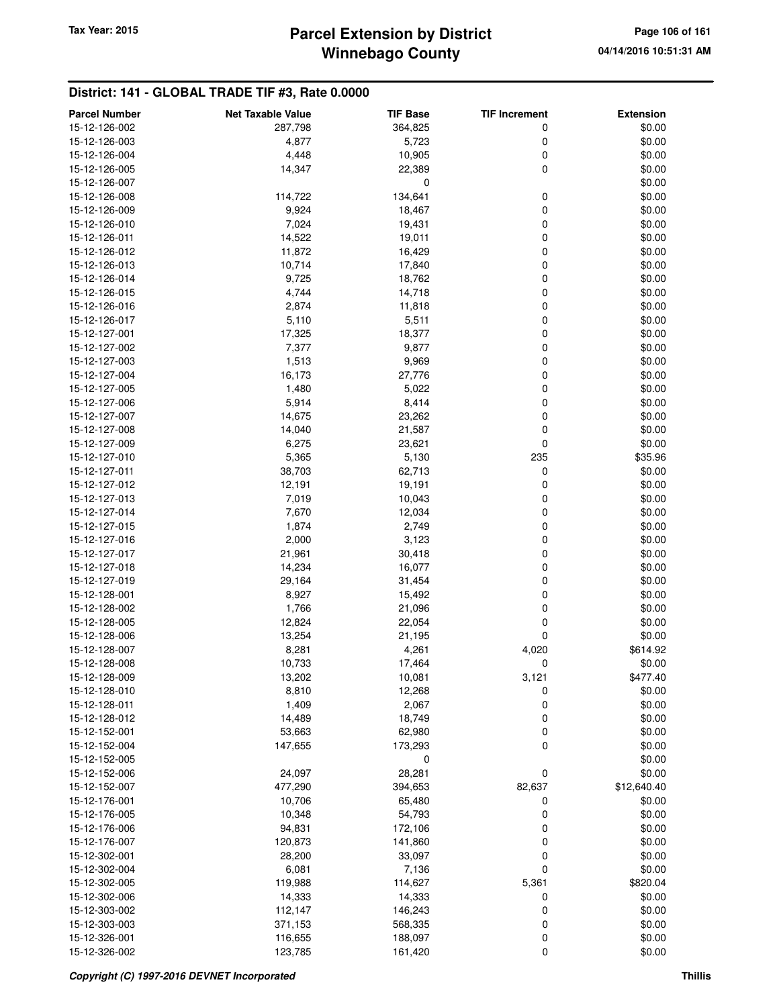#### **District: 141 - GLOBAL TRADE TIF #3, Rate 0.0000**

| <b>Parcel Number</b>           | <b>Net Taxable Value</b> | <b>TIF Base</b> | <b>TIF Increment</b> | <b>Extension</b> |
|--------------------------------|--------------------------|-----------------|----------------------|------------------|
| 15-12-126-002                  | 287,798                  | 364,825         | 0                    | \$0.00           |
| 15-12-126-003                  | 4,877                    | 5,723           | 0                    | \$0.00           |
| 15-12-126-004                  | 4,448                    | 10,905          | 0                    | \$0.00           |
| 15-12-126-005                  | 14,347                   | 22,389          | 0                    | \$0.00           |
| 15-12-126-007                  |                          | 0               |                      | \$0.00           |
| 15-12-126-008                  | 114,722                  | 134,641         | 0                    | \$0.00           |
| 15-12-126-009                  | 9,924                    | 18,467          | 0                    | \$0.00           |
| 15-12-126-010                  | 7,024                    | 19,431          | 0                    | \$0.00           |
| 15-12-126-011                  | 14,522                   | 19,011          | 0                    | \$0.00           |
| 15-12-126-012                  | 11,872                   | 16,429          | 0                    | \$0.00           |
| 15-12-126-013                  | 10,714                   | 17,840          | 0                    | \$0.00           |
| 15-12-126-014                  | 9,725                    | 18,762          | 0                    | \$0.00           |
| 15-12-126-015                  | 4,744                    | 14,718          | 0                    | \$0.00           |
| 15-12-126-016                  | 2,874                    | 11,818          | 0                    | \$0.00           |
| 15-12-126-017                  | 5,110                    | 5,511           | 0                    | \$0.00           |
| 15-12-127-001                  | 17,325                   | 18,377          | 0                    | \$0.00           |
| 15-12-127-002                  | 7,377                    | 9,877           | 0                    | \$0.00           |
| 15-12-127-003                  | 1,513                    | 9,969           | 0                    | \$0.00           |
| 15-12-127-004                  | 16,173                   | 27,776          | 0                    | \$0.00           |
| 15-12-127-005                  | 1,480                    | 5,022           | 0                    | \$0.00           |
| 15-12-127-006                  | 5,914                    | 8,414           | 0                    | \$0.00           |
| 15-12-127-007                  | 14,675                   | 23,262          | 0                    | \$0.00           |
| 15-12-127-008                  | 14,040                   | 21,587          | 0                    | \$0.00           |
| 15-12-127-009                  | 6,275                    | 23,621          | 0                    | \$0.00           |
| 15-12-127-010                  | 5,365                    | 5,130           | 235                  | \$35.96          |
| 15-12-127-011                  | 38,703                   | 62,713          | 0                    | \$0.00           |
| 15-12-127-012                  | 12,191                   | 19,191          | 0                    | \$0.00           |
| 15-12-127-013                  | 7,019                    | 10,043          | 0                    | \$0.00           |
| 15-12-127-014                  | 7,670                    | 12,034          | 0                    | \$0.00           |
| 15-12-127-015                  | 1,874                    | 2,749           | 0                    | \$0.00           |
| 15-12-127-016                  | 2,000                    | 3,123           | 0                    | \$0.00           |
| 15-12-127-017                  | 21,961                   | 30,418          | 0                    | \$0.00           |
| 15-12-127-018                  | 14,234                   | 16,077          | 0                    | \$0.00           |
| 15-12-127-019                  | 29,164                   | 31,454          | 0                    | \$0.00           |
| 15-12-128-001                  | 8,927                    | 15,492          | 0                    | \$0.00           |
| 15-12-128-002                  | 1,766                    | 21,096          | 0                    | \$0.00           |
| 15-12-128-005                  | 12,824                   | 22,054          | 0                    | \$0.00           |
| 15-12-128-006                  | 13,254                   | 21,195          | 0                    | \$0.00           |
| 15-12-128-007                  | 8,281                    | 4,261           | 4,020                | \$614.92         |
| 15-12-128-008                  | 10,733                   | 17,464          | 0                    | \$0.00           |
| 15-12-128-009                  | 13,202                   | 10,081          | 3,121                | \$477.40         |
| 15-12-128-010                  | 8,810                    | 12,268          | 0                    | \$0.00           |
| 15-12-128-011                  | 1,409                    | 2,067           | 0                    | \$0.00           |
| 15-12-128-012                  | 14,489                   | 18,749          | 0                    | \$0.00           |
| 15-12-152-001<br>15-12-152-004 | 53,663<br>147,655        | 62,980          | 0<br>0               | \$0.00<br>\$0.00 |
| 15-12-152-005                  |                          | 173,293         |                      | \$0.00           |
| 15-12-152-006                  | 24,097                   | 0<br>28,281     | $\mathbf 0$          | \$0.00           |
| 15-12-152-007                  | 477,290                  | 394,653         | 82,637               | \$12,640.40      |
| 15-12-176-001                  | 10,706                   | 65,480          | 0                    | \$0.00           |
| 15-12-176-005                  | 10,348                   | 54,793          | 0                    | \$0.00           |
| 15-12-176-006                  | 94,831                   | 172,106         | 0                    | \$0.00           |
| 15-12-176-007                  | 120,873                  | 141,860         | 0                    | \$0.00           |
| 15-12-302-001                  | 28,200                   | 33,097          | 0                    | \$0.00           |
| 15-12-302-004                  | 6,081                    | 7,136           | 0                    | \$0.00           |
| 15-12-302-005                  | 119,988                  | 114,627         | 5,361                | \$820.04         |
| 15-12-302-006                  | 14,333                   | 14,333          | 0                    | \$0.00           |
| 15-12-303-002                  | 112,147                  | 146,243         | 0                    | \$0.00           |
| 15-12-303-003                  | 371,153                  | 568,335         | 0                    | \$0.00           |
| 15-12-326-001                  | 116,655                  | 188,097         | 0                    | \$0.00           |
| 15-12-326-002                  | 123,785                  | 161,420         | 0                    | \$0.00           |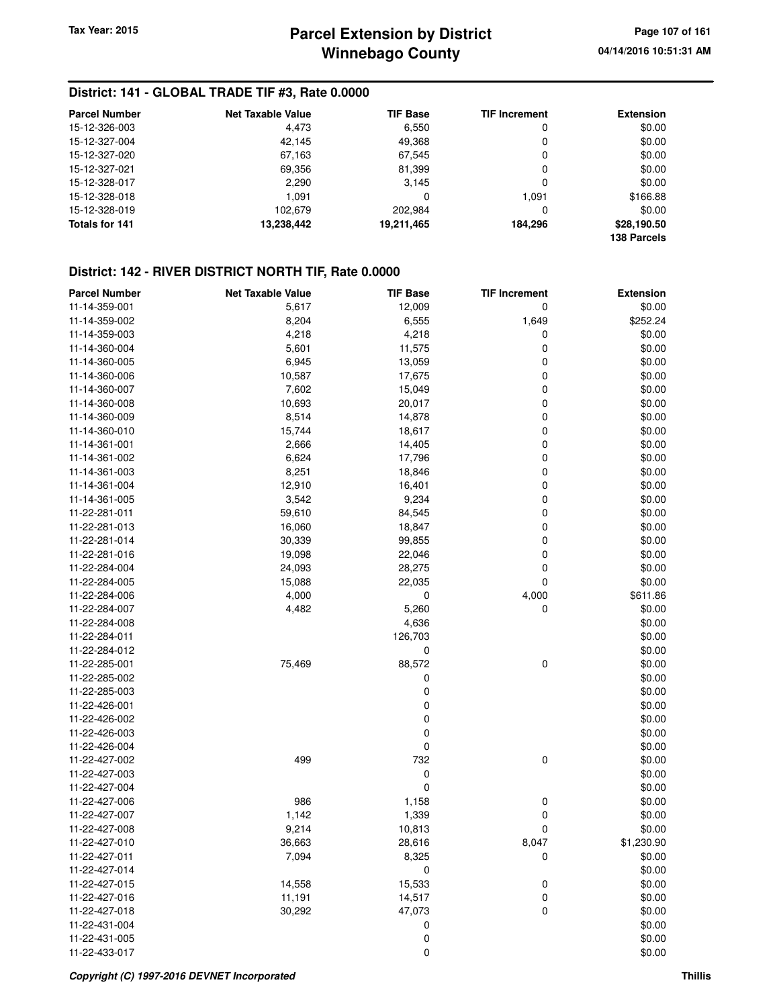#### **District: 141 - GLOBAL TRADE TIF #3, Rate 0.0000**

| <b>Parcel Number</b> | <b>Net Taxable Value</b> | <b>TIF Base</b> | <b>TIF Increment</b> | <b>Extension</b> |
|----------------------|--------------------------|-----------------|----------------------|------------------|
| 15-12-326-003        | 4,473                    | 6,550           | 0                    | \$0.00           |
| 15-12-327-004        | 42,145                   | 49.368          | 0                    | \$0.00           |
| 15-12-327-020        | 67,163                   | 67,545          | 0                    | \$0.00           |
| 15-12-327-021        | 69,356                   | 81.399          | 0                    | \$0.00           |
| 15-12-328-017        | 2,290                    | 3.145           | 0                    | \$0.00           |
| 15-12-328-018        | 1.091                    | 0               | 1.091                | \$166.88         |
| 15-12-328-019        | 102.679                  | 202.984         | 0                    | \$0.00           |
| Totals for 141       | 13,238,442               | 19,211,465      | 184.296              | \$28,190.50      |
|                      |                          |                 |                      | 138 Parcels      |

#### **District: 142 - RIVER DISTRICT NORTH TIF, Rate 0.0000**

| <b>Parcel Number</b> | <b>Net Taxable Value</b> | <b>TIF Base</b> | <b>TIF Increment</b> | <b>Extension</b> |
|----------------------|--------------------------|-----------------|----------------------|------------------|
| 11-14-359-001        | 5,617                    | 12,009          | 0                    | \$0.00           |
| 11-14-359-002        | 8,204                    | 6,555           | 1,649                | \$252.24         |
| 11-14-359-003        | 4,218                    | 4,218           | 0                    | \$0.00           |
| 11-14-360-004        | 5,601                    | 11,575          | 0                    | \$0.00           |
| 11-14-360-005        | 6,945                    | 13,059          | 0                    | \$0.00           |
| 11-14-360-006        | 10,587                   | 17,675          | 0                    | \$0.00           |
| 11-14-360-007        | 7,602                    | 15,049          | 0                    | \$0.00           |
| 11-14-360-008        | 10,693                   | 20,017          | 0                    | \$0.00           |
| 11-14-360-009        | 8,514                    | 14,878          | 0                    | \$0.00           |
| 11-14-360-010        | 15,744                   | 18,617          | 0                    | \$0.00           |
| 11-14-361-001        | 2,666                    | 14,405          | 0                    | \$0.00           |
| 11-14-361-002        | 6,624                    | 17,796          | 0                    | \$0.00           |
| 11-14-361-003        | 8,251                    | 18,846          | 0                    | \$0.00           |
| 11-14-361-004        | 12,910                   | 16,401          | 0                    | \$0.00           |
| 11-14-361-005        | 3,542                    | 9,234           | 0                    | \$0.00           |
| 11-22-281-011        | 59,610                   | 84,545          | 0                    | \$0.00           |
| 11-22-281-013        | 16,060                   | 18,847          | 0                    | \$0.00           |
| 11-22-281-014        | 30,339                   | 99,855          | 0                    | \$0.00           |
| 11-22-281-016        | 19,098                   | 22,046          | 0                    | \$0.00           |
| 11-22-284-004        | 24,093                   | 28,275          | 0                    | \$0.00           |
| 11-22-284-005        | 15,088                   | 22,035          | $\mathbf 0$          | \$0.00           |
| 11-22-284-006        | 4,000                    | 0               | 4,000                | \$611.86         |
| 11-22-284-007        | 4,482                    | 5,260           | 0                    | \$0.00           |
| 11-22-284-008        |                          | 4,636           |                      | \$0.00           |
| 11-22-284-011        |                          | 126,703         |                      | \$0.00           |
| 11-22-284-012        |                          | 0               |                      | \$0.00           |
| 11-22-285-001        | 75,469                   | 88,572          | 0                    | \$0.00           |
| 11-22-285-002        |                          | 0               |                      | \$0.00           |
| 11-22-285-003        |                          | 0               |                      | \$0.00           |
| 11-22-426-001        |                          | 0               |                      | \$0.00           |
| 11-22-426-002        |                          | 0               |                      | \$0.00           |
| 11-22-426-003        |                          | 0               |                      | \$0.00           |
| 11-22-426-004        |                          | 0               |                      | \$0.00           |
| 11-22-427-002        | 499                      | 732             | $\mathbf 0$          | \$0.00           |
| 11-22-427-003        |                          | 0               |                      | \$0.00           |
| 11-22-427-004        |                          | 0               |                      | \$0.00           |
| 11-22-427-006        | 986                      | 1,158           | 0                    | \$0.00           |
| 11-22-427-007        | 1,142                    | 1,339           | 0                    | \$0.00           |
| 11-22-427-008        | 9,214                    | 10,813          | 0                    | \$0.00           |
| 11-22-427-010        | 36,663                   | 28,616          | 8,047                | \$1,230.90       |
| 11-22-427-011        | 7,094                    | 8,325           | $\Omega$             | \$0.00           |
| 11-22-427-014        |                          | 0               |                      | \$0.00           |
| 11-22-427-015        | 14,558                   | 15,533          | 0                    | \$0.00           |
| 11-22-427-016        | 11,191                   | 14,517          | 0                    | \$0.00           |
| 11-22-427-018        | 30,292                   | 47,073          | 0                    | \$0.00           |
| 11-22-431-004        |                          | 0               |                      | \$0.00           |
| 11-22-431-005        |                          | 0               |                      | \$0.00           |
| 11-22-433-017        |                          | 0               |                      | \$0.00           |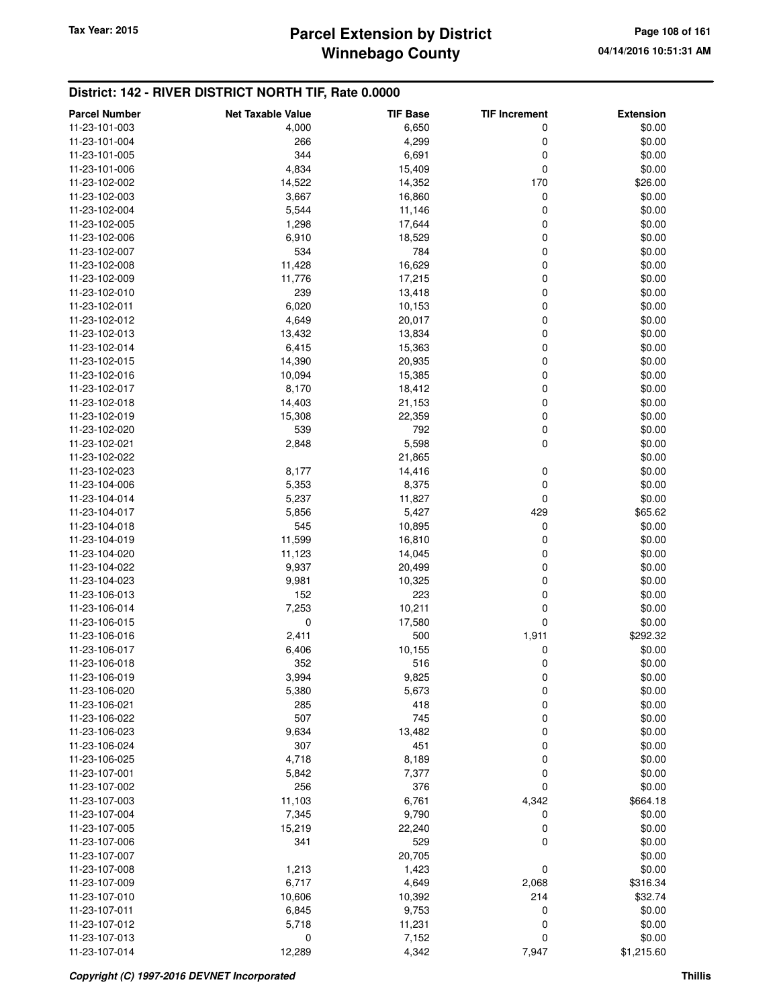## **Winnebago County Parcel Extension by District Tax Year: 2015 Page 108 of 161**

#### **District: 142 - RIVER DISTRICT NORTH TIF, Rate 0.0000**

| <b>Parcel Number</b> | <b>Net Taxable Value</b> | <b>TIF Base</b> | <b>TIF Increment</b> | <b>Extension</b> |
|----------------------|--------------------------|-----------------|----------------------|------------------|
| 11-23-101-003        | 4,000                    | 6,650           | 0                    | \$0.00           |
| 11-23-101-004        | 266                      | 4,299           | 0                    | \$0.00           |
| 11-23-101-005        | 344                      | 6,691           | 0                    | \$0.00           |
| 11-23-101-006        | 4,834                    | 15,409          | 0                    | \$0.00           |
| 11-23-102-002        | 14,522                   | 14,352          | 170                  | \$26.00          |
| 11-23-102-003        | 3,667                    | 16,860          | 0                    | \$0.00           |
| 11-23-102-004        | 5,544                    | 11,146          | 0                    | \$0.00           |
| 11-23-102-005        | 1,298                    | 17,644          | 0                    | \$0.00           |
| 11-23-102-006        | 6,910                    | 18,529          | 0                    | \$0.00           |
| 11-23-102-007        | 534                      | 784             | 0                    | \$0.00           |
| 11-23-102-008        | 11,428                   | 16,629          | 0                    | \$0.00           |
| 11-23-102-009        | 11,776                   | 17,215          | 0                    | \$0.00           |
| 11-23-102-010        | 239                      | 13,418          | 0                    | \$0.00           |
| 11-23-102-011        | 6,020                    | 10,153          | 0                    | \$0.00           |
| 11-23-102-012        | 4,649                    | 20,017          | 0                    | \$0.00           |
| 11-23-102-013        | 13,432                   | 13,834          | 0                    | \$0.00           |
| 11-23-102-014        | 6,415                    | 15,363          | 0                    | \$0.00           |
| 11-23-102-015        | 14,390                   | 20,935          | 0                    | \$0.00           |
| 11-23-102-016        | 10,094                   | 15,385          | 0                    | \$0.00           |
| 11-23-102-017        | 8,170                    | 18,412          | 0                    | \$0.00           |
| 11-23-102-018        | 14,403                   | 21,153          | 0                    | \$0.00           |
| 11-23-102-019        | 15,308                   | 22,359          | 0                    | \$0.00           |
| 11-23-102-020        | 539                      | 792             | 0                    | \$0.00           |
| 11-23-102-021        | 2,848                    | 5,598           | 0                    | \$0.00           |
| 11-23-102-022        |                          | 21,865          |                      | \$0.00           |
| 11-23-102-023        | 8,177                    | 14,416          | 0                    | \$0.00           |
| 11-23-104-006        | 5,353                    | 8,375           | 0                    | \$0.00           |
| 11-23-104-014        | 5,237                    | 11,827          | 0                    | \$0.00           |
| 11-23-104-017        | 5,856                    | 5,427           | 429                  | \$65.62          |
| 11-23-104-018        | 545                      | 10,895          | 0                    | \$0.00           |
| 11-23-104-019        | 11,599                   | 16,810          | 0                    | \$0.00           |
| 11-23-104-020        | 11,123                   | 14,045          | 0                    | \$0.00           |
| 11-23-104-022        | 9,937                    | 20,499          | 0                    | \$0.00           |
| 11-23-104-023        | 9,981                    | 10,325          | 0                    | \$0.00           |
| 11-23-106-013        | 152                      | 223             | 0                    | \$0.00           |
| 11-23-106-014        | 7,253                    | 10,211          | 0                    | \$0.00           |
| 11-23-106-015        | $\mathbf 0$              | 17,580          | 0                    | \$0.00           |
| 11-23-106-016        | 2,411                    | 500             | 1,911                | \$292.32         |
| 11-23-106-017        | 6,406                    | 10,155          | 0                    | \$0.00           |
| 11-23-106-018        | 352                      | 516             | 0                    | \$0.00           |
| 11-23-106-019        | 3,994                    | 9,825           | 0                    | \$0.00           |
| 11-23-106-020        | 5,380                    | 5,673           | 0                    | \$0.00           |
| 11-23-106-021        | 285                      | 418             | 0                    | \$0.00           |
| 11-23-106-022        | 507                      | 745             | 0                    | \$0.00           |
| 11-23-106-023        | 9,634                    | 13,482          | 0                    | \$0.00           |
| 11-23-106-024        | 307                      | 451             | 0                    | \$0.00           |
| 11-23-106-025        | 4,718                    | 8,189           | 0                    | \$0.00           |
| 11-23-107-001        | 5,842                    | 7,377           | 0                    | \$0.00           |
| 11-23-107-002        | 256                      | 376             | 0                    | \$0.00           |
| 11-23-107-003        | 11,103                   | 6,761           | 4,342                | \$664.18         |
| 11-23-107-004        | 7,345                    | 9,790           | 0                    | \$0.00           |
| 11-23-107-005        | 15,219                   | 22,240          | 0                    | \$0.00           |
| 11-23-107-006        | 341                      | 529             | 0                    | \$0.00           |
| 11-23-107-007        |                          | 20,705          |                      | \$0.00           |
| 11-23-107-008        | 1,213                    | 1,423           | 0                    | \$0.00           |
| 11-23-107-009        | 6,717                    | 4,649           | 2,068                | \$316.34         |
| 11-23-107-010        | 10,606                   | 10,392          | 214                  | \$32.74          |
| 11-23-107-011        | 6,845                    | 9,753           | 0                    | \$0.00           |
| 11-23-107-012        | 5,718                    | 11,231          | 0                    | \$0.00           |
| 11-23-107-013        | 0                        | 7,152           | 0                    | \$0.00           |
| 11-23-107-014        | 12,289                   | 4,342           | 7,947                | \$1,215.60       |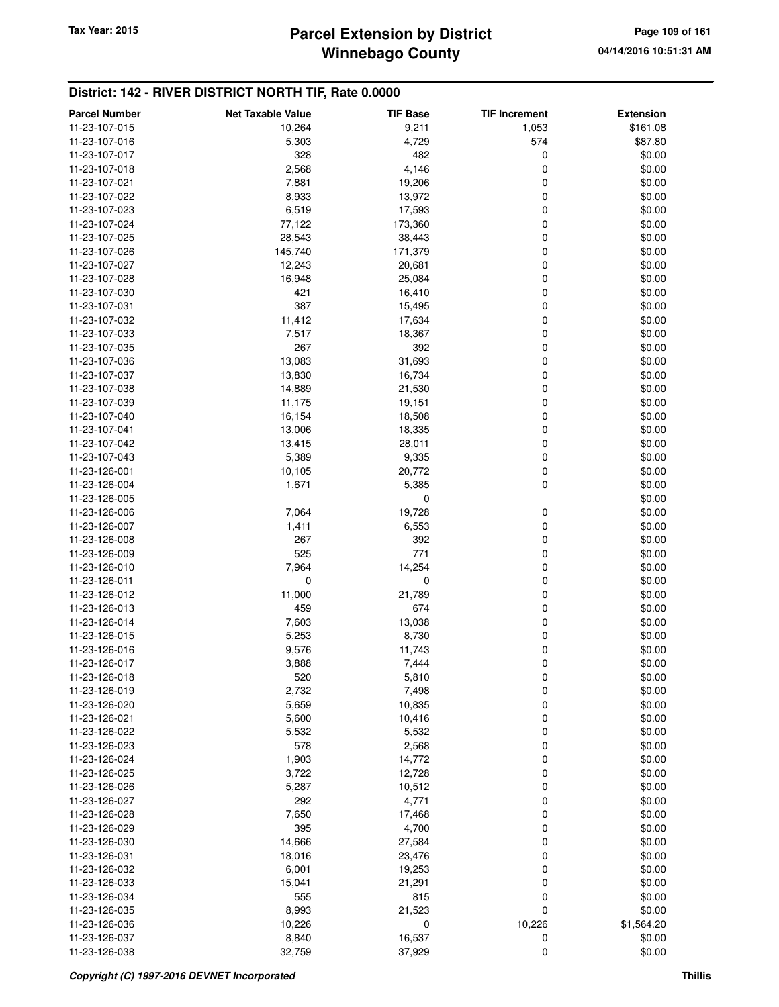## **Winnebago County Parcel Extension by District Tax Year: 2015 Page 109 of 161**

| <b>Parcel Number</b>           | <b>Net Taxable Value</b> | <b>TIF Base</b> | <b>TIF Increment</b> | <b>Extension</b> |
|--------------------------------|--------------------------|-----------------|----------------------|------------------|
| 11-23-107-015                  | 10,264                   | 9,211           | 1,053                | \$161.08         |
| 11-23-107-016                  | 5,303                    | 4,729           | 574                  | \$87.80          |
| 11-23-107-017                  | 328                      | 482             | 0                    | \$0.00           |
| 11-23-107-018                  | 2,568                    | 4,146           | 0                    | \$0.00           |
| 11-23-107-021                  | 7,881                    | 19,206          | 0                    | \$0.00           |
| 11-23-107-022                  | 8,933                    | 13,972          | 0                    | \$0.00           |
| 11-23-107-023                  | 6,519                    | 17,593          | 0                    | \$0.00           |
| 11-23-107-024                  | 77,122                   | 173,360         | 0                    | \$0.00           |
| 11-23-107-025                  | 28,543                   | 38,443          | 0                    | \$0.00           |
| 11-23-107-026                  | 145,740                  | 171,379         | 0                    | \$0.00           |
| 11-23-107-027                  | 12,243                   | 20,681          | 0                    | \$0.00           |
| 11-23-107-028                  | 16,948                   | 25,084          | 0                    | \$0.00           |
| 11-23-107-030                  | 421                      | 16,410          | 0                    | \$0.00           |
| 11-23-107-031                  | 387                      | 15,495          | 0                    | \$0.00           |
| 11-23-107-032                  | 11,412                   | 17,634          | 0                    | \$0.00           |
| 11-23-107-033                  | 7,517                    | 18,367          | 0                    | \$0.00           |
| 11-23-107-035                  | 267                      | 392             | 0                    | \$0.00           |
| 11-23-107-036                  | 13,083                   | 31,693          | 0                    | \$0.00           |
| 11-23-107-037                  | 13,830                   | 16,734          | 0                    | \$0.00           |
| 11-23-107-038                  | 14,889                   | 21,530          | 0                    | \$0.00           |
| 11-23-107-039                  | 11,175                   | 19,151          | 0                    | \$0.00           |
| 11-23-107-040                  | 16,154                   | 18,508          | 0                    | \$0.00           |
| 11-23-107-041                  | 13,006                   | 18,335          | 0                    | \$0.00           |
| 11-23-107-042                  | 13,415                   | 28,011          | 0                    | \$0.00           |
| 11-23-107-043                  | 5,389                    | 9,335           | 0                    | \$0.00           |
| 11-23-126-001                  | 10,105                   | 20,772          | 0                    | \$0.00           |
| 11-23-126-004                  | 1,671                    | 5,385           | 0                    | \$0.00           |
| 11-23-126-005                  |                          | $\mathbf 0$     |                      | \$0.00           |
| 11-23-126-006                  | 7,064                    | 19,728          | 0                    | \$0.00           |
| 11-23-126-007                  | 1,411                    | 6,553           | 0                    | \$0.00           |
| 11-23-126-008                  | 267                      | 392             | $\mathbf 0$          | \$0.00           |
| 11-23-126-009                  | 525                      | 771             | 0                    | \$0.00           |
| 11-23-126-010                  | 7,964                    | 14,254          | 0                    | \$0.00           |
| 11-23-126-011                  | 0                        | 0               | 0                    | \$0.00           |
| 11-23-126-012                  | 11,000                   | 21,789          | 0                    | \$0.00           |
| 11-23-126-013                  | 459                      | 674             | 0                    | \$0.00           |
| 11-23-126-014<br>11-23-126-015 | 7,603<br>5,253           | 13,038<br>8,730 | 0<br>0               | \$0.00<br>\$0.00 |
| 11-23-126-016                  | 9,576                    | 11,743          | 0                    | \$0.00           |
| 11-23-126-017                  | 3,888                    | 7,444           | 0                    | \$0.00           |
| 11-23-126-018                  | 520                      |                 | 0                    | \$0.00           |
| 11-23-126-019                  | 2,732                    | 5,810<br>7,498  | 0                    | \$0.00           |
| 11-23-126-020                  | 5,659                    | 10,835          | 0                    | \$0.00           |
| 11-23-126-021                  | 5,600                    | 10,416          | 0                    | \$0.00           |
| 11-23-126-022                  | 5,532                    | 5,532           | 0                    | \$0.00           |
| 11-23-126-023                  | 578                      | 2,568           | 0                    | \$0.00           |
| 11-23-126-024                  | 1,903                    | 14,772          | 0                    | \$0.00           |
| 11-23-126-025                  | 3,722                    | 12,728          | 0                    | \$0.00           |
| 11-23-126-026                  | 5,287                    | 10,512          | 0                    | \$0.00           |
| 11-23-126-027                  | 292                      | 4,771           | 0                    | \$0.00           |
| 11-23-126-028                  | 7,650                    | 17,468          | 0                    | \$0.00           |
| 11-23-126-029                  | 395                      | 4,700           | 0                    | \$0.00           |
| 11-23-126-030                  | 14,666                   | 27,584          | 0                    | \$0.00           |
| 11-23-126-031                  | 18,016                   | 23,476          | 0                    | \$0.00           |
| 11-23-126-032                  | 6,001                    | 19,253          | 0                    | \$0.00           |
| 11-23-126-033                  | 15,041                   | 21,291          | 0                    | \$0.00           |
| 11-23-126-034                  | 555                      | 815             | 0                    | \$0.00           |
| 11-23-126-035                  | 8,993                    | 21,523          | $\mathbf 0$          | \$0.00           |
| 11-23-126-036                  | 10,226                   | 0               | 10,226               | \$1,564.20       |
| 11-23-126-037                  | 8,840                    | 16,537          | 0                    | \$0.00           |
| 11-23-126-038                  | 32,759                   | 37,929          | 0                    | \$0.00           |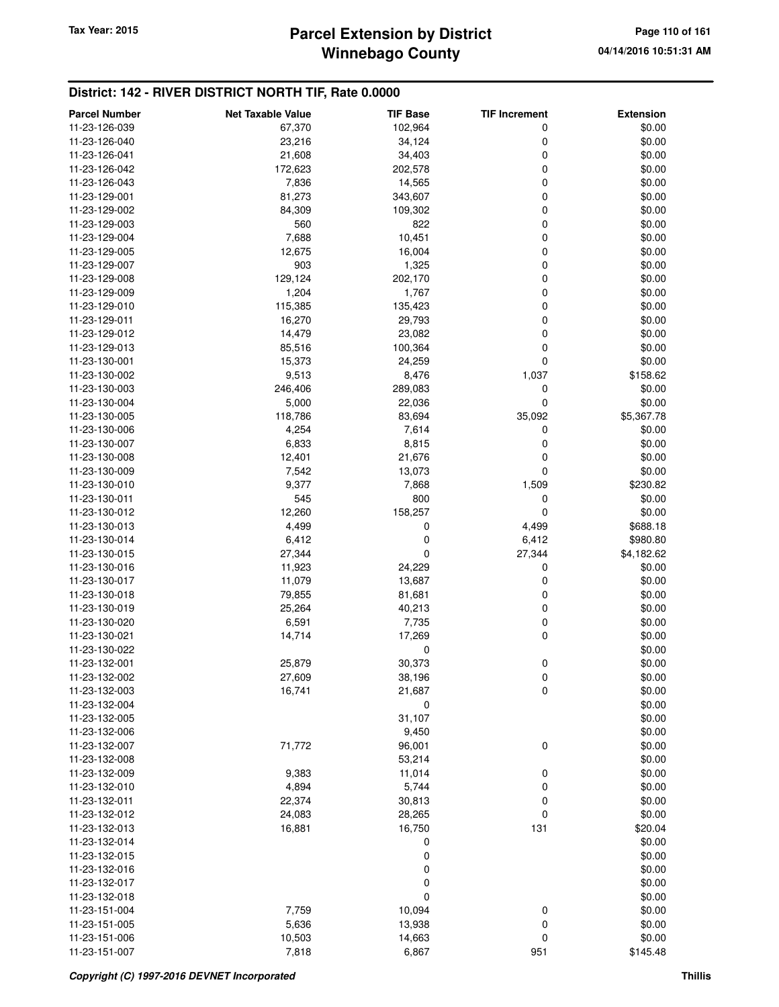## **Winnebago County** Tax Year: 2015 **Parcel Extension by District Page 110 of 161**

| <b>Parcel Number</b> | <b>Net Taxable Value</b> | <b>TIF Base</b> | <b>TIF Increment</b> | <b>Extension</b> |
|----------------------|--------------------------|-----------------|----------------------|------------------|
| 11-23-126-039        | 67,370                   | 102,964         | 0                    | \$0.00           |
| 11-23-126-040        | 23,216                   | 34,124          | 0                    | \$0.00           |
| 11-23-126-041        | 21,608                   | 34,403          | 0                    | \$0.00           |
| 11-23-126-042        | 172,623                  | 202,578         | 0                    | \$0.00           |
| 11-23-126-043        | 7,836                    | 14,565          | 0                    | \$0.00           |
| 11-23-129-001        | 81,273                   | 343,607         | 0                    | \$0.00           |
| 11-23-129-002        | 84,309                   | 109,302         | 0                    | \$0.00           |
| 11-23-129-003        | 560                      | 822             | 0                    | \$0.00           |
| 11-23-129-004        | 7,688                    | 10,451          | 0                    | \$0.00           |
| 11-23-129-005        | 12,675                   | 16,004          | 0                    | \$0.00           |
| 11-23-129-007        | 903                      | 1,325           | 0                    | \$0.00           |
| 11-23-129-008        | 129,124                  | 202,170         | 0                    | \$0.00           |
| 11-23-129-009        | 1,204                    | 1,767           | 0                    | \$0.00           |
| 11-23-129-010        | 115,385                  | 135,423         | 0                    | \$0.00           |
| 11-23-129-011        | 16,270                   | 29,793          | 0                    | \$0.00           |
| 11-23-129-012        | 14,479                   | 23,082          | 0                    | \$0.00           |
| 11-23-129-013        | 85,516                   | 100,364         | 0                    | \$0.00           |
| 11-23-130-001        | 15,373                   | 24,259          | 0                    | \$0.00           |
| 11-23-130-002        | 9,513                    | 8,476           | 1,037                | \$158.62         |
| 11-23-130-003        | 246,406                  | 289,083         | 0                    | \$0.00           |
| 11-23-130-004        | 5,000                    | 22,036          | 0                    | \$0.00           |
| 11-23-130-005        | 118,786                  | 83,694          | 35,092               | \$5,367.78       |
| 11-23-130-006        | 4,254                    | 7,614           | 0                    | \$0.00           |
| 11-23-130-007        | 6,833                    | 8,815           | 0                    | \$0.00           |
| 11-23-130-008        | 12,401                   | 21,676          | 0                    | \$0.00           |
| 11-23-130-009        | 7,542                    | 13,073          | 0                    | \$0.00           |
| 11-23-130-010        | 9,377                    | 7,868           | 1,509                | \$230.82         |
| 11-23-130-011        | 545                      | 800             | 0                    | \$0.00           |
| 11-23-130-012        | 12,260                   | 158,257         | 0                    | \$0.00           |
| 11-23-130-013        | 4,499                    | 0               | 4,499                | \$688.18         |
| 11-23-130-014        | 6,412                    | 0               | 6,412                | \$980.80         |
| 11-23-130-015        | 27,344                   | 0               | 27,344               | \$4,182.62       |
| 11-23-130-016        | 11,923                   | 24,229          | 0                    | \$0.00           |
| 11-23-130-017        | 11,079                   | 13,687          | 0                    | \$0.00           |
| 11-23-130-018        | 79,855                   | 81,681          | 0                    | \$0.00           |
| 11-23-130-019        | 25,264                   | 40,213          | 0                    | \$0.00           |
| 11-23-130-020        | 6,591                    | 7,735           | 0                    | \$0.00           |
| 11-23-130-021        | 14,714                   | 17,269          | 0                    | \$0.00           |
| 11-23-130-022        |                          | 0               |                      | \$0.00           |
| 11-23-132-001        | 25,879                   | 30,373          | 0                    | \$0.00           |
| 11-23-132-002        | 27,609                   | 38,196          | $\pmb{0}$            | \$0.00           |
| 11-23-132-003        | 16,741                   | 21,687          | 0                    | \$0.00           |
| 11-23-132-004        |                          | 0               |                      | \$0.00           |
| 11-23-132-005        |                          | 31,107          |                      | \$0.00           |
| 11-23-132-006        |                          | 9,450           |                      | \$0.00           |
| 11-23-132-007        | 71,772                   | 96,001          | 0                    | \$0.00           |
| 11-23-132-008        |                          | 53,214          |                      | \$0.00           |
| 11-23-132-009        | 9,383                    | 11,014          | 0                    | \$0.00           |
| 11-23-132-010        | 4,894                    | 5,744           | 0                    | \$0.00           |
| 11-23-132-011        | 22,374                   | 30,813          | 0                    | \$0.00           |
| 11-23-132-012        | 24,083                   | 28,265          | 0                    | \$0.00           |
| 11-23-132-013        | 16,881                   | 16,750          | 131                  | \$20.04          |
| 11-23-132-014        |                          | 0               |                      | \$0.00           |
| 11-23-132-015        |                          | 0               |                      | \$0.00           |
| 11-23-132-016        |                          | 0               |                      | \$0.00           |
| 11-23-132-017        |                          | 0               |                      | \$0.00           |
| 11-23-132-018        |                          | $\mathbf 0$     |                      | \$0.00           |
| 11-23-151-004        | 7,759                    | 10,094          | 0                    | \$0.00           |
| 11-23-151-005        | 5,636                    | 13,938          | 0                    | \$0.00           |
| 11-23-151-006        | 10,503                   | 14,663          | 0                    | \$0.00           |
| 11-23-151-007        | 7,818                    | 6,867           | 951                  | \$145.48         |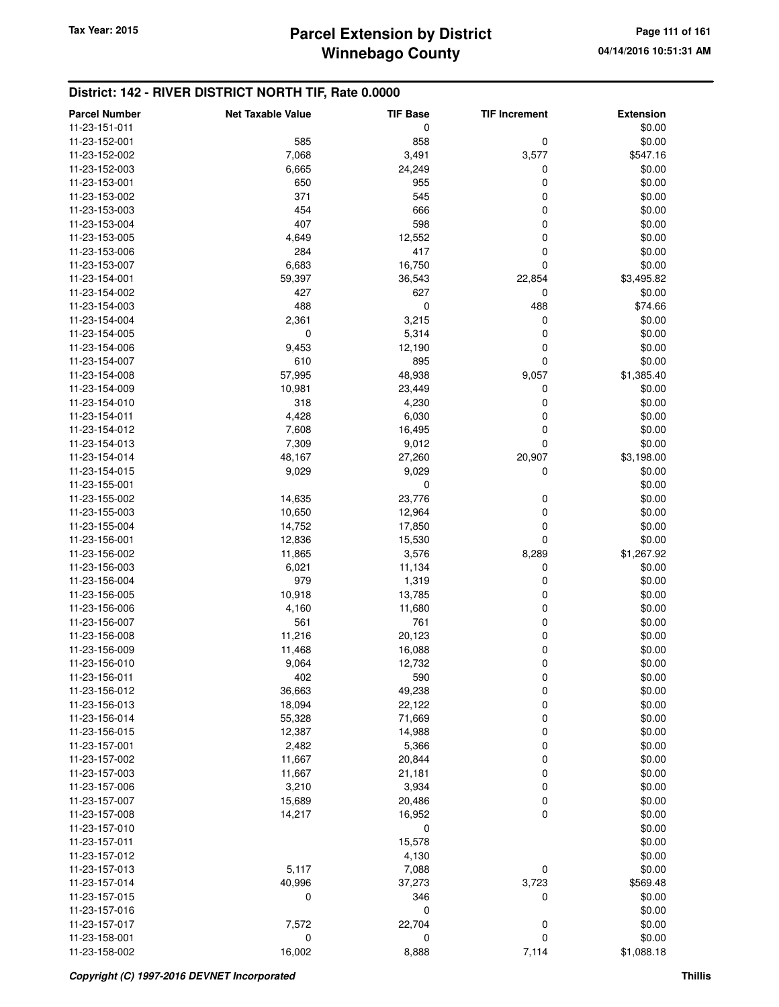| <b>Parcel Number</b> | <b>Net Taxable Value</b> | <b>TIF Base</b> | <b>TIF Increment</b> | <b>Extension</b> |
|----------------------|--------------------------|-----------------|----------------------|------------------|
| 11-23-151-011        |                          | 0               |                      | \$0.00           |
| 11-23-152-001        | 585                      | 858             | 0                    | \$0.00           |
| 11-23-152-002        | 7,068                    | 3,491           | 3,577                | \$547.16         |
| 11-23-152-003        | 6,665                    | 24,249          | 0                    | \$0.00           |
| 11-23-153-001        | 650                      | 955             | 0                    | \$0.00           |
| 11-23-153-002        | 371                      | 545             | 0                    | \$0.00           |
| 11-23-153-003        | 454                      | 666             | 0                    | \$0.00           |
| 11-23-153-004        | 407                      | 598             | 0                    | \$0.00           |
| 11-23-153-005        | 4,649                    | 12,552          | 0                    | \$0.00           |
| 11-23-153-006        | 284                      | 417             | 0                    |                  |
|                      |                          |                 |                      | \$0.00           |
| 11-23-153-007        | 6,683                    | 16,750          | 0                    | \$0.00           |
| 11-23-154-001        | 59,397                   | 36,543          | 22,854               | \$3,495.82       |
| 11-23-154-002        | 427                      | 627             | 0                    | \$0.00           |
| 11-23-154-003        | 488                      | 0               | 488                  | \$74.66          |
| 11-23-154-004        | 2,361                    | 3,215           | 0                    | \$0.00           |
| 11-23-154-005        | 0                        | 5,314           | 0                    | \$0.00           |
| 11-23-154-006        | 9,453                    | 12,190          | 0                    | \$0.00           |
| 11-23-154-007        | 610                      | 895             | 0                    | \$0.00           |
| 11-23-154-008        | 57,995                   | 48,938          | 9,057                | \$1,385.40       |
| 11-23-154-009        | 10,981                   | 23,449          | 0                    | \$0.00           |
| 11-23-154-010        | 318                      | 4,230           | 0                    | \$0.00           |
| 11-23-154-011        | 4,428                    | 6,030           | 0                    | \$0.00           |
| 11-23-154-012        | 7,608                    | 16,495          | 0                    | \$0.00           |
| 11-23-154-013        | 7,309                    | 9,012           | 0                    | \$0.00           |
| 11-23-154-014        | 48,167                   | 27,260          | 20,907               | \$3,198.00       |
| 11-23-154-015        | 9,029                    | 9,029           | 0                    | \$0.00           |
| 11-23-155-001        |                          | $\mathbf 0$     |                      | \$0.00           |
| 11-23-155-002        | 14,635                   | 23,776          | 0                    | \$0.00           |
| 11-23-155-003        | 10,650                   | 12,964          | 0                    | \$0.00           |
| 11-23-155-004        | 14,752                   | 17,850          | 0                    | \$0.00           |
| 11-23-156-001        | 12,836                   | 15,530          | 0                    | \$0.00           |
| 11-23-156-002        | 11,865                   | 3,576           | 8,289                | \$1,267.92       |
| 11-23-156-003        | 6,021                    | 11,134          | 0                    | \$0.00           |
| 11-23-156-004        | 979                      | 1,319           | 0                    | \$0.00           |
| 11-23-156-005        | 10,918                   | 13,785          | 0                    | \$0.00           |
| 11-23-156-006        | 4,160                    | 11,680          | 0                    | \$0.00           |
| 11-23-156-007        | 561                      | 761             | 0                    | \$0.00           |
| 11-23-156-008        | 11,216                   | 20,123          | 0                    | \$0.00           |
| 11-23-156-009        | 11,468                   | 16,088          | 0                    | \$0.00           |
| 11-23-156-010        | 9,064                    | 12,732          | 0                    | \$0.00           |
| 11-23-156-011        | 402                      | 590             | $\pmb{0}$            | \$0.00           |
| 11-23-156-012        | 36,663                   | 49,238          | 0                    | \$0.00           |
| 11-23-156-013        | 18,094                   | 22,122          | 0                    | \$0.00           |
| 11-23-156-014        | 55,328                   | 71,669          | 0                    | \$0.00           |
| 11-23-156-015        | 12,387                   | 14,988          | 0                    | \$0.00           |
| 11-23-157-001        | 2,482                    | 5,366           | 0                    | \$0.00           |
| 11-23-157-002        |                          |                 |                      |                  |
|                      | 11,667                   | 20,844          | 0<br>0               | \$0.00           |
| 11-23-157-003        | 11,667                   | 21,181          |                      | \$0.00           |
| 11-23-157-006        | 3,210                    | 3,934           | 0                    | \$0.00           |
| 11-23-157-007        | 15,689                   | 20,486          | 0                    | \$0.00           |
| 11-23-157-008        | 14,217                   | 16,952          | 0                    | \$0.00           |
| 11-23-157-010        |                          | 0               |                      | \$0.00           |
| 11-23-157-011        |                          | 15,578          |                      | \$0.00           |
| 11-23-157-012        |                          | 4,130           |                      | \$0.00           |
| 11-23-157-013        | 5,117                    | 7,088           | 0                    | \$0.00           |
| 11-23-157-014        | 40,996                   | 37,273          | 3,723                | \$569.48         |
| 11-23-157-015        | 0                        | 346             | 0                    | \$0.00           |
| 11-23-157-016        |                          | 0               |                      | \$0.00           |
| 11-23-157-017        | 7,572                    | 22,704          | 0                    | \$0.00           |
| 11-23-158-001        | 0                        | 0               | 0                    | \$0.00           |
| 11-23-158-002        | 16,002                   | 8,888           | 7,114                | \$1,088.18       |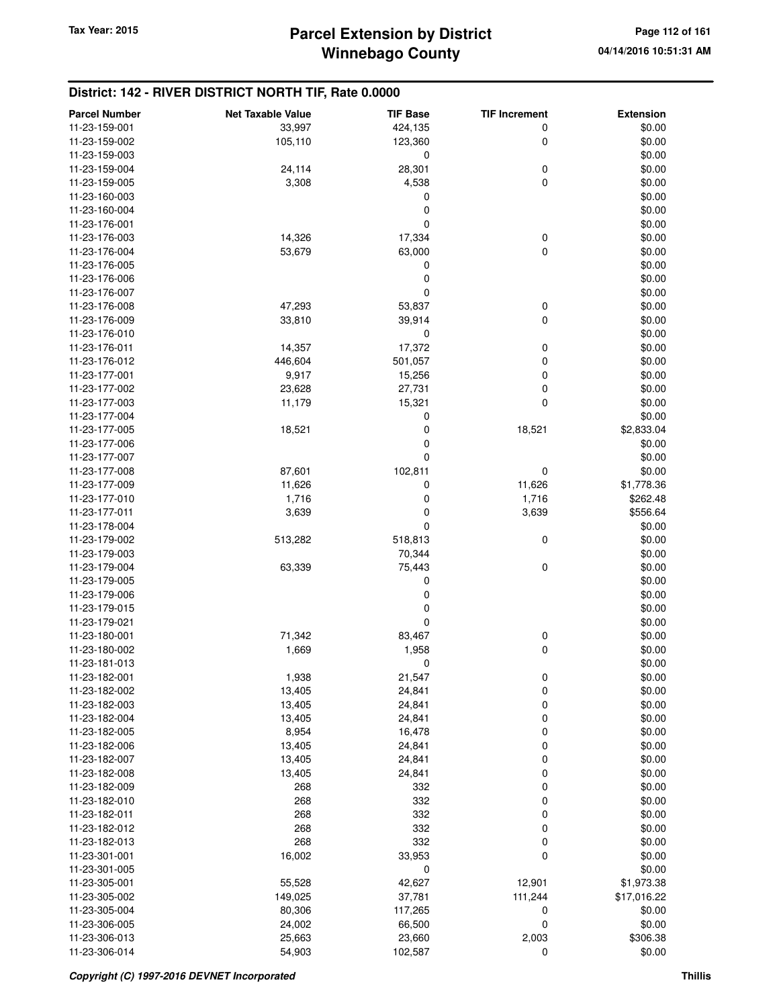| <b>Parcel Number</b> | <b>Net Taxable Value</b> | <b>TIF Base</b> | <b>TIF Increment</b> | <b>Extension</b> |
|----------------------|--------------------------|-----------------|----------------------|------------------|
| 11-23-159-001        | 33,997                   | 424,135         | 0                    | \$0.00           |
| 11-23-159-002        | 105,110                  | 123,360         | 0                    | \$0.00           |
| 11-23-159-003        |                          | 0               |                      | \$0.00           |
| 11-23-159-004        | 24,114                   | 28,301          | 0                    | \$0.00           |
| 11-23-159-005        | 3,308                    | 4,538           | 0                    | \$0.00           |
| 11-23-160-003        |                          | 0               |                      | \$0.00           |
| 11-23-160-004        |                          | 0               |                      | \$0.00           |
| 11-23-176-001        |                          | $\mathbf 0$     |                      | \$0.00           |
|                      |                          | 17,334          |                      |                  |
| 11-23-176-003        | 14,326                   |                 | 0                    | \$0.00           |
| 11-23-176-004        | 53,679                   | 63,000          | 0                    | \$0.00           |
| 11-23-176-005        |                          | 0               |                      | \$0.00           |
| 11-23-176-006        |                          | 0               |                      | \$0.00           |
| 11-23-176-007        |                          | $\mathbf 0$     |                      | \$0.00           |
| 11-23-176-008        | 47,293                   | 53,837          | 0                    | \$0.00           |
| 11-23-176-009        | 33,810                   | 39,914          | 0                    | \$0.00           |
| 11-23-176-010        |                          | 0               |                      | \$0.00           |
| 11-23-176-011        | 14,357                   | 17,372          | 0                    | \$0.00           |
| 11-23-176-012        | 446,604                  | 501,057         | 0                    | \$0.00           |
| 11-23-177-001        | 9,917                    | 15,256          | 0                    | \$0.00           |
| 11-23-177-002        | 23,628                   | 27,731          | 0                    | \$0.00           |
| 11-23-177-003        | 11,179                   | 15,321          | 0                    | \$0.00           |
| 11-23-177-004        |                          | 0               |                      | \$0.00           |
| 11-23-177-005        | 18,521                   | 0               | 18,521               | \$2,833.04       |
| 11-23-177-006        |                          | $\mathbf 0$     |                      | \$0.00           |
| 11-23-177-007        |                          | 0               |                      | \$0.00           |
| 11-23-177-008        | 87,601                   | 102,811         | 0                    | \$0.00           |
| 11-23-177-009        | 11,626                   | 0               | 11,626               | \$1,778.36       |
| 11-23-177-010        | 1,716                    | 0               | 1,716                | \$262.48         |
| 11-23-177-011        | 3,639                    | 0               | 3,639                | \$556.64         |
| 11-23-178-004        |                          | 0               |                      | \$0.00           |
| 11-23-179-002        | 513,282                  | 518,813         | 0                    | \$0.00           |
| 11-23-179-003        |                          | 70,344          |                      | \$0.00           |
| 11-23-179-004        | 63,339                   | 75,443          | 0                    | \$0.00           |
| 11-23-179-005        |                          | 0               |                      | \$0.00           |
| 11-23-179-006        |                          | 0               |                      | \$0.00           |
| 11-23-179-015        |                          | 0               |                      | \$0.00           |
| 11-23-179-021        |                          | $\mathbf 0$     |                      | \$0.00           |
| 11-23-180-001        | 71,342                   | 83,467          | 0                    | \$0.00           |
| 11-23-180-002        | 1,669                    | 1,958           | 0                    | \$0.00           |
| 11-23-181-013        |                          | 0               |                      | \$0.00           |
| 11-23-182-001        | 1,938                    | 21,547          | 0                    | \$0.00           |
| 11-23-182-002        | 13,405                   | 24,841          | 0                    | \$0.00           |
| 11-23-182-003        | 13,405                   | 24,841          | 0                    | \$0.00           |
|                      |                          |                 |                      |                  |
| 11-23-182-004        | 13,405                   | 24,841          | 0                    | \$0.00           |
| 11-23-182-005        | 8,954                    | 16,478          | 0                    | \$0.00           |
| 11-23-182-006        | 13,405                   | 24,841          | 0                    | \$0.00           |
| 11-23-182-007        | 13,405                   | 24,841          | 0                    | \$0.00           |
| 11-23-182-008        | 13,405                   | 24,841          | 0                    | \$0.00           |
| 11-23-182-009        | 268                      | 332             | 0                    | \$0.00           |
| 11-23-182-010        | 268                      | 332             | 0                    | \$0.00           |
| 11-23-182-011        | 268                      | 332             | 0                    | \$0.00           |
| 11-23-182-012        | 268                      | 332             | 0                    | \$0.00           |
| 11-23-182-013        | 268                      | 332             | 0                    | \$0.00           |
| 11-23-301-001        | 16,002                   | 33,953          | 0                    | \$0.00           |
| 11-23-301-005        |                          | 0               |                      | \$0.00           |
| 11-23-305-001        | 55,528                   | 42,627          | 12,901               | \$1,973.38       |
| 11-23-305-002        | 149,025                  | 37,781          | 111,244              | \$17,016.22      |
| 11-23-305-004        | 80,306                   | 117,265         | 0                    | \$0.00           |
| 11-23-306-005        | 24,002                   | 66,500          | 0                    | \$0.00           |
| 11-23-306-013        | 25,663                   | 23,660          | 2,003                | \$306.38         |
| 11-23-306-014        | 54,903                   | 102,587         | 0                    | \$0.00           |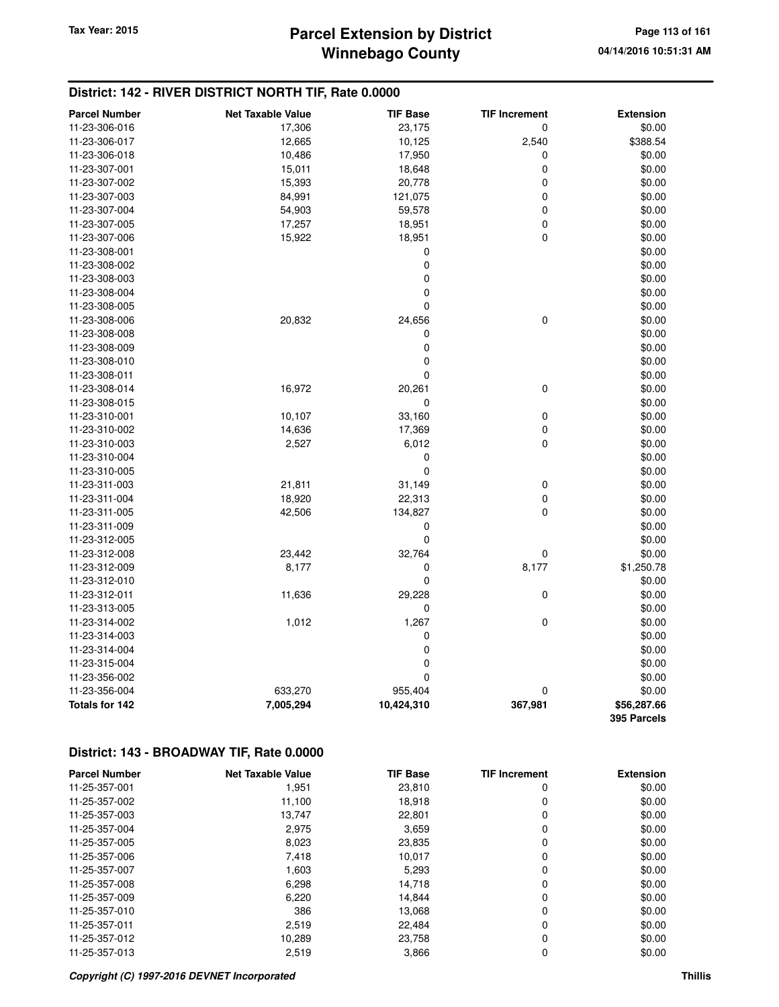## **Winnebago County Parcel Extension by District Tax Year: 2015 Page 113 of 161**

## **District: 142 - RIVER DISTRICT NORTH TIF, Rate 0.0000**

| <b>Parcel Number</b>  | <b>Net Taxable Value</b> | <b>TIF Base</b> | <b>TIF Increment</b> | <b>Extension</b> |
|-----------------------|--------------------------|-----------------|----------------------|------------------|
| 11-23-306-016         | 17,306                   | 23,175          | 0                    | \$0.00           |
| 11-23-306-017         | 12,665                   | 10,125          | 2,540                | \$388.54         |
| 11-23-306-018         | 10,486                   | 17,950          | 0                    | \$0.00           |
| 11-23-307-001         | 15,011                   | 18,648          | 0                    | \$0.00           |
| 11-23-307-002         | 15,393                   | 20,778          | 0                    | \$0.00           |
| 11-23-307-003         | 84,991                   | 121,075         | 0                    | \$0.00           |
| 11-23-307-004         | 54,903                   | 59,578          | 0                    | \$0.00           |
| 11-23-307-005         | 17,257                   | 18,951          | 0                    | \$0.00           |
| 11-23-307-006         | 15,922                   | 18,951          | $\mathbf 0$          | \$0.00           |
| 11-23-308-001         |                          | $\mathbf 0$     |                      | \$0.00           |
| 11-23-308-002         |                          | $\mathbf 0$     |                      | \$0.00           |
| 11-23-308-003         |                          | 0               |                      | \$0.00           |
| 11-23-308-004         |                          | $\pmb{0}$       |                      | \$0.00           |
| 11-23-308-005         |                          | 0               |                      | \$0.00           |
| 11-23-308-006         | 20,832                   | 24,656          | $\mathbf 0$          | \$0.00           |
| 11-23-308-008         |                          | $\mathbf 0$     |                      | \$0.00           |
| 11-23-308-009         |                          | $\pmb{0}$       |                      | \$0.00           |
| 11-23-308-010         |                          | $\mathbf 0$     |                      | \$0.00           |
| 11-23-308-011         |                          | $\mathbf 0$     |                      | \$0.00           |
| 11-23-308-014         | 16,972                   | 20,261          | $\mathbf 0$          | \$0.00           |
| 11-23-308-015         |                          | 0               |                      | \$0.00           |
| 11-23-310-001         | 10,107                   | 33,160          | $\mathbf 0$          | \$0.00           |
| 11-23-310-002         | 14,636                   | 17,369          | 0                    | \$0.00           |
| 11-23-310-003         | 2,527                    | 6,012           | 0                    | \$0.00           |
| 11-23-310-004         |                          | $\mathbf 0$     |                      | \$0.00           |
| 11-23-310-005         |                          | $\mathbf 0$     |                      | \$0.00           |
| 11-23-311-003         | 21,811                   | 31,149          | 0                    | \$0.00           |
| 11-23-311-004         | 18,920                   | 22,313          | 0                    | \$0.00           |
| 11-23-311-005         | 42,506                   | 134,827         | 0                    | \$0.00           |
| 11-23-311-009         |                          | 0               |                      | \$0.00           |
| 11-23-312-005         |                          | $\mathbf 0$     |                      | \$0.00           |
| 11-23-312-008         | 23,442                   | 32,764          | 0                    | \$0.00           |
| 11-23-312-009         | 8,177                    | 0               | 8,177                | \$1,250.78       |
| 11-23-312-010         |                          | 0               |                      | \$0.00           |
| 11-23-312-011         | 11,636                   | 29,228          | 0                    | \$0.00           |
| 11-23-313-005         |                          | 0               |                      | \$0.00           |
| 11-23-314-002         | 1,012                    | 1,267           | $\pmb{0}$            | \$0.00           |
| 11-23-314-003         |                          | 0               |                      | \$0.00           |
| 11-23-314-004         |                          | $\mathbf 0$     |                      | \$0.00           |
| 11-23-315-004         |                          | $\mathbf 0$     |                      | \$0.00           |
| 11-23-356-002         |                          | 0               |                      | \$0.00           |
| 11-23-356-004         | 633,270                  | 955,404         | 0                    | \$0.00           |
| <b>Totals for 142</b> | 7,005,294                | 10,424,310      | 367,981              | \$56,287.66      |
|                       |                          |                 |                      | 395 Parcels      |

| <b>Parcel Number</b> | <b>Net Taxable Value</b> | <b>TIF Base</b> | <b>TIF Increment</b> | <b>Extension</b> |
|----------------------|--------------------------|-----------------|----------------------|------------------|
| 11-25-357-001        | 1,951                    | 23,810          | 0                    | \$0.00           |
| 11-25-357-002        | 11,100                   | 18.918          | 0                    | \$0.00           |
| 11-25-357-003        | 13,747                   | 22,801          | 0                    | \$0.00           |
| 11-25-357-004        | 2,975                    | 3,659           | 0                    | \$0.00           |
| 11-25-357-005        | 8,023                    | 23,835          | 0                    | \$0.00           |
| 11-25-357-006        | 7,418                    | 10,017          | 0                    | \$0.00           |
| 11-25-357-007        | 1,603                    | 5,293           | 0                    | \$0.00           |
| 11-25-357-008        | 6,298                    | 14,718          | 0                    | \$0.00           |
| 11-25-357-009        | 6,220                    | 14,844          | 0                    | \$0.00           |
| 11-25-357-010        | 386                      | 13,068          | 0                    | \$0.00           |
| 11-25-357-011        | 2,519                    | 22.484          | 0                    | \$0.00           |
| 11-25-357-012        | 10,289                   | 23,758          | 0                    | \$0.00           |
| 11-25-357-013        | 2,519                    | 3,866           | 0                    | \$0.00           |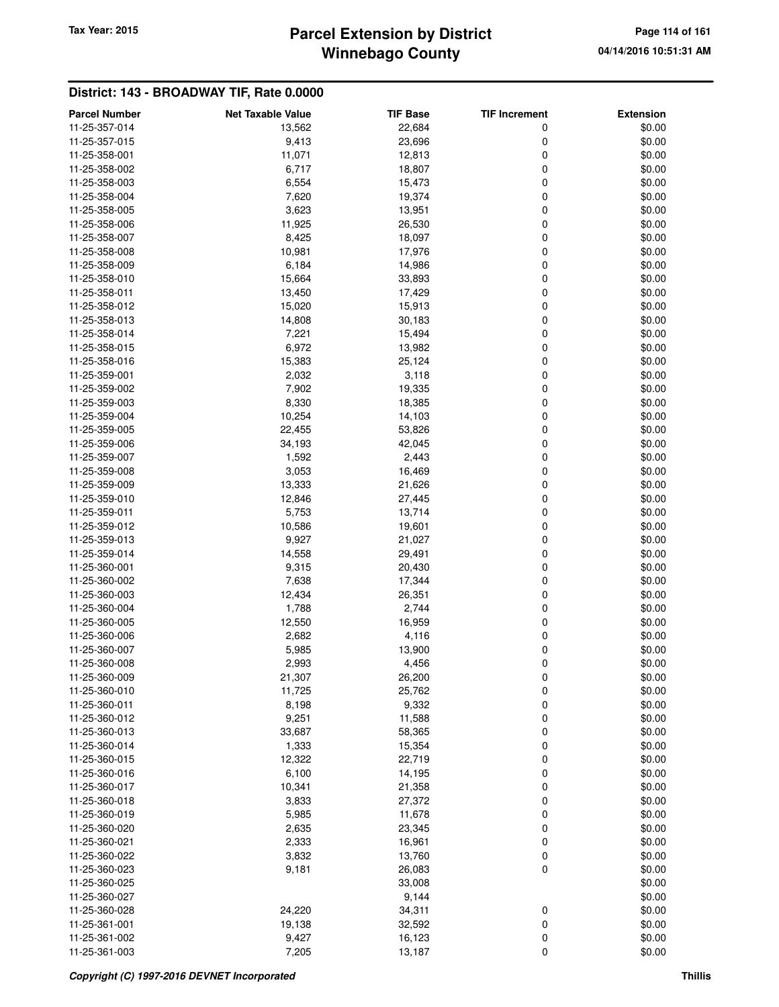## **Winnebago County Parcel Extension by District Tax Year: 2015 Page 114 of 161**

| <b>Parcel Number</b> | <b>Net Taxable Value</b> | <b>TIF Base</b> | <b>TIF Increment</b> | <b>Extension</b> |
|----------------------|--------------------------|-----------------|----------------------|------------------|
| 11-25-357-014        | 13,562                   | 22,684          | 0                    | \$0.00           |
| 11-25-357-015        | 9,413                    | 23,696          | 0                    | \$0.00           |
| 11-25-358-001        | 11,071                   | 12,813          | 0                    | \$0.00           |
| 11-25-358-002        | 6,717                    | 18,807          | 0                    | \$0.00           |
| 11-25-358-003        | 6,554                    | 15,473          | 0                    | \$0.00           |
| 11-25-358-004        | 7,620                    | 19,374          | 0                    | \$0.00           |
| 11-25-358-005        | 3,623                    | 13,951          | 0                    | \$0.00           |
| 11-25-358-006        | 11,925                   | 26,530          | 0                    | \$0.00           |
| 11-25-358-007        | 8,425                    | 18,097          | 0                    | \$0.00           |
| 11-25-358-008        | 10,981                   | 17,976          | 0                    | \$0.00           |
| 11-25-358-009        | 6,184                    | 14,986          | 0                    | \$0.00           |
| 11-25-358-010        | 15,664                   | 33,893          | $\mathbf 0$          | \$0.00           |
| 11-25-358-011        | 13,450                   | 17,429          | $\mathbf 0$          | \$0.00           |
| 11-25-358-012        | 15,020                   | 15,913          | 0                    | \$0.00           |
| 11-25-358-013        | 14,808                   | 30,183          | 0                    | \$0.00           |
| 11-25-358-014        | 7,221                    | 15,494          | 0                    | \$0.00           |
| 11-25-358-015        | 6,972                    | 13,982          | 0                    | \$0.00           |
| 11-25-358-016        | 15,383                   | 25,124          | 0                    | \$0.00           |
| 11-25-359-001        | 2,032                    | 3,118           | 0                    | \$0.00           |
| 11-25-359-002        | 7,902                    | 19,335          | 0                    | \$0.00           |
| 11-25-359-003        | 8,330                    |                 | 0                    |                  |
|                      |                          | 18,385          |                      | \$0.00           |
| 11-25-359-004        | 10,254                   | 14,103          | 0                    | \$0.00           |
| 11-25-359-005        | 22,455                   | 53,826          | 0                    | \$0.00           |
| 11-25-359-006        | 34,193                   | 42,045          | 0                    | \$0.00           |
| 11-25-359-007        | 1,592                    | 2,443           | 0                    | \$0.00           |
| 11-25-359-008        | 3,053                    | 16,469          | 0                    | \$0.00           |
| 11-25-359-009        | 13,333                   | 21,626          | 0                    | \$0.00           |
| 11-25-359-010        | 12,846                   | 27,445          | $\mathbf 0$          | \$0.00           |
| 11-25-359-011        | 5,753                    | 13,714          | $\mathbf 0$          | \$0.00           |
| 11-25-359-012        | 10,586                   | 19,601          | 0                    | \$0.00           |
| 11-25-359-013        | 9,927                    | 21,027          | 0                    | \$0.00           |
| 11-25-359-014        | 14,558                   | 29,491          | $\mathbf 0$          | \$0.00           |
| 11-25-360-001        | 9,315                    | 20,430          | 0                    | \$0.00           |
| 11-25-360-002        | 7,638                    | 17,344          | 0                    | \$0.00           |
| 11-25-360-003        | 12,434                   | 26,351          | 0                    | \$0.00           |
| 11-25-360-004        | 1,788                    | 2,744           | 0                    | \$0.00           |
| 11-25-360-005        | 12,550                   | 16,959          | 0                    | \$0.00           |
| 11-25-360-006        | 2,682                    | 4,116           | 0                    | \$0.00           |
| 11-25-360-007        | 5,985                    | 13,900          | 0                    | \$0.00           |
| 11-25-360-008        | 2,993                    | 4,456           | 0                    | \$0.00           |
| 11-25-360-009        | 21,307                   | 26,200          | 0                    | \$0.00           |
| 11-25-360-010        | 11,725                   | 25,762          | 0                    | \$0.00           |
| 11-25-360-011        | 8,198                    | 9,332           | $\pmb{0}$            | \$0.00           |
| 11-25-360-012        | 9,251                    | 11,588          | $\pmb{0}$            | \$0.00           |
| 11-25-360-013        | 33,687                   | 58,365          | $\pmb{0}$            | \$0.00           |
| 11-25-360-014        | 1,333                    | 15,354          | 0                    | \$0.00           |
| 11-25-360-015        | 12,322                   | 22,719          | 0                    | \$0.00           |
| 11-25-360-016        | 6,100                    | 14,195          | 0                    | \$0.00           |
| 11-25-360-017        | 10,341                   | 21,358          | 0                    | \$0.00           |
| 11-25-360-018        | 3,833                    | 27,372          | 0                    | \$0.00           |
| 11-25-360-019        | 5,985                    | 11,678          | 0                    | \$0.00           |
| 11-25-360-020        | 2,635                    | 23,345          | 0                    | \$0.00           |
| 11-25-360-021        | 2,333                    | 16,961          | 0                    | \$0.00           |
| 11-25-360-022        | 3,832                    | 13,760          | 0                    | \$0.00           |
| 11-25-360-023        | 9,181                    | 26,083          | 0                    | \$0.00           |
| 11-25-360-025        |                          | 33,008          |                      | \$0.00           |
| 11-25-360-027        |                          | 9,144           |                      | \$0.00           |
| 11-25-360-028        | 24,220                   | 34,311          | 0                    | \$0.00           |
| 11-25-361-001        | 19,138                   | 32,592          | $\pmb{0}$            | \$0.00           |
| 11-25-361-002        | 9,427                    | 16,123          | $\pmb{0}$            | \$0.00           |
| 11-25-361-003        | 7,205                    | 13,187          | $\mathbf 0$          | \$0.00           |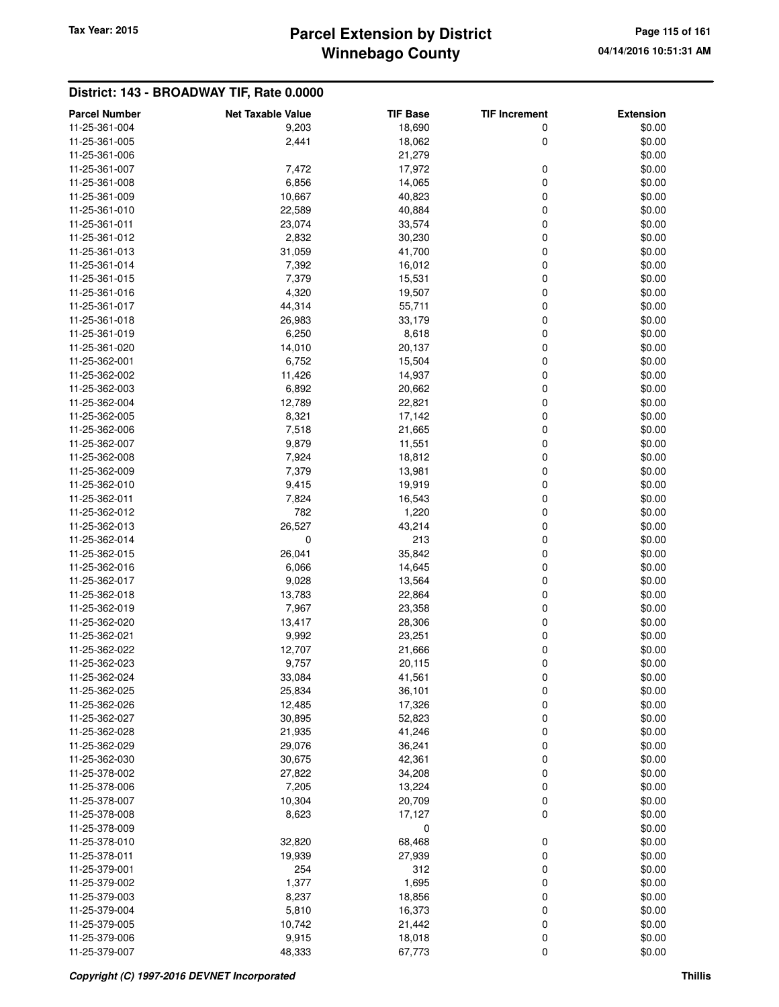# **Winnebago County** Tax Year: 2015 **Parcel Extension by District Page 115 of 161 Page 115 of 161**

| <b>Parcel Number</b>           | <b>Net Taxable Value</b> | <b>TIF Base</b>  | <b>TIF Increment</b> | <b>Extension</b> |
|--------------------------------|--------------------------|------------------|----------------------|------------------|
| 11-25-361-004                  | 9,203                    | 18,690           | 0                    | \$0.00           |
| 11-25-361-005                  | 2,441                    | 18,062           | 0                    | \$0.00           |
| 11-25-361-006                  |                          | 21,279           |                      | \$0.00           |
| 11-25-361-007                  | 7,472                    | 17,972           | 0                    | \$0.00           |
| 11-25-361-008                  | 6,856                    | 14,065           | 0                    | \$0.00           |
| 11-25-361-009                  | 10,667                   | 40,823           | 0                    | \$0.00           |
| 11-25-361-010                  | 22,589                   | 40,884           | 0                    | \$0.00           |
| 11-25-361-011                  | 23,074                   | 33,574           | 0                    | \$0.00           |
| 11-25-361-012                  | 2,832                    | 30,230           | 0                    | \$0.00           |
| 11-25-361-013                  | 31,059                   | 41,700           | 0                    | \$0.00           |
| 11-25-361-014                  | 7,392                    | 16,012           | 0                    | \$0.00           |
| 11-25-361-015                  | 7,379                    | 15,531           | 0                    | \$0.00           |
| 11-25-361-016                  | 4,320                    | 19,507           | 0                    | \$0.00           |
| 11-25-361-017                  | 44,314                   | 55,711           | 0                    | \$0.00           |
| 11-25-361-018                  | 26,983                   | 33,179           | 0                    | \$0.00           |
| 11-25-361-019                  | 6,250                    | 8,618            | 0                    | \$0.00           |
| 11-25-361-020                  | 14,010                   | 20,137           | 0                    | \$0.00           |
| 11-25-362-001                  | 6,752                    | 15,504           | 0                    | \$0.00           |
| 11-25-362-002                  | 11,426                   | 14,937           | 0                    | \$0.00           |
| 11-25-362-003                  | 6,892                    | 20,662           | 0                    | \$0.00           |
| 11-25-362-004                  | 12,789                   | 22,821           | 0                    | \$0.00           |
| 11-25-362-005                  | 8,321                    | 17,142           | 0                    | \$0.00           |
| 11-25-362-006                  | 7,518                    | 21,665           | 0                    | \$0.00           |
| 11-25-362-007                  | 9,879                    | 11,551           | 0                    | \$0.00           |
| 11-25-362-008                  | 7,924                    | 18,812           | 0                    | \$0.00           |
| 11-25-362-009                  | 7,379                    | 13,981           | 0                    | \$0.00           |
| 11-25-362-010                  | 9,415                    | 19,919           | 0                    | \$0.00           |
| 11-25-362-011                  | 7,824                    | 16,543           | 0                    | \$0.00           |
| 11-25-362-012                  | 782                      | 1,220            | 0                    | \$0.00           |
| 11-25-362-013                  | 26,527                   | 43,214           | 0                    | \$0.00           |
| 11-25-362-014                  | $\mathbf 0$              | 213              | 0                    | \$0.00           |
| 11-25-362-015                  | 26,041                   | 35,842           | 0                    | \$0.00           |
| 11-25-362-016                  | 6,066                    | 14,645           | 0                    | \$0.00           |
| 11-25-362-017                  | 9,028                    | 13,564           | 0                    | \$0.00           |
| 11-25-362-018                  | 13,783                   | 22,864           | 0                    | \$0.00           |
| 11-25-362-019                  | 7,967                    | 23,358           | 0                    | \$0.00           |
| 11-25-362-020                  | 13,417                   | 28,306           | 0                    | \$0.00           |
| 11-25-362-021                  | 9,992                    | 23,251           | 0                    | \$0.00           |
| 11-25-362-022                  | 12,707                   | 21,666           | 0                    | \$0.00           |
| 11-25-362-023                  | 9,757                    | 20,115           | 0                    | \$0.00           |
| 11-25-362-024                  | 33,084                   | 41,561           | 0                    | \$0.00           |
| 11-25-362-025                  | 25,834                   | 36,101           | 0                    | \$0.00           |
| 11-25-362-026                  | 12,485                   | 17,326           | 0                    | \$0.00           |
| 11-25-362-027                  | 30,895                   | 52,823           | 0                    | \$0.00           |
| 11-25-362-028                  | 21,935                   | 41,246           | 0                    | \$0.00           |
| 11-25-362-029                  | 29,076                   | 36,241           | 0                    | \$0.00           |
| 11-25-362-030                  | 30,675                   | 42,361           | 0                    | \$0.00           |
| 11-25-378-002                  | 27,822                   | 34,208           | 0                    | \$0.00           |
| 11-25-378-006                  | 7,205                    | 13,224           | 0                    | \$0.00           |
| 11-25-378-007                  | 10,304                   | 20,709           | 0                    | \$0.00           |
| 11-25-378-008                  | 8,623                    | 17,127           | 0                    | \$0.00           |
| 11-25-378-009                  |                          | 0                |                      | \$0.00           |
| 11-25-378-010                  | 32,820                   | 68,468           | 0                    | \$0.00           |
| 11-25-378-011                  | 19,939                   | 27,939           | 0                    | \$0.00           |
| 11-25-379-001                  | 254                      | 312              | 0                    | \$0.00           |
| 11-25-379-002                  | 1,377                    | 1,695            | 0                    | \$0.00           |
| 11-25-379-003                  |                          |                  | 0                    |                  |
| 11-25-379-004                  | 8,237<br>5,810           | 18,856<br>16,373 | 0                    | \$0.00<br>\$0.00 |
|                                |                          |                  |                      |                  |
| 11-25-379-005<br>11-25-379-006 | 10,742                   | 21,442           | 0                    | \$0.00           |
| 11-25-379-007                  | 9,915<br>48,333          | 18,018<br>67,773 | 0<br>0               | \$0.00<br>\$0.00 |
|                                |                          |                  |                      |                  |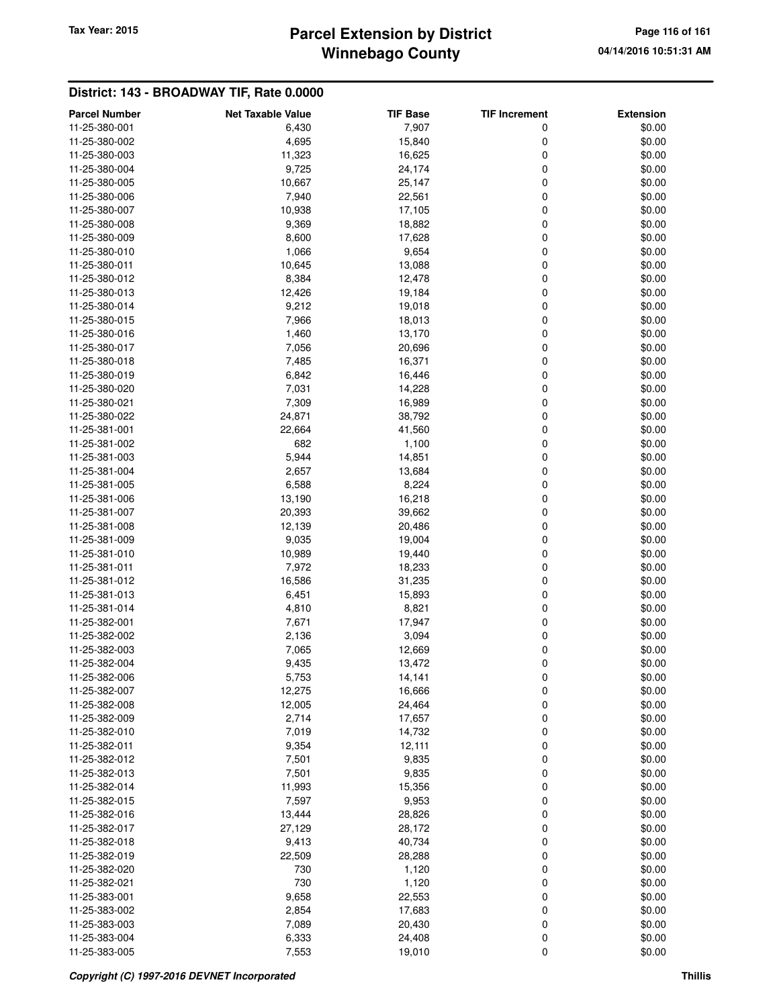# **Winnebago County** Tax Year: 2015 **Parcel Extension by District** Page 116 of 161

| <b>Parcel Number</b>           | <b>Net Taxable Value</b> | <b>TIF Base</b> | <b>TIF Increment</b> | <b>Extension</b> |
|--------------------------------|--------------------------|-----------------|----------------------|------------------|
| 11-25-380-001                  | 6,430                    | 7,907           | 0                    | \$0.00           |
| 11-25-380-002                  | 4,695                    | 15,840          | 0                    | \$0.00           |
| 11-25-380-003                  | 11,323                   | 16,625          | 0                    | \$0.00           |
| 11-25-380-004                  | 9,725                    | 24,174          | 0                    | \$0.00           |
| 11-25-380-005                  | 10,667                   | 25,147          | 0                    | \$0.00           |
| 11-25-380-006                  | 7,940                    | 22,561          | 0                    | \$0.00           |
| 11-25-380-007                  | 10,938                   | 17,105          | 0                    | \$0.00           |
| 11-25-380-008                  | 9,369                    | 18,882          | 0                    | \$0.00           |
| 11-25-380-009                  | 8,600                    | 17,628          | 0                    | \$0.00           |
| 11-25-380-010                  | 1,066                    | 9,654           | 0                    | \$0.00           |
| 11-25-380-011                  | 10,645                   | 13,088          | 0                    | \$0.00           |
| 11-25-380-012                  | 8,384                    | 12,478          | 0                    | \$0.00           |
| 11-25-380-013                  | 12,426                   | 19,184          | 0                    | \$0.00           |
| 11-25-380-014                  | 9,212                    | 19,018          | 0                    | \$0.00           |
| 11-25-380-015                  | 7,966                    | 18,013          | 0                    | \$0.00           |
| 11-25-380-016                  | 1,460                    | 13,170          | 0                    | \$0.00           |
| 11-25-380-017                  | 7,056                    | 20,696          | 0                    | \$0.00           |
| 11-25-380-018                  | 7,485                    | 16,371          | 0                    | \$0.00           |
| 11-25-380-019                  | 6,842                    | 16,446          | 0                    | \$0.00           |
|                                |                          |                 | 0                    |                  |
| 11-25-380-020<br>11-25-380-021 | 7,031                    | 14,228          |                      | \$0.00           |
| 11-25-380-022                  | 7,309                    | 16,989          | 0                    | \$0.00<br>\$0.00 |
|                                | 24,871                   | 38,792          | 0                    |                  |
| 11-25-381-001                  | 22,664                   | 41,560          | 0                    | \$0.00           |
| 11-25-381-002                  | 682                      | 1,100           | 0                    | \$0.00           |
| 11-25-381-003                  | 5,944                    | 14,851          | 0                    | \$0.00           |
| 11-25-381-004                  | 2,657                    | 13,684          | 0                    | \$0.00           |
| 11-25-381-005                  | 6,588                    | 8,224           | 0                    | \$0.00           |
| 11-25-381-006                  | 13,190                   | 16,218          | 0                    | \$0.00           |
| 11-25-381-007                  | 20,393                   | 39,662          | 0                    | \$0.00           |
| 11-25-381-008                  | 12,139                   | 20,486          | 0                    | \$0.00           |
| 11-25-381-009                  | 9,035                    | 19,004          | 0                    | \$0.00           |
| 11-25-381-010                  | 10,989                   | 19,440          | 0                    | \$0.00           |
| 11-25-381-011                  | 7,972                    | 18,233          | 0                    | \$0.00           |
| 11-25-381-012                  | 16,586                   | 31,235          | 0                    | \$0.00           |
| 11-25-381-013                  | 6,451                    | 15,893          | 0                    | \$0.00           |
| 11-25-381-014                  | 4,810                    | 8,821           | 0                    | \$0.00           |
| 11-25-382-001                  | 7,671                    | 17,947          | 0                    | \$0.00           |
| 11-25-382-002                  | 2,136                    | 3,094           | 0                    | \$0.00           |
| 11-25-382-003                  | 7,065                    | 12,669          | 0                    | \$0.00           |
| 11-25-382-004                  | 9,435                    | 13,472          | 0                    | \$0.00           |
| 11-25-382-006                  | 5,753                    | 14,141          | 0                    | \$0.00           |
| 11-25-382-007                  | 12,275                   | 16,666          | 0                    | \$0.00           |
| 11-25-382-008                  | 12,005                   | 24,464          | 0                    | \$0.00           |
| 11-25-382-009                  | 2,714                    | 17,657          | 0                    | \$0.00           |
| 11-25-382-010                  | 7,019                    | 14,732          | 0                    | \$0.00           |
| 11-25-382-011                  | 9,354                    | 12,111          | 0                    | \$0.00           |
| 11-25-382-012                  | 7,501                    | 9,835           | 0                    | \$0.00           |
| 11-25-382-013                  | 7,501                    | 9,835           | 0                    | \$0.00           |
| 11-25-382-014                  | 11,993                   | 15,356          | 0                    | \$0.00           |
| 11-25-382-015                  | 7,597                    | 9,953           | 0                    | \$0.00           |
| 11-25-382-016                  | 13,444                   | 28,826          | 0                    | \$0.00           |
| 11-25-382-017                  | 27,129                   | 28,172          | 0                    | \$0.00           |
| 11-25-382-018                  | 9,413                    | 40,734          | 0                    | \$0.00           |
| 11-25-382-019                  | 22,509                   | 28,288          | 0                    | \$0.00           |
| 11-25-382-020                  | 730                      | 1,120           | 0                    | \$0.00           |
| 11-25-382-021                  | 730                      | 1,120           | 0                    | \$0.00           |
| 11-25-383-001                  | 9,658                    | 22,553          | 0                    | \$0.00           |
| 11-25-383-002                  | 2,854                    | 17,683          | 0                    | \$0.00           |
| 11-25-383-003                  | 7,089                    | 20,430          | 0                    | \$0.00           |
| 11-25-383-004                  | 6,333                    | 24,408          | 0                    | \$0.00           |
| 11-25-383-005                  | 7,553                    | 19,010          | 0                    | \$0.00           |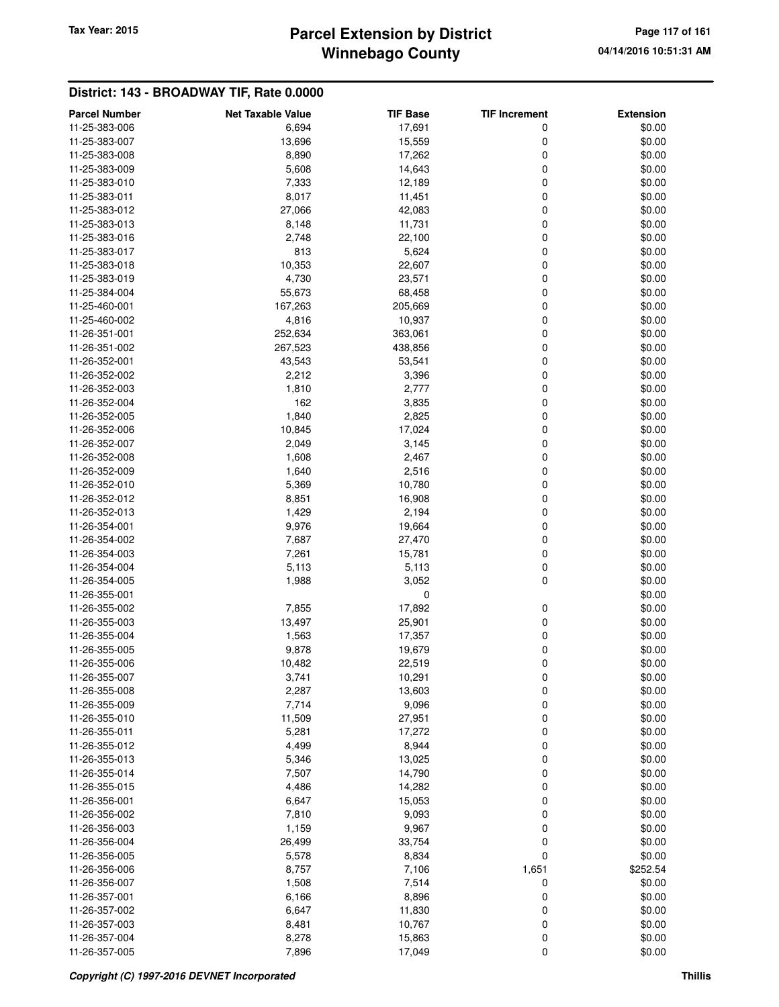## **Winnebago County Parcel Extension by District Tax Year: 2015 Page 117 of 161**

| <b>Parcel Number</b> | <b>Net Taxable Value</b> | <b>TIF Base</b> | <b>TIF Increment</b> | <b>Extension</b> |
|----------------------|--------------------------|-----------------|----------------------|------------------|
| 11-25-383-006        | 6,694                    | 17,691          | 0                    | \$0.00           |
| 11-25-383-007        | 13,696                   | 15,559          | 0                    | \$0.00           |
| 11-25-383-008        | 8,890                    | 17,262          | 0                    | \$0.00           |
| 11-25-383-009        | 5,608                    | 14,643          | 0                    | \$0.00           |
| 11-25-383-010        | 7,333                    | 12,189          | 0                    | \$0.00           |
| 11-25-383-011        | 8,017                    | 11,451          | 0                    | \$0.00           |
| 11-25-383-012        | 27,066                   | 42,083          | 0                    | \$0.00           |
| 11-25-383-013        | 8,148                    | 11,731          | 0                    | \$0.00           |
| 11-25-383-016        | 2,748                    | 22,100          | 0                    | \$0.00           |
| 11-25-383-017        | 813                      | 5,624           | $\mathbf 0$          | \$0.00           |
| 11-25-383-018        | 10,353                   | 22,607          | 0                    | \$0.00           |
| 11-25-383-019        | 4,730                    | 23,571          | 0                    | \$0.00           |
| 11-25-384-004        | 55,673                   | 68,458          | 0                    | \$0.00           |
| 11-25-460-001        | 167,263                  | 205,669         | 0                    | \$0.00           |
| 11-25-460-002        | 4,816                    | 10,937          | 0                    | \$0.00           |
| 11-26-351-001        | 252,634                  | 363,061         | 0                    | \$0.00           |
| 11-26-351-002        | 267,523                  | 438,856         | 0                    | \$0.00           |
| 11-26-352-001        | 43,543                   | 53,541          | 0                    | \$0.00           |
| 11-26-352-002        | 2,212                    | 3,396           | 0                    | \$0.00           |
| 11-26-352-003        | 1,810                    | 2,777           | 0                    | \$0.00           |
| 11-26-352-004        | 162                      |                 | 0                    | \$0.00           |
|                      |                          | 3,835           |                      |                  |
| 11-26-352-005        | 1,840                    | 2,825           | 0                    | \$0.00           |
| 11-26-352-006        | 10,845                   | 17,024          | 0                    | \$0.00           |
| 11-26-352-007        | 2,049                    | 3,145           | 0                    | \$0.00           |
| 11-26-352-008        | 1,608                    | 2,467           | 0                    | \$0.00           |
| 11-26-352-009        | 1,640                    | 2,516           | 0                    | \$0.00           |
| 11-26-352-010        | 5,369                    | 10,780          | 0                    | \$0.00           |
| 11-26-352-012        | 8,851                    | 16,908          | 0                    | \$0.00           |
| 11-26-352-013        | 1,429                    | 2,194           | 0                    | \$0.00           |
| 11-26-354-001        | 9,976                    | 19,664          | $\mathbf 0$          | \$0.00           |
| 11-26-354-002        | 7,687                    | 27,470          | 0                    | \$0.00           |
| 11-26-354-003        | 7,261                    | 15,781          | 0                    | \$0.00           |
| 11-26-354-004        | 5,113                    | 5,113           | 0                    | \$0.00           |
| 11-26-354-005        | 1,988                    | 3,052           | 0                    | \$0.00           |
| 11-26-355-001        |                          | 0               |                      | \$0.00           |
| 11-26-355-002        | 7,855                    | 17,892          | 0                    | \$0.00           |
| 11-26-355-003        | 13,497                   | 25,901          | 0                    | \$0.00           |
| 11-26-355-004        | 1,563                    | 17,357          | 0                    | \$0.00           |
| 11-26-355-005        | 9,878                    | 19,679          | 0                    | \$0.00           |
| 11-26-355-006        | 10,482                   | 22,519          | 0                    | \$0.00           |
| 11-26-355-007        | 3,741                    | 10,291          | 0                    | \$0.00           |
| 11-26-355-008        | 2,287                    | 13,603          | 0                    | \$0.00           |
| 11-26-355-009        | 7,714                    | 9,096           | 0                    | \$0.00           |
| 11-26-355-010        | 11,509                   | 27,951          | 0                    | \$0.00           |
| 11-26-355-011        | 5,281                    | 17,272          | 0                    | \$0.00           |
| 11-26-355-012        | 4,499                    | 8,944           | 0                    | \$0.00           |
| 11-26-355-013        | 5,346                    | 13,025          | 0                    | \$0.00           |
| 11-26-355-014        | 7,507                    | 14,790          | 0                    | \$0.00           |
| 11-26-355-015        | 4,486                    | 14,282          | 0                    | \$0.00           |
| 11-26-356-001        | 6,647                    | 15,053          | 0                    | \$0.00           |
| 11-26-356-002        | 7,810                    | 9,093           | 0                    | \$0.00           |
| 11-26-356-003        | 1,159                    | 9,967           | 0                    | \$0.00           |
| 11-26-356-004        | 26,499                   | 33,754          | 0                    | \$0.00           |
| 11-26-356-005        | 5,578                    | 8,834           | 0                    | \$0.00           |
| 11-26-356-006        | 8,757                    | 7,106           | 1,651                | \$252.54         |
| 11-26-356-007        | 1,508                    | 7,514           | 0                    | \$0.00           |
| 11-26-357-001        | 6,166                    | 8,896           | 0                    | \$0.00           |
| 11-26-357-002        | 6,647                    | 11,830          | 0                    | \$0.00           |
| 11-26-357-003        | 8,481                    | 10,767          | 0                    | \$0.00           |
| 11-26-357-004        | 8,278                    | 15,863          | 0                    | \$0.00           |
| 11-26-357-005        | 7,896                    | 17,049          | 0                    | \$0.00           |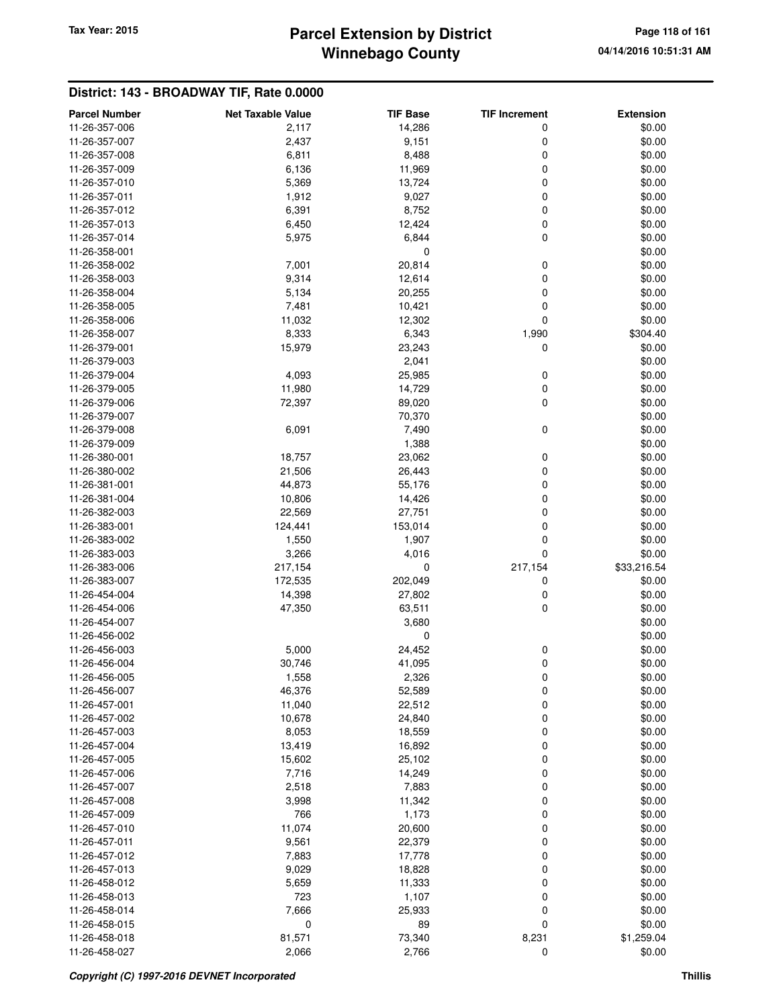# **Winnebago County Parcel Extension by District Tax Year: 2015 Page 118 of 161**

| <b>Parcel Number</b> | <b>Net Taxable Value</b> | <b>TIF Base</b> | <b>TIF Increment</b> | <b>Extension</b> |
|----------------------|--------------------------|-----------------|----------------------|------------------|
| 11-26-357-006        | 2,117                    | 14,286          | 0                    | \$0.00           |
| 11-26-357-007        | 2,437                    | 9,151           | 0                    | \$0.00           |
| 11-26-357-008        | 6,811                    | 8,488           | 0                    | \$0.00           |
| 11-26-357-009        | 6,136                    | 11,969          | 0                    | \$0.00           |
| 11-26-357-010        | 5,369                    | 13,724          | 0                    | \$0.00           |
| 11-26-357-011        | 1,912                    | 9,027           | 0                    | \$0.00           |
| 11-26-357-012        | 6,391                    | 8,752           | 0                    | \$0.00           |
| 11-26-357-013        | 6,450                    | 12,424          | 0                    | \$0.00           |
| 11-26-357-014        | 5,975                    | 6,844           | 0                    | \$0.00           |
| 11-26-358-001        |                          | 0               |                      | \$0.00           |
| 11-26-358-002        | 7,001                    | 20,814          | 0                    | \$0.00           |
| 11-26-358-003        | 9,314                    | 12,614          | 0                    | \$0.00           |
| 11-26-358-004        | 5,134                    | 20,255          | 0                    | \$0.00           |
| 11-26-358-005        | 7,481                    | 10,421          | $\mathbf 0$          | \$0.00           |
| 11-26-358-006        | 11,032                   | 12,302          | $\mathbf 0$          | \$0.00           |
| 11-26-358-007        | 8,333                    | 6,343           | 1,990                | \$304.40         |
| 11-26-379-001        | 15,979                   | 23,243          | 0                    | \$0.00           |
| 11-26-379-003        |                          | 2,041           |                      | \$0.00           |
| 11-26-379-004        | 4,093                    | 25,985          | 0                    | \$0.00           |
| 11-26-379-005        | 11,980                   | 14,729          | 0                    | \$0.00           |
| 11-26-379-006        | 72,397                   | 89,020          | 0                    | \$0.00           |
| 11-26-379-007        |                          | 70,370          |                      | \$0.00           |
| 11-26-379-008        | 6,091                    | 7,490           | 0                    | \$0.00           |
| 11-26-379-009        |                          | 1,388           |                      | \$0.00           |
| 11-26-380-001        | 18,757                   | 23,062          | 0                    | \$0.00           |
| 11-26-380-002        | 21,506                   | 26,443          | 0                    | \$0.00           |
| 11-26-381-001        | 44,873                   | 55,176          | 0                    | \$0.00           |
| 11-26-381-004        | 10,806                   | 14,426          | 0                    | \$0.00           |
| 11-26-382-003        | 22,569                   | 27,751          | 0                    | \$0.00           |
| 11-26-383-001        | 124,441                  | 153,014         | $\mathbf 0$          | \$0.00           |
| 11-26-383-002        | 1,550                    | 1,907           | $\mathbf 0$          | \$0.00           |
| 11-26-383-003        | 3,266                    | 4,016           | $\mathbf 0$          | \$0.00           |
| 11-26-383-006        | 217,154                  | 0               | 217,154              | \$33,216.54      |
| 11-26-383-007        | 172,535                  | 202,049         | 0                    | \$0.00           |
| 11-26-454-004        | 14,398                   | 27,802          | 0                    | \$0.00           |
| 11-26-454-006        | 47,350                   | 63,511          | 0                    | \$0.00           |
| 11-26-454-007        |                          | 3,680           |                      | \$0.00           |
| 11-26-456-002        |                          | 0               |                      | \$0.00           |
| 11-26-456-003        | 5,000                    | 24,452          | 0                    | \$0.00           |
| 11-26-456-004        | 30,746                   | 41,095          | $\mathbf 0$          | \$0.00           |
| 11-26-456-005        | 1,558                    | 2,326           | 0                    | \$0.00           |
| 11-26-456-007        | 46,376                   | 52,589          | 0                    | \$0.00           |
| 11-26-457-001        | 11,040                   | 22,512          | 0                    | \$0.00           |
| 11-26-457-002        | 10,678                   | 24,840          | 0                    | \$0.00           |
| 11-26-457-003        | 8,053                    | 18,559          | 0                    | \$0.00           |
| 11-26-457-004        | 13,419                   | 16,892          | 0                    | \$0.00           |
| 11-26-457-005        | 15,602                   | 25,102          | 0                    | \$0.00           |
| 11-26-457-006        | 7,716                    | 14,249          | 0                    | \$0.00           |
| 11-26-457-007        | 2,518                    | 7,883           | 0                    | \$0.00           |
| 11-26-457-008        | 3,998                    | 11,342          | 0                    | \$0.00           |
| 11-26-457-009        | 766                      | 1,173           | 0                    | \$0.00           |
| 11-26-457-010        | 11,074                   | 20,600          | 0                    | \$0.00           |
| 11-26-457-011        | 9,561                    | 22,379          | 0                    | \$0.00           |
| 11-26-457-012        | 7,883                    | 17,778          | 0                    | \$0.00           |
| 11-26-457-013        | 9,029                    | 18,828          | 0                    | \$0.00           |
| 11-26-458-012        | 5,659                    | 11,333          | 0                    | \$0.00           |
| 11-26-458-013        | 723                      | 1,107           | $\boldsymbol{0}$     | \$0.00           |
| 11-26-458-014        | 7,666                    | 25,933          | $\boldsymbol{0}$     | \$0.00           |
| 11-26-458-015        | $\mathbf 0$              | 89              | $\mathbf 0$          | \$0.00           |
| 11-26-458-018        | 81,571                   | 73,340          | 8,231                | \$1,259.04       |
| 11-26-458-027        | 2,066                    | 2,766           | 0                    | \$0.00           |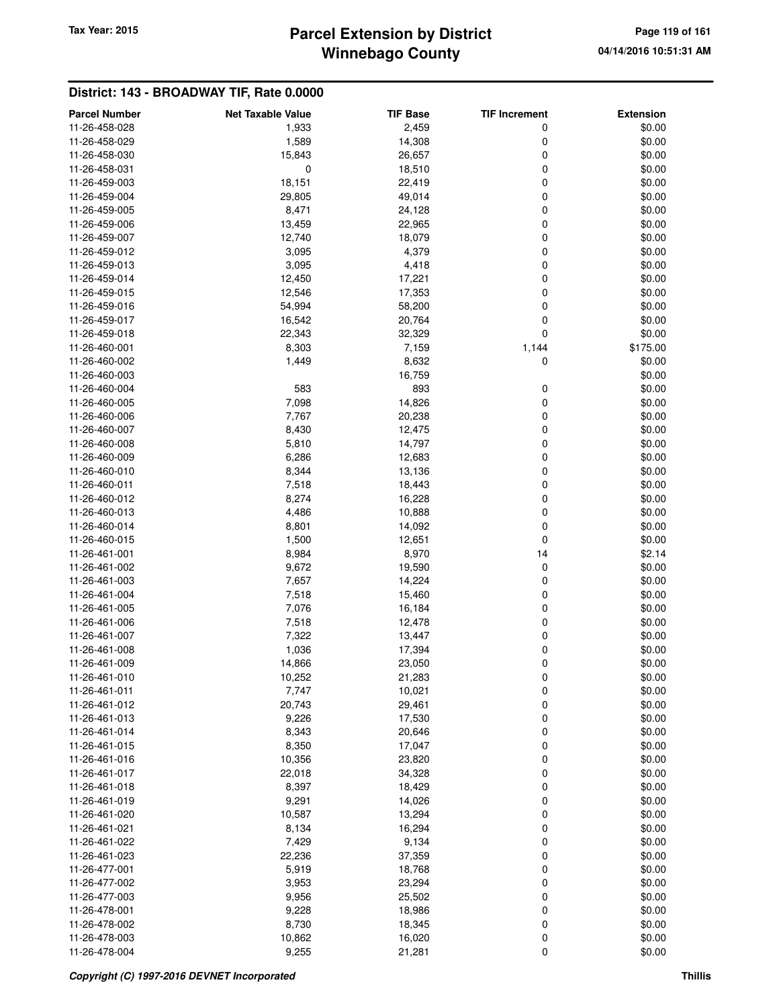# **Winnebago County Parcel Extension by District Tax Year: 2015 Page 119 of 161**

| <b>Parcel Number</b> | <b>Net Taxable Value</b> | <b>TIF Base</b> | <b>TIF Increment</b> | <b>Extension</b> |
|----------------------|--------------------------|-----------------|----------------------|------------------|
| 11-26-458-028        | 1,933                    | 2,459           | 0                    | \$0.00           |
| 11-26-458-029        | 1,589                    | 14,308          | 0                    | \$0.00           |
| 11-26-458-030        | 15,843                   | 26,657          | 0                    | \$0.00           |
| 11-26-458-031        | 0                        | 18,510          | 0                    | \$0.00           |
| 11-26-459-003        | 18,151                   | 22,419          | 0                    | \$0.00           |
| 11-26-459-004        | 29,805                   | 49,014          | 0                    | \$0.00           |
| 11-26-459-005        | 8,471                    | 24,128          | 0                    | \$0.00           |
| 11-26-459-006        | 13,459                   | 22,965          | 0                    | \$0.00           |
| 11-26-459-007        | 12,740                   | 18,079          | 0                    | \$0.00           |
| 11-26-459-012        | 3,095                    | 4,379           | 0                    | \$0.00           |
| 11-26-459-013        | 3,095                    | 4,418           | 0                    | \$0.00           |
| 11-26-459-014        | 12,450                   | 17,221          | 0                    | \$0.00           |
| 11-26-459-015        | 12,546                   | 17,353          | 0                    | \$0.00           |
| 11-26-459-016        | 54,994                   | 58,200          | 0                    | \$0.00           |
| 11-26-459-017        | 16,542                   | 20,764          | 0                    | \$0.00           |
|                      |                          |                 | 0                    |                  |
| 11-26-459-018        | 22,343                   | 32,329          |                      | \$0.00           |
| 11-26-460-001        | 8,303                    | 7,159           | 1,144                | \$175.00         |
| 11-26-460-002        | 1,449                    | 8,632           | 0                    | \$0.00           |
| 11-26-460-003        |                          | 16,759          |                      | \$0.00           |
| 11-26-460-004        | 583                      | 893             | 0                    | \$0.00           |
| 11-26-460-005        | 7,098                    | 14,826          | 0                    | \$0.00           |
| 11-26-460-006        | 7,767                    | 20,238          | 0                    | \$0.00           |
| 11-26-460-007        | 8,430                    | 12,475          | 0                    | \$0.00           |
| 11-26-460-008        | 5,810                    | 14,797          | 0                    | \$0.00           |
| 11-26-460-009        | 6,286                    | 12,683          | 0                    | \$0.00           |
| 11-26-460-010        | 8,344                    | 13,136          | 0                    | \$0.00           |
| 11-26-460-011        | 7,518                    | 18,443          | 0                    | \$0.00           |
| 11-26-460-012        | 8,274                    | 16,228          | 0                    | \$0.00           |
| 11-26-460-013        | 4,486                    | 10,888          | 0                    | \$0.00           |
| 11-26-460-014        | 8,801                    | 14,092          | 0                    | \$0.00           |
| 11-26-460-015        | 1,500                    | 12,651          | 0                    | \$0.00           |
| 11-26-461-001        | 8,984                    | 8,970           | 14                   | \$2.14           |
| 11-26-461-002        | 9,672                    | 19,590          | 0                    | \$0.00           |
| 11-26-461-003        | 7,657                    | 14,224          | 0                    | \$0.00           |
| 11-26-461-004        | 7,518                    | 15,460          | 0                    | \$0.00           |
| 11-26-461-005        | 7,076                    | 16,184          | 0                    | \$0.00           |
| 11-26-461-006        | 7,518                    | 12,478          | 0                    | \$0.00           |
| 11-26-461-007        | 7,322                    | 13,447          | 0                    | \$0.00           |
| 11-26-461-008        | 1,036                    | 17,394          | 0                    | \$0.00           |
| 11-26-461-009        | 14,866                   | 23,050          | 0                    | \$0.00           |
| 11-26-461-010        | 10,252                   | 21,283          | 0                    | \$0.00           |
| 11-26-461-011        | 7,747                    | 10,021          | 0                    | \$0.00           |
| 11-26-461-012        | 20,743                   | 29,461          | 0                    | \$0.00           |
| 11-26-461-013        | 9,226                    | 17,530          | 0                    | \$0.00           |
| 11-26-461-014        | 8,343                    | 20,646          | 0                    | \$0.00           |
| 11-26-461-015        | 8,350                    | 17,047          | 0                    | \$0.00           |
| 11-26-461-016        | 10,356                   | 23,820          | 0                    | \$0.00           |
| 11-26-461-017        | 22,018                   | 34,328          | 0                    | \$0.00           |
| 11-26-461-018        | 8,397                    | 18,429          | 0                    | \$0.00           |
| 11-26-461-019        | 9,291                    | 14,026          | 0                    | \$0.00           |
| 11-26-461-020        | 10,587                   | 13,294          | 0                    | \$0.00           |
| 11-26-461-021        | 8,134                    | 16,294          | 0                    | \$0.00           |
| 11-26-461-022        | 7,429                    | 9,134           | 0                    | \$0.00           |
| 11-26-461-023        | 22,236                   | 37,359          | 0                    | \$0.00           |
| 11-26-477-001        | 5,919                    | 18,768          | 0                    | \$0.00           |
| 11-26-477-002        | 3,953                    | 23,294          | 0                    | \$0.00           |
| 11-26-477-003        | 9,956                    | 25,502          | 0                    | \$0.00           |
| 11-26-478-001        | 9,228                    | 18,986          | 0                    | \$0.00           |
| 11-26-478-002        | 8,730                    | 18,345          | 0                    | \$0.00           |
| 11-26-478-003        | 10,862                   | 16,020          | 0                    | \$0.00           |
| 11-26-478-004        | 9,255                    | 21,281          | 0                    | \$0.00           |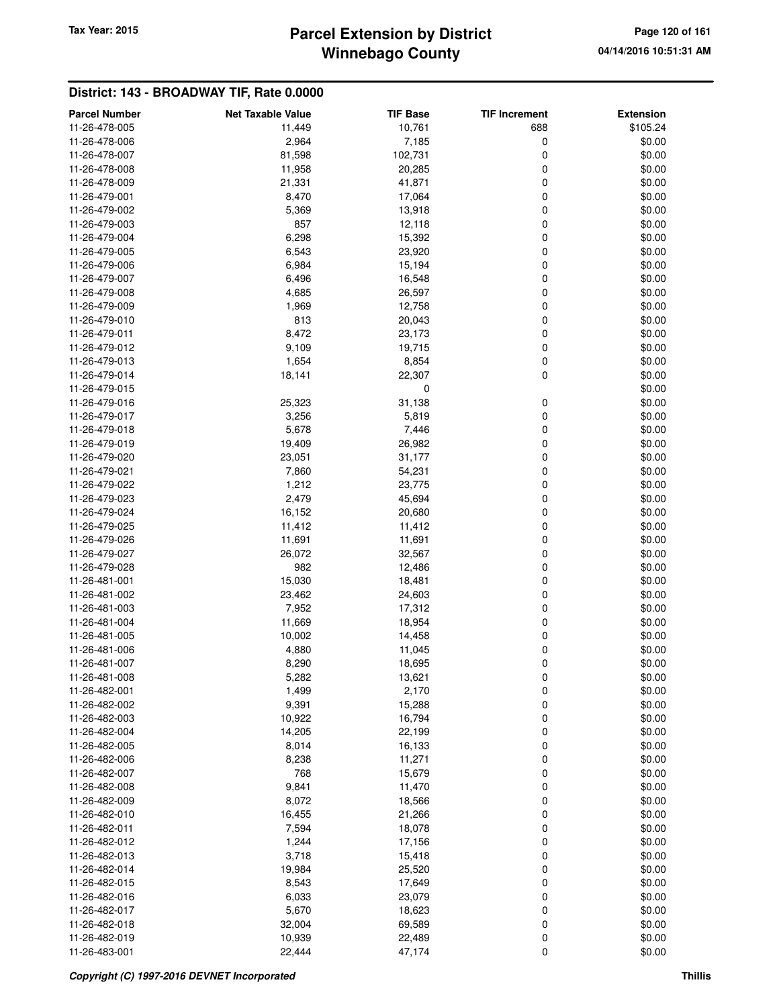# **Winnebago County** Tax Year: 2015 **Parcel Extension by District Page 120 of 161**

| <b>Parcel Number</b> | <b>Net Taxable Value</b> | <b>TIF Base</b> | <b>TIF Increment</b> | <b>Extension</b> |
|----------------------|--------------------------|-----------------|----------------------|------------------|
| 11-26-478-005        | 11,449                   | 10,761          | 688                  | \$105.24         |
| 11-26-478-006        | 2,964                    | 7,185           | 0                    | \$0.00           |
| 11-26-478-007        | 81,598                   | 102,731         | 0                    | \$0.00           |
| 11-26-478-008        | 11,958                   | 20,285          | 0                    | \$0.00           |
| 11-26-478-009        | 21,331                   | 41,871          | 0                    | \$0.00           |
| 11-26-479-001        | 8,470                    | 17,064          | 0                    | \$0.00           |
|                      |                          |                 |                      | \$0.00           |
| 11-26-479-002        | 5,369<br>857             | 13,918          | 0                    |                  |
| 11-26-479-003        |                          | 12,118          | 0                    | \$0.00           |
| 11-26-479-004        | 6,298                    | 15,392          | 0                    | \$0.00           |
| 11-26-479-005        | 6,543                    | 23,920          | 0                    | \$0.00           |
| 11-26-479-006        | 6,984                    | 15,194          | 0                    | \$0.00           |
| 11-26-479-007        | 6,496                    | 16,548          | 0                    | \$0.00           |
| 11-26-479-008        | 4,685                    | 26,597          | 0                    | \$0.00           |
| 11-26-479-009        | 1,969                    | 12,758          | 0                    | \$0.00           |
| 11-26-479-010        | 813                      | 20,043          | 0                    | \$0.00           |
| 11-26-479-011        | 8,472                    | 23,173          | 0                    | \$0.00           |
| 11-26-479-012        | 9,109                    | 19,715          | 0                    | \$0.00           |
| 11-26-479-013        | 1,654                    | 8,854           | 0                    | \$0.00           |
| 11-26-479-014        | 18,141                   | 22,307          | 0                    | \$0.00           |
| 11-26-479-015        |                          | 0               |                      | \$0.00           |
| 11-26-479-016        | 25,323                   | 31,138          | 0                    | \$0.00           |
| 11-26-479-017        | 3,256                    | 5,819           | 0                    | \$0.00           |
| 11-26-479-018        | 5,678                    | 7,446           | 0                    | \$0.00           |
| 11-26-479-019        | 19,409                   | 26,982          | 0                    | \$0.00           |
| 11-26-479-020        | 23,051                   | 31,177          | 0                    | \$0.00           |
| 11-26-479-021        | 7,860                    | 54,231          | 0                    | \$0.00           |
| 11-26-479-022        | 1,212                    | 23,775          | 0                    | \$0.00           |
| 11-26-479-023        | 2,479                    | 45,694          | 0                    | \$0.00           |
| 11-26-479-024        | 16,152                   | 20,680          | 0                    | \$0.00           |
| 11-26-479-025        | 11,412                   | 11,412          | 0                    | \$0.00           |
| 11-26-479-026        | 11,691                   | 11,691          | 0                    | \$0.00           |
| 11-26-479-027        | 26,072                   | 32,567          | 0                    | \$0.00           |
| 11-26-479-028        | 982                      | 12,486          | 0                    | \$0.00           |
| 11-26-481-001        | 15,030                   | 18,481          | 0                    | \$0.00           |
| 11-26-481-002        | 23,462                   | 24,603          | 0                    | \$0.00           |
| 11-26-481-003        | 7,952                    | 17,312          | 0                    | \$0.00           |
| 11-26-481-004        | 11,669                   | 18,954          | 0                    | \$0.00           |
| 11-26-481-005        | 10,002                   | 14,458          | 0                    | \$0.00           |
| 11-26-481-006        | 4,880                    | 11,045          | 0                    | \$0.00           |
| 11-26-481-007        | 8,290                    | 18,695          | 0                    | \$0.00           |
| 11-26-481-008        | 5,282                    | 13,621          | O                    | \$0.00           |
| 11-26-482-001        | 1,499                    | 2,170           | 0                    | \$0.00           |
| 11-26-482-002        | 9,391                    | 15,288          | 0                    | \$0.00           |
| 11-26-482-003        | 10,922                   | 16,794          | 0                    | \$0.00           |
| 11-26-482-004        | 14,205                   | 22,199          | 0                    | \$0.00           |
| 11-26-482-005        | 8,014                    | 16,133          | 0                    | \$0.00           |
| 11-26-482-006        | 8,238                    | 11,271          |                      | \$0.00           |
|                      | 768                      | 15,679          | 0                    | \$0.00           |
| 11-26-482-007        |                          |                 | 0                    |                  |
| 11-26-482-008        | 9,841                    | 11,470          | 0                    | \$0.00           |
| 11-26-482-009        | 8,072                    | 18,566          | 0                    | \$0.00           |
| 11-26-482-010        | 16,455                   | 21,266          | 0                    | \$0.00           |
| 11-26-482-011        | 7,594                    | 18,078          | 0                    | \$0.00           |
| 11-26-482-012        | 1,244                    | 17,156          | 0                    | \$0.00           |
| 11-26-482-013        | 3,718                    | 15,418          | 0                    | \$0.00           |
| 11-26-482-014        | 19,984                   | 25,520          | 0                    | \$0.00           |
| 11-26-482-015        | 8,543                    | 17,649          | 0                    | \$0.00           |
| 11-26-482-016        | 6,033                    | 23,079          | 0                    | \$0.00           |
| 11-26-482-017        | 5,670                    | 18,623          | 0                    | \$0.00           |
| 11-26-482-018        | 32,004                   | 69,589          | 0                    | \$0.00           |
| 11-26-482-019        | 10,939                   | 22,489          | 0                    | \$0.00           |
| 11-26-483-001        | 22,444                   | 47,174          | 0                    | \$0.00           |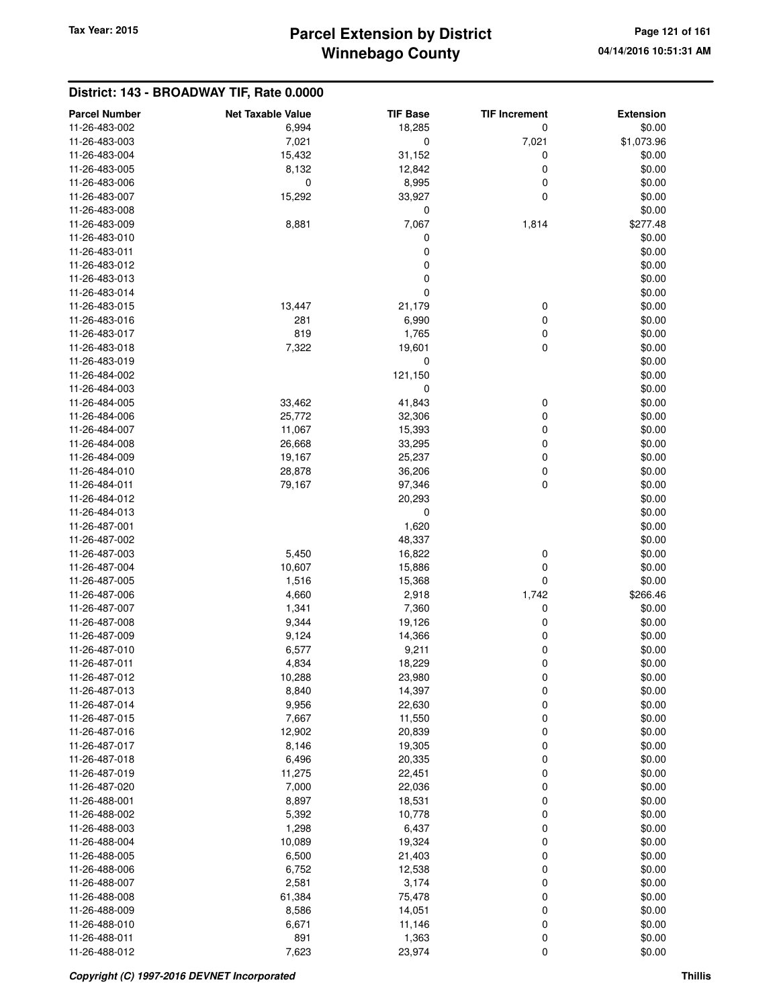| <b>Parcel Number</b>           | <b>Net Taxable Value</b> | <b>TIF Base</b>  | <b>TIF Increment</b> | <b>Extension</b> |
|--------------------------------|--------------------------|------------------|----------------------|------------------|
| 11-26-483-002                  | 6,994                    | 18,285           | 0                    | \$0.00           |
| 11-26-483-003                  | 7,021                    | $\mathbf 0$      | 7,021                | \$1,073.96       |
| 11-26-483-004                  | 15,432                   | 31,152           | 0                    | \$0.00           |
| 11-26-483-005                  | 8,132                    | 12,842           | 0                    | \$0.00           |
| 11-26-483-006                  | $\mathbf 0$              | 8,995            | 0                    | \$0.00           |
| 11-26-483-007                  | 15,292                   | 33,927           | 0                    | \$0.00           |
| 11-26-483-008                  |                          | 0                |                      | \$0.00           |
| 11-26-483-009                  | 8,881                    | 7,067            | 1,814                | \$277.48         |
| 11-26-483-010                  |                          | 0                |                      | \$0.00           |
| 11-26-483-011                  |                          | $\mathbf 0$      |                      | \$0.00           |
| 11-26-483-012                  |                          | 0                |                      | \$0.00           |
| 11-26-483-013                  |                          | $\mathbf 0$      |                      | \$0.00           |
| 11-26-483-014                  |                          | 0                |                      | \$0.00           |
| 11-26-483-015                  | 13,447                   | 21,179           | 0                    | \$0.00           |
| 11-26-483-016                  | 281                      | 6,990            | 0                    | \$0.00           |
| 11-26-483-017                  | 819                      | 1,765            | 0                    | \$0.00           |
| 11-26-483-018                  | 7,322                    | 19,601           | 0                    | \$0.00           |
| 11-26-483-019                  |                          | 0                |                      | \$0.00           |
| 11-26-484-002                  |                          | 121,150          |                      | \$0.00           |
| 11-26-484-003                  |                          | 0                |                      | \$0.00           |
| 11-26-484-005                  | 33,462                   | 41,843           | 0                    | \$0.00           |
| 11-26-484-006                  | 25,772                   | 32,306           | 0                    | \$0.00           |
| 11-26-484-007                  | 11,067                   | 15,393           | 0                    | \$0.00           |
| 11-26-484-008<br>11-26-484-009 | 26,668                   | 33,295           | 0                    | \$0.00           |
| 11-26-484-010                  | 19,167<br>28,878         | 25,237           | 0                    | \$0.00           |
| 11-26-484-011                  | 79,167                   | 36,206<br>97,346 | 0<br>0               | \$0.00<br>\$0.00 |
| 11-26-484-012                  |                          | 20,293           |                      | \$0.00           |
| 11-26-484-013                  |                          | 0                |                      | \$0.00           |
| 11-26-487-001                  |                          | 1,620            |                      | \$0.00           |
| 11-26-487-002                  |                          | 48,337           |                      | \$0.00           |
| 11-26-487-003                  | 5,450                    | 16,822           | 0                    | \$0.00           |
| 11-26-487-004                  | 10,607                   | 15,886           | 0                    | \$0.00           |
| 11-26-487-005                  | 1,516                    | 15,368           | 0                    | \$0.00           |
| 11-26-487-006                  | 4,660                    | 2,918            | 1,742                | \$266.46         |
| 11-26-487-007                  | 1,341                    | 7,360            | 0                    | \$0.00           |
| 11-26-487-008                  | 9,344                    | 19,126           | 0                    | \$0.00           |
| 11-26-487-009                  | 9,124                    | 14,366           | 0                    | \$0.00           |
| 11-26-487-010                  | 6,577                    | 9,211            | 0                    | \$0.00           |
| 11-26-487-011                  | 4,834                    | 18,229           | 0                    | \$0.00           |
| 11-26-487-012                  | 10,288                   | 23,980           | 0                    | \$0.00           |
| 11-26-487-013                  | 8,840                    | 14,397           | 0                    | \$0.00           |
| 11-26-487-014                  | 9,956                    | 22,630           | 0                    | \$0.00           |
| 11-26-487-015                  | 7,667                    | 11,550           | 0                    | \$0.00           |
| 11-26-487-016                  | 12,902                   | 20,839           | 0                    | \$0.00           |
| 11-26-487-017                  | 8,146                    | 19,305           | 0                    | \$0.00           |
| 11-26-487-018                  | 6,496                    | 20,335           | 0                    | \$0.00           |
| 11-26-487-019                  | 11,275                   | 22,451           | 0                    | \$0.00           |
| 11-26-487-020                  | 7,000                    | 22,036           | 0                    | \$0.00           |
| 11-26-488-001<br>11-26-488-002 | 8,897                    | 18,531           | 0                    | \$0.00           |
| 11-26-488-003                  | 5,392<br>1,298           | 10,778<br>6,437  | 0<br>0               | \$0.00<br>\$0.00 |
| 11-26-488-004                  | 10,089                   | 19,324           | 0                    | \$0.00           |
| 11-26-488-005                  | 6,500                    | 21,403           | 0                    | \$0.00           |
| 11-26-488-006                  | 6,752                    | 12,538           | 0                    | \$0.00           |
| 11-26-488-007                  | 2,581                    | 3,174            | 0                    | \$0.00           |
| 11-26-488-008                  | 61,384                   | 75,478           | 0                    | \$0.00           |
| 11-26-488-009                  | 8,586                    | 14,051           | 0                    | \$0.00           |
| 11-26-488-010                  | 6,671                    | 11,146           | 0                    | \$0.00           |
| 11-26-488-011                  | 891                      | 1,363            | 0                    | \$0.00           |
| 11-26-488-012                  | 7,623                    | 23,974           | 0                    | \$0.00           |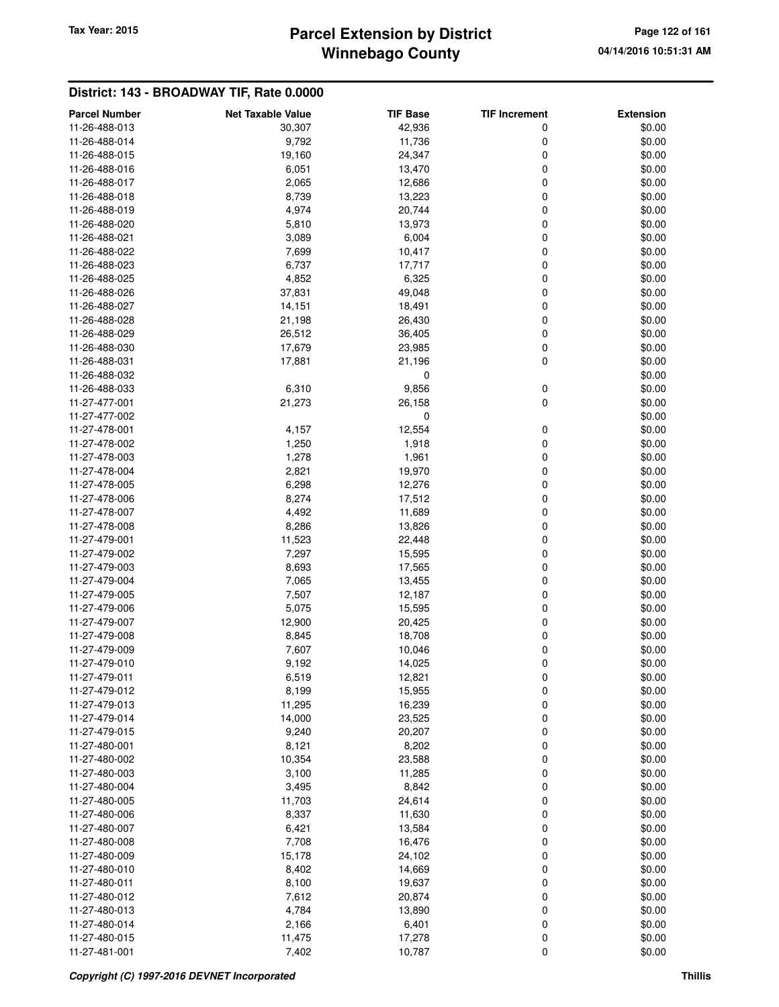# **Winnebago County Parcel Extension by District Tax Year: 2015 Page 122 of 161**

| <b>Parcel Number</b> | <b>Net Taxable Value</b> | <b>TIF Base</b> | <b>TIF Increment</b> | <b>Extension</b> |
|----------------------|--------------------------|-----------------|----------------------|------------------|
| 11-26-488-013        | 30,307                   | 42,936          | 0                    | \$0.00           |
| 11-26-488-014        | 9,792                    | 11,736          | 0                    | \$0.00           |
| 11-26-488-015        | 19,160                   | 24,347          | 0                    | \$0.00           |
| 11-26-488-016        | 6,051                    | 13,470          | 0                    | \$0.00           |
| 11-26-488-017        | 2,065                    | 12,686          | 0                    | \$0.00           |
| 11-26-488-018        | 8,739                    | 13,223          | 0                    | \$0.00           |
| 11-26-488-019        | 4,974                    | 20,744          | 0                    | \$0.00           |
| 11-26-488-020        | 5,810                    | 13,973          | 0                    | \$0.00           |
| 11-26-488-021        | 3,089                    | 6,004           | 0                    | \$0.00           |
| 11-26-488-022        | 7,699                    | 10,417          | 0                    | \$0.00           |
| 11-26-488-023        | 6,737                    | 17,717          | 0                    | \$0.00           |
| 11-26-488-025        | 4,852                    | 6,325           | $\mathbf 0$          | \$0.00           |
| 11-26-488-026        | 37,831                   | 49,048          | $\mathbf 0$          | \$0.00           |
| 11-26-488-027        | 14,151                   | 18,491          | 0                    | \$0.00           |
| 11-26-488-028        | 21,198                   | 26,430          | 0                    | \$0.00           |
| 11-26-488-029        | 26,512                   | 36,405          | 0                    | \$0.00           |
| 11-26-488-030        | 17,679                   | 23,985          | 0                    | \$0.00           |
| 11-26-488-031        | 17,881                   | 21,196          | $\mathbf 0$          | \$0.00           |
| 11-26-488-032        |                          | 0               |                      | \$0.00           |
| 11-26-488-033        | 6,310                    | 9,856           | 0                    | \$0.00           |
| 11-27-477-001        | 21,273                   | 26,158          | 0                    | \$0.00           |
| 11-27-477-002        |                          | 0               |                      | \$0.00           |
|                      |                          |                 |                      |                  |
| 11-27-478-001        | 4,157                    | 12,554          | 0                    | \$0.00           |
| 11-27-478-002        | 1,250                    | 1,918           | 0                    | \$0.00           |
| 11-27-478-003        | 1,278                    | 1,961           | 0                    | \$0.00           |
| 11-27-478-004        | 2,821                    | 19,970          | 0                    | \$0.00           |
| 11-27-478-005        | 6,298                    | 12,276          | $\mathbf 0$          | \$0.00           |
| 11-27-478-006        | 8,274                    | 17,512          | $\mathbf 0$          | \$0.00           |
| 11-27-478-007        | 4,492                    | 11,689          | $\mathbf 0$          | \$0.00           |
| 11-27-478-008        | 8,286                    | 13,826          | 0                    | \$0.00           |
| 11-27-479-001        | 11,523                   | 22,448          | 0                    | \$0.00           |
| 11-27-479-002        | 7,297                    | 15,595          | $\mathbf 0$          | \$0.00           |
| 11-27-479-003        | 8,693                    | 17,565          | 0                    | \$0.00           |
| 11-27-479-004        | 7,065                    | 13,455          | 0                    | \$0.00           |
| 11-27-479-005        | 7,507                    | 12,187          | 0                    | \$0.00           |
| 11-27-479-006        | 5,075                    | 15,595          | 0                    | \$0.00           |
| 11-27-479-007        | 12,900                   | 20,425          | 0                    | \$0.00           |
| 11-27-479-008        | 8,845                    | 18,708          | 0                    | \$0.00           |
| 11-27-479-009        | 7,607                    | 10,046          | 0                    | \$0.00           |
| 11-27-479-010        | 9,192                    | 14,025          | 0                    | \$0.00           |
| 11-27-479-011        | 6,519                    | 12,821          | 0                    | \$0.00           |
| 11-27-479-012        | 8,199                    | 15,955          | 0                    | \$0.00           |
| 11-27-479-013        | 11,295                   | 16,239          | $\pmb{0}$            | \$0.00           |
| 11-27-479-014        | 14,000                   | 23,525          | $\pmb{0}$            | \$0.00           |
| 11-27-479-015        | 9,240                    | 20,207          | 0                    | \$0.00           |
| 11-27-480-001        | 8,121                    | 8,202           | 0                    | \$0.00           |
| 11-27-480-002        | 10,354                   | 23,588          | 0                    | \$0.00           |
| 11-27-480-003        | 3,100                    | 11,285          | 0                    | \$0.00           |
| 11-27-480-004        | 3,495                    | 8,842           | 0                    | \$0.00           |
| 11-27-480-005        | 11,703                   | 24,614          | 0                    | \$0.00           |
| 11-27-480-006        | 8,337                    | 11,630          | 0                    | \$0.00           |
| 11-27-480-007        | 6,421                    | 13,584          | 0                    | \$0.00           |
| 11-27-480-008        | 7,708                    | 16,476          | 0                    | \$0.00           |
| 11-27-480-009        | 15,178                   | 24,102          | 0                    | \$0.00           |
| 11-27-480-010        | 8,402                    | 14,669          | $\pmb{0}$            | \$0.00           |
| 11-27-480-011        | 8,100                    | 19,637          | 0                    | \$0.00           |
| 11-27-480-012        | 7,612                    | 20,874          | 0                    | \$0.00           |
| 11-27-480-013        | 4,784                    | 13,890          | 0                    | \$0.00           |
| 11-27-480-014        | 2,166                    | 6,401           | 0                    | \$0.00           |
| 11-27-480-015        | 11,475                   | 17,278          | $\pmb{0}$            | \$0.00           |
| 11-27-481-001        | 7,402                    | 10,787          | $\mathbf 0$          | \$0.00           |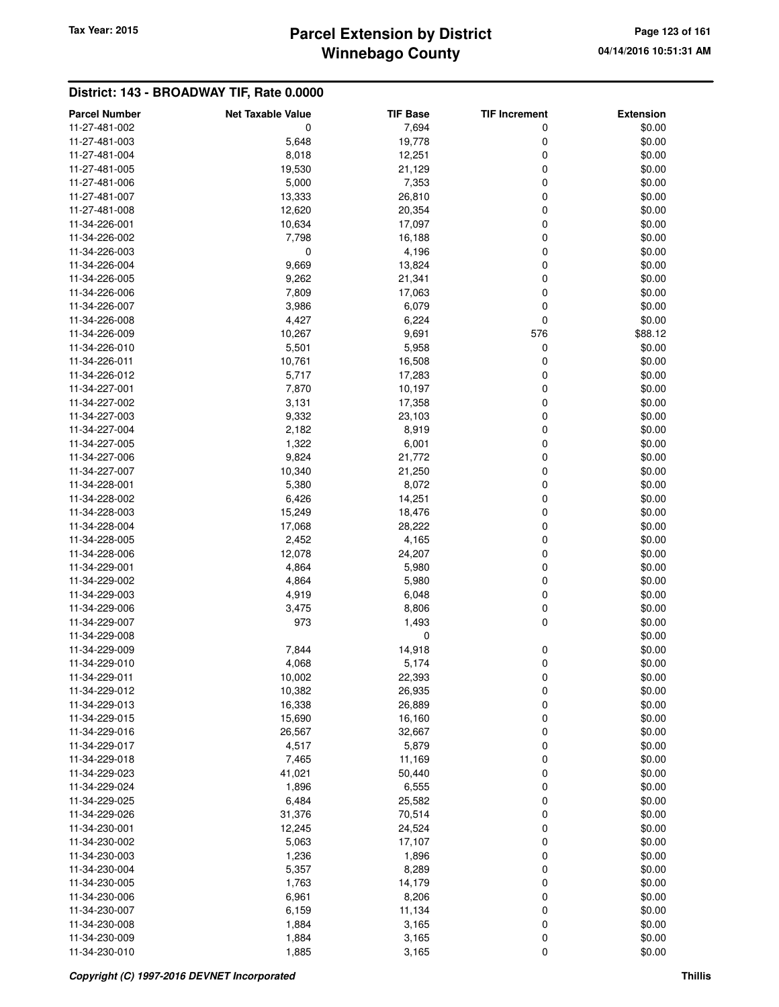# **Winnebago County Parcel Extension by District Tax Year: 2015 Page 123 of 161**

| <b>Parcel Number</b> | <b>Net Taxable Value</b> | <b>TIF Base</b> | <b>TIF Increment</b> | <b>Extension</b> |
|----------------------|--------------------------|-----------------|----------------------|------------------|
| 11-27-481-002        | 0                        | 7,694           | 0                    | \$0.00           |
| 11-27-481-003        | 5,648                    | 19,778          | 0                    | \$0.00           |
| 11-27-481-004        | 8,018                    | 12,251          | 0                    | \$0.00           |
| 11-27-481-005        | 19,530                   | 21,129          | 0                    | \$0.00           |
| 11-27-481-006        | 5,000                    | 7,353           | 0                    | \$0.00           |
| 11-27-481-007        | 13,333                   | 26,810          | 0                    | \$0.00           |
| 11-27-481-008        | 12,620                   | 20,354          | 0                    | \$0.00           |
|                      |                          |                 |                      |                  |
| 11-34-226-001        | 10,634                   | 17,097          | 0                    | \$0.00           |
| 11-34-226-002        | 7,798                    | 16,188          | 0                    | \$0.00           |
| 11-34-226-003        | 0                        | 4,196           | 0                    | \$0.00           |
| 11-34-226-004        | 9,669                    | 13,824          | 0                    | \$0.00           |
| 11-34-226-005        | 9,262                    | 21,341          | 0                    | \$0.00           |
| 11-34-226-006        | 7,809                    | 17,063          | 0                    | \$0.00           |
| 11-34-226-007        | 3,986                    | 6,079           | 0                    | \$0.00           |
| 11-34-226-008        | 4,427                    | 6,224           | 0                    | \$0.00           |
| 11-34-226-009        | 10,267                   | 9,691           | 576                  | \$88.12          |
| 11-34-226-010        | 5,501                    | 5,958           | 0                    | \$0.00           |
| 11-34-226-011        | 10,761                   | 16,508          | 0                    | \$0.00           |
| 11-34-226-012        | 5,717                    | 17,283          | 0                    | \$0.00           |
| 11-34-227-001        | 7,870                    | 10,197          | 0                    | \$0.00           |
| 11-34-227-002        | 3,131                    | 17,358          | 0                    | \$0.00           |
| 11-34-227-003        | 9,332                    | 23,103          | 0                    | \$0.00           |
| 11-34-227-004        | 2,182                    | 8,919           | 0                    | \$0.00           |
| 11-34-227-005        | 1,322                    | 6,001           | 0                    | \$0.00           |
| 11-34-227-006        | 9,824                    | 21,772          | 0                    | \$0.00           |
| 11-34-227-007        | 10,340                   | 21,250          | 0                    | \$0.00           |
| 11-34-228-001        | 5,380                    | 8,072           | 0                    | \$0.00           |
| 11-34-228-002        | 6,426                    | 14,251          | 0                    | \$0.00           |
| 11-34-228-003        | 15,249                   | 18,476          | 0                    | \$0.00           |
| 11-34-228-004        | 17,068                   | 28,222          | 0                    | \$0.00           |
| 11-34-228-005        | 2,452                    | 4,165           | 0                    | \$0.00           |
| 11-34-228-006        | 12,078                   | 24,207          | 0                    | \$0.00           |
| 11-34-229-001        | 4,864                    | 5,980           | 0                    | \$0.00           |
| 11-34-229-002        | 4,864                    | 5,980           | 0                    | \$0.00           |
| 11-34-229-003        | 4,919                    | 6,048           | 0                    | \$0.00           |
| 11-34-229-006        | 3,475                    | 8,806           | 0                    | \$0.00           |
| 11-34-229-007        | 973                      | 1,493           | 0                    | \$0.00           |
| 11-34-229-008        |                          | 0               |                      | \$0.00           |
| 11-34-229-009        | 7,844                    | 14,918          | 0                    | \$0.00           |
| 11-34-229-010        | 4,068                    | 5,174           | 0                    | \$0.00           |
| 11-34-229-011        | 10,002                   | 22,393          |                      | \$0.00           |
| 11-34-229-012        | 10,382                   | 26,935          | 0<br>0               | \$0.00           |
| 11-34-229-013        | 16,338                   | 26,889          | 0                    | \$0.00           |
|                      |                          |                 |                      |                  |
| 11-34-229-015        | 15,690                   | 16,160          | 0                    | \$0.00           |
| 11-34-229-016        | 26,567                   | 32,667          | 0                    | \$0.00           |
| 11-34-229-017        | 4,517                    | 5,879           | 0                    | \$0.00           |
| 11-34-229-018        | 7,465                    | 11,169          | 0                    | \$0.00           |
| 11-34-229-023        | 41,021                   | 50,440          | 0                    | \$0.00           |
| 11-34-229-024        | 1,896                    | 6,555           | 0                    | \$0.00           |
| 11-34-229-025        | 6,484                    | 25,582          | 0                    | \$0.00           |
| 11-34-229-026        | 31,376                   | 70,514          | 0                    | \$0.00           |
| 11-34-230-001        | 12,245                   | 24,524          | 0                    | \$0.00           |
| 11-34-230-002        | 5,063                    | 17,107          | 0                    | \$0.00           |
| 11-34-230-003        | 1,236                    | 1,896           | 0                    | \$0.00           |
| 11-34-230-004        | 5,357                    | 8,289           | 0                    | \$0.00           |
| 11-34-230-005        | 1,763                    | 14,179          | 0                    | \$0.00           |
| 11-34-230-006        | 6,961                    | 8,206           | 0                    | \$0.00           |
| 11-34-230-007        | 6,159                    | 11,134          | 0                    | \$0.00           |
| 11-34-230-008        | 1,884                    | 3,165           | 0                    | \$0.00           |
| 11-34-230-009        | 1,884                    | 3,165           | 0                    | \$0.00           |
| 11-34-230-010        | 1,885                    | 3,165           | 0                    | \$0.00           |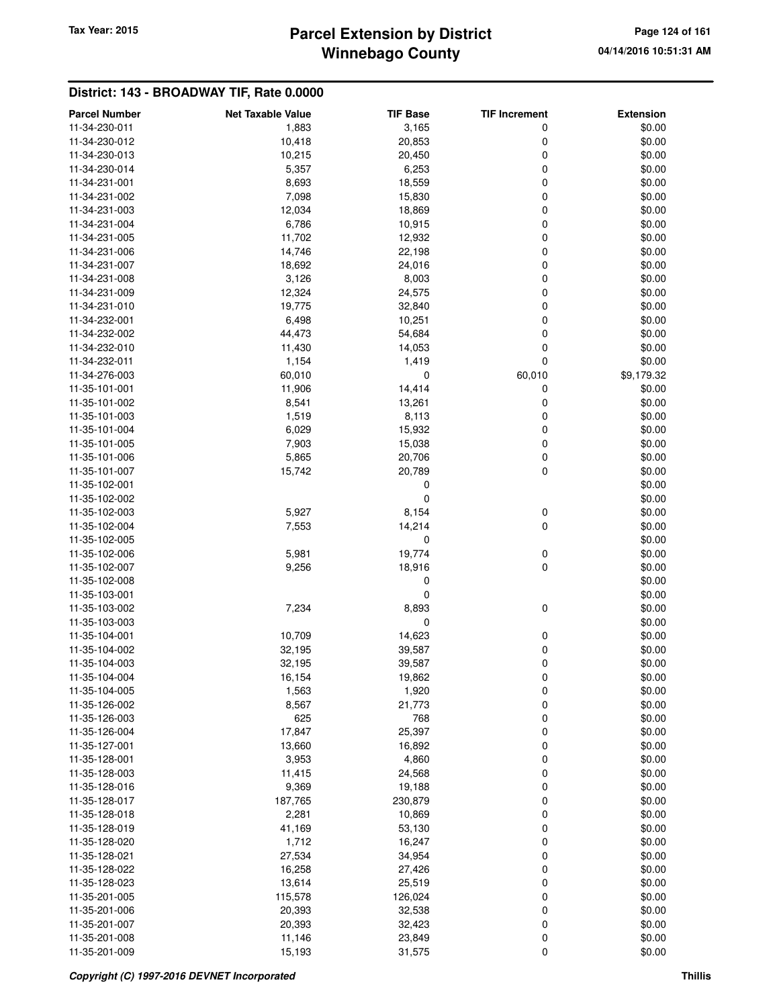# **Winnebago County** Tax Year: 2015 **Parcel Extension by District Page 124 of 161**

| <b>Parcel Number</b>           | <b>Net Taxable Value</b> | <b>TIF Base</b> | <b>TIF Increment</b> | <b>Extension</b> |
|--------------------------------|--------------------------|-----------------|----------------------|------------------|
| 11-34-230-011                  | 1,883                    | 3,165           | 0                    | \$0.00           |
| 11-34-230-012                  | 10,418                   | 20,853          | 0                    | \$0.00           |
| 11-34-230-013                  | 10,215                   | 20,450          | 0                    | \$0.00           |
| 11-34-230-014                  | 5,357                    | 6,253           | 0                    | \$0.00           |
| 11-34-231-001                  | 8,693                    | 18,559          | 0                    | \$0.00           |
| 11-34-231-002                  | 7,098                    | 15,830          | 0                    | \$0.00           |
| 11-34-231-003                  | 12,034                   | 18,869          | 0                    | \$0.00           |
| 11-34-231-004                  | 6,786                    | 10,915          | 0                    | \$0.00           |
| 11-34-231-005                  | 11,702                   | 12,932          | 0                    | \$0.00           |
| 11-34-231-006                  | 14,746                   | 22,198          | 0                    | \$0.00           |
| 11-34-231-007                  | 18,692                   | 24,016          | 0                    | \$0.00           |
| 11-34-231-008                  | 3,126                    | 8,003           | 0                    | \$0.00           |
| 11-34-231-009                  | 12,324                   | 24,575          | 0                    | \$0.00           |
| 11-34-231-010                  | 19,775                   | 32,840          | 0                    | \$0.00           |
| 11-34-232-001                  | 6,498                    | 10,251          | 0                    | \$0.00           |
| 11-34-232-002                  | 44,473                   | 54,684          | 0                    | \$0.00           |
| 11-34-232-010                  | 11,430                   | 14,053          | 0                    | \$0.00           |
| 11-34-232-011                  | 1,154                    | 1,419           | $\mathbf 0$          | \$0.00           |
| 11-34-276-003                  | 60,010                   | 0               | 60,010               | \$9,179.32       |
| 11-35-101-001                  | 11,906                   | 14,414          | 0                    | \$0.00           |
| 11-35-101-002                  | 8,541                    | 13,261          | 0                    | \$0.00           |
| 11-35-101-003                  |                          |                 |                      |                  |
| 11-35-101-004                  | 1,519<br>6,029           | 8,113<br>15,932 | 0<br>0               | \$0.00<br>\$0.00 |
| 11-35-101-005                  | 7,903                    | 15,038          | 0                    | \$0.00           |
|                                |                          |                 |                      |                  |
| 11-35-101-006<br>11-35-101-007 | 5,865                    | 20,706          | 0<br>0               | \$0.00           |
| 11-35-102-001                  | 15,742                   | 20,789          |                      | \$0.00           |
| 11-35-102-002                  |                          | 0<br>0          |                      | \$0.00<br>\$0.00 |
| 11-35-102-003                  | 5,927                    | 8,154           |                      | \$0.00           |
| 11-35-102-004                  | 7,553                    | 14,214          | 0<br>0               | \$0.00           |
| 11-35-102-005                  |                          | 0               |                      | \$0.00           |
| 11-35-102-006                  | 5,981                    | 19,774          | 0                    | \$0.00           |
| 11-35-102-007                  | 9,256                    | 18,916          | 0                    | \$0.00           |
| 11-35-102-008                  |                          | 0               |                      | \$0.00           |
| 11-35-103-001                  |                          | 0               |                      | \$0.00           |
| 11-35-103-002                  | 7,234                    | 8,893           | 0                    | \$0.00           |
| 11-35-103-003                  |                          | 0               |                      | \$0.00           |
| 11-35-104-001                  | 10,709                   | 14,623          | 0                    | \$0.00           |
| 11-35-104-002                  | 32,195                   | 39,587          | 0                    | \$0.00           |
| 11-35-104-003                  | 32,195                   | 39,587          | 0                    | \$0.00           |
| 11-35-104-004                  | 16,154                   | 19,862          | 0                    | \$0.00           |
| 11-35-104-005                  | 1,563                    | 1,920           | 0                    | \$0.00           |
| 11-35-126-002                  | 8,567                    | 21,773          | 0                    | \$0.00           |
| 11-35-126-003                  | 625                      | 768             | 0                    | \$0.00           |
| 11-35-126-004                  | 17,847                   | 25,397          | 0                    | \$0.00           |
| 11-35-127-001                  | 13,660                   | 16,892          | 0                    | \$0.00           |
| 11-35-128-001                  | 3,953                    | 4,860           | 0                    | \$0.00           |
| 11-35-128-003                  | 11,415                   | 24,568          | 0                    | \$0.00           |
| 11-35-128-016                  | 9,369                    | 19,188          | 0                    | \$0.00           |
| 11-35-128-017                  | 187,765                  | 230,879         | 0                    | \$0.00           |
| 11-35-128-018                  | 2,281                    | 10,869          | 0                    | \$0.00           |
| 11-35-128-019                  | 41,169                   | 53,130          | 0                    | \$0.00           |
| 11-35-128-020                  | 1,712                    | 16,247          | 0                    | \$0.00           |
| 11-35-128-021                  | 27,534                   | 34,954          | 0                    | \$0.00           |
| 11-35-128-022                  | 16,258                   | 27,426          | 0                    | \$0.00           |
| 11-35-128-023                  | 13,614                   | 25,519          | 0                    | \$0.00           |
| 11-35-201-005                  | 115,578                  | 126,024         | 0                    | \$0.00           |
| 11-35-201-006                  | 20,393                   | 32,538          | 0                    | \$0.00           |
| 11-35-201-007                  | 20,393                   | 32,423          | 0                    | \$0.00           |
| 11-35-201-008                  | 11,146                   | 23,849          | 0                    | \$0.00           |
| 11-35-201-009                  | 15,193                   | 31,575          | 0                    | \$0.00           |
|                                |                          |                 |                      |                  |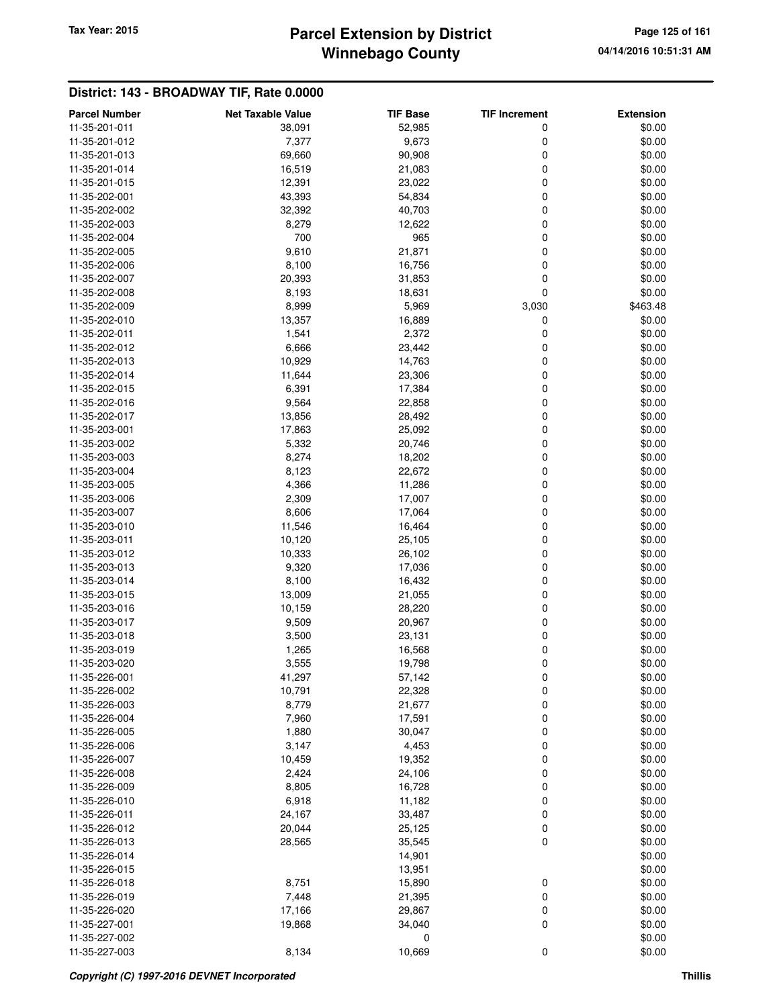# **Winnebago County Parcel Extension by District Tax Year: 2015 Page 125 of 161**

| <b>Parcel Number</b> | <b>Net Taxable Value</b> | <b>TIF Base</b> | <b>TIF Increment</b> | <b>Extension</b> |
|----------------------|--------------------------|-----------------|----------------------|------------------|
| 11-35-201-011        | 38,091                   | 52,985          | 0                    | \$0.00           |
| 11-35-201-012        | 7,377                    | 9,673           | 0                    | \$0.00           |
| 11-35-201-013        | 69,660                   | 90,908          | 0                    | \$0.00           |
| 11-35-201-014        | 16,519                   | 21,083          | 0                    | \$0.00           |
| 11-35-201-015        | 12,391                   | 23,022          | 0                    | \$0.00           |
| 11-35-202-001        | 43,393                   | 54,834          | 0                    | \$0.00           |
| 11-35-202-002        | 32,392                   | 40,703          | 0                    | \$0.00           |
| 11-35-202-003        | 8,279                    | 12,622          | 0                    | \$0.00           |
| 11-35-202-004        | 700                      | 965             | 0                    | \$0.00           |
| 11-35-202-005        | 9,610                    | 21,871          | 0                    | \$0.00           |
| 11-35-202-006        | 8,100                    | 16,756          | 0                    | \$0.00           |
| 11-35-202-007        | 20,393                   | 31,853          | 0                    | \$0.00           |
| 11-35-202-008        | 8,193                    | 18,631          | 0                    | \$0.00           |
| 11-35-202-009        | 8,999                    | 5,969           | 3,030                | \$463.48         |
|                      |                          |                 |                      |                  |
| 11-35-202-010        | 13,357                   | 16,889          | 0                    | \$0.00           |
| 11-35-202-011        | 1,541                    | 2,372           | 0                    | \$0.00           |
| 11-35-202-012        | 6,666                    | 23,442          | 0                    | \$0.00           |
| 11-35-202-013        | 10,929                   | 14,763          | 0                    | \$0.00           |
| 11-35-202-014        | 11,644                   | 23,306          | 0                    | \$0.00           |
| 11-35-202-015        | 6,391                    | 17,384          | 0                    | \$0.00           |
| 11-35-202-016        | 9,564                    | 22,858          | 0                    | \$0.00           |
| 11-35-202-017        | 13,856                   | 28,492          | 0                    | \$0.00           |
| 11-35-203-001        | 17,863                   | 25,092          | 0                    | \$0.00           |
| 11-35-203-002        | 5,332                    | 20,746          | 0                    | \$0.00           |
| 11-35-203-003        | 8,274                    | 18,202          | 0                    | \$0.00           |
| 11-35-203-004        | 8,123                    | 22,672          | 0                    | \$0.00           |
| 11-35-203-005        | 4,366                    | 11,286          | 0                    | \$0.00           |
| 11-35-203-006        | 2,309                    | 17,007          | 0                    | \$0.00           |
| 11-35-203-007        | 8,606                    | 17,064          | 0                    | \$0.00           |
| 11-35-203-010        | 11,546                   | 16,464          | 0                    | \$0.00           |
| 11-35-203-011        | 10,120                   | 25,105          | 0                    | \$0.00           |
| 11-35-203-012        | 10,333                   | 26,102          | 0                    | \$0.00           |
| 11-35-203-013        | 9,320                    | 17,036          | 0                    | \$0.00           |
| 11-35-203-014        | 8,100                    | 16,432          | 0                    | \$0.00           |
| 11-35-203-015        | 13,009                   | 21,055          | 0                    | \$0.00           |
| 11-35-203-016        | 10,159                   | 28,220          | 0                    | \$0.00           |
| 11-35-203-017        | 9,509                    | 20,967          | 0                    | \$0.00           |
| 11-35-203-018        | 3,500                    | 23,131          | 0                    | \$0.00           |
| 11-35-203-019        | 1,265                    | 16,568          | 0                    | \$0.00           |
| 11-35-203-020        | 3,555                    | 19,798          | 0                    | \$0.00           |
| 11-35-226-001        | 41,297                   | 57,142          | 0                    | \$0.00           |
| 11-35-226-002        | 10,791                   | 22,328          | 0                    | \$0.00           |
| 11-35-226-003        | 8,779                    | 21,677          | 0                    | \$0.00           |
| 11-35-226-004        | 7,960                    | 17,591          | 0                    | \$0.00           |
| 11-35-226-005        | 1,880                    | 30,047          | 0                    | \$0.00           |
| 11-35-226-006        | 3,147                    | 4,453           | 0                    | \$0.00           |
| 11-35-226-007        | 10,459                   | 19,352          | 0                    | \$0.00           |
| 11-35-226-008        | 2,424                    | 24,106          | 0                    | \$0.00           |
|                      |                          |                 |                      |                  |
| 11-35-226-009        | 8,805                    | 16,728          | 0                    | \$0.00           |
| 11-35-226-010        | 6,918                    | 11,182          | 0                    | \$0.00           |
| 11-35-226-011        | 24,167                   | 33,487          | 0                    | \$0.00           |
| 11-35-226-012        | 20,044                   | 25,125          | 0                    | \$0.00           |
| 11-35-226-013        | 28,565                   | 35,545          | $\mathbf 0$          | \$0.00           |
| 11-35-226-014        |                          | 14,901          |                      | \$0.00           |
| 11-35-226-015        |                          | 13,951          |                      | \$0.00           |
| 11-35-226-018        | 8,751                    | 15,890          | 0                    | \$0.00           |
| 11-35-226-019        | 7,448                    | 21,395          | 0                    | \$0.00           |
| 11-35-226-020        | 17,166                   | 29,867          | 0                    | \$0.00           |
| 11-35-227-001        | 19,868                   | 34,040          | 0                    | \$0.00           |
| 11-35-227-002        |                          | 0               |                      | \$0.00           |
| 11-35-227-003        | 8,134                    | 10,669          | $\mathbf 0$          | \$0.00           |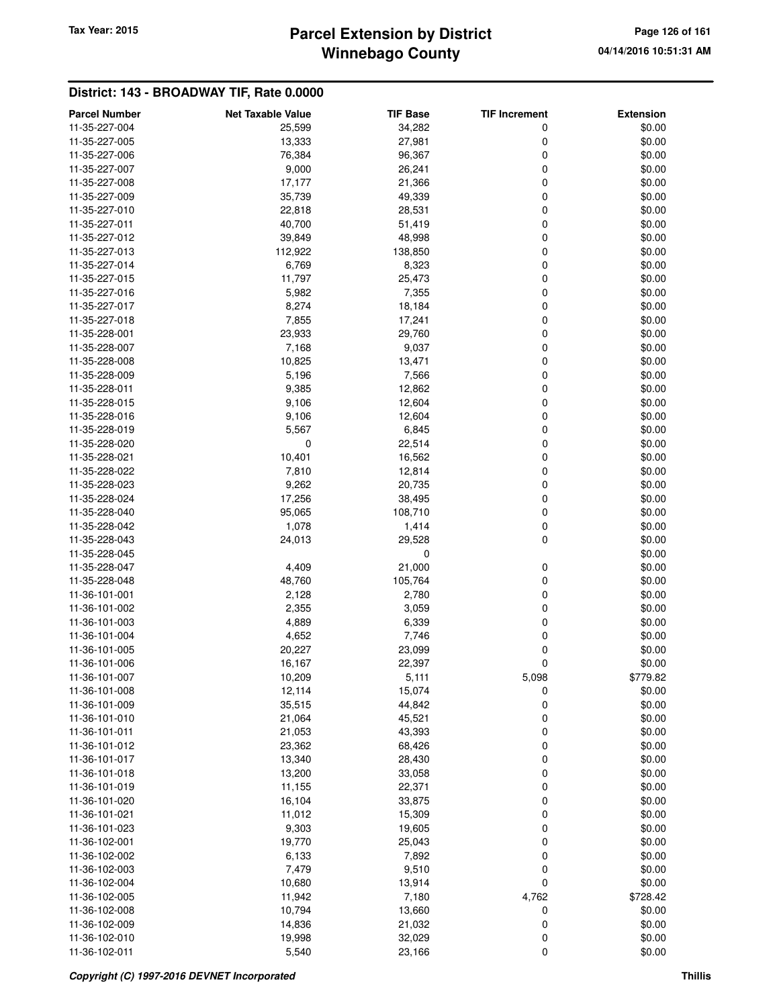# **Winnebago County Parcel Extension by District Tax Year: 2015 Page 126 of 161**

| <b>Parcel Number</b> | <b>Net Taxable Value</b> | <b>TIF Base</b> | <b>TIF Increment</b> | <b>Extension</b> |
|----------------------|--------------------------|-----------------|----------------------|------------------|
| 11-35-227-004        | 25,599                   | 34,282          | 0                    | \$0.00           |
| 11-35-227-005        | 13,333                   | 27,981          | 0                    | \$0.00           |
| 11-35-227-006        | 76,384                   | 96,367          | 0                    | \$0.00           |
| 11-35-227-007        | 9,000                    | 26,241          | 0                    | \$0.00           |
| 11-35-227-008        | 17,177                   | 21,366          | 0                    | \$0.00           |
| 11-35-227-009        | 35,739                   | 49,339          | 0                    | \$0.00           |
| 11-35-227-010        | 22,818                   | 28,531          | 0                    | \$0.00           |
| 11-35-227-011        | 40,700                   | 51,419          | 0                    | \$0.00           |
| 11-35-227-012        | 39,849                   | 48,998          | 0                    | \$0.00           |
| 11-35-227-013        | 112,922                  | 138,850         | 0                    | \$0.00           |
| 11-35-227-014        | 6,769                    | 8,323           | 0                    | \$0.00           |
| 11-35-227-015        | 11,797                   | 25,473          | 0                    | \$0.00           |
| 11-35-227-016        | 5,982                    | 7,355           | 0                    | \$0.00           |
| 11-35-227-017        | 8,274                    | 18,184          | 0                    | \$0.00           |
| 11-35-227-018        | 7,855                    | 17,241          | 0                    | \$0.00           |
| 11-35-228-001        | 23,933                   | 29,760          | 0                    | \$0.00           |
| 11-35-228-007        | 7,168                    | 9,037           | 0                    | \$0.00           |
| 11-35-228-008        | 10,825                   | 13,471          | 0                    | \$0.00           |
| 11-35-228-009        | 5,196                    | 7,566           | 0                    | \$0.00           |
| 11-35-228-011        | 9,385                    | 12,862          | 0                    | \$0.00           |
| 11-35-228-015        | 9,106                    | 12,604          | 0                    | \$0.00           |
| 11-35-228-016        | 9,106                    | 12,604          | 0                    | \$0.00           |
| 11-35-228-019        | 5,567                    | 6,845           | 0                    | \$0.00           |
| 11-35-228-020        | 0                        | 22,514          | 0                    | \$0.00           |
| 11-35-228-021        | 10,401                   | 16,562          | 0                    | \$0.00           |
| 11-35-228-022        | 7,810                    | 12,814          | 0                    | \$0.00           |
| 11-35-228-023        | 9,262                    | 20,735          | 0                    | \$0.00           |
| 11-35-228-024        | 17,256                   | 38,495          | 0                    | \$0.00           |
| 11-35-228-040        | 95,065                   | 108,710         | 0                    | \$0.00           |
| 11-35-228-042        | 1,078                    | 1,414           | 0                    | \$0.00           |
| 11-35-228-043        | 24,013                   | 29,528          | 0                    | \$0.00           |
| 11-35-228-045        |                          | 0               |                      | \$0.00           |
| 11-35-228-047        | 4,409                    | 21,000          | 0                    | \$0.00           |
| 11-35-228-048        | 48,760                   | 105,764         | 0                    | \$0.00           |
| 11-36-101-001        | 2,128                    | 2,780           | 0                    | \$0.00           |
| 11-36-101-002        | 2,355                    | 3,059           | 0                    | \$0.00           |
| 11-36-101-003        | 4,889                    | 6,339           | 0                    | \$0.00           |
| 11-36-101-004        | 4,652                    | 7,746           | 0                    | \$0.00           |
| 11-36-101-005        | 20,227                   | 23,099          | 0                    | \$0.00           |
| 11-36-101-006        | 16,167                   | 22,397          | 0                    | \$0.00           |
| 11-36-101-007        | 10,209                   | 5,111           | 5,098                | \$779.82         |
| 11-36-101-008        | 12,114                   | 15,074          | 0                    | \$0.00           |
| 11-36-101-009        | 35,515                   | 44,842          | 0                    | \$0.00           |
| 11-36-101-010        | 21,064                   | 45,521          | 0                    | \$0.00           |
| 11-36-101-011        | 21,053                   | 43,393          | 0                    | \$0.00           |
| 11-36-101-012        | 23,362                   | 68,426          | 0                    | \$0.00           |
| 11-36-101-017        | 13,340                   | 28,430          | 0                    | \$0.00           |
| 11-36-101-018        | 13,200                   | 33,058          | 0                    | \$0.00           |
| 11-36-101-019        | 11,155                   | 22,371          | 0                    | \$0.00           |
| 11-36-101-020        | 16,104                   | 33,875          | 0                    | \$0.00           |
| 11-36-101-021        | 11,012                   | 15,309          | 0                    | \$0.00           |
| 11-36-101-023        | 9,303                    | 19,605          | 0                    | \$0.00           |
| 11-36-102-001        | 19,770                   | 25,043          | 0                    | \$0.00           |
| 11-36-102-002        | 6,133                    | 7,892           | 0                    | \$0.00           |
| 11-36-102-003        | 7,479                    | 9,510           | 0                    | \$0.00           |
| 11-36-102-004        | 10,680                   | 13,914          | 0                    | \$0.00           |
| 11-36-102-005        | 11,942                   | 7,180           | 4,762                | \$728.42         |
| 11-36-102-008        | 10,794                   | 13,660          | 0                    | \$0.00           |
| 11-36-102-009        | 14,836                   | 21,032          | 0                    | \$0.00           |
| 11-36-102-010        | 19,998<br>5,540          | 32,029          | 0                    | \$0.00<br>\$0.00 |
| 11-36-102-011        |                          | 23,166          | $\mathbf 0$          |                  |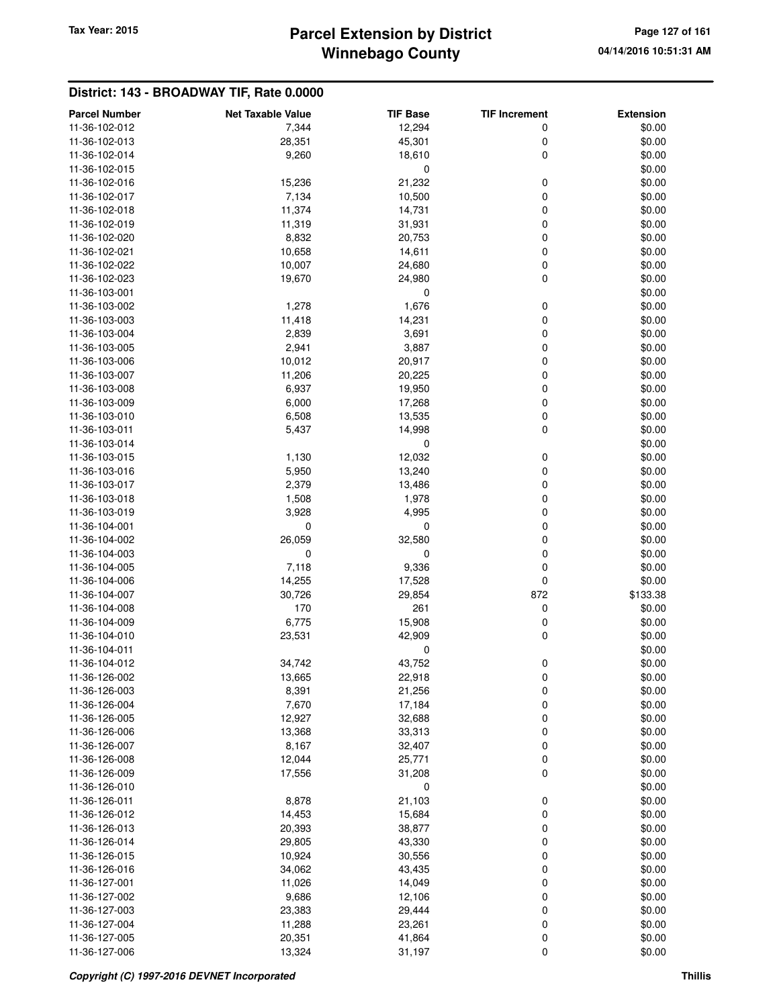# **Winnebago County** Tax Year: 2015 **Parcel Extension by District Page 127 of 161**

| <b>Parcel Number</b> | <b>Net Taxable Value</b> | <b>TIF Base</b> | <b>TIF Increment</b> | <b>Extension</b> |
|----------------------|--------------------------|-----------------|----------------------|------------------|
| 11-36-102-012        | 7,344                    | 12,294          | 0                    | \$0.00           |
| 11-36-102-013        | 28,351                   | 45,301          | 0                    | \$0.00           |
| 11-36-102-014        | 9,260                    | 18,610          | 0                    | \$0.00           |
| 11-36-102-015        |                          | $\mathbf 0$     |                      | \$0.00           |
| 11-36-102-016        | 15,236                   | 21,232          | 0                    | \$0.00           |
| 11-36-102-017        | 7,134                    | 10,500          | 0                    | \$0.00           |
| 11-36-102-018        | 11,374                   | 14,731          | 0                    | \$0.00           |
| 11-36-102-019        | 11,319                   | 31,931          | 0                    | \$0.00           |
| 11-36-102-020        | 8,832                    | 20,753          | 0                    | \$0.00           |
| 11-36-102-021        | 10,658                   | 14,611          | 0                    | \$0.00           |
| 11-36-102-022        | 10,007                   | 24,680          | 0                    | \$0.00           |
| 11-36-102-023        | 19,670                   | 24,980          | 0                    | \$0.00           |
| 11-36-103-001        |                          | 0               |                      | \$0.00           |
| 11-36-103-002        | 1,278                    | 1,676           | 0                    | \$0.00           |
| 11-36-103-003        | 11,418                   | 14,231          | 0                    | \$0.00           |
| 11-36-103-004        | 2,839                    | 3,691           | 0                    | \$0.00           |
| 11-36-103-005        | 2,941                    | 3,887           | 0                    | \$0.00           |
| 11-36-103-006        | 10,012                   | 20,917          | 0                    | \$0.00           |
| 11-36-103-007        | 11,206                   | 20,225          | 0                    | \$0.00           |
| 11-36-103-008        | 6,937                    | 19,950          | 0                    | \$0.00           |
| 11-36-103-009        | 6,000                    | 17,268          | 0                    | \$0.00           |
| 11-36-103-010        | 6,508                    | 13,535          | 0                    | \$0.00           |
| 11-36-103-011        | 5,437                    | 14,998          | 0                    | \$0.00           |
| 11-36-103-014        |                          | 0               |                      | \$0.00           |
| 11-36-103-015        | 1,130                    | 12,032          | 0                    | \$0.00           |
| 11-36-103-016        | 5,950                    | 13,240          | 0                    | \$0.00           |
| 11-36-103-017        | 2,379                    | 13,486          | 0                    | \$0.00           |
| 11-36-103-018        | 1,508                    | 1,978           | 0                    | \$0.00           |
| 11-36-103-019        | 3,928                    | 4,995           | 0                    | \$0.00           |
| 11-36-104-001        | 0                        | 0               | 0                    | \$0.00           |
| 11-36-104-002        | 26,059                   | 32,580          | 0                    | \$0.00           |
| 11-36-104-003        | 0                        | 0               | 0                    | \$0.00           |
| 11-36-104-005        | 7,118                    | 9,336           | 0                    | \$0.00           |
| 11-36-104-006        | 14,255                   | 17,528          | 0                    | \$0.00           |
| 11-36-104-007        | 30,726                   | 29,854          | 872                  | \$133.38         |
| 11-36-104-008        | 170                      | 261             | 0                    | \$0.00           |
| 11-36-104-009        | 6,775                    | 15,908          | 0                    | \$0.00           |
| 11-36-104-010        | 23,531                   | 42,909          | 0                    | \$0.00           |
| 11-36-104-011        |                          | 0               |                      | \$0.00           |
| 11-36-104-012        | 34,742                   | 43,752          | 0                    | \$0.00           |
| 11-36-126-002        | 13,665                   | 22,918          | 0                    | \$0.00           |
| 11-36-126-003        | 8,391                    | 21,256          | 0                    | \$0.00           |
| 11-36-126-004        | 7,670                    | 17,184          | 0                    | \$0.00           |
| 11-36-126-005        | 12,927                   | 32,688          | 0                    | \$0.00           |
| 11-36-126-006        | 13,368                   | 33,313          | 0                    | \$0.00           |
| 11-36-126-007        | 8,167                    | 32,407          | 0                    | \$0.00           |
| 11-36-126-008        | 12,044                   | 25,771          | 0                    | \$0.00           |
| 11-36-126-009        | 17,556                   | 31,208          | 0                    | \$0.00           |
| 11-36-126-010        |                          | 0               |                      | \$0.00           |
| 11-36-126-011        | 8,878                    | 21,103          | 0                    | \$0.00           |
| 11-36-126-012        | 14,453                   | 15,684          | 0                    | \$0.00           |
| 11-36-126-013        | 20,393                   | 38,877          | 0                    | \$0.00           |
| 11-36-126-014        | 29,805                   | 43,330          | 0                    | \$0.00           |
| 11-36-126-015        | 10,924                   | 30,556          | 0                    | \$0.00           |
| 11-36-126-016        | 34,062                   | 43,435          | 0                    | \$0.00           |
| 11-36-127-001        | 11,026                   | 14,049          | 0                    | \$0.00           |
| 11-36-127-002        | 9,686                    | 12,106          | 0                    | \$0.00           |
| 11-36-127-003        | 23,383                   | 29,444          | 0                    | \$0.00           |
| 11-36-127-004        | 11,288                   | 23,261          | 0                    | \$0.00           |
| 11-36-127-005        | 20,351                   | 41,864          | 0                    | \$0.00           |
| 11-36-127-006        | 13,324                   | 31,197          | 0                    | \$0.00           |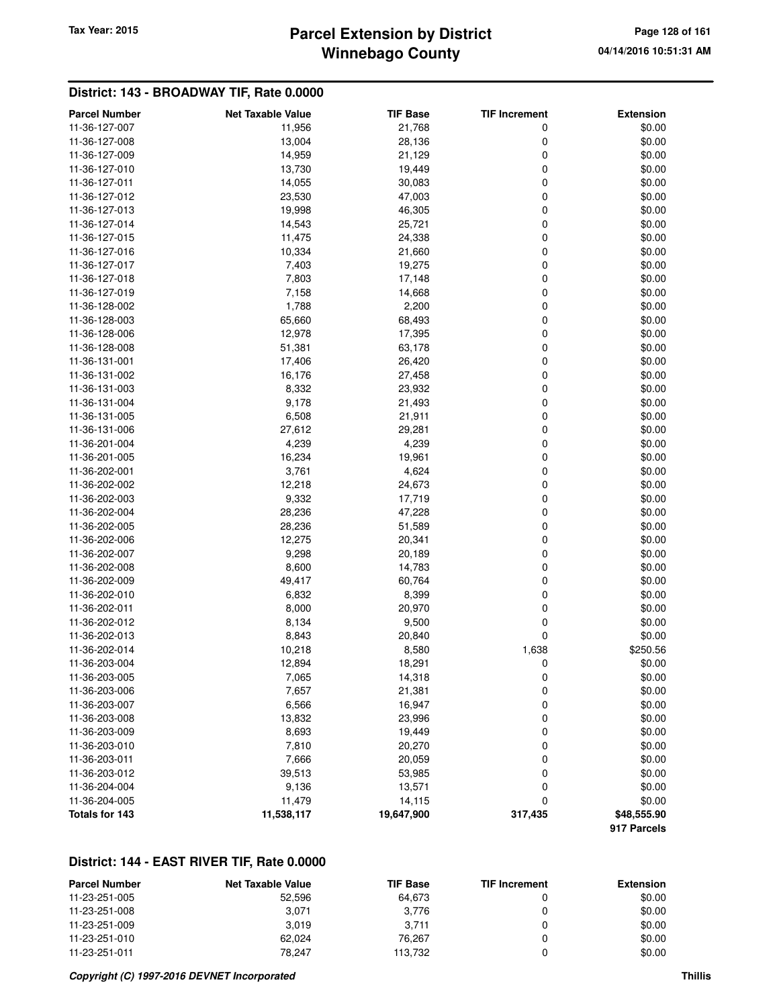## **Winnebago County Parcel Extension by District Tax Year: 2015 Page 128 of 161**

## **District: 143 - BROADWAY TIF, Rate 0.0000**

| <b>Parcel Number</b> | <b>Net Taxable Value</b> | <b>TIF Base</b> | <b>TIF Increment</b> | <b>Extension</b> |
|----------------------|--------------------------|-----------------|----------------------|------------------|
| 11-36-127-007        | 11,956                   | 21,768          | 0                    | \$0.00           |
| 11-36-127-008        | 13,004                   | 28,136          | 0                    | \$0.00           |
| 11-36-127-009        | 14,959                   | 21,129          | 0                    | \$0.00           |
| 11-36-127-010        | 13,730                   | 19,449          | 0                    | \$0.00           |
| 11-36-127-011        | 14,055                   | 30,083          | 0                    | \$0.00           |
| 11-36-127-012        | 23,530                   | 47,003          | 0                    | \$0.00           |
| 11-36-127-013        | 19,998                   | 46,305          | 0                    | \$0.00           |
| 11-36-127-014        | 14,543                   | 25,721          | 0                    | \$0.00           |
| 11-36-127-015        | 11,475                   | 24,338          | 0                    | \$0.00           |
| 11-36-127-016        | 10,334                   | 21,660          | 0                    | \$0.00           |
| 11-36-127-017        | 7,403                    | 19,275          | 0                    | \$0.00           |
| 11-36-127-018        | 7,803                    | 17,148          | 0                    | \$0.00           |
| 11-36-127-019        | 7,158                    | 14,668          | 0                    | \$0.00           |
| 11-36-128-002        | 1,788                    | 2,200           | 0                    | \$0.00           |
| 11-36-128-003        | 65,660                   | 68,493          | 0                    | \$0.00           |
| 11-36-128-006        | 12,978                   | 17,395          | 0                    | \$0.00           |
| 11-36-128-008        | 51,381                   | 63,178          | 0                    | \$0.00           |
|                      |                          |                 | 0                    |                  |
| 11-36-131-001        | 17,406                   | 26,420          | 0                    | \$0.00<br>\$0.00 |
| 11-36-131-002        | 16,176                   | 27,458          |                      |                  |
| 11-36-131-003        | 8,332                    | 23,932          | 0                    | \$0.00           |
| 11-36-131-004        | 9,178                    | 21,493          | 0                    | \$0.00           |
| 11-36-131-005        | 6,508                    | 21,911          | 0                    | \$0.00           |
| 11-36-131-006        | 27,612                   | 29,281          | 0                    | \$0.00           |
| 11-36-201-004        | 4,239                    | 4,239           | 0                    | \$0.00           |
| 11-36-201-005        | 16,234                   | 19,961          | 0                    | \$0.00           |
| 11-36-202-001        | 3,761                    | 4,624           | 0                    | \$0.00           |
| 11-36-202-002        | 12,218                   | 24,673          | 0                    | \$0.00           |
| 11-36-202-003        | 9,332                    | 17,719          | 0                    | \$0.00           |
| 11-36-202-004        | 28,236                   | 47,228          | 0                    | \$0.00           |
| 11-36-202-005        | 28,236                   | 51,589          | 0                    | \$0.00           |
| 11-36-202-006        | 12,275                   | 20,341          | 0                    | \$0.00           |
| 11-36-202-007        | 9,298                    | 20,189          | 0                    | \$0.00           |
| 11-36-202-008        | 8,600                    | 14,783          | 0                    | \$0.00           |
| 11-36-202-009        | 49,417                   | 60,764          | 0                    | \$0.00           |
| 11-36-202-010        | 6,832                    | 8,399           | 0                    | \$0.00           |
| 11-36-202-011        | 8,000                    | 20,970          | 0                    | \$0.00           |
| 11-36-202-012        | 8,134                    | 9,500           | 0                    | \$0.00           |
| 11-36-202-013        | 8,843                    | 20,840          | 0                    | \$0.00           |
| 11-36-202-014        | 10,218                   | 8,580           | 1,638                | \$250.56         |
| 11-36-203-004        | 12,894                   | 18,291          | 0                    | \$0.00           |
| 11-36-203-005        | 7,065                    | 14,318          | 0                    | \$0.00           |
| 11-36-203-006        | 7,657                    | 21,381          | 0                    | \$0.00           |
| 11-36-203-007        | 6,566                    | 16,947          | 0                    | \$0.00           |
| 11-36-203-008        | 13,832                   | 23,996          | 0                    | \$0.00           |
| 11-36-203-009        | 8,693                    | 19,449          | 0                    | \$0.00           |
| 11-36-203-010        | 7,810                    | 20,270          | 0                    | \$0.00           |
| 11-36-203-011        | 7,666                    | 20,059          | 0                    | \$0.00           |
| 11-36-203-012        | 39,513                   | 53,985          | 0                    | \$0.00           |
| 11-36-204-004        | 9,136                    | 13,571          | 0                    | \$0.00           |
| 11-36-204-005        | 11,479                   | 14,115          | 0                    | \$0.00           |
| Totals for 143       | 11,538,117               | 19,647,900      | 317,435              | \$48,555.90      |
|                      |                          |                 |                      | 917 Parcels      |

## **District: 144 - EAST RIVER TIF, Rate 0.0000**

| <b>Parcel Number</b> | <b>Net Taxable Value</b> | <b>TIF Base</b> | <b>TIF Increment</b> | <b>Extension</b> |
|----------------------|--------------------------|-----------------|----------------------|------------------|
| 11-23-251-005        | 52.596                   | 64.673          |                      | \$0.00           |
| 11-23-251-008        | 3.071                    | 3.776           |                      | \$0.00           |
| 11-23-251-009        | 3.019                    | 3.711           |                      | \$0.00           |
| 11-23-251-010        | 62.024                   | 76.267          |                      | \$0.00           |
| 11-23-251-011        | 78.247                   | 113.732         |                      | \$0.00           |

#### **Copyright (C) 1997-2016 DEVNET Incorporated Thillis**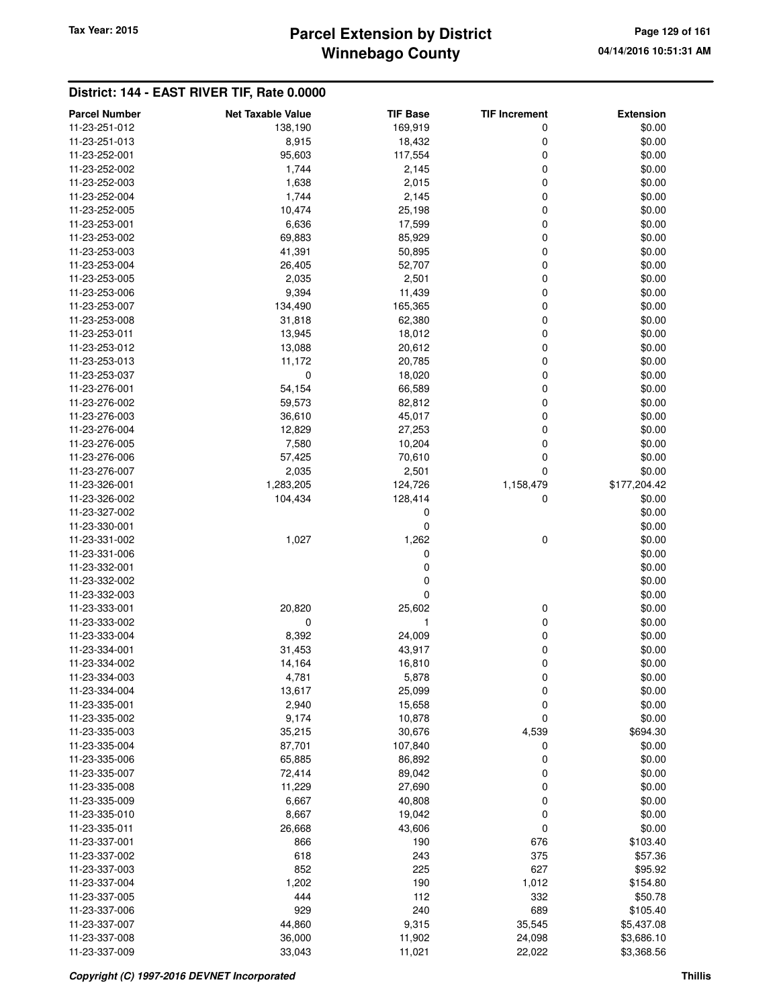# **Winnebago County Parcel Extension by District Tax Year: 2015 Page 129 of 161**

| <b>Parcel Number</b>           | <b>Net Taxable Value</b> | <b>TIF Base</b>  | <b>TIF Increment</b> | <b>Extension</b> |
|--------------------------------|--------------------------|------------------|----------------------|------------------|
| 11-23-251-012                  | 138,190                  | 169,919          | 0                    | \$0.00           |
| 11-23-251-013                  | 8,915                    | 18,432           | 0                    | \$0.00           |
| 11-23-252-001                  | 95,603                   | 117,554          | 0                    | \$0.00           |
| 11-23-252-002                  | 1,744                    | 2,145            | 0                    | \$0.00           |
| 11-23-252-003                  | 1,638                    | 2,015            | 0                    | \$0.00           |
| 11-23-252-004                  | 1,744                    | 2,145            | 0                    | \$0.00           |
| 11-23-252-005                  | 10,474                   | 25,198           | 0                    | \$0.00           |
|                                |                          |                  | 0                    | \$0.00           |
| 11-23-253-001                  | 6,636                    | 17,599           |                      |                  |
| 11-23-253-002                  | 69,883                   | 85,929           | 0                    | \$0.00           |
| 11-23-253-003                  | 41,391                   | 50,895           | 0                    | \$0.00           |
| 11-23-253-004                  | 26,405                   | 52,707           | 0                    | \$0.00           |
| 11-23-253-005                  | 2,035                    | 2,501            | 0                    | \$0.00           |
| 11-23-253-006                  | 9,394                    | 11,439           | 0                    | \$0.00           |
| 11-23-253-007                  | 134,490                  | 165,365          | 0                    | \$0.00           |
| 11-23-253-008                  | 31,818                   | 62,380           | 0                    | \$0.00           |
| 11-23-253-011                  | 13,945                   | 18,012           | 0                    | \$0.00           |
| 11-23-253-012                  | 13,088                   | 20,612           | 0                    | \$0.00           |
| 11-23-253-013                  | 11,172                   | 20,785           | 0                    | \$0.00           |
| 11-23-253-037                  | 0                        | 18,020           | 0                    | \$0.00           |
| 11-23-276-001                  | 54,154                   | 66,589           | 0                    | \$0.00           |
| 11-23-276-002                  | 59,573                   | 82,812           | 0                    | \$0.00           |
| 11-23-276-003                  | 36,610                   | 45,017           | 0                    | \$0.00           |
| 11-23-276-004                  | 12,829                   | 27,253           | 0                    | \$0.00           |
| 11-23-276-005                  | 7,580                    | 10,204           | 0                    | \$0.00           |
| 11-23-276-006                  | 57,425                   | 70,610           | 0                    | \$0.00           |
| 11-23-276-007                  | 2,035                    | 2,501            | 0                    | \$0.00           |
| 11-23-326-001                  | 1,283,205                | 124,726          | 1,158,479            | \$177,204.42     |
| 11-23-326-002                  | 104,434                  | 128,414          | 0                    | \$0.00           |
| 11-23-327-002                  |                          | 0                |                      | \$0.00           |
| 11-23-330-001                  |                          | 0                |                      | \$0.00           |
| 11-23-331-002                  | 1,027                    | 1,262            | 0                    | \$0.00           |
| 11-23-331-006                  |                          | 0                |                      | \$0.00           |
| 11-23-332-001                  |                          | 0                |                      | \$0.00           |
| 11-23-332-002                  |                          | 0                |                      | \$0.00           |
| 11-23-332-003                  |                          | 0                |                      | \$0.00           |
| 11-23-333-001                  | 20,820                   | 25,602           | 0                    | \$0.00           |
| 11-23-333-002                  | $\mathbf 0$              | 1                | 0                    | \$0.00           |
| 11-23-333-004                  | 8,392                    | 24,009           | 0                    | \$0.00           |
| 11-23-334-001                  | 31,453                   | 43,917           | 0                    | \$0.00           |
| 11-23-334-002                  | 14,164                   | 16,810           | 0                    | \$0.00           |
| 11-23-334-003                  | 4,781                    | 5,878            | 0                    | \$0.00           |
| 11-23-334-004                  |                          |                  |                      | \$0.00           |
| 11-23-335-001                  | 13,617<br>2,940          | 25,099<br>15,658 | 0<br>0               | \$0.00           |
|                                |                          |                  | 0                    | \$0.00           |
| 11-23-335-002<br>11-23-335-003 | 9,174                    | 10,878           |                      |                  |
|                                | 35,215                   | 30,676           | 4,539                | \$694.30         |
| 11-23-335-004                  | 87,701                   | 107,840          | 0                    | \$0.00           |
| 11-23-335-006                  | 65,885                   | 86,892           | 0                    | \$0.00           |
| 11-23-335-007                  | 72,414                   | 89,042           | 0                    | \$0.00           |
| 11-23-335-008                  | 11,229                   | 27,690           | 0                    | \$0.00           |
| 11-23-335-009                  | 6,667                    | 40,808           | 0                    | \$0.00           |
| 11-23-335-010                  | 8,667                    | 19,042           | 0                    | \$0.00           |
| 11-23-335-011                  | 26,668                   | 43,606           | 0                    | \$0.00           |
| 11-23-337-001                  | 866                      | 190              | 676                  | \$103.40         |
| 11-23-337-002                  | 618                      | 243              | 375                  | \$57.36          |
| 11-23-337-003                  | 852                      | 225              | 627                  | \$95.92          |
| 11-23-337-004                  | 1,202                    | 190              | 1,012                | \$154.80         |
| 11-23-337-005                  | 444                      | 112              | 332                  | \$50.78          |
| 11-23-337-006                  | 929                      | 240              | 689                  | \$105.40         |
| 11-23-337-007                  | 44,860                   | 9,315            | 35,545               | \$5,437.08       |
| 11-23-337-008                  | 36,000                   | 11,902           | 24,098               | \$3,686.10       |
| 11-23-337-009                  | 33,043                   | 11,021           | 22,022               | \$3,368.56       |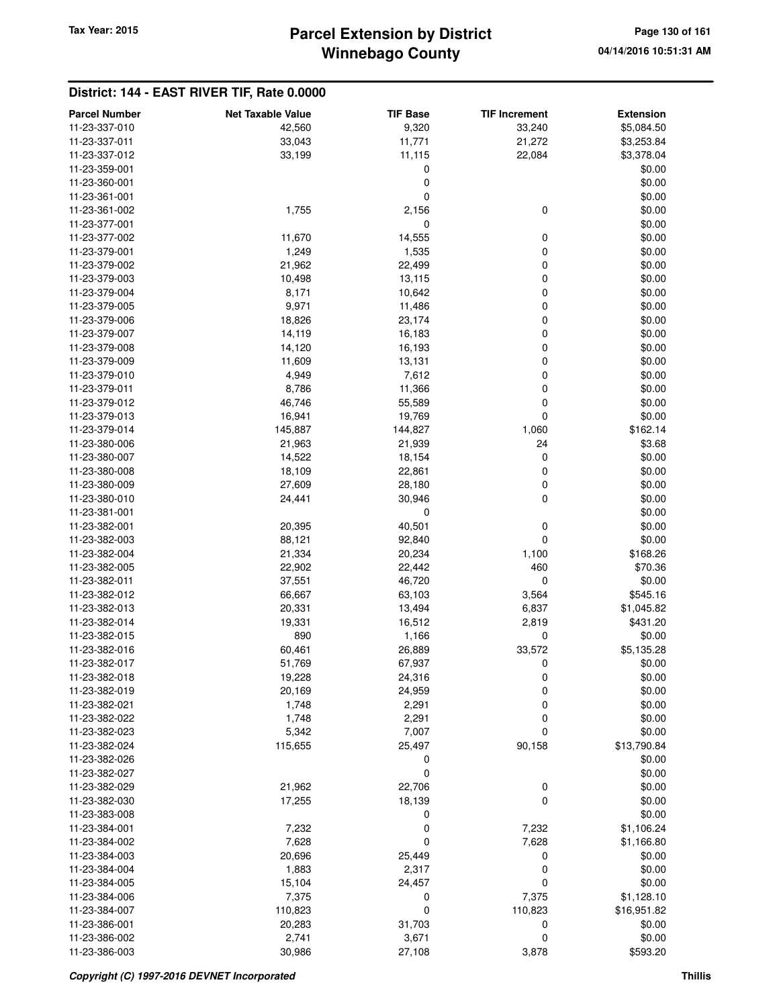## **Winnebago County Parcel Extension by District Tax Year: 2015 Page 130 of 161**

| <b>Parcel Number</b>           | <b>Net Taxable Value</b> | <b>TIF Base</b> | <b>TIF Increment</b> | <b>Extension</b> |
|--------------------------------|--------------------------|-----------------|----------------------|------------------|
| 11-23-337-010                  | 42,560                   | 9,320           | 33,240               | \$5,084.50       |
| 11-23-337-011                  | 33,043                   | 11,771          | 21,272               | \$3,253.84       |
| 11-23-337-012                  | 33,199                   | 11,115          | 22,084               | \$3,378.04       |
| 11-23-359-001                  |                          | 0               |                      | \$0.00           |
| 11-23-360-001                  |                          | 0               |                      | \$0.00           |
| 11-23-361-001                  |                          | 0               |                      | \$0.00           |
| 11-23-361-002                  | 1,755                    | 2,156           | 0                    | \$0.00           |
| 11-23-377-001                  |                          | 0               |                      | \$0.00           |
| 11-23-377-002                  | 11,670                   | 14,555          | 0                    | \$0.00           |
| 11-23-379-001                  | 1,249                    | 1,535           | 0                    | \$0.00           |
| 11-23-379-002                  | 21,962                   | 22,499          | 0                    | \$0.00           |
| 11-23-379-003                  | 10,498                   | 13,115          | 0                    | \$0.00           |
| 11-23-379-004                  | 8,171                    | 10,642          | 0                    | \$0.00           |
| 11-23-379-005                  | 9,971                    | 11,486          | 0                    | \$0.00           |
| 11-23-379-006                  | 18,826                   | 23,174          | 0                    | \$0.00           |
| 11-23-379-007                  | 14,119                   | 16,183          | 0                    | \$0.00           |
| 11-23-379-008                  | 14,120                   | 16,193          | 0                    | \$0.00           |
| 11-23-379-009                  | 11,609                   | 13,131          | 0                    | \$0.00           |
| 11-23-379-010                  | 4,949                    | 7,612           | 0                    | \$0.00           |
| 11-23-379-011                  | 8,786                    | 11,366          | 0                    | \$0.00           |
| 11-23-379-012                  | 46,746                   | 55,589          | 0                    | \$0.00           |
| 11-23-379-013                  | 16,941                   | 19,769          | 0                    | \$0.00           |
| 11-23-379-014                  | 145,887                  | 144,827         | 1,060                | \$162.14         |
| 11-23-380-006                  | 21,963                   | 21,939          | 24                   | \$3.68           |
| 11-23-380-007                  | 14,522                   | 18,154          | 0                    | \$0.00           |
| 11-23-380-008                  | 18,109                   | 22,861          | 0                    | \$0.00           |
| 11-23-380-009                  | 27,609                   | 28,180          | 0                    | \$0.00           |
| 11-23-380-010                  | 24,441                   | 30,946          | 0                    | \$0.00           |
| 11-23-381-001                  |                          | 0               |                      | \$0.00           |
| 11-23-382-001                  | 20,395                   | 40,501          | 0                    | \$0.00           |
| 11-23-382-003                  | 88,121                   | 92,840          | 0                    | \$0.00           |
| 11-23-382-004                  | 21,334                   | 20,234          | 1,100                | \$168.26         |
| 11-23-382-005                  | 22,902                   | 22,442          | 460                  | \$70.36          |
| 11-23-382-011                  | 37,551                   | 46,720          | 0                    | \$0.00           |
| 11-23-382-012                  | 66,667                   | 63,103          | 3,564                | \$545.16         |
| 11-23-382-013                  | 20,331                   | 13,494          | 6,837                | \$1,045.82       |
| 11-23-382-014                  | 19,331                   | 16,512          | 2,819                | \$431.20         |
| 11-23-382-015                  | 890                      | 1,166           | 0                    | \$0.00           |
| 11-23-382-016                  | 60,461                   | 26,889          | 33,572               | \$5,135.28       |
| 11-23-382-017                  | 51,769                   | 67,937          | 0                    | \$0.00           |
| 11-23-382-018<br>11-23-382-019 | 19,228                   | 24,316          | 0                    | \$0.00<br>\$0.00 |
| 11-23-382-021                  | 20,169<br>1,748          | 24,959<br>2,291 | 0<br>0               | \$0.00           |
| 11-23-382-022                  | 1,748                    | 2,291           | 0                    | \$0.00           |
| 11-23-382-023                  | 5,342                    | 7,007           | 0                    | \$0.00           |
| 11-23-382-024                  | 115,655                  | 25,497          | 90,158               | \$13,790.84      |
| 11-23-382-026                  |                          | 0               |                      | \$0.00           |
| 11-23-382-027                  |                          | 0               |                      | \$0.00           |
| 11-23-382-029                  | 21,962                   | 22,706          | 0                    | \$0.00           |
| 11-23-382-030                  | 17,255                   | 18,139          | 0                    | \$0.00           |
| 11-23-383-008                  |                          | 0               |                      | \$0.00           |
| 11-23-384-001                  | 7,232                    | 0               | 7,232                | \$1,106.24       |
| 11-23-384-002                  | 7,628                    | 0               | 7,628                | \$1,166.80       |
| 11-23-384-003                  | 20,696                   | 25,449          | 0                    | \$0.00           |
| 11-23-384-004                  | 1,883                    | 2,317           | 0                    | \$0.00           |
| 11-23-384-005                  | 15,104                   | 24,457          | 0                    | \$0.00           |
| 11-23-384-006                  | 7,375                    | 0               | 7,375                | \$1,128.10       |
| 11-23-384-007                  | 110,823                  | 0               | 110,823              | \$16,951.82      |
| 11-23-386-001                  | 20,283                   | 31,703          | 0                    | \$0.00           |
| 11-23-386-002                  | 2,741                    | 3,671           | 0                    | \$0.00           |
| 11-23-386-003                  | 30,986                   | 27,108          | 3,878                | \$593.20         |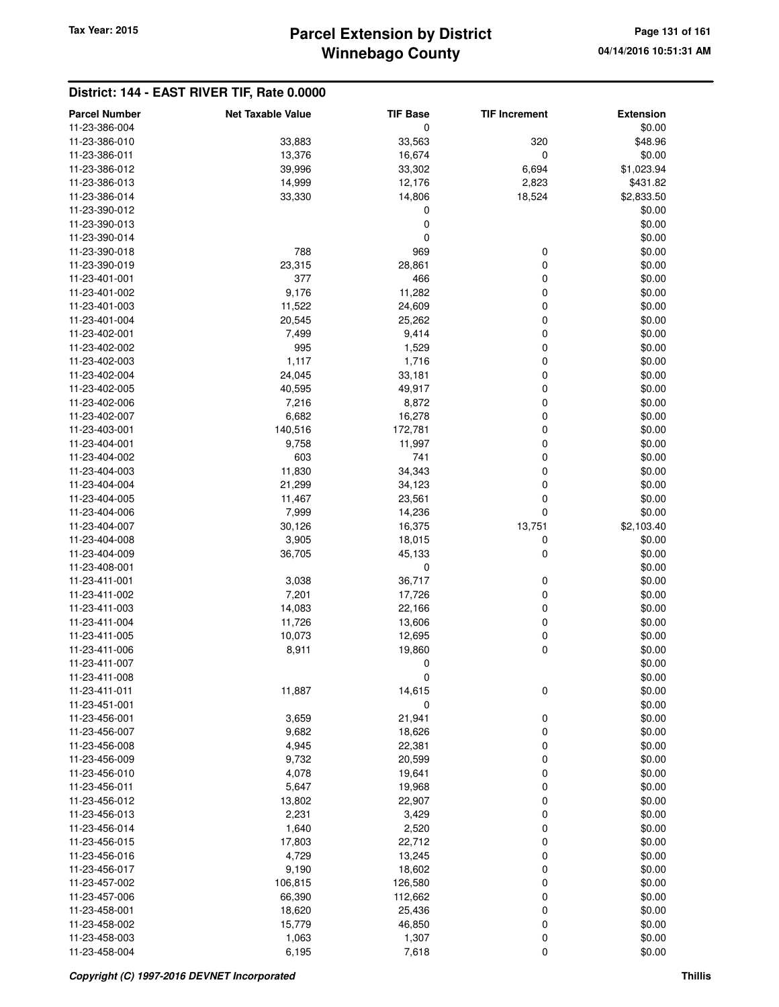# **Winnebago County** Tax Year: 2015 **Parcel Extension by District Page 131 of 161 Page 131 of 161**

| <b>Parcel Number</b> | <b>Net Taxable Value</b> | <b>TIF Base</b> | <b>TIF Increment</b> | <b>Extension</b> |
|----------------------|--------------------------|-----------------|----------------------|------------------|
| 11-23-386-004        |                          | 0               |                      | \$0.00           |
| 11-23-386-010        | 33,883                   | 33,563          | 320                  | \$48.96          |
| 11-23-386-011        | 13,376                   | 16,674          | 0                    | \$0.00           |
| 11-23-386-012        | 39,996                   | 33,302          | 6,694                | \$1,023.94       |
| 11-23-386-013        | 14,999                   | 12,176          | 2,823                | \$431.82         |
| 11-23-386-014        | 33,330                   | 14,806          | 18,524               | \$2,833.50       |
| 11-23-390-012        |                          | 0               |                      | \$0.00           |
| 11-23-390-013        |                          | 0               |                      | \$0.00           |
| 11-23-390-014        |                          | 0               |                      | \$0.00           |
|                      | 788                      | 969             |                      |                  |
| 11-23-390-018        |                          |                 | 0                    | \$0.00           |
| 11-23-390-019        | 23,315                   | 28,861          | 0                    | \$0.00           |
| 11-23-401-001        | 377                      | 466             | 0                    | \$0.00           |
| 11-23-401-002        | 9,176                    | 11,282          | 0                    | \$0.00           |
| 11-23-401-003        | 11,522                   | 24,609          | 0                    | \$0.00           |
| 11-23-401-004        | 20,545                   | 25,262          | 0                    | \$0.00           |
| 11-23-402-001        | 7,499                    | 9,414           | 0                    | \$0.00           |
| 11-23-402-002        | 995                      | 1,529           | 0                    | \$0.00           |
| 11-23-402-003        | 1,117                    | 1,716           | 0                    | \$0.00           |
| 11-23-402-004        | 24,045                   | 33,181          | 0                    | \$0.00           |
| 11-23-402-005        | 40,595                   | 49,917          | 0                    | \$0.00           |
| 11-23-402-006        | 7,216                    | 8,872           | 0                    | \$0.00           |
| 11-23-402-007        | 6,682                    | 16,278          | 0                    | \$0.00           |
| 11-23-403-001        | 140,516                  | 172,781         | 0                    | \$0.00           |
| 11-23-404-001        | 9,758                    | 11,997          | 0                    | \$0.00           |
| 11-23-404-002        | 603                      | 741             | 0                    | \$0.00           |
| 11-23-404-003        | 11,830                   | 34,343          | 0                    | \$0.00           |
| 11-23-404-004        | 21,299                   | 34,123          | 0                    | \$0.00           |
| 11-23-404-005        | 11,467                   | 23,561          | 0                    | \$0.00           |
| 11-23-404-006        | 7,999                    | 14,236          | 0                    | \$0.00           |
| 11-23-404-007        | 30,126                   | 16,375          | 13,751               | \$2,103.40       |
| 11-23-404-008        | 3,905                    | 18,015          | 0                    | \$0.00           |
| 11-23-404-009        | 36,705                   | 45,133          | 0                    | \$0.00           |
| 11-23-408-001        |                          | 0               |                      | \$0.00           |
| 11-23-411-001        | 3,038                    | 36,717          | 0                    | \$0.00           |
| 11-23-411-002        | 7,201                    | 17,726          | 0                    | \$0.00           |
| 11-23-411-003        | 14,083                   | 22,166          | 0                    | \$0.00           |
| 11-23-411-004        | 11,726                   | 13,606          | 0                    | \$0.00           |
| 11-23-411-005        | 10,073                   | 12,695          | 0                    | \$0.00           |
| 11-23-411-006        | 8,911                    | 19,860          | 0                    | \$0.00           |
| 11-23-411-007        |                          | 0               |                      | \$0.00           |
| 11-23-411-008        |                          | 0               |                      | \$0.00           |
| 11-23-411-011        | 11,887                   | 14,615          | 0                    | \$0.00           |
| 11-23-451-001        |                          | 0               |                      | \$0.00           |
| 11-23-456-001        | 3,659                    | 21,941          | 0                    | \$0.00           |
| 11-23-456-007        | 9,682                    | 18,626          | 0                    | \$0.00           |
| 11-23-456-008        | 4,945                    | 22,381          | 0                    | \$0.00           |
|                      |                          |                 |                      |                  |
| 11-23-456-009        | 9,732                    | 20,599          | 0                    | \$0.00           |
| 11-23-456-010        | 4,078                    | 19,641          | 0                    | \$0.00           |
| 11-23-456-011        | 5,647                    | 19,968          | 0                    | \$0.00           |
| 11-23-456-012        | 13,802                   | 22,907          | 0                    | \$0.00           |
| 11-23-456-013        | 2,231                    | 3,429           | 0                    | \$0.00           |
| 11-23-456-014        | 1,640                    | 2,520           | 0                    | \$0.00           |
| 11-23-456-015        | 17,803                   | 22,712          | 0                    | \$0.00           |
| 11-23-456-016        | 4,729                    | 13,245          | 0                    | \$0.00           |
| 11-23-456-017        | 9,190                    | 18,602          | 0                    | \$0.00           |
| 11-23-457-002        | 106,815                  | 126,580         | 0                    | \$0.00           |
| 11-23-457-006        | 66,390                   | 112,662         | 0                    | \$0.00           |
| 11-23-458-001        | 18,620                   | 25,436          | 0                    | \$0.00           |
| 11-23-458-002        | 15,779                   | 46,850          | 0                    | \$0.00           |
| 11-23-458-003        | 1,063                    | 1,307           | 0                    | \$0.00           |
| 11-23-458-004        | 6,195                    | 7,618           | 0                    | \$0.00           |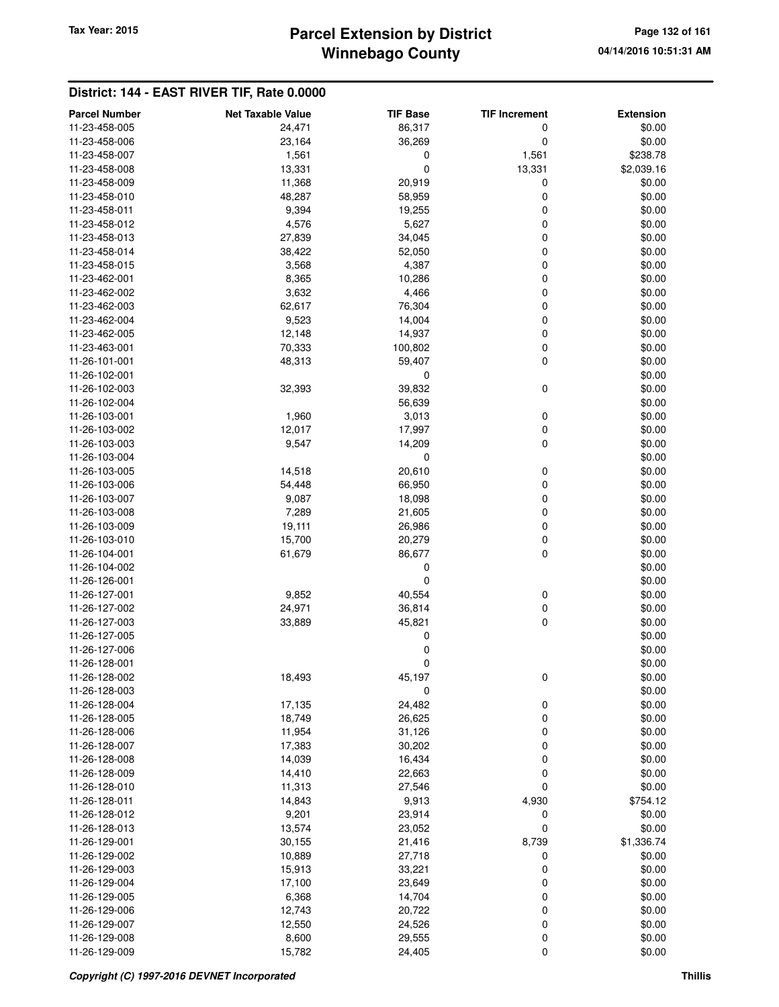# **Winnebago County Parcel Extension by District Tax Year: 2015 Page 132 of 161**

| <b>Parcel Number</b> | <b>Net Taxable Value</b> | <b>TIF Base</b> | <b>TIF Increment</b> | <b>Extension</b> |
|----------------------|--------------------------|-----------------|----------------------|------------------|
| 11-23-458-005        | 24,471                   | 86,317          | 0                    | \$0.00           |
| 11-23-458-006        | 23,164                   | 36,269          | 0                    | \$0.00           |
| 11-23-458-007        | 1,561                    | 0               | 1,561                | \$238.78         |
| 11-23-458-008        | 13,331                   | 0               | 13,331               | \$2,039.16       |
| 11-23-458-009        | 11,368                   | 20,919          | 0                    | \$0.00           |
| 11-23-458-010        | 48,287                   | 58,959          | 0                    | \$0.00           |
| 11-23-458-011        | 9,394                    | 19,255          | 0                    | \$0.00           |
| 11-23-458-012        | 4,576                    | 5,627           | 0                    | \$0.00           |
| 11-23-458-013        | 27,839                   | 34,045          | 0                    | \$0.00           |
| 11-23-458-014        | 38,422                   | 52,050          | 0                    | \$0.00           |
| 11-23-458-015        | 3,568                    | 4,387           | 0                    | \$0.00           |
| 11-23-462-001        | 8,365                    | 10,286          | 0                    | \$0.00           |
| 11-23-462-002        | 3,632                    | 4,466           | 0                    | \$0.00           |
| 11-23-462-003        | 62,617                   | 76,304          | 0                    | \$0.00           |
| 11-23-462-004        | 9,523                    | 14,004          | 0                    | \$0.00           |
| 11-23-462-005        | 12,148                   | 14,937          | 0                    | \$0.00           |
| 11-23-463-001        | 70,333                   | 100,802         | 0                    | \$0.00           |
| 11-26-101-001        | 48,313                   | 59,407          | 0                    | \$0.00           |
| 11-26-102-001        |                          | 0               |                      | \$0.00           |
| 11-26-102-003        | 32,393                   | 39,832          | 0                    | \$0.00           |
| 11-26-102-004        |                          | 56,639          |                      | \$0.00           |
| 11-26-103-001        | 1,960                    | 3,013           | 0                    | \$0.00           |
| 11-26-103-002        | 12,017                   | 17,997          | 0                    | \$0.00           |
| 11-26-103-003        | 9,547                    | 14,209          | 0                    | \$0.00           |
| 11-26-103-004        |                          | 0               |                      | \$0.00           |
| 11-26-103-005        | 14,518                   | 20,610          | 0                    | \$0.00           |
| 11-26-103-006        | 54,448                   | 66,950          | 0                    | \$0.00           |
| 11-26-103-007        | 9,087                    | 18,098          | 0                    | \$0.00           |
| 11-26-103-008        | 7,289                    | 21,605          | 0                    | \$0.00           |
| 11-26-103-009        | 19,111                   | 26,986          | 0                    | \$0.00           |
| 11-26-103-010        | 15,700                   | 20,279          | 0                    | \$0.00           |
| 11-26-104-001        | 61,679                   | 86,677          | 0                    | \$0.00           |
| 11-26-104-002        |                          | 0               |                      | \$0.00           |
| 11-26-126-001        |                          | 0               |                      | \$0.00           |
| 11-26-127-001        | 9,852                    | 40,554          | 0                    | \$0.00           |
| 11-26-127-002        | 24,971                   | 36,814          | 0                    | \$0.00           |
| 11-26-127-003        | 33,889                   | 45,821          | 0                    | \$0.00           |
| 11-26-127-005        |                          | 0               |                      | \$0.00           |
| 11-26-127-006        |                          | 0               |                      | \$0.00           |
| 11-26-128-001        |                          | 0               |                      | \$0.00           |
| 11-26-128-002        | 18,493                   | 45,197          | 0                    | \$0.00           |
| 11-26-128-003        |                          | 0               |                      | \$0.00           |
| 11-26-128-004        | 17,135                   | 24,482          | 0                    | \$0.00           |
| 11-26-128-005        | 18,749                   | 26,625          | 0                    | \$0.00           |
| 11-26-128-006        | 11,954                   | 31,126          | 0                    | \$0.00           |
| 11-26-128-007        | 17,383                   | 30,202          | 0                    | \$0.00           |
| 11-26-128-008        | 14,039                   | 16,434          | 0                    | \$0.00           |
| 11-26-128-009        | 14,410                   | 22,663          | 0                    | \$0.00           |
| 11-26-128-010        | 11,313                   | 27,546          | 0                    | \$0.00           |
| 11-26-128-011        | 14,843                   | 9,913           | 4,930                | \$754.12         |
| 11-26-128-012        | 9,201                    | 23,914          | 0                    | \$0.00           |
| 11-26-128-013        | 13,574                   | 23,052          | 0                    | \$0.00           |
| 11-26-129-001        | 30,155                   | 21,416          | 8,739                | \$1,336.74       |
| 11-26-129-002        | 10,889                   | 27,718          | 0                    | \$0.00           |
| 11-26-129-003        | 15,913                   | 33,221          | 0                    | \$0.00           |
| 11-26-129-004        | 17,100                   | 23,649          | 0                    | \$0.00           |
| 11-26-129-005        | 6,368                    | 14,704          | 0                    | \$0.00           |
| 11-26-129-006        | 12,743                   | 20,722          | 0                    | \$0.00           |
| 11-26-129-007        | 12,550                   | 24,526          | 0                    | \$0.00           |
| 11-26-129-008        | 8,600                    | 29,555          | 0                    | \$0.00           |
| 11-26-129-009        | 15,782                   | 24,405          | 0                    | \$0.00           |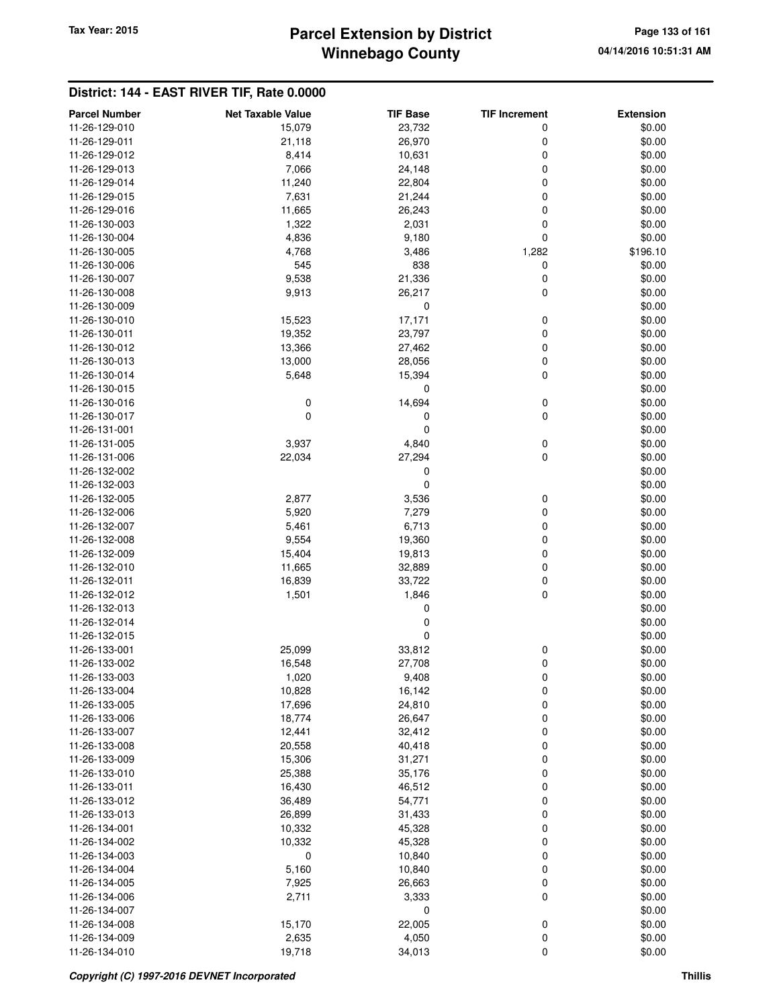## **Winnebago County Parcel Extension by District Tax Year: 2015 Page 133 of 161**

| <b>Parcel Number</b> | <b>Net Taxable Value</b> | <b>TIF Base</b> | <b>TIF Increment</b> | <b>Extension</b> |
|----------------------|--------------------------|-----------------|----------------------|------------------|
| 11-26-129-010        | 15,079                   | 23,732          | 0                    | \$0.00           |
| 11-26-129-011        | 21,118                   | 26,970          | 0                    | \$0.00           |
| 11-26-129-012        | 8,414                    | 10,631          | 0                    | \$0.00           |
| 11-26-129-013        | 7,066                    | 24,148          | 0                    | \$0.00           |
| 11-26-129-014        | 11,240                   | 22,804          | 0                    | \$0.00           |
| 11-26-129-015        | 7,631                    | 21,244          | 0                    | \$0.00           |
| 11-26-129-016        | 11,665                   | 26,243          | 0                    | \$0.00           |
| 11-26-130-003        | 1,322                    | 2,031           | 0                    | \$0.00           |
| 11-26-130-004        | 4,836                    | 9,180           | 0                    | \$0.00           |
| 11-26-130-005        | 4,768                    | 3,486           | 1,282                | \$196.10         |
| 11-26-130-006        | 545                      | 838             | 0                    | \$0.00           |
| 11-26-130-007        | 9,538                    | 21,336          | 0                    | \$0.00           |
| 11-26-130-008        | 9,913                    | 26,217          | 0                    | \$0.00           |
| 11-26-130-009        |                          | 0               |                      | \$0.00           |
| 11-26-130-010        | 15,523                   | 17,171          | 0                    | \$0.00           |
| 11-26-130-011        | 19,352                   | 23,797          | 0                    | \$0.00           |
| 11-26-130-012        | 13,366                   | 27,462          | 0                    | \$0.00           |
| 11-26-130-013        | 13,000                   | 28,056          | 0                    | \$0.00           |
| 11-26-130-014        | 5,648                    | 15,394          | 0                    | \$0.00           |
| 11-26-130-015        |                          | 0               |                      | \$0.00           |
| 11-26-130-016        | 0                        | 14,694          | 0                    | \$0.00           |
| 11-26-130-017        | $\mathbf 0$              | 0               | 0                    | \$0.00           |
| 11-26-131-001        |                          | 0               |                      | \$0.00           |
| 11-26-131-005        | 3,937                    | 4,840           | 0                    | \$0.00           |
| 11-26-131-006        | 22,034                   | 27,294          | 0                    | \$0.00           |
| 11-26-132-002        |                          | 0               |                      | \$0.00           |
| 11-26-132-003        |                          | 0               |                      | \$0.00           |
| 11-26-132-005        | 2,877                    | 3,536           | 0                    | \$0.00           |
| 11-26-132-006        | 5,920                    | 7,279           | 0                    | \$0.00           |
| 11-26-132-007        | 5,461                    | 6,713           | 0                    | \$0.00           |
| 11-26-132-008        | 9,554                    | 19,360          | 0                    | \$0.00           |
| 11-26-132-009        | 15,404                   | 19,813          | 0                    | \$0.00           |
| 11-26-132-010        | 11,665                   | 32,889          | 0                    | \$0.00           |
| 11-26-132-011        | 16,839                   | 33,722          | 0                    | \$0.00           |
| 11-26-132-012        | 1,501                    | 1,846           | 0                    | \$0.00           |
| 11-26-132-013        |                          | 0               |                      | \$0.00           |
| 11-26-132-014        |                          | 0               |                      | \$0.00           |
| 11-26-132-015        |                          | 0               |                      | \$0.00           |
| 11-26-133-001        | 25,099                   | 33,812          | 0                    | \$0.00           |
| 11-26-133-002        | 16,548                   | 27,708          | 0                    | \$0.00           |
| 11-26-133-003        | 1,020                    | 9,408           | 0                    | \$0.00           |
| 11-26-133-004        | 10,828                   | 16,142          | 0                    | \$0.00           |
| 11-26-133-005        | 17,696                   | 24,810          | 0                    | \$0.00           |
| 11-26-133-006        | 18,774                   | 26,647          | 0                    | \$0.00           |
| 11-26-133-007        | 12,441                   | 32,412          | 0                    | \$0.00           |
| 11-26-133-008        | 20,558                   | 40,418          | 0                    | \$0.00           |
| 11-26-133-009        | 15,306                   | 31,271          | 0                    | \$0.00           |
| 11-26-133-010        | 25,388                   | 35,176          | 0                    | \$0.00           |
| 11-26-133-011        | 16,430                   | 46,512          | 0                    | \$0.00           |
| 11-26-133-012        | 36,489                   | 54,771          | 0                    | \$0.00           |
| 11-26-133-013        | 26,899                   | 31,433          | 0                    | \$0.00           |
| 11-26-134-001        | 10,332                   | 45,328          | 0                    | \$0.00           |
| 11-26-134-002        | 10,332                   | 45,328          | 0                    | \$0.00           |
| 11-26-134-003        | $\mathbf 0$              | 10,840          | 0                    | \$0.00           |
| 11-26-134-004        | 5,160                    | 10,840          | 0                    | \$0.00           |
| 11-26-134-005        | 7,925                    | 26,663          | 0                    | \$0.00           |
| 11-26-134-006        | 2,711                    | 3,333           | 0                    | \$0.00           |
| 11-26-134-007        |                          | 0               |                      | \$0.00           |
| 11-26-134-008        | 15,170                   | 22,005          | $\pmb{0}$            | \$0.00           |
| 11-26-134-009        | 2,635                    | 4,050           | $\pmb{0}$            | \$0.00           |
| 11-26-134-010        | 19,718                   | 34,013          | $\mathbf 0$          | \$0.00           |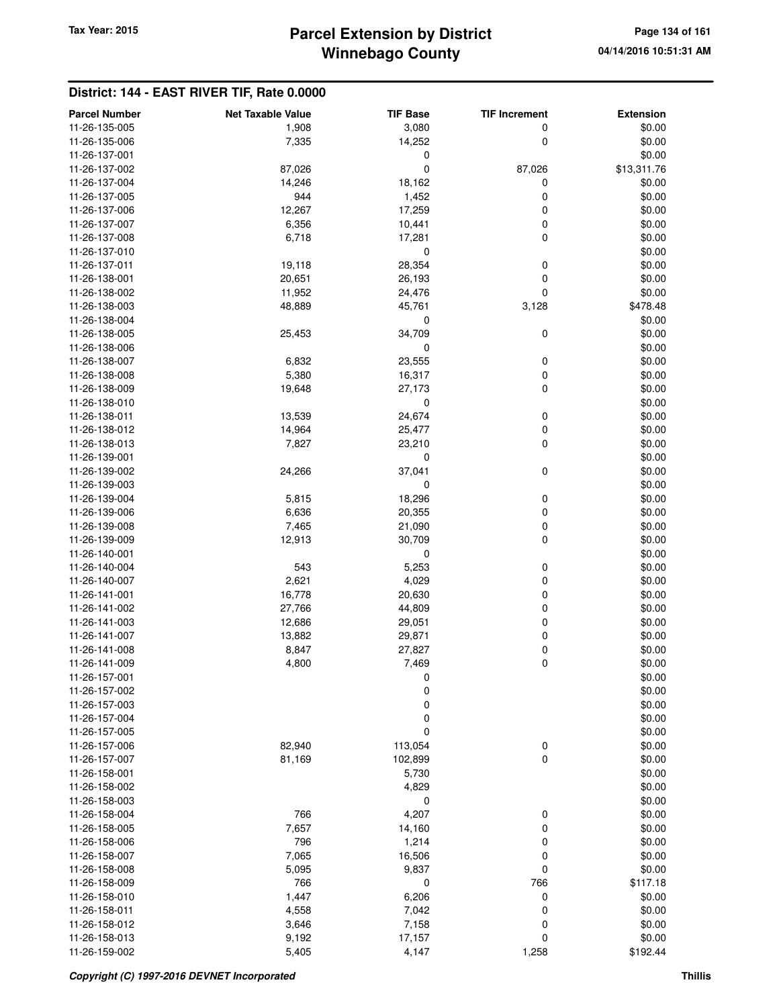# **Winnebago County** Tax Year: 2015 **Parcel Extension by District Page 134 of 161**

| <b>Parcel Number</b> | <b>Net Taxable Value</b> | <b>TIF Base</b> | <b>TIF Increment</b> | <b>Extension</b> |
|----------------------|--------------------------|-----------------|----------------------|------------------|
| 11-26-135-005        | 1,908                    | 3,080           | 0                    | \$0.00           |
| 11-26-135-006        | 7,335                    | 14,252          | 0                    | \$0.00           |
| 11-26-137-001        |                          | 0               |                      | \$0.00           |
| 11-26-137-002        | 87,026                   | 0               | 87,026               | \$13,311.76      |
| 11-26-137-004        | 14,246                   | 18,162          | 0                    | \$0.00           |
| 11-26-137-005        | 944                      | 1,452           | 0                    | \$0.00           |
| 11-26-137-006        | 12,267                   | 17,259          | 0                    | \$0.00           |
| 11-26-137-007        | 6,356                    | 10,441          | 0                    | \$0.00           |
| 11-26-137-008        | 6,718                    | 17,281          | 0                    | \$0.00           |
| 11-26-137-010        |                          | 0               |                      | \$0.00           |
| 11-26-137-011        | 19,118                   | 28,354          | 0                    | \$0.00           |
| 11-26-138-001        | 20,651                   | 26,193          | 0                    | \$0.00           |
| 11-26-138-002        | 11,952                   | 24,476          | 0                    | \$0.00           |
| 11-26-138-003        | 48,889                   | 45,761          | 3,128                | \$478.48         |
| 11-26-138-004        |                          | 0               |                      | \$0.00           |
| 11-26-138-005        | 25,453                   | 34,709          | 0                    | \$0.00           |
| 11-26-138-006        |                          | 0               |                      | \$0.00           |
| 11-26-138-007        | 6,832                    | 23,555          | 0                    | \$0.00           |
| 11-26-138-008        | 5,380                    | 16,317          | 0                    | \$0.00           |
| 11-26-138-009        | 19,648                   | 27,173          | 0                    | \$0.00           |
| 11-26-138-010        |                          | 0               |                      | \$0.00           |
| 11-26-138-011        | 13,539                   | 24,674          | 0                    | \$0.00           |
| 11-26-138-012        | 14,964                   | 25,477          | 0                    | \$0.00           |
| 11-26-138-013        | 7,827                    | 23,210          | 0                    | \$0.00           |
| 11-26-139-001        |                          | 0               |                      | \$0.00           |
| 11-26-139-002        | 24,266                   | 37,041          | 0                    | \$0.00           |
| 11-26-139-003        |                          | 0               |                      | \$0.00           |
| 11-26-139-004        | 5,815                    | 18,296          | 0                    | \$0.00           |
| 11-26-139-006        | 6,636                    | 20,355          | 0                    | \$0.00           |
| 11-26-139-008        | 7,465                    | 21,090          | 0                    | \$0.00           |
| 11-26-139-009        | 12,913                   | 30,709          | 0                    | \$0.00           |
| 11-26-140-001        |                          | 0               |                      | \$0.00           |
| 11-26-140-004        | 543                      | 5,253           | 0                    | \$0.00           |
| 11-26-140-007        | 2,621                    | 4,029           | 0                    | \$0.00           |
| 11-26-141-001        | 16,778                   | 20,630          | 0                    | \$0.00           |
| 11-26-141-002        | 27,766                   | 44,809          | 0                    | \$0.00           |
| 11-26-141-003        | 12,686                   | 29,051          | 0                    | \$0.00           |
| 11-26-141-007        | 13,882                   | 29,871          | 0                    | \$0.00           |
| 11-26-141-008        | 8,847                    | 27,827          | 0                    | \$0.00           |
| 11-26-141-009        | 4,800                    | 7,469           | 0                    | \$0.00           |
| 11-26-157-001        |                          | 0               |                      | \$0.00           |
| 11-26-157-002        |                          | $\mathbf 0$     |                      | \$0.00           |
| 11-26-157-003        |                          | $\mathbf 0$     |                      | \$0.00           |
| 11-26-157-004        |                          | 0               |                      | \$0.00           |
| 11-26-157-005        |                          | 0               |                      | \$0.00           |
| 11-26-157-006        | 82,940                   | 113,054         | 0                    | \$0.00           |
| 11-26-157-007        | 81,169                   | 102,899         | 0                    | \$0.00           |
| 11-26-158-001        |                          | 5,730           |                      | \$0.00           |
| 11-26-158-002        |                          | 4,829           |                      | \$0.00           |
| 11-26-158-003        |                          | 0               |                      | \$0.00           |
| 11-26-158-004        | 766                      | 4,207           | 0                    | \$0.00           |
| 11-26-158-005        | 7,657                    | 14,160          | 0                    | \$0.00           |
| 11-26-158-006        | 796                      | 1,214           | 0                    | \$0.00           |
| 11-26-158-007        | 7,065                    | 16,506          | 0                    | \$0.00           |
| 11-26-158-008        | 5,095                    | 9,837           | 0                    | \$0.00           |
| 11-26-158-009        | 766                      | 0               | 766                  | \$117.18         |
| 11-26-158-010        | 1,447                    | 6,206           | 0                    | \$0.00           |
| 11-26-158-011        | 4,558                    | 7,042           | 0                    | \$0.00           |
| 11-26-158-012        | 3,646                    | 7,158           | 0                    | \$0.00           |
| 11-26-158-013        | 9,192                    | 17,157          | 0                    | \$0.00           |
| 11-26-159-002        | 5,405                    | 4,147           | 1,258                | \$192.44         |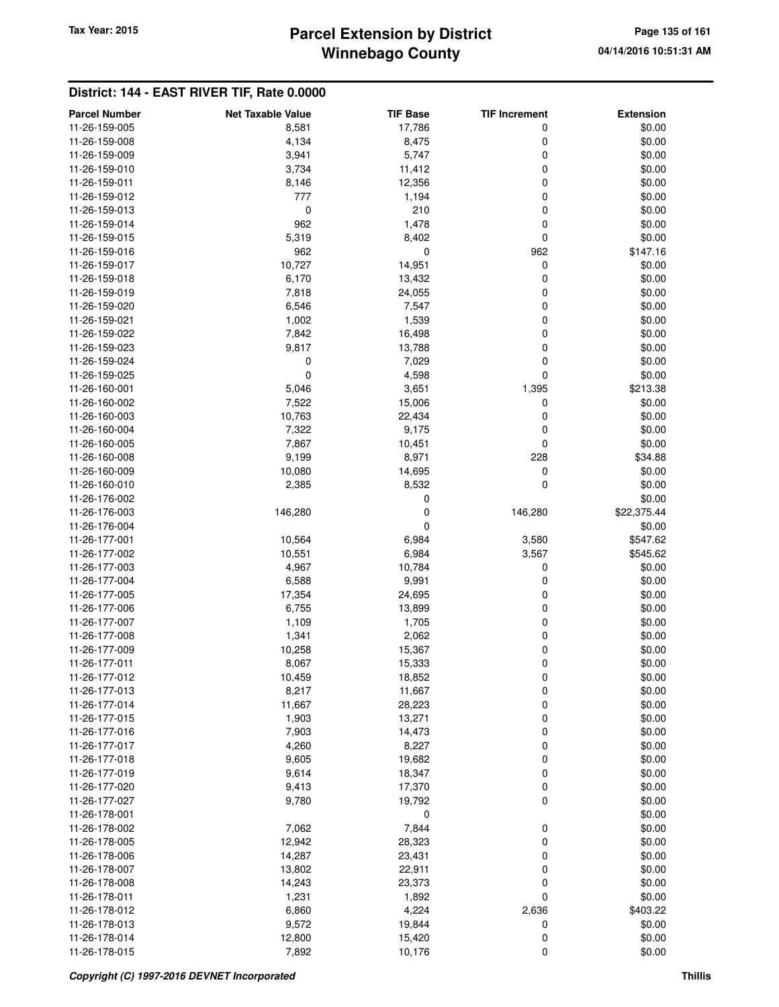## **Winnebago County Parcel Extension by District Tax Year: 2015 Page 135 of 161**

| 11-26-159-005<br>17,786<br>\$0.00<br>8,581<br>0<br>11-26-159-008<br>4,134<br>8,475<br>0<br>\$0.00<br>3,941<br>5,747<br>0<br>\$0.00<br>11-26-159-009<br>3,734<br>0<br>\$0.00<br>11-26-159-010<br>11,412<br>11-26-159-011<br>12,356<br>\$0.00<br>8,146<br>0<br>777<br>1,194<br>0<br>\$0.00<br>11-26-159-012<br>0<br>210<br>0<br>\$0.00<br>11-26-159-013<br>962<br>1,478<br>0<br>\$0.00<br>11-26-159-014<br>5,319<br>8,402<br>0<br>\$0.00<br>11-26-159-015<br>11-26-159-016<br>962<br>0<br>962<br>\$147.16<br>$\mathbf 0$<br>11-26-159-017<br>10,727<br>14,951<br>\$0.00<br>6,170<br>13,432<br>0<br>\$0.00<br>11-26-159-018<br>7,818<br>0<br>\$0.00<br>11-26-159-019<br>24,055<br>6,546<br>7,547<br>\$0.00<br>11-26-159-020<br>0<br>11-26-159-021<br>1,002<br>1,539<br>\$0.00<br>0<br>7,842<br>16,498<br>0<br>\$0.00<br>11-26-159-022<br>9,817<br>13,788<br>0<br>\$0.00<br>11-26-159-023<br>0<br>0<br>\$0.00<br>11-26-159-024<br>7,029<br>0<br>4,598<br>0<br>\$0.00<br>11-26-159-025<br>11-26-160-001<br>5,046<br>3,651<br>1,395<br>\$213.38<br>11-26-160-002<br>7,522<br>15,006<br>0<br>\$0.00<br>10,763<br>\$0.00<br>11-26-160-003<br>22,434<br>0<br>7,322<br>9,175<br>0<br>\$0.00<br>11-26-160-004<br>7,867<br>0<br>\$0.00<br>11-26-160-005<br>10,451<br>228<br>9,199<br>8,971<br>\$34.88<br>11-26-160-008<br>10,080<br>14,695<br>0<br>\$0.00<br>11-26-160-009<br>8,532<br>0<br>\$0.00<br>11-26-160-010<br>2,385<br>0<br>\$0.00<br>11-26-176-002<br>0<br>\$22,375.44<br>11-26-176-003<br>146,280<br>146,280<br>11-26-176-004<br>0<br>\$0.00<br>11-26-177-001<br>6,984<br>\$547.62<br>10,564<br>3,580<br>11-26-177-002<br>10,551<br>6,984<br>3,567<br>\$545.62<br>4,967<br>10,784<br>0<br>\$0.00<br>11-26-177-003<br>6,588<br>9,991<br>\$0.00<br>11-26-177-004<br>0<br>11-26-177-005<br>17,354<br>24,695<br>\$0.00<br>0<br>11-26-177-006<br>6,755<br>13,899<br>0<br>\$0.00<br>11-26-177-007<br>1,109<br>1,705<br>0<br>\$0.00<br>1,341<br>2,062<br>0<br>\$0.00<br>11-26-177-008<br>11-26-177-009<br>10,258<br>15,367<br>0<br>\$0.00<br>11-26-177-011<br>8,067<br>15,333<br>0<br>\$0.00<br>10,459<br>11-26-177-012<br>18,852<br>0<br>\$0.00<br>11-26-177-013<br>8,217<br>0<br>\$0.00<br>11,667<br>0<br>11-26-177-014<br>11,667<br>28,223<br>\$0.00<br>13,271<br>0<br>\$0.00<br>11-26-177-015<br>1,903<br>11-26-177-016<br>7,903<br>14,473<br>0<br>\$0.00<br>8,227<br>0<br>11-26-177-017<br>4,260<br>\$0.00<br>11-26-177-018<br>9,605<br>19,682<br>0<br>\$0.00<br>9,614<br>18,347<br>0<br>\$0.00<br>11-26-177-019<br>11-26-177-020<br>9,413<br>17,370<br>0<br>\$0.00<br>11-26-177-027<br>9,780<br>19,792<br>0<br>\$0.00<br>11-26-178-001<br>0<br>\$0.00<br>7,844<br>11-26-178-002<br>7,062<br>0<br>\$0.00<br>0<br>12,942<br>28,323<br>\$0.00<br>11-26-178-005<br>14,287<br>23,431<br>0<br>\$0.00<br>11-26-178-006<br>11-26-178-007<br>13,802<br>22,911<br>0<br>\$0.00<br>11-26-178-008<br>14,243<br>23,373<br>0<br>\$0.00<br>$\mathbf 0$<br>11-26-178-011<br>1,231<br>1,892<br>\$0.00<br>6,860<br>4,224<br>2,636<br>\$403.22<br>11-26-178-012<br>11-26-178-013<br>9,572<br>19,844<br>\$0.00<br>0<br>11-26-178-014<br>12,800<br>15,420<br>\$0.00<br>0 | <b>Parcel Number</b> | <b>Net Taxable Value</b> | <b>TIF Base</b> | <b>TIF Increment</b> | <b>Extension</b> |
|--------------------------------------------------------------------------------------------------------------------------------------------------------------------------------------------------------------------------------------------------------------------------------------------------------------------------------------------------------------------------------------------------------------------------------------------------------------------------------------------------------------------------------------------------------------------------------------------------------------------------------------------------------------------------------------------------------------------------------------------------------------------------------------------------------------------------------------------------------------------------------------------------------------------------------------------------------------------------------------------------------------------------------------------------------------------------------------------------------------------------------------------------------------------------------------------------------------------------------------------------------------------------------------------------------------------------------------------------------------------------------------------------------------------------------------------------------------------------------------------------------------------------------------------------------------------------------------------------------------------------------------------------------------------------------------------------------------------------------------------------------------------------------------------------------------------------------------------------------------------------------------------------------------------------------------------------------------------------------------------------------------------------------------------------------------------------------------------------------------------------------------------------------------------------------------------------------------------------------------------------------------------------------------------------------------------------------------------------------------------------------------------------------------------------------------------------------------------------------------------------------------------------------------------------------------------------------------------------------------------------------------------------------------------------------------------------------------------------------------------------------------------------------------------------------------------------------------------------------------------------------------------------------------------------------------------------------------------------------------------------------------------------------------------------------------------------------------------------------------------------------------------------|----------------------|--------------------------|-----------------|----------------------|------------------|
|                                                                                                                                                                                                                                                                                                                                                                                                                                                                                                                                                                                                                                                                                                                                                                                                                                                                                                                                                                                                                                                                                                                                                                                                                                                                                                                                                                                                                                                                                                                                                                                                                                                                                                                                                                                                                                                                                                                                                                                                                                                                                                                                                                                                                                                                                                                                                                                                                                                                                                                                                                                                                                                                                                                                                                                                                                                                                                                                                                                                                                                                                                                                                  |                      |                          |                 |                      |                  |
|                                                                                                                                                                                                                                                                                                                                                                                                                                                                                                                                                                                                                                                                                                                                                                                                                                                                                                                                                                                                                                                                                                                                                                                                                                                                                                                                                                                                                                                                                                                                                                                                                                                                                                                                                                                                                                                                                                                                                                                                                                                                                                                                                                                                                                                                                                                                                                                                                                                                                                                                                                                                                                                                                                                                                                                                                                                                                                                                                                                                                                                                                                                                                  |                      |                          |                 |                      |                  |
|                                                                                                                                                                                                                                                                                                                                                                                                                                                                                                                                                                                                                                                                                                                                                                                                                                                                                                                                                                                                                                                                                                                                                                                                                                                                                                                                                                                                                                                                                                                                                                                                                                                                                                                                                                                                                                                                                                                                                                                                                                                                                                                                                                                                                                                                                                                                                                                                                                                                                                                                                                                                                                                                                                                                                                                                                                                                                                                                                                                                                                                                                                                                                  |                      |                          |                 |                      |                  |
|                                                                                                                                                                                                                                                                                                                                                                                                                                                                                                                                                                                                                                                                                                                                                                                                                                                                                                                                                                                                                                                                                                                                                                                                                                                                                                                                                                                                                                                                                                                                                                                                                                                                                                                                                                                                                                                                                                                                                                                                                                                                                                                                                                                                                                                                                                                                                                                                                                                                                                                                                                                                                                                                                                                                                                                                                                                                                                                                                                                                                                                                                                                                                  |                      |                          |                 |                      |                  |
|                                                                                                                                                                                                                                                                                                                                                                                                                                                                                                                                                                                                                                                                                                                                                                                                                                                                                                                                                                                                                                                                                                                                                                                                                                                                                                                                                                                                                                                                                                                                                                                                                                                                                                                                                                                                                                                                                                                                                                                                                                                                                                                                                                                                                                                                                                                                                                                                                                                                                                                                                                                                                                                                                                                                                                                                                                                                                                                                                                                                                                                                                                                                                  |                      |                          |                 |                      |                  |
|                                                                                                                                                                                                                                                                                                                                                                                                                                                                                                                                                                                                                                                                                                                                                                                                                                                                                                                                                                                                                                                                                                                                                                                                                                                                                                                                                                                                                                                                                                                                                                                                                                                                                                                                                                                                                                                                                                                                                                                                                                                                                                                                                                                                                                                                                                                                                                                                                                                                                                                                                                                                                                                                                                                                                                                                                                                                                                                                                                                                                                                                                                                                                  |                      |                          |                 |                      |                  |
|                                                                                                                                                                                                                                                                                                                                                                                                                                                                                                                                                                                                                                                                                                                                                                                                                                                                                                                                                                                                                                                                                                                                                                                                                                                                                                                                                                                                                                                                                                                                                                                                                                                                                                                                                                                                                                                                                                                                                                                                                                                                                                                                                                                                                                                                                                                                                                                                                                                                                                                                                                                                                                                                                                                                                                                                                                                                                                                                                                                                                                                                                                                                                  |                      |                          |                 |                      |                  |
|                                                                                                                                                                                                                                                                                                                                                                                                                                                                                                                                                                                                                                                                                                                                                                                                                                                                                                                                                                                                                                                                                                                                                                                                                                                                                                                                                                                                                                                                                                                                                                                                                                                                                                                                                                                                                                                                                                                                                                                                                                                                                                                                                                                                                                                                                                                                                                                                                                                                                                                                                                                                                                                                                                                                                                                                                                                                                                                                                                                                                                                                                                                                                  |                      |                          |                 |                      |                  |
|                                                                                                                                                                                                                                                                                                                                                                                                                                                                                                                                                                                                                                                                                                                                                                                                                                                                                                                                                                                                                                                                                                                                                                                                                                                                                                                                                                                                                                                                                                                                                                                                                                                                                                                                                                                                                                                                                                                                                                                                                                                                                                                                                                                                                                                                                                                                                                                                                                                                                                                                                                                                                                                                                                                                                                                                                                                                                                                                                                                                                                                                                                                                                  |                      |                          |                 |                      |                  |
|                                                                                                                                                                                                                                                                                                                                                                                                                                                                                                                                                                                                                                                                                                                                                                                                                                                                                                                                                                                                                                                                                                                                                                                                                                                                                                                                                                                                                                                                                                                                                                                                                                                                                                                                                                                                                                                                                                                                                                                                                                                                                                                                                                                                                                                                                                                                                                                                                                                                                                                                                                                                                                                                                                                                                                                                                                                                                                                                                                                                                                                                                                                                                  |                      |                          |                 |                      |                  |
|                                                                                                                                                                                                                                                                                                                                                                                                                                                                                                                                                                                                                                                                                                                                                                                                                                                                                                                                                                                                                                                                                                                                                                                                                                                                                                                                                                                                                                                                                                                                                                                                                                                                                                                                                                                                                                                                                                                                                                                                                                                                                                                                                                                                                                                                                                                                                                                                                                                                                                                                                                                                                                                                                                                                                                                                                                                                                                                                                                                                                                                                                                                                                  |                      |                          |                 |                      |                  |
|                                                                                                                                                                                                                                                                                                                                                                                                                                                                                                                                                                                                                                                                                                                                                                                                                                                                                                                                                                                                                                                                                                                                                                                                                                                                                                                                                                                                                                                                                                                                                                                                                                                                                                                                                                                                                                                                                                                                                                                                                                                                                                                                                                                                                                                                                                                                                                                                                                                                                                                                                                                                                                                                                                                                                                                                                                                                                                                                                                                                                                                                                                                                                  |                      |                          |                 |                      |                  |
|                                                                                                                                                                                                                                                                                                                                                                                                                                                                                                                                                                                                                                                                                                                                                                                                                                                                                                                                                                                                                                                                                                                                                                                                                                                                                                                                                                                                                                                                                                                                                                                                                                                                                                                                                                                                                                                                                                                                                                                                                                                                                                                                                                                                                                                                                                                                                                                                                                                                                                                                                                                                                                                                                                                                                                                                                                                                                                                                                                                                                                                                                                                                                  |                      |                          |                 |                      |                  |
|                                                                                                                                                                                                                                                                                                                                                                                                                                                                                                                                                                                                                                                                                                                                                                                                                                                                                                                                                                                                                                                                                                                                                                                                                                                                                                                                                                                                                                                                                                                                                                                                                                                                                                                                                                                                                                                                                                                                                                                                                                                                                                                                                                                                                                                                                                                                                                                                                                                                                                                                                                                                                                                                                                                                                                                                                                                                                                                                                                                                                                                                                                                                                  |                      |                          |                 |                      |                  |
|                                                                                                                                                                                                                                                                                                                                                                                                                                                                                                                                                                                                                                                                                                                                                                                                                                                                                                                                                                                                                                                                                                                                                                                                                                                                                                                                                                                                                                                                                                                                                                                                                                                                                                                                                                                                                                                                                                                                                                                                                                                                                                                                                                                                                                                                                                                                                                                                                                                                                                                                                                                                                                                                                                                                                                                                                                                                                                                                                                                                                                                                                                                                                  |                      |                          |                 |                      |                  |
|                                                                                                                                                                                                                                                                                                                                                                                                                                                                                                                                                                                                                                                                                                                                                                                                                                                                                                                                                                                                                                                                                                                                                                                                                                                                                                                                                                                                                                                                                                                                                                                                                                                                                                                                                                                                                                                                                                                                                                                                                                                                                                                                                                                                                                                                                                                                                                                                                                                                                                                                                                                                                                                                                                                                                                                                                                                                                                                                                                                                                                                                                                                                                  |                      |                          |                 |                      |                  |
|                                                                                                                                                                                                                                                                                                                                                                                                                                                                                                                                                                                                                                                                                                                                                                                                                                                                                                                                                                                                                                                                                                                                                                                                                                                                                                                                                                                                                                                                                                                                                                                                                                                                                                                                                                                                                                                                                                                                                                                                                                                                                                                                                                                                                                                                                                                                                                                                                                                                                                                                                                                                                                                                                                                                                                                                                                                                                                                                                                                                                                                                                                                                                  |                      |                          |                 |                      |                  |
|                                                                                                                                                                                                                                                                                                                                                                                                                                                                                                                                                                                                                                                                                                                                                                                                                                                                                                                                                                                                                                                                                                                                                                                                                                                                                                                                                                                                                                                                                                                                                                                                                                                                                                                                                                                                                                                                                                                                                                                                                                                                                                                                                                                                                                                                                                                                                                                                                                                                                                                                                                                                                                                                                                                                                                                                                                                                                                                                                                                                                                                                                                                                                  |                      |                          |                 |                      |                  |
|                                                                                                                                                                                                                                                                                                                                                                                                                                                                                                                                                                                                                                                                                                                                                                                                                                                                                                                                                                                                                                                                                                                                                                                                                                                                                                                                                                                                                                                                                                                                                                                                                                                                                                                                                                                                                                                                                                                                                                                                                                                                                                                                                                                                                                                                                                                                                                                                                                                                                                                                                                                                                                                                                                                                                                                                                                                                                                                                                                                                                                                                                                                                                  |                      |                          |                 |                      |                  |
|                                                                                                                                                                                                                                                                                                                                                                                                                                                                                                                                                                                                                                                                                                                                                                                                                                                                                                                                                                                                                                                                                                                                                                                                                                                                                                                                                                                                                                                                                                                                                                                                                                                                                                                                                                                                                                                                                                                                                                                                                                                                                                                                                                                                                                                                                                                                                                                                                                                                                                                                                                                                                                                                                                                                                                                                                                                                                                                                                                                                                                                                                                                                                  |                      |                          |                 |                      |                  |
|                                                                                                                                                                                                                                                                                                                                                                                                                                                                                                                                                                                                                                                                                                                                                                                                                                                                                                                                                                                                                                                                                                                                                                                                                                                                                                                                                                                                                                                                                                                                                                                                                                                                                                                                                                                                                                                                                                                                                                                                                                                                                                                                                                                                                                                                                                                                                                                                                                                                                                                                                                                                                                                                                                                                                                                                                                                                                                                                                                                                                                                                                                                                                  |                      |                          |                 |                      |                  |
|                                                                                                                                                                                                                                                                                                                                                                                                                                                                                                                                                                                                                                                                                                                                                                                                                                                                                                                                                                                                                                                                                                                                                                                                                                                                                                                                                                                                                                                                                                                                                                                                                                                                                                                                                                                                                                                                                                                                                                                                                                                                                                                                                                                                                                                                                                                                                                                                                                                                                                                                                                                                                                                                                                                                                                                                                                                                                                                                                                                                                                                                                                                                                  |                      |                          |                 |                      |                  |
|                                                                                                                                                                                                                                                                                                                                                                                                                                                                                                                                                                                                                                                                                                                                                                                                                                                                                                                                                                                                                                                                                                                                                                                                                                                                                                                                                                                                                                                                                                                                                                                                                                                                                                                                                                                                                                                                                                                                                                                                                                                                                                                                                                                                                                                                                                                                                                                                                                                                                                                                                                                                                                                                                                                                                                                                                                                                                                                                                                                                                                                                                                                                                  |                      |                          |                 |                      |                  |
|                                                                                                                                                                                                                                                                                                                                                                                                                                                                                                                                                                                                                                                                                                                                                                                                                                                                                                                                                                                                                                                                                                                                                                                                                                                                                                                                                                                                                                                                                                                                                                                                                                                                                                                                                                                                                                                                                                                                                                                                                                                                                                                                                                                                                                                                                                                                                                                                                                                                                                                                                                                                                                                                                                                                                                                                                                                                                                                                                                                                                                                                                                                                                  |                      |                          |                 |                      |                  |
|                                                                                                                                                                                                                                                                                                                                                                                                                                                                                                                                                                                                                                                                                                                                                                                                                                                                                                                                                                                                                                                                                                                                                                                                                                                                                                                                                                                                                                                                                                                                                                                                                                                                                                                                                                                                                                                                                                                                                                                                                                                                                                                                                                                                                                                                                                                                                                                                                                                                                                                                                                                                                                                                                                                                                                                                                                                                                                                                                                                                                                                                                                                                                  |                      |                          |                 |                      |                  |
|                                                                                                                                                                                                                                                                                                                                                                                                                                                                                                                                                                                                                                                                                                                                                                                                                                                                                                                                                                                                                                                                                                                                                                                                                                                                                                                                                                                                                                                                                                                                                                                                                                                                                                                                                                                                                                                                                                                                                                                                                                                                                                                                                                                                                                                                                                                                                                                                                                                                                                                                                                                                                                                                                                                                                                                                                                                                                                                                                                                                                                                                                                                                                  |                      |                          |                 |                      |                  |
|                                                                                                                                                                                                                                                                                                                                                                                                                                                                                                                                                                                                                                                                                                                                                                                                                                                                                                                                                                                                                                                                                                                                                                                                                                                                                                                                                                                                                                                                                                                                                                                                                                                                                                                                                                                                                                                                                                                                                                                                                                                                                                                                                                                                                                                                                                                                                                                                                                                                                                                                                                                                                                                                                                                                                                                                                                                                                                                                                                                                                                                                                                                                                  |                      |                          |                 |                      |                  |
|                                                                                                                                                                                                                                                                                                                                                                                                                                                                                                                                                                                                                                                                                                                                                                                                                                                                                                                                                                                                                                                                                                                                                                                                                                                                                                                                                                                                                                                                                                                                                                                                                                                                                                                                                                                                                                                                                                                                                                                                                                                                                                                                                                                                                                                                                                                                                                                                                                                                                                                                                                                                                                                                                                                                                                                                                                                                                                                                                                                                                                                                                                                                                  |                      |                          |                 |                      |                  |
|                                                                                                                                                                                                                                                                                                                                                                                                                                                                                                                                                                                                                                                                                                                                                                                                                                                                                                                                                                                                                                                                                                                                                                                                                                                                                                                                                                                                                                                                                                                                                                                                                                                                                                                                                                                                                                                                                                                                                                                                                                                                                                                                                                                                                                                                                                                                                                                                                                                                                                                                                                                                                                                                                                                                                                                                                                                                                                                                                                                                                                                                                                                                                  |                      |                          |                 |                      |                  |
|                                                                                                                                                                                                                                                                                                                                                                                                                                                                                                                                                                                                                                                                                                                                                                                                                                                                                                                                                                                                                                                                                                                                                                                                                                                                                                                                                                                                                                                                                                                                                                                                                                                                                                                                                                                                                                                                                                                                                                                                                                                                                                                                                                                                                                                                                                                                                                                                                                                                                                                                                                                                                                                                                                                                                                                                                                                                                                                                                                                                                                                                                                                                                  |                      |                          |                 |                      |                  |
|                                                                                                                                                                                                                                                                                                                                                                                                                                                                                                                                                                                                                                                                                                                                                                                                                                                                                                                                                                                                                                                                                                                                                                                                                                                                                                                                                                                                                                                                                                                                                                                                                                                                                                                                                                                                                                                                                                                                                                                                                                                                                                                                                                                                                                                                                                                                                                                                                                                                                                                                                                                                                                                                                                                                                                                                                                                                                                                                                                                                                                                                                                                                                  |                      |                          |                 |                      |                  |
|                                                                                                                                                                                                                                                                                                                                                                                                                                                                                                                                                                                                                                                                                                                                                                                                                                                                                                                                                                                                                                                                                                                                                                                                                                                                                                                                                                                                                                                                                                                                                                                                                                                                                                                                                                                                                                                                                                                                                                                                                                                                                                                                                                                                                                                                                                                                                                                                                                                                                                                                                                                                                                                                                                                                                                                                                                                                                                                                                                                                                                                                                                                                                  |                      |                          |                 |                      |                  |
|                                                                                                                                                                                                                                                                                                                                                                                                                                                                                                                                                                                                                                                                                                                                                                                                                                                                                                                                                                                                                                                                                                                                                                                                                                                                                                                                                                                                                                                                                                                                                                                                                                                                                                                                                                                                                                                                                                                                                                                                                                                                                                                                                                                                                                                                                                                                                                                                                                                                                                                                                                                                                                                                                                                                                                                                                                                                                                                                                                                                                                                                                                                                                  |                      |                          |                 |                      |                  |
|                                                                                                                                                                                                                                                                                                                                                                                                                                                                                                                                                                                                                                                                                                                                                                                                                                                                                                                                                                                                                                                                                                                                                                                                                                                                                                                                                                                                                                                                                                                                                                                                                                                                                                                                                                                                                                                                                                                                                                                                                                                                                                                                                                                                                                                                                                                                                                                                                                                                                                                                                                                                                                                                                                                                                                                                                                                                                                                                                                                                                                                                                                                                                  |                      |                          |                 |                      |                  |
|                                                                                                                                                                                                                                                                                                                                                                                                                                                                                                                                                                                                                                                                                                                                                                                                                                                                                                                                                                                                                                                                                                                                                                                                                                                                                                                                                                                                                                                                                                                                                                                                                                                                                                                                                                                                                                                                                                                                                                                                                                                                                                                                                                                                                                                                                                                                                                                                                                                                                                                                                                                                                                                                                                                                                                                                                                                                                                                                                                                                                                                                                                                                                  |                      |                          |                 |                      |                  |
|                                                                                                                                                                                                                                                                                                                                                                                                                                                                                                                                                                                                                                                                                                                                                                                                                                                                                                                                                                                                                                                                                                                                                                                                                                                                                                                                                                                                                                                                                                                                                                                                                                                                                                                                                                                                                                                                                                                                                                                                                                                                                                                                                                                                                                                                                                                                                                                                                                                                                                                                                                                                                                                                                                                                                                                                                                                                                                                                                                                                                                                                                                                                                  |                      |                          |                 |                      |                  |
|                                                                                                                                                                                                                                                                                                                                                                                                                                                                                                                                                                                                                                                                                                                                                                                                                                                                                                                                                                                                                                                                                                                                                                                                                                                                                                                                                                                                                                                                                                                                                                                                                                                                                                                                                                                                                                                                                                                                                                                                                                                                                                                                                                                                                                                                                                                                                                                                                                                                                                                                                                                                                                                                                                                                                                                                                                                                                                                                                                                                                                                                                                                                                  |                      |                          |                 |                      |                  |
|                                                                                                                                                                                                                                                                                                                                                                                                                                                                                                                                                                                                                                                                                                                                                                                                                                                                                                                                                                                                                                                                                                                                                                                                                                                                                                                                                                                                                                                                                                                                                                                                                                                                                                                                                                                                                                                                                                                                                                                                                                                                                                                                                                                                                                                                                                                                                                                                                                                                                                                                                                                                                                                                                                                                                                                                                                                                                                                                                                                                                                                                                                                                                  |                      |                          |                 |                      |                  |
|                                                                                                                                                                                                                                                                                                                                                                                                                                                                                                                                                                                                                                                                                                                                                                                                                                                                                                                                                                                                                                                                                                                                                                                                                                                                                                                                                                                                                                                                                                                                                                                                                                                                                                                                                                                                                                                                                                                                                                                                                                                                                                                                                                                                                                                                                                                                                                                                                                                                                                                                                                                                                                                                                                                                                                                                                                                                                                                                                                                                                                                                                                                                                  |                      |                          |                 |                      |                  |
|                                                                                                                                                                                                                                                                                                                                                                                                                                                                                                                                                                                                                                                                                                                                                                                                                                                                                                                                                                                                                                                                                                                                                                                                                                                                                                                                                                                                                                                                                                                                                                                                                                                                                                                                                                                                                                                                                                                                                                                                                                                                                                                                                                                                                                                                                                                                                                                                                                                                                                                                                                                                                                                                                                                                                                                                                                                                                                                                                                                                                                                                                                                                                  |                      |                          |                 |                      |                  |
|                                                                                                                                                                                                                                                                                                                                                                                                                                                                                                                                                                                                                                                                                                                                                                                                                                                                                                                                                                                                                                                                                                                                                                                                                                                                                                                                                                                                                                                                                                                                                                                                                                                                                                                                                                                                                                                                                                                                                                                                                                                                                                                                                                                                                                                                                                                                                                                                                                                                                                                                                                                                                                                                                                                                                                                                                                                                                                                                                                                                                                                                                                                                                  |                      |                          |                 |                      |                  |
|                                                                                                                                                                                                                                                                                                                                                                                                                                                                                                                                                                                                                                                                                                                                                                                                                                                                                                                                                                                                                                                                                                                                                                                                                                                                                                                                                                                                                                                                                                                                                                                                                                                                                                                                                                                                                                                                                                                                                                                                                                                                                                                                                                                                                                                                                                                                                                                                                                                                                                                                                                                                                                                                                                                                                                                                                                                                                                                                                                                                                                                                                                                                                  |                      |                          |                 |                      |                  |
|                                                                                                                                                                                                                                                                                                                                                                                                                                                                                                                                                                                                                                                                                                                                                                                                                                                                                                                                                                                                                                                                                                                                                                                                                                                                                                                                                                                                                                                                                                                                                                                                                                                                                                                                                                                                                                                                                                                                                                                                                                                                                                                                                                                                                                                                                                                                                                                                                                                                                                                                                                                                                                                                                                                                                                                                                                                                                                                                                                                                                                                                                                                                                  |                      |                          |                 |                      |                  |
|                                                                                                                                                                                                                                                                                                                                                                                                                                                                                                                                                                                                                                                                                                                                                                                                                                                                                                                                                                                                                                                                                                                                                                                                                                                                                                                                                                                                                                                                                                                                                                                                                                                                                                                                                                                                                                                                                                                                                                                                                                                                                                                                                                                                                                                                                                                                                                                                                                                                                                                                                                                                                                                                                                                                                                                                                                                                                                                                                                                                                                                                                                                                                  |                      |                          |                 |                      |                  |
|                                                                                                                                                                                                                                                                                                                                                                                                                                                                                                                                                                                                                                                                                                                                                                                                                                                                                                                                                                                                                                                                                                                                                                                                                                                                                                                                                                                                                                                                                                                                                                                                                                                                                                                                                                                                                                                                                                                                                                                                                                                                                                                                                                                                                                                                                                                                                                                                                                                                                                                                                                                                                                                                                                                                                                                                                                                                                                                                                                                                                                                                                                                                                  |                      |                          |                 |                      |                  |
|                                                                                                                                                                                                                                                                                                                                                                                                                                                                                                                                                                                                                                                                                                                                                                                                                                                                                                                                                                                                                                                                                                                                                                                                                                                                                                                                                                                                                                                                                                                                                                                                                                                                                                                                                                                                                                                                                                                                                                                                                                                                                                                                                                                                                                                                                                                                                                                                                                                                                                                                                                                                                                                                                                                                                                                                                                                                                                                                                                                                                                                                                                                                                  |                      |                          |                 |                      |                  |
|                                                                                                                                                                                                                                                                                                                                                                                                                                                                                                                                                                                                                                                                                                                                                                                                                                                                                                                                                                                                                                                                                                                                                                                                                                                                                                                                                                                                                                                                                                                                                                                                                                                                                                                                                                                                                                                                                                                                                                                                                                                                                                                                                                                                                                                                                                                                                                                                                                                                                                                                                                                                                                                                                                                                                                                                                                                                                                                                                                                                                                                                                                                                                  |                      |                          |                 |                      |                  |
|                                                                                                                                                                                                                                                                                                                                                                                                                                                                                                                                                                                                                                                                                                                                                                                                                                                                                                                                                                                                                                                                                                                                                                                                                                                                                                                                                                                                                                                                                                                                                                                                                                                                                                                                                                                                                                                                                                                                                                                                                                                                                                                                                                                                                                                                                                                                                                                                                                                                                                                                                                                                                                                                                                                                                                                                                                                                                                                                                                                                                                                                                                                                                  |                      |                          |                 |                      |                  |
|                                                                                                                                                                                                                                                                                                                                                                                                                                                                                                                                                                                                                                                                                                                                                                                                                                                                                                                                                                                                                                                                                                                                                                                                                                                                                                                                                                                                                                                                                                                                                                                                                                                                                                                                                                                                                                                                                                                                                                                                                                                                                                                                                                                                                                                                                                                                                                                                                                                                                                                                                                                                                                                                                                                                                                                                                                                                                                                                                                                                                                                                                                                                                  |                      |                          |                 |                      |                  |
|                                                                                                                                                                                                                                                                                                                                                                                                                                                                                                                                                                                                                                                                                                                                                                                                                                                                                                                                                                                                                                                                                                                                                                                                                                                                                                                                                                                                                                                                                                                                                                                                                                                                                                                                                                                                                                                                                                                                                                                                                                                                                                                                                                                                                                                                                                                                                                                                                                                                                                                                                                                                                                                                                                                                                                                                                                                                                                                                                                                                                                                                                                                                                  |                      |                          |                 |                      |                  |
|                                                                                                                                                                                                                                                                                                                                                                                                                                                                                                                                                                                                                                                                                                                                                                                                                                                                                                                                                                                                                                                                                                                                                                                                                                                                                                                                                                                                                                                                                                                                                                                                                                                                                                                                                                                                                                                                                                                                                                                                                                                                                                                                                                                                                                                                                                                                                                                                                                                                                                                                                                                                                                                                                                                                                                                                                                                                                                                                                                                                                                                                                                                                                  |                      |                          |                 |                      |                  |
|                                                                                                                                                                                                                                                                                                                                                                                                                                                                                                                                                                                                                                                                                                                                                                                                                                                                                                                                                                                                                                                                                                                                                                                                                                                                                                                                                                                                                                                                                                                                                                                                                                                                                                                                                                                                                                                                                                                                                                                                                                                                                                                                                                                                                                                                                                                                                                                                                                                                                                                                                                                                                                                                                                                                                                                                                                                                                                                                                                                                                                                                                                                                                  |                      |                          |                 |                      |                  |
|                                                                                                                                                                                                                                                                                                                                                                                                                                                                                                                                                                                                                                                                                                                                                                                                                                                                                                                                                                                                                                                                                                                                                                                                                                                                                                                                                                                                                                                                                                                                                                                                                                                                                                                                                                                                                                                                                                                                                                                                                                                                                                                                                                                                                                                                                                                                                                                                                                                                                                                                                                                                                                                                                                                                                                                                                                                                                                                                                                                                                                                                                                                                                  |                      |                          |                 |                      |                  |
|                                                                                                                                                                                                                                                                                                                                                                                                                                                                                                                                                                                                                                                                                                                                                                                                                                                                                                                                                                                                                                                                                                                                                                                                                                                                                                                                                                                                                                                                                                                                                                                                                                                                                                                                                                                                                                                                                                                                                                                                                                                                                                                                                                                                                                                                                                                                                                                                                                                                                                                                                                                                                                                                                                                                                                                                                                                                                                                                                                                                                                                                                                                                                  |                      |                          |                 |                      |                  |
|                                                                                                                                                                                                                                                                                                                                                                                                                                                                                                                                                                                                                                                                                                                                                                                                                                                                                                                                                                                                                                                                                                                                                                                                                                                                                                                                                                                                                                                                                                                                                                                                                                                                                                                                                                                                                                                                                                                                                                                                                                                                                                                                                                                                                                                                                                                                                                                                                                                                                                                                                                                                                                                                                                                                                                                                                                                                                                                                                                                                                                                                                                                                                  |                      |                          |                 |                      |                  |
|                                                                                                                                                                                                                                                                                                                                                                                                                                                                                                                                                                                                                                                                                                                                                                                                                                                                                                                                                                                                                                                                                                                                                                                                                                                                                                                                                                                                                                                                                                                                                                                                                                                                                                                                                                                                                                                                                                                                                                                                                                                                                                                                                                                                                                                                                                                                                                                                                                                                                                                                                                                                                                                                                                                                                                                                                                                                                                                                                                                                                                                                                                                                                  |                      |                          |                 |                      |                  |
|                                                                                                                                                                                                                                                                                                                                                                                                                                                                                                                                                                                                                                                                                                                                                                                                                                                                                                                                                                                                                                                                                                                                                                                                                                                                                                                                                                                                                                                                                                                                                                                                                                                                                                                                                                                                                                                                                                                                                                                                                                                                                                                                                                                                                                                                                                                                                                                                                                                                                                                                                                                                                                                                                                                                                                                                                                                                                                                                                                                                                                                                                                                                                  |                      |                          |                 |                      |                  |
|                                                                                                                                                                                                                                                                                                                                                                                                                                                                                                                                                                                                                                                                                                                                                                                                                                                                                                                                                                                                                                                                                                                                                                                                                                                                                                                                                                                                                                                                                                                                                                                                                                                                                                                                                                                                                                                                                                                                                                                                                                                                                                                                                                                                                                                                                                                                                                                                                                                                                                                                                                                                                                                                                                                                                                                                                                                                                                                                                                                                                                                                                                                                                  |                      |                          |                 |                      |                  |
|                                                                                                                                                                                                                                                                                                                                                                                                                                                                                                                                                                                                                                                                                                                                                                                                                                                                                                                                                                                                                                                                                                                                                                                                                                                                                                                                                                                                                                                                                                                                                                                                                                                                                                                                                                                                                                                                                                                                                                                                                                                                                                                                                                                                                                                                                                                                                                                                                                                                                                                                                                                                                                                                                                                                                                                                                                                                                                                                                                                                                                                                                                                                                  |                      |                          |                 |                      |                  |
|                                                                                                                                                                                                                                                                                                                                                                                                                                                                                                                                                                                                                                                                                                                                                                                                                                                                                                                                                                                                                                                                                                                                                                                                                                                                                                                                                                                                                                                                                                                                                                                                                                                                                                                                                                                                                                                                                                                                                                                                                                                                                                                                                                                                                                                                                                                                                                                                                                                                                                                                                                                                                                                                                                                                                                                                                                                                                                                                                                                                                                                                                                                                                  |                      |                          |                 |                      |                  |
|                                                                                                                                                                                                                                                                                                                                                                                                                                                                                                                                                                                                                                                                                                                                                                                                                                                                                                                                                                                                                                                                                                                                                                                                                                                                                                                                                                                                                                                                                                                                                                                                                                                                                                                                                                                                                                                                                                                                                                                                                                                                                                                                                                                                                                                                                                                                                                                                                                                                                                                                                                                                                                                                                                                                                                                                                                                                                                                                                                                                                                                                                                                                                  | 11-26-178-015        | 7,892                    | 10,176          | $\mathbf 0$          | \$0.00           |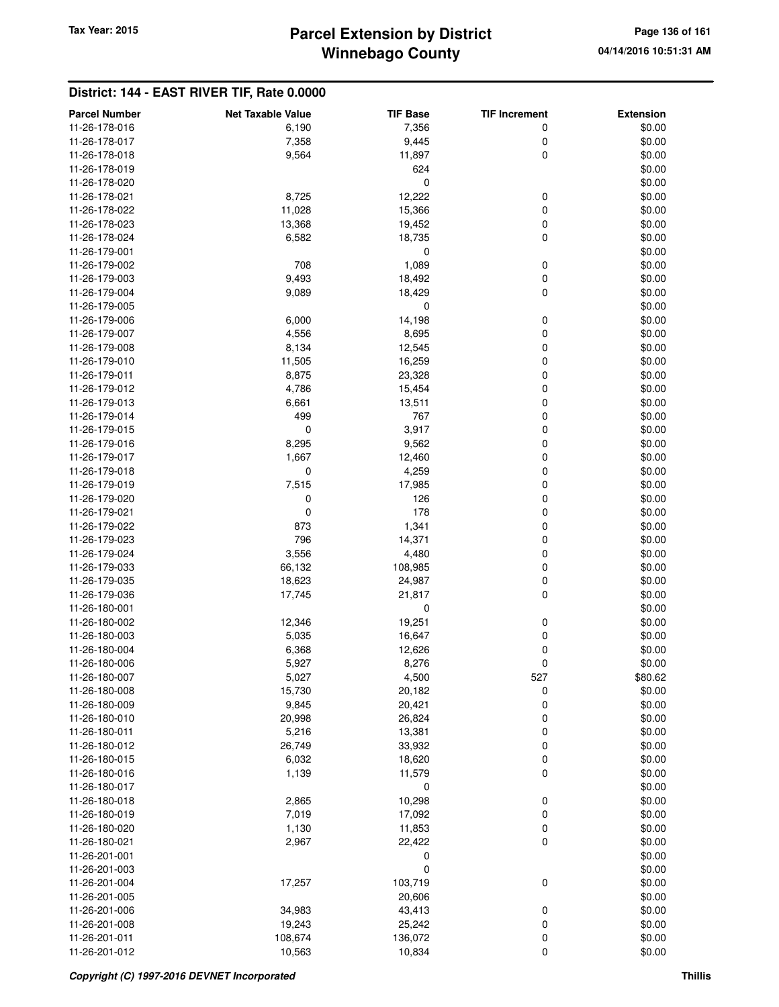## **Winnebago County Parcel Extension by District Tax Year: 2015 Page 136 of 161**

| <b>Parcel Number</b> | <b>Net Taxable Value</b> | <b>TIF Base</b> | <b>TIF Increment</b> | <b>Extension</b> |
|----------------------|--------------------------|-----------------|----------------------|------------------|
| 11-26-178-016        | 6,190                    | 7,356           | 0                    | \$0.00           |
| 11-26-178-017        | 7,358                    | 9,445           | 0                    | \$0.00           |
| 11-26-178-018        | 9,564                    | 11,897          | $\mathbf 0$          | \$0.00           |
| 11-26-178-019        |                          | 624             |                      | \$0.00           |
| 11-26-178-020        |                          | 0               |                      | \$0.00           |
| 11-26-178-021        | 8,725                    | 12,222          | 0                    | \$0.00           |
| 11-26-178-022        | 11,028                   | 15,366          | 0                    | \$0.00           |
| 11-26-178-023        | 13,368                   | 19,452          | 0                    | \$0.00           |
| 11-26-178-024        | 6,582                    | 18,735          | 0                    | \$0.00           |
| 11-26-179-001        |                          | 0               |                      | \$0.00           |
| 11-26-179-002        | 708                      | 1,089           | 0                    | \$0.00           |
| 11-26-179-003        | 9,493                    | 18,492          | 0                    | \$0.00           |
| 11-26-179-004        | 9,089                    | 18,429          | $\mathbf 0$          | \$0.00           |
| 11-26-179-005        |                          | 0               |                      | \$0.00           |
| 11-26-179-006        | 6,000                    | 14,198          | 0                    | \$0.00           |
| 11-26-179-007        | 4,556                    | 8,695           | 0                    | \$0.00           |
| 11-26-179-008        | 8,134                    | 12,545          | 0                    | \$0.00           |
| 11-26-179-010        | 11,505                   | 16,259          | 0                    | \$0.00           |
| 11-26-179-011        | 8,875                    | 23,328          | 0                    | \$0.00           |
| 11-26-179-012        | 4,786                    | 15,454          | 0                    | \$0.00           |
| 11-26-179-013        | 6,661                    | 13,511          | 0                    | \$0.00           |
| 11-26-179-014        | 499                      | 767             | 0                    | \$0.00           |
| 11-26-179-015        | 0                        | 3,917           | 0                    | \$0.00           |
| 11-26-179-016        | 8,295                    | 9,562           | 0                    | \$0.00           |
| 11-26-179-017        | 1,667                    | 12,460          | 0                    | \$0.00           |
| 11-26-179-018        | 0                        | 4,259           | 0                    | \$0.00           |
| 11-26-179-019        | 7,515                    | 17,985          | 0                    | \$0.00           |
| 11-26-179-020        | 0                        | 126             | 0                    | \$0.00           |
| 11-26-179-021        | $\mathbf 0$              | 178             | 0                    | \$0.00           |
| 11-26-179-022        | 873                      | 1,341           | 0                    | \$0.00           |
| 11-26-179-023        | 796                      | 14,371          | 0                    | \$0.00           |
| 11-26-179-024        | 3,556                    | 4,480           | 0                    | \$0.00           |
| 11-26-179-033        | 66,132                   | 108,985         | 0                    | \$0.00           |
| 11-26-179-035        | 18,623                   | 24,987          | 0                    | \$0.00           |
| 11-26-179-036        | 17,745                   | 21,817          | 0                    | \$0.00           |
| 11-26-180-001        |                          | 0               |                      | \$0.00           |
| 11-26-180-002        | 12,346                   | 19,251          | 0                    | \$0.00           |
| 11-26-180-003        | 5,035                    | 16,647          | 0                    | \$0.00           |
| 11-26-180-004        | 6,368                    | 12,626          | 0                    | \$0.00           |
| 11-26-180-006        | 5,927                    | 8,276           | 0                    | \$0.00           |
| 11-26-180-007        | 5,027                    | 4,500           | 527                  | \$80.62          |
| 11-26-180-008        | 15,730                   | 20,182          | 0                    | \$0.00           |
| 11-26-180-009        | 9,845                    | 20,421          | 0                    | \$0.00           |
| 11-26-180-010        | 20,998                   | 26,824          | 0                    | \$0.00           |
| 11-26-180-011        | 5,216                    | 13,381          | 0                    | \$0.00           |
| 11-26-180-012        | 26,749                   | 33,932          | 0                    | \$0.00           |
| 11-26-180-015        | 6,032                    | 18,620          | $\pmb{0}$            | \$0.00           |
| 11-26-180-016        | 1,139                    | 11,579          | 0                    | \$0.00           |
| 11-26-180-017        |                          | 0               |                      | \$0.00           |
| 11-26-180-018        | 2,865                    | 10,298          | 0                    | \$0.00           |
| 11-26-180-019        | 7,019                    | 17,092          | $\pmb{0}$            | \$0.00           |
| 11-26-180-020        | 1,130                    | 11,853          | $\pmb{0}$            | \$0.00           |
| 11-26-180-021        | 2,967                    | 22,422          | $\mathbf 0$          | \$0.00           |
| 11-26-201-001        |                          | 0               |                      | \$0.00           |
| 11-26-201-003        |                          | 0               |                      | \$0.00           |
| 11-26-201-004        | 17,257                   | 103,719         | 0                    | \$0.00           |
| 11-26-201-005        |                          | 20,606          |                      | \$0.00           |
| 11-26-201-006        | 34,983                   | 43,413          | $\pmb{0}$            | \$0.00           |
| 11-26-201-008        | 19,243                   | 25,242          | 0                    | \$0.00           |
| 11-26-201-011        | 108,674                  | 136,072         | $\pmb{0}$            | \$0.00           |
| 11-26-201-012        | 10,563                   | 10,834          | $\pmb{0}$            | \$0.00           |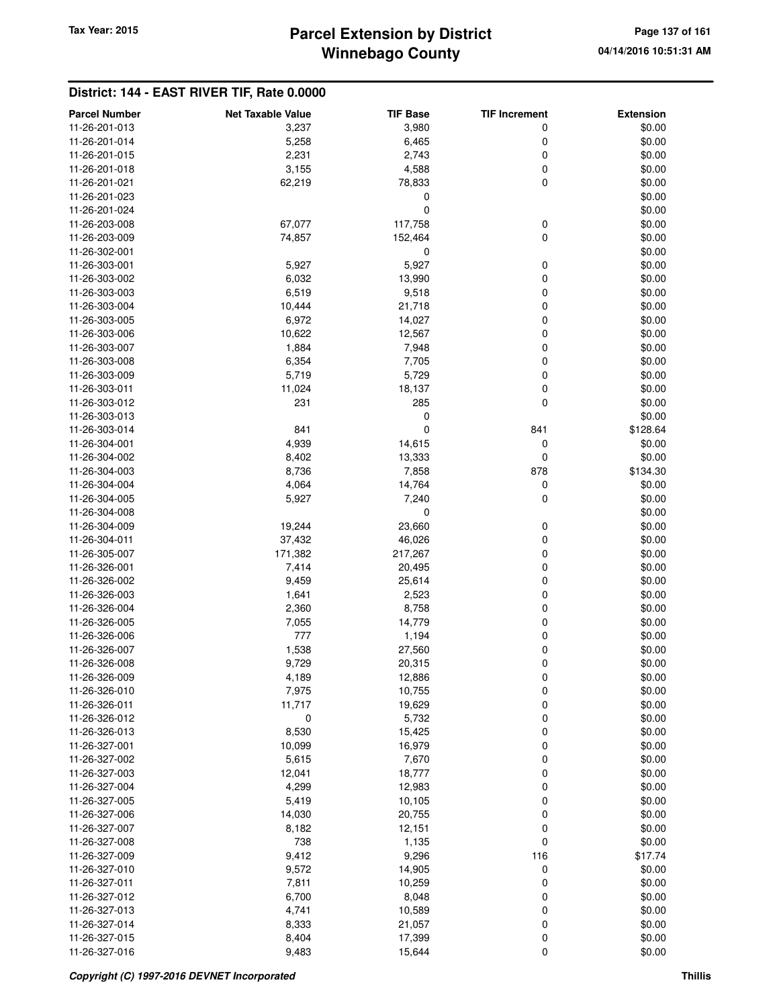# **Winnebago County** Tax Year: 2015 **Parcel Extension by District Page 137 of 161**

| <b>Parcel Number</b> | <b>Net Taxable Value</b> | <b>TIF Base</b> | <b>TIF Increment</b> | <b>Extension</b> |
|----------------------|--------------------------|-----------------|----------------------|------------------|
| 11-26-201-013        | 3,237                    | 3,980           | 0                    | \$0.00           |
| 11-26-201-014        | 5,258                    | 6,465           | 0                    | \$0.00           |
| 11-26-201-015        | 2,231                    | 2,743           | 0                    | \$0.00           |
| 11-26-201-018        | 3,155                    | 4,588           | 0                    | \$0.00           |
| 11-26-201-021        | 62,219                   | 78,833          | 0                    | \$0.00           |
| 11-26-201-023        |                          | 0               |                      | \$0.00           |
| 11-26-201-024        |                          | 0               |                      | \$0.00           |
| 11-26-203-008        | 67,077                   | 117,758         | 0                    | \$0.00           |
| 11-26-203-009        | 74,857                   | 152,464         | 0                    | \$0.00           |
| 11-26-302-001        |                          | 0               |                      | \$0.00           |
| 11-26-303-001        | 5,927                    | 5,927           | 0                    | \$0.00           |
| 11-26-303-002        | 6,032                    | 13,990          | 0                    | \$0.00           |
| 11-26-303-003        | 6,519                    | 9,518           | 0                    | \$0.00           |
| 11-26-303-004        | 10,444                   | 21,718          | 0                    | \$0.00           |
| 11-26-303-005        | 6,972                    | 14,027          | 0                    | \$0.00           |
| 11-26-303-006        | 10,622                   | 12,567          | 0                    | \$0.00           |
| 11-26-303-007        | 1,884                    | 7,948           | 0                    | \$0.00           |
| 11-26-303-008        | 6,354                    | 7,705           | 0                    | \$0.00           |
| 11-26-303-009        | 5,719                    | 5,729           | 0                    | \$0.00           |
| 11-26-303-011        | 11,024                   | 18,137          | 0                    | \$0.00           |
| 11-26-303-012        | 231                      | 285             | 0                    | \$0.00           |
| 11-26-303-013        |                          | 0               |                      | \$0.00           |
| 11-26-303-014        | 841                      | $\mathbf 0$     | 841                  | \$128.64         |
| 11-26-304-001        | 4,939                    | 14,615          | 0                    | \$0.00           |
| 11-26-304-002        | 8,402                    | 13,333          | 0                    | \$0.00           |
| 11-26-304-003        | 8,736                    | 7,858           | 878                  | \$134.30         |
| 11-26-304-004        | 4,064                    | 14,764          | 0                    | \$0.00           |
| 11-26-304-005        | 5,927                    | 7,240           | 0                    | \$0.00           |
| 11-26-304-008        |                          | 0               |                      | \$0.00           |
| 11-26-304-009        | 19,244                   | 23,660          | 0                    | \$0.00           |
| 11-26-304-011        | 37,432                   | 46,026          | 0                    | \$0.00           |
| 11-26-305-007        | 171,382                  | 217,267         | 0                    | \$0.00           |
| 11-26-326-001        | 7,414                    | 20,495          | 0                    | \$0.00           |
| 11-26-326-002        | 9,459                    | 25,614          | 0                    | \$0.00           |
| 11-26-326-003        | 1,641                    | 2,523           | 0                    | \$0.00           |
| 11-26-326-004        | 2,360                    | 8,758           | 0                    | \$0.00           |
| 11-26-326-005        | 7,055                    | 14,779          | 0                    | \$0.00           |
| 11-26-326-006        | 777                      | 1,194           | 0                    | \$0.00           |
| 11-26-326-007        | 1,538                    | 27,560          | 0                    | \$0.00           |
| 11-26-326-008        | 9,729                    | 20,315          | 0                    | \$0.00           |
| 11-26-326-009        | 4,189                    | 12,886          | 0                    | \$0.00           |
| 11-26-326-010        | 7,975                    | 10,755          | 0                    | \$0.00           |
| 11-26-326-011        | 11,717                   | 19,629          | $\mathbf 0$          | \$0.00           |
| 11-26-326-012        | $\mathbf 0$              | 5,732           | 0                    | \$0.00           |
| 11-26-326-013        | 8,530                    | 15,425          | 0                    | \$0.00           |
| 11-26-327-001        | 10,099                   | 16,979          | 0                    | \$0.00           |
| 11-26-327-002        | 5,615                    | 7,670           | 0                    | \$0.00           |
| 11-26-327-003        | 12,041                   | 18,777          | 0                    | \$0.00           |
| 11-26-327-004        | 4,299                    | 12,983          | 0                    | \$0.00           |
| 11-26-327-005        | 5,419                    | 10,105          | 0                    | \$0.00           |
| 11-26-327-006        | 14,030                   | 20,755          | 0                    | \$0.00           |
| 11-26-327-007        | 8,182                    | 12,151          | 0                    | \$0.00           |
| 11-26-327-008        | 738                      | 1,135           | $\mathbf 0$          | \$0.00           |
| 11-26-327-009        | 9,412                    | 9,296           | 116                  | \$17.74          |
| 11-26-327-010        | 9,572                    | 14,905          | 0                    | \$0.00           |
| 11-26-327-011        | 7,811                    | 10,259          | 0                    | \$0.00           |
| 11-26-327-012        | 6,700                    | 8,048           | 0                    | \$0.00           |
| 11-26-327-013        | 4,741                    | 10,589          | 0                    | \$0.00           |
| 11-26-327-014        | 8,333                    | 21,057          | 0                    | \$0.00           |
| 11-26-327-015        | 8,404                    | 17,399          | 0                    | \$0.00           |
| 11-26-327-016        | 9,483                    | 15,644          | $\mathbf 0$          | \$0.00           |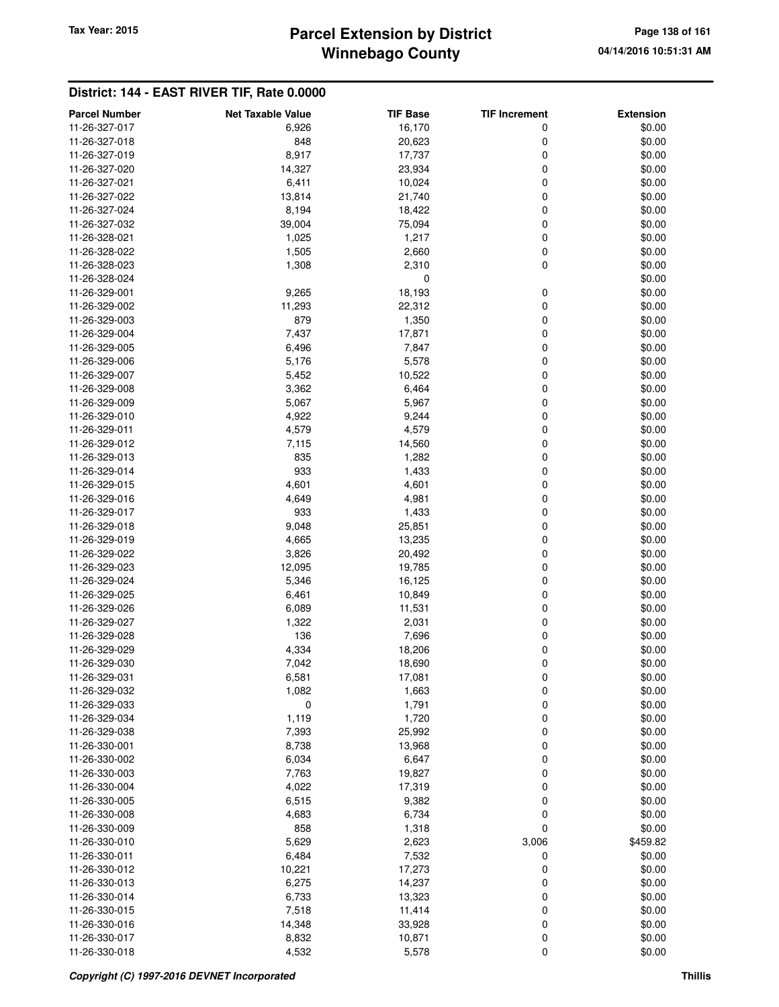## **Winnebago County Parcel Extension by District Tax Year: 2015 Page 138 of 161**

| 11-26-327-017<br>16,170<br>\$0.00<br>6,926<br>0<br>\$0.00<br>11-26-327-018<br>848<br>20,623<br>0<br>8,917<br>17,737<br>0<br>\$0.00<br>11-26-327-019<br>11-26-327-020<br>14,327<br>23,934<br>0<br>\$0.00<br>11-26-327-021<br>6,411<br>10,024<br>0<br>\$0.00<br>13,814<br>21,740<br>0<br>\$0.00<br>11-26-327-022<br>11-26-327-024<br>8,194<br>18,422<br>0<br>\$0.00<br>11-26-327-032<br>39,004<br>75,094<br>0<br>\$0.00<br>11-26-328-021<br>1,025<br>1,217<br>0<br>\$0.00<br>$\mathbf 0$<br>11-26-328-022<br>1,505<br>2,660<br>\$0.00<br>11-26-328-023<br>1,308<br>2,310<br>0<br>\$0.00<br>11-26-328-024<br>0<br>\$0.00<br>11-26-329-001<br>9,265<br>18,193<br>0<br>\$0.00<br>11-26-329-002<br>11,293<br>22,312<br>0<br>\$0.00<br>11-26-329-003<br>879<br>1,350<br>0<br>\$0.00<br>7,437<br>17,871<br>0<br>\$0.00<br>11-26-329-004<br>11-26-329-005<br>6,496<br>7,847<br>0<br>\$0.00<br>11-26-329-006<br>5,176<br>5,578<br>0<br>\$0.00<br>11-26-329-007<br>5,452<br>10,522<br>0<br>\$0.00<br>11-26-329-008<br>3,362<br>6,464<br>0<br>\$0.00<br>5,067<br>5,967<br>0<br>\$0.00<br>11-26-329-009<br>11-26-329-010<br>4,922<br>9,244<br>0<br>\$0.00<br>4,579<br>4,579<br>0<br>\$0.00<br>11-26-329-011<br>11-26-329-012<br>7,115<br>0<br>\$0.00<br>14,560<br>11-26-329-013<br>835<br>1,282<br>0<br>\$0.00<br>933<br>1,433<br>0<br>\$0.00<br>11-26-329-014<br>11-26-329-015<br>4,601<br>4,601<br>0<br>\$0.00<br>4,981<br>0<br>\$0.00<br>11-26-329-016<br>4,649<br>11-26-329-017<br>933<br>1,433<br>0<br>\$0.00<br>11-26-329-018<br>9,048<br>25,851<br>0<br>\$0.00<br>4,665<br>13,235<br>0<br>\$0.00<br>11-26-329-019<br>11-26-329-022<br>3,826<br>20,492<br>0<br>\$0.00<br>12,095<br>0<br>\$0.00<br>11-26-329-023<br>19,785<br>11-26-329-024<br>0<br>\$0.00<br>5,346<br>16,125<br>11-26-329-025<br>6,461<br>10,849<br>0<br>\$0.00<br>11,531<br>0<br>\$0.00<br>11-26-329-026<br>6,089<br>11-26-329-027<br>1,322<br>2,031<br>0<br>\$0.00<br>136<br>7,696<br>\$0.00<br>11-26-329-028<br>0<br>11-26-329-029<br>4,334<br>18,206<br>\$0.00<br>0<br>11-26-329-030<br>7,042<br>18,690<br>0<br>\$0.00<br>6,581<br>17,081<br>\$0.00<br>11-26-329-031<br>0<br>1,082<br>0<br>\$0.00<br>11-26-329-032<br>1,663<br>11-26-329-033<br>1,791<br>0<br>\$0.00<br>0<br>11-26-329-034<br>1,119<br>1,720<br>0<br>\$0.00<br>0<br>11-26-329-038<br>7,393<br>25,992<br>\$0.00<br>8,738<br>13,968<br>0<br>\$0.00<br>11-26-330-001<br>11-26-330-002<br>6,034<br>6,647<br>0<br>\$0.00<br>7,763<br>19,827<br>0<br>\$0.00<br>11-26-330-003<br>11-26-330-004<br>4,022<br>17,319<br>0<br>\$0.00<br>11-26-330-005<br>6,515<br>9,382<br>0<br>\$0.00<br>4,683<br>6,734<br>0<br>\$0.00<br>11-26-330-008<br>11-26-330-009<br>858<br>1,318<br>0<br>\$0.00<br>5,629<br>2,623<br>\$459.82<br>11-26-330-010<br>3,006<br>11-26-330-011<br>6,484<br>7,532<br>\$0.00<br>0<br>11-26-330-012<br>10,221<br>17,273<br>0<br>\$0.00<br>11-26-330-013<br>6,275<br>14,237<br>0<br>\$0.00<br>11-26-330-014<br>6,733<br>13,323<br>0<br>\$0.00<br>7,518<br>0<br>\$0.00<br>11-26-330-015<br>11,414<br>11-26-330-016<br>14,348<br>33,928<br>0<br>\$0.00<br>0<br>11-26-330-017<br>8,832<br>10,871<br>\$0.00 | <b>Parcel Number</b> | <b>Net Taxable Value</b> | <b>TIF Base</b> | <b>TIF Increment</b> | <b>Extension</b> |
|------------------------------------------------------------------------------------------------------------------------------------------------------------------------------------------------------------------------------------------------------------------------------------------------------------------------------------------------------------------------------------------------------------------------------------------------------------------------------------------------------------------------------------------------------------------------------------------------------------------------------------------------------------------------------------------------------------------------------------------------------------------------------------------------------------------------------------------------------------------------------------------------------------------------------------------------------------------------------------------------------------------------------------------------------------------------------------------------------------------------------------------------------------------------------------------------------------------------------------------------------------------------------------------------------------------------------------------------------------------------------------------------------------------------------------------------------------------------------------------------------------------------------------------------------------------------------------------------------------------------------------------------------------------------------------------------------------------------------------------------------------------------------------------------------------------------------------------------------------------------------------------------------------------------------------------------------------------------------------------------------------------------------------------------------------------------------------------------------------------------------------------------------------------------------------------------------------------------------------------------------------------------------------------------------------------------------------------------------------------------------------------------------------------------------------------------------------------------------------------------------------------------------------------------------------------------------------------------------------------------------------------------------------------------------------------------------------------------------------------------------------------------------------------------------------------------------------------------------------------------------------------------------------------------------------------------------------------------------------------------------------------------------------------------------------------------------------------------------------------------------------------|----------------------|--------------------------|-----------------|----------------------|------------------|
|                                                                                                                                                                                                                                                                                                                                                                                                                                                                                                                                                                                                                                                                                                                                                                                                                                                                                                                                                                                                                                                                                                                                                                                                                                                                                                                                                                                                                                                                                                                                                                                                                                                                                                                                                                                                                                                                                                                                                                                                                                                                                                                                                                                                                                                                                                                                                                                                                                                                                                                                                                                                                                                                                                                                                                                                                                                                                                                                                                                                                                                                                                                                          |                      |                          |                 |                      |                  |
|                                                                                                                                                                                                                                                                                                                                                                                                                                                                                                                                                                                                                                                                                                                                                                                                                                                                                                                                                                                                                                                                                                                                                                                                                                                                                                                                                                                                                                                                                                                                                                                                                                                                                                                                                                                                                                                                                                                                                                                                                                                                                                                                                                                                                                                                                                                                                                                                                                                                                                                                                                                                                                                                                                                                                                                                                                                                                                                                                                                                                                                                                                                                          |                      |                          |                 |                      |                  |
|                                                                                                                                                                                                                                                                                                                                                                                                                                                                                                                                                                                                                                                                                                                                                                                                                                                                                                                                                                                                                                                                                                                                                                                                                                                                                                                                                                                                                                                                                                                                                                                                                                                                                                                                                                                                                                                                                                                                                                                                                                                                                                                                                                                                                                                                                                                                                                                                                                                                                                                                                                                                                                                                                                                                                                                                                                                                                                                                                                                                                                                                                                                                          |                      |                          |                 |                      |                  |
|                                                                                                                                                                                                                                                                                                                                                                                                                                                                                                                                                                                                                                                                                                                                                                                                                                                                                                                                                                                                                                                                                                                                                                                                                                                                                                                                                                                                                                                                                                                                                                                                                                                                                                                                                                                                                                                                                                                                                                                                                                                                                                                                                                                                                                                                                                                                                                                                                                                                                                                                                                                                                                                                                                                                                                                                                                                                                                                                                                                                                                                                                                                                          |                      |                          |                 |                      |                  |
|                                                                                                                                                                                                                                                                                                                                                                                                                                                                                                                                                                                                                                                                                                                                                                                                                                                                                                                                                                                                                                                                                                                                                                                                                                                                                                                                                                                                                                                                                                                                                                                                                                                                                                                                                                                                                                                                                                                                                                                                                                                                                                                                                                                                                                                                                                                                                                                                                                                                                                                                                                                                                                                                                                                                                                                                                                                                                                                                                                                                                                                                                                                                          |                      |                          |                 |                      |                  |
|                                                                                                                                                                                                                                                                                                                                                                                                                                                                                                                                                                                                                                                                                                                                                                                                                                                                                                                                                                                                                                                                                                                                                                                                                                                                                                                                                                                                                                                                                                                                                                                                                                                                                                                                                                                                                                                                                                                                                                                                                                                                                                                                                                                                                                                                                                                                                                                                                                                                                                                                                                                                                                                                                                                                                                                                                                                                                                                                                                                                                                                                                                                                          |                      |                          |                 |                      |                  |
|                                                                                                                                                                                                                                                                                                                                                                                                                                                                                                                                                                                                                                                                                                                                                                                                                                                                                                                                                                                                                                                                                                                                                                                                                                                                                                                                                                                                                                                                                                                                                                                                                                                                                                                                                                                                                                                                                                                                                                                                                                                                                                                                                                                                                                                                                                                                                                                                                                                                                                                                                                                                                                                                                                                                                                                                                                                                                                                                                                                                                                                                                                                                          |                      |                          |                 |                      |                  |
|                                                                                                                                                                                                                                                                                                                                                                                                                                                                                                                                                                                                                                                                                                                                                                                                                                                                                                                                                                                                                                                                                                                                                                                                                                                                                                                                                                                                                                                                                                                                                                                                                                                                                                                                                                                                                                                                                                                                                                                                                                                                                                                                                                                                                                                                                                                                                                                                                                                                                                                                                                                                                                                                                                                                                                                                                                                                                                                                                                                                                                                                                                                                          |                      |                          |                 |                      |                  |
|                                                                                                                                                                                                                                                                                                                                                                                                                                                                                                                                                                                                                                                                                                                                                                                                                                                                                                                                                                                                                                                                                                                                                                                                                                                                                                                                                                                                                                                                                                                                                                                                                                                                                                                                                                                                                                                                                                                                                                                                                                                                                                                                                                                                                                                                                                                                                                                                                                                                                                                                                                                                                                                                                                                                                                                                                                                                                                                                                                                                                                                                                                                                          |                      |                          |                 |                      |                  |
|                                                                                                                                                                                                                                                                                                                                                                                                                                                                                                                                                                                                                                                                                                                                                                                                                                                                                                                                                                                                                                                                                                                                                                                                                                                                                                                                                                                                                                                                                                                                                                                                                                                                                                                                                                                                                                                                                                                                                                                                                                                                                                                                                                                                                                                                                                                                                                                                                                                                                                                                                                                                                                                                                                                                                                                                                                                                                                                                                                                                                                                                                                                                          |                      |                          |                 |                      |                  |
|                                                                                                                                                                                                                                                                                                                                                                                                                                                                                                                                                                                                                                                                                                                                                                                                                                                                                                                                                                                                                                                                                                                                                                                                                                                                                                                                                                                                                                                                                                                                                                                                                                                                                                                                                                                                                                                                                                                                                                                                                                                                                                                                                                                                                                                                                                                                                                                                                                                                                                                                                                                                                                                                                                                                                                                                                                                                                                                                                                                                                                                                                                                                          |                      |                          |                 |                      |                  |
|                                                                                                                                                                                                                                                                                                                                                                                                                                                                                                                                                                                                                                                                                                                                                                                                                                                                                                                                                                                                                                                                                                                                                                                                                                                                                                                                                                                                                                                                                                                                                                                                                                                                                                                                                                                                                                                                                                                                                                                                                                                                                                                                                                                                                                                                                                                                                                                                                                                                                                                                                                                                                                                                                                                                                                                                                                                                                                                                                                                                                                                                                                                                          |                      |                          |                 |                      |                  |
|                                                                                                                                                                                                                                                                                                                                                                                                                                                                                                                                                                                                                                                                                                                                                                                                                                                                                                                                                                                                                                                                                                                                                                                                                                                                                                                                                                                                                                                                                                                                                                                                                                                                                                                                                                                                                                                                                                                                                                                                                                                                                                                                                                                                                                                                                                                                                                                                                                                                                                                                                                                                                                                                                                                                                                                                                                                                                                                                                                                                                                                                                                                                          |                      |                          |                 |                      |                  |
|                                                                                                                                                                                                                                                                                                                                                                                                                                                                                                                                                                                                                                                                                                                                                                                                                                                                                                                                                                                                                                                                                                                                                                                                                                                                                                                                                                                                                                                                                                                                                                                                                                                                                                                                                                                                                                                                                                                                                                                                                                                                                                                                                                                                                                                                                                                                                                                                                                                                                                                                                                                                                                                                                                                                                                                                                                                                                                                                                                                                                                                                                                                                          |                      |                          |                 |                      |                  |
|                                                                                                                                                                                                                                                                                                                                                                                                                                                                                                                                                                                                                                                                                                                                                                                                                                                                                                                                                                                                                                                                                                                                                                                                                                                                                                                                                                                                                                                                                                                                                                                                                                                                                                                                                                                                                                                                                                                                                                                                                                                                                                                                                                                                                                                                                                                                                                                                                                                                                                                                                                                                                                                                                                                                                                                                                                                                                                                                                                                                                                                                                                                                          |                      |                          |                 |                      |                  |
|                                                                                                                                                                                                                                                                                                                                                                                                                                                                                                                                                                                                                                                                                                                                                                                                                                                                                                                                                                                                                                                                                                                                                                                                                                                                                                                                                                                                                                                                                                                                                                                                                                                                                                                                                                                                                                                                                                                                                                                                                                                                                                                                                                                                                                                                                                                                                                                                                                                                                                                                                                                                                                                                                                                                                                                                                                                                                                                                                                                                                                                                                                                                          |                      |                          |                 |                      |                  |
|                                                                                                                                                                                                                                                                                                                                                                                                                                                                                                                                                                                                                                                                                                                                                                                                                                                                                                                                                                                                                                                                                                                                                                                                                                                                                                                                                                                                                                                                                                                                                                                                                                                                                                                                                                                                                                                                                                                                                                                                                                                                                                                                                                                                                                                                                                                                                                                                                                                                                                                                                                                                                                                                                                                                                                                                                                                                                                                                                                                                                                                                                                                                          |                      |                          |                 |                      |                  |
|                                                                                                                                                                                                                                                                                                                                                                                                                                                                                                                                                                                                                                                                                                                                                                                                                                                                                                                                                                                                                                                                                                                                                                                                                                                                                                                                                                                                                                                                                                                                                                                                                                                                                                                                                                                                                                                                                                                                                                                                                                                                                                                                                                                                                                                                                                                                                                                                                                                                                                                                                                                                                                                                                                                                                                                                                                                                                                                                                                                                                                                                                                                                          |                      |                          |                 |                      |                  |
|                                                                                                                                                                                                                                                                                                                                                                                                                                                                                                                                                                                                                                                                                                                                                                                                                                                                                                                                                                                                                                                                                                                                                                                                                                                                                                                                                                                                                                                                                                                                                                                                                                                                                                                                                                                                                                                                                                                                                                                                                                                                                                                                                                                                                                                                                                                                                                                                                                                                                                                                                                                                                                                                                                                                                                                                                                                                                                                                                                                                                                                                                                                                          |                      |                          |                 |                      |                  |
|                                                                                                                                                                                                                                                                                                                                                                                                                                                                                                                                                                                                                                                                                                                                                                                                                                                                                                                                                                                                                                                                                                                                                                                                                                                                                                                                                                                                                                                                                                                                                                                                                                                                                                                                                                                                                                                                                                                                                                                                                                                                                                                                                                                                                                                                                                                                                                                                                                                                                                                                                                                                                                                                                                                                                                                                                                                                                                                                                                                                                                                                                                                                          |                      |                          |                 |                      |                  |
|                                                                                                                                                                                                                                                                                                                                                                                                                                                                                                                                                                                                                                                                                                                                                                                                                                                                                                                                                                                                                                                                                                                                                                                                                                                                                                                                                                                                                                                                                                                                                                                                                                                                                                                                                                                                                                                                                                                                                                                                                                                                                                                                                                                                                                                                                                                                                                                                                                                                                                                                                                                                                                                                                                                                                                                                                                                                                                                                                                                                                                                                                                                                          |                      |                          |                 |                      |                  |
|                                                                                                                                                                                                                                                                                                                                                                                                                                                                                                                                                                                                                                                                                                                                                                                                                                                                                                                                                                                                                                                                                                                                                                                                                                                                                                                                                                                                                                                                                                                                                                                                                                                                                                                                                                                                                                                                                                                                                                                                                                                                                                                                                                                                                                                                                                                                                                                                                                                                                                                                                                                                                                                                                                                                                                                                                                                                                                                                                                                                                                                                                                                                          |                      |                          |                 |                      |                  |
|                                                                                                                                                                                                                                                                                                                                                                                                                                                                                                                                                                                                                                                                                                                                                                                                                                                                                                                                                                                                                                                                                                                                                                                                                                                                                                                                                                                                                                                                                                                                                                                                                                                                                                                                                                                                                                                                                                                                                                                                                                                                                                                                                                                                                                                                                                                                                                                                                                                                                                                                                                                                                                                                                                                                                                                                                                                                                                                                                                                                                                                                                                                                          |                      |                          |                 |                      |                  |
|                                                                                                                                                                                                                                                                                                                                                                                                                                                                                                                                                                                                                                                                                                                                                                                                                                                                                                                                                                                                                                                                                                                                                                                                                                                                                                                                                                                                                                                                                                                                                                                                                                                                                                                                                                                                                                                                                                                                                                                                                                                                                                                                                                                                                                                                                                                                                                                                                                                                                                                                                                                                                                                                                                                                                                                                                                                                                                                                                                                                                                                                                                                                          |                      |                          |                 |                      |                  |
|                                                                                                                                                                                                                                                                                                                                                                                                                                                                                                                                                                                                                                                                                                                                                                                                                                                                                                                                                                                                                                                                                                                                                                                                                                                                                                                                                                                                                                                                                                                                                                                                                                                                                                                                                                                                                                                                                                                                                                                                                                                                                                                                                                                                                                                                                                                                                                                                                                                                                                                                                                                                                                                                                                                                                                                                                                                                                                                                                                                                                                                                                                                                          |                      |                          |                 |                      |                  |
|                                                                                                                                                                                                                                                                                                                                                                                                                                                                                                                                                                                                                                                                                                                                                                                                                                                                                                                                                                                                                                                                                                                                                                                                                                                                                                                                                                                                                                                                                                                                                                                                                                                                                                                                                                                                                                                                                                                                                                                                                                                                                                                                                                                                                                                                                                                                                                                                                                                                                                                                                                                                                                                                                                                                                                                                                                                                                                                                                                                                                                                                                                                                          |                      |                          |                 |                      |                  |
|                                                                                                                                                                                                                                                                                                                                                                                                                                                                                                                                                                                                                                                                                                                                                                                                                                                                                                                                                                                                                                                                                                                                                                                                                                                                                                                                                                                                                                                                                                                                                                                                                                                                                                                                                                                                                                                                                                                                                                                                                                                                                                                                                                                                                                                                                                                                                                                                                                                                                                                                                                                                                                                                                                                                                                                                                                                                                                                                                                                                                                                                                                                                          |                      |                          |                 |                      |                  |
|                                                                                                                                                                                                                                                                                                                                                                                                                                                                                                                                                                                                                                                                                                                                                                                                                                                                                                                                                                                                                                                                                                                                                                                                                                                                                                                                                                                                                                                                                                                                                                                                                                                                                                                                                                                                                                                                                                                                                                                                                                                                                                                                                                                                                                                                                                                                                                                                                                                                                                                                                                                                                                                                                                                                                                                                                                                                                                                                                                                                                                                                                                                                          |                      |                          |                 |                      |                  |
|                                                                                                                                                                                                                                                                                                                                                                                                                                                                                                                                                                                                                                                                                                                                                                                                                                                                                                                                                                                                                                                                                                                                                                                                                                                                                                                                                                                                                                                                                                                                                                                                                                                                                                                                                                                                                                                                                                                                                                                                                                                                                                                                                                                                                                                                                                                                                                                                                                                                                                                                                                                                                                                                                                                                                                                                                                                                                                                                                                                                                                                                                                                                          |                      |                          |                 |                      |                  |
|                                                                                                                                                                                                                                                                                                                                                                                                                                                                                                                                                                                                                                                                                                                                                                                                                                                                                                                                                                                                                                                                                                                                                                                                                                                                                                                                                                                                                                                                                                                                                                                                                                                                                                                                                                                                                                                                                                                                                                                                                                                                                                                                                                                                                                                                                                                                                                                                                                                                                                                                                                                                                                                                                                                                                                                                                                                                                                                                                                                                                                                                                                                                          |                      |                          |                 |                      |                  |
|                                                                                                                                                                                                                                                                                                                                                                                                                                                                                                                                                                                                                                                                                                                                                                                                                                                                                                                                                                                                                                                                                                                                                                                                                                                                                                                                                                                                                                                                                                                                                                                                                                                                                                                                                                                                                                                                                                                                                                                                                                                                                                                                                                                                                                                                                                                                                                                                                                                                                                                                                                                                                                                                                                                                                                                                                                                                                                                                                                                                                                                                                                                                          |                      |                          |                 |                      |                  |
|                                                                                                                                                                                                                                                                                                                                                                                                                                                                                                                                                                                                                                                                                                                                                                                                                                                                                                                                                                                                                                                                                                                                                                                                                                                                                                                                                                                                                                                                                                                                                                                                                                                                                                                                                                                                                                                                                                                                                                                                                                                                                                                                                                                                                                                                                                                                                                                                                                                                                                                                                                                                                                                                                                                                                                                                                                                                                                                                                                                                                                                                                                                                          |                      |                          |                 |                      |                  |
|                                                                                                                                                                                                                                                                                                                                                                                                                                                                                                                                                                                                                                                                                                                                                                                                                                                                                                                                                                                                                                                                                                                                                                                                                                                                                                                                                                                                                                                                                                                                                                                                                                                                                                                                                                                                                                                                                                                                                                                                                                                                                                                                                                                                                                                                                                                                                                                                                                                                                                                                                                                                                                                                                                                                                                                                                                                                                                                                                                                                                                                                                                                                          |                      |                          |                 |                      |                  |
|                                                                                                                                                                                                                                                                                                                                                                                                                                                                                                                                                                                                                                                                                                                                                                                                                                                                                                                                                                                                                                                                                                                                                                                                                                                                                                                                                                                                                                                                                                                                                                                                                                                                                                                                                                                                                                                                                                                                                                                                                                                                                                                                                                                                                                                                                                                                                                                                                                                                                                                                                                                                                                                                                                                                                                                                                                                                                                                                                                                                                                                                                                                                          |                      |                          |                 |                      |                  |
|                                                                                                                                                                                                                                                                                                                                                                                                                                                                                                                                                                                                                                                                                                                                                                                                                                                                                                                                                                                                                                                                                                                                                                                                                                                                                                                                                                                                                                                                                                                                                                                                                                                                                                                                                                                                                                                                                                                                                                                                                                                                                                                                                                                                                                                                                                                                                                                                                                                                                                                                                                                                                                                                                                                                                                                                                                                                                                                                                                                                                                                                                                                                          |                      |                          |                 |                      |                  |
|                                                                                                                                                                                                                                                                                                                                                                                                                                                                                                                                                                                                                                                                                                                                                                                                                                                                                                                                                                                                                                                                                                                                                                                                                                                                                                                                                                                                                                                                                                                                                                                                                                                                                                                                                                                                                                                                                                                                                                                                                                                                                                                                                                                                                                                                                                                                                                                                                                                                                                                                                                                                                                                                                                                                                                                                                                                                                                                                                                                                                                                                                                                                          |                      |                          |                 |                      |                  |
|                                                                                                                                                                                                                                                                                                                                                                                                                                                                                                                                                                                                                                                                                                                                                                                                                                                                                                                                                                                                                                                                                                                                                                                                                                                                                                                                                                                                                                                                                                                                                                                                                                                                                                                                                                                                                                                                                                                                                                                                                                                                                                                                                                                                                                                                                                                                                                                                                                                                                                                                                                                                                                                                                                                                                                                                                                                                                                                                                                                                                                                                                                                                          |                      |                          |                 |                      |                  |
|                                                                                                                                                                                                                                                                                                                                                                                                                                                                                                                                                                                                                                                                                                                                                                                                                                                                                                                                                                                                                                                                                                                                                                                                                                                                                                                                                                                                                                                                                                                                                                                                                                                                                                                                                                                                                                                                                                                                                                                                                                                                                                                                                                                                                                                                                                                                                                                                                                                                                                                                                                                                                                                                                                                                                                                                                                                                                                                                                                                                                                                                                                                                          |                      |                          |                 |                      |                  |
|                                                                                                                                                                                                                                                                                                                                                                                                                                                                                                                                                                                                                                                                                                                                                                                                                                                                                                                                                                                                                                                                                                                                                                                                                                                                                                                                                                                                                                                                                                                                                                                                                                                                                                                                                                                                                                                                                                                                                                                                                                                                                                                                                                                                                                                                                                                                                                                                                                                                                                                                                                                                                                                                                                                                                                                                                                                                                                                                                                                                                                                                                                                                          |                      |                          |                 |                      |                  |
|                                                                                                                                                                                                                                                                                                                                                                                                                                                                                                                                                                                                                                                                                                                                                                                                                                                                                                                                                                                                                                                                                                                                                                                                                                                                                                                                                                                                                                                                                                                                                                                                                                                                                                                                                                                                                                                                                                                                                                                                                                                                                                                                                                                                                                                                                                                                                                                                                                                                                                                                                                                                                                                                                                                                                                                                                                                                                                                                                                                                                                                                                                                                          |                      |                          |                 |                      |                  |
|                                                                                                                                                                                                                                                                                                                                                                                                                                                                                                                                                                                                                                                                                                                                                                                                                                                                                                                                                                                                                                                                                                                                                                                                                                                                                                                                                                                                                                                                                                                                                                                                                                                                                                                                                                                                                                                                                                                                                                                                                                                                                                                                                                                                                                                                                                                                                                                                                                                                                                                                                                                                                                                                                                                                                                                                                                                                                                                                                                                                                                                                                                                                          |                      |                          |                 |                      |                  |
|                                                                                                                                                                                                                                                                                                                                                                                                                                                                                                                                                                                                                                                                                                                                                                                                                                                                                                                                                                                                                                                                                                                                                                                                                                                                                                                                                                                                                                                                                                                                                                                                                                                                                                                                                                                                                                                                                                                                                                                                                                                                                                                                                                                                                                                                                                                                                                                                                                                                                                                                                                                                                                                                                                                                                                                                                                                                                                                                                                                                                                                                                                                                          |                      |                          |                 |                      |                  |
|                                                                                                                                                                                                                                                                                                                                                                                                                                                                                                                                                                                                                                                                                                                                                                                                                                                                                                                                                                                                                                                                                                                                                                                                                                                                                                                                                                                                                                                                                                                                                                                                                                                                                                                                                                                                                                                                                                                                                                                                                                                                                                                                                                                                                                                                                                                                                                                                                                                                                                                                                                                                                                                                                                                                                                                                                                                                                                                                                                                                                                                                                                                                          |                      |                          |                 |                      |                  |
|                                                                                                                                                                                                                                                                                                                                                                                                                                                                                                                                                                                                                                                                                                                                                                                                                                                                                                                                                                                                                                                                                                                                                                                                                                                                                                                                                                                                                                                                                                                                                                                                                                                                                                                                                                                                                                                                                                                                                                                                                                                                                                                                                                                                                                                                                                                                                                                                                                                                                                                                                                                                                                                                                                                                                                                                                                                                                                                                                                                                                                                                                                                                          |                      |                          |                 |                      |                  |
|                                                                                                                                                                                                                                                                                                                                                                                                                                                                                                                                                                                                                                                                                                                                                                                                                                                                                                                                                                                                                                                                                                                                                                                                                                                                                                                                                                                                                                                                                                                                                                                                                                                                                                                                                                                                                                                                                                                                                                                                                                                                                                                                                                                                                                                                                                                                                                                                                                                                                                                                                                                                                                                                                                                                                                                                                                                                                                                                                                                                                                                                                                                                          |                      |                          |                 |                      |                  |
|                                                                                                                                                                                                                                                                                                                                                                                                                                                                                                                                                                                                                                                                                                                                                                                                                                                                                                                                                                                                                                                                                                                                                                                                                                                                                                                                                                                                                                                                                                                                                                                                                                                                                                                                                                                                                                                                                                                                                                                                                                                                                                                                                                                                                                                                                                                                                                                                                                                                                                                                                                                                                                                                                                                                                                                                                                                                                                                                                                                                                                                                                                                                          |                      |                          |                 |                      |                  |
|                                                                                                                                                                                                                                                                                                                                                                                                                                                                                                                                                                                                                                                                                                                                                                                                                                                                                                                                                                                                                                                                                                                                                                                                                                                                                                                                                                                                                                                                                                                                                                                                                                                                                                                                                                                                                                                                                                                                                                                                                                                                                                                                                                                                                                                                                                                                                                                                                                                                                                                                                                                                                                                                                                                                                                                                                                                                                                                                                                                                                                                                                                                                          |                      |                          |                 |                      |                  |
|                                                                                                                                                                                                                                                                                                                                                                                                                                                                                                                                                                                                                                                                                                                                                                                                                                                                                                                                                                                                                                                                                                                                                                                                                                                                                                                                                                                                                                                                                                                                                                                                                                                                                                                                                                                                                                                                                                                                                                                                                                                                                                                                                                                                                                                                                                                                                                                                                                                                                                                                                                                                                                                                                                                                                                                                                                                                                                                                                                                                                                                                                                                                          |                      |                          |                 |                      |                  |
|                                                                                                                                                                                                                                                                                                                                                                                                                                                                                                                                                                                                                                                                                                                                                                                                                                                                                                                                                                                                                                                                                                                                                                                                                                                                                                                                                                                                                                                                                                                                                                                                                                                                                                                                                                                                                                                                                                                                                                                                                                                                                                                                                                                                                                                                                                                                                                                                                                                                                                                                                                                                                                                                                                                                                                                                                                                                                                                                                                                                                                                                                                                                          |                      |                          |                 |                      |                  |
|                                                                                                                                                                                                                                                                                                                                                                                                                                                                                                                                                                                                                                                                                                                                                                                                                                                                                                                                                                                                                                                                                                                                                                                                                                                                                                                                                                                                                                                                                                                                                                                                                                                                                                                                                                                                                                                                                                                                                                                                                                                                                                                                                                                                                                                                                                                                                                                                                                                                                                                                                                                                                                                                                                                                                                                                                                                                                                                                                                                                                                                                                                                                          |                      |                          |                 |                      |                  |
|                                                                                                                                                                                                                                                                                                                                                                                                                                                                                                                                                                                                                                                                                                                                                                                                                                                                                                                                                                                                                                                                                                                                                                                                                                                                                                                                                                                                                                                                                                                                                                                                                                                                                                                                                                                                                                                                                                                                                                                                                                                                                                                                                                                                                                                                                                                                                                                                                                                                                                                                                                                                                                                                                                                                                                                                                                                                                                                                                                                                                                                                                                                                          |                      |                          |                 |                      |                  |
|                                                                                                                                                                                                                                                                                                                                                                                                                                                                                                                                                                                                                                                                                                                                                                                                                                                                                                                                                                                                                                                                                                                                                                                                                                                                                                                                                                                                                                                                                                                                                                                                                                                                                                                                                                                                                                                                                                                                                                                                                                                                                                                                                                                                                                                                                                                                                                                                                                                                                                                                                                                                                                                                                                                                                                                                                                                                                                                                                                                                                                                                                                                                          |                      |                          |                 |                      |                  |
|                                                                                                                                                                                                                                                                                                                                                                                                                                                                                                                                                                                                                                                                                                                                                                                                                                                                                                                                                                                                                                                                                                                                                                                                                                                                                                                                                                                                                                                                                                                                                                                                                                                                                                                                                                                                                                                                                                                                                                                                                                                                                                                                                                                                                                                                                                                                                                                                                                                                                                                                                                                                                                                                                                                                                                                                                                                                                                                                                                                                                                                                                                                                          |                      |                          |                 |                      |                  |
|                                                                                                                                                                                                                                                                                                                                                                                                                                                                                                                                                                                                                                                                                                                                                                                                                                                                                                                                                                                                                                                                                                                                                                                                                                                                                                                                                                                                                                                                                                                                                                                                                                                                                                                                                                                                                                                                                                                                                                                                                                                                                                                                                                                                                                                                                                                                                                                                                                                                                                                                                                                                                                                                                                                                                                                                                                                                                                                                                                                                                                                                                                                                          |                      |                          |                 |                      |                  |
|                                                                                                                                                                                                                                                                                                                                                                                                                                                                                                                                                                                                                                                                                                                                                                                                                                                                                                                                                                                                                                                                                                                                                                                                                                                                                                                                                                                                                                                                                                                                                                                                                                                                                                                                                                                                                                                                                                                                                                                                                                                                                                                                                                                                                                                                                                                                                                                                                                                                                                                                                                                                                                                                                                                                                                                                                                                                                                                                                                                                                                                                                                                                          |                      |                          |                 |                      |                  |
|                                                                                                                                                                                                                                                                                                                                                                                                                                                                                                                                                                                                                                                                                                                                                                                                                                                                                                                                                                                                                                                                                                                                                                                                                                                                                                                                                                                                                                                                                                                                                                                                                                                                                                                                                                                                                                                                                                                                                                                                                                                                                                                                                                                                                                                                                                                                                                                                                                                                                                                                                                                                                                                                                                                                                                                                                                                                                                                                                                                                                                                                                                                                          |                      |                          |                 |                      |                  |
|                                                                                                                                                                                                                                                                                                                                                                                                                                                                                                                                                                                                                                                                                                                                                                                                                                                                                                                                                                                                                                                                                                                                                                                                                                                                                                                                                                                                                                                                                                                                                                                                                                                                                                                                                                                                                                                                                                                                                                                                                                                                                                                                                                                                                                                                                                                                                                                                                                                                                                                                                                                                                                                                                                                                                                                                                                                                                                                                                                                                                                                                                                                                          |                      |                          |                 |                      |                  |
|                                                                                                                                                                                                                                                                                                                                                                                                                                                                                                                                                                                                                                                                                                                                                                                                                                                                                                                                                                                                                                                                                                                                                                                                                                                                                                                                                                                                                                                                                                                                                                                                                                                                                                                                                                                                                                                                                                                                                                                                                                                                                                                                                                                                                                                                                                                                                                                                                                                                                                                                                                                                                                                                                                                                                                                                                                                                                                                                                                                                                                                                                                                                          |                      |                          |                 |                      |                  |
|                                                                                                                                                                                                                                                                                                                                                                                                                                                                                                                                                                                                                                                                                                                                                                                                                                                                                                                                                                                                                                                                                                                                                                                                                                                                                                                                                                                                                                                                                                                                                                                                                                                                                                                                                                                                                                                                                                                                                                                                                                                                                                                                                                                                                                                                                                                                                                                                                                                                                                                                                                                                                                                                                                                                                                                                                                                                                                                                                                                                                                                                                                                                          |                      |                          |                 |                      |                  |
|                                                                                                                                                                                                                                                                                                                                                                                                                                                                                                                                                                                                                                                                                                                                                                                                                                                                                                                                                                                                                                                                                                                                                                                                                                                                                                                                                                                                                                                                                                                                                                                                                                                                                                                                                                                                                                                                                                                                                                                                                                                                                                                                                                                                                                                                                                                                                                                                                                                                                                                                                                                                                                                                                                                                                                                                                                                                                                                                                                                                                                                                                                                                          |                      |                          |                 |                      |                  |
|                                                                                                                                                                                                                                                                                                                                                                                                                                                                                                                                                                                                                                                                                                                                                                                                                                                                                                                                                                                                                                                                                                                                                                                                                                                                                                                                                                                                                                                                                                                                                                                                                                                                                                                                                                                                                                                                                                                                                                                                                                                                                                                                                                                                                                                                                                                                                                                                                                                                                                                                                                                                                                                                                                                                                                                                                                                                                                                                                                                                                                                                                                                                          | 11-26-330-018        | 4,532                    | 5,578           | $\mathbf 0$          | \$0.00           |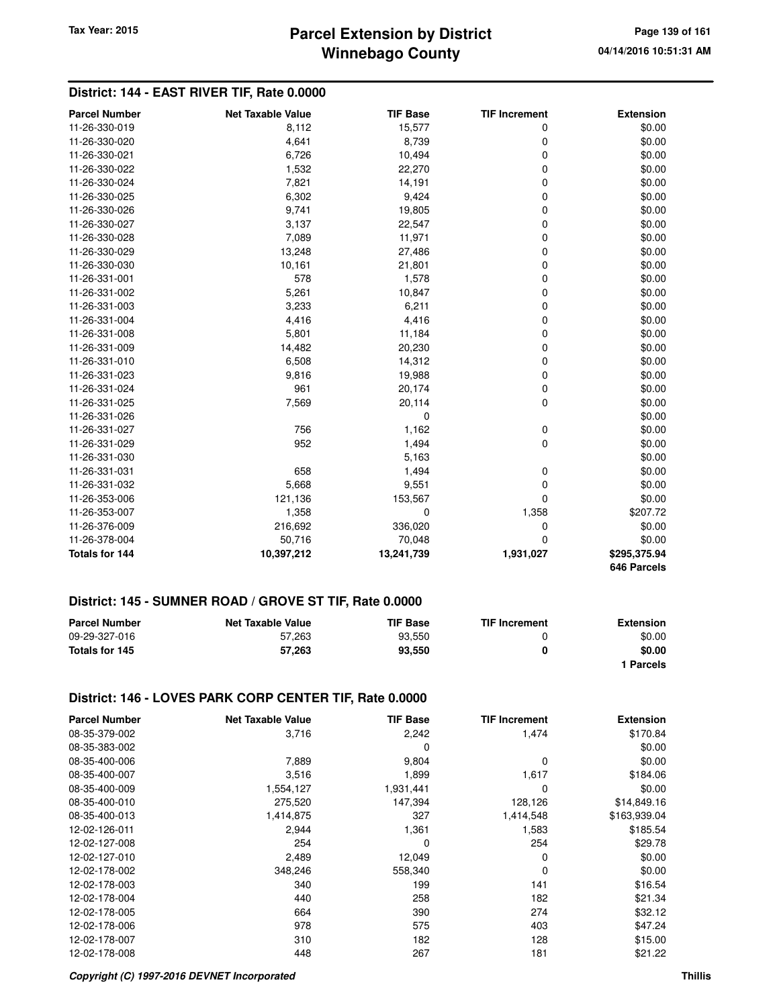## **Winnebago County Parcel Extension by District Tax Year: 2015 Page 139 of 161**

## **District: 144 - EAST RIVER TIF, Rate 0.0000**

| <b>Parcel Number</b>  | <b>Net Taxable Value</b> | <b>TIF Base</b> | <b>TIF Increment</b> | <b>Extension</b> |
|-----------------------|--------------------------|-----------------|----------------------|------------------|
| 11-26-330-019         | 8,112                    | 15,577          | 0                    | \$0.00           |
| 11-26-330-020         | 4,641                    | 8,739           | 0                    | \$0.00           |
| 11-26-330-021         | 6,726                    | 10,494          | 0                    | \$0.00           |
| 11-26-330-022         | 1,532                    | 22,270          | 0                    | \$0.00           |
| 11-26-330-024         | 7,821                    | 14,191          | 0                    | \$0.00           |
| 11-26-330-025         | 6,302                    | 9,424           | 0                    | \$0.00           |
| 11-26-330-026         | 9,741                    | 19,805          | 0                    | \$0.00           |
| 11-26-330-027         | 3,137                    | 22,547          | 0                    | \$0.00           |
| 11-26-330-028         | 7,089                    | 11,971          | 0                    | \$0.00           |
| 11-26-330-029         | 13,248                   | 27,486          | 0                    | \$0.00           |
| 11-26-330-030         | 10,161                   | 21,801          | 0                    | \$0.00           |
| 11-26-331-001         | 578                      | 1,578           | 0                    | \$0.00           |
| 11-26-331-002         | 5,261                    | 10,847          | 0                    | \$0.00           |
| 11-26-331-003         | 3,233                    | 6,211           | 0                    | \$0.00           |
| 11-26-331-004         | 4,416                    | 4,416           | 0                    | \$0.00           |
| 11-26-331-008         | 5,801                    | 11,184          | 0                    | \$0.00           |
| 11-26-331-009         | 14,482                   | 20,230          | 0                    | \$0.00           |
| 11-26-331-010         | 6,508                    | 14,312          | 0                    | \$0.00           |
| 11-26-331-023         | 9,816                    | 19,988          | 0                    | \$0.00           |
| 11-26-331-024         | 961                      | 20,174          | 0                    | \$0.00           |
| 11-26-331-025         | 7,569                    | 20,114          | 0                    | \$0.00           |
| 11-26-331-026         |                          | 0               |                      | \$0.00           |
| 11-26-331-027         | 756                      | 1,162           | 0                    | \$0.00           |
| 11-26-331-029         | 952                      | 1,494           | 0                    | \$0.00           |
| 11-26-331-030         |                          | 5,163           |                      | \$0.00           |
| 11-26-331-031         | 658                      | 1,494           | 0                    | \$0.00           |
| 11-26-331-032         | 5,668                    | 9,551           | 0                    | \$0.00           |
| 11-26-353-006         | 121,136                  | 153,567         | 0                    | \$0.00           |
| 11-26-353-007         | 1,358                    | $\mathbf 0$     | 1,358                | \$207.72         |
| 11-26-376-009         | 216,692                  | 336,020         | 0                    | \$0.00           |
| 11-26-378-004         | 50,716                   | 70,048          | 0                    | \$0.00           |
| <b>Totals for 144</b> | 10,397,212               | 13,241,739      | 1,931,027            | \$295,375.94     |
|                       |                          |                 |                      | 646 Parcels      |

#### **District: 145 - SUMNER ROAD / GROVE ST TIF, Rate 0.0000**

| <b>Parcel Number</b> | <b>Net Taxable Value</b> | <b>TIF Base</b> | <b>TIF Increment</b> | <b>Extension</b> |
|----------------------|--------------------------|-----------------|----------------------|------------------|
| 09-29-327-016        | 57.263                   | 93.550          |                      | \$0.00           |
| Totals for 145       | 57.263                   | 93.550          | 0                    | \$0.00           |
|                      |                          |                 |                      | ∣ Parcels        |

#### **District: 146 - LOVES PARK CORP CENTER TIF, Rate 0.0000**

| <b>Parcel Number</b> | <b>Net Taxable Value</b> | <b>TIF Base</b> | <b>TIF Increment</b> | <b>Extension</b> |
|----------------------|--------------------------|-----------------|----------------------|------------------|
| 08-35-379-002        | 3,716                    | 2,242           | 1,474                | \$170.84         |
| 08-35-383-002        |                          | 0               |                      | \$0.00           |
| 08-35-400-006        | 7,889                    | 9,804           | $\mathbf 0$          | \$0.00           |
| 08-35-400-007        | 3,516                    | 1,899           | 1,617                | \$184.06         |
| 08-35-400-009        | 1,554,127                | 1,931,441       | 0                    | \$0.00           |
| 08-35-400-010        | 275,520                  | 147,394         | 128,126              | \$14,849.16      |
| 08-35-400-013        | 1,414,875                | 327             | 1,414,548            | \$163,939.04     |
| 12-02-126-011        | 2,944                    | 1,361           | 1,583                | \$185.54         |
| 12-02-127-008        | 254                      | 0               | 254                  | \$29.78          |
| 12-02-127-010        | 2,489                    | 12,049          | 0                    | \$0.00           |
| 12-02-178-002        | 348,246                  | 558,340         | 0                    | \$0.00           |
| 12-02-178-003        | 340                      | 199             | 141                  | \$16.54          |
| 12-02-178-004        | 440                      | 258             | 182                  | \$21.34          |
| 12-02-178-005        | 664                      | 390             | 274                  | \$32.12          |
| 12-02-178-006        | 978                      | 575             | 403                  | \$47.24          |
| 12-02-178-007        | 310                      | 182             | 128                  | \$15.00          |
| 12-02-178-008        | 448                      | 267             | 181                  | \$21.22          |

#### **Copyright (C) 1997-2016 DEVNET Incorporated Thillis**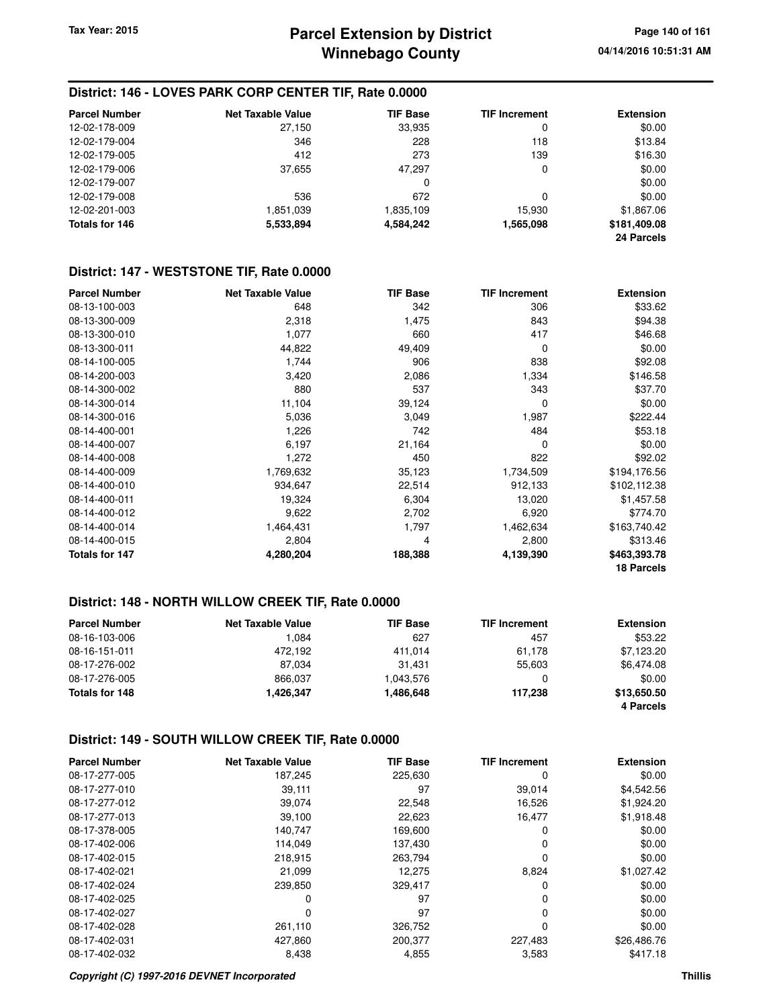## **District: 146 - LOVES PARK CORP CENTER TIF, Rate 0.0000**

| <b>Parcel Number</b> | <b>Net Taxable Value</b> | <b>TIF Base</b> | <b>TIF Increment</b> | <b>Extension</b> |
|----------------------|--------------------------|-----------------|----------------------|------------------|
| 12-02-178-009        | 27,150                   | 33,935          | 0                    | \$0.00           |
| 12-02-179-004        | 346                      | 228             | 118                  | \$13.84          |
| 12-02-179-005        | 412                      | 273             | 139                  | \$16.30          |
| 12-02-179-006        | 37,655                   | 47.297          | 0                    | \$0.00           |
| 12-02-179-007        |                          | 0               |                      | \$0.00           |
| 12-02-179-008        | 536                      | 672             | 0                    | \$0.00           |
| 12-02-201-003        | 1,851,039                | 1,835,109       | 15,930               | \$1,867.06       |
| Totals for 146       | 5,533,894                | 4,584,242       | 1,565,098            | \$181,409.08     |
|                      |                          |                 |                      | 24 Parcels       |

#### **District: 147 - WESTSTONE TIF, Rate 0.0000**

| <b>Parcel Number</b> | <b>Net Taxable Value</b> | <b>TIF Base</b> | <b>TIF Increment</b> | <b>Extension</b> |
|----------------------|--------------------------|-----------------|----------------------|------------------|
| 08-13-100-003        | 648                      | 342             | 306                  | \$33.62          |
| 08-13-300-009        | 2,318                    | 1,475           | 843                  | \$94.38          |
| 08-13-300-010        | 1,077                    | 660             | 417                  | \$46.68          |
| 08-13-300-011        | 44,822                   | 49,409          | 0                    | \$0.00           |
| 08-14-100-005        | 1,744                    | 906             | 838                  | \$92.08          |
| 08-14-200-003        | 3,420                    | 2,086           | 1,334                | \$146.58         |
| 08-14-300-002        | 880                      | 537             | 343                  | \$37.70          |
| 08-14-300-014        | 11,104                   | 39,124          | 0                    | \$0.00           |
| 08-14-300-016        | 5,036                    | 3,049           | 1,987                | \$222.44         |
| 08-14-400-001        | 1,226                    | 742             | 484                  | \$53.18          |
| 08-14-400-007        | 6,197                    | 21,164          | 0                    | \$0.00           |
| 08-14-400-008        | 1,272                    | 450             | 822                  | \$92.02          |
| 08-14-400-009        | 1,769,632                | 35,123          | 1,734,509            | \$194,176.56     |
| 08-14-400-010        | 934,647                  | 22,514          | 912,133              | \$102,112.38     |
| 08-14-400-011        | 19,324                   | 6,304           | 13,020               | \$1,457.58       |
| 08-14-400-012        | 9,622                    | 2,702           | 6,920                | \$774.70         |
| 08-14-400-014        | 1,464,431                | 1,797           | 1,462,634            | \$163,740.42     |
| 08-14-400-015        | 2,804                    | 4               | 2,800                | \$313.46         |
| Totals for 147       | 4,280,204                | 188,388         | 4,139,390            | \$463,393.78     |
|                      |                          |                 |                      | 18 Parcels       |

#### **District: 148 - NORTH WILLOW CREEK TIF, Rate 0.0000**

| <b>Parcel Number</b> | <b>Net Taxable Value</b> | <b>TIF Base</b> | <b>TIF Increment</b> | <b>Extension</b> |
|----------------------|--------------------------|-----------------|----------------------|------------------|
| 08-16-103-006        | 1.084                    | 627             | 457                  | \$53.22          |
| 08-16-151-011        | 472.192                  | 411.014         | 61.178               | \$7,123.20       |
| 08-17-276-002        | 87.034                   | 31.431          | 55,603               | \$6,474.08       |
| 08-17-276-005        | 866,037                  | 1,043,576       |                      | \$0.00           |
| Totals for 148       | 1,426,347                | 1,486,648       | 117.238              | \$13,650.50      |
|                      |                          |                 |                      | 4 Parcels        |

#### **District: 149 - SOUTH WILLOW CREEK TIF, Rate 0.0000**

| <b>Parcel Number</b> | <b>Net Taxable Value</b> | <b>TIF Base</b> | <b>TIF Increment</b> | <b>Extension</b> |
|----------------------|--------------------------|-----------------|----------------------|------------------|
| 08-17-277-005        | 187,245                  | 225,630         | 0                    | \$0.00           |
| 08-17-277-010        | 39,111                   | 97              | 39,014               | \$4,542.56       |
| 08-17-277-012        | 39,074                   | 22,548          | 16,526               | \$1,924.20       |
| 08-17-277-013        | 39,100                   | 22,623          | 16,477               | \$1,918.48       |
| 08-17-378-005        | 140,747                  | 169,600         | 0                    | \$0.00           |
| 08-17-402-006        | 114,049                  | 137.430         | 0                    | \$0.00           |
| 08-17-402-015        | 218.915                  | 263,794         | 0                    | \$0.00           |
| 08-17-402-021        | 21,099                   | 12.275          | 8,824                | \$1,027.42       |
| 08-17-402-024        | 239.850                  | 329,417         | 0                    | \$0.00           |
| 08-17-402-025        | 0                        | 97              | 0                    | \$0.00           |
| 08-17-402-027        | 0                        | 97              | $\Omega$             | \$0.00           |
| 08-17-402-028        | 261,110                  | 326,752         | 0                    | \$0.00           |
| 08-17-402-031        | 427,860                  | 200,377         | 227,483              | \$26,486.76      |
| 08-17-402-032        | 8,438                    | 4,855           | 3,583                | \$417.18         |

#### **Copyright (C) 1997-2016 DEVNET Incorporated Thillis**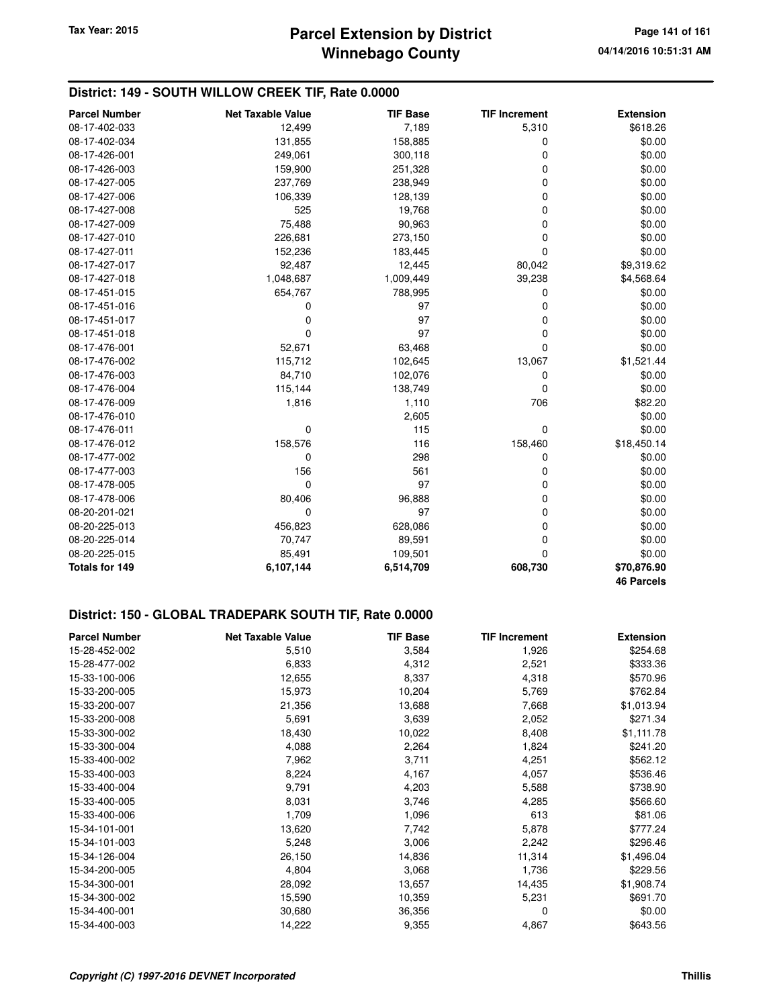## **District: 149 - SOUTH WILLOW CREEK TIF, Rate 0.0000**

| <b>Parcel Number</b> | <b>Net Taxable Value</b> | <b>TIF Base</b> | <b>TIF Increment</b> | <b>Extension</b>  |
|----------------------|--------------------------|-----------------|----------------------|-------------------|
| 08-17-402-033        | 12,499                   | 7,189           | 5,310                | \$618.26          |
| 08-17-402-034        | 131,855                  | 158,885         | 0                    | \$0.00            |
| 08-17-426-001        | 249,061                  | 300,118         | $\mathbf 0$          | \$0.00            |
| 08-17-426-003        | 159,900                  | 251,328         | 0                    | \$0.00            |
| 08-17-427-005        | 237,769                  | 238,949         | 0                    | \$0.00            |
| 08-17-427-006        | 106,339                  | 128,139         | 0                    | \$0.00            |
| 08-17-427-008        | 525                      | 19,768          | 0                    | \$0.00            |
| 08-17-427-009        | 75,488                   | 90,963          | $\mathbf 0$          | \$0.00            |
| 08-17-427-010        | 226,681                  | 273,150         | 0                    | \$0.00            |
| 08-17-427-011        | 152,236                  | 183,445         | 0                    | \$0.00            |
| 08-17-427-017        | 92,487                   | 12,445          | 80,042               | \$9,319.62        |
| 08-17-427-018        | 1,048,687                | 1,009,449       | 39,238               | \$4,568.64        |
| 08-17-451-015        | 654,767                  | 788,995         | 0                    | \$0.00            |
| 08-17-451-016        | 0                        | 97              | 0                    | \$0.00            |
| 08-17-451-017        | 0                        | 97              | 0                    | \$0.00            |
| 08-17-451-018        | 0                        | 97              | 0                    | \$0.00            |
| 08-17-476-001        | 52,671                   | 63,468          | $\Omega$             | \$0.00            |
| 08-17-476-002        | 115,712                  | 102,645         | 13,067               | \$1,521.44        |
| 08-17-476-003        | 84,710                   | 102,076         | 0                    | \$0.00            |
| 08-17-476-004        | 115,144                  | 138,749         | 0                    | \$0.00            |
| 08-17-476-009        | 1,816                    | 1,110           | 706                  | \$82.20           |
| 08-17-476-010        |                          | 2,605           |                      | \$0.00            |
| 08-17-476-011        | 0                        | 115             | $\mathbf 0$          | \$0.00            |
| 08-17-476-012        | 158,576                  | 116             | 158,460              | \$18,450.14       |
| 08-17-477-002        | 0                        | 298             | 0                    | \$0.00            |
| 08-17-477-003        | 156                      | 561             | 0                    | \$0.00            |
| 08-17-478-005        | 0                        | 97              | 0                    | \$0.00            |
| 08-17-478-006        | 80,406                   | 96,888          | 0                    | \$0.00            |
| 08-20-201-021        | 0                        | 97              | 0                    | \$0.00            |
| 08-20-225-013        | 456,823                  | 628,086         | 0                    | \$0.00            |
| 08-20-225-014        | 70,747                   | 89,591          | 0                    | \$0.00            |
| 08-20-225-015        | 85,491                   | 109,501         | 0                    | \$0.00            |
| Totals for 149       | 6,107,144                | 6,514,709       | 608,730              | \$70,876.90       |
|                      |                          |                 |                      | <b>46 Parcels</b> |

## **District: 150 - GLOBAL TRADEPARK SOUTH TIF, Rate 0.0000**

| <b>Parcel Number</b> | <b>Net Taxable Value</b> | <b>TIF Base</b> | <b>TIF Increment</b> | <b>Extension</b> |
|----------------------|--------------------------|-----------------|----------------------|------------------|
| 15-28-452-002        | 5,510                    | 3,584           | 1,926                | \$254.68         |
| 15-28-477-002        | 6,833                    | 4,312           | 2,521                | \$333.36         |
| 15-33-100-006        | 12,655                   | 8,337           | 4,318                | \$570.96         |
| 15-33-200-005        | 15,973                   | 10,204          | 5,769                | \$762.84         |
| 15-33-200-007        | 21,356                   | 13,688          | 7,668                | \$1,013.94       |
| 15-33-200-008        | 5,691                    | 3,639           | 2,052                | \$271.34         |
| 15-33-300-002        | 18,430                   | 10,022          | 8,408                | \$1,111.78       |
| 15-33-300-004        | 4,088                    | 2,264           | 1,824                | \$241.20         |
| 15-33-400-002        | 7,962                    | 3,711           | 4,251                | \$562.12         |
| 15-33-400-003        | 8,224                    | 4,167           | 4,057                | \$536.46         |
| 15-33-400-004        | 9,791                    | 4,203           | 5,588                | \$738.90         |
| 15-33-400-005        | 8,031                    | 3,746           | 4,285                | \$566.60         |
| 15-33-400-006        | 1,709                    | 1,096           | 613                  | \$81.06          |
| 15-34-101-001        | 13,620                   | 7,742           | 5,878                | \$777.24         |
| 15-34-101-003        | 5,248                    | 3,006           | 2,242                | \$296.46         |
| 15-34-126-004        | 26,150                   | 14,836          | 11,314               | \$1,496.04       |
| 15-34-200-005        | 4,804                    | 3,068           | 1,736                | \$229.56         |
| 15-34-300-001        | 28,092                   | 13,657          | 14,435               | \$1,908.74       |
| 15-34-300-002        | 15,590                   | 10,359          | 5,231                | \$691.70         |
| 15-34-400-001        | 30,680                   | 36,356          | 0                    | \$0.00           |
| 15-34-400-003        | 14,222                   | 9,355           | 4,867                | \$643.56         |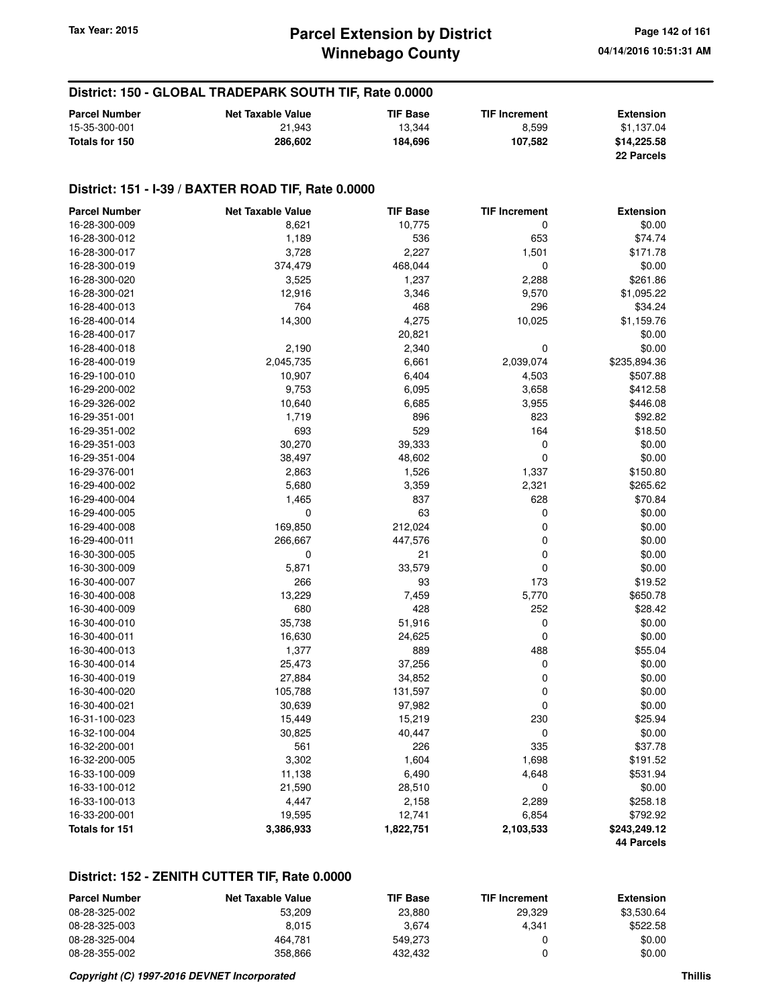## **Winnebago County Parcel Extension by District Tax Year: 2015 Page 142 of 161**

## **District: 150 - GLOBAL TRADEPARK SOUTH TIF, Rate 0.0000**

| <b>Parcel Number</b> | <b>Net Taxable Value</b> | <b>TIF Base</b> | <b>TIF Increment</b> | <b>Extension</b> |
|----------------------|--------------------------|-----------------|----------------------|------------------|
| 15-35-300-001        | 21.943                   | 13.344          | 8.599                | \$1.137.04       |
| Totals for 150       | 286,602                  | 184.696         | 107.582              | \$14,225.58      |
|                      |                          |                 |                      | 22 Parcels       |

#### **District: 151 - I-39 / BAXTER ROAD TIF, Rate 0.0000**

| <b>Parcel Number</b> | <b>Net Taxable Value</b> | <b>TIF Base</b> | <b>TIF Increment</b> | <b>Extension</b> |
|----------------------|--------------------------|-----------------|----------------------|------------------|
| 16-28-300-009        | 8,621                    | 10,775          | 0                    | \$0.00           |
| 16-28-300-012        | 1,189                    | 536             | 653                  | \$74.74          |
| 16-28-300-017        | 3,728                    | 2,227           | 1,501                | \$171.78         |
| 16-28-300-019        | 374,479                  | 468,044         | 0                    | \$0.00           |
| 16-28-300-020        | 3,525                    | 1,237           | 2,288                | \$261.86         |
| 16-28-300-021        | 12,916                   | 3,346           | 9,570                | \$1,095.22       |
| 16-28-400-013        | 764                      | 468             | 296                  | \$34.24          |
| 16-28-400-014        | 14,300                   | 4,275           | 10,025               | \$1,159.76       |
| 16-28-400-017        |                          | 20,821          |                      | \$0.00           |
| 16-28-400-018        | 2,190                    | 2,340           | 0                    | \$0.00           |
| 16-28-400-019        | 2,045,735                | 6,661           | 2,039,074            | \$235,894.36     |
| 16-29-100-010        | 10,907                   | 6,404           | 4,503                | \$507.88         |
| 16-29-200-002        | 9,753                    | 6,095           | 3,658                | \$412.58         |
| 16-29-326-002        | 10,640                   | 6,685           | 3,955                | \$446.08         |
| 16-29-351-001        | 1,719                    | 896             | 823                  | \$92.82          |
| 16-29-351-002        | 693                      | 529             | 164                  | \$18.50          |
| 16-29-351-003        | 30,270                   | 39,333          | 0                    | \$0.00           |
| 16-29-351-004        | 38,497                   | 48,602          | $\mathbf 0$          | \$0.00           |
| 16-29-376-001        | 2,863                    | 1,526           | 1,337                | \$150.80         |
| 16-29-400-002        | 5,680                    | 3,359           | 2,321                | \$265.62         |
| 16-29-400-004        | 1,465                    | 837             | 628                  | \$70.84          |
| 16-29-400-005        | 0                        | 63              | 0                    | \$0.00           |
| 16-29-400-008        | 169,850                  | 212,024         | 0                    | \$0.00           |
| 16-29-400-011        | 266,667                  | 447,576         | 0                    | \$0.00           |
| 16-30-300-005        | 0                        | 21              | $\mathbf 0$          | \$0.00           |
| 16-30-300-009        | 5,871                    | 33,579          | 0                    | \$0.00           |
| 16-30-400-007        | 266                      | 93              | 173                  | \$19.52          |
| 16-30-400-008        | 13,229                   | 7,459           | 5,770                | \$650.78         |
| 16-30-400-009        | 680                      | 428             | 252                  | \$28.42          |
| 16-30-400-010        | 35,738                   | 51,916          | 0                    | \$0.00           |
| 16-30-400-011        | 16,630                   | 24,625          | $\mathbf 0$          | \$0.00           |
| 16-30-400-013        | 1,377                    | 889             | 488                  | \$55.04          |
| 16-30-400-014        | 25,473                   | 37,256          | 0                    | \$0.00           |
| 16-30-400-019        | 27,884                   | 34,852          | 0                    | \$0.00           |
| 16-30-400-020        | 105,788                  | 131,597         | 0                    | \$0.00           |
| 16-30-400-021        | 30,639                   | 97,982          | 0                    | \$0.00           |
| 16-31-100-023        | 15,449                   | 15,219          | 230                  | \$25.94          |
| 16-32-100-004        | 30,825                   | 40,447          | 0                    | \$0.00           |
| 16-32-200-001        | 561                      | 226             | 335                  | \$37.78          |
| 16-32-200-005        | 3,302                    | 1,604           | 1,698                | \$191.52         |
| 16-33-100-009        | 11,138                   | 6,490           | 4,648                | \$531.94         |
| 16-33-100-012        | 21,590                   | 28,510          | 0                    | \$0.00           |
| 16-33-100-013        | 4,447                    | 2,158           | 2,289                | \$258.18         |
| 16-33-200-001        | 19,595                   | 12,741          | 6,854                | \$792.92         |
| Totals for 151       | 3,386,933                | 1,822,751       | 2,103,533            | \$243,249.12     |
|                      |                          |                 |                      | 44 Parcels       |

## **District: 152 - ZENITH CUTTER TIF, Rate 0.0000**

| <b>Parcel Number</b> | Net Taxable Value | <b>TIF Base</b> | <b>TIF Increment</b> | <b>Extension</b> |
|----------------------|-------------------|-----------------|----------------------|------------------|
| 08-28-325-002        | 53.209            | 23.880          | 29.329               | \$3.530.64       |
| 08-28-325-003        | 8.015             | 3.674           | 4.341                | \$522.58         |
| 08-28-325-004        | 464.781           | 549.273         |                      | \$0.00           |
| 08-28-355-002        | 358.866           | 432.432         |                      | \$0.00           |

#### **Copyright (C) 1997-2016 DEVNET Incorporated Thillis**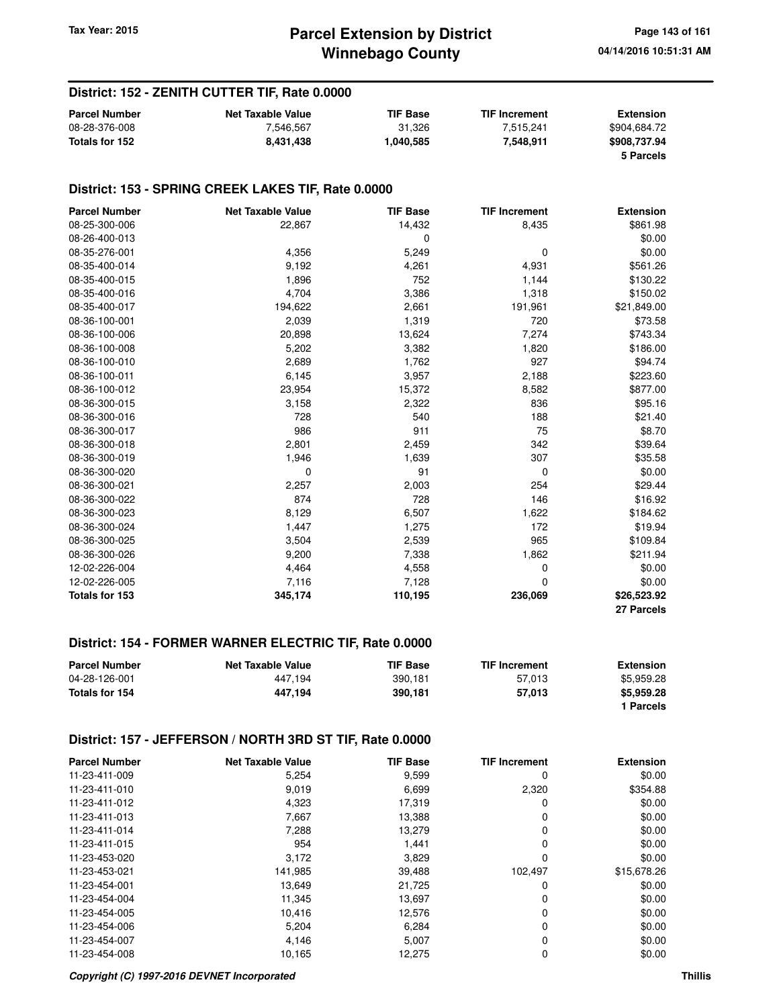## **District: 152 - ZENITH CUTTER TIF, Rate 0.0000**

| <b>Parcel Number</b> | Net Taxable Value | <b>TIF Base</b> | <b>TIF Increment</b> | Extension    |
|----------------------|-------------------|-----------------|----------------------|--------------|
| 08-28-376-008        | 7.546.567         | 31.326          | 7.515.241            | \$904.684.72 |
| Totals for 152       | 8.431.438         | 1,040,585       | 7.548.911            | \$908,737.94 |
|                      |                   |                 |                      | 5 Parcels    |

#### **District: 153 - SPRING CREEK LAKES TIF, Rate 0.0000**

| <b>Parcel Number</b> | <b>Net Taxable Value</b> | <b>TIF Base</b> | <b>TIF Increment</b> | <b>Extension</b> |
|----------------------|--------------------------|-----------------|----------------------|------------------|
| 08-25-300-006        | 22,867                   | 14,432          | 8,435                | \$861.98         |
| 08-26-400-013        |                          | 0               |                      | \$0.00           |
| 08-35-276-001        | 4,356                    | 5,249           | 0                    | \$0.00           |
| 08-35-400-014        | 9,192                    | 4,261           | 4,931                | \$561.26         |
| 08-35-400-015        | 1,896                    | 752             | 1,144                | \$130.22         |
| 08-35-400-016        | 4,704                    | 3,386           | 1,318                | \$150.02         |
| 08-35-400-017        | 194,622                  | 2,661           | 191,961              | \$21,849.00      |
| 08-36-100-001        | 2,039                    | 1,319           | 720                  | \$73.58          |
| 08-36-100-006        | 20,898                   | 13,624          | 7,274                | \$743.34         |
| 08-36-100-008        | 5,202                    | 3,382           | 1,820                | \$186.00         |
| 08-36-100-010        | 2,689                    | 1,762           | 927                  | \$94.74          |
| 08-36-100-011        | 6,145                    | 3,957           | 2,188                | \$223.60         |
| 08-36-100-012        | 23,954                   | 15,372          | 8,582                | \$877.00         |
| 08-36-300-015        | 3,158                    | 2,322           | 836                  | \$95.16          |
| 08-36-300-016        | 728                      | 540             | 188                  | \$21.40          |
| 08-36-300-017        | 986                      | 911             | 75                   | \$8.70           |
| 08-36-300-018        | 2,801                    | 2,459           | 342                  | \$39.64          |
| 08-36-300-019        | 1,946                    | 1,639           | 307                  | \$35.58          |
| 08-36-300-020        | 0                        | 91              | 0                    | \$0.00           |
| 08-36-300-021        | 2,257                    | 2,003           | 254                  | \$29.44          |
| 08-36-300-022        | 874                      | 728             | 146                  | \$16.92          |
| 08-36-300-023        | 8,129                    | 6,507           | 1,622                | \$184.62         |
| 08-36-300-024        | 1,447                    | 1,275           | 172                  | \$19.94          |
| 08-36-300-025        | 3,504                    | 2,539           | 965                  | \$109.84         |
| 08-36-300-026        | 9,200                    | 7,338           | 1,862                | \$211.94         |
| 12-02-226-004        | 4,464                    | 4,558           | 0                    | \$0.00           |
| 12-02-226-005        | 7,116                    | 7,128           | 0                    | \$0.00           |
| Totals for 153       | 345,174                  | 110,195         | 236,069              | \$26,523.92      |
|                      |                          |                 |                      | 27 Parcels       |

#### **District: 154 - FORMER WARNER ELECTRIC TIF, Rate 0.0000**

| <b>Parcel Number</b> | <b>Net Taxable Value</b> | <b>TIF Base</b> | <b>TIF Increment</b> | <b>Extension</b> |
|----------------------|--------------------------|-----------------|----------------------|------------------|
| 04-28-126-001        | 447.194                  | 390.181         | 57.013               | \$5.959.28       |
| Totals for 154       | 447.194                  | 390.181         | 57.013               | \$5,959.28       |
|                      |                          |                 |                      | 1 Parcels        |

#### **District: 157 - JEFFERSON / NORTH 3RD ST TIF, Rate 0.0000**

| <b>Parcel Number</b> | <b>Net Taxable Value</b> | <b>TIF Base</b> | <b>TIF Increment</b> | <b>Extension</b> |
|----------------------|--------------------------|-----------------|----------------------|------------------|
| 11-23-411-009        | 5,254                    | 9,599           | 0                    | \$0.00           |
| 11-23-411-010        | 9,019                    | 6,699           | 2,320                | \$354.88         |
| 11-23-411-012        | 4,323                    | 17,319          | 0                    | \$0.00           |
| 11-23-411-013        | 7,667                    | 13,388          | 0                    | \$0.00           |
| 11-23-411-014        | 7,288                    | 13,279          | $\Omega$             | \$0.00           |
| 11-23-411-015        | 954                      | 1,441           | 0                    | \$0.00           |
| 11-23-453-020        | 3,172                    | 3,829           | 0                    | \$0.00           |
| 11-23-453-021        | 141,985                  | 39,488          | 102,497              | \$15,678.26      |
| 11-23-454-001        | 13.649                   | 21.725          | $\Omega$             | \$0.00           |
| 11-23-454-004        | 11,345                   | 13,697          | $\Omega$             | \$0.00           |
| 11-23-454-005        | 10,416                   | 12,576          | $\Omega$             | \$0.00           |
| 11-23-454-006        | 5,204                    | 6,284           | 0                    | \$0.00           |
| 11-23-454-007        | 4,146                    | 5,007           | $\Omega$             | \$0.00           |
| 11-23-454-008        | 10,165                   | 12,275          | 0                    | \$0.00           |

#### **Copyright (C) 1997-2016 DEVNET Incorporated Thillis**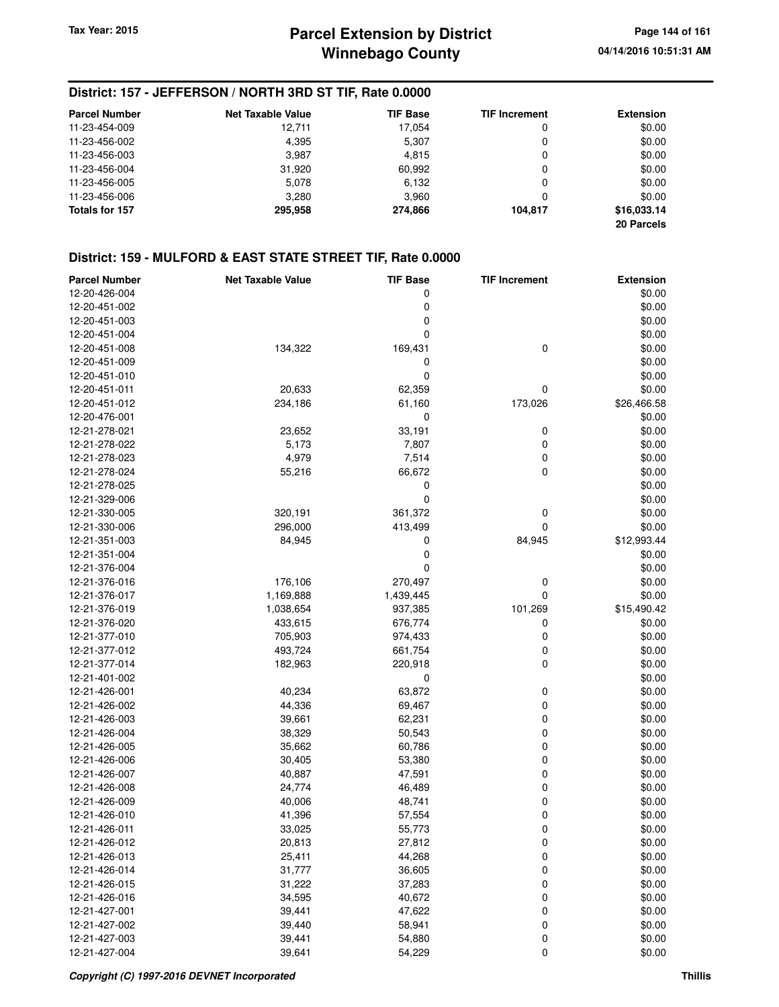## **District: 157 - JEFFERSON / NORTH 3RD ST TIF, Rate 0.0000**

| <b>Parcel Number</b> | <b>Net Taxable Value</b> | <b>TIF Base</b> | <b>TIF Increment</b> | <b>Extension</b> |
|----------------------|--------------------------|-----------------|----------------------|------------------|
| 11-23-454-009        | 12.711                   | 17.054          | 0                    | \$0.00           |
| 11-23-456-002        | 4.395                    | 5,307           | 0                    | \$0.00           |
| 11-23-456-003        | 3.987                    | 4,815           | 0                    | \$0.00           |
| 11-23-456-004        | 31,920                   | 60,992          | 0                    | \$0.00           |
| 11-23-456-005        | 5,078                    | 6,132           | 0                    | \$0.00           |
| 11-23-456-006        | 3,280                    | 3.960           | 0                    | \$0.00           |
| Totals for 157       | 295.958                  | 274.866         | 104.817              | \$16,033.14      |
|                      |                          |                 |                      | 20 Parcels       |

## **District: 159 - MULFORD & EAST STATE STREET TIF, Rate 0.0000**

| <b>Parcel Number</b> | <b>Net Taxable Value</b> | <b>TIF Base</b> | <b>TIF Increment</b> | <b>Extension</b> |
|----------------------|--------------------------|-----------------|----------------------|------------------|
| 12-20-426-004        |                          | 0               |                      | \$0.00           |
| 12-20-451-002        |                          | 0               |                      | \$0.00           |
| 12-20-451-003        |                          | 0               |                      | \$0.00           |
| 12-20-451-004        |                          | $\mathbf 0$     |                      | \$0.00           |
| 12-20-451-008        | 134,322                  | 169,431         | 0                    | \$0.00           |
| 12-20-451-009        |                          | 0               |                      | \$0.00           |
| 12-20-451-010        |                          | $\mathbf 0$     |                      | \$0.00           |
| 12-20-451-011        | 20,633                   | 62,359          | 0                    | \$0.00           |
| 12-20-451-012        | 234,186                  | 61,160          | 173,026              | \$26,466.58      |
| 12-20-476-001        |                          | 0               |                      | \$0.00           |
| 12-21-278-021        | 23,652                   | 33,191          | 0                    | \$0.00           |
| 12-21-278-022        | 5,173                    | 7,807           | 0                    | \$0.00           |
| 12-21-278-023        | 4,979                    | 7,514           | 0                    | \$0.00           |
| 12-21-278-024        | 55,216                   | 66,672          | 0                    | \$0.00           |
| 12-21-278-025        |                          | 0               |                      | \$0.00           |
| 12-21-329-006        |                          | $\mathbf 0$     |                      | \$0.00           |
| 12-21-330-005        | 320,191                  | 361,372         | 0                    | \$0.00           |
| 12-21-330-006        | 296,000                  | 413,499         | 0                    | \$0.00           |
| 12-21-351-003        | 84,945                   | 0               | 84,945               | \$12,993.44      |
| 12-21-351-004        |                          | 0               |                      | \$0.00           |
| 12-21-376-004        |                          | $\mathbf 0$     |                      | \$0.00           |
|                      |                          |                 |                      |                  |
| 12-21-376-016        | 176,106                  | 270,497         | 0                    | \$0.00           |
| 12-21-376-017        | 1,169,888                | 1,439,445       | 0                    | \$0.00           |
| 12-21-376-019        | 1,038,654                | 937,385         | 101,269              | \$15,490.42      |
| 12-21-376-020        | 433,615                  | 676,774         | 0                    | \$0.00           |
| 12-21-377-010        | 705,903                  | 974,433         | 0                    | \$0.00           |
| 12-21-377-012        | 493,724                  | 661,754         | 0                    | \$0.00           |
| 12-21-377-014        | 182,963                  | 220,918         | 0                    | \$0.00           |
| 12-21-401-002        |                          | 0               |                      | \$0.00           |
| 12-21-426-001        | 40,234                   | 63,872          | 0                    | \$0.00           |
| 12-21-426-002        | 44,336                   | 69,467          | 0                    | \$0.00           |
| 12-21-426-003        | 39,661                   | 62,231          | 0                    | \$0.00           |
| 12-21-426-004        | 38,329                   | 50,543          | 0                    | \$0.00           |
| 12-21-426-005        | 35,662                   | 60,786          | 0                    | \$0.00           |
| 12-21-426-006        | 30,405                   | 53,380          | 0                    | \$0.00           |
| 12-21-426-007        | 40,887                   | 47,591          | 0                    | \$0.00           |
| 12-21-426-008        | 24,774                   | 46,489          | 0                    | \$0.00           |
| 12-21-426-009        | 40,006                   | 48,741          | 0                    | \$0.00           |
| 12-21-426-010        | 41,396                   | 57,554          | 0                    | \$0.00           |
| 12-21-426-011        | 33,025                   | 55,773          | 0                    | \$0.00           |
| 12-21-426-012        | 20,813                   | 27,812          | 0                    | \$0.00           |
| 12-21-426-013        | 25,411                   | 44,268          | 0                    | \$0.00           |
| 12-21-426-014        | 31,777                   | 36,605          | 0                    | \$0.00           |
| 12-21-426-015        | 31,222                   | 37,283          | 0                    | \$0.00           |
| 12-21-426-016        | 34,595                   | 40,672          | 0                    | \$0.00           |
| 12-21-427-001        | 39,441                   | 47,622          | 0                    | \$0.00           |
| 12-21-427-002        | 39,440                   | 58,941          | 0                    | \$0.00           |
| 12-21-427-003        | 39,441                   | 54,880          | 0                    | \$0.00           |
| 12-21-427-004        | 39,641                   | 54,229          | 0                    | \$0.00           |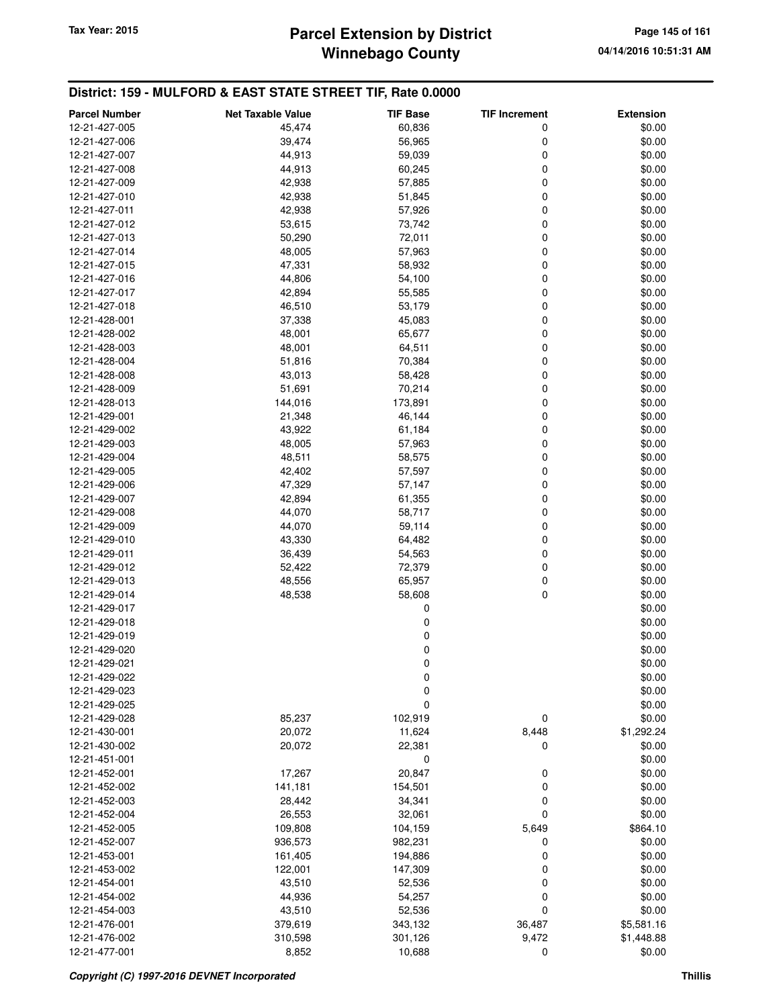# **Winnebago County Parcel Extension by District Tax Year: 2015 Page 145 of 161**

| <b>Parcel Number</b>           | <b>Net Taxable Value</b> | <b>TIF Base</b>  | <b>TIF Increment</b> | <b>Extension</b>     |
|--------------------------------|--------------------------|------------------|----------------------|----------------------|
| 12-21-427-005                  | 45,474                   | 60,836           | 0                    | \$0.00               |
| 12-21-427-006                  | 39,474                   | 56,965           | 0                    | \$0.00               |
| 12-21-427-007                  | 44,913                   | 59,039           | 0                    | \$0.00               |
| 12-21-427-008                  | 44,913                   | 60,245           | 0                    | \$0.00               |
| 12-21-427-009                  | 42,938                   | 57,885           | 0                    | \$0.00               |
| 12-21-427-010                  | 42,938                   | 51,845           | 0                    | \$0.00               |
| 12-21-427-011                  | 42,938                   | 57,926           | 0                    | \$0.00               |
| 12-21-427-012                  | 53,615                   | 73,742           | 0                    | \$0.00               |
| 12-21-427-013                  | 50,290                   | 72,011           | 0                    | \$0.00               |
| 12-21-427-014                  | 48,005                   | 57,963           | 0                    | \$0.00               |
| 12-21-427-015                  | 47,331                   | 58,932           | 0                    | \$0.00               |
| 12-21-427-016                  | 44,806                   | 54,100           | 0                    | \$0.00               |
| 12-21-427-017                  | 42,894                   | 55,585           | 0                    | \$0.00               |
| 12-21-427-018                  | 46,510                   | 53,179           | 0                    | \$0.00               |
| 12-21-428-001                  | 37,338                   | 45,083           | 0                    | \$0.00               |
| 12-21-428-002                  | 48,001                   | 65,677           | 0                    | \$0.00               |
| 12-21-428-003                  | 48,001                   | 64,511           | 0                    | \$0.00               |
| 12-21-428-004<br>12-21-428-008 | 51,816<br>43,013         | 70,384<br>58,428 | 0<br>0               | \$0.00<br>\$0.00     |
| 12-21-428-009                  | 51,691                   | 70,214           | 0                    | \$0.00               |
| 12-21-428-013                  | 144,016                  | 173,891          | 0                    | \$0.00               |
| 12-21-429-001                  | 21,348                   | 46,144           | 0                    | \$0.00               |
| 12-21-429-002                  | 43,922                   | 61,184           | 0                    | \$0.00               |
| 12-21-429-003                  | 48,005                   | 57,963           | 0                    | \$0.00               |
| 12-21-429-004                  | 48,511                   | 58,575           | 0                    | \$0.00               |
| 12-21-429-005                  | 42,402                   | 57,597           | 0                    | \$0.00               |
| 12-21-429-006                  | 47,329                   | 57,147           | 0                    | \$0.00               |
| 12-21-429-007                  | 42,894                   | 61,355           | 0                    | \$0.00               |
| 12-21-429-008                  | 44,070                   | 58,717           | 0                    | \$0.00               |
| 12-21-429-009                  | 44,070                   | 59,114           | 0                    | \$0.00               |
| 12-21-429-010                  | 43,330                   | 64,482           | 0                    | \$0.00               |
| 12-21-429-011                  | 36,439                   | 54,563           | 0                    | \$0.00               |
| 12-21-429-012                  | 52,422                   | 72,379           | 0                    | \$0.00               |
| 12-21-429-013                  | 48,556                   | 65,957           | 0                    | \$0.00               |
| 12-21-429-014                  | 48,538                   | 58,608           | 0                    | \$0.00               |
| 12-21-429-017                  |                          | 0                |                      | \$0.00               |
| 12-21-429-018                  |                          | 0                |                      | \$0.00               |
| 12-21-429-019                  |                          | 0                |                      | \$0.00               |
| 12-21-429-020                  |                          | 0                |                      | \$0.00               |
| 12-21-429-021                  |                          | 0                |                      | \$0.00               |
| 12-21-429-022                  |                          | 0                |                      | \$0.00               |
| 12-21-429-023                  |                          | 0                |                      | \$0.00               |
| 12-21-429-025                  |                          | 0                |                      | \$0.00               |
| 12-21-429-028                  | 85,237                   | 102,919          | 0                    | \$0.00               |
| 12-21-430-001<br>12-21-430-002 | 20,072<br>20,072         | 11,624<br>22,381 | 8,448<br>0           | \$1,292.24<br>\$0.00 |
| 12-21-451-001                  |                          | 0                |                      | \$0.00               |
| 12-21-452-001                  | 17,267                   | 20,847           | 0                    | \$0.00               |
| 12-21-452-002                  | 141,181                  | 154,501          | 0                    | \$0.00               |
| 12-21-452-003                  | 28,442                   | 34,341           | 0                    | \$0.00               |
| 12-21-452-004                  | 26,553                   | 32,061           | 0                    | \$0.00               |
| 12-21-452-005                  | 109,808                  | 104,159          | 5,649                | \$864.10             |
| 12-21-452-007                  | 936,573                  | 982,231          | 0                    | \$0.00               |
| 12-21-453-001                  | 161,405                  | 194,886          | 0                    | \$0.00               |
| 12-21-453-002                  | 122,001                  | 147,309          | 0                    | \$0.00               |
| 12-21-454-001                  | 43,510                   | 52,536           | 0                    | \$0.00               |
| 12-21-454-002                  | 44,936                   | 54,257           | 0                    | \$0.00               |
| 12-21-454-003                  | 43,510                   | 52,536           | 0                    | \$0.00               |
| 12-21-476-001                  | 379,619                  | 343,132          | 36,487               | \$5,581.16           |
| 12-21-476-002                  | 310,598                  | 301,126          | 9,472                | \$1,448.88           |
| 12-21-477-001                  | 8,852                    | 10,688           | $\mathbf 0$          | \$0.00               |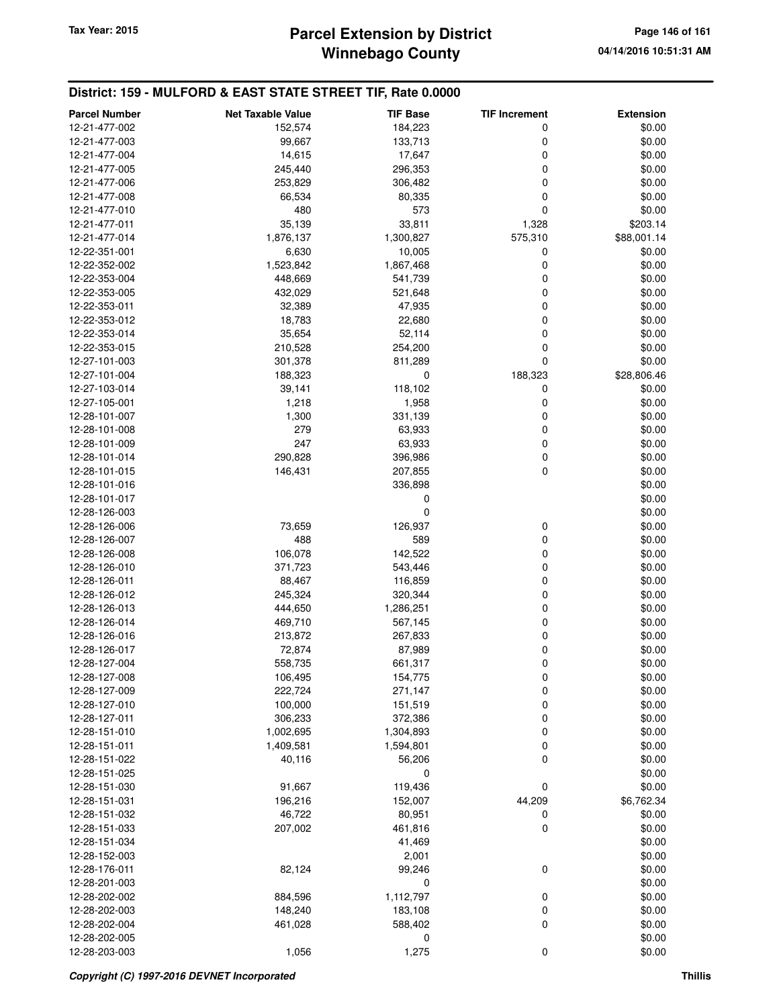# **Winnebago County Parcel Extension by District Tax Year: 2015 Page 146 of 161**

| <b>Parcel Number</b> | <b>Net Taxable Value</b> | <b>TIF Base</b> | <b>TIF Increment</b> | <b>Extension</b> |
|----------------------|--------------------------|-----------------|----------------------|------------------|
| 12-21-477-002        | 152,574                  | 184,223         | 0                    | \$0.00           |
| 12-21-477-003        | 99,667                   | 133,713         | 0                    | \$0.00           |
| 12-21-477-004        | 14,615                   | 17,647          | 0                    | \$0.00           |
| 12-21-477-005        | 245,440                  | 296,353         | 0                    | \$0.00           |
| 12-21-477-006        | 253,829                  | 306,482         | 0                    | \$0.00           |
| 12-21-477-008        | 66,534                   | 80,335          | 0                    | \$0.00           |
| 12-21-477-010        | 480                      | 573             | 0                    | \$0.00           |
| 12-21-477-011        | 35,139                   | 33,811          | 1,328                | \$203.14         |
| 12-21-477-014        | 1,876,137                | 1,300,827       | 575,310              | \$88,001.14      |
| 12-22-351-001        | 6,630                    | 10,005          | 0                    | \$0.00           |
| 12-22-352-002        | 1,523,842                | 1,867,468       | $\mathbf 0$          | \$0.00           |
| 12-22-353-004        | 448,669                  | 541,739         | 0                    | \$0.00           |
| 12-22-353-005        | 432,029                  | 521,648         | 0                    | \$0.00           |
| 12-22-353-011        | 32,389                   | 47,935          | 0                    | \$0.00           |
| 12-22-353-012        | 18,783                   | 22,680          | 0                    | \$0.00           |
|                      |                          |                 | 0                    |                  |
| 12-22-353-014        | 35,654                   | 52,114          | 0                    | \$0.00           |
| 12-22-353-015        | 210,528                  | 254,200         | 0                    | \$0.00           |
| 12-27-101-003        | 301,378                  | 811,289         |                      | \$0.00           |
| 12-27-101-004        | 188,323                  | 0               | 188,323              | \$28,806.46      |
| 12-27-103-014        | 39,141                   | 118,102         | 0                    | \$0.00           |
| 12-27-105-001        | 1,218                    | 1,958           | $\mathbf 0$          | \$0.00           |
| 12-28-101-007        | 1,300                    | 331,139         | 0                    | \$0.00           |
| 12-28-101-008        | 279                      | 63,933          | 0                    | \$0.00           |
| 12-28-101-009        | 247                      | 63,933          | 0                    | \$0.00           |
| 12-28-101-014        | 290,828                  | 396,986         | 0                    | \$0.00           |
| 12-28-101-015        | 146,431                  | 207,855         | 0                    | \$0.00           |
| 12-28-101-016        |                          | 336,898         |                      | \$0.00           |
| 12-28-101-017        |                          | 0               |                      | \$0.00           |
| 12-28-126-003        |                          | 0               |                      | \$0.00           |
| 12-28-126-006        | 73,659                   | 126,937         | 0                    | \$0.00           |
| 12-28-126-007        | 488                      | 589             | 0                    | \$0.00           |
| 12-28-126-008        | 106,078                  | 142,522         | 0                    | \$0.00           |
| 12-28-126-010        | 371,723                  | 543,446         | 0                    | \$0.00           |
| 12-28-126-011        | 88,467                   | 116,859         | 0                    | \$0.00           |
| 12-28-126-012        | 245,324                  | 320,344         | 0                    | \$0.00           |
| 12-28-126-013        | 444,650                  | 1,286,251       | 0                    | \$0.00           |
| 12-28-126-014        | 469,710                  | 567,145         | 0                    | \$0.00           |
| 12-28-126-016        | 213,872                  | 267,833         | 0                    | \$0.00           |
| 12-28-126-017        | 72,874                   | 87,989          | 0                    | \$0.00           |
| 12-28-127-004        | 558,735                  | 661,317         | 0                    | \$0.00           |
| 12-28-127-008        | 106,495                  | 154,775         | 0                    | \$0.00           |
| 12-28-127-009        | 222,724                  | 271,147         | $\mathbf 0$          | \$0.00           |
| 12-28-127-010        | 100,000                  | 151,519         | 0                    | \$0.00           |
| 12-28-127-011        | 306,233                  | 372,386         | $\mathbf 0$          | \$0.00           |
| 12-28-151-010        | 1,002,695                | 1,304,893       | 0                    | \$0.00           |
| 12-28-151-011        | 1,409,581                | 1,594,801       | 0                    | \$0.00           |
| 12-28-151-022        | 40,116                   | 56,206          | $\mathbf 0$          | \$0.00           |
| 12-28-151-025        |                          | 0               |                      | \$0.00           |
| 12-28-151-030        | 91,667                   | 119,436         | 0                    | \$0.00           |
| 12-28-151-031        | 196,216                  | 152,007         | 44,209               | \$6,762.34       |
| 12-28-151-032        | 46,722                   | 80,951          | 0                    | \$0.00           |
| 12-28-151-033        | 207,002                  | 461,816         | $\mathbf 0$          | \$0.00           |
| 12-28-151-034        |                          | 41,469          |                      | \$0.00           |
| 12-28-152-003        |                          | 2,001           |                      | \$0.00           |
| 12-28-176-011        | 82,124                   | 99,246          | 0                    | \$0.00           |
| 12-28-201-003        |                          | 0               |                      | \$0.00           |
| 12-28-202-002        | 884,596                  | 1,112,797       | 0                    | \$0.00           |
| 12-28-202-003        | 148,240                  | 183,108         | 0                    | \$0.00           |
| 12-28-202-004        | 461,028                  | 588,402         | 0                    | \$0.00           |
| 12-28-202-005        |                          | 0               |                      | \$0.00           |
| 12-28-203-003        | 1,056                    | 1,275           | $\mathbf 0$          | \$0.00           |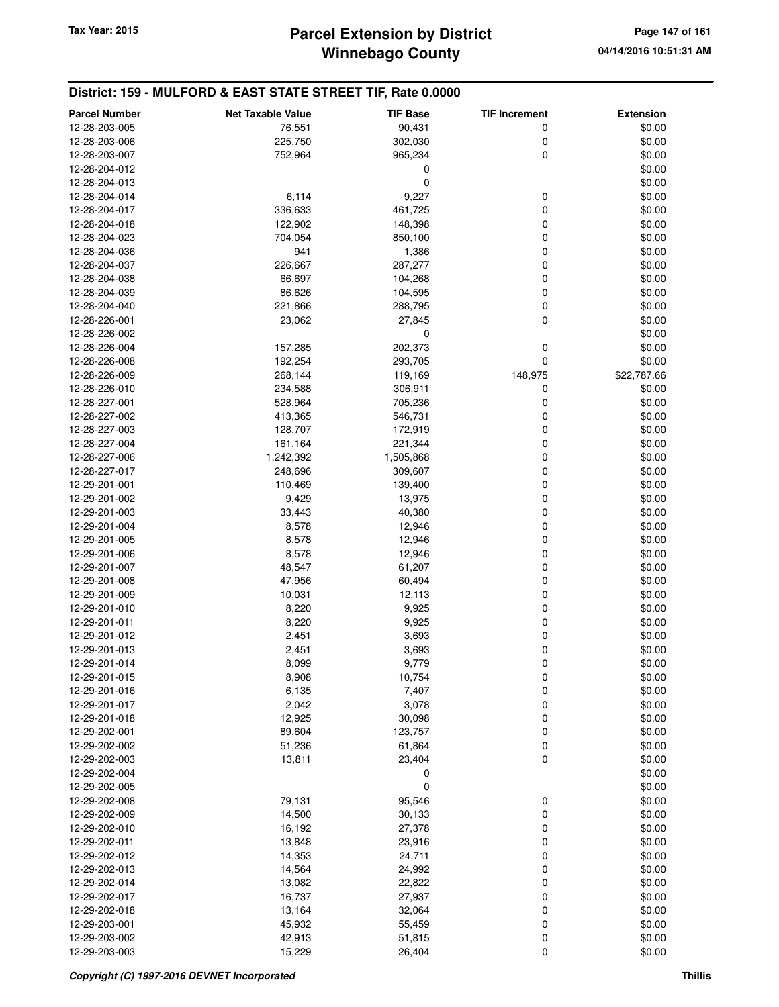| <b>Parcel Number</b> | <b>Net Taxable Value</b> | <b>TIF Base</b> | <b>TIF Increment</b> | <b>Extension</b> |
|----------------------|--------------------------|-----------------|----------------------|------------------|
| 12-28-203-005        | 76,551                   | 90,431          | 0                    | \$0.00           |
| 12-28-203-006        | 225,750                  | 302,030         | 0                    | \$0.00           |
| 12-28-203-007        | 752,964                  | 965,234         | 0                    | \$0.00           |
| 12-28-204-012        |                          | 0               |                      | \$0.00           |
| 12-28-204-013        |                          | 0               |                      | \$0.00           |
|                      | 6,114                    |                 | 0                    |                  |
| 12-28-204-014        |                          | 9,227           |                      | \$0.00           |
| 12-28-204-017        | 336,633                  | 461,725         | 0                    | \$0.00           |
| 12-28-204-018        | 122,902                  | 148,398         | 0                    | \$0.00           |
| 12-28-204-023        | 704,054                  | 850,100         | 0                    | \$0.00           |
| 12-28-204-036        | 941                      | 1,386           | 0                    | \$0.00           |
| 12-28-204-037        | 226,667                  | 287,277         | 0                    | \$0.00           |
| 12-28-204-038        | 66,697                   | 104,268         | 0                    | \$0.00           |
| 12-28-204-039        | 86,626                   | 104,595         | 0                    | \$0.00           |
| 12-28-204-040        | 221,866                  | 288,795         | 0                    | \$0.00           |
| 12-28-226-001        | 23,062                   | 27,845          | 0                    | \$0.00           |
| 12-28-226-002        |                          | 0               |                      | \$0.00           |
| 12-28-226-004        | 157,285                  | 202,373         | 0                    | \$0.00           |
| 12-28-226-008        | 192,254                  | 293,705         | 0                    | \$0.00           |
| 12-28-226-009        | 268,144                  | 119,169         | 148,975              | \$22,787.66      |
| 12-28-226-010        | 234,588                  | 306,911         | 0                    | \$0.00           |
| 12-28-227-001        | 528,964                  | 705,236         | 0                    | \$0.00           |
| 12-28-227-002        | 413,365                  | 546,731         | 0                    | \$0.00           |
| 12-28-227-003        | 128,707                  | 172,919         | 0                    | \$0.00           |
| 12-28-227-004        | 161,164                  | 221,344         | 0                    | \$0.00           |
| 12-28-227-006        | 1,242,392                | 1,505,868       | 0                    | \$0.00           |
| 12-28-227-017        | 248,696                  | 309,607         | 0                    | \$0.00           |
| 12-29-201-001        | 110,469                  | 139,400         | 0                    | \$0.00           |
| 12-29-201-002        | 9,429                    | 13,975          | 0                    | \$0.00           |
| 12-29-201-003        | 33,443                   | 40,380          | 0                    | \$0.00           |
|                      |                          |                 | 0                    |                  |
| 12-29-201-004        | 8,578                    | 12,946          |                      | \$0.00           |
| 12-29-201-005        | 8,578                    | 12,946          | 0                    | \$0.00           |
| 12-29-201-006        | 8,578                    | 12,946          | 0                    | \$0.00           |
| 12-29-201-007        | 48,547                   | 61,207          | 0                    | \$0.00           |
| 12-29-201-008        | 47,956                   | 60,494          | 0                    | \$0.00           |
| 12-29-201-009        | 10,031                   | 12,113          | 0                    | \$0.00           |
| 12-29-201-010        | 8,220                    | 9,925           | 0                    | \$0.00           |
| 12-29-201-011        | 8,220                    | 9,925           | 0                    | \$0.00           |
| 12-29-201-012        | 2,451                    | 3,693           | 0                    | \$0.00           |
| 12-29-201-013        | 2,451                    | 3,693           | 0                    | \$0.00           |
| 12-29-201-014        | 8,099                    | 9,779           | 0                    | \$0.00           |
| 12-29-201-015        | 8,908                    | 10,754          | 0                    | \$0.00           |
| 12-29-201-016        | 6,135                    | 7,407           | 0                    | \$0.00           |
| 12-29-201-017        | 2,042                    | 3,078           | 0                    | \$0.00           |
| 12-29-201-018        | 12,925                   | 30,098          | 0                    | \$0.00           |
| 12-29-202-001        | 89,604                   | 123,757         | 0                    | \$0.00           |
| 12-29-202-002        | 51,236                   | 61,864          | 0                    | \$0.00           |
| 12-29-202-003        | 13,811                   | 23,404          | 0                    | \$0.00           |
| 12-29-202-004        |                          | 0               |                      | \$0.00           |
| 12-29-202-005        |                          | 0               |                      | \$0.00           |
| 12-29-202-008        | 79,131                   | 95,546          | 0                    | \$0.00           |
| 12-29-202-009        | 14,500                   | 30,133          | $\mathbf 0$          | \$0.00           |
| 12-29-202-010        | 16,192                   | 27,378          | 0                    | \$0.00           |
| 12-29-202-011        | 13,848                   | 23,916          | 0                    | \$0.00           |
| 12-29-202-012        | 14,353                   | 24,711          | 0                    | \$0.00           |
| 12-29-202-013        | 14,564                   | 24,992          | 0                    | \$0.00           |
|                      |                          |                 |                      |                  |
| 12-29-202-014        | 13,082                   | 22,822          | 0                    | \$0.00           |
| 12-29-202-017        | 16,737                   | 27,937          | 0                    | \$0.00           |
| 12-29-202-018        | 13,164                   | 32,064          | 0                    | \$0.00           |
| 12-29-203-001        | 45,932                   | 55,459          | $\mathbf 0$          | \$0.00           |
| 12-29-203-002        | 42,913                   | 51,815          | 0                    | \$0.00           |
| 12-29-203-003        | 15,229                   | 26,404          | 0                    | \$0.00           |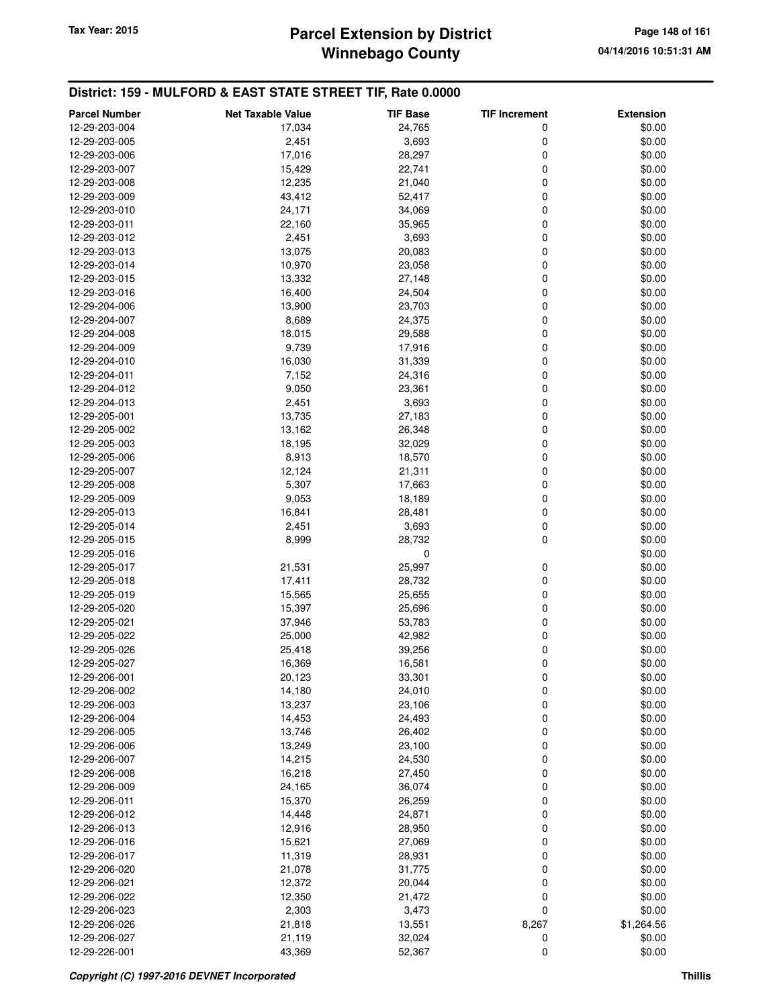# **Winnebago County Parcel Extension by District Tax Year: 2015 Page 148 of 161**

| <b>Parcel Number</b> | <b>Net Taxable Value</b> | <b>TIF Base</b> | <b>TIF Increment</b> | <b>Extension</b> |
|----------------------|--------------------------|-----------------|----------------------|------------------|
| 12-29-203-004        | 17,034                   | 24,765          | 0                    | \$0.00           |
| 12-29-203-005        | 2,451                    | 3,693           | 0                    | \$0.00           |
| 12-29-203-006        | 17,016                   | 28,297          | 0                    | \$0.00           |
| 12-29-203-007        | 15,429                   | 22,741          | 0                    | \$0.00           |
| 12-29-203-008        | 12,235                   | 21,040          | 0                    | \$0.00           |
| 12-29-203-009        | 43,412                   | 52,417          | 0                    | \$0.00           |
| 12-29-203-010        | 24,171                   | 34,069          | 0                    | \$0.00           |
| 12-29-203-011        | 22,160                   | 35,965          | 0                    | \$0.00           |
| 12-29-203-012        | 2,451                    | 3,693           | 0                    | \$0.00           |
| 12-29-203-013        | 13,075                   | 20,083          | 0                    | \$0.00           |
| 12-29-203-014        | 10,970                   | 23,058          | 0                    | \$0.00           |
| 12-29-203-015        | 13,332                   | 27,148          | 0                    | \$0.00           |
| 12-29-203-016        | 16,400                   | 24,504          | 0                    | \$0.00           |
| 12-29-204-006        | 13,900                   | 23,703          | 0                    | \$0.00           |
| 12-29-204-007        | 8,689                    | 24,375          | 0                    | \$0.00           |
| 12-29-204-008        | 18,015                   | 29,588          | 0                    | \$0.00           |
| 12-29-204-009        | 9,739                    | 17,916          | 0                    | \$0.00           |
| 12-29-204-010        | 16,030                   | 31,339          | 0                    | \$0.00           |
| 12-29-204-011        | 7,152                    | 24,316          | 0                    | \$0.00           |
| 12-29-204-012        | 9,050                    | 23,361          | 0                    | \$0.00           |
| 12-29-204-013        | 2,451                    | 3,693           | 0                    | \$0.00           |
| 12-29-205-001        | 13,735                   | 27,183          | 0                    | \$0.00           |
| 12-29-205-002        | 13,162                   | 26,348          | 0                    | \$0.00           |
| 12-29-205-003        | 18,195                   | 32,029          | 0                    | \$0.00           |
| 12-29-205-006        | 8,913                    | 18,570          | 0                    | \$0.00           |
| 12-29-205-007        | 12,124                   | 21,311          | 0                    | \$0.00           |
| 12-29-205-008        | 5,307                    | 17,663          | 0                    | \$0.00           |
| 12-29-205-009        | 9,053                    | 18,189          | 0                    | \$0.00           |
| 12-29-205-013        | 16,841                   | 28,481          | 0                    | \$0.00           |
| 12-29-205-014        | 2,451                    | 3,693           | 0                    | \$0.00           |
| 12-29-205-015        | 8,999                    | 28,732          | 0                    | \$0.00           |
| 12-29-205-016        |                          | $\mathbf 0$     |                      | \$0.00           |
| 12-29-205-017        | 21,531                   | 25,997          | 0                    | \$0.00           |
| 12-29-205-018        | 17,411                   | 28,732          | 0                    | \$0.00           |
| 12-29-205-019        | 15,565                   | 25,655          | 0                    | \$0.00           |
| 12-29-205-020        | 15,397                   | 25,696          | 0                    | \$0.00           |
| 12-29-205-021        | 37,946                   | 53,783          | 0                    | \$0.00           |
| 12-29-205-022        | 25,000                   | 42,982          | 0                    | \$0.00           |
| 12-29-205-026        | 25,418                   | 39,256          | 0                    | \$0.00           |
| 12-29-205-027        | 16,369                   | 16,581          | 0                    | \$0.00           |
| 12-29-206-001        | 20,123                   | 33,301          | 0                    | \$0.00           |
| 12-29-206-002        | 14,180                   | 24,010          | 0                    | \$0.00           |
| 12-29-206-003        | 13,237                   | 23,106          | 0                    | \$0.00           |
| 12-29-206-004        | 14,453                   | 24,493          | 0                    | \$0.00           |
| 12-29-206-005        | 13,746                   | 26,402          | 0                    | \$0.00           |
| 12-29-206-006        | 13,249                   | 23,100          | 0                    | \$0.00           |
| 12-29-206-007        | 14,215                   | 24,530          | 0                    | \$0.00           |
| 12-29-206-008        | 16,218                   | 27,450          | 0                    | \$0.00           |
| 12-29-206-009        | 24,165                   | 36,074          | 0                    | \$0.00           |
| 12-29-206-011        | 15,370                   | 26,259          | 0                    | \$0.00           |
| 12-29-206-012        | 14,448                   | 24,871          | 0                    | \$0.00           |
| 12-29-206-013        | 12,916                   | 28,950          | 0                    | \$0.00           |
| 12-29-206-016        | 15,621                   | 27,069          | 0                    | \$0.00           |
| 12-29-206-017        | 11,319                   | 28,931          | 0                    | \$0.00           |
| 12-29-206-020        | 21,078                   | 31,775          | 0                    | \$0.00           |
| 12-29-206-021        | 12,372                   | 20,044          | 0                    | \$0.00           |
| 12-29-206-022        | 12,350                   | 21,472          | 0                    | \$0.00           |
| 12-29-206-023        | 2,303                    | 3,473           | 0                    | \$0.00           |
| 12-29-206-026        | 21,818                   | 13,551          | 8,267                | \$1,264.56       |
| 12-29-206-027        | 21,119                   | 32,024          | 0                    | \$0.00           |
| 12-29-226-001        | 43,369                   | 52,367          | 0                    | \$0.00           |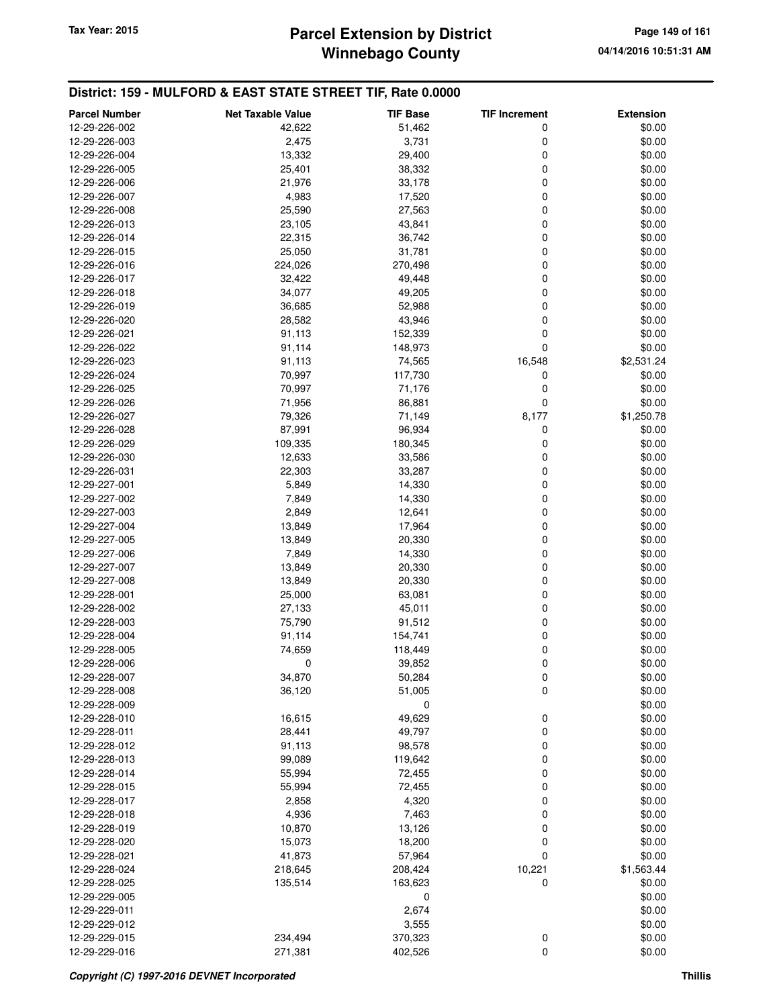# **Winnebago County Parcel Extension by District Tax Year: 2015 Page 149 of 161**

| <b>Parcel Number</b>           | <b>Net Taxable Value</b> | <b>TIF Base</b>   | <b>TIF Increment</b> | <b>Extension</b>     |
|--------------------------------|--------------------------|-------------------|----------------------|----------------------|
| 12-29-226-002                  | 42,622                   | 51,462            | 0                    | \$0.00               |
| 12-29-226-003                  | 2,475                    | 3,731             | 0                    | \$0.00               |
| 12-29-226-004                  | 13,332                   | 29,400            | 0                    | \$0.00               |
| 12-29-226-005                  | 25,401                   | 38,332            | 0                    | \$0.00               |
| 12-29-226-006                  | 21,976                   | 33,178            | 0                    | \$0.00               |
| 12-29-226-007                  | 4,983                    | 17,520            | 0                    | \$0.00               |
| 12-29-226-008                  | 25,590                   | 27,563            | 0                    | \$0.00               |
| 12-29-226-013                  | 23,105                   | 43,841            | 0                    | \$0.00               |
| 12-29-226-014                  | 22,315                   | 36,742            | 0                    | \$0.00               |
| 12-29-226-015                  | 25,050                   | 31,781            | 0                    | \$0.00               |
| 12-29-226-016                  | 224,026                  | 270,498           | 0                    | \$0.00               |
| 12-29-226-017                  | 32,422                   | 49,448            | 0                    | \$0.00               |
| 12-29-226-018                  | 34,077                   | 49,205            | 0                    | \$0.00               |
| 12-29-226-019                  | 36,685                   | 52,988            | 0                    | \$0.00               |
| 12-29-226-020                  | 28,582                   | 43,946            | 0                    | \$0.00               |
| 12-29-226-021                  | 91,113                   | 152,339           | 0                    | \$0.00               |
| 12-29-226-022                  | 91,114                   | 148,973           | 0                    | \$0.00<br>\$2,531.24 |
| 12-29-226-023                  | 91,113                   | 74,565            | 16,548<br>0          |                      |
| 12-29-226-024<br>12-29-226-025 | 70,997<br>70,997         | 117,730<br>71,176 | 0                    | \$0.00<br>\$0.00     |
| 12-29-226-026                  | 71,956                   | 86,881            | 0                    | \$0.00               |
| 12-29-226-027                  | 79,326                   | 71,149            | 8,177                | \$1,250.78           |
| 12-29-226-028                  | 87,991                   | 96,934            | 0                    | \$0.00               |
| 12-29-226-029                  | 109,335                  | 180,345           | 0                    | \$0.00               |
| 12-29-226-030                  | 12,633                   | 33,586            | 0                    | \$0.00               |
| 12-29-226-031                  | 22,303                   | 33,287            | 0                    | \$0.00               |
| 12-29-227-001                  | 5,849                    | 14,330            | 0                    | \$0.00               |
| 12-29-227-002                  | 7,849                    | 14,330            | 0                    | \$0.00               |
| 12-29-227-003                  | 2,849                    | 12,641            | 0                    | \$0.00               |
| 12-29-227-004                  | 13,849                   | 17,964            | 0                    | \$0.00               |
| 12-29-227-005                  | 13,849                   | 20,330            | 0                    | \$0.00               |
| 12-29-227-006                  | 7,849                    | 14,330            | 0                    | \$0.00               |
| 12-29-227-007                  | 13,849                   | 20,330            | 0                    | \$0.00               |
| 12-29-227-008                  | 13,849                   | 20,330            | 0                    | \$0.00               |
| 12-29-228-001                  | 25,000                   | 63,081            | 0                    | \$0.00               |
| 12-29-228-002                  | 27,133                   | 45,011            | 0                    | \$0.00               |
| 12-29-228-003                  | 75,790                   | 91,512            | 0                    | \$0.00               |
| 12-29-228-004                  | 91,114                   | 154,741           | 0                    | \$0.00               |
| 12-29-228-005                  | 74,659                   | 118,449           | 0                    | \$0.00               |
| 12-29-228-006                  | 0                        | 39,852            | 0                    | \$0.00               |
| 12-29-228-007                  | 34,870                   | 50,284            | 0                    | \$0.00               |
| 12-29-228-008                  | 36,120                   | 51,005            | 0                    | \$0.00               |
| 12-29-228-009                  |                          | 0                 |                      | \$0.00               |
| 12-29-228-010                  | 16,615                   | 49,629            | 0                    | \$0.00               |
| 12-29-228-011                  | 28,441                   | 49,797            | 0                    | \$0.00               |
| 12-29-228-012                  | 91,113                   | 98,578            | 0                    | \$0.00               |
| 12-29-228-013                  | 99,089                   | 119,642           | 0                    | \$0.00               |
| 12-29-228-014<br>12-29-228-015 | 55,994<br>55,994         | 72,455<br>72,455  | 0<br>0               | \$0.00<br>\$0.00     |
| 12-29-228-017                  | 2,858                    | 4,320             | 0                    | \$0.00               |
| 12-29-228-018                  | 4,936                    | 7,463             | 0                    | \$0.00               |
| 12-29-228-019                  | 10,870                   | 13,126            | 0                    | \$0.00               |
| 12-29-228-020                  | 15,073                   | 18,200            | 0                    | \$0.00               |
| 12-29-228-021                  | 41,873                   | 57,964            | 0                    | \$0.00               |
| 12-29-228-024                  | 218,645                  | 208,424           | 10,221               | \$1,563.44           |
| 12-29-228-025                  | 135,514                  | 163,623           | 0                    | \$0.00               |
| 12-29-229-005                  |                          | 0                 |                      | \$0.00               |
| 12-29-229-011                  |                          | 2,674             |                      | \$0.00               |
| 12-29-229-012                  |                          | 3,555             |                      | \$0.00               |
| 12-29-229-015                  | 234,494                  | 370,323           | 0                    | \$0.00               |
| 12-29-229-016                  | 271,381                  | 402,526           | 0                    | \$0.00               |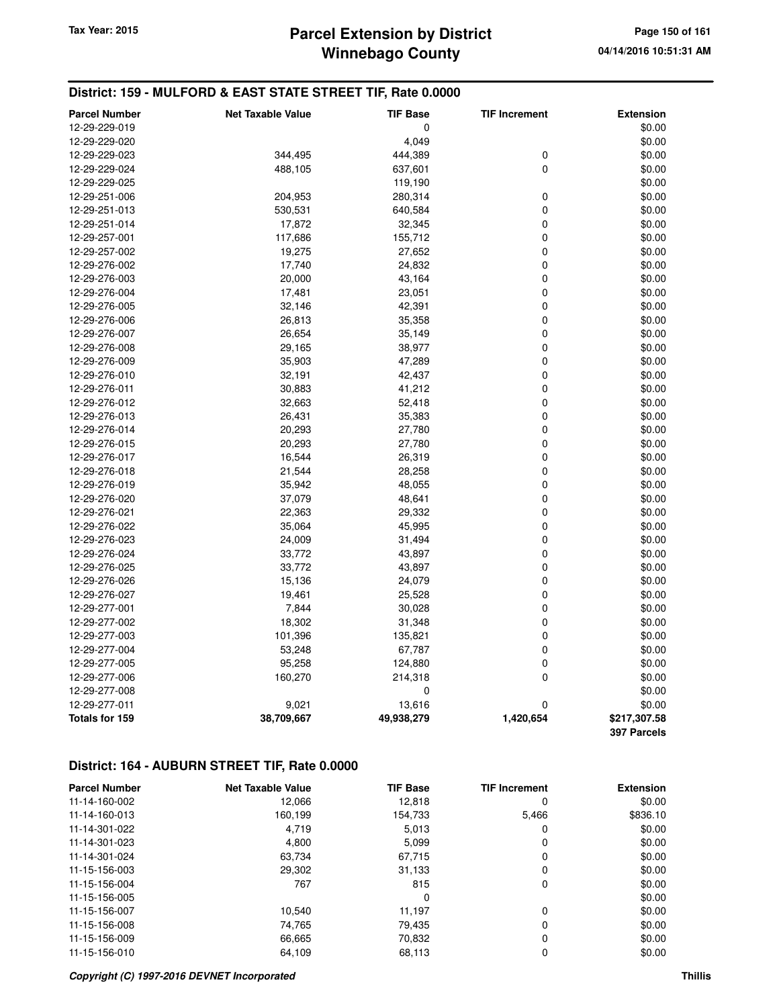# **Winnebago County Parcel Extension by District Tax Year: 2015 Page 150 of 161**

### **District: 159 - MULFORD & EAST STATE STREET TIF, Rate 0.0000**

| <b>Parcel Number</b>  | <b>Net Taxable Value</b> | <b>TIF Base</b> | <b>TIF Increment</b> | <b>Extension</b> |
|-----------------------|--------------------------|-----------------|----------------------|------------------|
| 12-29-229-019         |                          | 0               |                      | \$0.00           |
| 12-29-229-020         |                          | 4,049           |                      | \$0.00           |
| 12-29-229-023         | 344,495                  | 444,389         | 0                    | \$0.00           |
| 12-29-229-024         | 488,105                  | 637,601         | $\mathbf 0$          | \$0.00           |
| 12-29-229-025         |                          | 119,190         |                      | \$0.00           |
| 12-29-251-006         | 204,953                  | 280,314         | $\mathbf 0$          | \$0.00           |
| 12-29-251-013         | 530,531                  | 640,584         | $\pmb{0}$            | \$0.00           |
| 12-29-251-014         | 17,872                   | 32,345          | $\pmb{0}$            | \$0.00           |
| 12-29-257-001         | 117,686                  | 155,712         | $\pmb{0}$            | \$0.00           |
| 12-29-257-002         | 19,275                   | 27,652          | $\mathbf 0$          | \$0.00           |
| 12-29-276-002         | 17,740                   | 24,832          | $\mathbf 0$          | \$0.00           |
| 12-29-276-003         | 20,000                   | 43,164          | $\mathbf 0$          | \$0.00           |
| 12-29-276-004         | 17,481                   | 23,051          | $\mathbf 0$          | \$0.00           |
| 12-29-276-005         | 32,146                   | 42,391          | $\pmb{0}$            | \$0.00           |
| 12-29-276-006         | 26,813                   | 35,358          | $\mathbf 0$          | \$0.00           |
| 12-29-276-007         | 26,654                   | 35,149          | $\mathbf 0$          | \$0.00           |
| 12-29-276-008         | 29,165                   | 38,977          | $\mathbf 0$          | \$0.00           |
| 12-29-276-009         | 35,903                   | 47,289          | $\mathbf 0$          | \$0.00           |
| 12-29-276-010         | 32,191                   | 42,437          | $\pmb{0}$            | \$0.00           |
| 12-29-276-011         | 30,883                   | 41,212          | $\mathbf 0$          | \$0.00           |
| 12-29-276-012         | 32,663                   | 52,418          | $\mathbf 0$          | \$0.00           |
| 12-29-276-013         | 26,431                   | 35,383          | $\pmb{0}$            | \$0.00           |
| 12-29-276-014         | 20,293                   | 27,780          | $\pmb{0}$            | \$0.00           |
| 12-29-276-015         | 20,293                   | 27,780          | $\pmb{0}$            | \$0.00           |
| 12-29-276-017         | 16,544                   | 26,319          | $\mathbf 0$          | \$0.00           |
| 12-29-276-018         | 21,544                   | 28,258          | $\mathbf 0$          | \$0.00           |
| 12-29-276-019         | 35,942                   | 48,055          | $\pmb{0}$            | \$0.00           |
| 12-29-276-020         | 37,079                   | 48,641          | $\pmb{0}$            | \$0.00           |
| 12-29-276-021         | 22,363                   | 29,332          | $\mathbf 0$          | \$0.00           |
| 12-29-276-022         | 35,064                   | 45,995          | $\mathbf 0$          | \$0.00           |
| 12-29-276-023         | 24,009                   | 31,494          | $\mathbf 0$          | \$0.00           |
| 12-29-276-024         | 33,772                   | 43,897          | $\mathbf 0$          | \$0.00           |
| 12-29-276-025         | 33,772                   | 43,897          | $\pmb{0}$            | \$0.00           |
| 12-29-276-026         | 15,136                   | 24,079          | $\mathbf 0$          | \$0.00           |
| 12-29-276-027         | 19,461                   | 25,528          | $\mathbf 0$          | \$0.00           |
| 12-29-277-001         | 7,844                    | 30,028          | $\mathbf 0$          | \$0.00           |
| 12-29-277-002         | 18,302                   | 31,348          | $\mathbf 0$          | \$0.00           |
| 12-29-277-003         | 101,396                  | 135,821         | $\pmb{0}$            | \$0.00           |
| 12-29-277-004         | 53,248                   | 67,787          | $\pmb{0}$            | \$0.00           |
| 12-29-277-005         | 95,258                   | 124,880         | $\mathbf 0$          | \$0.00           |
| 12-29-277-006         | 160,270                  | 214,318         | $\mathbf 0$          | \$0.00           |
| 12-29-277-008         |                          | 0               |                      | \$0.00           |
| 12-29-277-011         | 9,021                    | 13,616          | $\mathbf 0$          | \$0.00           |
| <b>Totals for 159</b> | 38,709,667               | 49,938,279      | 1,420,654            | \$217,307.58     |
|                       |                          |                 |                      | 397 Parcels      |

| <b>Parcel Number</b> | <b>Net Taxable Value</b> | <b>TIF Base</b> | <b>TIF Increment</b> | <b>Extension</b> |
|----------------------|--------------------------|-----------------|----------------------|------------------|
| 11-14-160-002        | 12.066                   | 12,818          | 0                    | \$0.00           |
| 11-14-160-013        | 160,199                  | 154,733         | 5,466                | \$836.10         |
| 11-14-301-022        | 4.719                    | 5,013           | 0                    | \$0.00           |
| 11-14-301-023        | 4,800                    | 5,099           | 0                    | \$0.00           |
| 11-14-301-024        | 63,734                   | 67,715          | 0                    | \$0.00           |
| 11-15-156-003        | 29,302                   | 31,133          | 0                    | \$0.00           |
| 11-15-156-004        | 767                      | 815             | 0                    | \$0.00           |
| 11-15-156-005        |                          | 0               |                      | \$0.00           |
| 11-15-156-007        | 10,540                   | 11,197          | 0                    | \$0.00           |
| 11-15-156-008        | 74.765                   | 79.435          | 0                    | \$0.00           |
| 11-15-156-009        | 66,665                   | 70,832          | 0                    | \$0.00           |
| 11-15-156-010        | 64.109                   | 68,113          | 0                    | \$0.00           |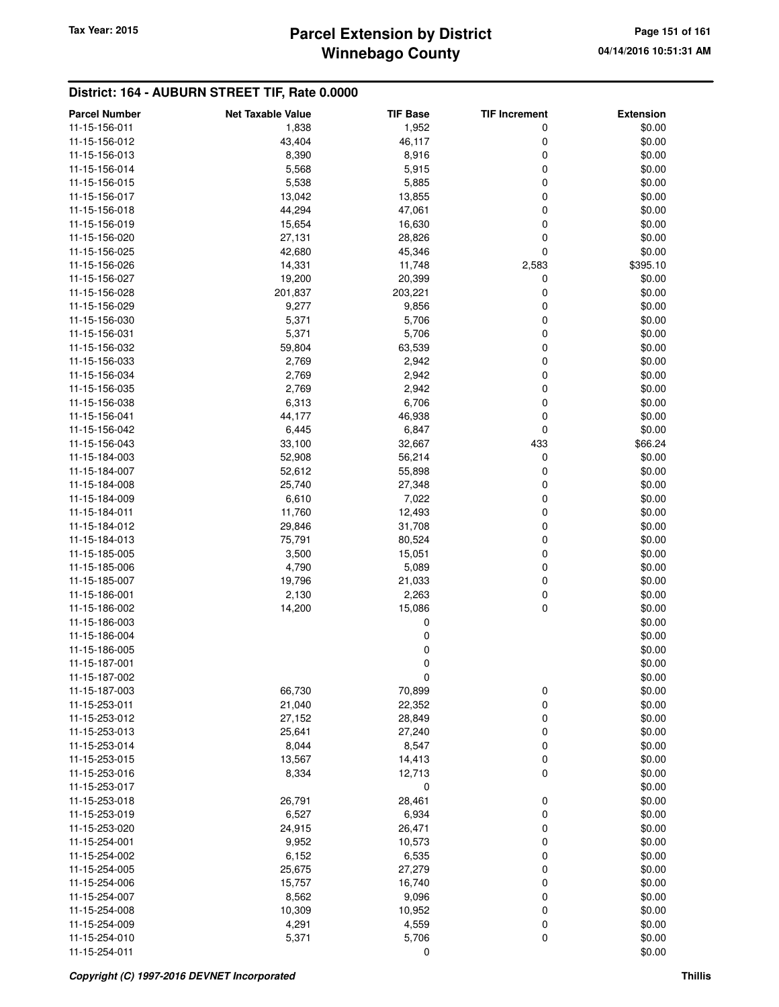### **Winnebago County Parcel Extension by District Tax Year: 2015 Page 151 of 161**

| <b>Parcel Number</b> | <b>Net Taxable Value</b> | TIF Base | <b>TIF Increment</b> | <b>Extension</b> |
|----------------------|--------------------------|----------|----------------------|------------------|
| 11-15-156-011        | 1,838                    | 1,952    | 0                    | \$0.00           |
| 11-15-156-012        | 43,404                   | 46,117   | 0                    | \$0.00           |
| 11-15-156-013        | 8,390                    | 8,916    | 0                    | \$0.00           |
| 11-15-156-014        | 5,568                    | 5,915    | 0                    | \$0.00           |
| 11-15-156-015        | 5,538                    | 5,885    | 0                    | \$0.00           |
| 11-15-156-017        | 13,042                   | 13,855   | 0                    | \$0.00           |
| 11-15-156-018        | 44,294                   | 47,061   | 0                    | \$0.00           |
| 11-15-156-019        | 15,654                   | 16,630   | 0                    | \$0.00           |
| 11-15-156-020        | 27,131                   | 28,826   | 0                    | \$0.00           |
| 11-15-156-025        | 42,680                   | 45,346   | 0                    | \$0.00           |
| 11-15-156-026        | 14,331                   | 11,748   | 2,583                | \$395.10         |
| 11-15-156-027        | 19,200                   | 20,399   | 0                    | \$0.00           |
| 11-15-156-028        | 201,837                  | 203,221  | 0                    | \$0.00           |
| 11-15-156-029        | 9,277                    | 9,856    | 0                    | \$0.00           |
| 11-15-156-030        | 5,371                    | 5,706    | 0                    | \$0.00           |
| 11-15-156-031        | 5,371                    | 5,706    | 0                    | \$0.00           |
| 11-15-156-032        | 59,804                   | 63,539   | 0                    | \$0.00           |
| 11-15-156-033        | 2,769                    | 2,942    | 0                    | \$0.00           |
| 11-15-156-034        |                          |          | 0                    |                  |
| 11-15-156-035        | 2,769                    | 2,942    | 0                    | \$0.00           |
|                      | 2,769                    | 2,942    |                      | \$0.00           |
| 11-15-156-038        | 6,313                    | 6,706    | 0                    | \$0.00           |
| 11-15-156-041        | 44,177                   | 46,938   | 0                    | \$0.00           |
| 11-15-156-042        | 6,445                    | 6,847    | 0                    | \$0.00           |
| 11-15-156-043        | 33,100                   | 32,667   | 433                  | \$66.24          |
| 11-15-184-003        | 52,908                   | 56,214   | 0                    | \$0.00           |
| 11-15-184-007        | 52,612                   | 55,898   | 0                    | \$0.00           |
| 11-15-184-008        | 25,740                   | 27,348   | 0                    | \$0.00           |
| 11-15-184-009        | 6,610                    | 7,022    | 0                    | \$0.00           |
| 11-15-184-011        | 11,760                   | 12,493   | 0                    | \$0.00           |
| 11-15-184-012        | 29,846                   | 31,708   | 0                    | \$0.00           |
| 11-15-184-013        | 75,791                   | 80,524   | 0                    | \$0.00           |
| 11-15-185-005        | 3,500                    | 15,051   | 0                    | \$0.00           |
| 11-15-185-006        | 4,790                    | 5,089    | 0                    | \$0.00           |
| 11-15-185-007        | 19,796                   | 21,033   | 0                    | \$0.00           |
| 11-15-186-001        | 2,130                    | 2,263    | 0                    | \$0.00           |
| 11-15-186-002        | 14,200                   | 15,086   | 0                    | \$0.00           |
| 11-15-186-003        |                          | 0        |                      | \$0.00           |
| 11-15-186-004        |                          | 0        |                      | \$0.00           |
| 11-15-186-005        |                          | 0        |                      | \$0.00           |
| 11-15-187-001        |                          | 0        |                      | \$0.00           |
| 11-15-187-002        |                          | U        |                      | \$0.00           |
| 11-15-187-003        | 66,730                   | 70,899   | 0                    | \$0.00           |
| 11-15-253-011        | 21,040                   | 22,352   | 0                    | \$0.00           |
| 11-15-253-012        | 27,152                   | 28,849   | 0                    | \$0.00           |
| 11-15-253-013        | 25,641                   | 27,240   | 0                    | \$0.00           |
| 11-15-253-014        | 8,044                    | 8,547    | 0                    | \$0.00           |
| 11-15-253-015        | 13,567                   | 14,413   | 0                    | \$0.00           |
| 11-15-253-016        | 8,334                    | 12,713   | 0                    | \$0.00           |
| 11-15-253-017        |                          | 0        |                      | \$0.00           |
| 11-15-253-018        | 26,791                   | 28,461   | 0                    | \$0.00           |
| 11-15-253-019        | 6,527                    | 6,934    | 0                    | \$0.00           |
| 11-15-253-020        | 24,915                   | 26,471   | 0                    | \$0.00           |
| 11-15-254-001        | 9,952                    | 10,573   | 0                    | \$0.00           |
| 11-15-254-002        | 6,152                    | 6,535    | 0                    | \$0.00           |
| 11-15-254-005        | 25,675                   | 27,279   | 0                    | \$0.00           |
| 11-15-254-006        | 15,757                   | 16,740   | 0                    | \$0.00           |
| 11-15-254-007        | 8,562                    | 9,096    | 0                    | \$0.00           |
| 11-15-254-008        | 10,309                   | 10,952   | 0                    | \$0.00           |
| 11-15-254-009        | 4,291                    | 4,559    | 0                    | \$0.00           |
| 11-15-254-010        | 5,371                    | 5,706    | 0                    | \$0.00           |
| 11-15-254-011        |                          | 0        |                      | \$0.00           |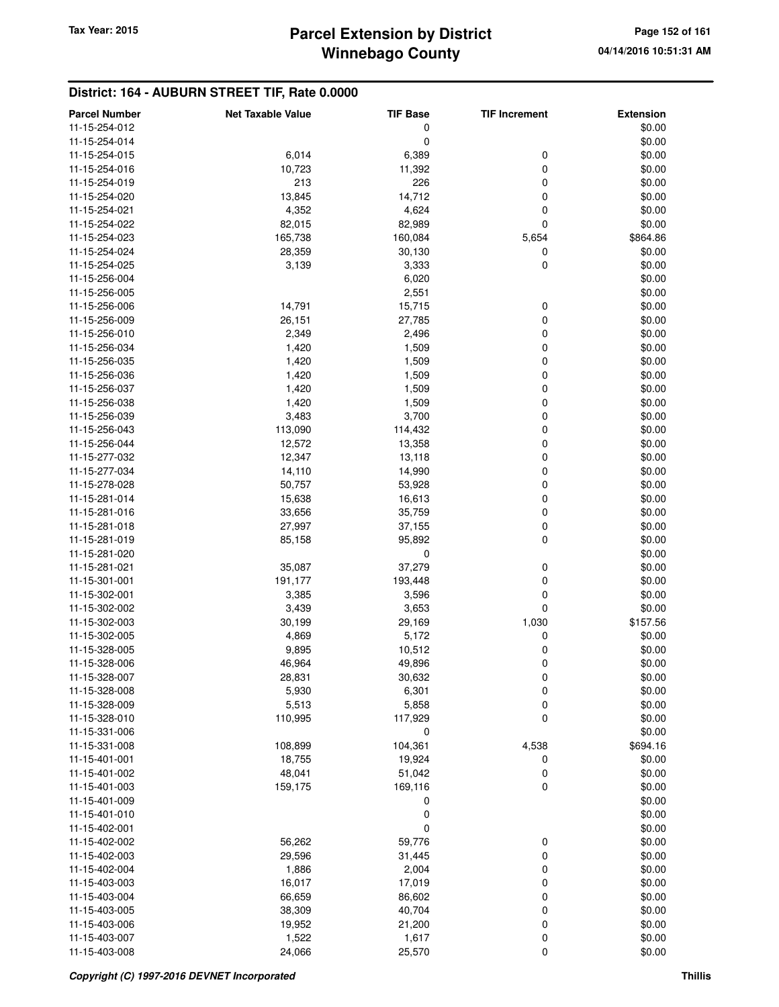# **Winnebago County Parcel Extension by District Tax Year: 2015 Page 152 of 161**

| \$0.00<br>11-15-254-012<br>0<br>0<br>\$0.00<br>11-15-254-014<br>6,014<br>6,389<br>0<br>\$0.00<br>11-15-254-015<br>10,723<br>11,392<br>0<br>\$0.00<br>11-15-254-016<br>11-15-254-019<br>213<br>226<br>0<br>\$0.00<br>13,845<br>14,712<br>0<br>\$0.00<br>11-15-254-020<br>11-15-254-021<br>4,352<br>4,624<br>0<br>\$0.00<br>82,989<br>0<br>\$0.00<br>11-15-254-022<br>82,015<br>11-15-254-023<br>165,738<br>160,084<br>\$864.86<br>5,654<br>11-15-254-024<br>28,359<br>30,130<br>0<br>\$0.00<br>$\mathbf 0$<br>3,139<br>3,333<br>\$0.00<br>11-15-254-025<br>\$0.00<br>11-15-256-004<br>6,020<br>2,551<br>\$0.00<br>11-15-256-005<br>14,791<br>11-15-256-006<br>15,715<br>0<br>\$0.00<br>$\mathbf 0$<br>26,151<br>27,785<br>\$0.00<br>11-15-256-009<br>2,349<br>2,496<br>0<br>\$0.00<br>11-15-256-010<br>1,420<br>1,509<br>0<br>\$0.00<br>11-15-256-034<br>0<br>\$0.00<br>11-15-256-035<br>1,420<br>1,509<br>1,420<br>1,509<br>0<br>\$0.00<br>11-15-256-036<br>$\mathbf 0$<br>11-15-256-037<br>1,420<br>1,509<br>\$0.00<br>\$0.00<br>1,420<br>1,509<br>0<br>11-15-256-038<br>\$0.00<br>11-15-256-039<br>3,483<br>3,700<br>0<br>113,090<br>0<br>\$0.00<br>11-15-256-043<br>114,432<br>$\mathbf 0$<br>12,572<br>13,358<br>\$0.00<br>11-15-256-044<br>$\mathbf 0$<br>12,347<br>13,118<br>\$0.00<br>11-15-277-032<br>$\mathbf 0$<br>14,990<br>\$0.00<br>11-15-277-034<br>14,110<br>\$0.00<br>11-15-278-028<br>50,757<br>53,928<br>0<br>0<br>\$0.00<br>11-15-281-014<br>15,638<br>16,613<br>$\mathbf 0$<br>35,759<br>\$0.00<br>11-15-281-016<br>33,656<br>$\mathbf 0$<br>27,997<br>37,155<br>\$0.00<br>11-15-281-018<br>$\mathbf 0$<br>\$0.00<br>11-15-281-019<br>85,158<br>95,892<br>\$0.00<br>0<br>11-15-281-020<br>35,087<br>37,279<br>0<br>\$0.00<br>11-15-281-021<br>0<br>\$0.00<br>11-15-301-001<br>191,177<br>193,448<br>$\mathbf 0$<br>11-15-302-001<br>3,385<br>3,596<br>\$0.00<br>$\mathbf 0$<br>3,439<br>3,653<br>\$0.00<br>11-15-302-002<br>\$157.56<br>30,199<br>29,169<br>1,030<br>11-15-302-003<br>11-15-302-005<br>4,869<br>5,172<br>0<br>\$0.00<br>11-15-328-005<br>9,895<br>10,512<br>0<br>\$0.00<br>11-15-328-006<br>46,964<br>49,896<br>0<br>\$0.00<br>28,831<br>\$0.00<br>11-15-328-007<br>30,632<br>0<br>5,930<br>6,301<br>0<br>\$0.00<br>11-15-328-008<br>5,513<br>5,858<br>0<br>\$0.00<br>11-15-328-009<br>110,995<br>117,929<br>0<br>\$0.00<br>11-15-328-010<br>0<br>\$0.00<br>11-15-331-006<br>104,361<br>4,538<br>\$694.16<br>11-15-331-008<br>108,899<br>19,924<br>\$0.00<br>11-15-401-001<br>18,755<br>0<br>48,041<br>51,042<br>0<br>\$0.00<br>11-15-401-002<br>159,175<br>169,116<br>0<br>\$0.00<br>11-15-401-003<br>0<br>\$0.00<br>11-15-401-009<br>0<br>\$0.00<br>11-15-401-010<br>0<br>\$0.00<br>11-15-402-001<br>56,262<br>59,776<br>0<br>\$0.00<br>11-15-402-002<br>31,445<br>0<br>\$0.00<br>11-15-402-003<br>29,596<br>1,886<br>2,004<br>0<br>\$0.00<br>11-15-402-004<br>16,017<br>17,019<br>0<br>\$0.00<br>11-15-403-003<br>66,659<br>86,602<br>0<br>\$0.00<br>11-15-403-004<br>0<br>11-15-403-005<br>38,309<br>40,704<br>\$0.00<br>0<br>11-15-403-006<br>19,952<br>21,200<br>\$0.00<br>1,522<br>0<br>11-15-403-007<br>1,617<br>\$0.00<br>$\mathbf 0$<br>11-15-403-008<br>24,066<br>25,570<br>\$0.00 | <b>Parcel Number</b> | <b>Net Taxable Value</b> | <b>TIF Base</b> | <b>TIF Increment</b> | <b>Extension</b> |
|-----------------------------------------------------------------------------------------------------------------------------------------------------------------------------------------------------------------------------------------------------------------------------------------------------------------------------------------------------------------------------------------------------------------------------------------------------------------------------------------------------------------------------------------------------------------------------------------------------------------------------------------------------------------------------------------------------------------------------------------------------------------------------------------------------------------------------------------------------------------------------------------------------------------------------------------------------------------------------------------------------------------------------------------------------------------------------------------------------------------------------------------------------------------------------------------------------------------------------------------------------------------------------------------------------------------------------------------------------------------------------------------------------------------------------------------------------------------------------------------------------------------------------------------------------------------------------------------------------------------------------------------------------------------------------------------------------------------------------------------------------------------------------------------------------------------------------------------------------------------------------------------------------------------------------------------------------------------------------------------------------------------------------------------------------------------------------------------------------------------------------------------------------------------------------------------------------------------------------------------------------------------------------------------------------------------------------------------------------------------------------------------------------------------------------------------------------------------------------------------------------------------------------------------------------------------------------------------------------------------------------------------------------------------------------------------------------------------------------------------------------------------------------------------------------------------------------------------------------------------------------------------------------------------------------------------------------------------------------------------------------------------------------------------------------------------------------------------------------------------------------------------------------------------------------------------------------------------------------------|----------------------|--------------------------|-----------------|----------------------|------------------|
|                                                                                                                                                                                                                                                                                                                                                                                                                                                                                                                                                                                                                                                                                                                                                                                                                                                                                                                                                                                                                                                                                                                                                                                                                                                                                                                                                                                                                                                                                                                                                                                                                                                                                                                                                                                                                                                                                                                                                                                                                                                                                                                                                                                                                                                                                                                                                                                                                                                                                                                                                                                                                                                                                                                                                                                                                                                                                                                                                                                                                                                                                                                                                                                                                                   |                      |                          |                 |                      |                  |
|                                                                                                                                                                                                                                                                                                                                                                                                                                                                                                                                                                                                                                                                                                                                                                                                                                                                                                                                                                                                                                                                                                                                                                                                                                                                                                                                                                                                                                                                                                                                                                                                                                                                                                                                                                                                                                                                                                                                                                                                                                                                                                                                                                                                                                                                                                                                                                                                                                                                                                                                                                                                                                                                                                                                                                                                                                                                                                                                                                                                                                                                                                                                                                                                                                   |                      |                          |                 |                      |                  |
|                                                                                                                                                                                                                                                                                                                                                                                                                                                                                                                                                                                                                                                                                                                                                                                                                                                                                                                                                                                                                                                                                                                                                                                                                                                                                                                                                                                                                                                                                                                                                                                                                                                                                                                                                                                                                                                                                                                                                                                                                                                                                                                                                                                                                                                                                                                                                                                                                                                                                                                                                                                                                                                                                                                                                                                                                                                                                                                                                                                                                                                                                                                                                                                                                                   |                      |                          |                 |                      |                  |
|                                                                                                                                                                                                                                                                                                                                                                                                                                                                                                                                                                                                                                                                                                                                                                                                                                                                                                                                                                                                                                                                                                                                                                                                                                                                                                                                                                                                                                                                                                                                                                                                                                                                                                                                                                                                                                                                                                                                                                                                                                                                                                                                                                                                                                                                                                                                                                                                                                                                                                                                                                                                                                                                                                                                                                                                                                                                                                                                                                                                                                                                                                                                                                                                                                   |                      |                          |                 |                      |                  |
|                                                                                                                                                                                                                                                                                                                                                                                                                                                                                                                                                                                                                                                                                                                                                                                                                                                                                                                                                                                                                                                                                                                                                                                                                                                                                                                                                                                                                                                                                                                                                                                                                                                                                                                                                                                                                                                                                                                                                                                                                                                                                                                                                                                                                                                                                                                                                                                                                                                                                                                                                                                                                                                                                                                                                                                                                                                                                                                                                                                                                                                                                                                                                                                                                                   |                      |                          |                 |                      |                  |
|                                                                                                                                                                                                                                                                                                                                                                                                                                                                                                                                                                                                                                                                                                                                                                                                                                                                                                                                                                                                                                                                                                                                                                                                                                                                                                                                                                                                                                                                                                                                                                                                                                                                                                                                                                                                                                                                                                                                                                                                                                                                                                                                                                                                                                                                                                                                                                                                                                                                                                                                                                                                                                                                                                                                                                                                                                                                                                                                                                                                                                                                                                                                                                                                                                   |                      |                          |                 |                      |                  |
|                                                                                                                                                                                                                                                                                                                                                                                                                                                                                                                                                                                                                                                                                                                                                                                                                                                                                                                                                                                                                                                                                                                                                                                                                                                                                                                                                                                                                                                                                                                                                                                                                                                                                                                                                                                                                                                                                                                                                                                                                                                                                                                                                                                                                                                                                                                                                                                                                                                                                                                                                                                                                                                                                                                                                                                                                                                                                                                                                                                                                                                                                                                                                                                                                                   |                      |                          |                 |                      |                  |
|                                                                                                                                                                                                                                                                                                                                                                                                                                                                                                                                                                                                                                                                                                                                                                                                                                                                                                                                                                                                                                                                                                                                                                                                                                                                                                                                                                                                                                                                                                                                                                                                                                                                                                                                                                                                                                                                                                                                                                                                                                                                                                                                                                                                                                                                                                                                                                                                                                                                                                                                                                                                                                                                                                                                                                                                                                                                                                                                                                                                                                                                                                                                                                                                                                   |                      |                          |                 |                      |                  |
|                                                                                                                                                                                                                                                                                                                                                                                                                                                                                                                                                                                                                                                                                                                                                                                                                                                                                                                                                                                                                                                                                                                                                                                                                                                                                                                                                                                                                                                                                                                                                                                                                                                                                                                                                                                                                                                                                                                                                                                                                                                                                                                                                                                                                                                                                                                                                                                                                                                                                                                                                                                                                                                                                                                                                                                                                                                                                                                                                                                                                                                                                                                                                                                                                                   |                      |                          |                 |                      |                  |
|                                                                                                                                                                                                                                                                                                                                                                                                                                                                                                                                                                                                                                                                                                                                                                                                                                                                                                                                                                                                                                                                                                                                                                                                                                                                                                                                                                                                                                                                                                                                                                                                                                                                                                                                                                                                                                                                                                                                                                                                                                                                                                                                                                                                                                                                                                                                                                                                                                                                                                                                                                                                                                                                                                                                                                                                                                                                                                                                                                                                                                                                                                                                                                                                                                   |                      |                          |                 |                      |                  |
|                                                                                                                                                                                                                                                                                                                                                                                                                                                                                                                                                                                                                                                                                                                                                                                                                                                                                                                                                                                                                                                                                                                                                                                                                                                                                                                                                                                                                                                                                                                                                                                                                                                                                                                                                                                                                                                                                                                                                                                                                                                                                                                                                                                                                                                                                                                                                                                                                                                                                                                                                                                                                                                                                                                                                                                                                                                                                                                                                                                                                                                                                                                                                                                                                                   |                      |                          |                 |                      |                  |
|                                                                                                                                                                                                                                                                                                                                                                                                                                                                                                                                                                                                                                                                                                                                                                                                                                                                                                                                                                                                                                                                                                                                                                                                                                                                                                                                                                                                                                                                                                                                                                                                                                                                                                                                                                                                                                                                                                                                                                                                                                                                                                                                                                                                                                                                                                                                                                                                                                                                                                                                                                                                                                                                                                                                                                                                                                                                                                                                                                                                                                                                                                                                                                                                                                   |                      |                          |                 |                      |                  |
|                                                                                                                                                                                                                                                                                                                                                                                                                                                                                                                                                                                                                                                                                                                                                                                                                                                                                                                                                                                                                                                                                                                                                                                                                                                                                                                                                                                                                                                                                                                                                                                                                                                                                                                                                                                                                                                                                                                                                                                                                                                                                                                                                                                                                                                                                                                                                                                                                                                                                                                                                                                                                                                                                                                                                                                                                                                                                                                                                                                                                                                                                                                                                                                                                                   |                      |                          |                 |                      |                  |
|                                                                                                                                                                                                                                                                                                                                                                                                                                                                                                                                                                                                                                                                                                                                                                                                                                                                                                                                                                                                                                                                                                                                                                                                                                                                                                                                                                                                                                                                                                                                                                                                                                                                                                                                                                                                                                                                                                                                                                                                                                                                                                                                                                                                                                                                                                                                                                                                                                                                                                                                                                                                                                                                                                                                                                                                                                                                                                                                                                                                                                                                                                                                                                                                                                   |                      |                          |                 |                      |                  |
|                                                                                                                                                                                                                                                                                                                                                                                                                                                                                                                                                                                                                                                                                                                                                                                                                                                                                                                                                                                                                                                                                                                                                                                                                                                                                                                                                                                                                                                                                                                                                                                                                                                                                                                                                                                                                                                                                                                                                                                                                                                                                                                                                                                                                                                                                                                                                                                                                                                                                                                                                                                                                                                                                                                                                                                                                                                                                                                                                                                                                                                                                                                                                                                                                                   |                      |                          |                 |                      |                  |
|                                                                                                                                                                                                                                                                                                                                                                                                                                                                                                                                                                                                                                                                                                                                                                                                                                                                                                                                                                                                                                                                                                                                                                                                                                                                                                                                                                                                                                                                                                                                                                                                                                                                                                                                                                                                                                                                                                                                                                                                                                                                                                                                                                                                                                                                                                                                                                                                                                                                                                                                                                                                                                                                                                                                                                                                                                                                                                                                                                                                                                                                                                                                                                                                                                   |                      |                          |                 |                      |                  |
|                                                                                                                                                                                                                                                                                                                                                                                                                                                                                                                                                                                                                                                                                                                                                                                                                                                                                                                                                                                                                                                                                                                                                                                                                                                                                                                                                                                                                                                                                                                                                                                                                                                                                                                                                                                                                                                                                                                                                                                                                                                                                                                                                                                                                                                                                                                                                                                                                                                                                                                                                                                                                                                                                                                                                                                                                                                                                                                                                                                                                                                                                                                                                                                                                                   |                      |                          |                 |                      |                  |
|                                                                                                                                                                                                                                                                                                                                                                                                                                                                                                                                                                                                                                                                                                                                                                                                                                                                                                                                                                                                                                                                                                                                                                                                                                                                                                                                                                                                                                                                                                                                                                                                                                                                                                                                                                                                                                                                                                                                                                                                                                                                                                                                                                                                                                                                                                                                                                                                                                                                                                                                                                                                                                                                                                                                                                                                                                                                                                                                                                                                                                                                                                                                                                                                                                   |                      |                          |                 |                      |                  |
|                                                                                                                                                                                                                                                                                                                                                                                                                                                                                                                                                                                                                                                                                                                                                                                                                                                                                                                                                                                                                                                                                                                                                                                                                                                                                                                                                                                                                                                                                                                                                                                                                                                                                                                                                                                                                                                                                                                                                                                                                                                                                                                                                                                                                                                                                                                                                                                                                                                                                                                                                                                                                                                                                                                                                                                                                                                                                                                                                                                                                                                                                                                                                                                                                                   |                      |                          |                 |                      |                  |
|                                                                                                                                                                                                                                                                                                                                                                                                                                                                                                                                                                                                                                                                                                                                                                                                                                                                                                                                                                                                                                                                                                                                                                                                                                                                                                                                                                                                                                                                                                                                                                                                                                                                                                                                                                                                                                                                                                                                                                                                                                                                                                                                                                                                                                                                                                                                                                                                                                                                                                                                                                                                                                                                                                                                                                                                                                                                                                                                                                                                                                                                                                                                                                                                                                   |                      |                          |                 |                      |                  |
|                                                                                                                                                                                                                                                                                                                                                                                                                                                                                                                                                                                                                                                                                                                                                                                                                                                                                                                                                                                                                                                                                                                                                                                                                                                                                                                                                                                                                                                                                                                                                                                                                                                                                                                                                                                                                                                                                                                                                                                                                                                                                                                                                                                                                                                                                                                                                                                                                                                                                                                                                                                                                                                                                                                                                                                                                                                                                                                                                                                                                                                                                                                                                                                                                                   |                      |                          |                 |                      |                  |
|                                                                                                                                                                                                                                                                                                                                                                                                                                                                                                                                                                                                                                                                                                                                                                                                                                                                                                                                                                                                                                                                                                                                                                                                                                                                                                                                                                                                                                                                                                                                                                                                                                                                                                                                                                                                                                                                                                                                                                                                                                                                                                                                                                                                                                                                                                                                                                                                                                                                                                                                                                                                                                                                                                                                                                                                                                                                                                                                                                                                                                                                                                                                                                                                                                   |                      |                          |                 |                      |                  |
|                                                                                                                                                                                                                                                                                                                                                                                                                                                                                                                                                                                                                                                                                                                                                                                                                                                                                                                                                                                                                                                                                                                                                                                                                                                                                                                                                                                                                                                                                                                                                                                                                                                                                                                                                                                                                                                                                                                                                                                                                                                                                                                                                                                                                                                                                                                                                                                                                                                                                                                                                                                                                                                                                                                                                                                                                                                                                                                                                                                                                                                                                                                                                                                                                                   |                      |                          |                 |                      |                  |
|                                                                                                                                                                                                                                                                                                                                                                                                                                                                                                                                                                                                                                                                                                                                                                                                                                                                                                                                                                                                                                                                                                                                                                                                                                                                                                                                                                                                                                                                                                                                                                                                                                                                                                                                                                                                                                                                                                                                                                                                                                                                                                                                                                                                                                                                                                                                                                                                                                                                                                                                                                                                                                                                                                                                                                                                                                                                                                                                                                                                                                                                                                                                                                                                                                   |                      |                          |                 |                      |                  |
|                                                                                                                                                                                                                                                                                                                                                                                                                                                                                                                                                                                                                                                                                                                                                                                                                                                                                                                                                                                                                                                                                                                                                                                                                                                                                                                                                                                                                                                                                                                                                                                                                                                                                                                                                                                                                                                                                                                                                                                                                                                                                                                                                                                                                                                                                                                                                                                                                                                                                                                                                                                                                                                                                                                                                                                                                                                                                                                                                                                                                                                                                                                                                                                                                                   |                      |                          |                 |                      |                  |
|                                                                                                                                                                                                                                                                                                                                                                                                                                                                                                                                                                                                                                                                                                                                                                                                                                                                                                                                                                                                                                                                                                                                                                                                                                                                                                                                                                                                                                                                                                                                                                                                                                                                                                                                                                                                                                                                                                                                                                                                                                                                                                                                                                                                                                                                                                                                                                                                                                                                                                                                                                                                                                                                                                                                                                                                                                                                                                                                                                                                                                                                                                                                                                                                                                   |                      |                          |                 |                      |                  |
|                                                                                                                                                                                                                                                                                                                                                                                                                                                                                                                                                                                                                                                                                                                                                                                                                                                                                                                                                                                                                                                                                                                                                                                                                                                                                                                                                                                                                                                                                                                                                                                                                                                                                                                                                                                                                                                                                                                                                                                                                                                                                                                                                                                                                                                                                                                                                                                                                                                                                                                                                                                                                                                                                                                                                                                                                                                                                                                                                                                                                                                                                                                                                                                                                                   |                      |                          |                 |                      |                  |
|                                                                                                                                                                                                                                                                                                                                                                                                                                                                                                                                                                                                                                                                                                                                                                                                                                                                                                                                                                                                                                                                                                                                                                                                                                                                                                                                                                                                                                                                                                                                                                                                                                                                                                                                                                                                                                                                                                                                                                                                                                                                                                                                                                                                                                                                                                                                                                                                                                                                                                                                                                                                                                                                                                                                                                                                                                                                                                                                                                                                                                                                                                                                                                                                                                   |                      |                          |                 |                      |                  |
|                                                                                                                                                                                                                                                                                                                                                                                                                                                                                                                                                                                                                                                                                                                                                                                                                                                                                                                                                                                                                                                                                                                                                                                                                                                                                                                                                                                                                                                                                                                                                                                                                                                                                                                                                                                                                                                                                                                                                                                                                                                                                                                                                                                                                                                                                                                                                                                                                                                                                                                                                                                                                                                                                                                                                                                                                                                                                                                                                                                                                                                                                                                                                                                                                                   |                      |                          |                 |                      |                  |
|                                                                                                                                                                                                                                                                                                                                                                                                                                                                                                                                                                                                                                                                                                                                                                                                                                                                                                                                                                                                                                                                                                                                                                                                                                                                                                                                                                                                                                                                                                                                                                                                                                                                                                                                                                                                                                                                                                                                                                                                                                                                                                                                                                                                                                                                                                                                                                                                                                                                                                                                                                                                                                                                                                                                                                                                                                                                                                                                                                                                                                                                                                                                                                                                                                   |                      |                          |                 |                      |                  |
|                                                                                                                                                                                                                                                                                                                                                                                                                                                                                                                                                                                                                                                                                                                                                                                                                                                                                                                                                                                                                                                                                                                                                                                                                                                                                                                                                                                                                                                                                                                                                                                                                                                                                                                                                                                                                                                                                                                                                                                                                                                                                                                                                                                                                                                                                                                                                                                                                                                                                                                                                                                                                                                                                                                                                                                                                                                                                                                                                                                                                                                                                                                                                                                                                                   |                      |                          |                 |                      |                  |
|                                                                                                                                                                                                                                                                                                                                                                                                                                                                                                                                                                                                                                                                                                                                                                                                                                                                                                                                                                                                                                                                                                                                                                                                                                                                                                                                                                                                                                                                                                                                                                                                                                                                                                                                                                                                                                                                                                                                                                                                                                                                                                                                                                                                                                                                                                                                                                                                                                                                                                                                                                                                                                                                                                                                                                                                                                                                                                                                                                                                                                                                                                                                                                                                                                   |                      |                          |                 |                      |                  |
|                                                                                                                                                                                                                                                                                                                                                                                                                                                                                                                                                                                                                                                                                                                                                                                                                                                                                                                                                                                                                                                                                                                                                                                                                                                                                                                                                                                                                                                                                                                                                                                                                                                                                                                                                                                                                                                                                                                                                                                                                                                                                                                                                                                                                                                                                                                                                                                                                                                                                                                                                                                                                                                                                                                                                                                                                                                                                                                                                                                                                                                                                                                                                                                                                                   |                      |                          |                 |                      |                  |
|                                                                                                                                                                                                                                                                                                                                                                                                                                                                                                                                                                                                                                                                                                                                                                                                                                                                                                                                                                                                                                                                                                                                                                                                                                                                                                                                                                                                                                                                                                                                                                                                                                                                                                                                                                                                                                                                                                                                                                                                                                                                                                                                                                                                                                                                                                                                                                                                                                                                                                                                                                                                                                                                                                                                                                                                                                                                                                                                                                                                                                                                                                                                                                                                                                   |                      |                          |                 |                      |                  |
|                                                                                                                                                                                                                                                                                                                                                                                                                                                                                                                                                                                                                                                                                                                                                                                                                                                                                                                                                                                                                                                                                                                                                                                                                                                                                                                                                                                                                                                                                                                                                                                                                                                                                                                                                                                                                                                                                                                                                                                                                                                                                                                                                                                                                                                                                                                                                                                                                                                                                                                                                                                                                                                                                                                                                                                                                                                                                                                                                                                                                                                                                                                                                                                                                                   |                      |                          |                 |                      |                  |
|                                                                                                                                                                                                                                                                                                                                                                                                                                                                                                                                                                                                                                                                                                                                                                                                                                                                                                                                                                                                                                                                                                                                                                                                                                                                                                                                                                                                                                                                                                                                                                                                                                                                                                                                                                                                                                                                                                                                                                                                                                                                                                                                                                                                                                                                                                                                                                                                                                                                                                                                                                                                                                                                                                                                                                                                                                                                                                                                                                                                                                                                                                                                                                                                                                   |                      |                          |                 |                      |                  |
|                                                                                                                                                                                                                                                                                                                                                                                                                                                                                                                                                                                                                                                                                                                                                                                                                                                                                                                                                                                                                                                                                                                                                                                                                                                                                                                                                                                                                                                                                                                                                                                                                                                                                                                                                                                                                                                                                                                                                                                                                                                                                                                                                                                                                                                                                                                                                                                                                                                                                                                                                                                                                                                                                                                                                                                                                                                                                                                                                                                                                                                                                                                                                                                                                                   |                      |                          |                 |                      |                  |
|                                                                                                                                                                                                                                                                                                                                                                                                                                                                                                                                                                                                                                                                                                                                                                                                                                                                                                                                                                                                                                                                                                                                                                                                                                                                                                                                                                                                                                                                                                                                                                                                                                                                                                                                                                                                                                                                                                                                                                                                                                                                                                                                                                                                                                                                                                                                                                                                                                                                                                                                                                                                                                                                                                                                                                                                                                                                                                                                                                                                                                                                                                                                                                                                                                   |                      |                          |                 |                      |                  |
|                                                                                                                                                                                                                                                                                                                                                                                                                                                                                                                                                                                                                                                                                                                                                                                                                                                                                                                                                                                                                                                                                                                                                                                                                                                                                                                                                                                                                                                                                                                                                                                                                                                                                                                                                                                                                                                                                                                                                                                                                                                                                                                                                                                                                                                                                                                                                                                                                                                                                                                                                                                                                                                                                                                                                                                                                                                                                                                                                                                                                                                                                                                                                                                                                                   |                      |                          |                 |                      |                  |
|                                                                                                                                                                                                                                                                                                                                                                                                                                                                                                                                                                                                                                                                                                                                                                                                                                                                                                                                                                                                                                                                                                                                                                                                                                                                                                                                                                                                                                                                                                                                                                                                                                                                                                                                                                                                                                                                                                                                                                                                                                                                                                                                                                                                                                                                                                                                                                                                                                                                                                                                                                                                                                                                                                                                                                                                                                                                                                                                                                                                                                                                                                                                                                                                                                   |                      |                          |                 |                      |                  |
|                                                                                                                                                                                                                                                                                                                                                                                                                                                                                                                                                                                                                                                                                                                                                                                                                                                                                                                                                                                                                                                                                                                                                                                                                                                                                                                                                                                                                                                                                                                                                                                                                                                                                                                                                                                                                                                                                                                                                                                                                                                                                                                                                                                                                                                                                                                                                                                                                                                                                                                                                                                                                                                                                                                                                                                                                                                                                                                                                                                                                                                                                                                                                                                                                                   |                      |                          |                 |                      |                  |
|                                                                                                                                                                                                                                                                                                                                                                                                                                                                                                                                                                                                                                                                                                                                                                                                                                                                                                                                                                                                                                                                                                                                                                                                                                                                                                                                                                                                                                                                                                                                                                                                                                                                                                                                                                                                                                                                                                                                                                                                                                                                                                                                                                                                                                                                                                                                                                                                                                                                                                                                                                                                                                                                                                                                                                                                                                                                                                                                                                                                                                                                                                                                                                                                                                   |                      |                          |                 |                      |                  |
|                                                                                                                                                                                                                                                                                                                                                                                                                                                                                                                                                                                                                                                                                                                                                                                                                                                                                                                                                                                                                                                                                                                                                                                                                                                                                                                                                                                                                                                                                                                                                                                                                                                                                                                                                                                                                                                                                                                                                                                                                                                                                                                                                                                                                                                                                                                                                                                                                                                                                                                                                                                                                                                                                                                                                                                                                                                                                                                                                                                                                                                                                                                                                                                                                                   |                      |                          |                 |                      |                  |
|                                                                                                                                                                                                                                                                                                                                                                                                                                                                                                                                                                                                                                                                                                                                                                                                                                                                                                                                                                                                                                                                                                                                                                                                                                                                                                                                                                                                                                                                                                                                                                                                                                                                                                                                                                                                                                                                                                                                                                                                                                                                                                                                                                                                                                                                                                                                                                                                                                                                                                                                                                                                                                                                                                                                                                                                                                                                                                                                                                                                                                                                                                                                                                                                                                   |                      |                          |                 |                      |                  |
|                                                                                                                                                                                                                                                                                                                                                                                                                                                                                                                                                                                                                                                                                                                                                                                                                                                                                                                                                                                                                                                                                                                                                                                                                                                                                                                                                                                                                                                                                                                                                                                                                                                                                                                                                                                                                                                                                                                                                                                                                                                                                                                                                                                                                                                                                                                                                                                                                                                                                                                                                                                                                                                                                                                                                                                                                                                                                                                                                                                                                                                                                                                                                                                                                                   |                      |                          |                 |                      |                  |
|                                                                                                                                                                                                                                                                                                                                                                                                                                                                                                                                                                                                                                                                                                                                                                                                                                                                                                                                                                                                                                                                                                                                                                                                                                                                                                                                                                                                                                                                                                                                                                                                                                                                                                                                                                                                                                                                                                                                                                                                                                                                                                                                                                                                                                                                                                                                                                                                                                                                                                                                                                                                                                                                                                                                                                                                                                                                                                                                                                                                                                                                                                                                                                                                                                   |                      |                          |                 |                      |                  |
|                                                                                                                                                                                                                                                                                                                                                                                                                                                                                                                                                                                                                                                                                                                                                                                                                                                                                                                                                                                                                                                                                                                                                                                                                                                                                                                                                                                                                                                                                                                                                                                                                                                                                                                                                                                                                                                                                                                                                                                                                                                                                                                                                                                                                                                                                                                                                                                                                                                                                                                                                                                                                                                                                                                                                                                                                                                                                                                                                                                                                                                                                                                                                                                                                                   |                      |                          |                 |                      |                  |
|                                                                                                                                                                                                                                                                                                                                                                                                                                                                                                                                                                                                                                                                                                                                                                                                                                                                                                                                                                                                                                                                                                                                                                                                                                                                                                                                                                                                                                                                                                                                                                                                                                                                                                                                                                                                                                                                                                                                                                                                                                                                                                                                                                                                                                                                                                                                                                                                                                                                                                                                                                                                                                                                                                                                                                                                                                                                                                                                                                                                                                                                                                                                                                                                                                   |                      |                          |                 |                      |                  |
|                                                                                                                                                                                                                                                                                                                                                                                                                                                                                                                                                                                                                                                                                                                                                                                                                                                                                                                                                                                                                                                                                                                                                                                                                                                                                                                                                                                                                                                                                                                                                                                                                                                                                                                                                                                                                                                                                                                                                                                                                                                                                                                                                                                                                                                                                                                                                                                                                                                                                                                                                                                                                                                                                                                                                                                                                                                                                                                                                                                                                                                                                                                                                                                                                                   |                      |                          |                 |                      |                  |
|                                                                                                                                                                                                                                                                                                                                                                                                                                                                                                                                                                                                                                                                                                                                                                                                                                                                                                                                                                                                                                                                                                                                                                                                                                                                                                                                                                                                                                                                                                                                                                                                                                                                                                                                                                                                                                                                                                                                                                                                                                                                                                                                                                                                                                                                                                                                                                                                                                                                                                                                                                                                                                                                                                                                                                                                                                                                                                                                                                                                                                                                                                                                                                                                                                   |                      |                          |                 |                      |                  |
|                                                                                                                                                                                                                                                                                                                                                                                                                                                                                                                                                                                                                                                                                                                                                                                                                                                                                                                                                                                                                                                                                                                                                                                                                                                                                                                                                                                                                                                                                                                                                                                                                                                                                                                                                                                                                                                                                                                                                                                                                                                                                                                                                                                                                                                                                                                                                                                                                                                                                                                                                                                                                                                                                                                                                                                                                                                                                                                                                                                                                                                                                                                                                                                                                                   |                      |                          |                 |                      |                  |
|                                                                                                                                                                                                                                                                                                                                                                                                                                                                                                                                                                                                                                                                                                                                                                                                                                                                                                                                                                                                                                                                                                                                                                                                                                                                                                                                                                                                                                                                                                                                                                                                                                                                                                                                                                                                                                                                                                                                                                                                                                                                                                                                                                                                                                                                                                                                                                                                                                                                                                                                                                                                                                                                                                                                                                                                                                                                                                                                                                                                                                                                                                                                                                                                                                   |                      |                          |                 |                      |                  |
|                                                                                                                                                                                                                                                                                                                                                                                                                                                                                                                                                                                                                                                                                                                                                                                                                                                                                                                                                                                                                                                                                                                                                                                                                                                                                                                                                                                                                                                                                                                                                                                                                                                                                                                                                                                                                                                                                                                                                                                                                                                                                                                                                                                                                                                                                                                                                                                                                                                                                                                                                                                                                                                                                                                                                                                                                                                                                                                                                                                                                                                                                                                                                                                                                                   |                      |                          |                 |                      |                  |
|                                                                                                                                                                                                                                                                                                                                                                                                                                                                                                                                                                                                                                                                                                                                                                                                                                                                                                                                                                                                                                                                                                                                                                                                                                                                                                                                                                                                                                                                                                                                                                                                                                                                                                                                                                                                                                                                                                                                                                                                                                                                                                                                                                                                                                                                                                                                                                                                                                                                                                                                                                                                                                                                                                                                                                                                                                                                                                                                                                                                                                                                                                                                                                                                                                   |                      |                          |                 |                      |                  |
|                                                                                                                                                                                                                                                                                                                                                                                                                                                                                                                                                                                                                                                                                                                                                                                                                                                                                                                                                                                                                                                                                                                                                                                                                                                                                                                                                                                                                                                                                                                                                                                                                                                                                                                                                                                                                                                                                                                                                                                                                                                                                                                                                                                                                                                                                                                                                                                                                                                                                                                                                                                                                                                                                                                                                                                                                                                                                                                                                                                                                                                                                                                                                                                                                                   |                      |                          |                 |                      |                  |
|                                                                                                                                                                                                                                                                                                                                                                                                                                                                                                                                                                                                                                                                                                                                                                                                                                                                                                                                                                                                                                                                                                                                                                                                                                                                                                                                                                                                                                                                                                                                                                                                                                                                                                                                                                                                                                                                                                                                                                                                                                                                                                                                                                                                                                                                                                                                                                                                                                                                                                                                                                                                                                                                                                                                                                                                                                                                                                                                                                                                                                                                                                                                                                                                                                   |                      |                          |                 |                      |                  |
|                                                                                                                                                                                                                                                                                                                                                                                                                                                                                                                                                                                                                                                                                                                                                                                                                                                                                                                                                                                                                                                                                                                                                                                                                                                                                                                                                                                                                                                                                                                                                                                                                                                                                                                                                                                                                                                                                                                                                                                                                                                                                                                                                                                                                                                                                                                                                                                                                                                                                                                                                                                                                                                                                                                                                                                                                                                                                                                                                                                                                                                                                                                                                                                                                                   |                      |                          |                 |                      |                  |
|                                                                                                                                                                                                                                                                                                                                                                                                                                                                                                                                                                                                                                                                                                                                                                                                                                                                                                                                                                                                                                                                                                                                                                                                                                                                                                                                                                                                                                                                                                                                                                                                                                                                                                                                                                                                                                                                                                                                                                                                                                                                                                                                                                                                                                                                                                                                                                                                                                                                                                                                                                                                                                                                                                                                                                                                                                                                                                                                                                                                                                                                                                                                                                                                                                   |                      |                          |                 |                      |                  |
|                                                                                                                                                                                                                                                                                                                                                                                                                                                                                                                                                                                                                                                                                                                                                                                                                                                                                                                                                                                                                                                                                                                                                                                                                                                                                                                                                                                                                                                                                                                                                                                                                                                                                                                                                                                                                                                                                                                                                                                                                                                                                                                                                                                                                                                                                                                                                                                                                                                                                                                                                                                                                                                                                                                                                                                                                                                                                                                                                                                                                                                                                                                                                                                                                                   |                      |                          |                 |                      |                  |
|                                                                                                                                                                                                                                                                                                                                                                                                                                                                                                                                                                                                                                                                                                                                                                                                                                                                                                                                                                                                                                                                                                                                                                                                                                                                                                                                                                                                                                                                                                                                                                                                                                                                                                                                                                                                                                                                                                                                                                                                                                                                                                                                                                                                                                                                                                                                                                                                                                                                                                                                                                                                                                                                                                                                                                                                                                                                                                                                                                                                                                                                                                                                                                                                                                   |                      |                          |                 |                      |                  |
|                                                                                                                                                                                                                                                                                                                                                                                                                                                                                                                                                                                                                                                                                                                                                                                                                                                                                                                                                                                                                                                                                                                                                                                                                                                                                                                                                                                                                                                                                                                                                                                                                                                                                                                                                                                                                                                                                                                                                                                                                                                                                                                                                                                                                                                                                                                                                                                                                                                                                                                                                                                                                                                                                                                                                                                                                                                                                                                                                                                                                                                                                                                                                                                                                                   |                      |                          |                 |                      |                  |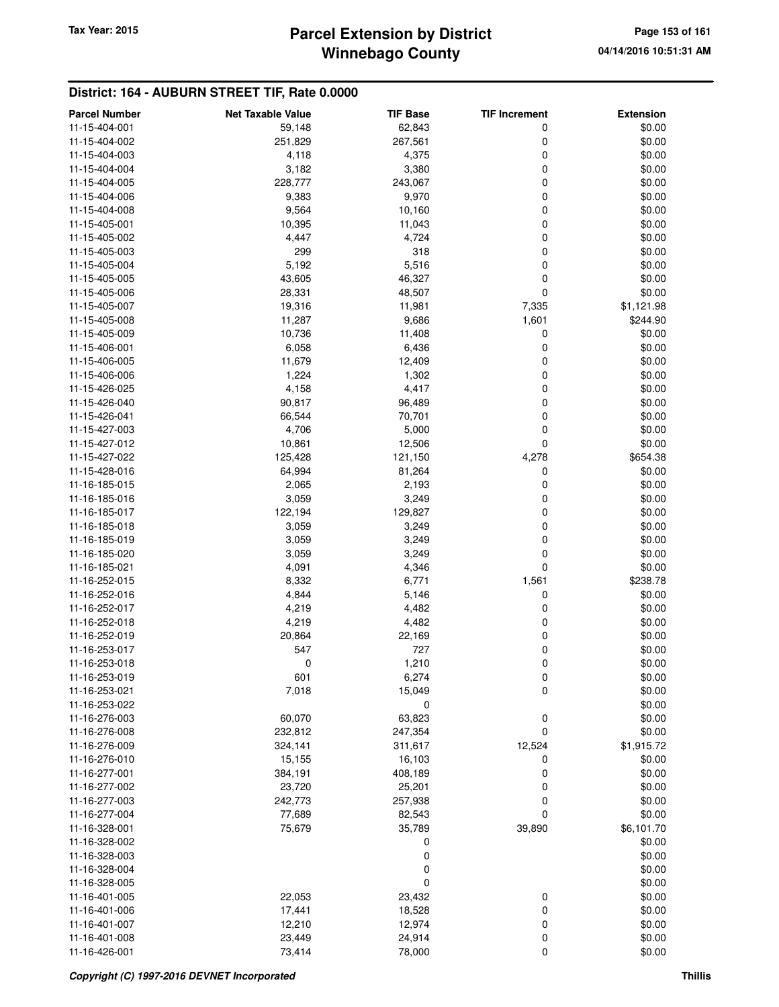### **Winnebago County Parcel Extension by District Tax Year: 2015 Page 153 of 161**

| <b>Parcel Number</b>           | <b>Net Taxable Value</b> | <b>TIF Base</b> | <b>TIF Increment</b> | <b>Extension</b> |
|--------------------------------|--------------------------|-----------------|----------------------|------------------|
| 11-15-404-001                  | 59,148                   | 62,843          | 0                    | \$0.00           |
| 11-15-404-002                  | 251,829                  | 267,561         | 0                    | \$0.00           |
| 11-15-404-003                  | 4,118                    | 4,375           | 0                    | \$0.00           |
| 11-15-404-004                  | 3,182                    | 3,380           | 0                    | \$0.00           |
| 11-15-404-005                  | 228,777                  | 243,067         | 0                    | \$0.00           |
| 11-15-404-006                  | 9,383                    | 9,970           | 0                    | \$0.00           |
| 11-15-404-008                  | 9,564                    | 10,160          | 0                    | \$0.00           |
| 11-15-405-001                  | 10,395                   | 11,043          | 0                    | \$0.00           |
| 11-15-405-002                  | 4,447                    | 4,724           | 0                    | \$0.00           |
| 11-15-405-003                  | 299                      | 318             | 0                    | \$0.00           |
| 11-15-405-004                  | 5,192                    | 5,516           | 0                    | \$0.00           |
| 11-15-405-005                  | 43,605                   | 46,327          | 0                    | \$0.00           |
| 11-15-405-006                  | 28,331                   | 48,507          | 0                    | \$0.00           |
| 11-15-405-007                  | 19,316                   | 11,981          | 7,335                | \$1,121.98       |
| 11-15-405-008                  | 11,287                   | 9,686           | 1,601                | \$244.90         |
| 11-15-405-009                  | 10,736                   | 11,408          | 0                    | \$0.00           |
| 11-15-406-001                  | 6,058                    | 6,436           | 0                    | \$0.00           |
| 11-15-406-005                  | 11,679                   | 12,409          | 0                    | \$0.00           |
| 11-15-406-006                  | 1,224                    | 1,302           | 0                    | \$0.00           |
| 11-15-426-025                  | 4,158                    | 4,417           | 0                    | \$0.00           |
| 11-15-426-040                  | 90,817                   | 96,489          | 0                    | \$0.00           |
| 11-15-426-041                  | 66,544                   |                 |                      | \$0.00           |
| 11-15-427-003                  | 4,706                    | 70,701<br>5,000 | 0<br>0               | \$0.00           |
|                                |                          |                 | 0                    |                  |
| 11-15-427-012                  | 10,861                   | 12,506          |                      | \$0.00           |
| 11-15-427-022<br>11-15-428-016 | 125,428                  | 121,150         | 4,278                | \$654.38         |
|                                | 64,994                   | 81,264          | 0                    | \$0.00           |
| 11-16-185-015                  | 2,065                    | 2,193           | 0                    | \$0.00           |
| 11-16-185-016                  | 3,059                    | 3,249           | 0                    | \$0.00           |
| 11-16-185-017                  | 122,194                  | 129,827         | 0<br>0               | \$0.00           |
| 11-16-185-018                  | 3,059                    | 3,249           |                      | \$0.00           |
| 11-16-185-019                  | 3,059                    | 3,249           | 0                    | \$0.00           |
| 11-16-185-020                  | 3,059                    | 3,249           | 0<br>0               | \$0.00<br>\$0.00 |
| 11-16-185-021                  | 4,091                    | 4,346           |                      |                  |
| 11-16-252-015                  | 8,332                    | 6,771           | 1,561                | \$238.78         |
| 11-16-252-016                  | 4,844                    | 5,146           | 0                    | \$0.00           |
| 11-16-252-017                  | 4,219                    | 4,482           | 0                    | \$0.00           |
| 11-16-252-018                  | 4,219                    | 4,482           | 0                    | \$0.00           |
| 11-16-252-019                  | 20,864                   | 22,169          | 0                    | \$0.00           |
| 11-16-253-017                  | 547                      | 727             | 0                    | \$0.00           |
| 11-16-253-018                  | 0                        | 1,210           | 0                    | \$0.00           |
| 11-16-253-019                  | 601                      | 6,274           | $\mathbf 0$          | \$0.00           |
| 11-16-253-021                  | 7,018                    | 15,049          | 0                    | \$0.00<br>\$0.00 |
| 11-16-253-022                  |                          | 0<br>63,823     |                      | \$0.00           |
| 11-16-276-003<br>11-16-276-008 | 60,070                   |                 | 0<br>0               |                  |
|                                | 232,812                  | 247,354         |                      | \$0.00           |
| 11-16-276-009                  | 324,141                  | 311,617         | 12,524               | \$1,915.72       |
| 11-16-276-010                  | 15,155                   | 16,103          | 0                    | \$0.00           |
| 11-16-277-001                  | 384,191                  | 408,189         | 0                    | \$0.00           |
| 11-16-277-002                  | 23,720                   | 25,201          | 0                    | \$0.00           |
| 11-16-277-003                  | 242,773                  | 257,938         | 0                    | \$0.00           |
| 11-16-277-004                  | 77,689                   | 82,543          | 0                    | \$0.00           |
| 11-16-328-001                  | 75,679                   | 35,789          | 39,890               | \$6,101.70       |
| 11-16-328-002                  |                          | 0               |                      | \$0.00           |
| 11-16-328-003                  |                          | 0               |                      | \$0.00           |
| 11-16-328-004                  |                          | 0               |                      | \$0.00           |
| 11-16-328-005                  |                          | 0               |                      | \$0.00           |
| 11-16-401-005                  | 22,053                   | 23,432          | 0                    | \$0.00           |
| 11-16-401-006                  | 17,441                   | 18,528          | 0                    | \$0.00           |
| 11-16-401-007                  | 12,210                   | 12,974          | 0                    | \$0.00           |
| 11-16-401-008                  | 23,449                   | 24,914          | 0                    | \$0.00           |
| 11-16-426-001                  | 73,414                   | 78,000          | 0                    | \$0.00           |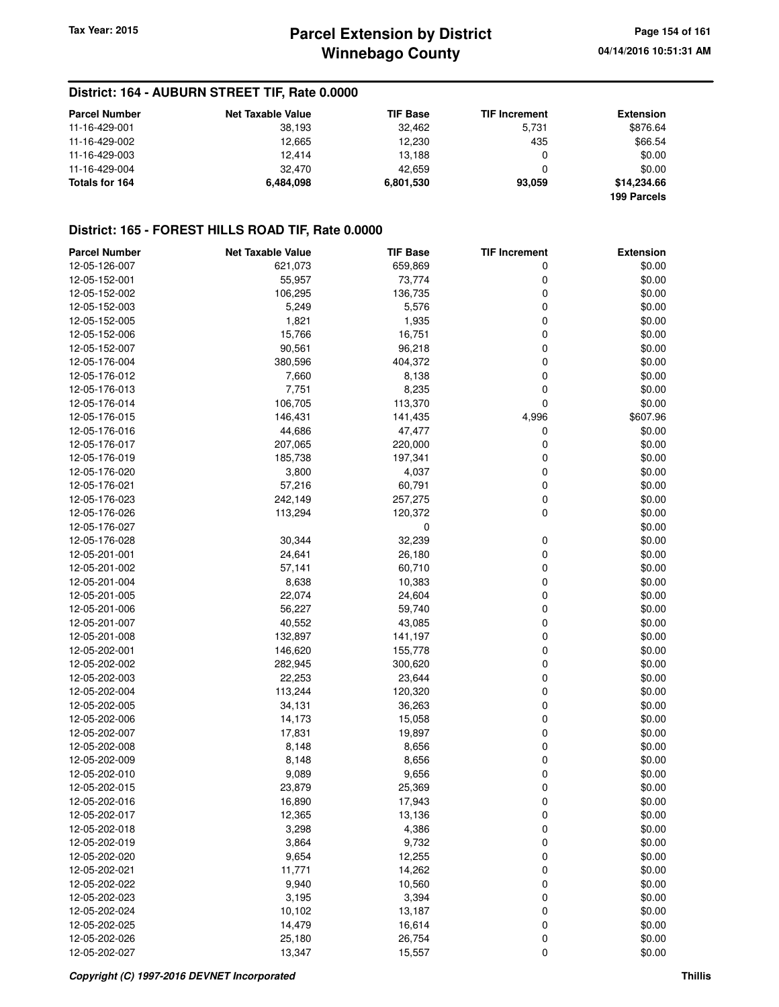### **District: 164 - AUBURN STREET TIF, Rate 0.0000**

| <b>Parcel Number</b> | <b>Net Taxable Value</b> | <b>TIF Base</b> | <b>TIF Increment</b> | <b>Extension</b> |
|----------------------|--------------------------|-----------------|----------------------|------------------|
| 11-16-429-001        | 38.193                   | 32.462          | 5.731                | \$876.64         |
| 11-16-429-002        | 12.665                   | 12.230          | 435                  | \$66.54          |
| 11-16-429-003        | 12.414                   | 13,188          |                      | \$0.00           |
| 11-16-429-004        | 32.470                   | 42.659          |                      | \$0.00           |
| Totals for 164       | 6.484.098                | 6,801,530       | 93.059               | \$14,234.66      |
|                      |                          |                 |                      | 199 Parcels      |

### **District: 165 - FOREST HILLS ROAD TIF, Rate 0.0000**

| <b>Parcel Number</b>           | <b>Net Taxable Value</b> | <b>TIF Base</b>  | <b>TIF Increment</b> | <b>Extension</b> |
|--------------------------------|--------------------------|------------------|----------------------|------------------|
| 12-05-126-007                  | 621,073                  | 659,869          | 0                    | \$0.00           |
| 12-05-152-001                  | 55,957                   | 73,774           | 0                    | \$0.00           |
| 12-05-152-002                  | 106,295                  | 136,735          | 0                    | \$0.00           |
| 12-05-152-003                  | 5,249                    | 5,576            | 0                    | \$0.00           |
| 12-05-152-005                  | 1,821                    | 1,935            | 0                    | \$0.00           |
| 12-05-152-006                  | 15,766                   | 16,751           | 0                    | \$0.00           |
| 12-05-152-007                  | 90,561                   | 96,218           | 0                    | \$0.00           |
| 12-05-176-004                  | 380,596                  | 404,372          | 0                    | \$0.00           |
| 12-05-176-012                  | 7,660                    | 8,138            | 0                    | \$0.00           |
| 12-05-176-013                  | 7,751                    | 8,235            | 0                    | \$0.00           |
| 12-05-176-014                  | 106,705                  | 113,370          | 0                    | \$0.00           |
| 12-05-176-015                  | 146,431                  | 141,435          | 4,996                | \$607.96         |
| 12-05-176-016                  | 44,686                   | 47,477           | 0                    | \$0.00           |
| 12-05-176-017                  | 207,065                  | 220,000          | 0                    | \$0.00           |
| 12-05-176-019                  | 185,738                  | 197,341          | 0                    | \$0.00           |
| 12-05-176-020                  | 3,800                    | 4,037            | 0                    | \$0.00           |
| 12-05-176-021                  | 57,216                   | 60,791           | 0                    | \$0.00           |
| 12-05-176-023                  | 242,149                  | 257,275          | 0                    | \$0.00           |
| 12-05-176-026                  | 113,294                  | 120,372          | 0                    | \$0.00           |
| 12-05-176-027                  |                          | $\mathbf 0$      |                      | \$0.00           |
| 12-05-176-028                  | 30,344                   | 32,239           | 0                    | \$0.00           |
| 12-05-201-001                  | 24,641                   | 26,180           | 0                    | \$0.00           |
| 12-05-201-002                  | 57,141                   | 60,710           | 0                    | \$0.00           |
| 12-05-201-004                  | 8,638                    | 10,383           | 0                    | \$0.00           |
| 12-05-201-005                  | 22,074                   | 24,604           | 0                    | \$0.00           |
| 12-05-201-006                  | 56,227                   | 59,740           | 0                    | \$0.00           |
| 12-05-201-007                  | 40,552                   | 43,085           | 0                    | \$0.00           |
| 12-05-201-008                  | 132,897                  | 141,197          | 0                    | \$0.00           |
| 12-05-202-001                  | 146,620                  | 155,778          | 0                    | \$0.00           |
| 12-05-202-002                  | 282,945                  | 300,620          | 0                    | \$0.00           |
| 12-05-202-003                  | 22,253                   | 23,644           | 0                    | \$0.00           |
| 12-05-202-004                  | 113,244                  | 120,320          | 0                    | \$0.00           |
| 12-05-202-005                  | 34,131                   | 36,263           | 0                    | \$0.00           |
| 12-05-202-006                  | 14,173                   | 15,058           | 0                    | \$0.00           |
| 12-05-202-007                  | 17,831                   | 19,897           | 0                    | \$0.00           |
| 12-05-202-008                  | 8,148                    | 8,656            | 0                    | \$0.00           |
| 12-05-202-009                  | 8,148                    | 8,656            | 0                    | \$0.00           |
| 12-05-202-010                  | 9,089                    | 9,656            | 0                    | \$0.00           |
| 12-05-202-015                  | 23,879                   | 25,369           | 0                    | \$0.00           |
| 12-05-202-016                  | 16,890                   |                  | 0                    | \$0.00           |
| 12-05-202-017                  | 12,365                   | 17,943<br>13,136 | 0                    | \$0.00           |
|                                | 3,298                    |                  |                      |                  |
| 12-05-202-018<br>12-05-202-019 |                          | 4,386            | 0                    | \$0.00<br>\$0.00 |
|                                | 3,864                    | 9,732            | 0                    |                  |
| 12-05-202-020                  | 9,654                    | 12,255           | 0                    | \$0.00           |
| 12-05-202-021                  | 11,771                   | 14,262           | 0                    | \$0.00           |
| 12-05-202-022                  | 9,940                    | 10,560           | 0                    | \$0.00           |
| 12-05-202-023                  | 3,195                    | 3,394            | 0                    | \$0.00           |
| 12-05-202-024                  | 10,102                   | 13,187           | 0                    | \$0.00           |
| 12-05-202-025                  | 14,479                   | 16,614           | 0                    | \$0.00           |
| 12-05-202-026                  | 25,180                   | 26,754           | 0                    | \$0.00           |
| 12-05-202-027                  | 13,347                   | 15,557           | 0                    | \$0.00           |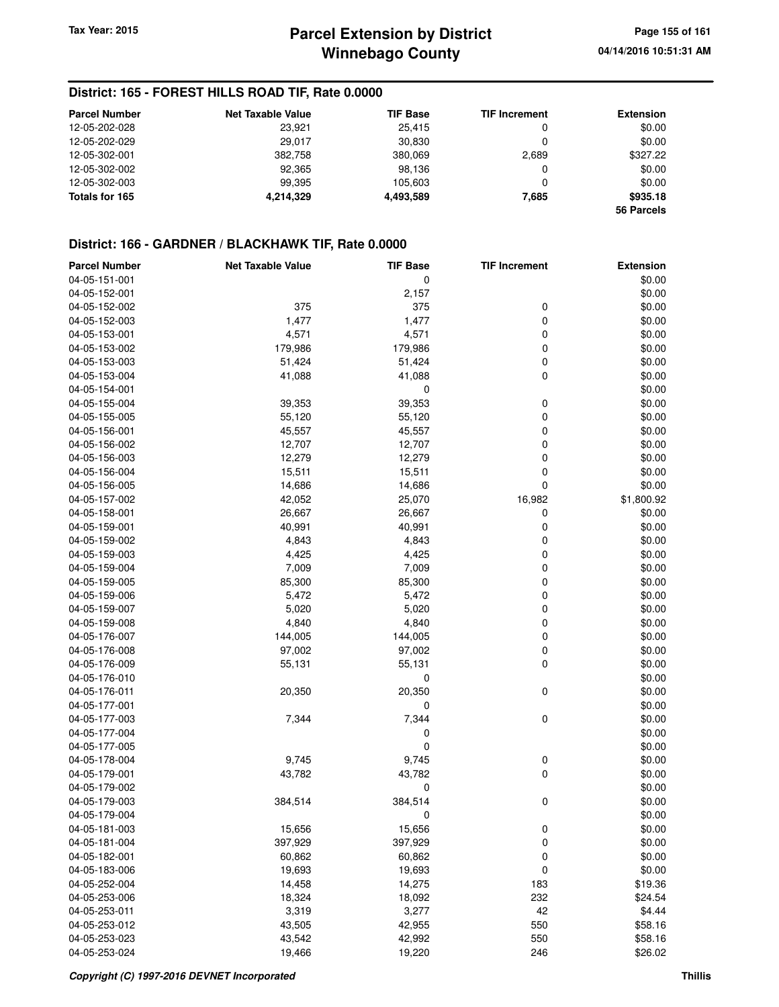### **District: 165 - FOREST HILLS ROAD TIF, Rate 0.0000**

| <b>Parcel Number</b> | <b>Net Taxable Value</b> | <b>TIF Base</b> | <b>TIF Increment</b> | <b>Extension</b> |
|----------------------|--------------------------|-----------------|----------------------|------------------|
| 12-05-202-028        | 23.921                   | 25.415          | 0                    | \$0.00           |
| 12-05-202-029        | 29.017                   | 30.830          |                      | \$0.00           |
| 12-05-302-001        | 382,758                  | 380,069         | 2,689                | \$327.22         |
| 12-05-302-002        | 92,365                   | 98.136          | 0                    | \$0.00           |
| 12-05-302-003        | 99.395                   | 105.603         |                      | \$0.00           |
| Totals for 165       | 4,214,329                | 4,493,589       | 7,685                | \$935.18         |
|                      |                          |                 |                      | 56 Parcels       |

| <b>Parcel Number</b> | <b>Net Taxable Value</b> | <b>TIF Base</b> | <b>TIF Increment</b> | <b>Extension</b> |
|----------------------|--------------------------|-----------------|----------------------|------------------|
| 04-05-151-001        |                          | 0               |                      | \$0.00           |
| 04-05-152-001        |                          | 2,157           |                      | \$0.00           |
| 04-05-152-002        | 375                      | 375             | 0                    | \$0.00           |
| 04-05-152-003        | 1,477                    | 1,477           | 0                    | \$0.00           |
| 04-05-153-001        | 4,571                    | 4,571           | 0                    | \$0.00           |
| 04-05-153-002        | 179,986                  | 179,986         | 0                    | \$0.00           |
| 04-05-153-003        | 51,424                   | 51,424          | 0                    | \$0.00           |
| 04-05-153-004        | 41,088                   | 41,088          | 0                    | \$0.00           |
| 04-05-154-001        |                          | 0               |                      | \$0.00           |
| 04-05-155-004        | 39,353                   | 39,353          | 0                    | \$0.00           |
| 04-05-155-005        | 55,120                   | 55,120          | 0                    | \$0.00           |
| 04-05-156-001        | 45,557                   | 45,557          | 0                    | \$0.00           |
| 04-05-156-002        |                          |                 | 0                    | \$0.00           |
|                      | 12,707                   | 12,707          |                      |                  |
| 04-05-156-003        | 12,279                   | 12,279          | 0                    | \$0.00           |
| 04-05-156-004        | 15,511                   | 15,511          | 0                    | \$0.00           |
| 04-05-156-005        | 14,686                   | 14,686          | 0                    | \$0.00           |
| 04-05-157-002        | 42,052                   | 25,070          | 16,982               | \$1,800.92       |
| 04-05-158-001        | 26,667                   | 26,667          | 0                    | \$0.00           |
| 04-05-159-001        | 40,991                   | 40,991          | 0                    | \$0.00           |
| 04-05-159-002        | 4,843                    | 4,843           | 0                    | \$0.00           |
| 04-05-159-003        | 4,425                    | 4,425           | 0                    | \$0.00           |
| 04-05-159-004        | 7,009                    | 7,009           | 0                    | \$0.00           |
| 04-05-159-005        | 85,300                   | 85,300          | 0                    | \$0.00           |
| 04-05-159-006        | 5,472                    | 5,472           | 0                    | \$0.00           |
| 04-05-159-007        | 5,020                    | 5,020           | 0                    | \$0.00           |
| 04-05-159-008        | 4,840                    | 4,840           | 0                    | \$0.00           |
| 04-05-176-007        | 144,005                  | 144,005         | 0                    | \$0.00           |
| 04-05-176-008        | 97,002                   | 97,002          | 0                    | \$0.00           |
| 04-05-176-009        | 55,131                   | 55,131          | 0                    | \$0.00           |
| 04-05-176-010        |                          | 0               |                      | \$0.00           |
| 04-05-176-011        | 20,350                   | 20,350          | 0                    | \$0.00           |
| 04-05-177-001        |                          | 0               |                      | \$0.00           |
| 04-05-177-003        | 7,344                    | 7,344           | 0                    | \$0.00           |
| 04-05-177-004        |                          | 0               |                      | \$0.00           |
| 04-05-177-005        |                          | 0               |                      | \$0.00           |
| 04-05-178-004        | 9,745                    | 9,745           | 0                    | \$0.00           |
| 04-05-179-001        | 43,782                   | 43,782          | 0                    | \$0.00           |
| 04-05-179-002        |                          | 0               |                      | \$0.00           |
| 04-05-179-003        | 384,514                  | 384,514         | 0                    | \$0.00           |
| 04-05-179-004        |                          | 0               |                      | \$0.00           |
| 04-05-181-003        | 15,656                   | 15,656          | 0                    | \$0.00           |
| 04-05-181-004        | 397,929                  | 397,929         | 0                    | \$0.00           |
| 04-05-182-001        | 60,862                   | 60,862          | 0                    | \$0.00           |
| 04-05-183-006        | 19,693                   | 19,693          | 0                    | \$0.00           |
| 04-05-252-004        | 14,458                   | 14,275          | 183                  | \$19.36          |
| 04-05-253-006        | 18,324                   | 18,092          | 232                  | \$24.54          |
| 04-05-253-011        | 3,319                    | 3,277           | 42                   | \$4.44           |
| 04-05-253-012        | 43,505                   | 42,955          | 550                  | \$58.16          |
| 04-05-253-023        | 43,542                   | 42,992          | 550                  | \$58.16          |
| 04-05-253-024        | 19,466                   | 19,220          | 246                  | \$26.02          |
|                      |                          |                 |                      |                  |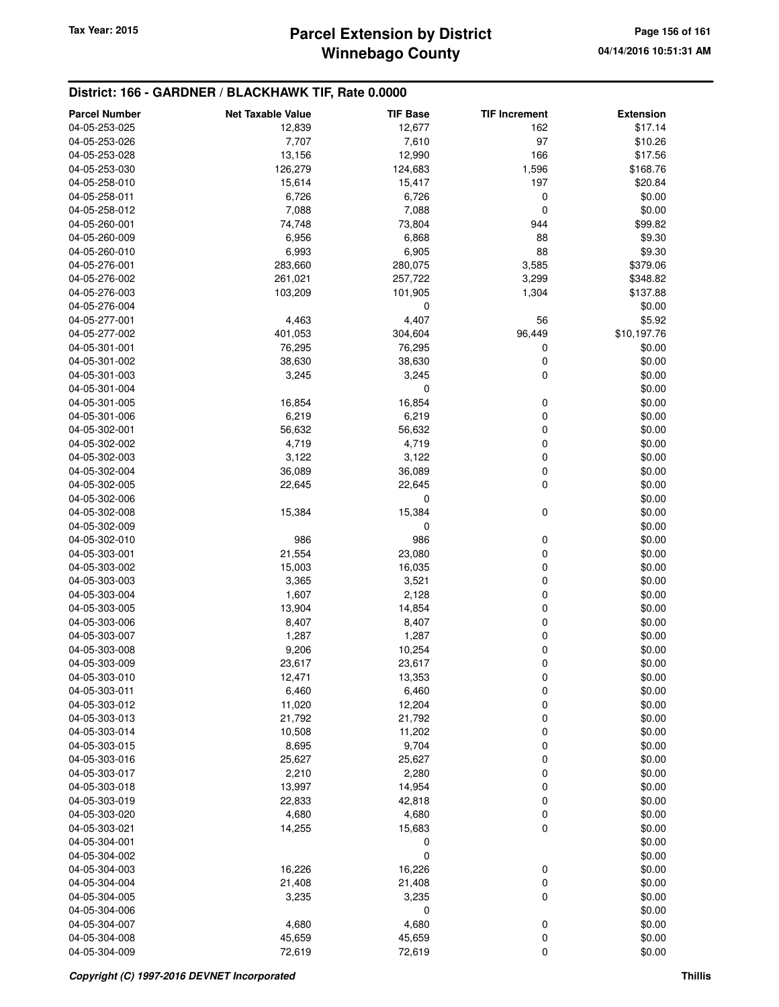# **Winnebago County Parcel Extension by District Tax Year: 2015 Page 156 of 161**

| <b>Parcel Number</b>           | <b>Net Taxable Value</b> | <b>TIF Base</b> | <b>TIF Increment</b> | <b>Extension</b> |
|--------------------------------|--------------------------|-----------------|----------------------|------------------|
| 04-05-253-025                  | 12,839                   | 12,677          | 162                  | \$17.14          |
| 04-05-253-026                  | 7,707                    | 7,610           | 97                   | \$10.26          |
| 04-05-253-028                  | 13,156                   | 12,990          | 166                  | \$17.56          |
| 04-05-253-030                  | 126,279                  | 124,683         | 1,596                | \$168.76         |
| 04-05-258-010                  | 15,614                   | 15,417          | 197                  | \$20.84          |
| 04-05-258-011                  | 6,726                    | 6,726           | 0                    | \$0.00           |
| 04-05-258-012                  | 7,088                    | 7,088           | 0                    | \$0.00           |
| 04-05-260-001                  | 74,748                   | 73,804          | 944                  | \$99.82          |
| 04-05-260-009                  | 6,956                    | 6,868           | 88                   | \$9.30           |
| 04-05-260-010                  | 6,993                    | 6,905           | 88                   | \$9.30           |
| 04-05-276-001                  | 283,660                  | 280,075         | 3,585                | \$379.06         |
| 04-05-276-002                  | 261,021                  | 257,722         | 3,299                | \$348.82         |
| 04-05-276-003                  | 103,209                  | 101,905         | 1,304                | \$137.88         |
| 04-05-276-004                  |                          | 0               |                      | \$0.00           |
| 04-05-277-001                  | 4,463                    | 4,407           | 56                   | \$5.92           |
| 04-05-277-002                  | 401,053                  | 304,604         | 96,449               | \$10,197.76      |
| 04-05-301-001                  | 76,295                   | 76,295          | 0                    | \$0.00           |
| 04-05-301-002                  | 38,630                   | 38,630          | 0                    | \$0.00           |
| 04-05-301-003                  | 3,245                    | 3,245           | 0                    | \$0.00           |
| 04-05-301-004                  |                          | 0               |                      | \$0.00           |
| 04-05-301-005                  | 16,854                   | 16,854          | 0                    | \$0.00           |
| 04-05-301-006                  | 6,219                    | 6,219           | 0                    | \$0.00           |
| 04-05-302-001                  | 56,632                   | 56,632          | 0                    | \$0.00           |
| 04-05-302-002                  | 4,719                    | 4,719           | 0                    | \$0.00           |
| 04-05-302-003                  | 3,122                    | 3,122           | 0                    | \$0.00           |
| 04-05-302-004                  | 36,089                   | 36,089          | 0                    | \$0.00           |
| 04-05-302-005                  | 22,645                   | 22,645          | 0                    | \$0.00           |
| 04-05-302-006                  |                          | $\mathbf 0$     |                      | \$0.00           |
| 04-05-302-008                  | 15,384                   | 15,384          | 0                    | \$0.00           |
| 04-05-302-009                  |                          | 0               |                      | \$0.00           |
| 04-05-302-010                  | 986                      | 986             | 0                    | \$0.00           |
| 04-05-303-001                  | 21,554                   | 23,080          | 0                    | \$0.00           |
| 04-05-303-002                  | 15,003                   | 16,035          | 0                    | \$0.00           |
| 04-05-303-003                  | 3,365                    | 3,521           | 0                    | \$0.00           |
| 04-05-303-004                  | 1,607                    | 2,128           | 0                    | \$0.00           |
| 04-05-303-005                  | 13,904                   | 14,854          | 0                    | \$0.00           |
| 04-05-303-006                  | 8,407                    | 8,407           | 0                    | \$0.00           |
| 04-05-303-007                  | 1,287                    | 1,287           | 0<br>0               | \$0.00           |
| 04-05-303-008<br>04-05-303-009 | 9,206                    | 10,254          | 0                    | \$0.00<br>\$0.00 |
|                                | 23,617                   | 23,617          |                      |                  |
| 04-05-303-010<br>04-05-303-011 | 12,471<br>6,460          | 13,353<br>6,460 | 0<br>0               | \$0.00<br>\$0.00 |
| 04-05-303-012                  | 11,020                   | 12,204          | 0                    | \$0.00           |
| 04-05-303-013                  | 21,792                   | 21,792          | 0                    | \$0.00           |
| 04-05-303-014                  | 10,508                   | 11,202          | 0                    | \$0.00           |
| 04-05-303-015                  | 8,695                    | 9,704           | 0                    | \$0.00           |
| 04-05-303-016                  | 25,627                   | 25,627          | 0                    | \$0.00           |
| 04-05-303-017                  | 2,210                    | 2,280           | 0                    | \$0.00           |
| 04-05-303-018                  | 13,997                   | 14,954          | 0                    | \$0.00           |
| 04-05-303-019                  | 22,833                   | 42,818          | 0                    | \$0.00           |
| 04-05-303-020                  | 4,680                    | 4,680           | 0                    | \$0.00           |
| 04-05-303-021                  | 14,255                   | 15,683          | 0                    | \$0.00           |
| 04-05-304-001                  |                          | 0               |                      | \$0.00           |
| 04-05-304-002                  |                          | 0               |                      | \$0.00           |
| 04-05-304-003                  | 16,226                   | 16,226          | 0                    | \$0.00           |
| 04-05-304-004                  | 21,408                   | 21,408          | 0                    | \$0.00           |
| 04-05-304-005                  | 3,235                    | 3,235           | 0                    | \$0.00           |
| 04-05-304-006                  |                          | 0               |                      | \$0.00           |
| 04-05-304-007                  | 4,680                    | 4,680           | 0                    | \$0.00           |
| 04-05-304-008                  | 45,659                   | 45,659          | 0                    | \$0.00           |
| 04-05-304-009                  | 72,619                   | 72,619          | 0                    | \$0.00           |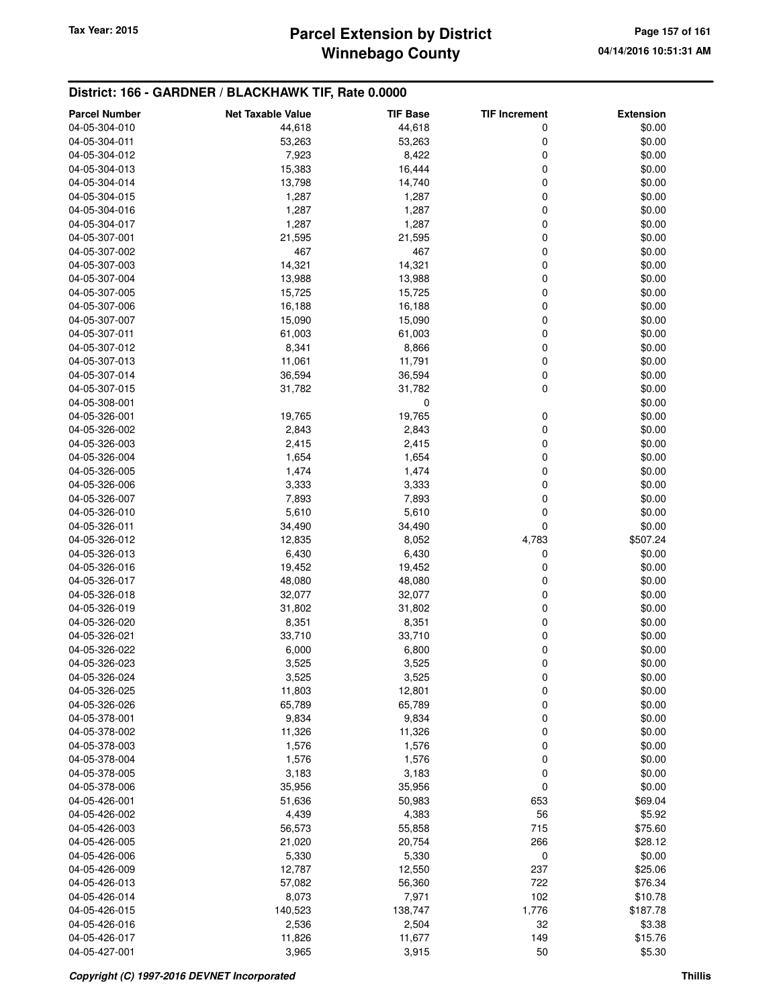# **Winnebago County Parcel Extension by District Tax Year: 2015 Page 157 of 161**

| <b>Parcel Number</b> | <b>Net Taxable Value</b> | <b>TIF Base</b> | <b>TIF Increment</b> | <b>Extension</b> |
|----------------------|--------------------------|-----------------|----------------------|------------------|
| 04-05-304-010        | 44,618                   | 44,618          | 0                    | \$0.00           |
| 04-05-304-011        | 53,263                   | 53,263          | 0                    | \$0.00           |
| 04-05-304-012        | 7,923                    | 8,422           | 0                    | \$0.00           |
| 04-05-304-013        | 15,383                   | 16,444          | 0                    | \$0.00           |
| 04-05-304-014        | 13,798                   | 14,740          | 0                    | \$0.00           |
| 04-05-304-015        | 1,287                    | 1,287           | 0                    | \$0.00           |
| 04-05-304-016        | 1,287                    | 1,287           | 0                    | \$0.00           |
| 04-05-304-017        | 1,287                    | 1,287           | 0                    | \$0.00           |
| 04-05-307-001        | 21,595                   | 21,595          | 0                    | \$0.00           |
| 04-05-307-002        | 467                      | 467             | 0                    | \$0.00           |
| 04-05-307-003        | 14,321                   | 14,321          | 0                    | \$0.00           |
| 04-05-307-004        | 13,988                   | 13,988          | 0                    | \$0.00           |
| 04-05-307-005        | 15,725                   | 15,725          | 0                    | \$0.00           |
| 04-05-307-006        | 16,188                   | 16,188          | 0                    | \$0.00           |
| 04-05-307-007        | 15,090                   | 15,090          | 0                    | \$0.00           |
| 04-05-307-011        | 61,003                   | 61,003          | 0                    | \$0.00           |
| 04-05-307-012        | 8,341                    | 8,866           | 0                    | \$0.00           |
| 04-05-307-013        | 11,061                   | 11,791          | 0                    | \$0.00           |
| 04-05-307-014        | 36,594                   | 36,594          | 0                    | \$0.00           |
| 04-05-307-015        | 31,782                   | 31,782          | 0                    | \$0.00           |
| 04-05-308-001        |                          | 0               |                      | \$0.00           |
| 04-05-326-001        | 19,765                   | 19,765          | $\mathbf 0$          | \$0.00           |
| 04-05-326-002        | 2,843                    | 2,843           | 0                    | \$0.00           |
| 04-05-326-003        | 2,415                    | 2,415           | 0                    | \$0.00           |
| 04-05-326-004        | 1,654                    | 1,654           | 0                    | \$0.00           |
| 04-05-326-005        | 1,474                    | 1,474           | 0                    | \$0.00           |
| 04-05-326-006        | 3,333                    | 3,333           | 0                    | \$0.00           |
| 04-05-326-007        | 7,893                    | 7,893           | 0                    | \$0.00           |
| 04-05-326-010        | 5,610                    | 5,610           | 0                    | \$0.00           |
| 04-05-326-011        | 34,490                   | 34,490          | 0                    | \$0.00           |
| 04-05-326-012        | 12,835                   | 8,052           | 4,783                | \$507.24         |
| 04-05-326-013        | 6,430                    | 6,430           | 0                    | \$0.00           |
| 04-05-326-016        | 19,452                   | 19,452          | 0                    | \$0.00           |
| 04-05-326-017        | 48,080                   | 48,080          | 0                    | \$0.00           |
| 04-05-326-018        | 32,077                   | 32,077          | 0                    | \$0.00           |
| 04-05-326-019        | 31,802                   | 31,802          | 0                    | \$0.00           |
| 04-05-326-020        | 8,351                    | 8,351           | 0                    | \$0.00           |
| 04-05-326-021        | 33,710                   | 33,710          | 0                    | \$0.00           |
| 04-05-326-022        | 6,000                    | 6,800           | 0                    | \$0.00           |
| 04-05-326-023        | 3,525                    | 3,525           | 0                    | \$0.00           |
| 04-05-326-024        | 3,525                    | 3,525           | 0                    | \$0.00           |
| 04-05-326-025        | 11,803                   | 12,801          | 0                    | \$0.00           |
| 04-05-326-026        | 65,789                   | 65,789          | 0                    | \$0.00           |
| 04-05-378-001        | 9,834                    | 9,834           | 0                    | \$0.00           |
| 04-05-378-002        | 11,326                   | 11,326          | 0                    | \$0.00           |
| 04-05-378-003        | 1,576                    | 1,576           | 0                    | \$0.00           |
| 04-05-378-004        | 1,576                    | 1,576           | 0                    | \$0.00           |
| 04-05-378-005        | 3,183                    | 3,183           | 0                    | \$0.00           |
| 04-05-378-006        | 35,956                   | 35,956          | $\mathbf 0$          | \$0.00           |
| 04-05-426-001        | 51,636                   | 50,983          | 653                  | \$69.04          |
| 04-05-426-002        | 4,439                    | 4,383           | 56                   | \$5.92           |
| 04-05-426-003        | 56,573                   | 55,858          | 715                  | \$75.60          |
| 04-05-426-005        | 21,020                   | 20,754          | 266                  | \$28.12          |
| 04-05-426-006        | 5,330                    | 5,330           | 0                    | \$0.00           |
| 04-05-426-009        | 12,787                   | 12,550          | 237                  | \$25.06          |
| 04-05-426-013        | 57,082                   | 56,360          | 722                  | \$76.34          |
| 04-05-426-014        | 8,073                    | 7,971           | 102                  | \$10.78          |
| 04-05-426-015        | 140,523                  | 138,747         | 1,776                | \$187.78         |
| 04-05-426-016        | 2,536                    | 2,504           | 32                   | \$3.38           |
| 04-05-426-017        | 11,826                   | 11,677          | 149                  | \$15.76          |
| 04-05-427-001        | 3,965                    | 3,915           | 50                   | \$5.30           |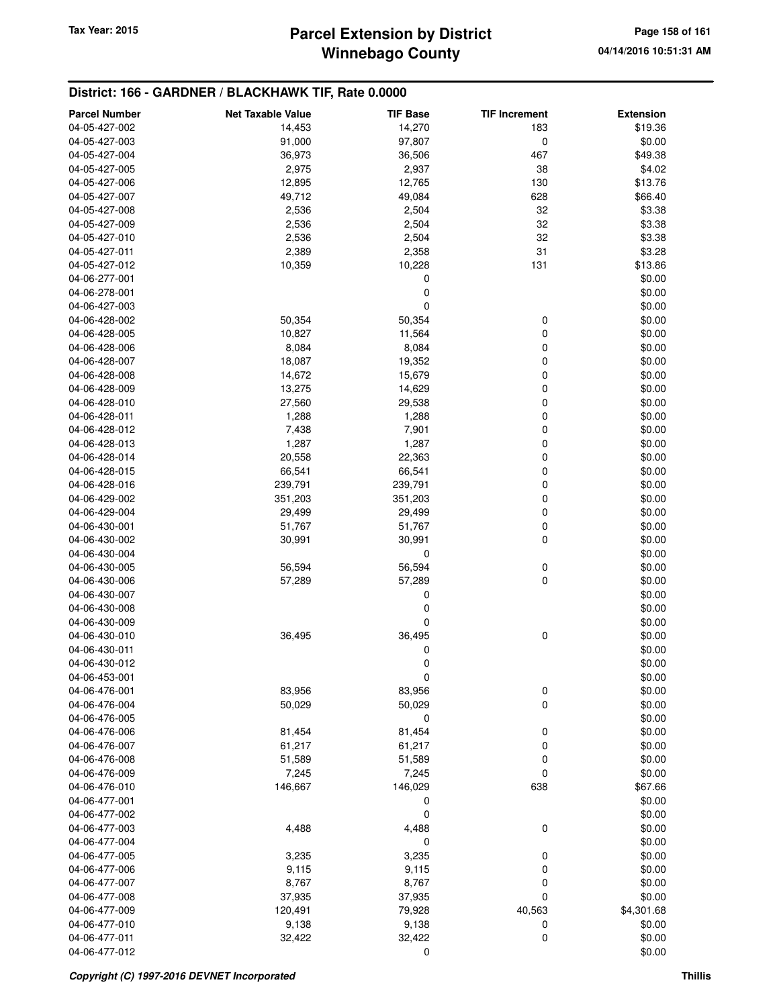# **Winnebago County Parcel Extension by District Tax Year: 2015 Page 158 of 161**

| <b>Parcel Number</b> | <b>Net Taxable Value</b> | <b>TIF Base</b>  | <b>TIF Increment</b> | <b>Extension</b> |
|----------------------|--------------------------|------------------|----------------------|------------------|
| 04-05-427-002        | 14,453                   | 14,270           | 183                  | \$19.36          |
| 04-05-427-003        | 91,000                   | 97,807           | 0                    | \$0.00           |
| 04-05-427-004        | 36,973                   | 36,506           | 467                  | \$49.38          |
| 04-05-427-005        | 2,975                    | 2,937            | 38                   | \$4.02           |
|                      |                          |                  | 130                  | \$13.76          |
| 04-05-427-006        | 12,895                   | 12,765           |                      |                  |
| 04-05-427-007        | 49,712                   | 49,084           | 628                  | \$66.40          |
| 04-05-427-008        | 2,536                    | 2,504            | 32                   | \$3.38           |
| 04-05-427-009        | 2,536                    | 2,504            | 32                   | \$3.38           |
| 04-05-427-010        | 2,536                    | 2,504            | 32                   | \$3.38           |
| 04-05-427-011        | 2,389                    | 2,358            | 31                   | \$3.28           |
| 04-05-427-012        | 10,359                   | 10,228           | 131                  | \$13.86          |
| 04-06-277-001        |                          | $\mathbf 0$      |                      | \$0.00           |
| 04-06-278-001        |                          | 0                |                      | \$0.00           |
| 04-06-427-003        |                          | $\mathbf 0$      |                      | \$0.00           |
| 04-06-428-002        | 50,354                   | 50,354           | 0                    | \$0.00           |
| 04-06-428-005        | 10,827                   | 11,564           | 0                    | \$0.00           |
| 04-06-428-006        | 8,084                    | 8,084            | 0                    | \$0.00           |
| 04-06-428-007        | 18,087                   | 19,352           | 0                    | \$0.00           |
| 04-06-428-008        | 14,672                   | 15,679           | 0                    | \$0.00           |
| 04-06-428-009        | 13,275                   | 14,629           | 0                    | \$0.00           |
| 04-06-428-010        | 27,560                   | 29,538           | 0                    | \$0.00           |
| 04-06-428-011        | 1,288                    | 1,288            | 0                    | \$0.00           |
| 04-06-428-012        | 7,438                    | 7,901            | 0                    | \$0.00           |
| 04-06-428-013        | 1,287                    | 1,287            | 0                    | \$0.00           |
| 04-06-428-014        | 20,558                   | 22,363           | 0                    | \$0.00           |
| 04-06-428-015        | 66,541                   | 66,541           | 0                    | \$0.00           |
| 04-06-428-016        | 239,791                  | 239,791          | 0                    | \$0.00           |
| 04-06-429-002        | 351,203                  | 351,203          | 0                    | \$0.00           |
| 04-06-429-004        | 29,499                   | 29,499           | 0                    | \$0.00           |
| 04-06-430-001        | 51,767                   | 51,767           | 0                    | \$0.00           |
| 04-06-430-002        | 30,991                   | 30,991           | 0                    | \$0.00           |
| 04-06-430-004        |                          | 0                |                      | \$0.00           |
| 04-06-430-005        | 56,594                   | 56,594           | 0                    | \$0.00           |
| 04-06-430-006        | 57,289                   | 57,289           | 0                    | \$0.00           |
| 04-06-430-007        |                          | 0                |                      | \$0.00           |
| 04-06-430-008        |                          | 0                |                      | \$0.00           |
| 04-06-430-009        |                          | $\mathbf 0$      |                      | \$0.00           |
| 04-06-430-010        | 36,495                   | 36,495           | 0                    | \$0.00           |
| 04-06-430-011        |                          | 0                |                      | \$0.00           |
| 04-06-430-012        |                          | 0                |                      | \$0.00           |
| 04-06-453-001        |                          |                  |                      |                  |
| 04-06-476-001        |                          | 0                |                      | \$0.00           |
| 04-06-476-004        | 83,956<br>50,029         | 83,956<br>50,029 | 0<br>0               | \$0.00<br>\$0.00 |
|                      |                          |                  |                      |                  |
| 04-06-476-005        |                          | $\mathbf 0$      |                      | \$0.00           |
| 04-06-476-006        | 81,454                   | 81,454           | 0                    | \$0.00           |
| 04-06-476-007        | 61,217                   | 61,217           | 0                    | \$0.00           |
| 04-06-476-008        | 51,589                   | 51,589           | 0                    | \$0.00           |
| 04-06-476-009        | 7,245                    | 7,245            | 0                    | \$0.00           |
| 04-06-476-010        | 146,667                  | 146,029          | 638                  | \$67.66          |
| 04-06-477-001        |                          | 0                |                      | \$0.00           |
| 04-06-477-002        |                          | 0                |                      | \$0.00           |
| 04-06-477-003        | 4,488                    | 4,488            | 0                    | \$0.00           |
| 04-06-477-004        |                          | 0                |                      | \$0.00           |
| 04-06-477-005        | 3,235                    | 3,235            | 0                    | \$0.00           |
| 04-06-477-006        | 9,115                    | 9,115            | 0                    | \$0.00           |
| 04-06-477-007        | 8,767                    | 8,767            | 0                    | \$0.00           |
| 04-06-477-008        | 37,935                   | 37,935           | 0                    | \$0.00           |
| 04-06-477-009        | 120,491                  | 79,928           | 40,563               | \$4,301.68       |
| 04-06-477-010        | 9,138                    | 9,138            | 0                    | \$0.00           |
| 04-06-477-011        | 32,422                   | 32,422           | 0                    | \$0.00           |
| 04-06-477-012        |                          | 0                |                      | \$0.00           |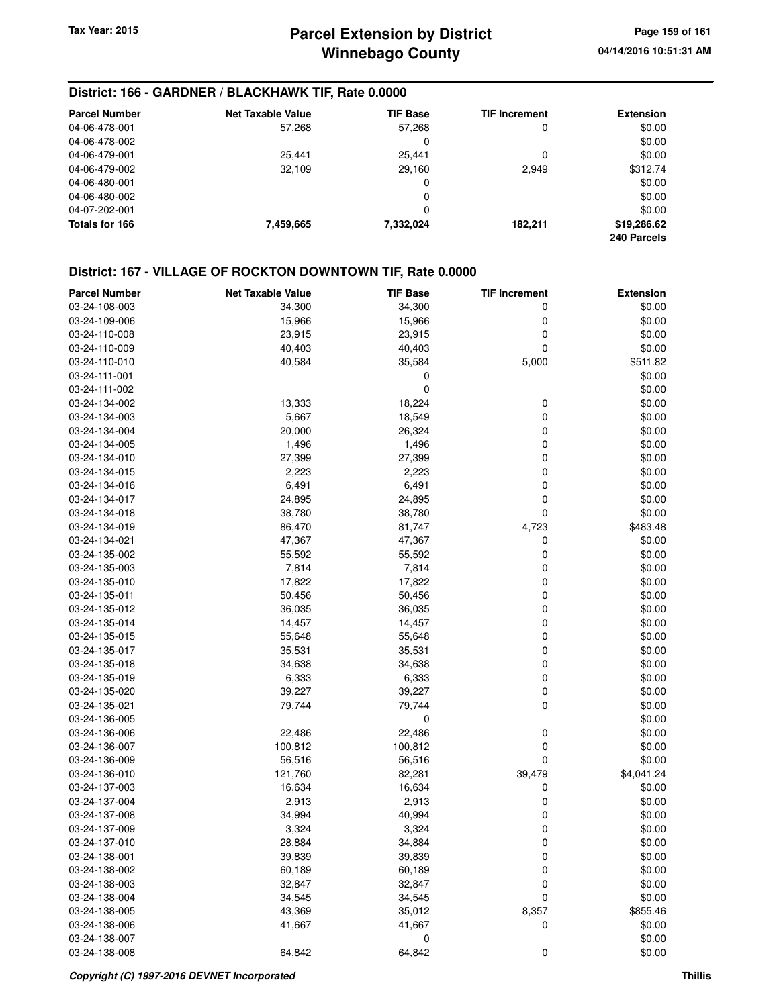### **District: 166 - GARDNER / BLACKHAWK TIF, Rate 0.0000**

| <b>Parcel Number</b> | Net Taxable Value | <b>TIF Base</b> | <b>TIF Increment</b> | <b>Extension</b> |
|----------------------|-------------------|-----------------|----------------------|------------------|
| 04-06-478-001        | 57.268            | 57.268          | 0                    | \$0.00           |
| 04-06-478-002        |                   | 0               |                      | \$0.00           |
| 04-06-479-001        | 25.441            | 25.441          | 0                    | \$0.00           |
| 04-06-479-002        | 32,109            | 29,160          | 2,949                | \$312.74         |
| 04-06-480-001        |                   | 0               |                      | \$0.00           |
| 04-06-480-002        |                   | 0               |                      | \$0.00           |
| 04-07-202-001        |                   | 0               |                      | \$0.00           |
| Totals for 166       | 7,459,665         | 7,332,024       | 182.211              | \$19,286.62      |
|                      |                   |                 |                      | 240 Parcels      |

### **District: 167 - VILLAGE OF ROCKTON DOWNTOWN TIF, Rate 0.0000**

| <b>Parcel Number</b> | <b>Net Taxable Value</b> | <b>TIF Base</b> | <b>TIF Increment</b> | <b>Extension</b> |
|----------------------|--------------------------|-----------------|----------------------|------------------|
| 03-24-108-003        | 34,300                   | 34,300          | 0                    | \$0.00           |
| 03-24-109-006        | 15,966                   | 15,966          | $\mathbf 0$          | \$0.00           |
| 03-24-110-008        | 23,915                   | 23,915          | 0                    | \$0.00           |
| 03-24-110-009        | 40,403                   | 40,403          | $\mathbf 0$          | \$0.00           |
| 03-24-110-010        | 40,584                   | 35,584          | 5,000                | \$511.82         |
| 03-24-111-001        |                          | 0               |                      | \$0.00           |
| 03-24-111-002        |                          | 0               |                      | \$0.00           |
| 03-24-134-002        | 13,333                   | 18,224          | 0                    | \$0.00           |
| 03-24-134-003        | 5,667                    | 18,549          | 0                    | \$0.00           |
| 03-24-134-004        | 20,000                   | 26,324          | 0                    | \$0.00           |
| 03-24-134-005        | 1,496                    | 1,496           | 0                    | \$0.00           |
| 03-24-134-010        | 27,399                   | 27,399          | $\mathbf 0$          | \$0.00           |
| 03-24-134-015        | 2,223                    | 2,223           | 0                    | \$0.00           |
| 03-24-134-016        | 6,491                    | 6,491           | 0                    | \$0.00           |
| 03-24-134-017        | 24,895                   | 24,895          | 0                    | \$0.00           |
| 03-24-134-018        | 38,780                   | 38,780          | $\mathbf 0$          | \$0.00           |
| 03-24-134-019        | 86,470                   | 81,747          | 4,723                | \$483.48         |
| 03-24-134-021        | 47,367                   | 47,367          | 0                    | \$0.00           |
| 03-24-135-002        | 55,592                   | 55,592          | 0                    | \$0.00           |
| 03-24-135-003        | 7,814                    | 7,814           | $\mathbf 0$          | \$0.00           |
| 03-24-135-010        | 17,822                   | 17,822          | 0                    | \$0.00           |
| 03-24-135-011        | 50,456                   | 50,456          | $\mathbf 0$          | \$0.00           |
| 03-24-135-012        | 36,035                   | 36,035          | 0                    | \$0.00           |
| 03-24-135-014        | 14,457                   | 14,457          | $\mathbf 0$          | \$0.00           |
| 03-24-135-015        | 55,648                   | 55,648          | 0                    | \$0.00           |
| 03-24-135-017        | 35,531                   | 35,531          | 0                    | \$0.00           |
| 03-24-135-018        | 34,638                   | 34,638          | $\mathbf 0$          | \$0.00           |
| 03-24-135-019        | 6,333                    | 6,333           | $\mathbf 0$          | \$0.00           |
| 03-24-135-020        | 39,227                   | 39,227          | $\mathbf 0$          | \$0.00           |
| 03-24-135-021        | 79,744                   | 79,744          | 0                    | \$0.00           |
| 03-24-136-005        |                          | 0               |                      | \$0.00           |
| 03-24-136-006        | 22,486                   | 22,486          | 0                    | \$0.00           |
| 03-24-136-007        | 100,812                  | 100,812         | $\mathbf 0$          | \$0.00           |
| 03-24-136-009        | 56,516                   | 56,516          | $\mathbf 0$          | \$0.00           |
| 03-24-136-010        | 121,760                  | 82,281          | 39,479               | \$4,041.24       |
| 03-24-137-003        | 16,634                   | 16,634          | 0                    | \$0.00           |
| 03-24-137-004        | 2,913                    | 2,913           | 0                    | \$0.00           |
| 03-24-137-008        | 34,994                   | 40,994          | 0                    | \$0.00           |
| 03-24-137-009        | 3,324                    | 3,324           | 0                    | \$0.00           |
| 03-24-137-010        | 28,884                   | 34,884          | 0                    | \$0.00           |
| 03-24-138-001        | 39,839                   | 39,839          | 0                    | \$0.00           |
| 03-24-138-002        | 60,189                   | 60,189          | 0                    | \$0.00           |
| 03-24-138-003        | 32,847                   | 32,847          | 0                    | \$0.00           |
| 03-24-138-004        | 34,545                   | 34,545          | 0                    | \$0.00           |
| 03-24-138-005        | 43,369                   | 35,012          | 8,357                | \$855.46         |
| 03-24-138-006        | 41,667                   | 41,667          | 0                    | \$0.00           |
| 03-24-138-007        |                          | 0               |                      | \$0.00           |
| 03-24-138-008        | 64,842                   | 64,842          | 0                    | \$0.00           |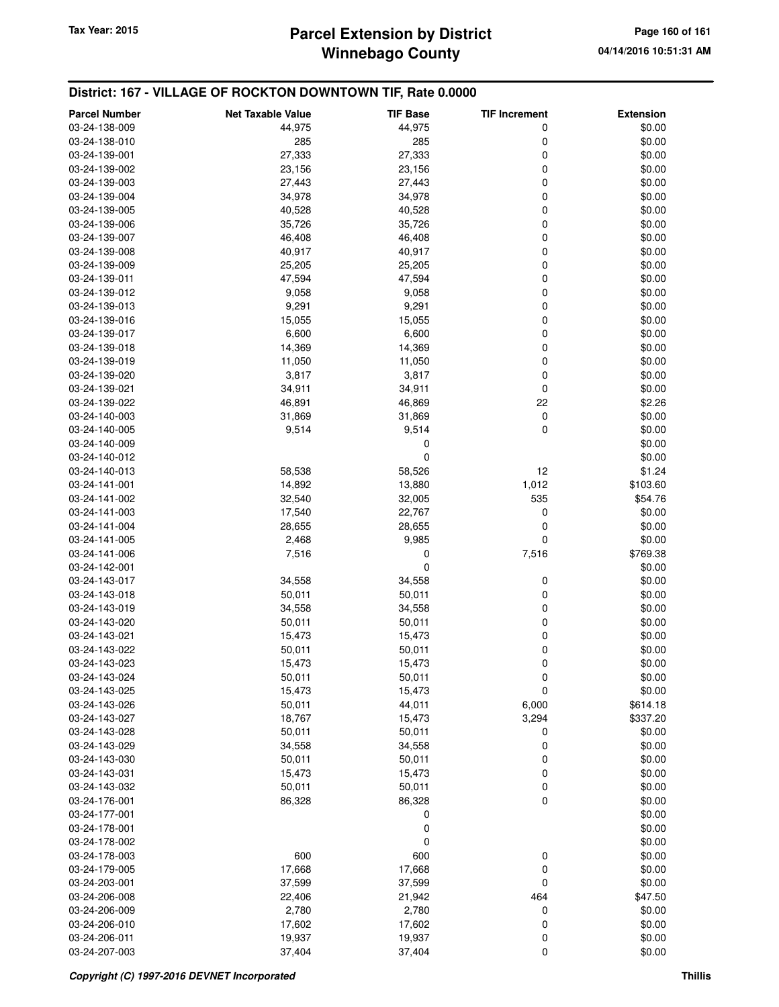# **Winnebago County Parcel Extension by District Tax Year: 2015 Page 160 of 161**

### **District: 167 - VILLAGE OF ROCKTON DOWNTOWN TIF, Rate 0.0000**

| <b>Parcel Number</b> | <b>Net Taxable Value</b> | <b>TIF Base</b> | <b>TIF Increment</b> | <b>Extension</b> |
|----------------------|--------------------------|-----------------|----------------------|------------------|
| 03-24-138-009        | 44,975                   | 44,975          | 0                    | \$0.00           |
| 03-24-138-010        | 285                      | 285             | 0                    | \$0.00           |
| 03-24-139-001        | 27,333                   | 27,333          | 0                    | \$0.00           |
| 03-24-139-002        | 23,156                   | 23,156          | 0                    | \$0.00           |
| 03-24-139-003        | 27,443                   | 27,443          | 0                    | \$0.00           |
| 03-24-139-004        | 34,978                   | 34,978          | 0                    | \$0.00           |
| 03-24-139-005        | 40,528                   | 40,528          | 0                    | \$0.00           |
| 03-24-139-006        | 35,726                   | 35,726          | 0                    | \$0.00           |
| 03-24-139-007        | 46,408                   | 46,408          | 0                    | \$0.00           |
| 03-24-139-008        | 40,917                   | 40,917          | 0                    | \$0.00           |
| 03-24-139-009        | 25,205                   | 25,205          | 0                    | \$0.00           |
| 03-24-139-011        | 47,594                   | 47,594          | 0                    | \$0.00           |
| 03-24-139-012        | 9,058                    | 9,058           | 0                    | \$0.00           |
| 03-24-139-013        | 9,291                    | 9,291           | 0                    | \$0.00           |
| 03-24-139-016        | 15,055                   | 15,055          | 0                    | \$0.00           |
| 03-24-139-017        | 6,600                    | 6,600           | 0                    | \$0.00           |
| 03-24-139-018        | 14,369                   | 14,369          | 0                    | \$0.00           |
| 03-24-139-019        | 11,050                   | 11,050          | 0                    | \$0.00           |
| 03-24-139-020        | 3,817                    | 3,817           | 0                    | \$0.00           |
| 03-24-139-021        | 34,911                   | 34,911          | 0                    | \$0.00           |
| 03-24-139-022        | 46,891                   | 46,869          | 22                   | \$2.26           |
| 03-24-140-003        | 31,869                   | 31,869          | 0                    | \$0.00           |
| 03-24-140-005        | 9,514                    | 9,514           | 0                    | \$0.00           |
| 03-24-140-009        |                          | 0               |                      | \$0.00           |
| 03-24-140-012        |                          | 0               |                      | \$0.00           |
| 03-24-140-013        | 58,538                   | 58,526          | 12                   | \$1.24           |
| 03-24-141-001        | 14,892                   | 13,880          | 1,012                | \$103.60         |
| 03-24-141-002        | 32,540                   | 32,005          | 535                  | \$54.76          |
| 03-24-141-003        | 17,540                   | 22,767          | 0                    | \$0.00           |
| 03-24-141-004        | 28,655                   | 28,655          | 0                    | \$0.00           |
| 03-24-141-005        | 2,468                    | 9,985           | 0                    | \$0.00           |
| 03-24-141-006        | 7,516                    | 0               | 7,516                | \$769.38         |
| 03-24-142-001        |                          | 0               |                      | \$0.00           |
| 03-24-143-017        | 34,558                   | 34,558          | 0                    | \$0.00           |
| 03-24-143-018        | 50,011                   | 50,011          | 0                    | \$0.00           |
| 03-24-143-019        | 34,558                   | 34,558          | 0                    | \$0.00           |
| 03-24-143-020        | 50,011                   | 50,011          | 0                    | \$0.00           |
| 03-24-143-021        | 15,473                   | 15,473          | 0                    | \$0.00           |
| 03-24-143-022        | 50,011                   | 50,011          | 0                    | \$0.00           |
| 03-24-143-023        | 15,473                   | 15,473          | 0                    | \$0.00           |
| 03-24-143-024        | 50,011                   | 50,011          | 0                    | \$0.00           |
| 03-24-143-025        | 15,473                   | 15,473          | 0                    | \$0.00           |
| 03-24-143-026        | 50,011                   | 44,011          | 6,000                | \$614.18         |
| 03-24-143-027        | 18,767                   | 15,473          | 3,294                | \$337.20         |
| 03-24-143-028        | 50,011                   | 50,011          | 0                    | \$0.00           |
| 03-24-143-029        | 34,558                   | 34,558          | 0                    | \$0.00           |
| 03-24-143-030        | 50,011                   | 50,011          | 0                    | \$0.00           |
| 03-24-143-031        | 15,473                   | 15,473          | 0                    | \$0.00           |
| 03-24-143-032        | 50,011                   | 50,011          | 0                    | \$0.00           |
| 03-24-176-001        | 86,328                   | 86,328          | 0                    | \$0.00           |
| 03-24-177-001        |                          | 0               |                      | \$0.00           |
| 03-24-178-001        |                          | 0               |                      | \$0.00           |
| 03-24-178-002        |                          | 0               |                      | \$0.00           |
| 03-24-178-003        | 600                      | 600             | 0                    | \$0.00           |
| 03-24-179-005        | 17,668                   | 17,668          | 0                    | \$0.00           |
| 03-24-203-001        | 37,599                   | 37,599          | 0                    | \$0.00           |
| 03-24-206-008        | 22,406                   | 21,942          | 464                  | \$47.50          |
| 03-24-206-009        | 2,780                    | 2,780           | 0                    | \$0.00           |
| 03-24-206-010        | 17,602                   | 17,602          | 0                    | \$0.00           |
| 03-24-206-011        | 19,937                   | 19,937          | 0                    | \$0.00           |
| 03-24-207-003        | 37,404                   | 37,404          | 0                    | \$0.00           |